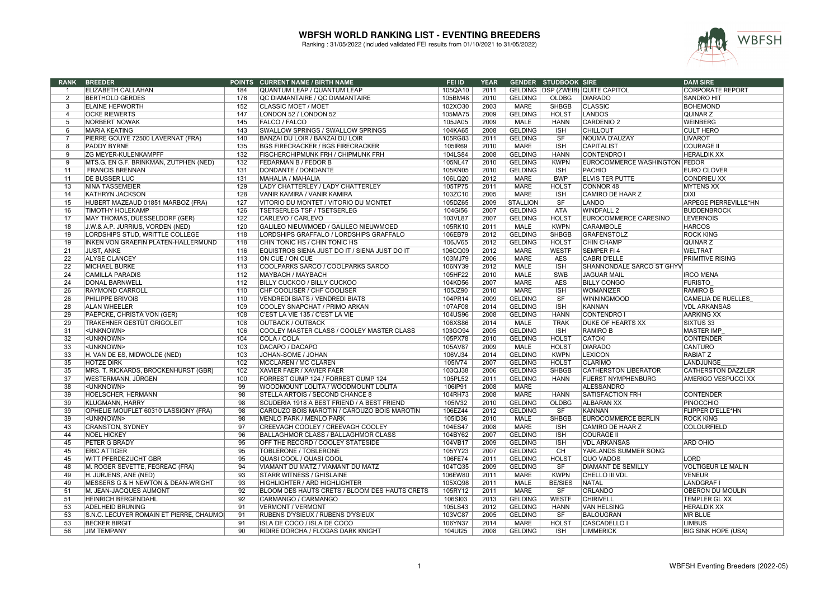

| <b>RANK</b>     | <b>BREEDER</b>                           | <b>POINTS</b>    | <b>CURRENT NAME / BIRTH NAME</b>              | FEI ID  | <b>YEAR</b> |                 | <b>GENDER STUDBOOK SIRE</b> |                                     | <b>DAM SIRE</b>              |
|-----------------|------------------------------------------|------------------|-----------------------------------------------|---------|-------------|-----------------|-----------------------------|-------------------------------------|------------------------------|
| -1              | ELIZABETH CALLAHAN                       | 184              | QUANTUM LEAP / QUANTUM LEAP                   | 105QA10 | 2011        |                 |                             | GELDING   DSP (ZWEIB) QUITE CAPITOL | <b>CORPORATE REPORT</b>      |
| $\overline{2}$  | <b>BERTHOLD GERDES</b>                   | 176              | QC DIAMANTAIRE / QC DIAMANTAIRE               | 105BM48 | 2010        | <b>GELDING</b>  | <b>OLDBG</b>                | <b>DIARADO</b>                      | <b>SANDRO HIT</b>            |
| $\overline{3}$  | <b>ELAINE HEPWORTH</b>                   | 152              | <b>CLASSIC MOET / MOET</b>                    | 102XO30 | 2003        | <b>MARE</b>     | <b>SHBGB</b>                | <b>CLASSIC</b>                      | <b>BOHEMOND</b>              |
| $\overline{4}$  | <b>OCKE RIEWERTS</b>                     | 147              | LONDON 52 / LONDON 52                         | 105MA75 | 2009        | <b>GELDING</b>  | <b>HOLST</b>                | <b>LANDOS</b>                       | QUINAR <sub>Z</sub>          |
| 5               | NORBERT NOWAK                            | 145              | <b>FALCO / FALCO</b>                          | 105JA05 | 2009        | MALE            | <b>HANN</b>                 | <b>CARDENIO 2</b>                   | <b>WEINBERG</b>              |
| 6               | <b>MARIA KEATING</b>                     | 143              | SWALLOW SPRINGS / SWALLOW SPRINGS             | 104KA65 | 2008        | <b>GELDING</b>  | <b>ISH</b>                  | <b>CHILLOUT</b>                     | <b>CULT HERO</b>             |
|                 | PIERRE GOUYE 72500 LAVERNAT (FRA)        | 140              | BANZAI DU LOIR / BANZAI DU LOIR               | 105RG83 | 2011        | <b>GELDING</b>  | SF                          | NOUMA D'AUZAY                       | <b>LIVAROT</b>               |
| $\overline{8}$  | PADDY BYRNE                              | $\overline{135}$ | <b>BGS FIRECRACKER / BGS FIRECRACKER</b>      | 105IR69 | 2010        | <b>MARE</b>     | ISH                         | <b>CAPITALIST</b>                   | <b>COURAGE I</b>             |
| 9               | <b>ZG MEYER-KULENKAMPFF</b>              | 132              | FISCHERCHIPMUNK FRH / CHIPMUNK FRH            | 104LS84 | 2008        | <b>GELDING</b>  | <b>HANN</b>                 | <b>CONTENDRO I</b>                  | <b>HERALDIK XX</b>           |
| 9               | MTS.G. EN G.F. BRINKMAN, ZUTPHEN (NED)   | 132              | <b>FEDARMAN B / FEDOR B</b>                   | 105NL47 | 2010        | <b>GELDING</b>  | <b>KWPN</b>                 | EUROCOMMERCE WASHINGTON FEDOR       |                              |
| 11              | <b>FRANCIS BRENNAN</b>                   | 131              | DONDANTE / DONDANTE                           | 105KN05 | 2010        | <b>GELDING</b>  | <b>ISH</b>                  | <b>PACHIO</b>                       | <b>EURO CLOVER</b>           |
| 11              | <b>DE BUSSER LUC</b>                     | 131              | MAHALIA / MAHALIA                             | 106LQ20 | 2012        | <b>MARE</b>     | <b>BWP</b>                  | <b>ELVIS TER PUTTE</b>              | <b>CONDRIEU XX</b>           |
| 13              | <b>NINA TASSEMEIER</b>                   | 129              | LADY CHATTERLEY / LADY CHATTERLEY             | 105TP75 | 2011        | <b>MARE</b>     | <b>HOLST</b>                | <b>CONNOR 48</b>                    | <b>MYTENS XX</b>             |
| 14              | <b>KATHRYN JACKSON</b>                   | 128              | VANIR KAMIRA / VANIR KAMIRA                   | 103ZC10 | 2005        | <b>MARE</b>     | <b>ISH</b>                  | CAMIRO DE HAAR Z                    | <b>DIXI</b>                  |
| 15              | HUBERT MAZEAUD 01851 MARBOZ (FRA)        | 127              | VITORIO DU MONTET / VITORIO DU MONTET         | 105DZ65 | 2009        | <b>STALLION</b> | SF                          | LANDO                               | <b>ARPEGE PIERREVILLE*HN</b> |
| 16              | <b>TIMOTHY HOLEKAMP</b>                  | 126              | <b>TSETSERLEG TSF / TSETSERLEG</b>            | 104GI56 | 2007        | <b>GELDING</b>  | <b>ATA</b>                  | <b>WINDFALL 2</b>                   | <b>BUDDENBROCK</b>           |
| 17              | MAY THOMAS, DUESSELDORF (GER)            | 122              | CARLEVO / CARLEVO                             | 103VL87 | 2007        | <b>GELDING</b>  | <b>HOLST</b>                | <b>EUROCOMMERCE CARESINO</b>        | <b>LEVERNOIS</b>             |
| 18              | J.W.& A.P. JURRIUS, VORDEN (NED)         | 120              | GALILEO NIEUWMOED / GALILEO NIEUWMOED         | 105RK10 | 2011        | <b>MALE</b>     | <b>KWPN</b>                 | <b>CARAMBOLE</b>                    | <b>HARCOS</b>                |
| 19              | LORDSHIPS STUD, WRITTLE COLLEGE          | 118              | LORDSHIPS GRAFFALO / LORDSHIPS GRAFFALO       | 106EB79 | 2012        | <b>GELDING</b>  | <b>SHBGB</b>                | <b>GRAFENSTOLZ</b>                  | <b>ROCK KING</b>             |
| 19              | INKEN VON GRAEFIN PLATEN-HALLERMUND      | 118              | CHIN TONIC HS / CHIN TONIC HS                 | 106JV65 | 2012        | <b>GELDING</b>  | <b>HOLST</b>                | <b>CHIN CHAMP</b>                   | QUINAR <sub>Z</sub>          |
| $\overline{21}$ | <b>JUST. ANKE</b>                        | 116              | EQUISTROS SIENA JUST DO IT / SIENA JUST DO IT | 106CQ09 | 2012        | <b>MARE</b>     | <b>WESTF</b>                | <b>SEMPER FI4</b>                   | <b>WELTRAT</b>               |
| $\overline{22}$ | <b>ALYSE CLANCEY</b>                     | 113              | ON CUE / ON CUE                               | 103MJ79 | 2006        | <b>MARE</b>     | <b>AES</b>                  | <b>CABRI D'ELLE</b>                 | <b>PRIMITIVE RISING</b>      |
|                 |                                          |                  |                                               |         |             |                 |                             |                                     |                              |
| 22              | <b>MICHAEL BURKE</b>                     | 113              | COOLPARKS SARCO / COOLPARKS SARCO             | 106NY39 | 2012        | MALE            | <b>ISH</b>                  | SHANNONDALE SARCO ST GHYV           |                              |
| $\overline{24}$ | <b>CAMILLA PARADIS</b>                   | 112              | MAYBACH / MAYBACH                             | 105HF22 | 2010        | <b>MALE</b>     | <b>SWB</b>                  | <b>JAGUAR MAIL</b>                  | <b>IRCO MENA</b>             |
| $\overline{24}$ | <b>DONAL BARNWELL</b>                    | 112              | <b>BILLY CUCKOO / BILLY CUCKOO</b>            | 104KD56 | 2007        | <b>MARE</b>     | <b>AES</b>                  | <b>BILLY CONGO</b>                  | <b>FURISTO</b>               |
| 26              | <b>RAYMOND CARROLL</b>                   | 110              | CHF COOLISER / CHF COOLISER                   | 105JZ90 | 2010        | <b>MARE</b>     | <b>ISH</b>                  | <b>WOMANIZER</b>                    | <b>RAMIRO B</b>              |
| 26              | PHILIPPE BRIVOIS                         | 110              | <b>VENDREDI BIATS / VENDREDI BIATS</b>        | 104PR14 | 2009        | <b>GELDING</b>  | SF                          | <b>WINNINGMOOD</b>                  | <b>CAMELIA DE RUELLES</b>    |
| 28              | <b>ALAN WHEELER</b>                      | 109              | COOLEY SNAPCHAT / PRIMO ARKAN                 | 107AF08 | 2014        | <b>GELDING</b>  | <b>ISH</b>                  | KANNAN                              | <b>VDL ARKANSAS</b>          |
| 29              | PAEPCKE, CHRISTA VON (GER)               | 108              | C'EST LA VIE 135 / C'EST LA VIE               | 104US96 | 2008        | <b>GELDING</b>  | <b>HANN</b>                 | <b>CONTENDRO I</b>                  | <b>AARKING XX</b>            |
| 29              | TRAKEHNER GESTÜT GRIGOLEIT               | 108              | <b>OUTBACK / OUTBACK</b>                      | 106XS86 | 2014        | <b>MALE</b>     | <b>TRAK</b>                 | <b>DUKE OF HEARTS XX</b>            | SIXTUS <sub>33</sub>         |
| $\overline{31}$ | <unknown></unknown>                      | 106              | COOLEY MASTER CLASS / COOLEY MASTER CLASS     | 103GO94 | 2005        | <b>GELDING</b>  | $\overline{ISH}$            | <b>RAMIRO B</b>                     | <b>MASTER IMP</b>            |
| $\overline{32}$ | <unknown></unknown>                      | 104              | COLA / COLA                                   | 105PX78 | 2010        | <b>GELDING</b>  | <b>HOLST</b>                | <b>CATOKI</b>                       | <b>CONTENDER</b>             |
| 33              | <unknown></unknown>                      | 103              | DACAPO / DACAPO                               | 105AV87 | 2009        | MALE            | <b>HOLST</b>                | <b>DIARADO</b>                      | CANTURO                      |
| 33              | H. VAN DE ES, MIDWOLDE (NED)             | 103              | JOHAN-SOME / JOHAN                            | 106VJ34 | 2014        | <b>GELDING</b>  | <b>KWPN</b>                 | <b>LEXICON</b>                      | <b>RABIATZ</b>               |
| $\overline{35}$ | <b>HOTZE DIRK</b>                        | 102              | <b>MCCLAREN / MC CLAREN</b>                   | 105IV74 | 2007        | <b>GELDING</b>  | <b>HOLST</b>                | <b>CLARIMO</b>                      | LANDJUNGE                    |
| $\overline{35}$ | MRS. T. RICKARDS, BROCKENHURST (GBR)     | 102              | XAVIER FAER / XAVIER FAER                     | 103QJ38 | 2006        | <b>GELDING</b>  | <b>SHBGB</b>                | <b>CATHERSTON LIBERATOR</b>         | <b>CATHERSTON DAZZLER</b>    |
| 37              | WESTERMANN, JÜRGEN                       | 100              | FORREST GUMP 124 / FORREST GUMP 124           | 105PL52 | 2011        | <b>GELDING</b>  | <b>HANN</b>                 | <b>FUERST NYMPHENBURG</b>           | <b>AMERIGO VESPUCCI XX</b>   |
| 38              | <unknown></unknown>                      | 99               | WOODMOUNT LOLITA / WOODMOUNT LOLITA           | 106IP91 | 2008        | <b>MARE</b>     |                             | <b>ALESSANDRO</b>                   |                              |
| 39              | HOELSCHER, HERMANN                       | 98               | STELLA ARTOIS / SECOND CHANCE 8               | 104RH73 | 2008        | <b>MARE</b>     | <b>HANN</b>                 | <b>SATISFACTION FRH</b>             | <b>CONTENDER</b>             |
| 39              | KLUGMANN. HARRY                          | 98               | SCUDERIA 1918 A BEST FRIEND / A BEST FRIEND   | 105IV32 | 2010        | <b>GELDING</b>  | <b>OLDBG</b>                | ALBARAN XX                          | <b>PINOCCHIO</b>             |
| 39              | OPHELIE MOUFLET 60310 LASSIGNY (FRA)     | 98               | CAROUZO BOIS MAROTIN / CAROUZO BOIS MAROTIN   | 106EZ44 | 2012        | <b>GELDING</b>  | SF                          | KANNAN                              | <b>FLIPPER D'ELLE*HN</b>     |
| 39              | <unknown></unknown>                      | 98               | MENLO PARK / MENLO PARK                       | 105ID36 | 2010        | MALE            | <b>SHBGB</b>                | <b>EUROCOMMERCE BERLIN</b>          | <b>ROCK KING</b>             |
| 43              | <b>CRANSTON, SYDNEY</b>                  | 97               | CREEVAGH COOLEY / CREEVAGH COOLEY             | 104ES47 | 2008        | <b>MARE</b>     | <b>ISH</b>                  | <b>CAMIRO DE HAAR Z</b>             | <b>COLOURFIELD</b>           |
| 44              | <b>NOEL HICKEY</b>                       | 96               | <b>BALLAGHMOR CLASS / BALLAGHMOR CLASS</b>    | 104BY62 | 2007        | <b>GELDING</b>  | <b>ISH</b>                  | <b>COURAGE II</b>                   |                              |
| 45              | PETER G BRADY                            | 95               | OFF THE RECORD / COOLEY STATESIDE             | 104VB17 | 2009        | <b>GELDING</b>  | <b>ISH</b>                  | <b>VDL ARKANSAS</b>                 | <b>ARD OHIO</b>              |
| 45              | <b>ERIC ATTIGER</b>                      | 95               | TOBLERONE / TOBLERONE                         | 105YY23 | 2007        | <b>GELDING</b>  | <b>CH</b>                   | YARLANDS SUMMER SONG                |                              |
| 45              | <b>WITT PFERDEZUCHT GBR</b>              | 95               | <b>QUASI COOL / QUASI COOL</b>                | 106FE74 | 2011        | <b>GELDING</b>  | <b>HOLST</b>                | <b>QUO VADOS</b>                    | LORD                         |
| 48              | M. ROGER SEVETTE, FEGREAC (FRA)          | 94               | VIAMANT DU MATZ / VIAMANT DU MATZ             | 104TQ35 | 2009        | <b>GELDING</b>  | SF                          | <b>DIAMANT DE SEMILLY</b>           | <b>VOLTIGEUR LE MALIN</b>    |
| 49              | H. JURJENS, ANE (NED)                    | 93               | <b>STARR WITNESS / GHISLAINE</b>              | 106EW80 | 2011        | <b>MARE</b>     | <b>KWPN</b>                 | <b>CHELLO III VDL</b>               | <b>VENEUR</b>                |
| 49              | MESSERS G & H NEWTON & DEAN-WRIGHT       | 93               | HIGHLIGHTER / ARD HIGHLIGHTER                 | 105XQ98 | 2011        | <b>MALE</b>     | <b>BE/SIES</b>              | <b>NATAL</b>                        | <b>LANDGRAF I</b>            |
| 51              | M. JEAN-JACQUES AUMONT                   | 92               | BLOOM DES HAUTS CRETS / BLOOM DES HAUTS CRETS | 105RY12 | 2011        | <b>MARE</b>     | SF                          | ORLANDO                             | <b>OBERON DU MOULIN</b>      |
| 51              | <b>HEINRICH BERGENDAHL</b>               | $\overline{92}$  | CARMANGO / CARMANGO                           | 106SI03 | 2013        | <b>GELDING</b>  | <b>WESTF</b>                | <b>CHIRIVELL</b>                    | <b>TEMPLER GL XX</b>         |
| 53              | <b>ADELHEID BRUNING</b>                  | 91               | <b>VERMONT / VERMONT</b>                      | 105LS43 | 2012        | <b>GELDING</b>  | <b>HANN</b>                 | <b>VAN HELSING</b>                  | <b>HERALDIK XX</b>           |
| 53              | S.N.C. LECUYER ROMAIN ET PIERRE, CHAUMOI | 91               | RUBENS D'YSIEUX / RUBENS D'YSIEUX             | 103VC87 | 2005        | <b>GELDING</b>  | SF                          | <b>BALOUGRAN</b>                    | MR BLUE                      |
| 53              | <b>BECKER BIRGIT</b>                     | 91               | ISLA DE COCO / ISLA DE COCO                   | 106YN37 | 2014        | <b>MARE</b>     | <b>HOLST</b>                | CASCADELLO I                        | <b>LIMBUS</b>                |
| 56              | <b>JIM TEMPANY</b>                       | 90               | <b>RIDIRE DORCHA / FLOGAS DARK KNIGHT</b>     | 104UI25 | 2008        | <b>GELDING</b>  | <b>ISH</b>                  | <b>LIMMERICK</b>                    | <b>BIG SINK HOPE (USA)</b>   |
|                 |                                          |                  |                                               |         |             |                 |                             |                                     |                              |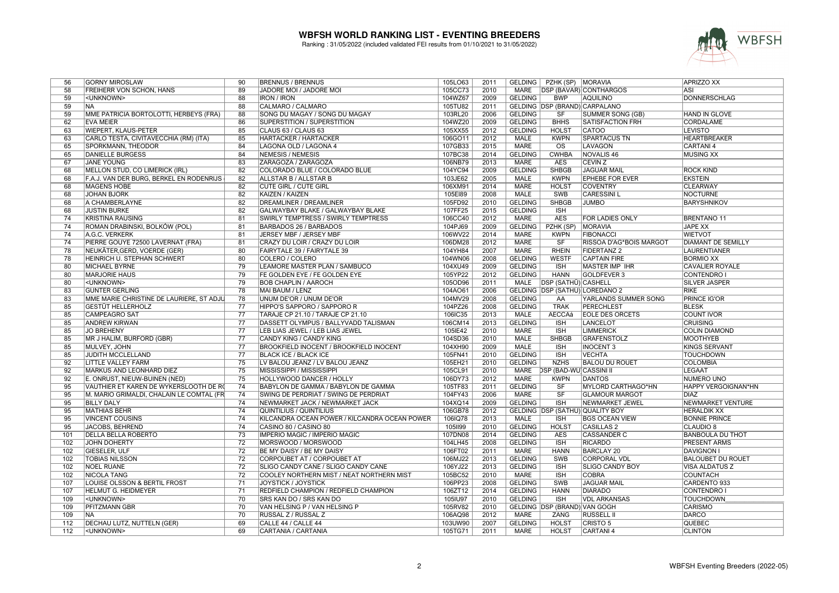

| 56              | <b>GORNY MIROSLAW</b>                       | 90              | <b>BRENNUS / BRENNUS</b>                                                  | 105LO63            | 2011         |                               | GELDING   PZHK (SP)   MORAVIA        |                                 | <b>APRIZZO XX</b>                                 |
|-----------------|---------------------------------------------|-----------------|---------------------------------------------------------------------------|--------------------|--------------|-------------------------------|--------------------------------------|---------------------------------|---------------------------------------------------|
| 58              | FREIHERR VON SCHÖN, HANS                    | 89              | JADORE MOI / JADORE MOI                                                   | 105CC73            | 2010         |                               |                                      | MARE   DSP (BAVAR) CONTHARGOS   | ASI                                               |
| 59              | <unknown></unknown>                         | $\overline{88}$ | <b>IRON / IRON</b>                                                        | 104WZ67            | 2009         | <b>GELDING</b>                | <b>BWP</b>                           | <b>AQUILINO</b>                 | <b>DONNERSCHLAG</b>                               |
| 59              | <b>NA</b>                                   | 88              | CALMARO / CALMARO                                                         | 105TU82            | 2011         |                               | <b>GELDING DSP (BRAND) CARPALANO</b> |                                 |                                                   |
| 59              | MME PATRICIA BORTOLOTTI, HERBEYS (FRA)      | 88              | SONG DU MAGAY / SONG DU MAGAY                                             | 103RL20            | 2006         | <b>GELDING</b>                | $\overline{\text{SF}}$               | <b>SUMMER SONG (GB)</b>         | <b>HAND IN GLOVE</b>                              |
| 62              | <b>EVA MEIER</b>                            | 86              | SUPERSTITION / SUPERSTITION                                               | 104WZ20            | 2009         | <b>GELDING</b>                | <b>BHHS</b>                          | <b>SATISFACTION FRH</b>         | <b>CORDALAME</b>                                  |
| 63              | <b>WIEPERT, KLAUS-PETER</b>                 | 85              | CLAUS 63 / CLAUS 63                                                       | 105XX55            | 2012         | <b>GELDING</b>                | <b>HOLST</b>                         | CATOO                           | <b>LEVISTO</b>                                    |
| 63              | CARLO TESTA, CIVITAVECCHIA (RM) (ITA)       | 85              | <b>HARTACKER / HARTACKER</b>                                              | 106GO11            | 2012         | <b>MALE</b>                   | <b>KWPN</b>                          | <b>SPARTACUS TN</b>             | <b>HEARTBREAKER</b>                               |
| 65              | SPORKMANN, THEODOR                          | 84              | LAGONA OLD / LAGONA 4                                                     | 107GB33            | 2015         | <b>MARE</b>                   | $\overline{\text{OS}}$               | <b>LAVAGON</b>                  | <b>CARTANI4</b>                                   |
| 65              | <b>DANIELLE BURGESS</b>                     | $\overline{84}$ | <b>NEMESIS / NEMESIS</b>                                                  | 107BC38            | 2014         | <b>GELDING</b>                | <b>CWHBA</b>                         | NOVALIS <sub>46</sub>           | <b>MUSING XX</b>                                  |
| 67              | <b>JANE YOUNG</b>                           | 83              | ZARAGOZA / ZARAGOZA                                                       | 106NB79            | 2013         | <b>MARE</b>                   | <b>AES</b>                           | <b>CEVIN Z</b>                  |                                                   |
| 68              | <b>MELLON STUD, CO LIMERICK (IRL)</b>       | 82              | COLORADO BLUE / COLORADO BLUE                                             | 104YC94            | 2009         | <b>GELDING</b>                | <b>SHBGB</b>                         | <b>JAGUAR MAIL</b>              | <b>ROCK KIND</b>                                  |
| 68              | F.A.J. VAN DER BURG. BERKEL EN RODENRIJS    | $\overline{82}$ | ALLSTAR B / ALLSTAR B                                                     | 103JE62            | 2005         | <b>MALE</b>                   | <b>KWPN</b>                          | <b>EPHEBE FOR EVER</b>          | <b>EKSTEIN</b>                                    |
| 68              | <b>MAGENS HOBE</b>                          | $\overline{82}$ | <b>CUTE GIRL / CUTE GIRL</b>                                              | 106XM91            | 2014         | <b>MARE</b>                   | <b>HOLST</b>                         | <b>COVENTRY</b>                 | <b>CLEARWAY</b>                                   |
| 68              | <b>JOHAN BJÖRK</b>                          | 82              | <b>KAIZEN / KAIZEN</b>                                                    | 105E189            | 2008         | <b>MALE</b>                   | <b>SWB</b>                           | <b>CARESSINI L</b>              | <b>NOCTURNE</b>                                   |
| 68              | A CHAMBERLAYNE                              | 82              | DREAMLINER / DREAMLINER                                                   | 105FD92            | 2010         | <b>GELDING</b>                | <b>SHBGB</b>                         | <b>JUMBO</b>                    | <b>BARYSHNIKOV</b>                                |
| 68              | <b>JUSTIN BURKE</b>                         | $\overline{82}$ | GALWAYBAY BLAKE / GALWAYBAY BLAKE                                         | 107FF25            | 2015         | <b>GELDING</b>                | <b>ISH</b>                           |                                 |                                                   |
| 74              | <b>KRISTINA RAUSING</b>                     | 81              | SWIRLY TEMPTRESS / SWIRLY TEMPTRESS                                       | 106CC40            | 2012         | <b>MARE</b>                   | <b>AES</b>                           | <b>FOR LADIES ONLY</b>          | <b>BRENTANO 11</b>                                |
| 74              | ROMAN DRABINSKI, BOLKÓW (POL)               | 81              | BARBADOS 26 / BARBADOS                                                    | 104PJ69            | 2009         | <b>GELDING</b>                | PZHK (SP)                            | <b>MORAVIA</b>                  | <b>JAPE XX</b>                                    |
| 74              | A.G.C. VERKERK                              | 81              | JERSEY MBF / JERSEY MBF                                                   | 106WV22            | 2014         | <b>MARE</b>                   | <b>KWPN</b>                          | <b>FIBONACCI</b>                | <b>WIETVOT</b>                                    |
| 74              | PIERRE GOUYE 72500 LAVERNAT (FRA)           | 81              | CRAZY DU LOIR / CRAZY DU LOIR                                             | 106DM28            | 2012         | <b>MARE</b>                   | $\overline{\text{S}}$ F              | <b>RISSOA D'AG*BOIS MARGOT</b>  | <b>DIAMANT DE SEMILLY</b>                         |
| 78              | NEUKÄTER.GERD. VOERDE (GER)                 | 80              | FAIRYTALE 39 / FAIRYTALE 39                                               | 104YH84            | 2007         | <b>MARE</b>                   | <b>RHEIN</b>                         | <b>FIDERTANZ 2</b>              | <b>LAURENTIANER</b>                               |
| 78              | <b>HEINRICH U. STEPHAN SCHWERT</b>          | $\overline{80}$ | <b>COLERO / COLERO</b>                                                    | 104WN06            | 2008         | <b>GELDING</b>                | <b>WESTF</b>                         | <b>CAPTAIN FIRE</b>             | <b>BORMIO XX</b>                                  |
| 80              | <b>MICHAEL BYRNE</b>                        | 79              | LEAMORE MASTER PLAN / SAMBUCO                                             | 104XU49            | 2009         | <b>GELDING</b>                | <b>ISH</b>                           | MASTER IMP IHR                  | <b>CAVALIER ROYALE</b>                            |
| 80              | <b>MARJORIE HAUS</b>                        | 79              | FE GOLDEN EYE / FE GOLDEN EYE                                             | 105YP22            | 2012         | <b>GELDING</b>                | <b>HANN</b>                          | GOLDFEVER 3                     | <b>CONTENDRO I</b>                                |
| 80              | <unknown></unknown>                         | 79              | <b>BOB CHAPLIN / AAROCH</b>                                               | 105OD96            | 2011         |                               | MALE   DSP (SATHÜ) CASHELL           |                                 | <b>SILVER JASPER</b>                              |
| 83              | <b>GUNTER GERLING</b>                       | 78              | MAI BAUM / LENZ                                                           | 104AO61            | 2006         |                               |                                      | GELDING DSP (SATHÜ) LOREDANO 2  | <b>RIKE</b>                                       |
| 83              | MME MARIE CHRISTINE DE LAURIERE, ST ADJU    | 78              | UNUM DE'OR / UNUM DE'OR                                                   | 104MV29            | 2008         | <b>GELDING</b>                | AA                                   | YARLANDS SUMMER SONG            | PRINCE IG'OR                                      |
| 85              | <b>GESTÜT HELLERHOLZ</b>                    | 77              | HIPPO'S SAPPORO / SAPPORO R                                               | 104PZ26            | 2008         | <b>GELDING</b>                | <b>TRAK</b>                          | PERECHLEST                      | <b>BLESK</b>                                      |
| 85              | <b>CAMPEAGRO SAT</b>                        | $\overline{77}$ | TARAJE CP 21.10 / TARAJE CP 21.10                                         | 106IC35            | 2013         | <b>MALE</b>                   | <b>AECCAá</b>                        | <b>EOLE DES ORCETS</b>          | <b>COUNT IVOR</b>                                 |
| 85              | <b>ANDREW KIRWAN</b>                        | $\overline{77}$ | DASSETT OLYMPUS / BALLYVADD TALISMAN                                      | 106CM14            | 2013         | <b>GELDING</b>                | <b>ISH</b>                           | <b>LANCELOT</b>                 | <b>CRUISING</b>                                   |
| $\overline{85}$ | <b>JO BREHENY</b>                           | $\overline{77}$ | LEB LIAS JEWEL / LEB LIAS JEWEL                                           | 105IE42            | 2010         | <b>MARE</b>                   | $\overline{\text{ISH}}$              | <b>LIMMERICK</b>                | <b>COLIN DIAMOND</b>                              |
| 85              | MR J HALIM, BURFORD (GBR)                   | $\overline{77}$ | CANDY KING / CANDY KING                                                   | 104SD36            | 2010         | <b>MALE</b>                   | <b>SHBGB</b>                         | GRAFENSTOLZ                     | <b>MOOTHYEB</b>                                   |
| 85              | MULVEY, JOHN                                | $\overline{77}$ | BROOKFIELD INOCENT / BROOKFIELD INOCENT                                   | 104XH90            | 2009         | <b>MALE</b>                   | <b>ISH</b>                           | <b>INOCENT 3</b>                | <b>KINGS SERVANT</b>                              |
| 85              | <b>JUDITH MCCLELLAND</b>                    | $\overline{77}$ | <b>BLACK ICE / BLACK ICE</b>                                              | 105FN41            | 2010         | <b>GELDING</b>                | <b>ISH</b>                           | <b>VECHTA</b>                   | <b>TOUCHDOWN</b>                                  |
| 92              | LITTLE VALLEY FARM                          | $\overline{75}$ | LV BALOU JEANZ / LV BALOU JEANZ                                           | 105EH21            | 2010         | <b>GELDING</b>                | <b>NZHS</b>                          | <b>BALOU DU ROUET</b>           | <b>COLOMBIA</b>                                   |
| 92              | MARKUS AND LEONHARD DIEZ                    | $\overline{75}$ | MISSISSIPPI / MISSISSIPPI                                                 | 105CL91            | 2010         | <b>MARE</b>                   | DSP (BAD-WÜ                          | <b>CASSINI II</b>               | <b>LEGAAT</b>                                     |
| 92              | E. ONRUST, NIEUW-BUINEN (NED)               | 75              | HOLLYWOOD DANCER / HOLLY                                                  | 106DY73            | 2012         | <b>MARE</b>                   | <b>KWPN</b>                          | <b>DANTOS</b>                   | NUMERO UNO                                        |
| 95              | VAUTHIER ET KAREN DE WYKERSLOOTH DE RO      | 74              | BABYLON DE GAMMA / BABYLON DE GAMMA                                       | 105TF83            | 2011         | <b>GELDING</b>                | SF                                   | MYLORD CARTHAGO*HN              | <b>HAPPY VERGOIGNAN*HN</b>                        |
| 95              | M. MARIO GRIMALDI, CHALAIN LE COMTAL (FR    | 74              | SWING DE PERDRIAT / SWING DE PERDRIAT                                     | 104FY43            | 2006         | <b>MARE</b>                   | $\overline{\text{S}}$ F              | <b>GLAMOUR MARGOT</b>           | <b>DIAZ</b>                                       |
| 95              | <b>BILLY DALY</b>                           | $\overline{74}$ | NEWMARKET JACK / NEWMARKET JACK                                           | 104XQ14            | 2009         | <b>GELDING</b>                | <b>ISH</b>                           | <b>NEWMARKET JEWEL</b>          | <b>NEWMARKET VENTURE</b>                          |
| 95              | <b>MATHIAS BEHR</b>                         | $\overline{74}$ | QUINTILIUS / QUINTILIUS                                                   | 106GB78            | 2012         |                               |                                      | GELDING DSP (SATHÜ) QUALITY BOY | <b>HERALDIK XX</b>                                |
| 95              | <b>VINCENT COUSINS</b>                      | 74              | KILCANDRA OCEAN POWER / KILCANDRA OCEAN POWER                             | 106IQ78            | 2013         | <b>MALE</b>                   | <b>ISH</b>                           | <b>BGS OCEAN VIEW</b>           | <b>BONNIE PRINCE</b>                              |
| 95              | JACOBS, BEHREND                             | 74              | CASINO 80 / CASINO 80                                                     | 1051199            | 2010         | <b>GELDING</b>                | <b>HOLST</b>                         | <b>CASILLAS 2</b>               | CLAUDIO 8                                         |
| 101             | DELLA BELLA ROBERTO                         | $\overline{73}$ | <b>IMPERIO MAGIC / IMPERIO MAGIC</b>                                      | 107DN08            | 2014         | <b>GELDING</b>                | <b>AES</b>                           | <b>CASSANDER C</b>              | <b>BANBOULA DU THOT</b>                           |
|                 |                                             | $\overline{72}$ |                                                                           |                    | 2008         |                               | <b>ISH</b>                           | <b>RICARDO</b>                  |                                                   |
| 102             | <b>JOHN DOHERTY</b><br><b>GIESELER, ULF</b> | $\overline{72}$ | MORSWOOD / MORSWOOD<br>BE MY DAISY / BE MY DAISY                          | 104LH45            | 2011         | <b>GELDING</b><br><b>MARE</b> | <b>HANN</b>                          | <b>BARCLAY 20</b>               | PRESENT ARMS<br><b>DAVIGNON I</b>                 |
| 102<br>102      | <b>TOBIAS NILSSON</b>                       | $\overline{72}$ |                                                                           | 106FT02            |              | <b>GELDING</b>                | <b>SWB</b>                           | <b>CORPORAL VDL</b>             |                                                   |
| 102             | <b>NOEL RUANE</b>                           | $\overline{72}$ | <b>CORPOUBET AT / CORPOUBET AT</b><br>SLIGO CANDY CANE / SLIGO CANDY CANE | 106MJ22<br>106YJ22 | 2013<br>2013 | <b>GELDING</b>                | <b>ISH</b>                           | <b>SLIGO CANDY BOY</b>          | <b>BALOUBET DU ROUET</b><br><b>VISA ALDATUS Z</b> |
|                 |                                             | $\overline{72}$ |                                                                           |                    |              |                               |                                      |                                 |                                                   |
| 102             | <b>NICOLA TANG</b>                          |                 | COOLEY NORTHERN MIST / NEAT NORTHERN MIST                                 | 105BC52            | 2010         | <b>MARE</b>                   | <b>ISH</b>                           | <b>COBRA</b>                    | <b>COUNTACH</b>                                   |
| 107             | LOUISE OLSSON & BERTIL FROST                | 71              | JOYSTICK / JOYSTICK                                                       | 106PP23            | 2008         | <b>GELDING</b>                | <b>SWB</b>                           | <b>JAGUAR MAIL</b>              | <b>CARDENTO 933</b>                               |
| 107             | HELMUT G. HEIDMEYER                         | 71              | REDFIELD CHAMPION / REDFIELD CHAMPION                                     | 106ZT12            | 2014         | <b>GELDING</b>                | <b>HANN</b>                          | <b>DIARADO</b>                  | <b>CONTENDRO</b>                                  |
| 109             | <unknown></unknown>                         | 70              | SRS KAN DO / SRS KAN DO                                                   | 105IU97            | 2010         | <b>GELDING</b>                | <b>ISH</b>                           | <b>VDL ARKANSAS</b>             | <b>TOUCHDOWN</b>                                  |
| 109             | <b>PFITZMANN GBR</b>                        | 70              | VAN HELSING P / VAN HELSING P                                             | 105RV82            | 2010         |                               | GELDING DSP (BRAND) VAN GOGH         |                                 | <b>CARISMO</b>                                    |
| 109             | NA.                                         | 70              | RUSSAL Z / RUSSAL Z                                                       | 106AQ98            | 2012         | MARE                          | ZANG                                 | <b>RUSSELL II</b>               | <b>DARCO</b>                                      |
| 112             | DECHAU LUTZ, NUTTELN (GER)                  | 69              | CALLE 44 / CALLE 44                                                       | 103UW90            | 2007         | <b>GELDING</b>                | <b>HOLST</b>                         | CRISTO <sub>5</sub>             | <b>QUEBEC</b>                                     |
| 112             | <unknown></unknown>                         | 69              | CARTANIA / CARTANIA                                                       | 105TG71            | 2011         | <b>MARE</b>                   | <b>HOLST</b>                         | <b>CARTANI4</b>                 | <b>CLINTON</b>                                    |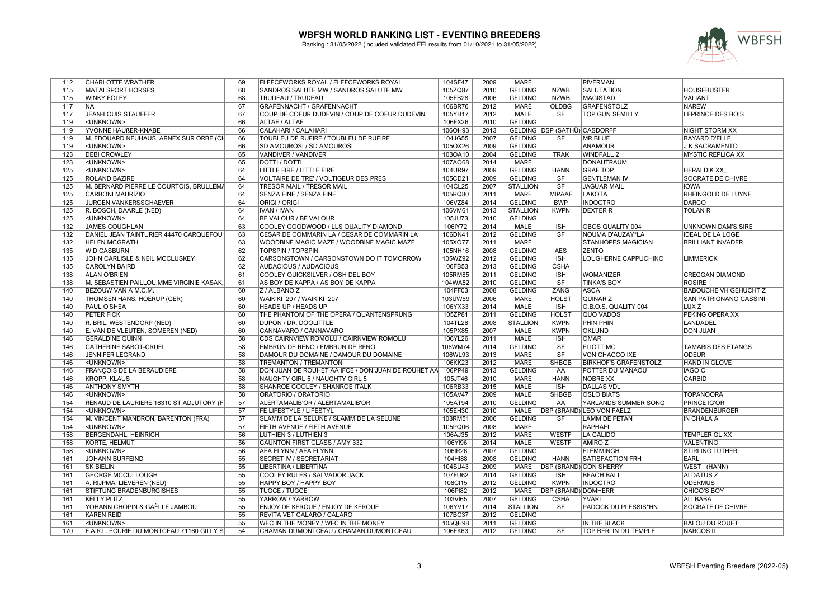

| 112 | <b>CHARLOTTE WRATHER</b>                  | 69              | FLEECEWORKS ROYAL / FLEECEWORKS ROYAL              | 104SE47 | 2009 | MARE            |                              | <b>RIVERMAN</b>                  |                              |
|-----|-------------------------------------------|-----------------|----------------------------------------------------|---------|------|-----------------|------------------------------|----------------------------------|------------------------------|
| 115 | <b>MATAI SPORT HORSES</b>                 | 68              | SANDROS SALUTE MW / SANDROS SALUTE MW              | 105ZQ87 | 2010 | <b>GELDING</b>  | <b>NZWB</b>                  | <b>SALUTATION</b>                | <b>HOUSEBUSTER</b>           |
| 115 | <b>WINKY FOLEY</b>                        | 68              | TRUDEAU / TRUDEAU                                  | 105FB28 | 2006 | <b>GELDING</b>  | <b>NZWB</b>                  | <b>MAGISTAD</b>                  | <b>VALIANT</b>               |
| 117 | <b>NA</b>                                 | 67              | GRAFENNACHT / GRAFENNACHT                          | 106BR76 | 2012 | <b>MARE</b>     | <b>OLDBG</b>                 | <b>GRAFENSTOLZ</b>               | <b>NAREW</b>                 |
| 117 | <b>JEAN-LOUIS STAUFFER</b>                | 67              | COUP DE COEUR DUDEVIN / COUP DE COEUR DUDEVIN      | 105YH17 | 2012 | <b>MALE</b>     | SF                           | <b>TOP GUN SEMILLY</b>           | <b>LEPRINCE DES BOIS</b>     |
| 119 | <unknown></unknown>                       | 66              | ALTAF / ALTAF                                      | 106FX26 | 2010 | <b>GELDING</b>  |                              |                                  |                              |
| 119 | YVONNE HAUßER-KNABE                       | 66              | CALAHARI / CALAHARI                                | 106OH93 | 2013 |                 | GELDING DSP (SATHÜ) CASDORFF |                                  | NIGHT STORM XX               |
| 119 | M. EDOUARD NEUHAUS, ARNEX SUR ORBE (CH    | 66              | TOUBLEU DE RUEIRE / TOUBLEU DE RUEIRE              | 104JG55 | 2007 | <b>GELDING</b>  | <b>SF</b>                    | MR BLUE                          | <b>BAYARD D'ELLE</b>         |
| 119 | <unknown></unknown>                       | 66              | SD AMOUROSI / SD AMOUROSI                          | 105OX26 | 2009 | <b>GELDING</b>  |                              | ANAMOUR                          | J K SACRAMENTO               |
| 123 | <b>DEBI CROWLEY</b>                       | 65              | VANDIVER / VANDIVER                                | 103OA10 | 2004 | <b>GELDING</b>  | <b>TRAK</b>                  | WINDFALL 2                       | <b>MYSTIC REPLICA XX</b>     |
| 123 | <unknown></unknown>                       | 65              | <b>DOTTI / DOTTI</b>                               | 107AO68 | 2014 | <b>MARE</b>     |                              | <b>DONAUTRAUM</b>                |                              |
| 125 | <unknown></unknown>                       | 64              | LITTLE FIRE / LITTLE FIRE                          | 104UR97 | 2009 | <b>GELDING</b>  | <b>HANN</b>                  | <b>GRAF TOP</b>                  | <b>HERALDIK XX</b>           |
| 125 | <b>ROLAND BAZIRE</b>                      | 64              | <b>VOLTAIRE DE TRE' / VOLTIGEUR DES PRES</b>       | 105CD21 | 2009 | <b>GELDING</b>  | SF                           | <b>GENTLEMAN IV</b>              | <b>SOCRATE DE CHIVRE</b>     |
| 125 | M. BERNARD PIERRE LE COURTOIS, BRULLEMA   | 64              | <b>TRESOR MAIL / TRESOR MAIL</b>                   | 104CL25 | 2007 | <b>STALLION</b> | $\overline{\text{SF}}$       | <b>JAGUAR MAIL</b>               | <b>IOWA</b>                  |
| 125 | CARBONI MAURIZIO                          | 64              | SENZA FINE / SENZA FINE                            | 105RQ80 | 2011 | <b>MARE</b>     | <b>MIPAAF</b>                | LAKOTA                           | RHEINGOLD DE LUYNE           |
| 125 | JURGEN VANKERSSCHAEVER                    | 64              | ORIGI / ORIGI                                      | 106VZ84 | 2014 | <b>GELDING</b>  | <b>BWP</b>                   | <b>INDOCTRO</b>                  | <b>DARCO</b>                 |
| 125 | R. BOSCH, DAARLE (NED)                    | 64              | <b>IVAN / IVAN</b>                                 | 106VM61 | 2013 | <b>STALLION</b> | <b>KWPN</b>                  | <b>DEXTER R</b>                  | <b>TOLAN R</b>               |
| 125 | <unknown></unknown>                       | 64              | <b>BF VALOUR / BF VALOUR</b>                       | 105JU73 | 2010 | <b>GELDING</b>  |                              |                                  |                              |
|     |                                           | 63              |                                                    |         |      |                 |                              |                                  |                              |
| 132 | <b>JAMES COUGHLAN</b>                     |                 | COOLEY GOODWOOD / LLS QUALITY DIAMOND              | 106IY72 | 2014 | <b>MALE</b>     | <b>ISH</b>                   | OBOS QUALITY 004                 | UNKNOWN DAM'S SIRE           |
| 132 | DANIEL JEAN TAINTURIER 44470 CARQUEFOU    | 63              | CESAR DE COMMARIN LA / CESAR DE COMMARIN LA        | 106DN41 | 2012 | <b>GELDING</b>  | <b>SF</b>                    | NOUMA D'AUZAY*LA                 | <b>IDEAL DE LA LOGE</b>      |
| 132 | <b>HELEN MCGRATH</b>                      | 63              | WOODBINE MAGIC MAZE / WOODBINE MAGIC MAZE          | 105XO77 | 2011 | <b>MARE</b>     |                              | <b>STANHOPES MAGICIAN</b>        | <b>BRILLIANT INVADER</b>     |
| 135 | W D CASBURN                               | 62              | <b>TOPSPIN / TOPSPIN</b>                           | 105NH16 | 2008 | <b>GELDING</b>  | <b>AES</b>                   | <b>ZENTO</b>                     |                              |
| 135 | JOHN CARLISLE & NEIL MCCLUSKEY            | 62              | CARSONSTOWN / CARSONSTOWN DO IT TOMORROW           | 105WZ92 | 2012 | <b>GELDING</b>  | $\overline{\mathsf{ISH}}$    | LOUGHERNE CAPPUCHINO             | <b>LIMMERICK</b>             |
| 135 | <b>CAROLYN BAIRD</b>                      | 62              | AUDACIOUS / AUDACIOUS                              | 106FB53 | 2013 | <b>GELDING</b>  | <b>CSHA</b>                  |                                  |                              |
| 138 | <b>ALAN O'BRIEN</b>                       | 61              | COOLEY QUICKSILVER / OSH DEL BOY                   | 105RM85 | 2011 | <b>GELDING</b>  | <b>ISH</b>                   | <b>WOMANIZER</b>                 | <b>CREGGAN DIAMOND</b>       |
| 138 | M. SEBASTIEN PAILLOU, MME VIRGINIE KASAK, | 61              | AS BOY DE KAPPA / AS BOY DE KAPPA                  | 104WA82 | 2010 | <b>GELDING</b>  | $\overline{\text{S}}$ F      | <b>TINKA'S BOY</b>               | <b>ROSIRE</b>                |
| 140 | BEZOUW VAN A M.C.M.                       | 60              | Z / ALBANO Z                                       | 104FF03 | 2008 | <b>GELDING</b>  | <b>ZANG</b>                  | <b>ASCA</b>                      | <b>BABOUCHE VH GEHUCHT Z</b> |
| 140 | THOMSEN HANS, HOERUP (GER)                | 60              | WAIKIKI 207 / WAIKIKI 207                          | 103UW89 | 2006 | <b>MARE</b>     | <b>HOLST</b>                 | QUINAR <sub>Z</sub>              | SAN PATRIGNANO CASSINI       |
| 140 | <b>PAUL O'SHEA</b>                        | 60              | <b>HEADS UP / HEADS UP</b>                         | 106YX33 | 2014 | <b>MALE</b>     | <b>ISH</b>                   | O.B.O.S. QUALITY 004             | LUX Z                        |
| 140 | <b>PETER FICK</b>                         | 60              | THE PHANTOM OF THE OPERA / QUANTENSPRUNG           | 105ZP81 | 2011 | <b>GELDING</b>  | <b>HOLST</b>                 | QUO VADOS                        | PEKING OPERA XX              |
| 140 | R. BRIL, WESTENDORP (NED)                 | 60              | <b>DUPON / DR. DOOLITTLE</b>                       | 104TL26 | 2008 | <b>STALLION</b> | <b>KWPN</b>                  | <b>PHIN PHIN</b>                 | <b>LANDADEL</b>              |
| 140 | E. VAN DE VLEUTEN, SOMEREN (NED)          | 60              | CANNAVARO / CANNAVARO                              | 105PX85 | 2007 | <b>MALE</b>     | <b>KWPN</b>                  | <b>OKLUND</b>                    | <b>DON JUAN</b>              |
| 146 | <b>GERALDINE QUINN</b>                    | 58              | CDS CAIRNVIEW ROMOLU / CAIRNVIEW ROMOLU            | 106YL26 | 2011 | <b>MALE</b>     | <b>ISH</b>                   | <b>OMAR</b>                      |                              |
| 146 | CATHERINE SABOT-CRUEL                     | 58              | EMBRUN DE RENO / EMBRUN DE RENO                    | 106WM74 | 2014 | <b>GELDING</b>  | SF                           | <b>ELIOTT MC</b>                 | TAMARIS DES ETANGS           |
| 146 | <b>JENNIFER LEGRAND</b>                   | 58              | DAMOUR DU DOMAINE / DAMOUR DU DOMAINE              | 106WL93 | 2013 | <b>MARE</b>     | SF                           | VON CHACCO IXE                   | <b>ODEUR</b>                 |
| 146 | <unknown></unknown>                       | 58              | TREMANTON / TREMANTON                              | 106KK23 | 2012 | <b>MARE</b>     | <b>SHBGB</b>                 | <b>BIRKHOF'S GRAFENSTOLZ</b>     | HAND IN GLOVE                |
| 146 | <b>FRANÇOIS DE LA BERAUDIERE</b>          | 58              | DON JUAN DE ROUHET AA IFCE / DON JUAN DE ROUHET AA | 106PP49 | 2013 | <b>GELDING</b>  | AA                           | POTTER DU MANAOU                 | <b>IAGO C</b>                |
| 146 | <b>KROPP, KLAUS</b>                       | 58              | NAUGHTY GIRL 5 / NAUGHTY GIRL 5                    | 105JT46 | 2010 | <b>MARE</b>     | <b>HANN</b>                  | <b>NOBRE XX</b>                  | <b>CARBID</b>                |
| 146 | <b>ANTHONY SMYTH</b>                      | 58              | SHANROE COOLEY / SHANROE ITALK                     | 106RB33 | 2015 | <b>MALE</b>     | <b>ISH</b>                   | <b>DALLAS VDL</b>                |                              |
| 146 | <unknown></unknown>                       | 58              | ORATORIO / ORATORIO                                | 105AV47 | 2009 | <b>MALE</b>     | <b>SHBGB</b>                 | <b>OSLO BIATS</b>                | <b>TOPANOORA</b>             |
| 154 | RENAUD DE LAURIERE 16310 ST ADJUTORY (F   | $\overline{57}$ | ALERTAMALIB'OR / ALERTAMALIB'OR                    | 105AT94 | 2010 | <b>GELDING</b>  | AA                           | <b>YARLANDS SUMMER SONG</b>      | <b>PRINCE IG'OR</b>          |
| 154 | <unknown></unknown>                       | 57              | FE LIFESTYLE / LIFESTYL                            | 105EH30 | 2010 | <b>MALE</b>     |                              | <b>DSP (BRAND) LEO VON FAELZ</b> | <b>BRANDENBURGER</b>         |
| 154 | M. VINCENT MANDRON, BARENTON (FRA)        | 57              | SLAMM DE LA SELUNE / SLAMM DE LA SELUNE            | 103RM51 | 2006 | <b>GELDING</b>  | <b>SF</b>                    | <b>LAMM DE FETAN</b>             | IN CHALA A                   |
| 154 | <unknown></unknown>                       | 57              | FIFTH AVENUE / FIFTH AVENUE                        | 105PQ06 | 2008 | <b>MARE</b>     |                              | RAPHAEL                          |                              |
| 158 | <b>BERGENDAHL, HEINRICH</b>               | 56              | LUTHIEN 3 / LUTHIEN 3                              | 106AJ35 | 2012 | <b>MARE</b>     | <b>WESTF</b>                 | LA CALIDO                        | TEMPLER GL XX                |
| 158 | <b>KORTE, HELMUT</b>                      | 56              | CAUNTON FIRST CLASS / AMY 332                      | 106YI96 | 2014 | <b>MALE</b>     | <b>WESTF</b>                 | <b>AMIROZ</b>                    | <b>VALENTINO</b>             |
| 158 | <unknown></unknown>                       | 56              | AEA FLYNN / AEA FLYNN                              |         | 2007 | <b>GELDING</b>  |                              | <b>FLEMMINGH</b>                 | <b>STIRLING LUTHER</b>       |
|     |                                           |                 |                                                    | 106IR26 |      |                 |                              |                                  |                              |
| 161 | <b>JOHANN BURFEIND</b>                    | 55              | <b>SECRET IV / SECRETARIAT</b>                     | 104HI88 | 2008 | <b>GELDING</b>  | <b>HANN</b>                  | <b>SATISFACTION FRH</b>          | EARL                         |
| 161 | <b>SK BIELIN</b>                          | 55              | LIBERTINA / LIBERTINA                              | 104SU43 | 2009 | <b>MARE</b>     |                              | <b>DSP (BRAND) CON SHERRY</b>    | WEST (HANN)                  |
| 161 | <b>GEORGE MCCULLOUGH</b>                  | 55              | COOLEY RULES / SALVADOR JACK                       | 107FU62 | 2014 | <b>GELDING</b>  | <b>ISH</b>                   | <b>BEACH BALL</b>                | <b>ALDATUSZ</b>              |
| 161 | A. RIJPMA, LIEVEREN (NED)                 | 55              | HAPPY BOY / HAPPY BOY                              | 106Cl15 | 2012 | <b>GELDING</b>  | <b>KWPN</b>                  | <b>INDOCTRO</b>                  | <b>ODERMUS</b>               |
| 161 | <b>STIFTUNG BRADENBURGISHES</b>           | 55              | <b>TUGCE / TUGCE</b>                               | 106PI82 | 2012 | <b>MARE</b>     | <b>DSP (BRAND) DOMHERR</b>   |                                  | CHICO'S BOY                  |
| 161 | <b>KELLY PLITZ</b>                        | 55              | YARROW / YARROW                                    | 103VI65 | 2007 | <b>GELDING</b>  | <b>CSHA</b>                  | <b>YVARI</b>                     | <b>ALI BABA</b>              |
| 161 | YOHANN CHOPIN & GAËLLE JAMBOU             | 55              | <b>ENJOY DE KEROUE / ENJOY DE KEROUE</b>           | 106YV17 | 2014 | <b>STALLION</b> | SF                           | <b>PADOCK DU PLESSIS*HN</b>      | <b>SOCRATE DE CHIVRE</b>     |
| 161 | <b>KAREN REID</b>                         | 55              | REVITA VET CALARO / CALARO                         | 107BC37 | 2012 | <b>GELDING</b>  |                              |                                  |                              |
| 161 | <unknown></unknown>                       | 55              | WEC IN THE MONEY / WEC IN THE MONEY                | 105QH98 | 2011 | <b>GELDING</b>  |                              | IN THE BLACK                     | <b>BALOU DU ROUET</b>        |
| 170 | E.A.R.L. ECURIE DU MONTCEAU 71160 GILLY S | 54              | CHAMAN DUMONTCEAU / CHAMAN DUMONTCEAU              | 106FK63 | 2012 | <b>GELDING</b>  | $\overline{\text{SF}}$       | <b>TOP BERLIN DU TEMPLE</b>      | <b>NARCOS II</b>             |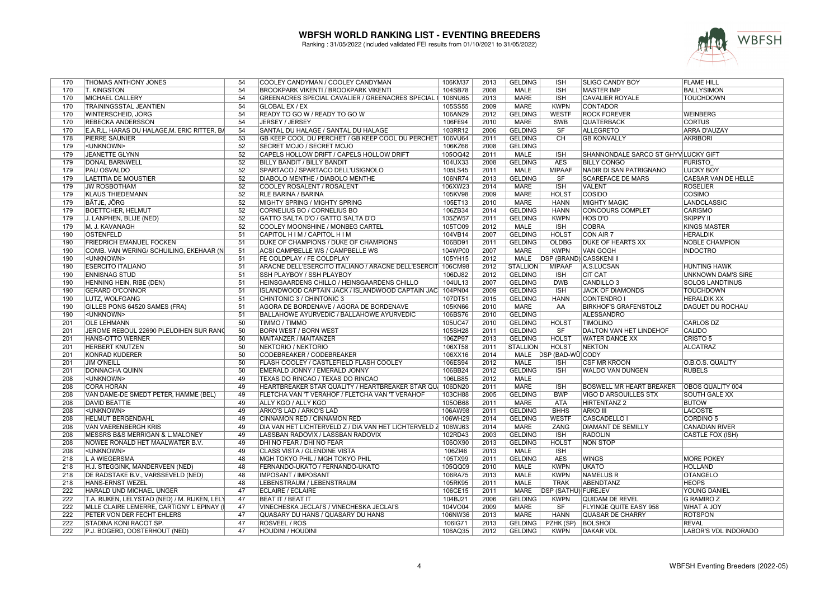

| 170 | <b>THOMAS ANTHONY JONES</b>                   | 54              | COOLEY CANDYMAN / COOLEY CANDYMAN                             | 106KM37 | 2013 | <b>GELDING</b>  | <b>ISH</b>                     | <b>SLIGO CANDY BOY</b>              | <b>FLAME HILL</b>           |
|-----|-----------------------------------------------|-----------------|---------------------------------------------------------------|---------|------|-----------------|--------------------------------|-------------------------------------|-----------------------------|
| 170 | <b>T. KINGSTON</b>                            | 54              | <b>BROOKPARK VIKENTI / BROOKPARK VIKENTI</b>                  | 104SB78 | 2008 | MALE            | <b>ISH</b>                     | <b>MASTER IMP</b>                   | <b>BALLYSIMON</b>           |
| 170 | <b>MICHAEL CALLERY</b>                        | 54              | GREENACRES SPECIAL CAVALIER / GREENACRES SPECIAL (            | 106NU65 | 2013 | <b>MARE</b>     | <b>ISH</b>                     | <b>CAVALIER ROYALE</b>              | <b>TOUCHDOWN</b>            |
| 170 | TRAININGSSTAL JEANTIEN                        | 54              | GLOBAL EX / EX                                                | 105SS55 | 2009 | <b>MARE</b>     | <b>KWPN</b>                    | <b>CONTADOR</b>                     |                             |
| 170 | WINTERSCHEID, JÖRG                            | 54              | READY TO GO W / READY TO GO W                                 | 106AN29 | 2012 | <b>GELDING</b>  | <b>WESTF</b>                   | <b>ROCK FOREVER</b>                 | <b>WEINBERG</b>             |
| 170 | <b>REBECKA ANDERSSON</b>                      | 54              | JERSEY / JERSEY                                               | 106FE94 | 2010 | <b>MARE</b>     | SWB                            | <b>QUATERBACK</b>                   | <b>CORTUS</b>               |
| 170 | E.A.R.L. HARAS DU HALAGE, M. ERIC RITTER, BA  | 54              | SANTAL DU HALAGE / SANTAL DU HALAGE                           | 103RR12 | 2006 | <b>GELDING</b>  | SF                             | ALLEGRETO                           | ARRA D'AUZAY                |
| 178 | <b>PIERRE SAUNIER</b>                         | 53              | GB KEEP COOL DU PERCHET / GB KEEP COOL DU PERCHET             | 106VU64 | 2011 | <b>GELDING</b>  |                                | <b>GB KONVALLY</b>                  | <b>AKRIBORI</b>             |
|     |                                               |                 |                                                               |         | 2008 |                 | <b>CH</b>                      |                                     |                             |
| 179 | <unknown></unknown>                           | 52              | SECRET MOJO / SECRET MOJO                                     | 106KZ66 |      | <b>GELDING</b>  |                                |                                     |                             |
| 179 | JEANETTE GLYNN                                | 52              | CAPELS HOLLOW DRIFT / CAPELS HOLLOW DRIFT                     | 105OQ42 | 2011 | <b>MALE</b>     | <b>ISH</b>                     | SHANNONDALE SARCO ST GHYVLUCKY GIFT |                             |
| 179 | DONAL BARNWELL                                | 52              | BILLY BANDIT / BILLY BANDIT                                   | 104UX33 | 2008 | <b>GELDING</b>  | <b>AES</b>                     | <b>BILLY CONGO</b>                  | <b>FURISTO</b>              |
| 179 | <b>PAU OSVALDO</b>                            | 52              | SPARTACO / SPARTACO DELL'USIGNOLO                             | 105LS45 | 2011 | <b>MALE</b>     | <b>MIPAAF</b>                  | NADIR DI SAN PATRIGNANO             | <b>LUCKY BOY</b>            |
| 179 | LAETITIA DE MOUSTIER                          | 52              | DIABOLO MENTHE / DIABOLO MENTHE                               | 106NR74 | 2013 | <b>GELDING</b>  | SF                             | <b>SCAREFACE DE MARS</b>            | CAESAR VAN DE HELLE         |
| 179 | <b>JW ROSBOTHAM</b>                           | 52              | COOLEY ROSALENT / ROSALENT                                    | 106XW23 | 2014 | <b>MARE</b>     | <b>ISH</b>                     | <b>VALENT</b>                       | <b>ROSELIER</b>             |
| 179 | <b>KLAUS THIEDEMANN</b>                       | 52              | RLE BARINA / BARINA                                           | 105KV98 | 2009 | <b>MARE</b>     | <b>HOLST</b>                   | <b>COSIDO</b>                       | COSIMO                      |
| 179 | BÄTJE, JÖRG                                   | 52              | MIGHTY SPRING / MIGHTY SPRING                                 | 105ET13 | 2010 | <b>MARE</b>     | <b>HANN</b>                    | <b>MIGHTY MAGIC</b>                 | LANDCLASSIC                 |
| 179 | <b>BOETTCHER, HELMUT</b>                      | 52              | CORNELIUS BO / CORNELIUS BO                                   | 106ZB34 | 2014 | <b>GELDING</b>  | <b>HANN</b>                    | <b>CONCOURS COMPLET</b>             | CARISMO                     |
| 179 | J. LANPHEN, BLIJE (NED)                       | 52              | GATTO SALTA D'O / GATTO SALTA D'O                             | 105ZW57 | 2011 | <b>GELDING</b>  | <b>KWPN</b>                    | <b>HOS D'O</b>                      | <b>SKIPPY II</b>            |
| 179 | M. J. KAVANAGH                                | 52              | COOLEY MOONSHINE / MONBEG CARTEL                              | 105TO09 | 2012 | <b>MALE</b>     | <b>ISH</b>                     | <b>COBRA</b>                        | <b>KINGS MASTER</b>         |
| 190 | <b>OSTENFELD</b>                              | 51              | CAPITOL H I M / CAPITOL H I M                                 | 104VB14 | 2007 | <b>GELDING</b>  | <b>HOLST</b>                   | <b>CON AIR 7</b>                    | <b>HERALDIK</b>             |
| 190 | <b>FRIEDRICH EMANUEL FOCKEN</b>               | $\overline{51}$ | DUKE OF CHAMPIONS / DUKE OF CHAMPIONS                         | 106BD91 | 2011 | <b>GELDING</b>  | <b>OLDBG</b>                   | <b>DUKE OF HEARTS XX</b>            | <b>NOBLE CHAMPION</b>       |
| 190 | COMB. VAN WERING/ SCHUILING, EKEHAAR (N       | 51              | ACSI CAMPBELLE WS / CAMPBELLE WS                              | 104WP00 | 2007 | <b>MARE</b>     | <b>KWPN</b>                    | <b>VAN GOGH</b>                     | <b>INDOCTRO</b>             |
| 190 | <unknown></unknown>                           | 51              | FE COLDPLAY / FE COLDPLAY                                     | 105YH15 | 2012 | <b>MALE</b>     | <b>DSP (BRAND) CASSKENI II</b> |                                     |                             |
| 190 | <b>ESERCITO ITALIANO</b>                      | 51              | ARACNE DELL'ESERCITO ITALIANO / ARACNE DELL'ESERCIT           | 106CM98 | 2012 | <b>STALLION</b> | <b>MIPAAF</b>                  | A.S.LUCSAN                          | <b>HUNTING HAWK</b>         |
| 190 | <b>ENNISNAG STUD</b>                          | 51              | SSH PLAYBOY / SSH PLAYBOY                                     | 106DJ82 | 2012 | <b>GELDING</b>  | <b>ISH</b>                     | <b>CIT CAT</b>                      | <b>UNKNOWN DAM'S SIRE</b>   |
| 190 | HENNING HEIN, RIBE (DEN)                      | 51              | HEINSGAARDENS CHILLO / HEINSGAARDENS CHILLO                   | 104UL13 | 2007 | <b>GELDING</b>  | <b>DWB</b>                     | CANDILLO <sub>3</sub>               | <b>SOLOS LANDTINUS</b>      |
| 190 | <b>GERARD O'CONNOR</b>                        | 51              | ISLANDWOOD CAPTAIN JACK / ISLANDWOOD CAPTAIN JAC              | 104PN04 | 2009 | <b>GELDING</b>  | <b>ISH</b>                     | <b>JACK OF DIAMONDS</b>             | <b>TOUCHDOWN</b>            |
| 190 | LUTZ, WOLFGANG                                | 51              | CHINTONIC 3 / CHINTONIC 3                                     | 107DT51 | 2015 | <b>GELDING</b>  | <b>HANN</b>                    | CONTENDRO I                         | <b>HERALDIK XX</b>          |
| 190 | GILLES PONS 64520 SAMES (FRA)                 | 51              | AGORA DE BORDENAVE / AGORA DE BORDENAVE                       | 105KN66 | 2010 | <b>MARE</b>     | AA                             | <b>BIRKHOF'S GRAFENSTOLZ</b>        | <b>DAGUET DU ROCHAU</b>     |
| 190 | <unknown></unknown>                           | 51              | BALLAHOWE AYURVEDIC / BALLAHOWE AYURVEDIC                     | 106BS76 | 2010 | <b>GELDING</b>  |                                | <b>ALESSANDRO</b>                   |                             |
| 201 | <b>OLE LEHMANN</b>                            | 50              | TIMMO / TIMMO                                                 | 105UC47 | 2010 | <b>GELDING</b>  | <b>HOLST</b>                   | <b>TIMOLINO</b>                     | <b>CARLOS DZ</b>            |
| 201 | JEROME REBOUL 22690 PLEUDIHEN SUR RAND        | 50              | <b>BORN WEST / BORN WEST</b>                                  | 105SH28 | 2011 | <b>GELDING</b>  | $\overline{\text{S}}$ F        | DALTON VAN HET LINDEHOF             | <b>CALIDO</b>               |
| 201 | <b>HANS-OTTO WERNER</b>                       | 50              | MAITANZER / MAITANZER                                         | 106ZP97 | 2013 | <b>GELDING</b>  | <b>HOLST</b>                   | <b>WATER DANCE XX</b>               | CRISTO <sub>5</sub>         |
| 201 | <b>HERBERT KNUTZEN</b>                        | 50              | NEKTORIO / NEKTORIO                                           | 106XT58 | 2011 | <b>STALLION</b> | <b>HOLST</b>                   | NEKTON                              | <b>ALCATRAZ</b>             |
| 201 | KONRAD KUDERER                                | 50              | <b>CODEBREAKER / CODEBREAKER</b>                              | 106XX16 | 2014 | <b>MALE</b>     | DSP (BAD-WÜ)CODY               |                                     |                             |
| 201 | JIM O'NEILL                                   | 50              | FLASH COOLEY / CASTLEFIELD FLASH COOLEY                       | 106ES94 | 2012 | <b>MALE</b>     | <b>ISH</b>                     | <b>CSF MR KROON</b>                 | O.B.O.S. QUALITY            |
| 201 | <b>DONNACHA QUINN</b>                         | 50              | EMERALD JONNY / EMERALD JONNY                                 | 106BB24 | 2012 | <b>GELDING</b>  | <b>ISH</b>                     | WALDO VAN DUNGEN                    | <b>RUBELS</b>               |
| 208 | <unknown></unknown>                           | 49              | TEXAS DO RINCAO / TEXAS DO RINCAO                             | 106LB85 | 2012 | MALE            |                                |                                     |                             |
| 208 | <b>CORA HORAN</b>                             | 49              | HEARTBREAKER STAR QUALITY / HEARTBREAKER STAR QU              | 106DN20 | 2011 | <b>MARE</b>     | <b>ISH</b>                     | <b>BOSWELL MR HEART BREAKER</b>     | <b>OBOS QUALITY 004</b>     |
| 208 | VAN DAME-DE SMEDT PETER, HAMME (BEL)          | 49              | FLETCHA VAN 'T VERAHOF / FLETCHA VAN 'T VERAHOF               | 103CH88 | 2005 | <b>GELDING</b>  | <b>BWP</b>                     | <b>VIGO D ARSOUILLES STX</b>        | SOUTH GALE XX               |
| 208 | <b>DAVID BEATTIE</b>                          | 49              | <b>ALLY KGO / ALLY KGO</b>                                    | 105OB68 | 2011 | <b>MARE</b>     | <b>ATA</b>                     | <b>HIRTENTANZ 2</b>                 | <b>BUTOW</b>                |
| 208 | <unknown></unknown>                           | 49              | ARKO'S LAD / ARKO'S LAD                                       | 106AW98 | 2011 | <b>GELDING</b>  | <b>BHHS</b>                    | <b>ARKO III</b>                     | <b>LACOSTE</b>              |
| 208 | <b>HELMUT BERGENDAHL</b>                      | 49              | CINNAMON RED / CINNAMON RED                                   | 106WH29 | 2014 | <b>GELDING</b>  | <b>WESTF</b>                   | CASCADELLO I                        | <b>CORDINO 5</b>            |
| 208 | VAN VAERENBERGH KRIS                          | 49              | DIA VAN HET LICHTERVELD Z / DIA VAN HET LICHTERVELD 2 106WJ63 |         | 2014 | <b>MARE</b>     | ZANG                           | <b>DIAMANT DE SEMILLY</b>           | <b>CANADIAN RIVER</b>       |
| 208 | MESSRS B&S MERRIGAN & L.MALONEY               | 49              | LASSBAN RADOVIX / LASSBAN RADOVIX                             | 102RD43 | 2003 | <b>GELDING</b>  | <b>ISH</b>                     | <b>RADOLIN</b>                      | CASTLE FOX (ISH)            |
| 208 | NOWEE RONALD HET MAALWATER B.V.               | 49              | DHI NO FEAR / DHI NO FEAR                                     | 106OX90 | 2013 | <b>GELDING</b>  | <b>HOLST</b>                   | <b>NON STOP</b>                     |                             |
| 208 | <unknown></unknown>                           | 49              | CLASS VISTA / GLENDINE VISTA                                  | 106ZI46 | 2013 | MALE            | <b>ISH</b>                     |                                     |                             |
| 218 | <b>LA WIEGERSMA</b>                           | 48              | MGH TOKYO PHIL / MGH TOKYO PHIL                               | 105TX99 | 2011 | <b>GELDING</b>  | <b>AES</b>                     | <b>WINGS</b>                        | <b>MORE POKEY</b>           |
| 218 | H.J. STEGGINK, MANDERVEEN (NED)               | 48              | FERNANDO-UKATO / FERNANDO-UKATO                               | 105QQ09 | 2010 | <b>MALE</b>     | <b>KWPN</b>                    | <b>UKATO</b>                        | <b>HOLLAND</b>              |
| 218 | DE RADSTAKE B.V., VARSSEVELD (NED)            | 48              | <b>IMPOSANT / IMPOSANT</b>                                    | 106RA75 | 2013 | <b>MALE</b>     | <b>KWPN</b>                    | <b>NAMELUS R</b>                    | <b>OTANGELO</b>             |
| 218 | <b>HANS-ERNST WEZEL</b>                       | 48              | LEBENSTRAUM / LEBENSTRAUM                                     | 105RK95 | 2011 | <b>MALE</b>     | <b>TRAK</b>                    | ABENDTANZ                           | <b>HEOPS</b>                |
| 222 | HARALD UND MICHAEL UNGER                      | 47              | <b>ECLAIRE / ECLAIRE</b>                                      | 106CE15 | 2011 | MARE            | DSP (SATHÜ) FUREJEV            |                                     | YOUNG DANIEL                |
| 222 | T.A. RIJKEN, LELYSTAD (NED) / M. RIJKEN, LELY | 47              | <b>BEAT IT / BEAT IT</b>                                      | 104BJ21 | 2006 | <b>GELDING</b>  | <b>KWPN</b>                    | QUIDAM DE REVEL                     | <b>G RAMIRO Z</b>           |
| 222 | MLLE CLAIRE LEMERRE, CARTIGNY L EPINAY (I     | 47              | VINECHESKA JECLAI'S / VINECHESKA JECLAI'S                     | 104VO04 | 2009 | <b>MARE</b>     | SF                             | <b>FLYINGE QUITE EASY 958</b>       | <b>WHAT A JOY</b>           |
| 222 | PETER VON DER FECHT EHLERS                    | 47              | QUASARY DU HANS / QUASARY DU HANS                             | 106NW36 | 2013 | <b>MARE</b>     | <b>HANN</b>                    | QUASAR DE CHARRY                    | <b>ROTSPON</b>              |
| 222 | STADINA KONI RACOT SP.                        | 47              | ROSVEEL / ROS                                                 | 106IG71 | 2013 | GELDING         | PZHK (SP)   BOLSHOI            |                                     | <b>REVAL</b>                |
| 222 | P.J. BOGERD, OOSTERHOUT (NED)                 | 47              | <b>HOUDINI / HOUDINI</b>                                      | 106AQ35 | 2012 | <b>GELDING</b>  | <b>KWPN</b>                    | <b>DAKAR VDL</b>                    | <b>LABOR'S VDL INDORADO</b> |
|     |                                               |                 |                                                               |         |      |                 |                                |                                     |                             |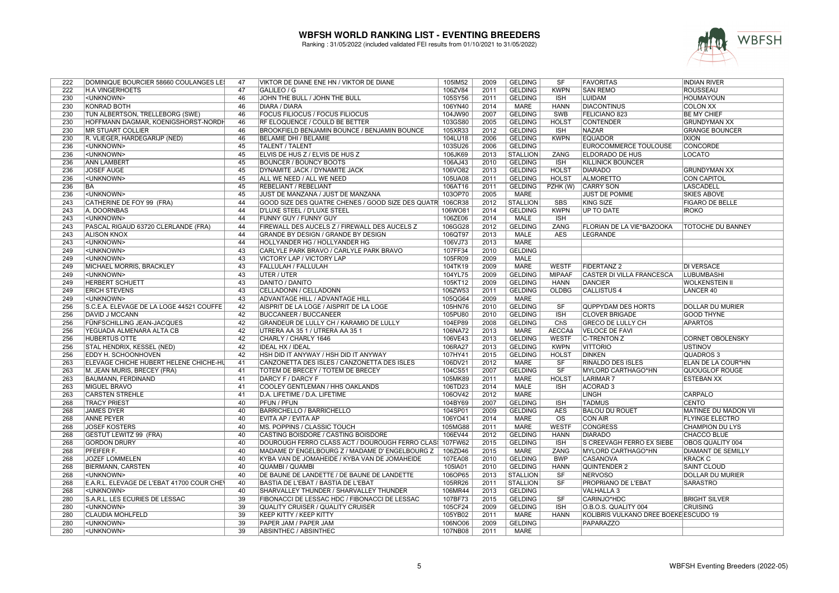

| 222 | DOMINIQUE BOURCIER 58660 COULANGES LE      | 47              | VIKTOR DE DIANE ENE HN / VIKTOR DE DIANE                  | 105IM52 | 2009 | <b>GELDING</b>  | <b>SF</b>               | <b>FAVORITAS</b>                      | <b>INDIAN RIVER</b>       |
|-----|--------------------------------------------|-----------------|-----------------------------------------------------------|---------|------|-----------------|-------------------------|---------------------------------------|---------------------------|
| 222 | <b>H.A VINGERHOETS</b>                     | 47              | GALILEO / G                                               | 106ZV84 | 2011 | <b>GELDING</b>  | <b>KWPN</b>             | <b>SAN REMO</b>                       | <b>ROUSSEAU</b>           |
| 230 | <unknown></unknown>                        | 46              | JOHN THE BULL / JOHN THE BULL                             | 105SY56 | 2011 | <b>GELDING</b>  | <b>ISH</b>              | <b>LUIDAM</b>                         | <b>HOUMAYOUN</b>          |
| 230 | <b>KONRAD BOTH</b>                         | 46              | <b>DIARA / DIARA</b>                                      | 106YN40 | 2014 | <b>MARE</b>     | <b>HANN</b>             | <b>DIACONTINUS</b>                    | <b>COLON XX</b>           |
| 230 | <b>TUN ALBERTSON, TRELLEBORG (SWE)</b>     | 46              | <b>FOCUS FILIOCUS / FOCUS FILIOCUS</b>                    | 104JW90 | 2007 | <b>GELDING</b>  | <b>SWB</b>              | FELICIANO 823                         | <b>BE MY CHIEF</b>        |
| 230 | HOFFMANN DAGMAR, KOENIGSHORST-NORDH        | 46              | RF ELOQUENCE / COULD BE BETTER                            | 103GS80 | 2005 | <b>GELDING</b>  | <b>HOLST</b>            | <b>CONTENDER</b>                      | <b>GRUNDYMAN XX</b>       |
| 230 | <b>MR STUART COLLIER</b>                   | 46              | <b>BROOKFIELD BENJAMIN BOUNCE / BENJAMIN BOUNCE</b>       | 105XR33 | 2012 | <b>GELDING</b>  | <b>ISH</b>              | <b>NAZAR</b>                          | <b>GRANGE BOUNCER</b>     |
| 230 | R. VLIEGER, HARDEGARIJP (NED)              | 46              | <b>BELAMIE DHI / BELAMIE</b>                              | 104LU18 | 2006 | <b>GELDING</b>  | <b>KWPN</b>             | <b>EQUADOR</b>                        | <b>IXION</b>              |
| 236 | <unknown></unknown>                        | 45              |                                                           | 103SU26 |      |                 |                         | EUROCOMMERCE TOULOUSE                 | <b>CONCORDE</b>           |
|     |                                            |                 | <b>TALENT / TALENT</b>                                    |         | 2006 | <b>GELDING</b>  |                         |                                       |                           |
| 236 | <unknown></unknown>                        | 45              | ELVIS DE HUS Z / ELVIS DE HUS Z                           | 106JK69 | 2013 | <b>STALLION</b> | <b>ZANG</b>             | <b>ELDORADO DE HUS</b>                | <b>LOCATO</b>             |
| 236 | <b>ANN LAMBERT</b>                         | 45              | <b>BOUNCER / BOUNCY BOOTS</b>                             | 106AJ43 | 2010 | <b>GELDING</b>  | <b>ISH</b>              | <b>KILLINICK BOUNCER</b>              |                           |
| 236 | <b>JOSEF AUGE</b>                          | 45              | DYNAMITE JACK / DYNAMITE JACK                             | 106VO82 | 2013 | <b>GELDING</b>  | <b>HOLST</b>            | <b>DIARADO</b>                        | <b>GRUNDYMAN XX</b>       |
| 236 | <unknown></unknown>                        | 45              | ALL WE NEED / ALL WE NEED                                 | 105UA08 | 2011 | <b>GELDING</b>  | <b>HOLST</b>            | <b>ALMORETTO</b>                      | <b>CON CAPITOL</b>        |
| 236 | <b>BA</b>                                  | 45              | <b>REBELIANT / REBELIANT</b>                              | 106AT16 | 2011 | <b>GELDING</b>  | PZHK (W)                | <b>CARRY SON</b>                      | <b>LASCADELL</b>          |
| 236 | <unknown></unknown>                        | 45              | JUST DE MANZANA / JUST DE MANZANA                         | 103OP70 | 2005 | <b>MARE</b>     |                         | <b>JUST DE POMME</b>                  | <b>SKIES ABOVE</b>        |
| 243 | CATHERINE DE FOY 99 (FRA)                  | 44              | GOOD SIZE DES QUATRE CHENES / GOOD SIZE DES QUATR 106CR38 |         | 2012 | <b>STALLION</b> | <b>SBS</b>              | <b>KING SIZE</b>                      | <b>FIGARO DE BELLE</b>    |
| 243 | A. DOORNBAS                                | 44              | <b>D'LUXE STEEL / D'LUXE STEEL</b>                        | 106WO81 | 2014 | <b>GELDING</b>  | <b>KWPN</b>             | <b>UP TO DATE</b>                     | <b>IROKO</b>              |
| 243 | <unknown></unknown>                        | 44              | FUNNY GUY / FUNNY GUY                                     | 106ZE06 | 2014 | <b>MALE</b>     | <b>ISH</b>              |                                       |                           |
| 243 | PASCAL RIGAUD 63720 CLERLANDE (FRA)        | 44              | FIREWALL DES AUCELS Z / FIREWALL DES AUCELS Z             | 106GG28 | 2012 | <b>GELDING</b>  | <b>ZANG</b>             | FLORIAN DE LA VIE*BAZOOKA             | <b>TOTOCHE DU BANNEY</b>  |
| 243 | <b>ALISON KNOX</b>                         | 44              | <b>GRANDE BY DESIGN / GRANDE BY DESIGN</b>                | 106QT97 | 2013 | <b>MALE</b>     | <b>AES</b>              | LEGRANDE                              |                           |
| 243 | <unknown></unknown>                        | 44              | HOLLYANDER HG / HOLLYANDER HG                             | 106VJ73 | 2013 | <b>MARE</b>     |                         |                                       |                           |
| 249 | <unknown></unknown>                        | 43              | CARLYLE PARK BRAVO / CARLYLE PARK BRAVO                   | 107FF34 | 2010 | <b>GELDING</b>  |                         |                                       |                           |
| 249 | <unknown></unknown>                        | 43              | <b>VICTORY LAP / VICTORY LAP</b>                          | 105FR09 | 2009 | <b>MALE</b>     |                         |                                       |                           |
| 249 | MICHAEL MORRIS, BRACKLEY                   | 43              | FALLULAH / FALLULAH                                       | 104TK19 | 2009 | <b>MARE</b>     | <b>WESTF</b>            | <b>FIDERTANZ 2</b>                    | <b>DI VERSACE</b>         |
| 249 | <unknown></unknown>                        | 43              | UTER / UTER                                               | 104YL75 | 2009 | <b>GELDING</b>  | <b>MIPAAF</b>           | <b>CASTER DI VILLA FRANCESCA</b>      | <b>LUBUMBASHI</b>         |
| 249 |                                            | 43              | DANITO / DANITO                                           |         | 2009 | <b>GELDING</b>  | <b>HANN</b>             |                                       | <b>WOLKENSTEIN II</b>     |
|     | <b>HERBERT SCHUETT</b>                     |                 |                                                           | 105KT12 |      |                 |                         | <b>DANCIER</b>                        |                           |
| 249 | <b>ERICH STEVENS</b>                       | 43              | CELLADONN / CELLADONN                                     | 106ZW53 | 2011 | <b>GELDING</b>  | <b>OLDBG</b>            | <b>CALLISTUS 4</b>                    | <b>LANCER 40</b>          |
| 249 | <unknown></unknown>                        | 43              | <b>ADVANTAGE HILL / ADVANTAGE HILL</b>                    | 105QG64 | 2009 | <b>MARE</b>     |                         |                                       |                           |
| 256 | S.C.E.A. ELEVAGE DE LA LOGE 44521 COUFFE   | 42              | AISPRIT DE LA LOGE / AISPRIT DE LA LOGE                   | 105HN76 | 2010 | <b>GELDING</b>  | SF                      | <b>QUPPYDAM DES HORTS</b>             | <b>DOLLAR DU MURIER</b>   |
| 256 | <b>DAVID J MCCANN</b>                      | 42              | <b>BUCCANEER / BUCCANEER</b>                              | 105PU80 | 2010 | <b>GELDING</b>  | <b>ISH</b>              | <b>CLOVER BRIGADE</b>                 | <b>GOOD THYNE</b>         |
| 256 | FÜNFSCHILLING JEAN-JACQUES                 | 42              | GRANDEUR DE LULLY CH / KARAMIO DE LULLY                   | 104EP89 | 2008 | <b>GELDING</b>  | ChS                     | <b>GRECO DE LULLY CH</b>              | <b>APARTOS</b>            |
| 256 | YEGUADA ALMENARA ALTA CB                   | 42              | UTRERA AA 35 1 / UTRERA AA 35 1                           | 106NA72 | 2013 | <b>MARE</b>     | <b>AECCAá</b>           | <b>VELOCE DE FAVI</b>                 |                           |
| 256 | <b>HUBERTUS OTTE</b>                       | 42              | CHARLY / CHARLY 1646                                      | 106VE43 | 2013 | <b>GELDING</b>  | <b>WESTF</b>            | <b>C-TRENTON Z</b>                    | <b>CORNET OBOLENSKY</b>   |
| 256 | STAL HENDRIX, KESSEL (NED)                 | 42              | <b>IDEAL HX / IDEAL</b>                                   | 106RA27 | 2013 | <b>GELDING</b>  | <b>KWPN</b>             | <b>VITTORIO</b>                       | <b>USTINOV</b>            |
| 256 | <b>EDDY H. SCHOONHOVEN</b>                 | 42              | HSH DID IT ANYWAY / HSH DID IT ANYWAY                     | 107HY41 | 2015 | <b>GELDING</b>  | <b>HOLST</b>            | <b>DINKEN</b>                         | <b>QUADROS 3</b>          |
| 263 | ELEVAGE CHICHE HUBERT HELENE CHICHE-HU     | 41              | CANZONETTA DES ISLES / CANZONETTA DES ISLES               | 106DV21 | 2012 | <b>MARE</b>     | SF                      | <b>RINALDO DES ISLES</b>              | <b>ELAN DE LA COUR*HN</b> |
| 263 | M. JEAN MURIS, BRECEY (FRA)                | 41              | <b>TOTEM DE BRECEY / TOTEM DE BRECEY</b>                  | 104CS51 | 2007 | <b>GELDING</b>  | $\overline{\text{SF}}$  | <b>MYLORD CARTHAGO*HN</b>             | QUOUGLOF ROUGE            |
| 263 | BAUMANN, FERDINAND                         | 41              | DARCY F / DARCY F                                         | 105MK89 | 2011 | <b>MARE</b>     | <b>HOLST</b>            | <b>LARIMAR 7</b>                      | <b>ESTEBAN XX</b>         |
| 263 | <b>MIGUEL BRAVO</b>                        | 41              | COOLEY GENTLEMAN / HHS OAKLANDS                           | 106TD23 | 2014 | <b>MALE</b>     | <b>ISH</b>              | <b>ACORAD 3</b>                       |                           |
| 263 | <b>CARSTEN STREHLE</b>                     | 41              | D.A. LIFETIME / D.A. LIFETIME                             | 106OV42 | 2012 | <b>MARE</b>     |                         | LINGH                                 | <b>CARPALO</b>            |
| 268 | <b>TRACY PRIEST</b>                        | 40              | <b>PFUN / PFUN</b>                                        | 104BY69 | 2007 | <b>GELDING</b>  | <b>ISH</b>              | <b>TADMUS</b>                         | <b>CENTO</b>              |
| 268 | <b>JAMES DYER</b>                          | 40              | <b>BARRICHELLO / BARRICHELLO</b>                          | 104SP01 | 2009 | <b>GELDING</b>  | <b>AES</b>              | <b>BALOU DU ROUET</b>                 | MATINEE DU MADON VII      |
| 268 | <b>ANNE PEYER</b>                          | 40              | EVITA AP / EVITA AP                                       | 106YO41 | 2014 | <b>MARE</b>     | $\overline{\text{OS}}$  | <b>CON AIR</b>                        | <b>FLYINGE ELECTRO</b>    |
| 268 | <b>JOSEF KOSTERS</b>                       | 40              | MS. POPPINS / CLASSIC TOUCH                               | 105MG88 | 2011 | <b>MARE</b>     | <b>WESTF</b>            | <b>CONGRESS</b>                       | <b>CHAMPION DU LYS</b>    |
| 268 | GESTUT LEWITZ 99 (FRA)                     | 40              | CASTING BOISDORE / CASTING BOISDORE                       | 106EV44 | 2012 | <b>GELDING</b>  | <b>HANN</b>             | <b>DIARADO</b>                        | <b>CHACCO BLUE</b>        |
| 268 | <b>GORDON DRURY</b>                        | 40              | DOUROUGH FERRO CLASS ACT / DOUROUGH FERRO CLAS            | 107FW62 | 2015 | <b>GELDING</b>  | ISH                     | S CREEVAGH FERRO EX SIEBE             | <b>OBOS QUALITY 004</b>   |
|     |                                            |                 |                                                           |         |      |                 | ZANG                    |                                       |                           |
| 268 | PFEIFER F.                                 | 40              | MADAME D'ENGELBOURG Z / MADAME D'ENGELBOURG Z             | 106ZD46 | 2015 | <b>MARE</b>     |                         | MYLORD CARTHAGO*HN                    | <b>DIAMANT DE SEMILLY</b> |
| 268 | <b>JOZEF LOMMELEN</b>                      | 40              | KYBA VAN DE JOMAHEIDE / KYBA VAN DE JOMAHEIDE             | 107EA08 | 2010 | <b>GELDING</b>  | <b>BWP</b>              | <b>CASANOVA</b>                       | <b>KRACK C</b>            |
| 268 | <b>BIERMANN, CARSTEN</b>                   | 40              | QUAMBI / QUAMBI                                           | 105IA01 | 2010 | <b>GELDING</b>  | <b>HANN</b>             | <b>QUINTENDER 2</b>                   | <b>SAINT CLOUD</b>        |
| 268 | <unknown></unknown>                        | 40              | DE BAUNE DE LANDETTE / DE BAUNE DE LANDETTE               | 106OP65 | 2013 | <b>STALLION</b> | $\overline{\text{S}}$ F | <b>NERVOSO</b>                        | <b>DOLLAR DU MURIER</b>   |
| 268 | E.A.R.L. ELEVAGE DE L'EBAT 41700 COUR CHEY | 40              | BASTIA DE L'EBAT / BASTIA DE L'EBAT                       | 105RR26 | 2011 | <b>STALLION</b> | <b>SF</b>               | PROPRIANO DE L'EBAT                   | <b>SARASTRO</b>           |
| 268 | <unknown></unknown>                        | 40              | SHARVALLEY THUNDER / SHARVALLEY THUNDER                   | 106MR44 | 2013 | <b>GELDING</b>  |                         | <b>VALHALLA 3</b>                     |                           |
| 280 | S.A.R.L. LES ECURIES DE LESSAC             | 39              | FIBONACCI DE LESSAC HDC / FIBONACCI DE LESSAC             | 107BF73 | 2015 | <b>GELDING</b>  | <b>SF</b>               | CARINJO*HDC                           | <b>BRIGHT SILVER</b>      |
| 280 | <unknown></unknown>                        | 39              | <b>QUALITY CRUISER / QUALITY CRUISER</b>                  | 105CF24 | 2009 | <b>GELDING</b>  | <b>ISH</b>              | O.B.O.S. QUALITY 004                  | <b>CRUISING</b>           |
| 280 | <b>CLAUDIA MOHLFELD</b>                    | 39              | <b>KEEP KITTY / KEEP KITTY</b>                            | 105YB02 | 2011 | <b>MARE</b>     | <b>HANN</b>             | KOLIBRIS VULKANO DREE BOEKE ESCUDO 19 |                           |
| 280 | <unknown></unknown>                        | 39              | PAPER JAM / PAPER JAM                                     | 106NO06 | 2009 | <b>GELDING</b>  |                         | <b>PAPARAZZO</b>                      |                           |
| 280 | <unknown></unknown>                        | $\overline{39}$ | <b>ABSINTHEC / ABSINTHEC</b>                              | 107NB08 | 2011 | <b>MARE</b>     |                         |                                       |                           |
|     |                                            |                 |                                                           |         |      |                 |                         |                                       |                           |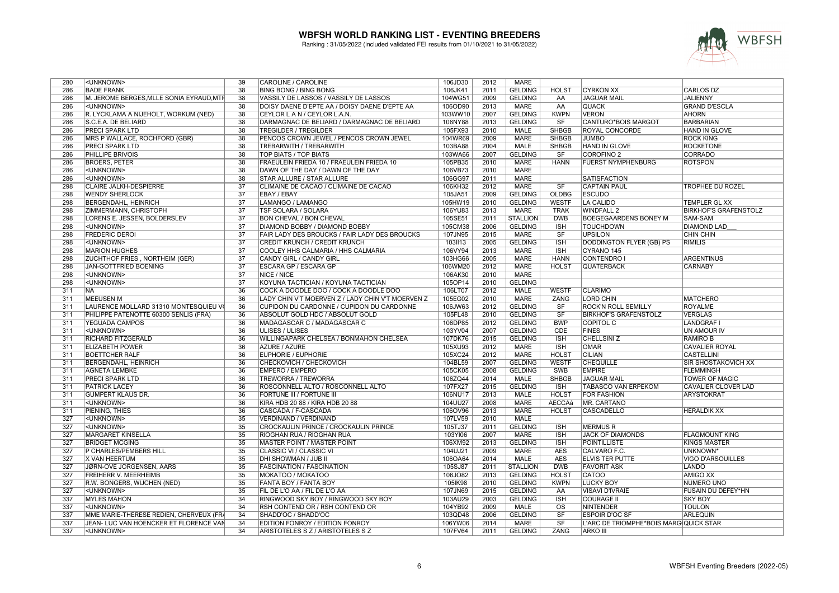

| 280        | <unknown></unknown>                                | 39              | CAROLINE / CAROLINE                               | 106JD30 | 2012         | MARE            |               |                                        |                                 |
|------------|----------------------------------------------------|-----------------|---------------------------------------------------|---------|--------------|-----------------|---------------|----------------------------------------|---------------------------------|
| 286        | <b>BADE FRANK</b>                                  | 38              | <b>BING BONG / BING BONG</b>                      | 106JK41 | 2011         | <b>GELDING</b>  | <b>HOLST</b>  | <b>CYRKON XX</b>                       | CARLOS DZ                       |
| 286        | M. JEROME BERGES, MLLE SONIA EYRAUD, MTF           | 38              | VASSILY DE LASSOS / VASSILY DE LASSOS             | 104WG51 | 2009         | <b>GELDING</b>  | AA            | <b>JAGUAR MAIL</b>                     | <b>JALIENNY</b>                 |
| 286        | <unknown></unknown>                                | $\overline{38}$ | DOISY DAENE D'EPTE AA / DOISY DAENE D'EPTE AA     | 106OD90 | 2013         | <b>MARE</b>     | AA            | <b>QUACK</b>                           | <b>GRAND D'ESCLA</b>            |
| 286        | R. LYCKLAMA A NIJEHOLT, WORKUM (NED)               | 38              | CEYLOR L A N / CEYLOR L.A.N.                      | 103WW10 | 2007         | <b>GELDING</b>  | <b>KWPN</b>   | <b>VERON</b>                           | <b>AHORN</b>                    |
| 286        | S.C.E.A. DE BELIARD                                | $\overline{38}$ | DARMAGNAC DE BELIARD / DARMAGNAC DE BELIARD       | 106NY88 | 2013         | <b>GELDING</b>  | SF            | CANTURO*BOIS MARGOT                    | <b>BARBARIAN</b>                |
| 286        | <b>PRECI SPARK LTD</b>                             | $\overline{38}$ | <b>TREGILDER / TREGILDER</b>                      | 105FX93 | 2010         | <b>MALE</b>     | <b>SHBGB</b>  | <b>ROYAL CONCORDE</b>                  | HAND IN GLOVE                   |
| 286        | MRS P WALLACE, ROCHFORD (GBR)                      | 38              | PENCOS CROWN JEWEL / PENCOS CROWN JEWEL           | 104WR69 | 2009         | <b>MARE</b>     | <b>SHBGB</b>  | <b>JUMBO</b>                           | <b>ROCK KING</b>                |
| 286        | <b>PRECI SPARK LTD</b>                             | $\overline{38}$ | TREBARWITH / TREBARWITH                           | 103BA88 | 2004         | <b>MALE</b>     | <b>SHBGB</b>  | HAND IN GLOVE                          | <b>ROCKETONE</b>                |
| 286        | <b>PHILLIPE BRIVOIS</b>                            | 38              | TOP BIATS / TOP BIATS                             | 103WA66 | 2007         | <b>GELDING</b>  | SF            | <b>COROFINO 2</b>                      | <b>CORRADO</b>                  |
| 286        | <b>BROERS, PETER</b>                               | 38              | FRAEULEIN FRIEDA 10 / FRAEULEIN FRIEDA 10         | 105PB35 | 2010         | <b>MARE</b>     | <b>HANN</b>   | <b>FUERST NYMPHENBURG</b>              | <b>ROTSPON</b>                  |
| 286        | <unknown></unknown>                                | 38              | DAWN OF THE DAY / DAWN OF THE DAY                 | 106VB73 | 2010         | <b>MARE</b>     |               |                                        |                                 |
| 286        | <unknown></unknown>                                | $\overline{38}$ | STAR ALLURE / STAR ALLURE                         | 106GG97 | 2011         | <b>MARE</b>     |               | <b>SATISFACTION</b>                    |                                 |
| 298        | <b>CLAIRE JALKH-DESPIERRE</b>                      | $\overline{37}$ | CLIMAINE DE CACAO / CLIMAINE DE CACAO             | 106KH32 | 2012         | <b>MARE</b>     | SF            | <b>CAPTAIN PAUL</b>                    | <b>TROPHEE DU ROZEL</b>         |
| 298        | <b>WENDY SHERLOCK</b>                              | $\overline{37}$ | EBAY / EBAY                                       | 105JA51 | 2009         | <b>GELDING</b>  | <b>OLDBG</b>  | <b>ESCUDO</b>                          |                                 |
| 298        | <b>BERGENDAHL, HEINRICH</b>                        | 37              | LAMANGO / LAMANGO                                 | 105HW19 | 2010         | <b>GELDING</b>  | <b>WESTF</b>  | LA CALIDO                              | TEMPLER GL XX                   |
| 298        | <b>ZIMMERMANN, CHRISTOPH</b>                       | 37              | TSF SOLARA / SOLARA                               | 106YU83 | 2013         | <b>MARE</b>     | <b>TRAK</b>   | WINDFALL 2                             | <b>BIRKHOF'S GRAFENSTOLZ</b>    |
| 298        | LORENS E. JESSEN, BOLDERSLEV                       | $\overline{37}$ | <b>BON CHEVAL / BON CHEVAL</b>                    | 105SE51 | 2011         | <b>STALLION</b> | <b>DWB</b>    | <b>BOEGEGAARDENS BONEY M</b>           | <b>SAM-SAM</b>                  |
| 298        | <unknown></unknown>                                | $\overline{37}$ | DIAMOND BOBBY / DIAMOND BOBBY                     | 105CM38 | 2006         | <b>GELDING</b>  | <b>ISH</b>    | <b>TOUCHDOWN</b>                       | <b>DIAMOND LAD</b>              |
| 298        | <b>FREDERIC DEROI</b>                              | $\overline{37}$ | FAIR LADY DES BROUCKS / FAIR LADY DES BROUCKS     | 107JN95 | 2015         | <b>MARE</b>     | SF            | <b>UPSILON</b>                         | <b>CHIN CHIN</b>                |
| 298        | <unknown></unknown>                                | $\overline{37}$ | <b>CREDIT KRUNCH / CREDIT KRUNCH</b>              | 103II13 | 2005         | <b>GELDING</b>  | <b>ISH</b>    | <b>DODDINGTON FLYER (GB) PS</b>        | <b>RIMILIS</b>                  |
| 298        | <b>MARION HUGHES</b>                               | $\overline{37}$ | COOLEY HHS CALMARIA / HHS CALMARIA                | 106VY94 | 2013         | <b>MARE</b>     | <b>ISH</b>    | CYRANO <sub>145</sub>                  |                                 |
| 298        | <b>ZUCHTHOF FRIES, NORTHEIM (GER)</b>              | $\overline{37}$ | <b>CANDY GIRL / CANDY GIRL</b>                    | 103HG66 | 2005         | <b>MARE</b>     | <b>HANN</b>   | <b>CONTENDRO I</b>                     | <b>ARGENTINUS</b>               |
| 298        | JAN-GOTTFRIED BOENING                              | $\overline{37}$ | ESCARA GP / ESCARA GP                             | 106WM20 | 2012         | <b>MARE</b>     | <b>HOLST</b>  | <b>QUATERBACK</b>                      | CARNABY                         |
| 298        | <unknown></unknown>                                | 37              | NICE / NICE                                       | 106AK30 | 2010         | MARE            |               |                                        |                                 |
| 298        | <unknown></unknown>                                | 37              | KOYUNA TACTICIAN / KOYUNA TACTICIAN               | 105OP14 | 2010         | <b>GELDING</b>  |               |                                        |                                 |
| 311        | <b>NA</b>                                          | $\overline{36}$ | COCK A DOODLE DOO / COCK A DOODLE DOO             | 106LT07 | 2012         | <b>MALE</b>     | <b>WESTF</b>  | <b>CLARIMO</b>                         |                                 |
| 311        | MEEUSEN M                                          | 36              | LADY CHIN V'T MOERVEN Z / LADY CHIN V'T MOERVEN Z | 105EG02 | 2010         | MARE            | ZANG          | <b>LORD CHIN</b>                       | <b>MATCHERO</b>                 |
| 311        | LAURENCE MOLLARD 31310 MONTESQUIEU VO              | 36              | CUPIDON DU CARDONNE / CUPIDON DU CARDONNE         | 106JW63 | 2012         | <b>GELDING</b>  | SF            | <b>ROCK'N ROLL SEMILLY</b>             | <b>ROYALME</b>                  |
| 311        | PHILIPPE PATENOTTE 60300 SENLIS (FRA)              | 36              | ABSOLUT GOLD HDC / ABSOLUT GOLD                   | 105FL48 | 2010         | <b>GELDING</b>  | SF            | <b>BIRKHOF'S GRAFENSTOLZ</b>           | <b>VERGLAS</b>                  |
| 311        | <b>YEGUADA CAMPOS</b>                              | $\overline{36}$ | MADAGASCAR C / MADAGASCAR C                       | 106DP85 | 2012         | <b>GELDING</b>  | <b>BWP</b>    | COPITOL C                              | <b>LANDGRAF</b>                 |
| 311        | <unknown></unknown>                                | $\overline{36}$ | ULISES / ULISES                                   | 103YV04 | 2007         | <b>GELDING</b>  | <b>CDE</b>    | <b>FINES</b>                           | <b>UN AMOUR IV</b>              |
| 311        | <b>RICHARD FITZGERALD</b>                          | $\overline{36}$ | WILLINGAPARK CHELSEA / BONMAHON CHELSEA           | 107DK76 | 2015         | <b>GELDING</b>  | <b>ISH</b>    | <b>CHELLSINI Z</b>                     | <b>RAMIRO B</b>                 |
| 311        | <b>ELIZABETH POWER</b>                             | 36              | AZURE / AZURE                                     | 105XU93 | 2012         | <b>MARE</b>     | <b>ISH</b>    | <b>OMAR</b>                            | <b>CAVALIER ROYAL</b>           |
| 311        | <b>BOETTCHER RALF</b>                              | 36              | <b>EUPHORIE / EUPHORIE</b>                        | 105XC24 | 2012         | <b>MARE</b>     | <b>HOLST</b>  | <b>CILIAN</b>                          | CASTELLINI                      |
| 311        | <b>BERGENDAHL, HEINRICH</b>                        | 36              | CHECKOVICH / CHECKOVICH                           | 104BL59 | 2007         | <b>GELDING</b>  | <b>WESTF</b>  | <b>CHEQUILLE</b>                       | SIR SHOSTAKOVICH XX             |
| 311        | AGNETA LEMBKE                                      | $\overline{36}$ | <b>EMPERO / EMPERO</b>                            | 105CK05 | 2008         | <b>GELDING</b>  | SWB           | <b>EMPIRE</b>                          | <b>FLEMMINGH</b>                |
| 311        | <b>PRECI SPARK LTD</b>                             | 36              | TREWORRA / TREWORRA                               | 106ZQ44 | 2014         | MALE            | <b>SHBGB</b>  | <b>JAGUAR MAIL</b>                     | TOWER OF MAGIC                  |
| 311        | <b>PATRICK LACEY</b>                               | 36              | ROSCONNELL ALTO / ROSCONNELL ALTO                 | 107FX27 | 2015         | <b>GELDING</b>  | <b>ISH</b>    | <b>TABASCO VAN ERPEKOM</b>             | CAVALIER CLOVER LAD             |
| 311        | <b>GUMPERT KLAUS DR.</b>                           | $\overline{36}$ | <b>FORTUNE III / FORTUNE III</b>                  | 106NU17 | 2013         | <b>MALE</b>     | <b>HOLST</b>  | <b>FOR FASHION</b>                     | <b>ARYSTOKRAT</b>               |
| 311        | <unknown></unknown>                                | $\overline{36}$ | KIRA HDB 20 88 / KIRA HDB 20 88                   | 104UU27 | 2008         | <b>MARE</b>     | <b>AECCAá</b> | <b>IMR. CARTANO</b>                    |                                 |
| 311        | PIENING, THIES                                     | 36              | CASCADA / F-CASCADA                               | 106OV96 | 2013         | <b>MARE</b>     | <b>HOLST</b>  | <b>CASCADELLO</b>                      | <b>HERALDIK XX</b>              |
| 327        | <unknown></unknown>                                | 35              | VERDINAND / VERDINAND                             | 107LV59 | 2010         | <b>MALE</b>     |               |                                        |                                 |
| 327        | <unknown></unknown>                                | 35              | CROCKAULIN PRINCE / CROCKAULIN PRINCE             | 105TJ37 | 2011         | <b>GELDING</b>  | <b>ISH</b>    | <b>MERMUS R</b>                        |                                 |
| 327        | MARGARET KINSELLA                                  | 35              | RIOGHAN RUA / RIOGHAN RUA                         | 103YI06 | 2007         | <b>MARE</b>     | <b>ISH</b>    | <b>JACK OF DIAMONDS</b>                | <b>FLAGMOUNT KING</b>           |
| 327        | <b>BRIDGET MCGING</b>                              | 35              | MASTER POINT / MASTER POINT                       | 106XM92 | 2013         | <b>GELDING</b>  | <b>ISH</b>    | POINTILLISTE                           | <b>KINGS MASTER</b>             |
| 327        | P CHARLES/PEMBERS HILL                             | 35              | CLASSIC VI / CLASSIC VI                           | 104UJ21 | 2009         | <b>MARE</b>     | <b>AES</b>    | CALVARO F.C.                           | UNKNOWN*                        |
| 327        | X VAN HEERTUM                                      | 35              | DHI SHOWMAN / JUB II                              | 106OA64 | 2014         | <b>MALE</b>     | <b>AES</b>    | <b>ELVIS TER PUTTE</b>                 | <b>VIGO D'ARSOUILLES</b>        |
| 327        | JØRN-OVE JORGENSEN, AARS                           | 35              | <b>FASCINATION / FASCINATION</b>                  | 105SJ87 | 2011         | <b>STALLION</b> | <b>DWB</b>    | <b>FAVORIT ASK</b>                     | <b>LANDO</b>                    |
| 327        | <b>FREIHERR V. MEERHEIMB</b>                       | $\overline{35}$ | MOKATOO / MOKATOO                                 | 106JO82 | 2013         | <b>GELDING</b>  | <b>HOLST</b>  | <b>CATOO</b>                           | <b>AMIGO XX</b>                 |
| 327        |                                                    | 35              | FANTA BOY / FANTA BOY                             | 105IK98 | 2010         | <b>GELDING</b>  |               | <b>LUCKY BOY</b>                       | NUMERO UNO                      |
| 327        | R.W. BONGERS, WIJCHEN (NED)<br><unknown></unknown> | 35              | FIL DE L'O AA / FIL DE L'O AA                     | 107JN69 | 2015         | <b>GELDING</b>  | <b>KWPN</b>   | <b>VISAVI D'IVRAIE</b>                 | FUSAIN DU DEFEY*HN              |
|            |                                                    |                 |                                                   |         |              |                 | AA            |                                        |                                 |
| 337<br>337 | <b>MYLES MAHON</b>                                 | 34<br>34        | RINGWOOD SKY BOY / RINGWOOD SKY BOY               | 103AU29 | 2003<br>2009 | <b>GELDING</b>  | <b>ISH</b>    | <b>COURAGE II</b><br>NINTENDER         | <b>SKY BOY</b><br><b>TOULON</b> |
|            | <unknown></unknown>                                |                 | RSH CONTEND OR / RSH CONTEND OR                   | 104YB92 |              | MALE            | <b>OS</b>     |                                        |                                 |
| 337        | MME MARIE-THERESE REDIEN, CHERVEUX (FRA            | 34<br>34        | SHADD'OC / SHADD'OC                               | 103QD48 | 2006         | <b>GELDING</b>  | SF            | <b>ESPOIR D'OC SF</b>                  | ARLEQUIN                        |
| 337        | JEAN- LUC VAN HOENCKER ET FLORENCE VAN             | $\overline{34}$ | EDITION FONROY / EDITION FONROY                   | 106YW06 | 2014         | <b>MARE</b>     | SF            | L'ARC DE TRIOMPHE*BOIS MARG QUICK STAR |                                 |
| 337        | <unknown></unknown>                                |                 | ARISTOTELES S Z / ARISTOTELES S Z                 | 107FV64 | 2011         | <b>GELDING</b>  | ZANG          | <b>ARKO III</b>                        |                                 |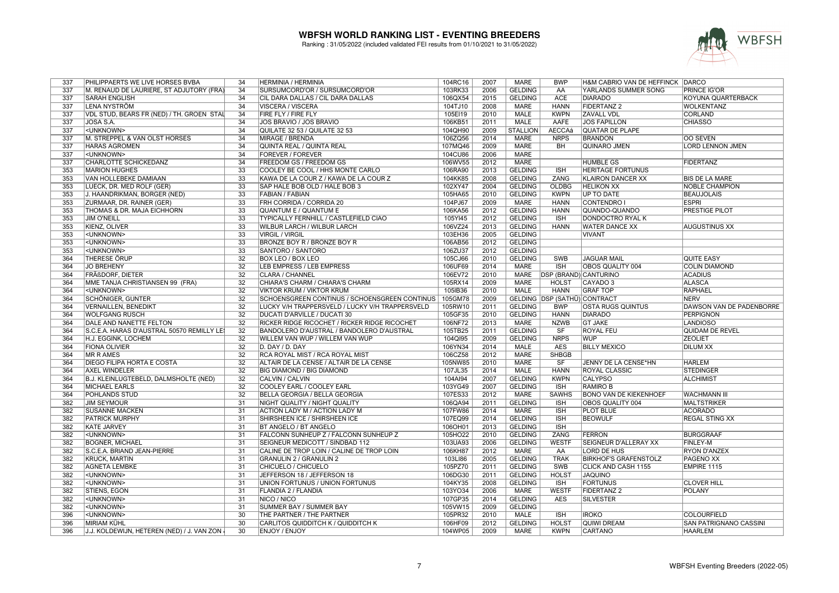

| 337 | PHILIPPAERTS WE LIVE HORSES BVBA           | 34              | <b>HERMINIA / HERMINIA</b>                      | 104RC16            | 2007 | MARE            | <b>BWP</b>                   | H&M CABRIO VAN DE HEFFINCK DARCO |                               |
|-----|--------------------------------------------|-----------------|-------------------------------------------------|--------------------|------|-----------------|------------------------------|----------------------------------|-------------------------------|
| 337 | M. RENAUD DE LAURIERE, ST ADJUTORY (FRA)   | 34              | SURSUMCORD'OR / SURSUMCORD'OR                   | 103RK33            | 2006 | <b>GELDING</b>  | AA                           | YARLANDS SUMMER SONG             | <b>PRINCE IG'OR</b>           |
| 337 | <b>SARAH ENGLISH</b>                       | 34              | CIL DARA DALLAS / CIL DARA DALLAS               | 106QX54            | 2015 | <b>GELDING</b>  | <b>ACE</b>                   | <b>DIARADO</b>                   | <b>KOYUNA QUARTERBACK</b>     |
| 337 | <b>LENA NYSTRÖM</b>                        | $\overline{34}$ | <b>VISCERA / VISCERA</b>                        | 104TJ10            | 2008 | <b>MARE</b>     | <b>HANN</b>                  | <b>FIDERTANZ 2</b>               | <b>WOLKENTANZ</b>             |
| 337 | VDL STUD, BEARS FR (NED) / TH, GROEN STAIL | 34              | FIRE FLY / FIRE FLY                             | 105EI19            | 2010 | <b>MALE</b>     | <b>KWPN</b>                  | <b>ZAVALL VDL</b>                | <b>CORLAND</b>                |
| 337 | JOSA S.A.                                  | 34              | JOS BRAVIO / JOS BRAVIO                         | 106KB51            | 2011 | <b>MALE</b>     | AAFE                         | <b>JOS FAPILLON</b>              | <b>CHIASSO</b>                |
| 337 | <unknown></unknown>                        | 34              | QUILATE 32 53 / QUILATE 32 53                   | 104QH90            | 2009 | <b>STALLION</b> | AECCAá                       | <b>QUATAR DE PLAPE</b>           |                               |
| 337 | M. STREPPEL & VAN OLST HORSES              | 34              | <b>MIRAGE / BRENDA</b>                          | 106ZQ56            | 2014 | <b>MARE</b>     | <b>NRPS</b>                  | <b>BRANDON</b>                   | <b>OO SEVEN</b>               |
| 337 | <b>HARAS AGROMEN</b>                       | 34              | QUINTA REAL / QUINTA REAL                       | 107MQ46            | 2009 | <b>MARE</b>     | <b>BH</b>                    | <b>QUINARO JMEN</b>              | <b>LORD LENNON JMEN</b>       |
| 337 | <unknown></unknown>                        | 34              | <b>FOREVER / FOREVER</b>                        | 104CU86            | 2006 | <b>MARE</b>     |                              |                                  |                               |
| 337 | CHARLOTTE SCHICKEDANZ                      | 34              | FREEDOM GS / FREEDOM GS                         | 106WV55            | 2012 | <b>MARE</b>     |                              | <b>HUMBLE GS</b>                 | <b>FIDERTANZ</b>              |
| 353 | <b>MARION HUGHES</b>                       | $\overline{33}$ | COOLEY BE COOL / HHS MONTE CARLO                | 106RA90            | 2013 | <b>GELDING</b>  | <b>ISH</b>                   | <b>HERITAGE FORTUNUS</b>         |                               |
| 353 | VAN HOLLEBEKE DAMIAAN                      | $\overline{33}$ | KAWA DE LA COUR Z / KAWA DE LA COUR Z           | 104KK85            | 2008 | <b>GELDING</b>  | <b>ZANG</b>                  | <b>KLAIRON DANCER XX</b>         | <b>BIS DE LA MARE</b>         |
| 353 | LUECK, DR. MED ROLF (GER)                  | $\overline{33}$ | SAP HALE BOB OLD / HALE BOB 3                   | 102XY47            | 2004 | <b>GELDING</b>  | <b>OLDBG</b>                 | <b>HELIKON XX</b>                | <b>NOBLE CHAMPION</b>         |
| 353 | J. HAANDRIKMAN, BORGER (NED)               | $\overline{33}$ | <b>FABIAN / FABIAN</b>                          | 105HA65            | 2010 | <b>GELDING</b>  | <b>KWPN</b>                  | <b>UP TO DATE</b>                | <b>BEAUJOLAIS</b>             |
| 353 | <b>ZURMAAR, DR. RAINER (GER)</b>           | 33              | FRH CORRIDA / CORRIDA 20                        | 104PJ67            | 2009 | MARE            | <b>HANN</b>                  | <b>CONTENDRO</b>                 | <b>ESPRI</b>                  |
| 353 | THOMAS & DR. MAJA EICHHORN                 | 33              | <b>QUANTUM E / QUANTUM E</b>                    | 106KA56            | 2012 | <b>GELDING</b>  | <b>HANN</b>                  | QUANDO-QUANDO                    | <b>PRESTIGE PILOT</b>         |
| 353 | <b>JIM O'NEILL</b>                         | 33              | TYPICALLY FERNHILL / CASTLEFIELD CIAO           | 105YI45            | 2012 | <b>GELDING</b>  | <b>ISH</b>                   | <b>DONDOCTRO RYAL K</b>          |                               |
| 353 | <b>KIENZ, OLIVER</b>                       | $\overline{33}$ | WILBUR LARCH / WILBUR LARCH                     |                    | 2013 | <b>GELDING</b>  | <b>HANN</b>                  | <b>WATER DANCE XX</b>            |                               |
| 353 |                                            | $\overline{33}$ | <b>VIRGIL / VIRGIL</b>                          | 106VZ24<br>103EH36 |      |                 |                              | <b>VIVANT</b>                    | <b>AUGUSTINUS XX</b>          |
|     | <unknown></unknown>                        |                 |                                                 |                    | 2005 | <b>GELDING</b>  |                              |                                  |                               |
| 353 | <unknown></unknown>                        | $\overline{33}$ | <b>BRONZE BOY R / BRONZE BOY R</b>              | 106AB56            | 2012 | <b>GELDING</b>  |                              |                                  |                               |
| 353 | <unknown></unknown>                        | $\overline{33}$ | SANTORO / SANTORO                               | 106ZU37            | 2012 | <b>GELDING</b>  |                              |                                  |                               |
| 364 | THERESE ÖRUP                               | $\overline{32}$ | <b>BOX LEO / BOX LEO</b>                        | 105CJ66            | 2010 | <b>GELDING</b>  | <b>SWB</b>                   | <b>JAGUAR MAIL</b>               | <b>QUITE EASY</b>             |
| 364 | <b>JO BREHENY</b>                          | $\overline{32}$ | LEB EMPRESS / LEB EMPRESS                       | 106UF69            | 2014 | <b>MARE</b>     | $\overline{\mathsf{ISH}}$    | OBOS QUALITY 004                 | <b>COLIN DIAMOND</b>          |
| 364 | FRÄßDORF, DIETER                           | 32              | CLARA / CHANNEL                                 | 106EV72            | 2010 | MARE            | <b>DSP (BRAND) CANTURINO</b> |                                  | <b>ACADIUS</b>                |
| 364 | MME TANJA CHRISTIANSEN 99 (FRA)            | $\overline{32}$ | CHIARA'S CHARM / CHIARA'S CHARM                 | 105RX14            | 2009 | <b>MARE</b>     | <b>HOLST</b>                 | CAYADO <sub>3</sub>              | <b>ALASCA</b>                 |
| 364 | <unknown></unknown>                        | $\overline{32}$ | <b>VIKTOR KRUM / VIKTOR KRUM</b>                | 105IB36            | 2010 | <b>MALE</b>     | <b>HANN</b>                  | <b>GRAF TOP</b>                  | <b>RAPHAEL</b>                |
| 364 | <b>SCHÖNIGER, GUNTER</b>                   | $\overline{32}$ | SCHOENSGREEN CONTINUS / SCHOENSGREEN CONTINUS   | 105GM78            | 2009 |                 | GELDING DSP (SATHÜ) CONTRACT |                                  | NERV                          |
| 364 | <b>VERNAILLEN, BENEDIKT</b>                | 32              | LUCKY V/H TRAPPERSVELD / LUCKY V/H TRAPPERSVELD | 105RW10            | 2011 | <b>GELDING</b>  | <b>BWP</b>                   | <b>OSTA RUGS QUINTUS</b>         | DAWSON VAN DE PADENBORRE      |
| 364 | <b>WOLFGANG RÜSCH</b>                      | $\overline{32}$ | <b>DUCATI D'ARVILLE / DUCATI 30</b>             | 105GF35            | 2010 | <b>GELDING</b>  | <b>HANN</b>                  | <b>DIARADO</b>                   | <b>PERPIGNON</b>              |
| 364 | DALE AND NANETTE FELTON                    | $\overline{32}$ | RICKER RIDGE RICOCHET / RICKER RIDGE RICOCHET   | 106NF72            | 2013 | <b>MARE</b>     | <b>NZWB</b>                  | <b>GT JAKE</b>                   | <b>LANDIOSO</b>               |
| 364 | S.C.E.A. HARAS D'AUSTRAL 50570 REMILLY LES | $\overline{32}$ | BANDOLERO D'AUSTRAL / BANDOLERO D'AUSTRAL       | 105TB25            | 2011 | <b>GELDING</b>  | $\overline{\text{S}}$ F      | <b>ROYAL FEU</b>                 | <b>QUIDAM DE REVEL</b>        |
| 364 | H.J. EGGINK. LOCHEM                        | $\overline{32}$ | WILLEM VAN WUP / WILLEM VAN WUP                 | 104Ql95            | 2009 | <b>GELDING</b>  | <b>NRPS</b>                  | <b>WUP</b>                       | <b>ZEOLIET</b>                |
| 364 | <b>FIONA OLIVIER</b>                       | 32              | D. DAY / D. DAY                                 | 106YN34            | 2014 | MALE            | <b>AES</b>                   | <b>BILLY MEXICO</b>              | <b>DILUM XX</b>               |
| 364 | <b>MR R AMES</b>                           | $\overline{32}$ | RCA ROYAL MIST / RCA ROYAL MIST                 | 106CZ58            | 2012 | <b>MARE</b>     | <b>SHBGB</b>                 |                                  |                               |
| 364 | <b>DIEGO FILIPA HORTA E COSTA</b>          | $\overline{32}$ | ALTAIR DE LA CENSE / ALTAIR DE LA CENSE         | 105NW85            | 2010 | <b>MARE</b>     | SF                           | JENNY DE LA CENSE*HN             | <b>HARLEM</b>                 |
| 364 | <b>AXEL WINDELER</b>                       | $\overline{32}$ | <b>BIG DIAMOND / BIG DIAMOND</b>                | 107JL35            | 2014 | <b>MALE</b>     | <b>HANN</b>                  | <b>ROYAL CLASSIC</b>             | <b>STEDINGER</b>              |
| 364 | B.J. KLEINLUGTEBELD, DALMSHOLTE (NED)      | 32              | CALVIN / CALVIN                                 | 104AI94            | 2007 | <b>GELDING</b>  | <b>KWPN</b>                  | <b>CALYPSO</b>                   | ALCHIMIST                     |
| 364 | <b>MICHAEL EARLS</b>                       | 32              | COOLEY EARL / COOLEY EARL                       | 103YG49            | 2007 | <b>GELDING</b>  | <b>ISH</b>                   | <b>RAMIRO B</b>                  |                               |
| 364 | POHLANDS STUD                              | $\overline{32}$ | <b>BELLA GEORGIA / BELLA GEORGIA</b>            | 107ES33            | 2012 | <b>MARE</b>     | <b>SAWHS</b>                 | <b>BONO VAN DE KIEKENHOEF</b>    | <b>WACHMANN III</b>           |
| 382 | <b>JIM SEYMOUR</b>                         | $\overline{31}$ | NIGHT QUALITY / NIGHT QUALITY                   | 106QA94            | 2011 | <b>GELDING</b>  | <b>ISH</b>                   | OBOS QUALITY 004                 | <b>MALTSTRIKER</b>            |
| 382 | <b>SUSANNE MACKEN</b>                      | $\overline{31}$ | ACTION LADY M / ACTION LADY M                   | 107FW86            | 2014 | <b>MARE</b>     | <b>ISH</b>                   | <b>PLOT BLUE</b>                 | <b>ACORADO</b>                |
| 382 | PATRICK MURPHY                             | 31              | SHIRSHEEN ICE / SHIRSHEEN ICE                   | 107EQ99            | 2014 | <b>GELDING</b>  | <b>ISH</b>                   | <b>BEOWULF</b>                   | <b>REGAL STING XX</b>         |
| 382 | <b>KATE JARVEY</b>                         | $\overline{31}$ | <b>BT ANGELO / BT ANGELO</b>                    | 106OH01            | 2013 | <b>GELDING</b>  | <b>ISH</b>                   |                                  |                               |
| 382 | <unknown></unknown>                        | 31              | FALCONN SUNHEUP Z / FALCONN SUNHEUP Z           | 105HO22            | 2010 | <b>GELDING</b>  | ZANG                         | <b>FERRON</b>                    | <b>BURGGRAAF</b>              |
| 382 | <b>BOGNER, MICHAEL</b>                     | $\overline{31}$ | SEIGNEUR MEDICOTT / SINDBAD 112                 | 103UA93            | 2006 | <b>GELDING</b>  | <b>WESTF</b>                 | SEIGNEUR D'ALLERAY XX            | <b>FINLEY-M</b>               |
| 382 | S.C.E.A. BRIAND JEAN-PIERRE                | $\overline{31}$ | CALINE DE TROP LOIN / CALINE DE TROP LOIN       | 106KH87            | 2012 | <b>MARE</b>     | AA                           | LORD DE HUS                      | <b>RYON D'ANZEX</b>           |
| 382 | <b>KRUCK, MARTIN</b>                       | $\overline{31}$ | <b>GRANULIN 2 / GRANULIN 2</b>                  | 103LI86            | 2005 | <b>GELDING</b>  | <b>TRAK</b>                  | <b>BIRKHOF'S GRAFENSTOLZ</b>     | <b>PAGENO XX</b>              |
| 382 | <b>AGNETA LEMBKE</b>                       | $\overline{31}$ | CHICUELO / CHICUELO                             | 105PZ70            | 2011 | <b>GELDING</b>  | <b>SWB</b>                   | <b>CLICK AND CASH 1155</b>       | <b>EMPIRE 1115</b>            |
| 382 |                                            | $\overline{31}$ |                                                 | 106DG30            |      |                 |                              | <b>JAQUINO</b>                   |                               |
|     | <unknown></unknown>                        |                 | JEFFERSON 18 / JEFFERSON 18                     |                    | 2011 | <b>GELDING</b>  | <b>HOLST</b>                 |                                  |                               |
| 382 | <unknown></unknown>                        | $\overline{31}$ | UNION FORTUNUS / UNION FORTUNUS                 | 104KY35            | 2008 | <b>GELDING</b>  | ISH                          | <b>FORTUNUS</b>                  | <b>CLOVER HILL</b>            |
| 382 | STIENS, EGON                               | $\overline{31}$ | FLANDIA 2 / FLANDIA                             | 103YO34            | 2006 | <b>MARE</b>     | <b>WESTF</b>                 | <b>FIDERTANZ 2</b>               | <b>POLANY</b>                 |
| 382 | <unknown></unknown>                        | 31              | NICO / NICO                                     | 107GP35            | 2014 | <b>GELDING</b>  | <b>AES</b>                   | <b>SILVESTER</b>                 |                               |
| 382 | <unknown></unknown>                        | 31              | SUMMER BAY / SUMMER BAY                         | 105VW15            | 2009 | <b>GELDING</b>  |                              |                                  |                               |
| 396 | <unknown></unknown>                        | 30              | THE PARTNER / THE PARTNER                       | 105PR32            | 2010 | <b>MALE</b>     | <b>ISH</b>                   | <b>IROKO</b>                     | <b>COLOURFIELD</b>            |
| 396 | <b>MIRIAM KÜHL</b>                         | $\overline{30}$ | CARLITOS QUIDDITCH K / QUIDDITCH K              | 106HF09            | 2012 | <b>GELDING</b>  | <b>HOLST</b>                 | <b>QUIWI DREAM</b>               | <b>SAN PATRIGNANO CASSINI</b> |
| 396 | J.J. KOLDEWIJN, HETEREN (NED) / J. VAN ZON | $\overline{30}$ | <b>ENJOY / ENJOY</b>                            | 104WP05            | 2009 | <b>MARE</b>     | <b>KWPN</b>                  | <b>CARTANO</b>                   | <b>HAARLEM</b>                |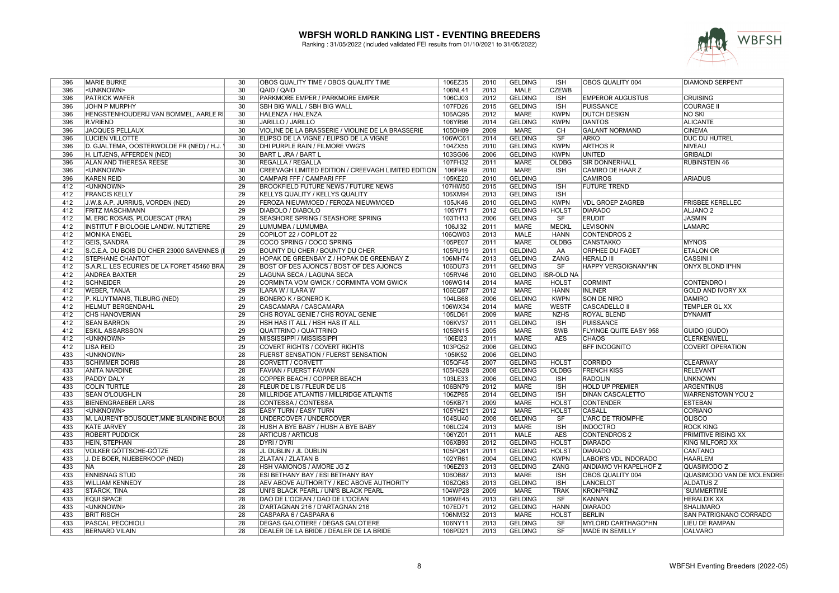

| 396 | <b>MARIE BURKE</b>                          | 30              | OBOS QUALITY TIME / OBOS QUALITY TIME                      | 106EZ35 | 2010 | <b>GELDING</b> | <b>ISH</b>             | OBOS QUALITY 004              | <b>DIAMOND SERPENT</b>           |
|-----|---------------------------------------------|-----------------|------------------------------------------------------------|---------|------|----------------|------------------------|-------------------------------|----------------------------------|
| 396 | <unknown></unknown>                         | $\overline{30}$ | QAID / QAID                                                | 106NL41 | 2013 | <b>MALE</b>    | <b>CZEWB</b>           |                               |                                  |
| 396 | <b>PATRICK WAFER</b>                        | $\overline{30}$ | PARKMORE EMPER / PARKMORE EMPER                            | 106CJ03 | 2012 | <b>GELDING</b> | <b>ISH</b>             | <b>EMPEROR AUGUSTUS</b>       | <b>CRUISING</b>                  |
| 396 | JOHN P MURPHY                               | $\overline{30}$ | SBH BIG WALL / SBH BIG WALL                                | 107FD26 | 2015 | <b>GELDING</b> | <b>ISH</b>             | <b>PUISSANCE</b>              | <b>COURAGE II</b>                |
| 396 | HENGSTENHOUDERIJ VAN BOMMEL, AARLE RI       | 30              | HALENZA / HALENZA                                          | 106AQ95 | 2012 | <b>MARE</b>    | <b>KWPN</b>            | <b>DUTCH DESIGN</b>           | <b>NO SKI</b>                    |
| 396 | R.VRIEND                                    | 30              | JARILLO / JARILLO                                          | 106YR98 | 2014 | <b>GELDING</b> | <b>KWPN</b>            | <b>DANTOS</b>                 | <b>ALICANTE</b>                  |
| 396 | <b>JACQUES PELLAUX</b>                      | $\overline{30}$ | VIOLINE DE LA BRASSERIE / VIOLINE DE LA BRASSERIE          | 105DH09 | 2009 | <b>MARE</b>    | <b>CH</b>              | <b>GALANT NORMAND</b>         | <b>CINEMA</b>                    |
| 396 | <b>LUCIEN VILLOTTE</b>                      | 30              | ELIPSO DE LA VIGNE / ELIPSO DE LA VIGNE                    | 106WC61 | 2014 | <b>GELDING</b> | $\overline{\text{SF}}$ | <b>ARKO</b>                   | <b>DUC DU HUTREL</b>             |
| 396 |                                             | 30              |                                                            |         |      |                |                        |                               |                                  |
|     | D. GJALTEMA, OOSTERWOLDE FR (NED) / H.J.    |                 | DHI PURPLE RAIN / FILMORE VWG'S                            | 104ZX55 | 2010 | <b>GELDING</b> | <b>KWPN</b>            | <b>ARTHOS R</b>               | <b>NIVEAU</b>                    |
| 396 | H. LITJENS, AFFERDEN (NED)                  | $\overline{30}$ | <b>BART L JRA / BART L</b>                                 | 103SG06 | 2006 | <b>GELDING</b> | <b>KWPN</b>            | <b>UNITED</b>                 | <b>GRIBALDI</b>                  |
| 396 | ALAN AND THERESA REESE                      | 30              | <b>REGALLA / REGALLA</b>                                   | 107FH32 | 2011 | <b>MARE</b>    | <b>OLDBG</b>           | <b>SIR DONNERHALL</b>         | <b>RUBINSTEIN 46</b>             |
| 396 | <unknown></unknown>                         | $\overline{30}$ | <b>CREEVAGH LIMITED EDITION / CREEVAGH LIMITED EDITION</b> | 106FI49 | 2010 | <b>MARE</b>    | <b>ISH</b>             | <b>CAMIRO DE HAAR Z</b>       |                                  |
| 396 | <b>KAREN REID</b>                           | $\overline{30}$ | CAMPARI FFF / CAMPARI FFF                                  | 105KE20 | 2010 | <b>GELDING</b> |                        | <b>CAMIROS</b>                | <b>ARIADUS</b>                   |
| 412 | <unknown></unknown>                         | $\overline{29}$ | <b>BROOKFIELD FUTURE NEWS / FUTURE NEWS</b>                | 107HW50 | 2015 | <b>GELDING</b> | <b>ISH</b>             | <b>FUTURE TREND</b>           |                                  |
| 412 | <b>FRANCIS KELLY</b>                        | 29              | KELLYS QUALITY / KELLYS QUALITY                            | 106XM94 | 2013 | <b>GELDING</b> | <b>ISH</b>             |                               |                                  |
| 412 | J.W.& A.P. JURRIUS, VORDEN (NED)            | $\overline{29}$ | FEROZA NIEUWMOED / FEROZA NIEUWMOED                        | 105JK46 | 2010 | <b>GELDING</b> | <b>KWPN</b>            | <b>VDL GROEP ZAGREB</b>       | <b>FRISBEE KERELLEC</b>          |
| 412 | <b>FRITZ MASCHMANN</b>                      | 29              | DIABOLO / DIABOLO                                          | 105YI71 | 2012 | <b>GELDING</b> | <b>HOLST</b>           | <b>DIARADO</b>                | <b>ALJANO<sub>2</sub></b>        |
| 412 | M. ERIC ROSAIS, PLOUESCAT (FRA)             | 29              | <b>SEASHORE SPRING / SEASHORE SPRING</b>                   | 103TH13 | 2006 | <b>GELDING</b> | SF                     | <b>ERUDIT</b>                 | <b>JASMIN</b>                    |
| 412 | <b>INSTITUT F BIOLOGIE LANDW. NUTZTIERE</b> | 29              | LUMUMBA / LUMUMBA                                          | 106JI32 | 2011 | <b>MARE</b>    | <b>MECKL</b>           | <b>LEVISONN</b>               | <b>LAMARC</b>                    |
| 412 | MONIKA ENGEL                                | 29              | COPILOT 22 / COPILOT 22                                    | 106QW03 | 2013 | <b>MALE</b>    | <b>HANN</b>            | <b>CONTENDROS 2</b>           |                                  |
| 412 | <b>GEIS, SANDRA</b>                         | $\overline{29}$ | COCO SPRING / COCO SPRING                                  | 105PE07 | 2011 | <b>MARE</b>    | <b>OLDBG</b>           | <b>CANSTAKKO</b>              | <b>MYNOS</b>                     |
| 412 | S.C.E.A. DU BOIS DU CHER 23000 SAVENNES (I  | 29              | BOUNTY DU CHER / BOUNTY DU CHER                            | 105RU19 | 2011 | <b>GELDING</b> | AA                     | ORPHEE DU FAGET               | <b>ETALON OR</b>                 |
| 412 | <b>STEPHANE CHANTOT</b>                     | 29              | HOPAK DE GREENBAY Z / HOPAK DE GREENBAY Z                  | 106MH74 | 2013 | <b>GELDING</b> | <b>ZANG</b>            | <b>HERALD III</b>             | <b>CASSINI1</b>                  |
| 412 | S.A.R.L. LES ECURIES DE LA FORET 45460 BRA  | 29              | BOST OF DES AJONCS / BOST OF DES AJONCS                    | 106DU73 | 2011 | <b>GELDING</b> | SF                     | HAPPY VERGOIGNAN*HN           | ONYX BLOND II*HN                 |
|     |                                             | 29              |                                                            |         |      |                |                        |                               |                                  |
| 412 | <b>ANDREA BAXTER</b>                        |                 | LAGUNA SECA / LAGUNA SECA                                  | 105RV46 | 2010 |                | GELDING   ISR-OLD NA   |                               |                                  |
| 412 | <b>SCHNEIDER</b>                            | 29              | CORMINTA VOM GWICK / CORMINTA VOM GWICK                    | 106WG14 | 2014 | <b>MARE</b>    | <b>HOLST</b>           | <b>CORMINT</b>                | <b>CONTENDRO I</b>               |
| 412 | <b>WEBER, TANJA</b>                         | 29              | ILARA W / ILARA W                                          | 106EQ87 | 2012 | <b>MARE</b>    | <b>HANN</b>            | <b>INLINER</b>                | <b>GOLD AND IVORY XX</b>         |
| 412 | P. KLUYTMANS, TILBURG (NED)                 | 29              | BONERO K / BONERO K.                                       | 104LB68 | 2006 | <b>GELDING</b> | <b>KWPN</b>            | <b>SON DE NIRO</b>            | <b>DAMIRO</b>                    |
| 412 | <b>HELMUT BERGENDAHL</b>                    | $\overline{29}$ | CASCAMARA / CASCAMARA                                      | 106WX34 | 2014 | <b>MARE</b>    | <b>WESTF</b>           | <b>CASCADELLO II</b>          | <b>TEMPLER GL XX</b>             |
| 412 | <b>CHS HANOVERIAN</b>                       | $\overline{29}$ | CHS ROYAL GENIE / CHS ROYAL GENIE                          | 105LD61 | 2009 | <b>MARE</b>    | <b>NZHS</b>            | <b>ROYAL BLEND</b>            | <b>DYNAMIT</b>                   |
| 412 | <b>SEAN BARRON</b>                          | 29              | HSH HAS IT ALL / HSH HAS IT ALL                            | 106KV37 | 2011 | <b>GELDING</b> | <b>ISH</b>             | PUISSANCE                     |                                  |
| 412 | <b>ESKIL ASSARSSON</b>                      | 29              | QUATTRINO / QUATTRINO                                      | 105BN15 | 2005 | <b>MARE</b>    | <b>SWB</b>             | <b>FLYINGE QUITE EASY 958</b> | <b>GUIDO (GUDO)</b>              |
| 412 | <unknown></unknown>                         | 29              | MISSISSIPPI / MISSISSIPPI                                  | 106EI23 | 2011 | <b>MARE</b>    | <b>AES</b>             | <b>CHAOS</b>                  | <b>CLERKENWELL</b>               |
| 412 | <b>LISA REID</b>                            | 29              | COVERT RIGHTS / COVERT RIGHTS                              | 103PQ52 | 2006 | <b>GELDING</b> |                        | <b>BFF INCOGNITO</b>          | <b>COVERT OPERATION</b>          |
| 433 | <unknown></unknown>                         | 28              | <b>FUERST SENSATION / FUERST SENSATION</b>                 | 105IK52 | 2006 | <b>GELDING</b> |                        |                               |                                  |
| 433 | <b>SCHIMMER DORIS</b>                       | 28              | CORVETT / CORVETT                                          | 105QF45 | 2007 | <b>GELDING</b> | <b>HOLST</b>           | <b>CORRIDO</b>                | <b>CLEARWAY</b>                  |
| 433 | <b>ANITA NARDINE</b>                        | $\overline{28}$ | FAVIAN / FUERST FAVIAN                                     | 105HG28 | 2008 | <b>GELDING</b> | <b>OLDBG</b>           | <b>FRENCH KISS</b>            | <b>RELEVANT</b>                  |
| 433 | <b>PADDY DALY</b>                           | 28              | COPPER BEACH / COPPER BEACH                                | 103LE33 | 2006 | <b>GELDING</b> | <b>ISH</b>             | <b>RADOLIN</b>                | <b>UNKNOWN</b>                   |
| 433 | <b>COLIN TURTLE</b>                         | $\overline{28}$ | <b>FLEUR DE LIS / FLEUR DE LIS</b>                         | 106BN79 | 2012 | <b>MARE</b>    | <b>ISH</b>             | <b>HOLD UP PREMIER</b>        | <b>ARGENTINUS</b>                |
| 433 | <b>SEAN O'LOUGHLIN</b>                      | 28              | MILLRIDGE ATLANTIS / MILLRIDGE ATLANTIS                    | 106ZP85 | 2014 | <b>GELDING</b> | <b>ISH</b>             | <b>DINAN CASCALETTO</b>       | <b>WARRENSTOWN YOU 2</b>         |
| 433 | <b>BIENENGRAEBER LARS</b>                   | 28              | <b>CONTESSA / CONTESSA</b>                                 | 105KB71 | 2009 | <b>MARE</b>    | <b>HOLST</b>           | <b>CONTENDER</b>              | <b>ESTEBAN</b>                   |
| 433 | <unknown></unknown>                         | 28              | <b>EASY TURN / EASY TURN</b>                               | 105YH21 | 2012 | <b>MARE</b>    | <b>HOLST</b>           | <b>CASALL</b>                 | CORIANO                          |
|     |                                             | 28              |                                                            |         |      |                |                        |                               |                                  |
| 433 | M. LAURENT BOUSQUET, MME BLANDINE BOUS      |                 | UNDERCOVER / UNDERCOVER                                    | 104SU40 | 2008 | <b>GELDING</b> | SF                     | L'ARC DE TRIOMPHE             | <b>OLISCO</b>                    |
| 433 | <b>KATE JARVEY</b>                          | 28              | HUSH A BYE BABY / HUSH A BYE BABY                          | 106LC24 | 2013 | <b>MARE</b>    | <b>ISH</b>             | <b>INDOCTRO</b>               | <b>ROCK KING</b>                 |
| 433 | <b>ROBERT PUDDICK</b>                       | 28              | <b>ARTICUS / ARTICUS</b>                                   | 106YZ01 | 2011 | MALE           | <b>AES</b>             | <b>CONTENDROS 2</b>           | PRIMITIVE RISING XX              |
| 433 | <b>HEIN, STEPHAN</b>                        | $\overline{28}$ | <b>DYRI / DYRI</b>                                         | 106XB93 | 2012 | <b>GELDING</b> | <b>HOLST</b>           | <b>DIARADO</b>                | KING MILFORD XX                  |
| 433 | VOLKER GÖTTSCHE-GÖTZE                       | 28              | JL DUBLIN / JL DUBLIN                                      | 105PQ61 | 2011 | <b>GELDING</b> | <b>HOLST</b>           | <b>DIARADO</b>                | <b>CANTANO</b>                   |
| 433 | J. DE BOER, NIJEBERKOOP (NED)               | 28              | <b>ZLATAN / ZLATAN B</b>                                   | 102YR61 | 2004 | <b>GELDING</b> | <b>KWPN</b>            | LABOR'S VDL INDORADO          | <b>HAARLEM</b>                   |
| 433 | <b>NA</b>                                   | 28              | HSH VAMONOS / AMORE JG Z                                   | 106EZ93 | 2013 | <b>GELDING</b> | ZANG                   | ANDIAMO VH KAPELHOF Z         | QUASIMODO Z                      |
| 433 | <b>ENNISNAG STUD</b>                        | 28              | <b>ESI BETHANY BAY / ESI BETHANY BAY</b>                   | 106OB87 | 2013 | <b>MARE</b>    | <b>ISH</b>             | OBOS QUALITY 004              | <b>QUASIMODO VAN DE MOLENDRE</b> |
| 433 | <b>WILLIAM KENNEDY</b>                      | 28              | AEV ABOVE AUTHORITY / KEC ABOVE AUTHORITY                  | 106ZQ63 | 2013 | <b>GELDING</b> | <b>ISH</b>             | <b>LANCELOT</b>               | <b>ALDATUSZ</b>                  |
| 433 | <b>STARCK, TINA</b>                         | $\overline{28}$ | UNI'S BLACK PEARL / UNI'S BLACK PEARL                      | 104WP28 | 2009 | <b>MARE</b>    | <b>TRAK</b>            | <b>KRONPRINZ</b>              | 'SUMMERTIME                      |
| 433 | <b>EQUI SPACE</b>                           | 28              | DAO DE L'OCEAN / DAO DE L'OCEAN                            | 106WE45 | 2013 | <b>GELDING</b> | <b>SF</b>              | <b>KANNAN</b>                 | <b>HERALDIK XX</b>               |
| 433 | <unknown></unknown>                         | 28              | D'ARTAGNAN 216 / D'ARTAGNAN 216                            | 107ED71 | 2012 | <b>GELDING</b> | <b>HANN</b>            | <b>DIARADO</b>                | <b>SHALIMARO</b>                 |
| 433 | <b>BRIT RISCH</b>                           | 28              | CASPARA 6 / CASPARA 6                                      | 106NM32 | 2013 | <b>MARE</b>    | <b>HOLST</b>           | BERLIN                        | SAN PATRIGNANO CORRADO           |
| 433 | PASCAL PECCHIOLI                            | 28              | <b>DEGAS GALOTIERE / DEGAS GALOTIERE</b>                   | 106NY11 | 2013 | <b>GELDING</b> | <b>SF</b>              | MYLORD CARTHAGO*HN            | <b>LIEU DE RAMPAN</b>            |
| 433 | <b>BERNARD VILAIN</b>                       | 28              | DEALER DE LA BRIDE / DEALER DE LA BRIDE                    | 106PD21 | 2013 | <b>GELDING</b> | SF                     | <b>MADE IN SEMILLY</b>        | <b>CALVARO</b>                   |
|     |                                             |                 |                                                            |         |      |                |                        |                               |                                  |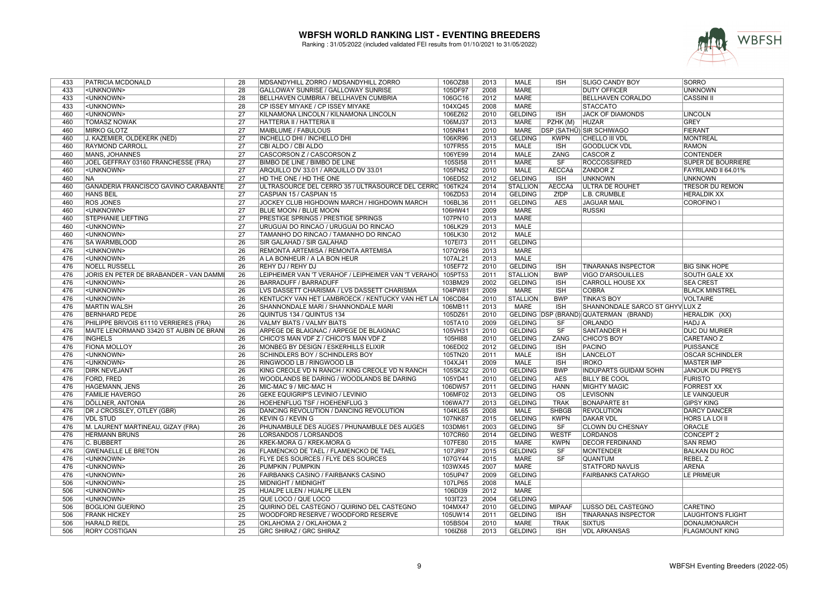

| 433 | PATRICIA MCDONALD                           | 28              | MDSANDYHILL ZORRO / MDSANDYHILL ZORRO                | 106OZ88 | 2013 | MALE            | <b>ISH</b>             | <b>SLIGO CANDY BOY</b>                | SORRO                     |
|-----|---------------------------------------------|-----------------|------------------------------------------------------|---------|------|-----------------|------------------------|---------------------------------------|---------------------------|
| 433 | <unknown></unknown>                         | 28              | GALLOWAY SUNRISE / GALLOWAY SUNRISE                  | 105DF97 | 2008 | <b>MARE</b>     |                        | <b>DUTY OFFICER</b>                   | UNKNOWN                   |
| 433 | <unknown></unknown>                         | 28              | BELLHAVEN CUMBRIA / BELLHAVEN CUMBRIA                | 106GC16 | 2012 | <b>MARE</b>     |                        | <b>BELLHAVEN CORALDO</b>              | <b>CASSINI II</b>         |
| 433 | <unknown></unknown>                         | $\overline{28}$ | CP ISSEY MIYAKE / CP ISSEY MIYAKE                    | 104XQ45 | 2008 | <b>MARE</b>     |                        | <b>STACCATO</b>                       |                           |
| 460 | <unknown></unknown>                         | $\overline{27}$ | KILNAMONA LINCOLN / KILNAMONA LINCOLN                | 106EZ62 | 2010 | <b>GELDING</b>  | <b>ISH</b>             | <b>JACK OF DIAMONDS</b>               | <b>LINCOLN</b>            |
| 460 | <b>TOMASZ NOWAK</b>                         | 27              | HATTERIA II / HATTERIA II                            | 106MJ37 | 2013 | MARE            | PZHK (M)               | <b>HUZAR</b>                          | GREY                      |
| 460 | <b>MIRKO GLOTZ</b>                          | $\overline{27}$ | MAIBLUME / FABULOUS                                  | 105NR41 | 2010 | <b>MARE</b>     |                        | DSP (SATHÜ) SIR SCHIWAGO              | FIERANT                   |
| 460 | J. KAZEMIER, OLDEKERK (NED)                 | $\overline{27}$ | <b>INCHELLO DHI / INCHELLO DHI</b>                   | 106KR96 | 2013 | <b>GELDING</b>  | <b>KWPN</b>            | <b>CHELLO III VDL</b>                 | <b>MONTREAL</b>           |
| 460 | RAYMOND CARROLL                             | $\overline{27}$ | CBI ALDO / CBI ALDO                                  | 107FR55 | 2015 | <b>MALE</b>     | <b>ISH</b>             | <b>GOODLUCK VDL</b>                   | <b>RAMON</b>              |
| 460 | MANS, JOHANNES                              | $\overline{27}$ | CASCORSON Z / CASCORSON Z                            | 106YE99 | 2014 | <b>MALE</b>     | ZANG                   | <b>CASCOR Z</b>                       | <b>CONTENDER</b>          |
| 460 | JOEL GEFFRAY 03160 FRANCHESSE (FRA)         | $\overline{27}$ | <b>BIMBO DE LINE / BIMBO DE LINE</b>                 | 105SI58 | 2011 | <b>MARE</b>     | SF                     | <b>ROCCOSSIFRED</b>                   | <b>SUPER DE BOURRIERE</b> |
| 460 | <unknown></unknown>                         | $\overline{27}$ | ARQUILLO DV 33.01 / ARQUILLO DV 33.01                | 105FN52 | 2010 | <b>MALE</b>     | <b>AECCAá</b>          | <b>ZANDOR Z</b>                       | FAYRILAND II 64.01%       |
| 460 | <b>NA</b>                                   | $\overline{27}$ | HD THE ONE / HD THE ONE                              | 106ED52 | 2012 | <b>GELDING</b>  | <b>ISH</b>             | <b>UNKNOWN</b>                        | <b>UNKNOWN</b>            |
| 460 | <b>GANADERÍA FRANCISCO GAVIÑO CARABANTE</b> | $\overline{27}$ | ULTRASOURCE DEL CERRO 35 / ULTRASOURCE DEL CERRO     | 106TK24 | 2014 | <b>STALLION</b> | <b>AECCAá</b>          | <b>ULTRA DE ROUHET</b>                | <b>TRESOR DU REMON</b>    |
| 460 | <b>HANS BEIL</b>                            | 27              | CASPIAN 15 / CASPIAN 15                              | 106ZD53 | 2014 | <b>GELDING</b>  | ZfDP                   | L.B. CRUMBLE                          | <b>HERALDIK XX</b>        |
| 460 | <b>ROS JONES</b>                            | $\overline{27}$ | JOCKEY CLUB HIGHDOWN MARCH / HIGHDOWN MARCH          | 106BL36 | 2011 | <b>GELDING</b>  | <b>AES</b>             | <b>JAGUAR MAIL</b>                    | <b>COROFINO I</b>         |
| 460 | <unknown></unknown>                         | $\overline{27}$ | <b>BLUE MOON / BLUE MOON</b>                         | 106HW41 | 2009 | <b>MARE</b>     |                        | <b>RUSSKI</b>                         |                           |
| 460 | STEPHANIE LIEFTING                          | $\overline{27}$ | PRESTIGE SPRINGS / PRESTIGE SPRINGS                  | 107PN10 | 2013 | <b>MARE</b>     |                        |                                       |                           |
| 460 | <unknown></unknown>                         | 27              | URUGUAI DO RINCAO / URUGUAI DO RINCAO                | 106LK29 | 2013 | <b>MALE</b>     |                        |                                       |                           |
| 460 | <unknown></unknown>                         | 27              | TAMANHO DO RINCAO / TAMANHO DO RINCAO                | 106LK30 | 2012 | <b>MALE</b>     |                        |                                       |                           |
| 476 | SA WARMBLOOD                                | 26              | <b>SIR GALAHAD / SIR GALAHAD</b>                     | 107EI73 | 2011 | <b>GELDING</b>  |                        |                                       |                           |
| 476 | <unknown></unknown>                         | 26              | REMONTA ARTEMISA / REMONTA ARTEMISA                  | 107QY86 | 2013 | <b>MARE</b>     |                        |                                       |                           |
| 476 | <unknown></unknown>                         | 26              | A LA BONHEUR / A LA BON HEUR                         | 107AL21 | 2013 | <b>MALE</b>     |                        |                                       |                           |
| 476 | <b>NOELL RUSSELL</b>                        | $\overline{26}$ | REHY DJ / REHY DJ                                    | 105EF72 | 2010 | <b>GELDING</b>  | <b>ISH</b>             | <b>TINARANAS INSPECTOR</b>            | <b>BIG SINK HOPE</b>      |
| 476 | JORIS EN PETER DE BRABANDER - VAN DAMMI     | 26              | LEIPHEIMER VAN 'T VERAHOF / LEIPHEIMER VAN 'T VERAHO | 105PT53 | 2011 | <b>STALLION</b> | <b>BWP</b>             | <b>VIGO D'ARSOUILLES</b>              | <b>SOUTH GALE XX</b>      |
| 476 | <unknown></unknown>                         | $\overline{26}$ | <b>BARRADUFF / BARRADUFF</b>                         | 103BM29 | 2002 | <b>GELDING</b>  | <b>ISH</b>             | <b>CARROLL HOUSE XX</b>               | <b>SEA CREST</b>          |
| 476 | <unknown></unknown>                         | $\overline{26}$ | LVS DASSETT CHARISMA / LVS DASSETT CHARISMA          | 104PW81 | 2009 | MARE            | <b>ISH</b>             | <b>COBRA</b>                          | <b>BLACK MINSTREL</b>     |
| 476 | <unknown></unknown>                         | 26              | KENTUCKY VAN HET LAMBROECK / KENTUCKY VAN HET LA     | 106CD84 | 2010 | <b>STALLION</b> | <b>BWP</b>             | <b>TINKA'S BOY</b>                    | <b>VOLTAIRE</b>           |
| 476 | <b>MARTIN WALSH</b>                         | 26              | SHANNONDALE MARI / SHANNONDALE MARI                  | 106MB11 | 2013 | MARE            | <b>ISH</b>             | SHANNONDALE SARCO ST GHYVILUX Z       |                           |
| 476 | <b>BERNHARD PEDE</b>                        | 26              | QUINTUS 134 / QUINTUS 134                            | 105DZ61 | 2010 |                 |                        | GELDING DSP (BRAND) QUATERMAN (BRAND) | HERALDIK (XX)             |
| 476 | PHILIPPE BRIVOIS 61110 VERRIERES (FRA)      | $\overline{26}$ | <b>VALMY BIATS / VALMY BIATS</b>                     | 105TA10 | 2009 | <b>GELDING</b>  | <b>SF</b>              | <b>ORLANDO</b>                        | <b>HADJ A</b>             |
| 476 | MAITE LENORMAND 33420 ST AUBIN DE BRANI     | $\overline{26}$ | ARPEGE DE BLAIGNAC / ARPEGE DE BLAIGNAC              | 105VH31 | 2010 | <b>GELDING</b>  | $\overline{\text{SF}}$ | <b>SANTANDER H</b>                    | <b>DUC DU MURIER</b>      |
|     |                                             | $\overline{26}$ |                                                      |         | 2010 |                 |                        |                                       |                           |
| 476 | <b>INGHELS</b>                              |                 | CHICO'S MAN VDF Z / CHICO'S MAN VDF Z                | 105HI88 |      | <b>GELDING</b>  | ZANG                   | CHICO'S BOY                           | CARETANO Z                |
| 476 | <b>FIONA MOLLOY</b>                         | 26              | MONBEG BY DESIGN / ESKERHILLS ELIXIR                 | 106ED02 | 2012 | <b>GELDING</b>  | <b>ISH</b>             | <b>PACINO</b>                         | PUISSANCE                 |
| 476 | <unknown></unknown>                         | $\overline{26}$ | <b>SCHINDLERS BOY / SCHINDLERS BOY</b>               | 105TN20 | 2011 | <b>MALE</b>     | <b>ISH</b>             | <b>LANCELOT</b>                       | <b>OSCAR SCHINDLER</b>    |
| 476 | <unknown></unknown>                         | 26              | RINGWOOD LB / RINGWOOD LB                            | 104XJ41 | 2009 | <b>MALE</b>     | <b>ISH</b>             | <b>IROKO</b>                          | <b>MASTER IMP</b>         |
| 476 | <b>DIRK NEVEJANT</b>                        | $\overline{26}$ | KING CREOLE VD N RANCH / KING CREOLE VD N RANCH      | 105SK32 | 2010 | <b>GELDING</b>  | <b>BWP</b>             | <b>INDUPARTS GUIDAM SOHN</b>          | <b>JANOUK DU PREYS</b>    |
| 476 | FORD, FRED                                  | 26              | WOODLANDS BE DARING / WOODLANDS BE DARING            | 105YD41 | 2010 | <b>GELDING</b>  | AES                    | <b>BILLY BE COOL</b>                  | <b>FURISTO</b>            |
| 476 | <b>HAGEMANN, JENS</b>                       | 26              | MIC-MAC 9 / MIC-MAC H                                | 106DW57 | 2011 | <b>GELDING</b>  | <b>HANN</b>            | <b>MIGHTY MAGIC</b>                   | <b>FORREST XX</b>         |
| 476 | <b>FAMILIE HAVERGO</b>                      | $\overline{26}$ | <b>GEKE EQUIGRIP'S LEVINIO / LEVINIO</b>             | 106MF02 | 2013 | <b>GELDING</b>  | $\overline{\text{OS}}$ | <b>LEVISONN</b>                       | LE VAINQUEUR              |
| 476 | DÖLLNER, ANTONIA                            | 26              | <b>HOEHENFLUG TSF / HOEHENFLUG 3</b>                 | 106WA77 | 2013 | <b>GELDING</b>  | <b>TRAK</b>            | <b>BONAPARTE 81</b>                   | <b>GIPSY KING</b>         |
| 476 | DR J CROSSLEY, OTLEY (GBR)                  | $\overline{26}$ | DANCING REVOLUTION / DANCING REVOLUTION              | 104KL65 | 2008 | <b>MALE</b>     | <b>SHBGB</b>           | <b>REVOLUTION</b>                     | <b>DARCY DANCER</b>       |
| 476 | <b>VDL STUD</b>                             | 26              | <b>KEVIN G / KEVIN G</b>                             | 107NK87 | 2015 | <b>GELDING</b>  | <b>KWPN</b>            | <b>DAKAR VDL</b>                      | <b>HORS LA LOI II</b>     |
| 476 | M. LAURENT MARTINEAU, GIZAY (FRA)           | $\overline{26}$ | PHUNAMBULE DES AUGES / PHUNAMBULE DES AUGES          | 103DM61 | 2003 | <b>GELDING</b>  | SF                     | <b>CLOWN DU CHESNAY</b>               | ORACLE                    |
| 476 | <b>HERMANN BRUNS</b>                        | $\overline{26}$ | LORSANDOS / LORSANDOS                                | 107CR60 | 2014 | <b>GELDING</b>  | <b>WESTF</b>           | <b>LORDANOS</b>                       | CONCEPT 2                 |
| 476 | C. BUBBERT                                  | $\overline{26}$ | KREK-MORA G / KREK-MORA G                            | 107FE80 | 2015 | <b>MARE</b>     | <b>KWPN</b>            | <b>DECOR FERDINAND</b>                | <b>SAN REMO</b>           |
| 476 | <b>GWENAELLE LE BRETON</b>                  | 26              | FLAMENCKO DE TAEL / FLAMENCKO DE TAEL                | 107JR97 | 2015 | <b>GELDING</b>  | <b>SF</b>              | <b>MONTENDER</b>                      | <b>BALKAN DU ROC</b>      |
| 476 | <unknown></unknown>                         | 26              | <b>FLYE DES SOURCES / FLYE DES SOURCES</b>           | 107GY44 | 2015 | <b>MARE</b>     | SF                     | <b>QUANTUM</b>                        | <b>REBEL Z</b>            |
| 476 | <unknown></unknown>                         | 26              | <b>PUMPKIN / PUMPKIN</b>                             | 103WX45 | 2007 | <b>MARE</b>     |                        | <b>STATFORD NAVLIS</b>                | <b>ARENA</b>              |
| 476 | <unknown></unknown>                         | $\overline{26}$ | <b>FAIRBANKS CASINO / FAIRBANKS CASINO</b>           | 105UP47 | 2009 | <b>GELDING</b>  |                        | <b>FAIRBANKS CATARGO</b>              | Le primeur                |
| 506 | <unknown></unknown>                         | $\overline{25}$ | MIDNIGHT / MIDNIGHT                                  | 107LP65 | 2008 | <b>MALE</b>     |                        |                                       |                           |
| 506 | <unknown></unknown>                         | 25              | HUALPE LILEN / HUALPE LILEN                          | 106DI39 | 2012 | <b>MARE</b>     |                        |                                       |                           |
| 506 | <unknown></unknown>                         | 25              | QUE LOCO / QUE LOCO                                  | 103IT23 | 2004 | <b>GELDING</b>  |                        |                                       |                           |
| 506 | <b>BOGLIONI GUERINO</b>                     | $\overline{25}$ | QUIRINO DEL CASTEGNO / QUIRINO DEL CASTEGNO          | 104MX47 | 2010 | <b>GELDING</b>  | <b>MIPAAF</b>          | LUSSO DEL CASTEGNO                    | <b>CARETINO</b>           |
| 506 | <b>FRANK HICKEY</b>                         | $\overline{25}$ | WOODFORD RESERVE / WOODFORD RESERVE                  | 105UW14 | 2011 | <b>GELDING</b>  | <b>ISH</b>             | <b>TINARANAS INSPECTOR</b>            | <b>LAUGHTON'S FLIGHT</b>  |
| 506 | <b>HARALD RIEDL</b>                         | $\overline{25}$ | OKLAHOMA 2 / OKLAHOMA 2                              | 105BS04 | 2010 | <b>MARE</b>     | <b>TRAK</b>            | <b>SIXTUS</b>                         | DONAUMONARCH              |
| 506 | <b>RORY COSTIGAN</b>                        | $\overline{25}$ | <b>GRC SHIRAZ / GRC SHIRAZ</b>                       | 106IZ68 | 2013 | <b>GELDING</b>  | <b>ISH</b>             | <b>VDL ARKANSAS</b>                   | <b>FLAGMOUNT KING</b>     |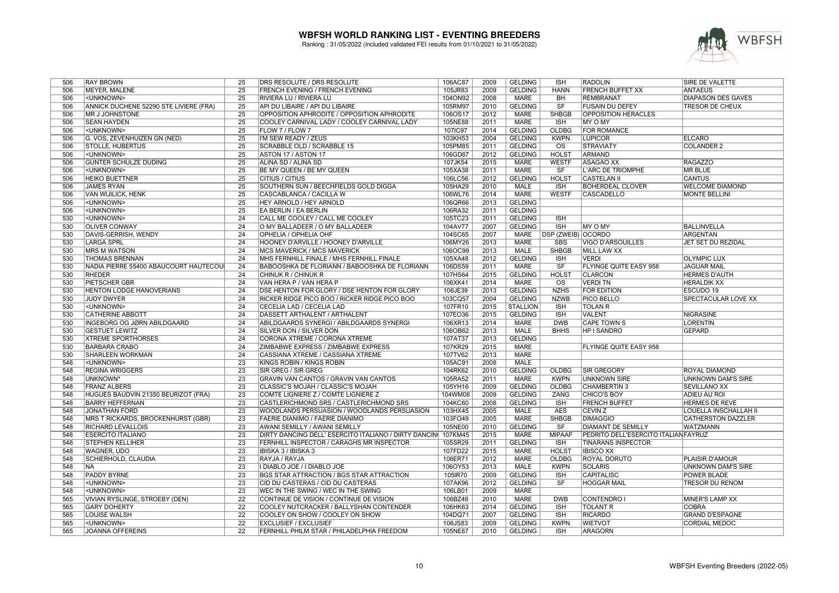

| 506 | <b>RAY BROWN</b>                       | 25                                 | DRS RESOLUTE / DRS RESOLUTE                          | 106AC87 | 2009 | <b>GELDING</b>  | <b>ISH</b>                | <b>RADOLIN</b>                       | SIRE DE VALETTE           |
|-----|----------------------------------------|------------------------------------|------------------------------------------------------|---------|------|-----------------|---------------------------|--------------------------------------|---------------------------|
| 506 | MEYER, MALENE                          | 25                                 | FRENCH EVENING / FRENCH EVENING                      | 105JR83 | 2009 | <b>GELDING</b>  | <b>HANN</b>               | <b>FRENCH BUFFET XX</b>              | <b>ANTAEUS</b>            |
| 506 | <unknown></unknown>                    | $\overline{25}$                    | RIVIERA LU / RIVIERA LU                              | 104ON92 | 2008 | <b>MARE</b>     | <b>BH</b>                 | <b>REMBRANAT</b>                     | <b>DIAPASON DES GAVES</b> |
| 506 | ANNICK DUCHENE 52290 STE LIVIERE (FRA) | 25                                 | API DU LIBAIRE / API DU LIBAIRE                      | 105RM97 | 2010 | <b>GELDING</b>  | SF                        | <b>FUSAIN DU DEFEY</b>               | <b>TRESOR DE CHEUX</b>    |
| 506 | <b>MR J JOHNSTONE</b>                  | $\overline{25}$                    | OPPOSITION APHRODITE / OPPOSITION APHRODITE          | 106OS17 | 2012 | <b>MARE</b>     | <b>SHBGB</b>              | <b>OPPOSITION HERACLES</b>           |                           |
| 506 | <b>SEAN HAYDEN</b>                     | $\overline{25}$                    | COOLEY CARNIVAL LADY / COOLEY CARNIVAL LADY          | 105NE88 | 2011 | <b>MARE</b>     | <b>ISH</b>                | MY O MY                              |                           |
| 506 | <unknown></unknown>                    | $\overline{25}$                    | FLOW 7 / FLOW 7                                      | 107IC97 | 2014 | <b>GELDING</b>  | OLDBG                     | <b>FOR ROMANCE</b>                   |                           |
| 506 | G. VOS, ZEVENHUIZEN GN (NED)           | $\overline{25}$                    | I'M SEW READY / ZEUS                                 | 103KH53 | 2004 | <b>GELDING</b>  | <b>KWPN</b>               | <b>LUPICOR</b>                       | <b>ELCARO</b>             |
| 506 | <b>STOLLE, HUBERTUS</b>                | 25                                 | <b>SCRABBLE OLD / SCRABBLE 15</b>                    | 105PM85 | 2011 | <b>GELDING</b>  | $\overline{\text{os}}$    | <b>STRAVIATY</b>                     | <b>COLANDER 2</b>         |
| 506 | <unknown></unknown>                    | $\overline{25}$                    | ASTON 17 / ASTON 17                                  | 106GD87 | 2012 | <b>GELDING</b>  | <b>HOLST</b>              | <b>ARMAND</b>                        |                           |
|     |                                        |                                    |                                                      |         |      |                 |                           |                                      |                           |
| 506 | <b>GUNTER SCHULZE DUDING</b>           | 25                                 | ALINA SD / ALINA SD                                  | 107JK54 | 2015 | <b>MARE</b>     | <b>WESTF</b>              | ASAGAO XX                            | <b>RAGAZZO</b>            |
| 506 | <unknown></unknown>                    | 25                                 | BE MY QUEEN / BE MY QUEEN                            | 105XA38 | 2011 | <b>MARE</b>     | SF                        | <b>L'ARC DE TRIOMPHE</b>             | <b>MR BLUE</b>            |
| 506 | <b>HEIKO BUETTNER</b>                  | $\overline{25}$                    | CITIUS / CITIUS                                      | 106LC56 | 2012 | <b>GELDING</b>  | <b>HOLST</b>              | <b>CASTELAN II</b>                   | <b>CANTUS</b>             |
| 506 | <b>JAMES RYAN</b>                      | 25                                 | SOUTHERN SUN / BEECHFIELDS GOLD DIGGA                | 105HA29 | 2010 | <b>MALE</b>     | <b>ISH</b>                | <b>BOHERDEAL CLOVER</b>              | <b>WELCOME DIAMOND</b>    |
| 506 | <b>VAN WIJILICK, HENK</b>              | $\overline{25}$                    | CASCABLANCA / CACILLA W                              | 106WL76 | 2014 | <b>MARE</b>     | <b>WESTF</b>              | <b>CASCADELLO</b>                    | <b>MONTE BELLINI</b>      |
| 506 | <unknown></unknown>                    | 25                                 | HEY ARNOLD / HEY ARNOLD                              | 106QR66 | 2013 | <b>GELDING</b>  |                           |                                      |                           |
| 506 | <unknown></unknown>                    | 25                                 | EA BERLIN / EA BERLIN                                | 106RA32 | 2011 | <b>GELDING</b>  |                           |                                      |                           |
| 530 | <unknown></unknown>                    | 24                                 | CALL ME COOLEY / CALL ME COOLEY                      | 105TC23 | 2011 | <b>GELDING</b>  | <b>ISH</b>                |                                      |                           |
| 530 | <b>OLIVER CONWAY</b>                   | $\overline{24}$                    | O MY BALLADEER / O MY BALLADEER                      | 104AV77 | 2007 | <b>GELDING</b>  | ISH                       | MY O MY                              | <b>BALLINVELLA</b>        |
| 530 | DAVIS-GERRISH, WENDY                   | $\overline{24}$                    | OPHELIA / OPHELIA OHF                                | 104SC65 | 2007 | <b>MARE</b>     | <b>DSP (ZWEIB) OCORDO</b> |                                      | <b>ARGENTAN</b>           |
| 530 | <b>LARGA SPRL</b>                      | $\overline{24}$                    | HOONEY D'ARVILLE / HOONEY D'ARVILLE                  | 106MY26 | 2013 | <b>MARE</b>     | <b>SBS</b>                | <b>VIGO D'ARSOUILLES</b>             | JET SET DU REZIDAL        |
| 530 | <b>MRS M WATSON</b>                    | $\overline{24}$                    | <b>MCS MAVERICK / MCS MAVERICK</b>                   | 106OC99 | 2013 | <b>MALE</b>     | <b>SHBGB</b>              | <b>MILL LAW XX</b>                   |                           |
| 530 | <b>THOMAS BRENNAN</b>                  | 24                                 | MHS FERNHILL FINALE / MHS FERNHILL FINALE            | 105XA48 | 2012 | <b>GELDING</b>  | <b>ISH</b>                | <b>VERDI</b>                         | <b>OLYMPIC LUX</b>        |
| 530 | NADIA PIERRE 55400 ABAUCOURT HAUTECOU  | $\overline{24}$                    | BABOOSHKA DE FLORIANN / BABOOSHKA DE FLORIANN        | 106DS59 | 2011 | <b>MARE</b>     | $\overline{\text{S}}$ F   | <b>FLYINGE QUITE EASY 958</b>        | <b>JAGUAR MAIL</b>        |
| 530 | <b>RHEDER</b>                          | 24                                 | CHINUK R / CHINUK R                                  | 107HS64 | 2015 | <b>GELDING</b>  | <b>HOLST</b>              | <b>CLARCON</b>                       | <b>HERMES D'AUTH</b>      |
| 530 | <b>PIETSCHER GBR</b>                   | $\overline{24}$                    | VAN HERA P / VAN HERA P                              | 106XK41 | 2014 | <b>MARE</b>     | $\overline{\text{os}}$    | <b>VERDITN</b>                       | <b>HERALDIK XX</b>        |
| 530 | <b>HENTON LODGE HANOVERIANS</b>        | $\overline{24}$                    | DSE HENTON FOR GLORY / DSE HENTON FOR GLORY          | 106JE39 | 2013 | <b>GELDING</b>  | <b>NZHS</b>               | <b>FOR EDITION</b>                   | ESCUDO 19                 |
| 530 | JUDY DWYER                             | $\overline{24}$                    | RICKER RIDGE PICO BOO / RICKER RIDGE PICO BOO        | 103CQ57 | 2004 | <b>GELDING</b>  | <b>NZWB</b>               | <b>PICO BELLO</b>                    | SPECTACULAR LOVE XX       |
| 530 | <unknown></unknown>                    | $\overline{24}$                    | CECELIA LAD / CECELIA LAD                            | 107FR10 | 2015 | <b>STALLION</b> | <b>ISH</b>                | <b>TOLAN R</b>                       |                           |
| 530 | <b>CATHERINE ABBOTT</b>                | $\overline{24}$                    | DASSETT ARTHALENT / ARTHALENT                        | 107EO36 | 2015 | <b>GELDING</b>  | <b>ISH</b>                | <b>VALENT</b>                        | <b>NIGRASINE</b>          |
| 530 | <b>INGEBORG OG JØRN ABILDGAARD</b>     | $\overline{24}$                    | ABILDGAARDS SYNERGI / ABILDGAARDS SYNERGI            | 106XR13 | 2014 | <b>MARE</b>     | <b>DWB</b>                | <b>CAPE TOWN S</b>                   | <b>LORENTIN</b>           |
| 530 | <b>GESTUET LEWITZ</b>                  | 24                                 | SILVER DON / SILVER DON                              | 106OB62 | 2013 | <b>MALE</b>     | <b>BHHS</b>               | <b>HP I SANDRO</b>                   | <b>GEPARD</b>             |
| 530 | <b>XTREME SPORTHORSES</b>              | $\overline{24}$                    | CORONA XTREME / CORONA XTREME                        | 107AT37 | 2013 | <b>GELDING</b>  |                           |                                      |                           |
| 530 | <b>BARBARA CRABO</b>                   | $\overline{24}$                    | ZIMBABWE EXPRESS / ZIMBABWE EXPRESS                  | 107KR29 | 2015 | <b>MARE</b>     |                           | FLYINGE QUITE EASY 958               |                           |
| 530 | <b>SHARLEEN WORKMAN</b>                | 24                                 | CASSIANA XTREME / CASSIANA XTREME                    | 107TV62 | 2013 | <b>MARE</b>     |                           |                                      |                           |
| 548 | <unknown></unknown>                    | $\overline{23}$                    | KINGS ROBIN / KINGS ROBIN                            | 105AC91 | 2008 | <b>MALE</b>     |                           |                                      |                           |
| 548 | <b>REGINA WRIGGERS</b>                 | $\overline{23}$                    | SIR GREG / SIR GREG                                  | 104RK62 | 2010 | <b>GELDING</b>  | <b>OLDBG</b>              | <b>ISIR GREGORY</b>                  | ROYAL DIAMOND             |
| 548 | UNKNOWN*                               | $\overline{23}$                    | <b>GRAVIN VAN CANTOS / GRAVIN VAN CANTOS</b>         | 105RA52 | 2011 | <b>MARE</b>     | <b>KWPN</b>               | <b>UNKNOWN SIRE</b>                  | <b>UNKNOWN DAM'S SIRE</b> |
| 548 | <b>FRANZ ALBERS</b>                    | $\overline{23}$                    | CLASSIC'S MOJAH / CLASSIC'S MOJAH                    | 105YH16 | 2009 | <b>GELDING</b>  | <b>OLDBG</b>              | <b>CHAMBERTIN 3</b>                  | <b>SEVILLANO XX</b>       |
| 548 | HUGUES BAUDVIN 21350 BEURIZOT (FRA)    | $\overline{23}$                    | COMTE LIGNIERE Z / COMTE LIGNIERE Z                  | 104WM08 | 2009 | <b>GELDING</b>  | ZANG                      | <b>CHICO'S BOY</b>                   | <b>ADIEU AU ROI</b>       |
| 548 | <b>BARRY HEFFERNAN</b>                 | $\overline{23}$                    | CASTLERICHMOND SRS / CASTLERICHMOND SRS              | 104KC60 | 2008 | <b>GELDING</b>  | <b>ISH</b>                | <b>FRENCH BUFFET</b>                 | <b>HERMES DE REVE</b>     |
| 548 | <b>JONATHAN FORD</b>                   | $\overline{23}$                    | WOODLANDS PERSUASION / WOODLANDS PERSUASION          | 103HX45 | 2005 | <b>MALE</b>     | <b>AES</b>                | <b>CEVIN Z</b>                       | LOUELLA INSCHALLAH II     |
| 548 | MRS T RICKARDS, BROCKENHURST (GBR)     | $\overline{23}$                    | FAERIE DIANIMO / FAERIE DIANIMO                      | 103FO49 | 2005 | <b>MARE</b>     | <b>SHBGB</b>              | <b>DIMAGGIO</b>                      | <b>CATHERSTON DAZZLER</b> |
| 548 | <b>RICHARD LEVALLOIS</b>               | $\overline{23}$                    | AWANI SEMILLY / AWANI SEMILLY                        | 105NE00 | 2010 | <b>GELDING</b>  | SF                        | <b>DIAMANT DE SEMILLY</b>            | <b>WATZMANN</b>           |
| 548 | <b>ESERCITO ITALIANO</b>               | $\overline{23}$                    | DIRTY DANCING DELL' ESERCITO ITALIANO / DIRTY DANCIN | 107KM45 | 2015 | <b>MARE</b>     | <b>MIPAAF</b>             | PEDRITO DELL'ESERCITO ITALIAN FAYRUZ |                           |
| 548 | <b>STEPHEN KELLIHER</b>                | $\overline{23}$                    | FERNHILL INSPECTOR / CARAGHS MR INSPECTOR            | 105SR29 | 2011 | <b>GELDING</b>  | <b>ISH</b>                | <b>TINARANS INSPECTOR</b>            |                           |
| 548 | <b>WAGNER, UDO</b>                     | $\overline{23}$                    | IBISKA 3 / IBISKA 3                                  | 107FD22 | 2015 | <b>MARE</b>     | <b>HOLST</b>              | <b>IBISCO XX</b>                     |                           |
| 548 | <b>SCHIERHOLD, CLAUDIA</b>             | $\overline{23}$                    | RAYJA / RAYJA                                        | 106ER71 | 2012 | <b>MARE</b>     | <b>OLDBG</b>              | <b>ROYAL DORUTO</b>                  | <b>PLAISIR D'AMOUR</b>    |
| 548 | <b>NA</b>                              | $\overline{23}$                    | I DIABLO JOE / I DIABLO JOE                          | 106OY53 | 2013 | <b>MALE</b>     | <b>KWPN</b>               | <b>SOLARIS</b>                       | UNKNOWN DAM'S SIRE        |
| 548 | <b>PADDY BYRNE</b>                     | 23                                 | BGS STAR ATTRACTION / BGS STAR ATTRACTION            |         | 2009 | <b>GELDING</b>  | <b>ISH</b>                | <b>CAPITALISC</b>                    | POWER BLADE               |
| 548 |                                        |                                    |                                                      | 105IR70 |      |                 |                           |                                      |                           |
|     | <unknown></unknown>                    | $\overline{23}$<br>$\overline{23}$ | CID DU CASTERAS / CID DU CASTERAS                    | 107AK96 | 2012 | <b>GELDING</b>  | SF                        | <b>HOGGAR MAIL</b>                   | <b>TRESOR DU RENOM</b>    |
| 548 | <unknown></unknown>                    |                                    | WEC IN THE SWING / WEC IN THE SWING                  | 106LB01 | 2009 | <b>MARE</b>     |                           |                                      |                           |
| 565 | VIVIAN RYSLINGE, STROEBY (DEN)         | $\overline{22}$                    | CONTINUE DE VISION / CONTINUE DE VISION              | 106BZ48 | 2010 | <b>MARE</b>     | <b>DWB</b>                | CONTENDRO I                          | MINER'S LAMP XX           |
| 565 | <b>GARY DOHERTY</b>                    | $\overline{22}$                    | COOLEY NUTCRACKER / BALLYSHAN CONTENDER              | 106HK63 | 2014 | <b>GELDING</b>  | <b>ISH</b>                | <b>TOLANT R</b>                      | <b>COBRA</b>              |
| 565 | <b>LOUISE WALSH</b>                    | 22                                 | COOLEY ON SHOW / COOLEY ON SHOW                      | 104DQ71 | 2007 | <b>GELDING</b>  | <b>ISH</b>                | <b>RICARDO</b>                       | <b>GRAND D'ESPAGNE</b>    |
| 565 | <unknown></unknown>                    | $\overline{22}$                    | <b>EXCLUSIEF / EXCLUSIEF</b>                         | 106JS83 | 2009 | <b>GELDING</b>  | <b>KWPN</b>               | <b>WIETVOT</b>                       | <b>CORDIAL MEDOC</b>      |
| 565 | <b>JOANNA OFFEREINS</b>                | $\overline{22}$                    | FERNHILL PHILM STAR / PHILADELPHIA FREEDOM           | 105NE87 | 2010 | <b>GELDING</b>  | <b>ISH</b>                | <b>ARAGORN</b>                       |                           |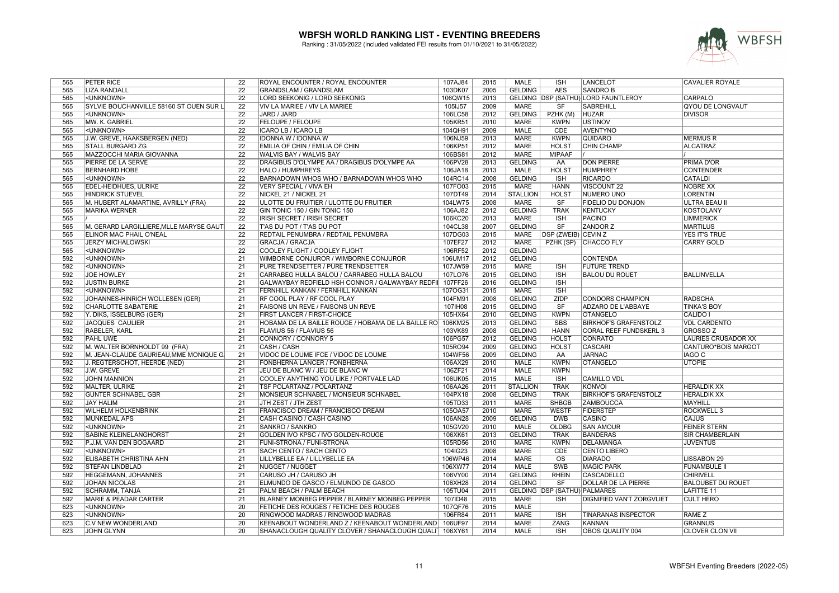

| 565        | PETER RICE                              | 22              | ROYAL ENCOUNTER / ROYAL ENCOUNTER                          | 107AJ84            | 2015         | <b>MALE</b>     | <b>ISH</b>                                | LANCELOT                              | <b>CAVALIER ROYALE</b>                        |
|------------|-----------------------------------------|-----------------|------------------------------------------------------------|--------------------|--------------|-----------------|-------------------------------------------|---------------------------------------|-----------------------------------------------|
| 565        | <b>LIZA RANDALL</b>                     | $\overline{22}$ | <b>GRANDSLAM / GRANDSLAM</b>                               | 103DK07            | 2005         | <b>GELDING</b>  | <b>AES</b>                                | <b>SANDRO B</b>                       |                                               |
| 565        | <unknown></unknown>                     | $\overline{22}$ | LORD SEEKONIG / LORD SEEKONIG                              | 106QW15            | 2013         |                 |                                           | GELDING   DSP (SATHÜ) LORD FAUNTLEROY | <b>CARPALO</b>                                |
| 565        | SYLVIE BOUCHANVILLE 58160 ST OUEN SUR L | $\overline{22}$ | VIV LA MARIEE / VIV LA MARIEE                              | 105IJ57            | 2009         | <b>MARE</b>     | SF                                        | <b>SABREHILL</b>                      | <b>QYOU DE LONGVAUT</b>                       |
| 565        | <unknown></unknown>                     | $\overline{22}$ | JARD / JARD                                                | 106LC58            | 2012         | <b>GELDING</b>  | PZHK (M)                                  | <b>HUZAR</b>                          | <b>DIVISOR</b>                                |
| 565        | MW. K. GABRIEL                          | $\overline{22}$ | <b>FELOUPE / FELOUPE</b>                                   | 105KR51            | 2010         | <b>MARE</b>     | <b>KWPN</b>                               | <b>USTINOV</b>                        |                                               |
| 565        | <unknown></unknown>                     | $\overline{22}$ | ICARO LB / ICARO LB                                        | 104QH91            | 2009         | <b>MALE</b>     | <b>CDE</b>                                | <b>AVENTYNO</b>                       |                                               |
| 565        | J.W. GREVE, HAAKSBERGEN (NED)           | $\overline{22}$ | <b>IDONNA W / IDONNA W</b>                                 | 106NJ59            | 2013         | <b>MARE</b>     | <b>KWPN</b>                               | <b>QUIDARO</b>                        | <b>MERMUS R</b>                               |
| 565        | <b>STALL BURGARD ZG</b>                 | $\overline{22}$ | EMILIA OF CHIN / EMILIA OF CHIN                            | 106KP51            | 2012         | <b>MARE</b>     | <b>HOLST</b>                              | <b>CHIN CHAMP</b>                     | <b>ALCATRAZ</b>                               |
| 565        | MAZZOCCHI MARIA GIOVANNA                | $\overline{22}$ | WALVIS BAY / WALVIS BAY                                    | 106BS81            | 2012         | <b>MARE</b>     | <b>MIPAAF</b>                             |                                       |                                               |
| 565        | PIERRE DE LA SERVE                      | $\overline{22}$ | DRAGIBUS D'OLYMPE AA / DRAGIBUS D'OLYMPE AA                | 106PV28            | 2013         | <b>GELDING</b>  | AA                                        | <b>DON PIERRE</b>                     | <b>PRIMA D'OR</b>                             |
| 565        | <b>BERNHARD HOBE</b>                    | $\overline{22}$ | HALO / HUMPHREYS                                           | 106JA18            | 2013         | <b>MALE</b>     | <b>HOLST</b>                              | <b>HUMPHREY</b>                       | <b>CONTENDER</b>                              |
| 565        | <unknown></unknown>                     | $\overline{22}$ | BARNADOWN WHOS WHO / BARNADOWN WHOS WHO                    | 104RC14            | 2008         | <b>GELDING</b>  | ISH                                       | <b>RICARDO</b>                        | <b>CATALDI</b>                                |
| 565        | EDEL-HEIDHUES, ULRIKE                   | $\overline{22}$ | <b>VERY SPECIAL / VIVA EH</b>                              | 107FO03            | 2015         | <b>MARE</b>     | <b>HANN</b>                               | <b>VISCOUNT 22</b>                    | <b>NOBRE XX</b>                               |
| 565        | <b>HINDRICK STUEVEL</b>                 | $\overline{22}$ | NICKEL 21 / NICKEL 21                                      | 107DT49            | 2014         | <b>STALLION</b> | <b>HOLST</b>                              | NUMERO UNO                            | <b>LORENTIN</b>                               |
| 565        | M. HUBERT ALAMARTINE, AVRILLY (FRA)     | $\overline{22}$ | ULOTTE DU FRUITIER / ULOTTE DU FRUITIER                    | 104LW75            | 2008         | <b>MARE</b>     | <b>SF</b>                                 | FIDELIO DU DONJON                     | <b>ULTRA BEAU II</b>                          |
| 565        | <b>MARIKA WERNER</b>                    | $\overline{22}$ |                                                            |                    | 2012         | <b>GELDING</b>  | <b>TRAK</b>                               | <b>KENTUCKY</b>                       |                                               |
| 565        |                                         | $\overline{22}$ | GIN TONIC 150 / GIN TONIC 150                              | 106AJ82            | 2013         | <b>MARE</b>     | ISH                                       | <b>PACINO</b>                         | <b>KOSTOLANY</b><br><b>LIMMERICK</b>          |
|            |                                         |                 | IRISH SECRET / IRISH SECRET                                | 106KC20            |              |                 |                                           |                                       |                                               |
| 565        | M. GERARD LARGILLIERE, MLLE MARYSE GAUT | $\overline{22}$ | T'AS DU POT / T'AS DU POT                                  | 104CL38            | 2007         | <b>GELDING</b>  | SF                                        | <b>ZANDOR Z</b>                       | <b>MARTILUS</b>                               |
| 565        | ELINOR MAC PHAIL O'NEAL                 | $\overline{22}$ | REDTAIL PENUMBRA / REDTAIL PENUMBRA                        | 107DG03            | 2015         | <b>MARE</b>     | DSP (ZWEIB) CEVIN Z                       |                                       | YES IT'S TRUE                                 |
| 565        | <b>JERZY MICHALOWSKI</b>                | $\overline{22}$ | <b>GRACJA / GRACJA</b>                                     | 107EF27            | 2012         | <b>MARE</b>     |                                           | PZHK (SP) CHACCO FLY                  | <b>CARRY GOLD</b>                             |
| 565        | <unknown></unknown>                     | $\overline{22}$ | COOLEY FLIGHT / COOLEY FLIGHT                              | 106RF52            | 2012         | <b>GELDING</b>  |                                           |                                       |                                               |
| 592        | <unknown></unknown>                     | $\overline{21}$ | WIMBORNE CONJUROR / WIMBORNE CONJUROR                      | 106UM17            | 2012         | <b>GELDING</b>  |                                           | <b>CONTENDA</b>                       |                                               |
| 592        | <unknown></unknown>                     | $\overline{21}$ | PURE TRENDSETTER / PURE TRENDSETTER                        | 107JW59            | 2015         | <b>MARE</b>     | <b>ISH</b>                                | <b>FUTURE TREND</b>                   |                                               |
| 592        | <b>JOE HOWLEY</b>                       | 21              | CARRABEG HULLA BALOU / CARRABEG HULLA BALOU                | 107LO76            | 2015         | <b>GELDING</b>  | <b>ISH</b>                                | <b>BALOU DU ROUET</b>                 | <b>BALLINVELLA</b>                            |
| 592        | <b>JUSTIN BURKE</b>                     | $\overline{21}$ | GALWAYBAY REDFIELD HSH CONNOR / GALWAYBAY REDFI            | 107FF26            | 2016         | <b>GELDING</b>  | <b>ISH</b>                                |                                       |                                               |
| 592        | <unknown></unknown>                     | $\overline{21}$ | FERNHILL KANKAN / FERNHILL KANKAN                          | 107OG31            | 2015         | <b>MARE</b>     | <b>ISH</b>                                |                                       |                                               |
| 592        | JOHANNES-HINRICH WOLLESEN (GER)         | 21              | RF COOL PLAY / RF COOL PLAY                                | 104FM91            | 2008         | <b>GELDING</b>  | ZfDP                                      | <b>CONDORS CHAMPION</b>               | <b>RADSCHA</b>                                |
| 592        | <b>CHARLOTTE SABATERIE</b>              | $\overline{21}$ | FAISONS UN REVE / FAISONS UN REVE                          | 107IH08            | 2015         | <b>GELDING</b>  | SF                                        | ADZARO DE L'ABBAYE                    | <b>TINKA'S BOY</b>                            |
| 592        | Y. DIKS, ISSELBURG (GER)                | $\overline{21}$ | FIRST LANCER / FIRST-CHOICE                                | 105HX64            | 2010         | <b>GELDING</b>  | <b>KWPN</b>                               | <b>OTANGELO</b>                       | <b>CALIDO I</b>                               |
| 592        | <b>JACQUES CAULIER</b>                  | $\overline{21}$ | HOBAMA DE LA BAILLE ROUGE / HOBAMA DE LA BAILLE RO 106KM25 |                    | 2013         | <b>GELDING</b>  | <b>SBS</b>                                | <b>BIRKHOF'S GRAFENSTOLZ</b>          | <b>VDL CARDENTO</b>                           |
| 592        | RABELER, KARL                           | $\overline{21}$ | FLAVIUS 56 / FLAVIUS 56                                    | 103VK89            | 2008         | <b>GELDING</b>  | <b>HANN</b>                               | <b>CORAL REEF FUNDSKERL 3</b>         | <b>GROSSO Z</b>                               |
| 592        | <b>PAHL UWE</b>                         | $\overline{21}$ | CONNORY / CONNORY 5                                        | 106PG57            | 2012         | <b>GELDING</b>  | <b>HOLST</b>                              | <b>CONRATO</b>                        | <b>LAURIES CRUSADOR XX</b>                    |
| 592        | M. WALTER BORNHOLDT 99 (FRA)            | 21              | CASH / CASH                                                | 105RO94            | 2009         | <b>GELDING</b>  | <b>HOLST</b>                              | <b>CASCARI</b>                        | CANTURO*BOIS MARGOT                           |
| 592        | M. JEAN-CLAUDE GAURIEAU, MME MONIQUE G. | 21              | VIDOC DE LOUME IFCE / VIDOC DE LOUME                       | 104WF56            | 2009         | <b>GELDING</b>  | AA                                        | <b>JARNAC</b>                         | <b>IAGO C</b>                                 |
| 592        | J. REGTERSCHOT, HEERDE (NED)            | $\overline{21}$ | FONBHERNA LANCER / FONBHERNA                               | 106AX29            | 2010         | <b>MALE</b>     | <b>KWPN</b>                               | <b>OTANGELO</b>                       | <b>UTOPIE</b>                                 |
| 592        | J.W. GREVE                              | 21              | JEU DE BLANC W / JEU DE BLANC W                            | 106ZF21            | 2014         | <b>MALE</b>     | <b>KWPN</b>                               |                                       |                                               |
| 592        | <b>JOHN MANNION</b>                     | 21              | COOLEY ANYTHING YOU LIKE / PORTVALE LAD                    | 106UK05            | 2015         | <b>MALE</b>     | <b>ISH</b>                                | <b>CAMILLO VDL</b>                    |                                               |
| 592        | MALTER, ULRIKE                          | $\overline{21}$ | TSF POLARTANZ / POLARTANZ                                  | 106AA26            | 2011         | <b>STALLION</b> | <b>TRAK</b>                               | <b>KONVOL</b>                         | <b>HERALDIK XX</b>                            |
| 592        | <b>GÜNTER SCHNABEL GBR</b>              | $\overline{21}$ | MONSIEUR SCHNABEL / MONSIEUR SCHNABEL                      | 104PX18            | 2008         | <b>GELDING</b>  | <b>TRAK</b>                               | <b>BIRKHOF'S GRAFENSTOLZ</b>          | <b>HERALDIK XX</b>                            |
| 592        | <b>JAY HALIM</b>                        | $\overline{21}$ | JTH ZEST / JTH ZEST                                        | 105TD33            | 2011         | <b>MARE</b>     | <b>SHBGB</b>                              | <b>ZAMBOUCCA</b>                      | <b>MAYHILL</b>                                |
| 592        | <b>WILHELM HOLKENBRINK</b>              | $\overline{21}$ | FRANCISCO DREAM / FRANCISCO DREAM                          | 105OA57            | 2010         | <b>MARE</b>     | <b>WESTF</b>                              | <b>FIDERSTEP</b>                      | <b>ROCKWELL 3</b>                             |
| 592        | MUNKEDAL APS                            | 21              | CASH CASINO / CASH CASINO                                  | 106AN28            | 2009         | <b>GELDING</b>  | <b>DWB</b>                                | <b>CASINO</b>                         | CAJUS                                         |
| 592        | <unknown></unknown>                     | $\overline{21}$ | SANKRO / SANKRO                                            | 105GV20            | 2010         | <b>MALE</b>     | <b>OLDBG</b>                              | <b>SAN AMOUR</b>                      | <b>FEINER STERN</b>                           |
| 592        | SABINE KLEINELANGHORST                  | $\overline{21}$ | GOLDEN IVO KPSC / IVO GOLDEN-ROUGE                         | 106XK61            | 2013         | <b>GELDING</b>  | <b>TRAK</b>                               | <b>BANDERAS</b>                       | <b>SIR CHAMBERLAIN</b>                        |
| 592        | P.J.M. VAN DEN BOGAARD                  | 21              | FUNI-STRONA / FUNI-STRONA                                  | 105RD56            | 2010         | <b>MARE</b>     | <b>KWPN</b>                               | <b>DELAMANGA</b>                      | <b>JUVENTUS</b>                               |
| 592        | <unknown></unknown>                     | $\overline{21}$ | SACH CENTO / SACH CENTO                                    | 104IG23            | 2008         | <b>MARE</b>     | <b>CDE</b>                                | <b>CENTO LIBERO</b>                   |                                               |
| 592        | ELISABETH CHRISTINA AHN                 | $\overline{21}$ | LILLYBELLE EA / LILLYBELLE EA                              | 106WP46            | 2014         | <b>MARE</b>     | $\overline{\text{OS}}$                    | <b>DIARADO</b>                        | <b>LISSABON 29</b>                            |
| 592        | <b>STEFAN LINDBLAD</b>                  | $\overline{21}$ | <b>NUGGET / NUGGET</b>                                     | 106XW77            | 2014         | <b>MALE</b>     | <b>SWB</b>                                | <b>MAGIC PARK</b>                     | <b>FUNAMBULE II</b>                           |
| 592        | HEGGEMANN, JOHANNES                     | $\overline{21}$ | CARUSO JH / CARUSO JH                                      | 106VY00            | 2014         | <b>GELDING</b>  | <b>RHEIN</b>                              | <b>CASCADELLO</b>                     | <b>CHIRIVELL</b>                              |
|            |                                         |                 |                                                            |                    |              |                 |                                           | <b>DOLLAR DE LA PIERRE</b>            |                                               |
| 592<br>592 | <b>JOHAN NICOLAS</b>                    | 21<br>21        | ELMUNDO DE GASCO / ELMUNDO DE GASCO                        | 106XH28<br>105TU04 | 2014<br>2011 | <b>GELDING</b>  | <b>SF</b><br>GELDING DSP (SATHÜ) PALMARES |                                       | <b>BALOUBET DU ROUET</b><br><b>LAFITTE 11</b> |
|            | <b>SCHRAMM, TANJA</b>                   |                 | PALM BEACH / PALM BEACH                                    |                    |              |                 |                                           |                                       |                                               |
| 592        | <b>MARIE &amp; PEADAR CARTER</b>        | $\overline{21}$ | BLARNEY MONBEG PEPPER / BLARNEY MONBEG PEPPER              | 107ID48            | 2015         | <b>MARE</b>     | <b>ISH</b>                                | <b>DIGNIFIED VAN'T ZORGVLIET</b>      | <b>CULT HERO</b>                              |
| 623        | <unknown></unknown>                     | 20              | FETICHE DES ROUGES / FETICHE DES ROUGES                    | 107QF76            | 2015         | <b>MALE</b>     |                                           |                                       |                                               |
| 623        | <unknown></unknown>                     | 20              | RINGWOOD MADRAS / RINGWOOD MADRAS                          | 106FR84            | 2011         | <b>MARE</b>     | <b>ISH</b>                                | <b>TINARANAS INSPECTOR</b>            | <b>RAME Z</b>                                 |
| 623        | <b>C.V NEW WONDERLAND</b>               | 20              | KEENABOUT WONDERLAND Z / KEENABOUT WONDERLAND   106UF97    |                    | 2014         | <b>MARE</b>     | ZANG                                      | <b>KANNAN</b>                         | <b>GRANNUS</b>                                |
| 623        | <b>JOHN GLYNN</b>                       | 20              | SHANACLOUGH QUALITY CLOVER / SHANACLOUGH QUALI   106XY61   |                    | 2014         | <b>MALE</b>     | $\overline{\mathsf{ISH}}$                 | OBOS QUALITY 004                      | <b>CLOVER CLON VII</b>                        |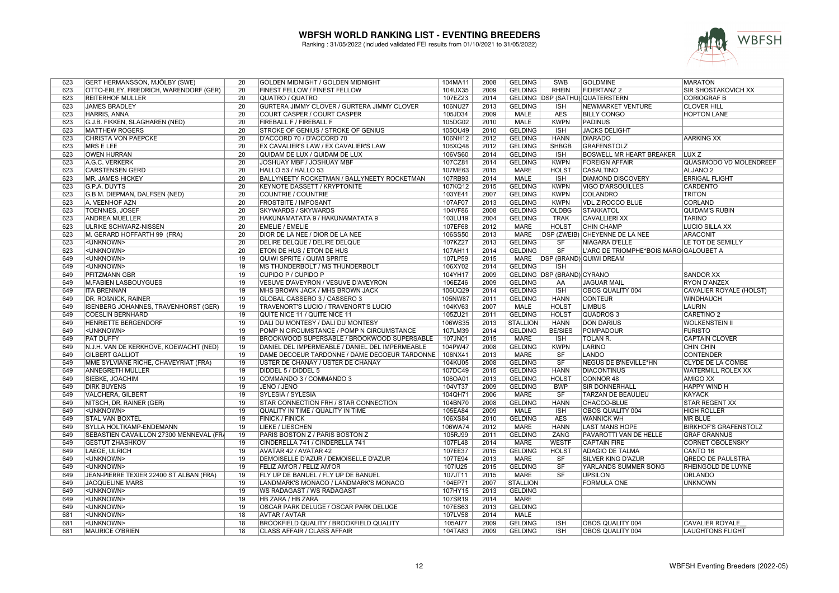

| 623 | GERT HERMANSSON, MJÖLBY (SWE)           | 20              | GOLDEN MIDNIGHT / GOLDEN MIDNIGHT               | 104MA11 | 2008 | <b>GELDING</b>  | SWB                        | <b>GOLDMINE</b>                        | <b>MARATON</b>                 |
|-----|-----------------------------------------|-----------------|-------------------------------------------------|---------|------|-----------------|----------------------------|----------------------------------------|--------------------------------|
| 623 | OTTO-ERLEY, FRIEDRICH, WARENDORF (GER)  | 20              | FINEST FELLOW / FINEST FELLOW                   | 104UX35 | 2009 | <b>GELDING</b>  | <b>RHEIN</b>               | <b>FIDERTANZ 2</b>                     | SIR SHOSTAKOVICH XX            |
| 623 | <b>REITERHOF MULLER</b>                 | 20              | <b>QUATRO / QUATRO</b>                          | 107EZ23 | 2014 |                 |                            | GELDING DSP (SATHÜ) QUATERSTERN        | <b>CORIOGRAF B</b>             |
| 623 | <b>JAMES BRADLEY</b>                    | $\overline{20}$ | GURTERA JIMMY CLOVER / GURTERA JIMMY CLOVER     | 106NU27 | 2013 | <b>GELDING</b>  | <b>ISH</b>                 | <b>NEWMARKET VENTURE</b>               | <b>CLOVER HILL</b>             |
| 623 | <b>HARRIS, ANNA</b>                     | $\overline{20}$ | COURT CASPER / COURT CASPER                     | 105JD34 | 2009 | <b>MALE</b>     | <b>AES</b>                 | <b>BILLY CONGO</b>                     | <b>HOPTON LANE</b>             |
| 623 | G.J.B. FIKKEN, SLAGHAREN (NED)          | $\overline{20}$ | FIREBALL F / FIREBALL F                         | 105DG02 | 2010 | <b>MALE</b>     | <b>KWPN</b>                | <b>PADINUS</b>                         |                                |
| 623 | <b>MATTHEW ROGERS</b>                   | $\overline{20}$ | STROKE OF GENIUS / STROKE OF GENIUS             | 105OU49 | 2010 | <b>GELDING</b>  | <b>ISH</b>                 | <b>JACKS DELIGHT</b>                   |                                |
| 623 | <b>CHRISTA VON PAEPCKE</b>              | 20              | D'ACCORD 70 / D'ACCORD 70                       | 106NH12 | 2012 | <b>GELDING</b>  | <b>HANN</b>                | <b>DIARADO</b>                         | <b>AARKING XX</b>              |
| 623 | MRS E LEE                               | $\overline{20}$ | EX CAVALIER'S LAW / EX CAVALIER'S LAW           | 106XQ48 | 2012 | <b>GELDING</b>  | <b>SHBGB</b>               | <b>GRAFENSTOLZ</b>                     |                                |
| 623 | <b>OWEN HURRAN</b>                      | $\overline{20}$ | QUIDAM DE LUX / QUIDAM DE LUX                   | 106VS60 | 2014 | <b>GELDING</b>  | <b>ISH</b>                 | <b>BOSWELL MR HEART BREAKER</b>        | LUX <sub>Z</sub>               |
| 623 | A.G.C. VERKERK                          | $\overline{20}$ | JOSHUAY MBF / JOSHUAY MBF                       | 107CZ81 | 2014 | <b>GELDING</b>  | <b>KWPN</b>                | <b>FOREIGN AFFAIR</b>                  | <b>QUASIMODO VD MOLENDREEF</b> |
| 623 | <b>CARSTENSEN GERD</b>                  | 20              | HALLO 53 / HALLO 53                             | 107ME63 | 2015 | <b>MARE</b>     | <b>HOLST</b>               | <b>CASALTINO</b>                       | <b>ALJANO<sub>2</sub></b>      |
| 623 | <b>MR. JAMES HICKEY</b>                 | $\overline{20}$ | BALLYNEETY ROCKETMAN / BALLYNEETY ROCKETMAN     | 107RB93 | 2014 | <b>MALE</b>     | <b>ISH</b>                 | <b>DIAMOND DISCOVERY</b>               | <b>ERRIGAL FLIGHT</b>          |
| 623 | <b>G.P.A. DUYTS</b>                     | $\overline{20}$ | <b>KEYNOTE DASSETT / KRYPTONITE</b>             | 107KQ12 | 2015 | <b>GELDING</b>  | <b>KWPN</b>                | <b>VIGO D'ARSOUILLES</b>               | <b>CARDENTO</b>                |
| 623 | G.B M. DIEPMAN, DALFSEN (NED)           | $\overline{20}$ | <b>COUNTRIE / COUNTRIE</b>                      | 103YE41 | 2007 | <b>GELDING</b>  | <b>KWPN</b>                | <b>COLANDRO</b>                        | <b>TRITON</b>                  |
| 623 | A. VEENHOF AZN                          | 20              | <b>FROSTBITE / IMPOSANT</b>                     | 107AF07 | 2013 | <b>GELDING</b>  | <b>KWPN</b>                | <b>VDL ZIROCCO BLUE</b>                | CORLAND                        |
| 623 | <b>TOENNIES, JOSEF</b>                  | 20              | <b>SKYWARDS / SKYWARDS</b>                      | 104VF86 | 2008 | <b>GELDING</b>  | <b>OLDBG</b>               | STAKKATOL                              | <b>QUIDAM'S RUBIN</b>          |
| 623 | <b>ANDREA MUELLER</b>                   | $\overline{20}$ | HAKUNAMATATA 9 / HAKUNAMATATA 9                 | 103LU19 | 2004 | <b>GELDING</b>  | <b>TRAK</b>                | <b>CAVALLIERI XX</b>                   | <b>TARINO</b>                  |
| 623 | <b>ULRIKE SCHWARZ-NISSEN</b>            | $\overline{20}$ | <b>EMELIE / EMELIE</b>                          | 107EF68 | 2012 | <b>MARE</b>     | <b>HOLST</b>               | <b>CHIN CHAMP</b>                      | LUCIO SILLA XX                 |
| 623 | M. GERARD HOFFARTH 99 (FRA)             | $\overline{20}$ | DIOR DE LA NEE / DIOR DE LA NEE                 | 106SS50 | 2013 | <b>MARE</b>     |                            | DSP (ZWEIB) CHEYENNE DE LA NEE         | <b>ARACONIT</b>                |
| 623 | <unknown></unknown>                     | $\overline{20}$ | DELIRE DELQUE / DELIRE DELQUE                   | 107KZ27 | 2013 | <b>GELDING</b>  | SF                         | NIAGARA D'ELLE                         | LE TOT DE SEMILLY              |
|     |                                         | $\overline{20}$ |                                                 |         |      |                 | $\overline{\text{SF}}$     |                                        |                                |
| 623 | <unknown></unknown>                     |                 | ETON DE HUS / ETON DE HUS                       | 107AH11 | 2014 | <b>GELDING</b>  |                            | L'ARC DE TRIOMPHE*BOIS MARG GALOUBET A |                                |
| 649 | <unknown></unknown>                     | 19              | QUIWI SPRITE / QUIWI SPRITE                     | 107LP59 | 2015 |                 |                            | MARE   DSP (BRAND) QUIWI DREAM         |                                |
| 649 | <unknown></unknown>                     | 19              | MS THUNDERBOLT / MS THUNDERBOLT                 | 106XY02 | 2014 | <b>GELDING</b>  | <b>ISH</b>                 |                                        |                                |
| 649 | <b>PFITZMANN GBR</b>                    | 19              | CUPIDO P / CUPIDO P                             | 104YH17 | 2009 |                 | GELDING DSP (BRAND) CYRANO |                                        | <b>SANDOR XX</b>               |
| 649 | M.FABIEN LASBOUYGUES                    | 19              | VESUVE D'AVEYRON / VESUVE D'AVEYRON             | 106EZ46 | 2009 | <b>GELDING</b>  | AA                         | <b>JAGUAR MAIL</b>                     | <b>RYON D'ANZEX</b>            |
| 649 | <b>ITA BRENNAN</b>                      | 19              | MHS BROWN JACK / MHS BROWN JACK                 | 106UQ29 | 2014 | <b>GELDING</b>  | <b>ISH</b>                 | <b>OBOS QUALITY 004</b>                | CAVALIER ROYALE (HOLST)        |
| 649 | DR. ROßNICK, RAINER                     | 19              | <b>GLOBAL CASSERO 3 / CASSERO 3</b>             | 105NW87 | 2011 | <b>GELDING</b>  | <b>HANN</b>                | <b>CONTEUR</b>                         | <b>WINDHAUCH</b>               |
| 649 | ISENBERG JOHANNES, TRAVENHORST (GER)    | 19              | TRAVENORT'S LUCIO / TRAVENORT'S LUCIO           | 104KV63 | 2007 | <b>MALE</b>     | <b>HOLST</b>               | <b>LIMBUS</b>                          | <b>LAURIN</b>                  |
| 649 | <b>COESLIN BERNHARD</b>                 | 19              | QUITE NICE 11 / QUITE NICE 11                   | 105ZU21 | 2011 | <b>GELDING</b>  | <b>HOLST</b>               | <b>QUADROS 3</b>                       | <b>CARETINO 2</b>              |
| 649 | <b>HENRIETTE BERGENDORF</b>             | 19              | DALI DU MONTESY / DALI DU MONTESY               | 106WS35 | 2013 | <b>STALLION</b> | <b>HANN</b>                | <b>DON DARIUS</b>                      | <b>WOLKENSTEIN II</b>          |
| 649 | <unknown></unknown>                     | 19              | POMP N CIRCUMSTANCE / POMP N CIRCUMSTANCE       | 107LM39 | 2014 | <b>GELDING</b>  | <b>BE/SIES</b>             | <b>POMPADOUR</b>                       | <b>FURISTO</b>                 |
| 649 | <b>PAT DUFFY</b>                        | 19              | BROOKWOOD SUPERSABLE / BROOKWOOD SUPERSABLE     | 107JN01 | 2015 | <b>MARE</b>     | <b>ISH</b>                 | <b>TOLAN R.</b>                        | <b>CAPTAIN CLOVER</b>          |
| 649 | N.J.H. VAN DE KERKHOVE, KOEWACHT (NED)  | 19              | DANIEL DEL IMPERMEABLE / DANIEL DEL IMPERMEABLE | 104PW47 | 2008 | <b>GELDING</b>  | <b>KWPN</b>                | LARINO                                 | <b>CHIN CHIN</b>               |
| 649 | <b>GILBERT GALLIOT</b>                  | 19              | DAME DECOEUR TARDONNE / DAME DECOEUR TARDONNE   | 106NX41 | 2013 | <b>MARE</b>     | <b>SF</b>                  | LANDO                                  | <b>CONTENDER</b>               |
| 649 | MME SYLVIANE RICHE, CHAVEYRIAT (FRA)    | 19              | USTER DE CHANAY / USTER DE CHANAY               | 104KU05 | 2008 | <b>GELDING</b>  | SF                         | <b>NEGUS DE B'NEVILLE*HN</b>           | <b>CLYDE DE LA COMBE</b>       |
| 649 | ANNEGRETH MÜLLER                        | 19              | DIDDEL 5 / DIDDEL 5                             | 107DC49 | 2015 | <b>GELDING</b>  | <b>HANN</b>                | <b>DIACONTINUS</b>                     | WATERMILL ROLEX XX             |
| 649 | <b>SIEBKE, JOACHIM</b>                  | 19              | COMMANDO 3 / COMMANDO 3                         | 106OA01 | 2013 | <b>GELDING</b>  | <b>HOLST</b>               | CONNOR 48                              | <b>AMIGO XX</b>                |
| 649 | <b>DIRK BUYENS</b>                      | 19              | JENO / JENO                                     | 104VT37 | 2009 | <b>GELDING</b>  | <b>BWP</b>                 | <b>SIR DONNERHALL</b>                  | <b>HAPPY WIND H</b>            |
| 649 | <b>VALCHERA, GILBERT</b>                | 19              | SYLESIA / SYLESIA                               | 104QH71 | 2006 | <b>MARE</b>     | SF                         | <b>TARZAN DE BEAULIEU</b>              | <b>KAYACK</b>                  |
| 649 | NITSCH, DR. RAINER (GER)                | 19              | <b>STAR CONNECTION FRH / STAR CONNECTION</b>    | 104BN70 | 2008 | <b>GELDING</b>  | <b>HANN</b>                | <b>CHACCO-BLUE</b>                     | <b>STAR REGENT XX</b>          |
| 649 | <unknown></unknown>                     | 19              | QUALITY IN TIME / QUALITY IN TIME               | 105EA84 | 2009 | <b>MALE</b>     | ISH                        | <b>OBOS QUALITY 004</b>                | <b>HIGH ROLLER</b>             |
| 649 | <b>STAL VAN BOXTEL</b>                  | 19              | <b>FINICK / FINICK</b>                          | 106XS84 | 2010 | <b>GELDING</b>  | <b>AES</b>                 | <b>WANNICK WH</b>                      | <b>MR BLUE</b>                 |
| 649 | <b>SYLLA HOLTKAMP-ENDEMANN</b>          | 19              | <b>LIEKE / LIESCHEN</b>                         | 106WA74 | 2012 | <b>MARE</b>     | <b>HANN</b>                | <b>LAST MANS HOPE</b>                  | <b>BIRKHOF'S GRAFENSTOLZ</b>   |
| 649 | SEBASTIEN CAVAILLON 27300 MENNEVAL (FRA | 19              | PARIS BOSTON Z / PARIS BOSTON Z                 | 105RJ99 | 2011 | <b>GELDING</b>  | ZANG                       | PAVAROTTI VAN DE HELLE                 | <b>GRAF GRANNUS</b>            |
| 649 | GESTÜT ZHASHKOV                         | 19              | CINDERELLA 741 / CINDERELLA 741                 | 107FL48 | 2014 | <b>MARE</b>     | <b>WESTF</b>               | <b>CAPTAIN FIRE</b>                    | <b>CORNET OBOLENSKY</b>        |
| 649 | LAEGE, ULRICH                           | 19              | AVATAR 42 / AVATAR 42                           | 107EE37 | 2015 | <b>GELDING</b>  | <b>HOLST</b>               | <b>ADAGIO DE TALMA</b>                 | CANTO 16                       |
| 649 | <unknown></unknown>                     | 19              | DEMOISELLE D'AZUR / DEMOISELLE D'AZUR           | 107TE94 | 2013 | <b>MARE</b>     | SF                         | <b>SILVER KING D'AZUR</b>              | <b>QREDO DE PAULSTRA</b>       |
| 649 | <unknown></unknown>                     | 19              | FELIZ AM'OR / FELIZ AM'OR                       | 107IU25 | 2015 | <b>GELDING</b>  | SF                         | YARLANDS SUMMER SONG                   | RHEINGOLD DE LUYNE             |
| 649 | JEAN-PIERRE TEXIER 22400 ST ALBAN (FRA) | 19              | FLY UP DE BANUEL / FLY UP DE BANUEL             | 107JT11 | 2015 | <b>MARE</b>     | $\overline{\text{SF}}$     | <b>UPSILON</b>                         | ORLANDO                        |
| 649 | <b>JACQUELINE MARS</b>                  | 19              | LANDMARK'S MONACO / LANDMARK'S MONACO           | 104EP71 | 2007 | <b>STALLION</b> |                            | <b>FORMULA ONE</b>                     | <b>UNKNOWN</b>                 |
|     |                                         |                 |                                                 |         |      |                 |                            |                                        |                                |
| 649 | <unknown></unknown>                     | 19              | WS RADAGAST / WS RADAGAST                       | 107HY15 | 2013 | <b>GELDING</b>  |                            |                                        |                                |
| 649 | <unknown></unknown>                     | 19              | HB ZARA / HB ZARA                               | 107SR19 | 2014 | <b>MARE</b>     |                            |                                        |                                |
| 649 | <unknown></unknown>                     | 19              | OSCAR PARK DELUGE / OSCAR PARK DELUGE           | 107ES63 | 2013 | <b>GELDING</b>  |                            |                                        |                                |
| 681 | <unknown></unknown>                     | 18              | <b>AVTAR / AVTAR</b>                            | 107LV58 | 2014 | <b>MALE</b>     |                            |                                        |                                |
| 681 | <unknown></unknown>                     | 18              | BROOKFIELD QUALITY / BROOKFIELD QUALITY         | 105AI77 | 2009 | <b>GELDING</b>  | <b>ISH</b>                 | <b>OBOS QUALITY 004</b>                | <b>CAVALIER ROYALE</b>         |
| 681 | <b>MAURICE O'BRIEN</b>                  | $\overline{18}$ | <b>CLASS AFFAIR / CLASS AFFAIR</b>              | 104TA83 | 2009 | <b>GELDING</b>  | <b>ISH</b>                 | <b>OBOS QUALITY 004</b>                | <b>LAUGHTONS FLIGHT</b>        |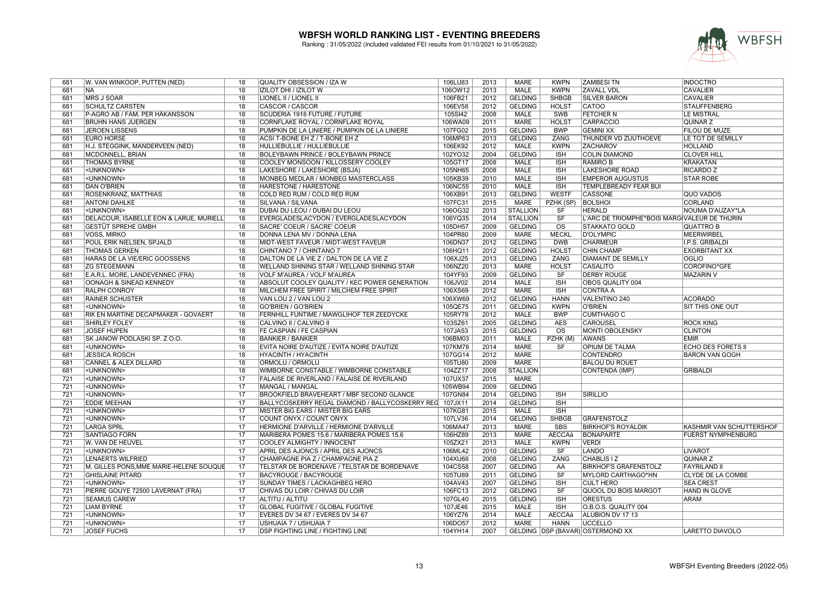

| 681 | W. VAN WINKOOP, PUTTEN (NED)               | 18              | QUALITY OBSESSION / IZA W                               | 106LU83 | 2013 | <b>MARE</b>     | <b>KWPN</b>              | <b>ZAMBESITN</b>                             | <b>INDOCTRO</b>           |
|-----|--------------------------------------------|-----------------|---------------------------------------------------------|---------|------|-----------------|--------------------------|----------------------------------------------|---------------------------|
| 681 | NA)                                        | 18              | IZILOT DHI / IZILOT W                                   | 106OW12 | 2013 | MALE            | <b>KWPN</b>              | <b>ZAVALL VDL</b>                            | <b>CAVALIER</b>           |
| 681 | MRS J SOAR                                 | 18              | LIONEL II / LIONEL II                                   | 106FB21 | 2012 | <b>GELDING</b>  | <b>SHBGB</b>             | <b>SILVER BARON</b>                          | <b>CAVALIER</b>           |
| 681 | <b>SCHULTZ CARSTEN</b>                     | $\overline{18}$ | <b>CASCOR / CASCOR</b>                                  | 106EV58 | 2012 | <b>GELDING</b>  | <b>HOLST</b>             | <b>CATOO</b>                                 | <b>STAUFFENBERG</b>       |
| 681 | P-AGRO AB / FAM. PER HÅKANSSON             | 18              | SCUDERIA 1918 FUTURE / FUTURE                           | 105SI42 | 2008 | <b>MALE</b>     | <b>SWB</b>               | <b>FETCHER N</b>                             | <b>LE MISTRAL</b>         |
| 681 | <b>BRUHN HANS JUERGEN</b>                  | 18              | CORNFLAKE ROYAL / CORNFLAKE ROYAL                       | 106WA09 | 2011 | <b>MARE</b>     | <b>HOLST</b>             | CARPACCIO                                    | QUINAR Z                  |
| 681 | JEROEN LISSENS                             | 18              | PUMPKIN DE LA LINIERE / PUMPKIN DE LA LINIERE           | 107FG02 | 2015 | <b>GELDING</b>  | <b>BWP</b>               | <b>GEMINI XX</b>                             | FILOU DE MUZE             |
| 681 | <b>EURO HORSE</b>                          | 18              | ACSI T-BONE EH Z / T-BONE EH Z                          | 106MP63 | 2013 | <b>GELDING</b>  | ZANG                     | <b>THUNDER VD ZUUTHOEVE</b>                  | LE TOT DE SEMILLY         |
|     |                                            | 18              |                                                         |         |      | <b>MALE</b>     | <b>KWPN</b>              | <b>ZACHAROV</b>                              | <b>HOLLAND</b>            |
| 681 | H.J. STEGGINK, MANDERVEEN (NED)            |                 | HULLIEBULLIE / HULLIEBULLIE                             | 106EK92 | 2012 |                 |                          |                                              |                           |
| 681 | MCDONNELL, BRIAN                           | 18              | BOLEYBAWN PRINCE / BOLEYBAWN PRINCE                     | 102YO32 | 2004 | <b>GELDING</b>  | <b>ISH</b>               | <b>COLIN DIAMOND</b>                         | <b>CLOVER HILL</b>        |
| 681 | <b>THOMAS BYRNE</b>                        | 18              | COOLEY MONSOON / KILLOSSERY COOLEY                      | 105GT17 | 2008 | <b>MALE</b>     | <b>ISH</b>               | <b>RAMIRO B</b>                              | <b>KRAKATAN</b>           |
| 681 | <unknown></unknown>                        | $\overline{18}$ | LAKESHORE / LAKESHORE (BSJA)                            | 105NH65 | 2008 | <b>MALE</b>     | <b>ISH</b>               | <b>LAKESHORE ROAD</b>                        | <b>RICARDO Z</b>          |
| 681 | <unknown></unknown>                        | $\overline{18}$ | MONBEG MEDLAR / MONBEG MASTERCLASS                      | 105KB39 | 2010 | <b>MALE</b>     | <b>ISH</b>               | <b>EMPEROR AUGUSTUS</b>                      | <b>STAR ROBE</b>          |
| 681 | <b>DAN O'BRIEN</b>                         | $\overline{18}$ | HARESTONE / HARESTONE                                   | 106NC55 | 2010 | <b>MALE</b>     | <b>ISH</b>               | TEMPLEBREADY FEAR BUI                        |                           |
| 681 | <b>ROSENKRANZ, MATTHIAS</b>                | 18              | COLD RED RUM / COLD RED RUM                             | 106XB91 | 2013 | <b>GELDING</b>  | <b>WESTF</b>             | <b>CASSONE</b>                               | <b>QUO VADOS</b>          |
| 681 | <b>ANTONI DAHLKE</b>                       | 18              | SILVANA / SILVANA                                       | 107FC31 | 2015 | <b>MARE</b>     | PZHK (SP)                | <b>BOLSHOI</b>                               | CORLAND                   |
| 681 | <unknown></unknown>                        | $\overline{18}$ | DUBAI DU LEOU / DUBAI DU LEOU                           | 106OG32 | 2013 | <b>STALLION</b> | <b>SF</b>                | <b>HERALD</b>                                | NOUMA D'AUZAY*LA          |
| 681 | DELACOUR, ISABELLE EON & LARUE, MURIELL    | 18              | EVERGLADESLACYDON / EVERGLADESLACYDON                   | 106YQ35 | 2014 | <b>STALLION</b> | SF                       | L'ARC DE TRIOMPHE*BOIS MARG VALEUR DE THURIN |                           |
| 681 | GESTÜT SPREHE GMBH                         | 18              | SACRE' COEUR / SACRE' COEUR                             | 105DH57 | 2009 | <b>GELDING</b>  | $\overline{\text{os}}$   | <b>STAKKATO GOLD</b>                         | <b>QUATTRO B</b>          |
| 681 | Voss, Mirko                                | 18              | DONNA LENA MV / DONNA LENA                              | 104PR80 | 2009 | <b>MARE</b>     | <b>MECKL</b>             | D'OLYMPIC                                    | MEERWIRBEL                |
| 681 | POUL ERIK NIELSEN, SPJALD                  | 18              | MIDT-WEST FAVEUR / MIDT-WEST FAVEUR                     | 106DN37 | 2012 | <b>GELDING</b>  | <b>DWB</b>               | <b>CHARMEUR</b>                              | I.P.S. GRIBALDI           |
| 681 | <b>THOMAS GERKEN</b>                       | 18              | CHINTANO 7 / CHINTANO 7                                 | 106HQ11 | 2012 | <b>GELDING</b>  | <b>HOLST</b>             | <b>CHIN CHAMP</b>                            | <b>EXORBITANT XX</b>      |
| 681 | <b>HARAS DE LA VIE/ERIC GOOSSENS</b>       | $\overline{18}$ | DALTON DE LA VIE Z / DALTON DE LA VIE Z                 | 106XJ25 | 2013 | <b>GELDING</b>  | <b>ZANG</b>              | <b>DIAMANT DE SEMILLY</b>                    | <b>OGLIO</b>              |
| 681 | <b>ZG STEGEMANN</b>                        | 18              | WELLAND SHINING STAR / WELLAND SHINING STAR             | 106NZ20 | 2013 | <b>MARE</b>     | <b>HOLST</b>             | <b>CASALITO</b>                              | COROFINO*GFE              |
| 681 | E.A.R.L. MORE, LANDEVENNEC (FRA)           | 18              | VOLF M'AUREA / VOLF M'AUREA                             | 104YF93 | 2009 | <b>GELDING</b>  | SF                       | <b>DERBY ROUGE</b>                           | <b>MAZARIN V</b>          |
| 681 | <b>OONAGH &amp; SINEAD KENNEDY</b>         | $\overline{18}$ | ABSOLUT COOLEY QUALITY / KEC POWER GENERATION           | 106JV02 | 2014 | <b>MALE</b>     | ISH                      | <b>OBOS QUALITY 004</b>                      |                           |
| 681 | <b>RALPH CONROY</b>                        | $\overline{18}$ | MILCHEM FREE SPIRIT / MILCHEM FREE SPIRIT               | 106XS69 | 2012 | <b>MARE</b>     | <b>ISH</b>               | <b>CONTRA A</b>                              |                           |
| 681 | <b>RAINER SCHUSTER</b>                     | 18              | VAN LOU 2 / VAN LOU 2                                   | 106XW69 | 2012 | <b>GELDING</b>  | <b>HANN</b>              | VALENTINO 240                                | <b>ACORADO</b>            |
| 681 | <unknown></unknown>                        | 18              | <b>GO'BRIEN / GO'BRIEN</b>                              | 105QE75 | 2011 | <b>GELDING</b>  | <b>KWPN</b>              | O'BRIEN                                      | SIT THIS ONE OUT          |
| 681 | <b>RIK EN MARTINE DECAPMAKER - GOVAERT</b> | $\overline{18}$ | FERNHILL FUNTIME / MAWGLIHOF TER ZEEDYCKE               | 105RY78 | 2012 | <b>MALE</b>     | <b>BWP</b>               | <b>CUMTHAGO C</b>                            |                           |
| 681 | <b>SHIRLEY FOLEY</b>                       | 18              | CALVINO II / CALVINO II                                 | 103SZ61 | 2005 | <b>GELDING</b>  | <b>AES</b>               | <b>CAROUSEL</b>                              | <b>ROCK KING</b>          |
| 681 | <b>JOSEF HUPEN</b>                         | $\overline{18}$ | FE CASPIAN / FE CASPIAN                                 | 107JA53 | 2015 | <b>GELDING</b>  | $\overline{\mathrm{os}}$ | <b>MONTI OBOLENSKY</b>                       | <b>CLINTON</b>            |
| 681 | SK JANOW PODLASKI SP. Z O.O.               | 18              | <b>BANKIER / BANKIER</b>                                | 106BM03 | 2011 | <b>MALE</b>     | PZHK (M)                 | <b>AWANS</b>                                 | <b>EMIR</b>               |
| 681 | <unknown></unknown>                        | 18              | EVITA NOIRE D'AUTIZE / EVITA NOIRE D'AUTIZE             | 107KM78 | 2014 | <b>MARE</b>     | <b>SF</b>                | OPIUM DE TALMA                               | <b>ECHO DES FORETS II</b> |
| 681 | <b>JESSICA ROSCH</b>                       | 18              | <b>HYACINTH / HYACINTH</b>                              | 107GG14 | 2012 | <b>MARE</b>     |                          | <b>CONTENDRO</b>                             | <b>BARON VAN GOGH</b>     |
| 681 | <b>CANNEL &amp; ALEX DILLARD</b>           | $\overline{18}$ | ORMOLU / ORMOLU                                         | 105TU80 | 2009 | <b>MARE</b>     |                          | <b>BALOU DU ROUET</b>                        |                           |
| 681 | <unknown></unknown>                        | 18              | WIMBORNE CONSTABLE / WIMBORNE CONSTABLE                 | 104ZZ17 | 2008 | <b>STALLION</b> |                          | <b>CONTENDA (IMP)</b>                        | <b>GRIBALDI</b>           |
| 721 | <unknown></unknown>                        | 17              | FALAISE DE RIVERLAND / FALAISE DE RIVERLAND             | 107UX37 | 2015 | <b>MARE</b>     |                          |                                              |                           |
| 721 | <unknown></unknown>                        | 17              | MANGAL / MANGAL                                         | 105WB94 | 2009 | <b>GELDING</b>  |                          |                                              |                           |
| 721 | <unknown></unknown>                        | $\overline{17}$ | <b>BROOKFIELD BRAVEHEART / MBF SECOND GLANCE</b>        | 107GN84 | 2014 | <b>GELDING</b>  | <b>ISH</b>               | <b>SIRILLIO</b>                              |                           |
| 721 | <b>EDDIE MEEHAN</b>                        | 17              | BALLYCOSKERRY REGAL DIAMOND / BALLYCOSKERRY REG 107JX11 |         | 2014 | <b>GELDING</b>  | <b>ISH</b>               |                                              |                           |
| 721 | <unknown></unknown>                        | 17              | MISTER BIG EARS / MISTER BIG EARS                       | 107KG81 | 2015 | <b>MALE</b>     | <b>ISH</b>               |                                              |                           |
| 721 | <unknown></unknown>                        | 17              | COUNT ONYX / COUNT ONYX                                 | 107LV36 | 2014 | <b>GELDING</b>  | <b>SHBGB</b>             | <b>GRAFENSTOLZ</b>                           |                           |
| 721 | <b>LARGA SPRL</b>                          | 17              | HERMIONE D'ARVILLE / HERMIONE D'ARVILLE                 | 106MA47 | 2013 | <b>MARE</b>     | <b>SBS</b>               | <b>BIRKHOF'S ROYALDIK</b>                    | KASHMIR VAN SCHUTTERSHOF  |
| 721 | <b>SANTIAGO FORN</b>                       | $\overline{17}$ | MARIBERA POMES 15.6 / MARIBERA POMES 15.6               | 106HZ89 | 2013 | <b>MARE</b>     | <b>AECCAá</b>            | <b>BONAPARTE</b>                             | <b>FUERST NYMPHENBURG</b> |
|     |                                            | 17              |                                                         |         |      |                 |                          |                                              |                           |
| 721 | W. VAN DE HEUVEL                           |                 | COOLEY ALMIGHTY / INNOCENT                              | 105ZX21 | 2013 | <b>MALE</b>     | <b>KWPN</b>              | <b>VERDI</b><br>LANDO                        |                           |
| 721 | <unknown></unknown>                        | 17              | APRIL DES AJONCS / APRIL DES AJONCS                     | 106ML42 | 2010 | <b>GELDING</b>  | <b>SF</b>                |                                              | <b>LIVAROT</b>            |
| 721 | LENAERTS WILFRIED                          | 17              | CHAMPAGNE PIA Z / CHAMPAGNE PIA Z                       | 104XU68 | 2008 | <b>GELDING</b>  | <b>ZANG</b>              | <b>CHABLIS IZ</b>                            | <b>QUINAR Z</b>           |
| 721 | M. GILLES PONS, MME MARIE-HELENE SOUQUE    | 17              | TELSTAR DE BORDENAVE / TELSTAR DE BORDENAVE             | 104CS58 | 2007 | <b>GELDING</b>  | AA                       | <b>BIRKHOF'S GRAFENSTOLZ</b>                 | <b>FAYRILAND II</b>       |
| 721 | <b>GHISLAINE PITARD</b>                    | $\overline{17}$ | <b>BACYROUGE / BACYROUGE</b>                            | 105TU89 | 2011 | <b>GELDING</b>  | $\overline{\text{SF}}$   | <b>MYLORD CARTHAGO*HN</b>                    | <b>CLYDE DE LA COMBE</b>  |
| 721 | <unknown></unknown>                        | 17              | SUNDAY TIMES / LACKAGHBEG HERO                          | 104AV43 | 2007 | <b>GELDING</b>  | <b>ISH</b>               | <b>CULT HERO</b>                             | <b>SEA CREST</b>          |
| 721 | PIERRE GOUYE 72500 LAVERNAT (FRA)          | 17              | CHIVAS DU LOIR / CHIVAS DU LOIR                         | 106FC13 | 2012 | <b>GELDING</b>  | SF                       | QUOOL DU BOIS MARGOT                         | <b>HAND IN GLOVE</b>      |
| 721 | <b>SEAMUS CAREW</b>                        | 17              | ALTITU / ALTITU                                         | 107GL40 | 2015 | <b>GELDING</b>  | <b>ISH</b>               | <b>ORESTUS</b>                               | <b>ARAM</b>               |
| 721 | <b>LIAM BYRNE</b>                          | 17              | <b>GLOBAL FUGITIVE / GLOBAL FUGITIVE</b>                | 107JE46 | 2015 | <b>MALE</b>     | <b>ISH</b>               | O.B.O.S. QUALITY 004                         |                           |
| 721 | <unknown></unknown>                        | 17              | EVERES DV 34 67 / EVERES DV 34 67                       | 106YZ76 | 2014 | <b>MALE</b>     | AECCAá                   | ALUBION DV 17 13                             |                           |
| 721 | <unknown></unknown>                        | 17              | USHUAIA 7 / USHUAIA 7                                   | 106DO57 | 2012 | <b>MARE</b>     | <b>HANN</b>              | <b>UCCELLO</b>                               |                           |
| 721 | <b>JOSEF FUCHS</b>                         | 17              | <b>DSP FIGHTING LINE / FIGHTING LINE</b>                | 104YH14 | 2007 |                 |                          | GELDING DSP (BAVAR) OSTERMOND XX             | <b>LARETTO DIAVOLO</b>    |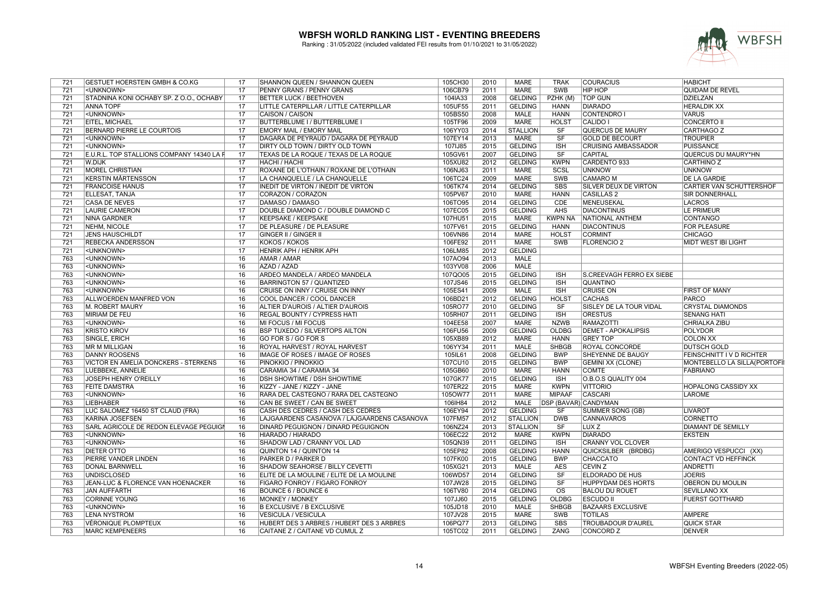

| <b>MARE</b><br>721<br>17<br>PENNY GRANS / PENNY GRANS<br>106CB79<br>2011<br>SWB<br><b>HIP HOP</b><br>QUIDAM DE REVEL<br><unknown><br/><math>\overline{17}</math><br/>2008<br/><b>TOP GUN</b><br/>721<br/>STADNINA KONI OCHABY SP. Z O.O., OCHABY<br/><b>BETTER LUCK / BEETHOVEN</b><br/>104IA33<br/><b>GELDING</b><br/>PZHK (M)<br/>DZIELZAN<br/>721<br/><b>ANNA TOPF</b><br/><math>\overline{17}</math><br/>LITTLE CATERPILLAR / LITTLE CATERPILLAR<br/>105UF55<br/>2011<br/><b>GELDING</b><br/><b>HANN</b><br/><b>DIARADO</b><br/><b>HERALDIK XX</b><br/><math>\overline{17}</math><br/>105BS50<br/>2008<br/><b>MALE</b><br/><b>CONTENDRO I</b><br/>721<br/><unknown><br/>CAISON / CAISON<br/><b>HANN</b><br/><b>VARUS</b><br/><math>\overline{17}</math><br/><b>EITEL, MICHAEL</b><br/><b>BUTTERBLUME I / BUTTERBLUME I</b><br/>105TF96<br/>2009<br/><b>MARE</b><br/><b>HOLST</b><br/>CALIDO I<br/>CONCERTO II<br/>721<br/>17<br/>721<br/><b>BERNARD PIERRE LE COURTOIS</b><br/><b>EMORY MAIL / EMORY MAIL</b><br/>106YY03<br/>2014<br/><b>STALLION</b><br/><b>SF</b><br/><b>QUERCUS DE MAURY</b><br/>CARTHAGO Z<br/>721<br/>17<br/>DAGARA DE PEYRAUD / DAGARA DE PEYRAUD<br/>107EY14<br/>2013<br/>MARE<br/><b>SF</b><br/><b>GOLD DE BECOURT</b><br/><b>TROUPIER</b><br/><unknown><br/>17<br/>107IJ85<br/><b>GELDING</b><br/><b>ISH</b><br/>721<br/><unknown><br/>DIRTY OLD TOWN / DIRTY OLD TOWN<br/>2015<br/><b>CRUISING AMBASSADOR</b><br/>PUISSANCE<br/>SF<br/>E.U.R.L. TOP STALLIONS COMPANY 14340 LA F<br/>17<br/>TEXAS DE LA ROQUE / TEXAS DE LA ROQUE<br/>105GV61<br/>2007<br/><b>GELDING</b><br/><b>CAPITAL</b><br/>721<br/>QUERCUS DU MAURY*HN<br/>17<br/>721<br/>W.DIJK<br/><b>HACHI / HACHI</b><br/>105XU82<br/>2012<br/><b>GELDING</b><br/><b>KWPN</b><br/>CARDENTO 933<br/>CARTHINO Z<br/><b>MOREL CHRISTIAN</b><br/>17<br/>ROXANE DE L'OTHAIN / ROXANE DE L'OTHAIN<br/>106NJ63<br/>2011<br/><b>MARE</b><br/>SCSL<br/><b>UNKNOW</b><br/><b>UNKNOW</b><br/>721<br/><math>\overline{17}</math><br/>721<br/><b>KERSTIN MÅRTENSSON</b><br/>LA CHANQUELLE / LA CHANQUELLE<br/>106TC24<br/>2009<br/><b>MARE</b><br/><b>SWB</b><br/><b>CAMARO M</b><br/><b>DE LA GARDIE</b><br/>721<br/><math>\overline{17}</math><br/><b>GELDING</b><br/><b>SBS</b><br/><b>SILVER DEUX DE VIRTON</b><br/><b>FRANCOISE HANUS</b><br/>INEDIT DE VIRTON / INEDIT DE VIRTON<br/>106TK74<br/>2014<br/><b>CARTIER VAN SCHUTTERSHOF</b><br/>ELLESAT, TANJA<br/>17<br/>CORAZON / CORAZON<br/>105PV67<br/>2010<br/><b>MARE</b><br/><b>HANN</b><br/><b>CASILLAS 2</b><br/><b>SIR DONNERHALL</b><br/>721<br/><math>\overline{17}</math><br/>2014<br/><b>GELDING</b><br/><b>CDE</b><br/>721<br/><b>CASA DE NEVES</b><br/>DAMASO / DAMASO<br/>106TO95<br/>MENEUSEKAL<br/>LACROS<br/>17<br/>721<br/><b>LAURIE CAMERON</b><br/>DOUBLE DIAMOND C / DOUBLE DIAMOND C<br/>107EC05<br/>2015<br/><b>GELDING</b><br/>AHS<br/><b>DIACONTINUS</b><br/>LE PRIMEUR<br/>17<br/><b>MARE</b><br/><b>KWPN NA</b><br/><b>CONTANGO</b><br/>721<br/>NINA GARDNER<br/>KEEPSAKE / KEEPSAKE<br/>107HU51<br/>2015<br/>NATIONAL ANTHEM<br/><math>\overline{17}</math><br/><b>GELDING</b><br/><b>HANN</b><br/>721<br/>NEHM, NICOLE<br/>DE PLEASURE / DE PLEASURE<br/>107FV61<br/>2015<br/><b>DIACONTINUS</b><br/><b>FOR PLEASURE</b><br/>17<br/><b>CHICAGO</b><br/>721<br/><b>JENS HAUSCHILDT</b><br/>GINGER II / GINGER II<br/>106VN86<br/>2014<br/>MARE<br/><b>HOLST</b><br/><b>CORMINT</b><br/>17<br/><b>KOKOS / KOKOS</b><br/>106FE92<br/>2011<br/><b>MARE</b><br/><b>SWB</b><br/><b>FLORENCIO 2</b><br/>MIDT WEST IBI LIGHT<br/>721<br/><b>REBECKA ANDERSSON</b><br/>721<br/>17<br/>106LM85<br/>2012<br/><b>GELDING</b><br/><unknown><br/>HENRIK APH / HENRIK APH<br/>16<br/>763<br/><unknown><br/><b>AMAR / AMAR</b><br/>107AO94<br/>2013<br/><b>MALE</b><br/>16<br/>763<br/>AZAD / AZAD<br/>103YV08<br/>2006<br/><b>MALE</b><br/><unknown><br/>763<br/><unknown><br/>16<br/>ARDEO MANDELA / ARDEO MANDELA<br/>107QO05<br/>2015<br/><b>GELDING</b><br/><b>ISH</b><br/>S.CREEVAGH FERRO EX SIEBE<br/>16<br/>763<br/><unknown><br/><b>BARRINGTON 57 / QUANTIZED</b><br/>107JS46<br/>2015<br/><b>GELDING</b><br/><b>ISH</b><br/><b>QUANTINO</b><br/>763<br/>16<br/>105ES41<br/>2009<br/><b>MALE</b><br/><b>ISH</b><br/><b>FIRST OF MANY</b><br/><unknown><br/>CRUISE ON INNY / CRUISE ON INNY<br/><b>CRUISE ON</b><br/><b>GELDING</b><br/><b>PARCO</b><br/>763<br/>ALLWOERDEN MANFRED VON<br/>16<br/>COOL DANCER / COOL DANCER<br/>106BD21<br/>2012<br/><b>HOLST</b><br/><b>CACHAS</b><br/><math>\overline{16}</math><br/>105RO77<br/>2010<br/><b>GELDING</b><br/>SF<br/>SISLEY DE LA TOUR VIDAL<br/><b>CRYSTAL DIAMONDS</b><br/>763<br/>M. ROBERT MAURY<br/>ALTIER D'AUROIS / ALTIER D'AUROIS<br/>763<br/><b>MIRIAM DE FEU</b><br/>16<br/>REGAL BOUNTY / CYPRESS HATI<br/>105RH07<br/>2011<br/><b>GELDING</b><br/><b>ISH</b><br/><b>ORESTUS</b><br/><b>SENANG HATI</b><br/>763<br/><unknown><br/>16<br/>MI FOCUS / MI FOCUS<br/>104EE58<br/>2007<br/><b>MARE</b><br/><b>NZWB</b><br/><b>RAMAZOTTI</b><br/><b>CHRIALKA ZIBU</b><br/>16<br/>2009<br/><b>GELDING</b><br/><b>OLDBG</b><br/><b>DEMET - APOKALIPSIS</b><br/>763<br/><b>KRISTO KIROV</b><br/><b>BSP TUXEDO / SILVERTOPS AILTON</b><br/>106FU56<br/><b>POLYDOR</b><br/>16<br/>GO FOR S / GO FOR S<br/>105XB89<br/>2012<br/><b>MARE</b><br/><b>HANN</b><br/><b>GREY TOP</b><br/><b>COLON XX</b><br/>763<br/>SINGLE, ERICH<br/>16<br/><b>SHBGB</b><br/>763<br/><b>MR M MILLIGAN</b><br/>ROYAL HARVEST / ROYAL HARVEST<br/>106YY34<br/>2011<br/>MALE<br/>ROYAL CONCORDE<br/><b>DUTSCH GOLD</b><br/>763<br/>16<br/>IMAGE OF ROSES / IMAGE OF ROSES<br/>105IL61<br/>2008<br/><b>GELDING</b><br/><b>BWP</b><br/><b>SHEYENNE DE BAUGY</b><br/><b>FEINSCHNITT IV D RICHTER</b><br/><b>DANNY ROOSENS</b><br/>763<br/><b>VICTOR EN AMELIA DONCKERS - STERKENS</b><br/>16<br/>PINOKKIO / PINOKKIO<br/><b>GELDING</b><br/><b>BWP</b><br/>MONTEBELLO LA SILLA (PORTOFII<br/>107CU10<br/>2015<br/><b>GEMINI XX (CLONE)</b><br/>16<br/>763<br/>LUEBBEKE, ANNELIE<br/>CARAMIA 34 / CARAMIA 34<br/>105GB60<br/>2010<br/>MARE<br/><b>HANN</b><br/><b>COMTE</b><br/><b>FABRIANO</b><br/><b>ISH</b><br/>763<br/>JOSEPH HENRY O'REILLY<br/>16<br/><b>DSH SHOWTIME / DSH SHOWTIME</b><br/>107GK77<br/>2015<br/><b>GELDING</b><br/>O.B.O.S QUALITY 004<br/>16<br/>763<br/><b>FEITE DAMSTRA</b><br/>KIZZY - JANE / KIZZY - JANE<br/>107ER22<br/>2015<br/><b>MARE</b><br/><b>KWPN</b><br/><b>VITTORIO</b><br/><b>HOPALONG CASSIDY XX</b><br/><math>\overline{16}</math><br/><b>MARE</b><br/>763<br/>RARA DEL CASTEGNO / RARA DEL CASTEGNO<br/>1050W77<br/>2011<br/><b>MIPAAF</b><br/><b>CASCARI</b><br/><b>LAROME</b><br/><unknown><br/>16<br/><b>MALE</b><br/><b>DSP (BAVAR) CANDYMAN</b><br/>763<br/><b>LIEBHABER</b><br/>CAN BE SWEET / CAN BE SWEET<br/>106IH84<br/>2012<br/><math>\overline{16}</math><br/>763<br/>LUC SALOMEZ 16450 ST CLAUD (FRA)<br/>CASH DES CEDRES / CASH DES CEDRES<br/>106EY94<br/>2012<br/><b>GELDING</b><br/><b>SUMMER SONG (GB)</b><br/><b>SF</b><br/>LIVAROT<br/>763<br/>KARINA JOSEFSEN<br/>16<br/>LAJGAARDENS CASANOVA / LAJGAARDENS CASANOVA<br/>107FM57<br/>2012<br/><b>STALLION</b><br/><b>DWB</b><br/><b>CANNAVAROS</b><br/><b>CORNETTO</b><br/>763<br/>SARL AGRICOLE DE REDON ELEVAGE PEGUIGI<br/>16<br/>DINARD PEGUIGNON / DINARD PEGUIGNON<br/>106NZ24<br/>2013<br/><b>STALLION</b><br/><b>SF</b><br/>LUX<sub>Z</sub><br/><b>DIAMANT DE SEMILLY</b><br/>763<br/>16<br/>106EC22<br/><b>MARE</b><br/><b>KWPN</b><br/><b>DIARADO</b><br/><unknown><br/>HIARADO / HIARADO<br/>2012<br/><b>EKSTEIN</b><br/>763<br/><unknown><br/>16<br/>SHADOW LAD / CRANNY VOL LAD<br/>105QN39<br/>2011<br/><b>GELDING</b><br/><b>ISH</b><br/><b>CRANNY VOL CLOVER</b><br/>16<br/>105EP82<br/>2008<br/>763<br/><b>DIETER OTTO</b><br/>QUINTON 14 / QUINTON 14<br/><b>GELDING</b><br/><b>HANN</b><br/>QUICKSILBER (BRDBG)<br/>AMERIGO VESPUCCI (XX)<br/>PIERRE VANDER LINDEN<br/>16<br/>PARKER D / PARKER D<br/>107FK00<br/>2015<br/><b>GELDING</b><br/><b>BWP</b><br/><b>CHACCATO</b><br/><b>CONTACT VD HEFFINCK</b><br/>763<br/><math>\overline{16}</math><br/>763<br/><b>DONAL BARNWELL</b><br/>SHADOW SEAHORSE / BILLY CEVETTI<br/>105XG21<br/>2013<br/><b>MALE</b><br/><b>AES</b><br/><b>CEVIN Z</b><br/>ANDRETTI<br/>763<br/>16<br/>2014<br/><b>GELDING</b><br/><math>\overline{\text{S}}</math>F<br/><b>JOERIS</b><br/><b>UNDISCLOSED</b><br/>ELITE DE LA MOULINE / ELITE DE LA MOULINE<br/>106WD57<br/><b>ELDORADO DE HUS</b><br/>JEAN-LUC &amp; FLORENCE VAN HOENACKER<br/>16<br/>FIGARO FONROY / FIGARO FONROY<br/>107JW28<br/>2015<br/><b>GELDING</b><br/>SF<br/><b>HUPPYDAM DES HORTS</b><br/><b>OBERON DU MOULIN</b><br/>763<br/>16<br/>2014<br/><math>\overline{\text{OS}}</math><br/>763<br/>JAN AUFFARTH<br/>BOUNCE 6 / BOUNCE 6<br/>106TV80<br/><b>GELDING</b><br/><b>BALOU DU ROUET</b><br/><b>SEVILLANO XX</b><br/><b>OLDBG</b><br/>763<br/><b>CORINNE YOUNG</b><br/>16<br/><b>MONKEY / MONKEY</b><br/>107JJ60<br/>2015<br/><b>GELDING</b><br/><b>ESCUDO II</b><br/><b>FUERST GOTTHARD</b><br/><b>SHBGB</b><br/><b>BAZAARS EXCLUSIVE</b><br/>763<br/><unknown><br/>16<br/><b>B EXCLUSIVE / B EXCLUSIVE</b><br/>105JD18<br/>2010<br/>MALE<br/>16<br/>763<br/>LENA NYSTRÖM<br/><b>VESICULA / VESICULA</b><br/>107JV28<br/>2015<br/>MARE<br/>SWB<br/><b>TOTILAS</b><br/><b>AMPERE</b><br/>763<br/>Véronique plompteux<br/>16<br/>HUBERT DES 3 ARBRES / HUBERT DES 3 ARBRES<br/>106PQ77<br/>2013<br/><b>GELDING</b><br/><b>SBS</b><br/>TROUBADOUR D'AUREL<br/>QUICK STAR<br/>763<br/><b>MARC KEMPENEERS</b><br/>16<br/>CAITANE Z / CAITANE VD CUMUL Z<br/>105TC02<br/>2011<br/><b>GELDING</b><br/><b>ZANG</b><br/><b>CONCORD Z</b><br/><b>DENVER</b></unknown></unknown></unknown></unknown></unknown></unknown></unknown></unknown></unknown></unknown></unknown></unknown></unknown></unknown></unknown> | 721 | <b>GESTUET HOERSTEIN GMBH &amp; CO.KG</b> | 17 | SHANNON QUEEN / SHANNON QUEEN | 105CH30 | 2010 | MARE | <b>TRAK</b> | <b>COURACIUS</b> | <b>HABICHT</b> |
|---------------------------------------------------------------------------------------------------------------------------------------------------------------------------------------------------------------------------------------------------------------------------------------------------------------------------------------------------------------------------------------------------------------------------------------------------------------------------------------------------------------------------------------------------------------------------------------------------------------------------------------------------------------------------------------------------------------------------------------------------------------------------------------------------------------------------------------------------------------------------------------------------------------------------------------------------------------------------------------------------------------------------------------------------------------------------------------------------------------------------------------------------------------------------------------------------------------------------------------------------------------------------------------------------------------------------------------------------------------------------------------------------------------------------------------------------------------------------------------------------------------------------------------------------------------------------------------------------------------------------------------------------------------------------------------------------------------------------------------------------------------------------------------------------------------------------------------------------------------------------------------------------------------------------------------------------------------------------------------------------------------------------------------------------------------------------------------------------------------------------------------------------------------------------------------------------------------------------------------------------------------------------------------------------------------------------------------------------------------------------------------------------------------------------------------------------------------------------------------------------------------------------------------------------------------------------------------------------------------------------------------------------------------------------------------------------------------------------------------------------------------------------------------------------------------------------------------------------------------------------------------------------------------------------------------------------------------------------------------------------------------------------------------------------------------------------------------------------------------------------------------------------------------------------------------------------------------------------------------------------------------------------------------------------------------------------------------------------------------------------------------------------------------------------------------------------------------------------------------------------------------------------------------------------------------------------------------------------------------------------------------------------------------------------------------------------------------------------------------------------------------------------------------------------------------------------------------------------------------------------------------------------------------------------------------------------------------------------------------------------------------------------------------------------------------------------------------------------------------------------------------------------------------------------------------------------------------------------------------------------------------------------------------------------------------------------------------------------------------------------------------------------------------------------------------------------------------------------------------------------------------------------------------------------------------------------------------------------------------------------------------------------------------------------------------------------------------------------------------------------------------------------------------------------------------------------------------------------------------------------------------------------------------------------------------------------------------------------------------------------------------------------------------------------------------------------------------------------------------------------------------------------------------------------------------------------------------------------------------------------------------------------------------------------------------------------------------------------------------------------------------------------------------------------------------------------------------------------------------------------------------------------------------------------------------------------------------------------------------------------------------------------------------------------------------------------------------------------------------------------------------------------------------------------------------------------------------------------------------------------------------------------------------------------------------------------------------------------------------------------------------------------------------------------------------------------------------------------------------------------------------------------------------------------------------------------------------------------------------------------------------------------------------------------------------------------------------------------------------------------------------------------------------------------------------------------------------------------------------------------------------------------------------------------------------------------------------------------------------------------------------------------------------------------------------------------------------------------------------------------------------------------------------------------------------------------------------------------------------------------------------------------------------------------------------------------------------------------------------------------------------------------------------------------------------------------------------------------------------------------------------------------------------------------------------------------------------------------------------------------------------------------------------------------------------------------------------------------------------------------------------------------------------------------------------------------------------------------------------------------------------------------------------------------------------------------------------------------------------------------------------------------------------------------------------------------------------------------------------------------------------------------------------------------------------------------------------------------------------------------------------------------------------------------------------------------------------------------------------------------------------------------------------------------------------------------------------------------------------------------------------------------------------------------------------------------------------------------------------------------------------------------------------------------------------------------------------------------------------------------------------------------------------------------------------------------------------------------------------------------------------------------------------------------------------------------------------------------------------------------------------------------------------------------------------------------------------------------------------------------------------------------------------------------------------------------------------------------------------------------------------------------------------------------------------------------------------------------------------------------------------------------------------------------------------------------------------------------------------------------------------------------------------------------------------------------------------------------------------------------------------------------------------------------------------------------------------------------------------------------------------------------------------------------------------------------------------------------------------------------------------------------------------------------------------------------------------------------------------------------------------------------------------------------------------------------------------------------------------------------------------------------------------------------------------------------------------------------------------------------------------------------------------------------------------|-----|-------------------------------------------|----|-------------------------------|---------|------|------|-------------|------------------|----------------|
|                                                                                                                                                                                                                                                                                                                                                                                                                                                                                                                                                                                                                                                                                                                                                                                                                                                                                                                                                                                                                                                                                                                                                                                                                                                                                                                                                                                                                                                                                                                                                                                                                                                                                                                                                                                                                                                                                                                                                                                                                                                                                                                                                                                                                                                                                                                                                                                                                                                                                                                                                                                                                                                                                                                                                                                                                                                                                                                                                                                                                                                                                                                                                                                                                                                                                                                                                                                                                                                                                                                                                                                                                                                                                                                                                                                                                                                                                                                                                                                                                                                                                                                                                                                                                                                                                                                                                                                                                                                                                                                                                                                                                                                                                                                                                                                                                                                                                                                                                                                                                                                                                                                                                                                                                                                                                                                                                                                                                                                                                                                                                                                                                                                                                                                                                                                                                                                                                                                                                                                                                                                                                                                                                                                                                                                                                                                                                                                                                                                                                                                                                                                                                                                                                                                                                                                                                                                                                                                                                                                                                                                                                                                                                                                                                                                                                                                                                                                                                                                                                                                                                                                                                                                                                                                                                                                                                                                                                                                                                                                                                                                                                                                                                                                                                                                                                                                                                                                                                                                                                                                                                                                                                                                                                                                                                                                                                                                                                                                                                                                                                                                                                                                                                                                                                                                                                                                                                                                                                                                                                                                                                                                                                                                                                                                                                                                                                                                                                                                                       |     |                                           |    |                               |         |      |      |             |                  |                |
|                                                                                                                                                                                                                                                                                                                                                                                                                                                                                                                                                                                                                                                                                                                                                                                                                                                                                                                                                                                                                                                                                                                                                                                                                                                                                                                                                                                                                                                                                                                                                                                                                                                                                                                                                                                                                                                                                                                                                                                                                                                                                                                                                                                                                                                                                                                                                                                                                                                                                                                                                                                                                                                                                                                                                                                                                                                                                                                                                                                                                                                                                                                                                                                                                                                                                                                                                                                                                                                                                                                                                                                                                                                                                                                                                                                                                                                                                                                                                                                                                                                                                                                                                                                                                                                                                                                                                                                                                                                                                                                                                                                                                                                                                                                                                                                                                                                                                                                                                                                                                                                                                                                                                                                                                                                                                                                                                                                                                                                                                                                                                                                                                                                                                                                                                                                                                                                                                                                                                                                                                                                                                                                                                                                                                                                                                                                                                                                                                                                                                                                                                                                                                                                                                                                                                                                                                                                                                                                                                                                                                                                                                                                                                                                                                                                                                                                                                                                                                                                                                                                                                                                                                                                                                                                                                                                                                                                                                                                                                                                                                                                                                                                                                                                                                                                                                                                                                                                                                                                                                                                                                                                                                                                                                                                                                                                                                                                                                                                                                                                                                                                                                                                                                                                                                                                                                                                                                                                                                                                                                                                                                                                                                                                                                                                                                                                                                                                                                                                                       |     |                                           |    |                               |         |      |      |             |                  |                |
|                                                                                                                                                                                                                                                                                                                                                                                                                                                                                                                                                                                                                                                                                                                                                                                                                                                                                                                                                                                                                                                                                                                                                                                                                                                                                                                                                                                                                                                                                                                                                                                                                                                                                                                                                                                                                                                                                                                                                                                                                                                                                                                                                                                                                                                                                                                                                                                                                                                                                                                                                                                                                                                                                                                                                                                                                                                                                                                                                                                                                                                                                                                                                                                                                                                                                                                                                                                                                                                                                                                                                                                                                                                                                                                                                                                                                                                                                                                                                                                                                                                                                                                                                                                                                                                                                                                                                                                                                                                                                                                                                                                                                                                                                                                                                                                                                                                                                                                                                                                                                                                                                                                                                                                                                                                                                                                                                                                                                                                                                                                                                                                                                                                                                                                                                                                                                                                                                                                                                                                                                                                                                                                                                                                                                                                                                                                                                                                                                                                                                                                                                                                                                                                                                                                                                                                                                                                                                                                                                                                                                                                                                                                                                                                                                                                                                                                                                                                                                                                                                                                                                                                                                                                                                                                                                                                                                                                                                                                                                                                                                                                                                                                                                                                                                                                                                                                                                                                                                                                                                                                                                                                                                                                                                                                                                                                                                                                                                                                                                                                                                                                                                                                                                                                                                                                                                                                                                                                                                                                                                                                                                                                                                                                                                                                                                                                                                                                                                                                                       |     |                                           |    |                               |         |      |      |             |                  |                |
|                                                                                                                                                                                                                                                                                                                                                                                                                                                                                                                                                                                                                                                                                                                                                                                                                                                                                                                                                                                                                                                                                                                                                                                                                                                                                                                                                                                                                                                                                                                                                                                                                                                                                                                                                                                                                                                                                                                                                                                                                                                                                                                                                                                                                                                                                                                                                                                                                                                                                                                                                                                                                                                                                                                                                                                                                                                                                                                                                                                                                                                                                                                                                                                                                                                                                                                                                                                                                                                                                                                                                                                                                                                                                                                                                                                                                                                                                                                                                                                                                                                                                                                                                                                                                                                                                                                                                                                                                                                                                                                                                                                                                                                                                                                                                                                                                                                                                                                                                                                                                                                                                                                                                                                                                                                                                                                                                                                                                                                                                                                                                                                                                                                                                                                                                                                                                                                                                                                                                                                                                                                                                                                                                                                                                                                                                                                                                                                                                                                                                                                                                                                                                                                                                                                                                                                                                                                                                                                                                                                                                                                                                                                                                                                                                                                                                                                                                                                                                                                                                                                                                                                                                                                                                                                                                                                                                                                                                                                                                                                                                                                                                                                                                                                                                                                                                                                                                                                                                                                                                                                                                                                                                                                                                                                                                                                                                                                                                                                                                                                                                                                                                                                                                                                                                                                                                                                                                                                                                                                                                                                                                                                                                                                                                                                                                                                                                                                                                                                                       |     |                                           |    |                               |         |      |      |             |                  |                |
|                                                                                                                                                                                                                                                                                                                                                                                                                                                                                                                                                                                                                                                                                                                                                                                                                                                                                                                                                                                                                                                                                                                                                                                                                                                                                                                                                                                                                                                                                                                                                                                                                                                                                                                                                                                                                                                                                                                                                                                                                                                                                                                                                                                                                                                                                                                                                                                                                                                                                                                                                                                                                                                                                                                                                                                                                                                                                                                                                                                                                                                                                                                                                                                                                                                                                                                                                                                                                                                                                                                                                                                                                                                                                                                                                                                                                                                                                                                                                                                                                                                                                                                                                                                                                                                                                                                                                                                                                                                                                                                                                                                                                                                                                                                                                                                                                                                                                                                                                                                                                                                                                                                                                                                                                                                                                                                                                                                                                                                                                                                                                                                                                                                                                                                                                                                                                                                                                                                                                                                                                                                                                                                                                                                                                                                                                                                                                                                                                                                                                                                                                                                                                                                                                                                                                                                                                                                                                                                                                                                                                                                                                                                                                                                                                                                                                                                                                                                                                                                                                                                                                                                                                                                                                                                                                                                                                                                                                                                                                                                                                                                                                                                                                                                                                                                                                                                                                                                                                                                                                                                                                                                                                                                                                                                                                                                                                                                                                                                                                                                                                                                                                                                                                                                                                                                                                                                                                                                                                                                                                                                                                                                                                                                                                                                                                                                                                                                                                                                                       |     |                                           |    |                               |         |      |      |             |                  |                |
|                                                                                                                                                                                                                                                                                                                                                                                                                                                                                                                                                                                                                                                                                                                                                                                                                                                                                                                                                                                                                                                                                                                                                                                                                                                                                                                                                                                                                                                                                                                                                                                                                                                                                                                                                                                                                                                                                                                                                                                                                                                                                                                                                                                                                                                                                                                                                                                                                                                                                                                                                                                                                                                                                                                                                                                                                                                                                                                                                                                                                                                                                                                                                                                                                                                                                                                                                                                                                                                                                                                                                                                                                                                                                                                                                                                                                                                                                                                                                                                                                                                                                                                                                                                                                                                                                                                                                                                                                                                                                                                                                                                                                                                                                                                                                                                                                                                                                                                                                                                                                                                                                                                                                                                                                                                                                                                                                                                                                                                                                                                                                                                                                                                                                                                                                                                                                                                                                                                                                                                                                                                                                                                                                                                                                                                                                                                                                                                                                                                                                                                                                                                                                                                                                                                                                                                                                                                                                                                                                                                                                                                                                                                                                                                                                                                                                                                                                                                                                                                                                                                                                                                                                                                                                                                                                                                                                                                                                                                                                                                                                                                                                                                                                                                                                                                                                                                                                                                                                                                                                                                                                                                                                                                                                                                                                                                                                                                                                                                                                                                                                                                                                                                                                                                                                                                                                                                                                                                                                                                                                                                                                                                                                                                                                                                                                                                                                                                                                                                                       |     |                                           |    |                               |         |      |      |             |                  |                |
|                                                                                                                                                                                                                                                                                                                                                                                                                                                                                                                                                                                                                                                                                                                                                                                                                                                                                                                                                                                                                                                                                                                                                                                                                                                                                                                                                                                                                                                                                                                                                                                                                                                                                                                                                                                                                                                                                                                                                                                                                                                                                                                                                                                                                                                                                                                                                                                                                                                                                                                                                                                                                                                                                                                                                                                                                                                                                                                                                                                                                                                                                                                                                                                                                                                                                                                                                                                                                                                                                                                                                                                                                                                                                                                                                                                                                                                                                                                                                                                                                                                                                                                                                                                                                                                                                                                                                                                                                                                                                                                                                                                                                                                                                                                                                                                                                                                                                                                                                                                                                                                                                                                                                                                                                                                                                                                                                                                                                                                                                                                                                                                                                                                                                                                                                                                                                                                                                                                                                                                                                                                                                                                                                                                                                                                                                                                                                                                                                                                                                                                                                                                                                                                                                                                                                                                                                                                                                                                                                                                                                                                                                                                                                                                                                                                                                                                                                                                                                                                                                                                                                                                                                                                                                                                                                                                                                                                                                                                                                                                                                                                                                                                                                                                                                                                                                                                                                                                                                                                                                                                                                                                                                                                                                                                                                                                                                                                                                                                                                                                                                                                                                                                                                                                                                                                                                                                                                                                                                                                                                                                                                                                                                                                                                                                                                                                                                                                                                                                                       |     |                                           |    |                               |         |      |      |             |                  |                |
|                                                                                                                                                                                                                                                                                                                                                                                                                                                                                                                                                                                                                                                                                                                                                                                                                                                                                                                                                                                                                                                                                                                                                                                                                                                                                                                                                                                                                                                                                                                                                                                                                                                                                                                                                                                                                                                                                                                                                                                                                                                                                                                                                                                                                                                                                                                                                                                                                                                                                                                                                                                                                                                                                                                                                                                                                                                                                                                                                                                                                                                                                                                                                                                                                                                                                                                                                                                                                                                                                                                                                                                                                                                                                                                                                                                                                                                                                                                                                                                                                                                                                                                                                                                                                                                                                                                                                                                                                                                                                                                                                                                                                                                                                                                                                                                                                                                                                                                                                                                                                                                                                                                                                                                                                                                                                                                                                                                                                                                                                                                                                                                                                                                                                                                                                                                                                                                                                                                                                                                                                                                                                                                                                                                                                                                                                                                                                                                                                                                                                                                                                                                                                                                                                                                                                                                                                                                                                                                                                                                                                                                                                                                                                                                                                                                                                                                                                                                                                                                                                                                                                                                                                                                                                                                                                                                                                                                                                                                                                                                                                                                                                                                                                                                                                                                                                                                                                                                                                                                                                                                                                                                                                                                                                                                                                                                                                                                                                                                                                                                                                                                                                                                                                                                                                                                                                                                                                                                                                                                                                                                                                                                                                                                                                                                                                                                                                                                                                                                                       |     |                                           |    |                               |         |      |      |             |                  |                |
|                                                                                                                                                                                                                                                                                                                                                                                                                                                                                                                                                                                                                                                                                                                                                                                                                                                                                                                                                                                                                                                                                                                                                                                                                                                                                                                                                                                                                                                                                                                                                                                                                                                                                                                                                                                                                                                                                                                                                                                                                                                                                                                                                                                                                                                                                                                                                                                                                                                                                                                                                                                                                                                                                                                                                                                                                                                                                                                                                                                                                                                                                                                                                                                                                                                                                                                                                                                                                                                                                                                                                                                                                                                                                                                                                                                                                                                                                                                                                                                                                                                                                                                                                                                                                                                                                                                                                                                                                                                                                                                                                                                                                                                                                                                                                                                                                                                                                                                                                                                                                                                                                                                                                                                                                                                                                                                                                                                                                                                                                                                                                                                                                                                                                                                                                                                                                                                                                                                                                                                                                                                                                                                                                                                                                                                                                                                                                                                                                                                                                                                                                                                                                                                                                                                                                                                                                                                                                                                                                                                                                                                                                                                                                                                                                                                                                                                                                                                                                                                                                                                                                                                                                                                                                                                                                                                                                                                                                                                                                                                                                                                                                                                                                                                                                                                                                                                                                                                                                                                                                                                                                                                                                                                                                                                                                                                                                                                                                                                                                                                                                                                                                                                                                                                                                                                                                                                                                                                                                                                                                                                                                                                                                                                                                                                                                                                                                                                                                                                                       |     |                                           |    |                               |         |      |      |             |                  |                |
|                                                                                                                                                                                                                                                                                                                                                                                                                                                                                                                                                                                                                                                                                                                                                                                                                                                                                                                                                                                                                                                                                                                                                                                                                                                                                                                                                                                                                                                                                                                                                                                                                                                                                                                                                                                                                                                                                                                                                                                                                                                                                                                                                                                                                                                                                                                                                                                                                                                                                                                                                                                                                                                                                                                                                                                                                                                                                                                                                                                                                                                                                                                                                                                                                                                                                                                                                                                                                                                                                                                                                                                                                                                                                                                                                                                                                                                                                                                                                                                                                                                                                                                                                                                                                                                                                                                                                                                                                                                                                                                                                                                                                                                                                                                                                                                                                                                                                                                                                                                                                                                                                                                                                                                                                                                                                                                                                                                                                                                                                                                                                                                                                                                                                                                                                                                                                                                                                                                                                                                                                                                                                                                                                                                                                                                                                                                                                                                                                                                                                                                                                                                                                                                                                                                                                                                                                                                                                                                                                                                                                                                                                                                                                                                                                                                                                                                                                                                                                                                                                                                                                                                                                                                                                                                                                                                                                                                                                                                                                                                                                                                                                                                                                                                                                                                                                                                                                                                                                                                                                                                                                                                                                                                                                                                                                                                                                                                                                                                                                                                                                                                                                                                                                                                                                                                                                                                                                                                                                                                                                                                                                                                                                                                                                                                                                                                                                                                                                                                                       |     |                                           |    |                               |         |      |      |             |                  |                |
|                                                                                                                                                                                                                                                                                                                                                                                                                                                                                                                                                                                                                                                                                                                                                                                                                                                                                                                                                                                                                                                                                                                                                                                                                                                                                                                                                                                                                                                                                                                                                                                                                                                                                                                                                                                                                                                                                                                                                                                                                                                                                                                                                                                                                                                                                                                                                                                                                                                                                                                                                                                                                                                                                                                                                                                                                                                                                                                                                                                                                                                                                                                                                                                                                                                                                                                                                                                                                                                                                                                                                                                                                                                                                                                                                                                                                                                                                                                                                                                                                                                                                                                                                                                                                                                                                                                                                                                                                                                                                                                                                                                                                                                                                                                                                                                                                                                                                                                                                                                                                                                                                                                                                                                                                                                                                                                                                                                                                                                                                                                                                                                                                                                                                                                                                                                                                                                                                                                                                                                                                                                                                                                                                                                                                                                                                                                                                                                                                                                                                                                                                                                                                                                                                                                                                                                                                                                                                                                                                                                                                                                                                                                                                                                                                                                                                                                                                                                                                                                                                                                                                                                                                                                                                                                                                                                                                                                                                                                                                                                                                                                                                                                                                                                                                                                                                                                                                                                                                                                                                                                                                                                                                                                                                                                                                                                                                                                                                                                                                                                                                                                                                                                                                                                                                                                                                                                                                                                                                                                                                                                                                                                                                                                                                                                                                                                                                                                                                                                                       |     |                                           |    |                               |         |      |      |             |                  |                |
|                                                                                                                                                                                                                                                                                                                                                                                                                                                                                                                                                                                                                                                                                                                                                                                                                                                                                                                                                                                                                                                                                                                                                                                                                                                                                                                                                                                                                                                                                                                                                                                                                                                                                                                                                                                                                                                                                                                                                                                                                                                                                                                                                                                                                                                                                                                                                                                                                                                                                                                                                                                                                                                                                                                                                                                                                                                                                                                                                                                                                                                                                                                                                                                                                                                                                                                                                                                                                                                                                                                                                                                                                                                                                                                                                                                                                                                                                                                                                                                                                                                                                                                                                                                                                                                                                                                                                                                                                                                                                                                                                                                                                                                                                                                                                                                                                                                                                                                                                                                                                                                                                                                                                                                                                                                                                                                                                                                                                                                                                                                                                                                                                                                                                                                                                                                                                                                                                                                                                                                                                                                                                                                                                                                                                                                                                                                                                                                                                                                                                                                                                                                                                                                                                                                                                                                                                                                                                                                                                                                                                                                                                                                                                                                                                                                                                                                                                                                                                                                                                                                                                                                                                                                                                                                                                                                                                                                                                                                                                                                                                                                                                                                                                                                                                                                                                                                                                                                                                                                                                                                                                                                                                                                                                                                                                                                                                                                                                                                                                                                                                                                                                                                                                                                                                                                                                                                                                                                                                                                                                                                                                                                                                                                                                                                                                                                                                                                                                                                                       |     |                                           |    |                               |         |      |      |             |                  |                |
|                                                                                                                                                                                                                                                                                                                                                                                                                                                                                                                                                                                                                                                                                                                                                                                                                                                                                                                                                                                                                                                                                                                                                                                                                                                                                                                                                                                                                                                                                                                                                                                                                                                                                                                                                                                                                                                                                                                                                                                                                                                                                                                                                                                                                                                                                                                                                                                                                                                                                                                                                                                                                                                                                                                                                                                                                                                                                                                                                                                                                                                                                                                                                                                                                                                                                                                                                                                                                                                                                                                                                                                                                                                                                                                                                                                                                                                                                                                                                                                                                                                                                                                                                                                                                                                                                                                                                                                                                                                                                                                                                                                                                                                                                                                                                                                                                                                                                                                                                                                                                                                                                                                                                                                                                                                                                                                                                                                                                                                                                                                                                                                                                                                                                                                                                                                                                                                                                                                                                                                                                                                                                                                                                                                                                                                                                                                                                                                                                                                                                                                                                                                                                                                                                                                                                                                                                                                                                                                                                                                                                                                                                                                                                                                                                                                                                                                                                                                                                                                                                                                                                                                                                                                                                                                                                                                                                                                                                                                                                                                                                                                                                                                                                                                                                                                                                                                                                                                                                                                                                                                                                                                                                                                                                                                                                                                                                                                                                                                                                                                                                                                                                                                                                                                                                                                                                                                                                                                                                                                                                                                                                                                                                                                                                                                                                                                                                                                                                                                                       |     |                                           |    |                               |         |      |      |             |                  |                |
|                                                                                                                                                                                                                                                                                                                                                                                                                                                                                                                                                                                                                                                                                                                                                                                                                                                                                                                                                                                                                                                                                                                                                                                                                                                                                                                                                                                                                                                                                                                                                                                                                                                                                                                                                                                                                                                                                                                                                                                                                                                                                                                                                                                                                                                                                                                                                                                                                                                                                                                                                                                                                                                                                                                                                                                                                                                                                                                                                                                                                                                                                                                                                                                                                                                                                                                                                                                                                                                                                                                                                                                                                                                                                                                                                                                                                                                                                                                                                                                                                                                                                                                                                                                                                                                                                                                                                                                                                                                                                                                                                                                                                                                                                                                                                                                                                                                                                                                                                                                                                                                                                                                                                                                                                                                                                                                                                                                                                                                                                                                                                                                                                                                                                                                                                                                                                                                                                                                                                                                                                                                                                                                                                                                                                                                                                                                                                                                                                                                                                                                                                                                                                                                                                                                                                                                                                                                                                                                                                                                                                                                                                                                                                                                                                                                                                                                                                                                                                                                                                                                                                                                                                                                                                                                                                                                                                                                                                                                                                                                                                                                                                                                                                                                                                                                                                                                                                                                                                                                                                                                                                                                                                                                                                                                                                                                                                                                                                                                                                                                                                                                                                                                                                                                                                                                                                                                                                                                                                                                                                                                                                                                                                                                                                                                                                                                                                                                                                                                                       |     |                                           |    |                               |         |      |      |             |                  |                |
|                                                                                                                                                                                                                                                                                                                                                                                                                                                                                                                                                                                                                                                                                                                                                                                                                                                                                                                                                                                                                                                                                                                                                                                                                                                                                                                                                                                                                                                                                                                                                                                                                                                                                                                                                                                                                                                                                                                                                                                                                                                                                                                                                                                                                                                                                                                                                                                                                                                                                                                                                                                                                                                                                                                                                                                                                                                                                                                                                                                                                                                                                                                                                                                                                                                                                                                                                                                                                                                                                                                                                                                                                                                                                                                                                                                                                                                                                                                                                                                                                                                                                                                                                                                                                                                                                                                                                                                                                                                                                                                                                                                                                                                                                                                                                                                                                                                                                                                                                                                                                                                                                                                                                                                                                                                                                                                                                                                                                                                                                                                                                                                                                                                                                                                                                                                                                                                                                                                                                                                                                                                                                                                                                                                                                                                                                                                                                                                                                                                                                                                                                                                                                                                                                                                                                                                                                                                                                                                                                                                                                                                                                                                                                                                                                                                                                                                                                                                                                                                                                                                                                                                                                                                                                                                                                                                                                                                                                                                                                                                                                                                                                                                                                                                                                                                                                                                                                                                                                                                                                                                                                                                                                                                                                                                                                                                                                                                                                                                                                                                                                                                                                                                                                                                                                                                                                                                                                                                                                                                                                                                                                                                                                                                                                                                                                                                                                                                                                                                                       |     |                                           |    |                               |         |      |      |             |                  |                |
|                                                                                                                                                                                                                                                                                                                                                                                                                                                                                                                                                                                                                                                                                                                                                                                                                                                                                                                                                                                                                                                                                                                                                                                                                                                                                                                                                                                                                                                                                                                                                                                                                                                                                                                                                                                                                                                                                                                                                                                                                                                                                                                                                                                                                                                                                                                                                                                                                                                                                                                                                                                                                                                                                                                                                                                                                                                                                                                                                                                                                                                                                                                                                                                                                                                                                                                                                                                                                                                                                                                                                                                                                                                                                                                                                                                                                                                                                                                                                                                                                                                                                                                                                                                                                                                                                                                                                                                                                                                                                                                                                                                                                                                                                                                                                                                                                                                                                                                                                                                                                                                                                                                                                                                                                                                                                                                                                                                                                                                                                                                                                                                                                                                                                                                                                                                                                                                                                                                                                                                                                                                                                                                                                                                                                                                                                                                                                                                                                                                                                                                                                                                                                                                                                                                                                                                                                                                                                                                                                                                                                                                                                                                                                                                                                                                                                                                                                                                                                                                                                                                                                                                                                                                                                                                                                                                                                                                                                                                                                                                                                                                                                                                                                                                                                                                                                                                                                                                                                                                                                                                                                                                                                                                                                                                                                                                                                                                                                                                                                                                                                                                                                                                                                                                                                                                                                                                                                                                                                                                                                                                                                                                                                                                                                                                                                                                                                                                                                                                                       |     |                                           |    |                               |         |      |      |             |                  |                |
|                                                                                                                                                                                                                                                                                                                                                                                                                                                                                                                                                                                                                                                                                                                                                                                                                                                                                                                                                                                                                                                                                                                                                                                                                                                                                                                                                                                                                                                                                                                                                                                                                                                                                                                                                                                                                                                                                                                                                                                                                                                                                                                                                                                                                                                                                                                                                                                                                                                                                                                                                                                                                                                                                                                                                                                                                                                                                                                                                                                                                                                                                                                                                                                                                                                                                                                                                                                                                                                                                                                                                                                                                                                                                                                                                                                                                                                                                                                                                                                                                                                                                                                                                                                                                                                                                                                                                                                                                                                                                                                                                                                                                                                                                                                                                                                                                                                                                                                                                                                                                                                                                                                                                                                                                                                                                                                                                                                                                                                                                                                                                                                                                                                                                                                                                                                                                                                                                                                                                                                                                                                                                                                                                                                                                                                                                                                                                                                                                                                                                                                                                                                                                                                                                                                                                                                                                                                                                                                                                                                                                                                                                                                                                                                                                                                                                                                                                                                                                                                                                                                                                                                                                                                                                                                                                                                                                                                                                                                                                                                                                                                                                                                                                                                                                                                                                                                                                                                                                                                                                                                                                                                                                                                                                                                                                                                                                                                                                                                                                                                                                                                                                                                                                                                                                                                                                                                                                                                                                                                                                                                                                                                                                                                                                                                                                                                                                                                                                                                                       |     |                                           |    |                               |         |      |      |             |                  |                |
|                                                                                                                                                                                                                                                                                                                                                                                                                                                                                                                                                                                                                                                                                                                                                                                                                                                                                                                                                                                                                                                                                                                                                                                                                                                                                                                                                                                                                                                                                                                                                                                                                                                                                                                                                                                                                                                                                                                                                                                                                                                                                                                                                                                                                                                                                                                                                                                                                                                                                                                                                                                                                                                                                                                                                                                                                                                                                                                                                                                                                                                                                                                                                                                                                                                                                                                                                                                                                                                                                                                                                                                                                                                                                                                                                                                                                                                                                                                                                                                                                                                                                                                                                                                                                                                                                                                                                                                                                                                                                                                                                                                                                                                                                                                                                                                                                                                                                                                                                                                                                                                                                                                                                                                                                                                                                                                                                                                                                                                                                                                                                                                                                                                                                                                                                                                                                                                                                                                                                                                                                                                                                                                                                                                                                                                                                                                                                                                                                                                                                                                                                                                                                                                                                                                                                                                                                                                                                                                                                                                                                                                                                                                                                                                                                                                                                                                                                                                                                                                                                                                                                                                                                                                                                                                                                                                                                                                                                                                                                                                                                                                                                                                                                                                                                                                                                                                                                                                                                                                                                                                                                                                                                                                                                                                                                                                                                                                                                                                                                                                                                                                                                                                                                                                                                                                                                                                                                                                                                                                                                                                                                                                                                                                                                                                                                                                                                                                                                                                                       |     |                                           |    |                               |         |      |      |             |                  |                |
|                                                                                                                                                                                                                                                                                                                                                                                                                                                                                                                                                                                                                                                                                                                                                                                                                                                                                                                                                                                                                                                                                                                                                                                                                                                                                                                                                                                                                                                                                                                                                                                                                                                                                                                                                                                                                                                                                                                                                                                                                                                                                                                                                                                                                                                                                                                                                                                                                                                                                                                                                                                                                                                                                                                                                                                                                                                                                                                                                                                                                                                                                                                                                                                                                                                                                                                                                                                                                                                                                                                                                                                                                                                                                                                                                                                                                                                                                                                                                                                                                                                                                                                                                                                                                                                                                                                                                                                                                                                                                                                                                                                                                                                                                                                                                                                                                                                                                                                                                                                                                                                                                                                                                                                                                                                                                                                                                                                                                                                                                                                                                                                                                                                                                                                                                                                                                                                                                                                                                                                                                                                                                                                                                                                                                                                                                                                                                                                                                                                                                                                                                                                                                                                                                                                                                                                                                                                                                                                                                                                                                                                                                                                                                                                                                                                                                                                                                                                                                                                                                                                                                                                                                                                                                                                                                                                                                                                                                                                                                                                                                                                                                                                                                                                                                                                                                                                                                                                                                                                                                                                                                                                                                                                                                                                                                                                                                                                                                                                                                                                                                                                                                                                                                                                                                                                                                                                                                                                                                                                                                                                                                                                                                                                                                                                                                                                                                                                                                                                                       |     |                                           |    |                               |         |      |      |             |                  |                |
|                                                                                                                                                                                                                                                                                                                                                                                                                                                                                                                                                                                                                                                                                                                                                                                                                                                                                                                                                                                                                                                                                                                                                                                                                                                                                                                                                                                                                                                                                                                                                                                                                                                                                                                                                                                                                                                                                                                                                                                                                                                                                                                                                                                                                                                                                                                                                                                                                                                                                                                                                                                                                                                                                                                                                                                                                                                                                                                                                                                                                                                                                                                                                                                                                                                                                                                                                                                                                                                                                                                                                                                                                                                                                                                                                                                                                                                                                                                                                                                                                                                                                                                                                                                                                                                                                                                                                                                                                                                                                                                                                                                                                                                                                                                                                                                                                                                                                                                                                                                                                                                                                                                                                                                                                                                                                                                                                                                                                                                                                                                                                                                                                                                                                                                                                                                                                                                                                                                                                                                                                                                                                                                                                                                                                                                                                                                                                                                                                                                                                                                                                                                                                                                                                                                                                                                                                                                                                                                                                                                                                                                                                                                                                                                                                                                                                                                                                                                                                                                                                                                                                                                                                                                                                                                                                                                                                                                                                                                                                                                                                                                                                                                                                                                                                                                                                                                                                                                                                                                                                                                                                                                                                                                                                                                                                                                                                                                                                                                                                                                                                                                                                                                                                                                                                                                                                                                                                                                                                                                                                                                                                                                                                                                                                                                                                                                                                                                                                                                                       |     |                                           |    |                               |         |      |      |             |                  |                |
|                                                                                                                                                                                                                                                                                                                                                                                                                                                                                                                                                                                                                                                                                                                                                                                                                                                                                                                                                                                                                                                                                                                                                                                                                                                                                                                                                                                                                                                                                                                                                                                                                                                                                                                                                                                                                                                                                                                                                                                                                                                                                                                                                                                                                                                                                                                                                                                                                                                                                                                                                                                                                                                                                                                                                                                                                                                                                                                                                                                                                                                                                                                                                                                                                                                                                                                                                                                                                                                                                                                                                                                                                                                                                                                                                                                                                                                                                                                                                                                                                                                                                                                                                                                                                                                                                                                                                                                                                                                                                                                                                                                                                                                                                                                                                                                                                                                                                                                                                                                                                                                                                                                                                                                                                                                                                                                                                                                                                                                                                                                                                                                                                                                                                                                                                                                                                                                                                                                                                                                                                                                                                                                                                                                                                                                                                                                                                                                                                                                                                                                                                                                                                                                                                                                                                                                                                                                                                                                                                                                                                                                                                                                                                                                                                                                                                                                                                                                                                                                                                                                                                                                                                                                                                                                                                                                                                                                                                                                                                                                                                                                                                                                                                                                                                                                                                                                                                                                                                                                                                                                                                                                                                                                                                                                                                                                                                                                                                                                                                                                                                                                                                                                                                                                                                                                                                                                                                                                                                                                                                                                                                                                                                                                                                                                                                                                                                                                                                                                                       |     |                                           |    |                               |         |      |      |             |                  |                |
|                                                                                                                                                                                                                                                                                                                                                                                                                                                                                                                                                                                                                                                                                                                                                                                                                                                                                                                                                                                                                                                                                                                                                                                                                                                                                                                                                                                                                                                                                                                                                                                                                                                                                                                                                                                                                                                                                                                                                                                                                                                                                                                                                                                                                                                                                                                                                                                                                                                                                                                                                                                                                                                                                                                                                                                                                                                                                                                                                                                                                                                                                                                                                                                                                                                                                                                                                                                                                                                                                                                                                                                                                                                                                                                                                                                                                                                                                                                                                                                                                                                                                                                                                                                                                                                                                                                                                                                                                                                                                                                                                                                                                                                                                                                                                                                                                                                                                                                                                                                                                                                                                                                                                                                                                                                                                                                                                                                                                                                                                                                                                                                                                                                                                                                                                                                                                                                                                                                                                                                                                                                                                                                                                                                                                                                                                                                                                                                                                                                                                                                                                                                                                                                                                                                                                                                                                                                                                                                                                                                                                                                                                                                                                                                                                                                                                                                                                                                                                                                                                                                                                                                                                                                                                                                                                                                                                                                                                                                                                                                                                                                                                                                                                                                                                                                                                                                                                                                                                                                                                                                                                                                                                                                                                                                                                                                                                                                                                                                                                                                                                                                                                                                                                                                                                                                                                                                                                                                                                                                                                                                                                                                                                                                                                                                                                                                                                                                                                                                                       |     |                                           |    |                               |         |      |      |             |                  |                |
|                                                                                                                                                                                                                                                                                                                                                                                                                                                                                                                                                                                                                                                                                                                                                                                                                                                                                                                                                                                                                                                                                                                                                                                                                                                                                                                                                                                                                                                                                                                                                                                                                                                                                                                                                                                                                                                                                                                                                                                                                                                                                                                                                                                                                                                                                                                                                                                                                                                                                                                                                                                                                                                                                                                                                                                                                                                                                                                                                                                                                                                                                                                                                                                                                                                                                                                                                                                                                                                                                                                                                                                                                                                                                                                                                                                                                                                                                                                                                                                                                                                                                                                                                                                                                                                                                                                                                                                                                                                                                                                                                                                                                                                                                                                                                                                                                                                                                                                                                                                                                                                                                                                                                                                                                                                                                                                                                                                                                                                                                                                                                                                                                                                                                                                                                                                                                                                                                                                                                                                                                                                                                                                                                                                                                                                                                                                                                                                                                                                                                                                                                                                                                                                                                                                                                                                                                                                                                                                                                                                                                                                                                                                                                                                                                                                                                                                                                                                                                                                                                                                                                                                                                                                                                                                                                                                                                                                                                                                                                                                                                                                                                                                                                                                                                                                                                                                                                                                                                                                                                                                                                                                                                                                                                                                                                                                                                                                                                                                                                                                                                                                                                                                                                                                                                                                                                                                                                                                                                                                                                                                                                                                                                                                                                                                                                                                                                                                                                                                                       |     |                                           |    |                               |         |      |      |             |                  |                |
|                                                                                                                                                                                                                                                                                                                                                                                                                                                                                                                                                                                                                                                                                                                                                                                                                                                                                                                                                                                                                                                                                                                                                                                                                                                                                                                                                                                                                                                                                                                                                                                                                                                                                                                                                                                                                                                                                                                                                                                                                                                                                                                                                                                                                                                                                                                                                                                                                                                                                                                                                                                                                                                                                                                                                                                                                                                                                                                                                                                                                                                                                                                                                                                                                                                                                                                                                                                                                                                                                                                                                                                                                                                                                                                                                                                                                                                                                                                                                                                                                                                                                                                                                                                                                                                                                                                                                                                                                                                                                                                                                                                                                                                                                                                                                                                                                                                                                                                                                                                                                                                                                                                                                                                                                                                                                                                                                                                                                                                                                                                                                                                                                                                                                                                                                                                                                                                                                                                                                                                                                                                                                                                                                                                                                                                                                                                                                                                                                                                                                                                                                                                                                                                                                                                                                                                                                                                                                                                                                                                                                                                                                                                                                                                                                                                                                                                                                                                                                                                                                                                                                                                                                                                                                                                                                                                                                                                                                                                                                                                                                                                                                                                                                                                                                                                                                                                                                                                                                                                                                                                                                                                                                                                                                                                                                                                                                                                                                                                                                                                                                                                                                                                                                                                                                                                                                                                                                                                                                                                                                                                                                                                                                                                                                                                                                                                                                                                                                                                                       |     |                                           |    |                               |         |      |      |             |                  |                |
|                                                                                                                                                                                                                                                                                                                                                                                                                                                                                                                                                                                                                                                                                                                                                                                                                                                                                                                                                                                                                                                                                                                                                                                                                                                                                                                                                                                                                                                                                                                                                                                                                                                                                                                                                                                                                                                                                                                                                                                                                                                                                                                                                                                                                                                                                                                                                                                                                                                                                                                                                                                                                                                                                                                                                                                                                                                                                                                                                                                                                                                                                                                                                                                                                                                                                                                                                                                                                                                                                                                                                                                                                                                                                                                                                                                                                                                                                                                                                                                                                                                                                                                                                                                                                                                                                                                                                                                                                                                                                                                                                                                                                                                                                                                                                                                                                                                                                                                                                                                                                                                                                                                                                                                                                                                                                                                                                                                                                                                                                                                                                                                                                                                                                                                                                                                                                                                                                                                                                                                                                                                                                                                                                                                                                                                                                                                                                                                                                                                                                                                                                                                                                                                                                                                                                                                                                                                                                                                                                                                                                                                                                                                                                                                                                                                                                                                                                                                                                                                                                                                                                                                                                                                                                                                                                                                                                                                                                                                                                                                                                                                                                                                                                                                                                                                                                                                                                                                                                                                                                                                                                                                                                                                                                                                                                                                                                                                                                                                                                                                                                                                                                                                                                                                                                                                                                                                                                                                                                                                                                                                                                                                                                                                                                                                                                                                                                                                                                                                                       |     |                                           |    |                               |         |      |      |             |                  |                |
|                                                                                                                                                                                                                                                                                                                                                                                                                                                                                                                                                                                                                                                                                                                                                                                                                                                                                                                                                                                                                                                                                                                                                                                                                                                                                                                                                                                                                                                                                                                                                                                                                                                                                                                                                                                                                                                                                                                                                                                                                                                                                                                                                                                                                                                                                                                                                                                                                                                                                                                                                                                                                                                                                                                                                                                                                                                                                                                                                                                                                                                                                                                                                                                                                                                                                                                                                                                                                                                                                                                                                                                                                                                                                                                                                                                                                                                                                                                                                                                                                                                                                                                                                                                                                                                                                                                                                                                                                                                                                                                                                                                                                                                                                                                                                                                                                                                                                                                                                                                                                                                                                                                                                                                                                                                                                                                                                                                                                                                                                                                                                                                                                                                                                                                                                                                                                                                                                                                                                                                                                                                                                                                                                                                                                                                                                                                                                                                                                                                                                                                                                                                                                                                                                                                                                                                                                                                                                                                                                                                                                                                                                                                                                                                                                                                                                                                                                                                                                                                                                                                                                                                                                                                                                                                                                                                                                                                                                                                                                                                                                                                                                                                                                                                                                                                                                                                                                                                                                                                                                                                                                                                                                                                                                                                                                                                                                                                                                                                                                                                                                                                                                                                                                                                                                                                                                                                                                                                                                                                                                                                                                                                                                                                                                                                                                                                                                                                                                                                                       |     |                                           |    |                               |         |      |      |             |                  |                |
|                                                                                                                                                                                                                                                                                                                                                                                                                                                                                                                                                                                                                                                                                                                                                                                                                                                                                                                                                                                                                                                                                                                                                                                                                                                                                                                                                                                                                                                                                                                                                                                                                                                                                                                                                                                                                                                                                                                                                                                                                                                                                                                                                                                                                                                                                                                                                                                                                                                                                                                                                                                                                                                                                                                                                                                                                                                                                                                                                                                                                                                                                                                                                                                                                                                                                                                                                                                                                                                                                                                                                                                                                                                                                                                                                                                                                                                                                                                                                                                                                                                                                                                                                                                                                                                                                                                                                                                                                                                                                                                                                                                                                                                                                                                                                                                                                                                                                                                                                                                                                                                                                                                                                                                                                                                                                                                                                                                                                                                                                                                                                                                                                                                                                                                                                                                                                                                                                                                                                                                                                                                                                                                                                                                                                                                                                                                                                                                                                                                                                                                                                                                                                                                                                                                                                                                                                                                                                                                                                                                                                                                                                                                                                                                                                                                                                                                                                                                                                                                                                                                                                                                                                                                                                                                                                                                                                                                                                                                                                                                                                                                                                                                                                                                                                                                                                                                                                                                                                                                                                                                                                                                                                                                                                                                                                                                                                                                                                                                                                                                                                                                                                                                                                                                                                                                                                                                                                                                                                                                                                                                                                                                                                                                                                                                                                                                                                                                                                                                                       |     |                                           |    |                               |         |      |      |             |                  |                |
|                                                                                                                                                                                                                                                                                                                                                                                                                                                                                                                                                                                                                                                                                                                                                                                                                                                                                                                                                                                                                                                                                                                                                                                                                                                                                                                                                                                                                                                                                                                                                                                                                                                                                                                                                                                                                                                                                                                                                                                                                                                                                                                                                                                                                                                                                                                                                                                                                                                                                                                                                                                                                                                                                                                                                                                                                                                                                                                                                                                                                                                                                                                                                                                                                                                                                                                                                                                                                                                                                                                                                                                                                                                                                                                                                                                                                                                                                                                                                                                                                                                                                                                                                                                                                                                                                                                                                                                                                                                                                                                                                                                                                                                                                                                                                                                                                                                                                                                                                                                                                                                                                                                                                                                                                                                                                                                                                                                                                                                                                                                                                                                                                                                                                                                                                                                                                                                                                                                                                                                                                                                                                                                                                                                                                                                                                                                                                                                                                                                                                                                                                                                                                                                                                                                                                                                                                                                                                                                                                                                                                                                                                                                                                                                                                                                                                                                                                                                                                                                                                                                                                                                                                                                                                                                                                                                                                                                                                                                                                                                                                                                                                                                                                                                                                                                                                                                                                                                                                                                                                                                                                                                                                                                                                                                                                                                                                                                                                                                                                                                                                                                                                                                                                                                                                                                                                                                                                                                                                                                                                                                                                                                                                                                                                                                                                                                                                                                                                                                                       |     |                                           |    |                               |         |      |      |             |                  |                |
|                                                                                                                                                                                                                                                                                                                                                                                                                                                                                                                                                                                                                                                                                                                                                                                                                                                                                                                                                                                                                                                                                                                                                                                                                                                                                                                                                                                                                                                                                                                                                                                                                                                                                                                                                                                                                                                                                                                                                                                                                                                                                                                                                                                                                                                                                                                                                                                                                                                                                                                                                                                                                                                                                                                                                                                                                                                                                                                                                                                                                                                                                                                                                                                                                                                                                                                                                                                                                                                                                                                                                                                                                                                                                                                                                                                                                                                                                                                                                                                                                                                                                                                                                                                                                                                                                                                                                                                                                                                                                                                                                                                                                                                                                                                                                                                                                                                                                                                                                                                                                                                                                                                                                                                                                                                                                                                                                                                                                                                                                                                                                                                                                                                                                                                                                                                                                                                                                                                                                                                                                                                                                                                                                                                                                                                                                                                                                                                                                                                                                                                                                                                                                                                                                                                                                                                                                                                                                                                                                                                                                                                                                                                                                                                                                                                                                                                                                                                                                                                                                                                                                                                                                                                                                                                                                                                                                                                                                                                                                                                                                                                                                                                                                                                                                                                                                                                                                                                                                                                                                                                                                                                                                                                                                                                                                                                                                                                                                                                                                                                                                                                                                                                                                                                                                                                                                                                                                                                                                                                                                                                                                                                                                                                                                                                                                                                                                                                                                                                                       |     |                                           |    |                               |         |      |      |             |                  |                |
|                                                                                                                                                                                                                                                                                                                                                                                                                                                                                                                                                                                                                                                                                                                                                                                                                                                                                                                                                                                                                                                                                                                                                                                                                                                                                                                                                                                                                                                                                                                                                                                                                                                                                                                                                                                                                                                                                                                                                                                                                                                                                                                                                                                                                                                                                                                                                                                                                                                                                                                                                                                                                                                                                                                                                                                                                                                                                                                                                                                                                                                                                                                                                                                                                                                                                                                                                                                                                                                                                                                                                                                                                                                                                                                                                                                                                                                                                                                                                                                                                                                                                                                                                                                                                                                                                                                                                                                                                                                                                                                                                                                                                                                                                                                                                                                                                                                                                                                                                                                                                                                                                                                                                                                                                                                                                                                                                                                                                                                                                                                                                                                                                                                                                                                                                                                                                                                                                                                                                                                                                                                                                                                                                                                                                                                                                                                                                                                                                                                                                                                                                                                                                                                                                                                                                                                                                                                                                                                                                                                                                                                                                                                                                                                                                                                                                                                                                                                                                                                                                                                                                                                                                                                                                                                                                                                                                                                                                                                                                                                                                                                                                                                                                                                                                                                                                                                                                                                                                                                                                                                                                                                                                                                                                                                                                                                                                                                                                                                                                                                                                                                                                                                                                                                                                                                                                                                                                                                                                                                                                                                                                                                                                                                                                                                                                                                                                                                                                                                                       |     |                                           |    |                               |         |      |      |             |                  |                |
|                                                                                                                                                                                                                                                                                                                                                                                                                                                                                                                                                                                                                                                                                                                                                                                                                                                                                                                                                                                                                                                                                                                                                                                                                                                                                                                                                                                                                                                                                                                                                                                                                                                                                                                                                                                                                                                                                                                                                                                                                                                                                                                                                                                                                                                                                                                                                                                                                                                                                                                                                                                                                                                                                                                                                                                                                                                                                                                                                                                                                                                                                                                                                                                                                                                                                                                                                                                                                                                                                                                                                                                                                                                                                                                                                                                                                                                                                                                                                                                                                                                                                                                                                                                                                                                                                                                                                                                                                                                                                                                                                                                                                                                                                                                                                                                                                                                                                                                                                                                                                                                                                                                                                                                                                                                                                                                                                                                                                                                                                                                                                                                                                                                                                                                                                                                                                                                                                                                                                                                                                                                                                                                                                                                                                                                                                                                                                                                                                                                                                                                                                                                                                                                                                                                                                                                                                                                                                                                                                                                                                                                                                                                                                                                                                                                                                                                                                                                                                                                                                                                                                                                                                                                                                                                                                                                                                                                                                                                                                                                                                                                                                                                                                                                                                                                                                                                                                                                                                                                                                                                                                                                                                                                                                                                                                                                                                                                                                                                                                                                                                                                                                                                                                                                                                                                                                                                                                                                                                                                                                                                                                                                                                                                                                                                                                                                                                                                                                                                                       |     |                                           |    |                               |         |      |      |             |                  |                |
|                                                                                                                                                                                                                                                                                                                                                                                                                                                                                                                                                                                                                                                                                                                                                                                                                                                                                                                                                                                                                                                                                                                                                                                                                                                                                                                                                                                                                                                                                                                                                                                                                                                                                                                                                                                                                                                                                                                                                                                                                                                                                                                                                                                                                                                                                                                                                                                                                                                                                                                                                                                                                                                                                                                                                                                                                                                                                                                                                                                                                                                                                                                                                                                                                                                                                                                                                                                                                                                                                                                                                                                                                                                                                                                                                                                                                                                                                                                                                                                                                                                                                                                                                                                                                                                                                                                                                                                                                                                                                                                                                                                                                                                                                                                                                                                                                                                                                                                                                                                                                                                                                                                                                                                                                                                                                                                                                                                                                                                                                                                                                                                                                                                                                                                                                                                                                                                                                                                                                                                                                                                                                                                                                                                                                                                                                                                                                                                                                                                                                                                                                                                                                                                                                                                                                                                                                                                                                                                                                                                                                                                                                                                                                                                                                                                                                                                                                                                                                                                                                                                                                                                                                                                                                                                                                                                                                                                                                                                                                                                                                                                                                                                                                                                                                                                                                                                                                                                                                                                                                                                                                                                                                                                                                                                                                                                                                                                                                                                                                                                                                                                                                                                                                                                                                                                                                                                                                                                                                                                                                                                                                                                                                                                                                                                                                                                                                                                                                                                                       |     |                                           |    |                               |         |      |      |             |                  |                |
|                                                                                                                                                                                                                                                                                                                                                                                                                                                                                                                                                                                                                                                                                                                                                                                                                                                                                                                                                                                                                                                                                                                                                                                                                                                                                                                                                                                                                                                                                                                                                                                                                                                                                                                                                                                                                                                                                                                                                                                                                                                                                                                                                                                                                                                                                                                                                                                                                                                                                                                                                                                                                                                                                                                                                                                                                                                                                                                                                                                                                                                                                                                                                                                                                                                                                                                                                                                                                                                                                                                                                                                                                                                                                                                                                                                                                                                                                                                                                                                                                                                                                                                                                                                                                                                                                                                                                                                                                                                                                                                                                                                                                                                                                                                                                                                                                                                                                                                                                                                                                                                                                                                                                                                                                                                                                                                                                                                                                                                                                                                                                                                                                                                                                                                                                                                                                                                                                                                                                                                                                                                                                                                                                                                                                                                                                                                                                                                                                                                                                                                                                                                                                                                                                                                                                                                                                                                                                                                                                                                                                                                                                                                                                                                                                                                                                                                                                                                                                                                                                                                                                                                                                                                                                                                                                                                                                                                                                                                                                                                                                                                                                                                                                                                                                                                                                                                                                                                                                                                                                                                                                                                                                                                                                                                                                                                                                                                                                                                                                                                                                                                                                                                                                                                                                                                                                                                                                                                                                                                                                                                                                                                                                                                                                                                                                                                                                                                                                                                                       |     |                                           |    |                               |         |      |      |             |                  |                |
|                                                                                                                                                                                                                                                                                                                                                                                                                                                                                                                                                                                                                                                                                                                                                                                                                                                                                                                                                                                                                                                                                                                                                                                                                                                                                                                                                                                                                                                                                                                                                                                                                                                                                                                                                                                                                                                                                                                                                                                                                                                                                                                                                                                                                                                                                                                                                                                                                                                                                                                                                                                                                                                                                                                                                                                                                                                                                                                                                                                                                                                                                                                                                                                                                                                                                                                                                                                                                                                                                                                                                                                                                                                                                                                                                                                                                                                                                                                                                                                                                                                                                                                                                                                                                                                                                                                                                                                                                                                                                                                                                                                                                                                                                                                                                                                                                                                                                                                                                                                                                                                                                                                                                                                                                                                                                                                                                                                                                                                                                                                                                                                                                                                                                                                                                                                                                                                                                                                                                                                                                                                                                                                                                                                                                                                                                                                                                                                                                                                                                                                                                                                                                                                                                                                                                                                                                                                                                                                                                                                                                                                                                                                                                                                                                                                                                                                                                                                                                                                                                                                                                                                                                                                                                                                                                                                                                                                                                                                                                                                                                                                                                                                                                                                                                                                                                                                                                                                                                                                                                                                                                                                                                                                                                                                                                                                                                                                                                                                                                                                                                                                                                                                                                                                                                                                                                                                                                                                                                                                                                                                                                                                                                                                                                                                                                                                                                                                                                                                                       |     |                                           |    |                               |         |      |      |             |                  |                |
|                                                                                                                                                                                                                                                                                                                                                                                                                                                                                                                                                                                                                                                                                                                                                                                                                                                                                                                                                                                                                                                                                                                                                                                                                                                                                                                                                                                                                                                                                                                                                                                                                                                                                                                                                                                                                                                                                                                                                                                                                                                                                                                                                                                                                                                                                                                                                                                                                                                                                                                                                                                                                                                                                                                                                                                                                                                                                                                                                                                                                                                                                                                                                                                                                                                                                                                                                                                                                                                                                                                                                                                                                                                                                                                                                                                                                                                                                                                                                                                                                                                                                                                                                                                                                                                                                                                                                                                                                                                                                                                                                                                                                                                                                                                                                                                                                                                                                                                                                                                                                                                                                                                                                                                                                                                                                                                                                                                                                                                                                                                                                                                                                                                                                                                                                                                                                                                                                                                                                                                                                                                                                                                                                                                                                                                                                                                                                                                                                                                                                                                                                                                                                                                                                                                                                                                                                                                                                                                                                                                                                                                                                                                                                                                                                                                                                                                                                                                                                                                                                                                                                                                                                                                                                                                                                                                                                                                                                                                                                                                                                                                                                                                                                                                                                                                                                                                                                                                                                                                                                                                                                                                                                                                                                                                                                                                                                                                                                                                                                                                                                                                                                                                                                                                                                                                                                                                                                                                                                                                                                                                                                                                                                                                                                                                                                                                                                                                                                                                                       |     |                                           |    |                               |         |      |      |             |                  |                |
|                                                                                                                                                                                                                                                                                                                                                                                                                                                                                                                                                                                                                                                                                                                                                                                                                                                                                                                                                                                                                                                                                                                                                                                                                                                                                                                                                                                                                                                                                                                                                                                                                                                                                                                                                                                                                                                                                                                                                                                                                                                                                                                                                                                                                                                                                                                                                                                                                                                                                                                                                                                                                                                                                                                                                                                                                                                                                                                                                                                                                                                                                                                                                                                                                                                                                                                                                                                                                                                                                                                                                                                                                                                                                                                                                                                                                                                                                                                                                                                                                                                                                                                                                                                                                                                                                                                                                                                                                                                                                                                                                                                                                                                                                                                                                                                                                                                                                                                                                                                                                                                                                                                                                                                                                                                                                                                                                                                                                                                                                                                                                                                                                                                                                                                                                                                                                                                                                                                                                                                                                                                                                                                                                                                                                                                                                                                                                                                                                                                                                                                                                                                                                                                                                                                                                                                                                                                                                                                                                                                                                                                                                                                                                                                                                                                                                                                                                                                                                                                                                                                                                                                                                                                                                                                                                                                                                                                                                                                                                                                                                                                                                                                                                                                                                                                                                                                                                                                                                                                                                                                                                                                                                                                                                                                                                                                                                                                                                                                                                                                                                                                                                                                                                                                                                                                                                                                                                                                                                                                                                                                                                                                                                                                                                                                                                                                                                                                                                                                                       |     |                                           |    |                               |         |      |      |             |                  |                |
|                                                                                                                                                                                                                                                                                                                                                                                                                                                                                                                                                                                                                                                                                                                                                                                                                                                                                                                                                                                                                                                                                                                                                                                                                                                                                                                                                                                                                                                                                                                                                                                                                                                                                                                                                                                                                                                                                                                                                                                                                                                                                                                                                                                                                                                                                                                                                                                                                                                                                                                                                                                                                                                                                                                                                                                                                                                                                                                                                                                                                                                                                                                                                                                                                                                                                                                                                                                                                                                                                                                                                                                                                                                                                                                                                                                                                                                                                                                                                                                                                                                                                                                                                                                                                                                                                                                                                                                                                                                                                                                                                                                                                                                                                                                                                                                                                                                                                                                                                                                                                                                                                                                                                                                                                                                                                                                                                                                                                                                                                                                                                                                                                                                                                                                                                                                                                                                                                                                                                                                                                                                                                                                                                                                                                                                                                                                                                                                                                                                                                                                                                                                                                                                                                                                                                                                                                                                                                                                                                                                                                                                                                                                                                                                                                                                                                                                                                                                                                                                                                                                                                                                                                                                                                                                                                                                                                                                                                                                                                                                                                                                                                                                                                                                                                                                                                                                                                                                                                                                                                                                                                                                                                                                                                                                                                                                                                                                                                                                                                                                                                                                                                                                                                                                                                                                                                                                                                                                                                                                                                                                                                                                                                                                                                                                                                                                                                                                                                                                                       |     |                                           |    |                               |         |      |      |             |                  |                |
|                                                                                                                                                                                                                                                                                                                                                                                                                                                                                                                                                                                                                                                                                                                                                                                                                                                                                                                                                                                                                                                                                                                                                                                                                                                                                                                                                                                                                                                                                                                                                                                                                                                                                                                                                                                                                                                                                                                                                                                                                                                                                                                                                                                                                                                                                                                                                                                                                                                                                                                                                                                                                                                                                                                                                                                                                                                                                                                                                                                                                                                                                                                                                                                                                                                                                                                                                                                                                                                                                                                                                                                                                                                                                                                                                                                                                                                                                                                                                                                                                                                                                                                                                                                                                                                                                                                                                                                                                                                                                                                                                                                                                                                                                                                                                                                                                                                                                                                                                                                                                                                                                                                                                                                                                                                                                                                                                                                                                                                                                                                                                                                                                                                                                                                                                                                                                                                                                                                                                                                                                                                                                                                                                                                                                                                                                                                                                                                                                                                                                                                                                                                                                                                                                                                                                                                                                                                                                                                                                                                                                                                                                                                                                                                                                                                                                                                                                                                                                                                                                                                                                                                                                                                                                                                                                                                                                                                                                                                                                                                                                                                                                                                                                                                                                                                                                                                                                                                                                                                                                                                                                                                                                                                                                                                                                                                                                                                                                                                                                                                                                                                                                                                                                                                                                                                                                                                                                                                                                                                                                                                                                                                                                                                                                                                                                                                                                                                                                                                                       |     |                                           |    |                               |         |      |      |             |                  |                |
|                                                                                                                                                                                                                                                                                                                                                                                                                                                                                                                                                                                                                                                                                                                                                                                                                                                                                                                                                                                                                                                                                                                                                                                                                                                                                                                                                                                                                                                                                                                                                                                                                                                                                                                                                                                                                                                                                                                                                                                                                                                                                                                                                                                                                                                                                                                                                                                                                                                                                                                                                                                                                                                                                                                                                                                                                                                                                                                                                                                                                                                                                                                                                                                                                                                                                                                                                                                                                                                                                                                                                                                                                                                                                                                                                                                                                                                                                                                                                                                                                                                                                                                                                                                                                                                                                                                                                                                                                                                                                                                                                                                                                                                                                                                                                                                                                                                                                                                                                                                                                                                                                                                                                                                                                                                                                                                                                                                                                                                                                                                                                                                                                                                                                                                                                                                                                                                                                                                                                                                                                                                                                                                                                                                                                                                                                                                                                                                                                                                                                                                                                                                                                                                                                                                                                                                                                                                                                                                                                                                                                                                                                                                                                                                                                                                                                                                                                                                                                                                                                                                                                                                                                                                                                                                                                                                                                                                                                                                                                                                                                                                                                                                                                                                                                                                                                                                                                                                                                                                                                                                                                                                                                                                                                                                                                                                                                                                                                                                                                                                                                                                                                                                                                                                                                                                                                                                                                                                                                                                                                                                                                                                                                                                                                                                                                                                                                                                                                                                                       |     |                                           |    |                               |         |      |      |             |                  |                |
|                                                                                                                                                                                                                                                                                                                                                                                                                                                                                                                                                                                                                                                                                                                                                                                                                                                                                                                                                                                                                                                                                                                                                                                                                                                                                                                                                                                                                                                                                                                                                                                                                                                                                                                                                                                                                                                                                                                                                                                                                                                                                                                                                                                                                                                                                                                                                                                                                                                                                                                                                                                                                                                                                                                                                                                                                                                                                                                                                                                                                                                                                                                                                                                                                                                                                                                                                                                                                                                                                                                                                                                                                                                                                                                                                                                                                                                                                                                                                                                                                                                                                                                                                                                                                                                                                                                                                                                                                                                                                                                                                                                                                                                                                                                                                                                                                                                                                                                                                                                                                                                                                                                                                                                                                                                                                                                                                                                                                                                                                                                                                                                                                                                                                                                                                                                                                                                                                                                                                                                                                                                                                                                                                                                                                                                                                                                                                                                                                                                                                                                                                                                                                                                                                                                                                                                                                                                                                                                                                                                                                                                                                                                                                                                                                                                                                                                                                                                                                                                                                                                                                                                                                                                                                                                                                                                                                                                                                                                                                                                                                                                                                                                                                                                                                                                                                                                                                                                                                                                                                                                                                                                                                                                                                                                                                                                                                                                                                                                                                                                                                                                                                                                                                                                                                                                                                                                                                                                                                                                                                                                                                                                                                                                                                                                                                                                                                                                                                                                                       |     |                                           |    |                               |         |      |      |             |                  |                |
|                                                                                                                                                                                                                                                                                                                                                                                                                                                                                                                                                                                                                                                                                                                                                                                                                                                                                                                                                                                                                                                                                                                                                                                                                                                                                                                                                                                                                                                                                                                                                                                                                                                                                                                                                                                                                                                                                                                                                                                                                                                                                                                                                                                                                                                                                                                                                                                                                                                                                                                                                                                                                                                                                                                                                                                                                                                                                                                                                                                                                                                                                                                                                                                                                                                                                                                                                                                                                                                                                                                                                                                                                                                                                                                                                                                                                                                                                                                                                                                                                                                                                                                                                                                                                                                                                                                                                                                                                                                                                                                                                                                                                                                                                                                                                                                                                                                                                                                                                                                                                                                                                                                                                                                                                                                                                                                                                                                                                                                                                                                                                                                                                                                                                                                                                                                                                                                                                                                                                                                                                                                                                                                                                                                                                                                                                                                                                                                                                                                                                                                                                                                                                                                                                                                                                                                                                                                                                                                                                                                                                                                                                                                                                                                                                                                                                                                                                                                                                                                                                                                                                                                                                                                                                                                                                                                                                                                                                                                                                                                                                                                                                                                                                                                                                                                                                                                                                                                                                                                                                                                                                                                                                                                                                                                                                                                                                                                                                                                                                                                                                                                                                                                                                                                                                                                                                                                                                                                                                                                                                                                                                                                                                                                                                                                                                                                                                                                                                                                                       |     |                                           |    |                               |         |      |      |             |                  |                |
|                                                                                                                                                                                                                                                                                                                                                                                                                                                                                                                                                                                                                                                                                                                                                                                                                                                                                                                                                                                                                                                                                                                                                                                                                                                                                                                                                                                                                                                                                                                                                                                                                                                                                                                                                                                                                                                                                                                                                                                                                                                                                                                                                                                                                                                                                                                                                                                                                                                                                                                                                                                                                                                                                                                                                                                                                                                                                                                                                                                                                                                                                                                                                                                                                                                                                                                                                                                                                                                                                                                                                                                                                                                                                                                                                                                                                                                                                                                                                                                                                                                                                                                                                                                                                                                                                                                                                                                                                                                                                                                                                                                                                                                                                                                                                                                                                                                                                                                                                                                                                                                                                                                                                                                                                                                                                                                                                                                                                                                                                                                                                                                                                                                                                                                                                                                                                                                                                                                                                                                                                                                                                                                                                                                                                                                                                                                                                                                                                                                                                                                                                                                                                                                                                                                                                                                                                                                                                                                                                                                                                                                                                                                                                                                                                                                                                                                                                                                                                                                                                                                                                                                                                                                                                                                                                                                                                                                                                                                                                                                                                                                                                                                                                                                                                                                                                                                                                                                                                                                                                                                                                                                                                                                                                                                                                                                                                                                                                                                                                                                                                                                                                                                                                                                                                                                                                                                                                                                                                                                                                                                                                                                                                                                                                                                                                                                                                                                                                                                                       |     |                                           |    |                               |         |      |      |             |                  |                |
|                                                                                                                                                                                                                                                                                                                                                                                                                                                                                                                                                                                                                                                                                                                                                                                                                                                                                                                                                                                                                                                                                                                                                                                                                                                                                                                                                                                                                                                                                                                                                                                                                                                                                                                                                                                                                                                                                                                                                                                                                                                                                                                                                                                                                                                                                                                                                                                                                                                                                                                                                                                                                                                                                                                                                                                                                                                                                                                                                                                                                                                                                                                                                                                                                                                                                                                                                                                                                                                                                                                                                                                                                                                                                                                                                                                                                                                                                                                                                                                                                                                                                                                                                                                                                                                                                                                                                                                                                                                                                                                                                                                                                                                                                                                                                                                                                                                                                                                                                                                                                                                                                                                                                                                                                                                                                                                                                                                                                                                                                                                                                                                                                                                                                                                                                                                                                                                                                                                                                                                                                                                                                                                                                                                                                                                                                                                                                                                                                                                                                                                                                                                                                                                                                                                                                                                                                                                                                                                                                                                                                                                                                                                                                                                                                                                                                                                                                                                                                                                                                                                                                                                                                                                                                                                                                                                                                                                                                                                                                                                                                                                                                                                                                                                                                                                                                                                                                                                                                                                                                                                                                                                                                                                                                                                                                                                                                                                                                                                                                                                                                                                                                                                                                                                                                                                                                                                                                                                                                                                                                                                                                                                                                                                                                                                                                                                                                                                                                                                                       |     |                                           |    |                               |         |      |      |             |                  |                |
|                                                                                                                                                                                                                                                                                                                                                                                                                                                                                                                                                                                                                                                                                                                                                                                                                                                                                                                                                                                                                                                                                                                                                                                                                                                                                                                                                                                                                                                                                                                                                                                                                                                                                                                                                                                                                                                                                                                                                                                                                                                                                                                                                                                                                                                                                                                                                                                                                                                                                                                                                                                                                                                                                                                                                                                                                                                                                                                                                                                                                                                                                                                                                                                                                                                                                                                                                                                                                                                                                                                                                                                                                                                                                                                                                                                                                                                                                                                                                                                                                                                                                                                                                                                                                                                                                                                                                                                                                                                                                                                                                                                                                                                                                                                                                                                                                                                                                                                                                                                                                                                                                                                                                                                                                                                                                                                                                                                                                                                                                                                                                                                                                                                                                                                                                                                                                                                                                                                                                                                                                                                                                                                                                                                                                                                                                                                                                                                                                                                                                                                                                                                                                                                                                                                                                                                                                                                                                                                                                                                                                                                                                                                                                                                                                                                                                                                                                                                                                                                                                                                                                                                                                                                                                                                                                                                                                                                                                                                                                                                                                                                                                                                                                                                                                                                                                                                                                                                                                                                                                                                                                                                                                                                                                                                                                                                                                                                                                                                                                                                                                                                                                                                                                                                                                                                                                                                                                                                                                                                                                                                                                                                                                                                                                                                                                                                                                                                                                                                                       |     |                                           |    |                               |         |      |      |             |                  |                |
|                                                                                                                                                                                                                                                                                                                                                                                                                                                                                                                                                                                                                                                                                                                                                                                                                                                                                                                                                                                                                                                                                                                                                                                                                                                                                                                                                                                                                                                                                                                                                                                                                                                                                                                                                                                                                                                                                                                                                                                                                                                                                                                                                                                                                                                                                                                                                                                                                                                                                                                                                                                                                                                                                                                                                                                                                                                                                                                                                                                                                                                                                                                                                                                                                                                                                                                                                                                                                                                                                                                                                                                                                                                                                                                                                                                                                                                                                                                                                                                                                                                                                                                                                                                                                                                                                                                                                                                                                                                                                                                                                                                                                                                                                                                                                                                                                                                                                                                                                                                                                                                                                                                                                                                                                                                                                                                                                                                                                                                                                                                                                                                                                                                                                                                                                                                                                                                                                                                                                                                                                                                                                                                                                                                                                                                                                                                                                                                                                                                                                                                                                                                                                                                                                                                                                                                                                                                                                                                                                                                                                                                                                                                                                                                                                                                                                                                                                                                                                                                                                                                                                                                                                                                                                                                                                                                                                                                                                                                                                                                                                                                                                                                                                                                                                                                                                                                                                                                                                                                                                                                                                                                                                                                                                                                                                                                                                                                                                                                                                                                                                                                                                                                                                                                                                                                                                                                                                                                                                                                                                                                                                                                                                                                                                                                                                                                                                                                                                                                                       |     |                                           |    |                               |         |      |      |             |                  |                |
|                                                                                                                                                                                                                                                                                                                                                                                                                                                                                                                                                                                                                                                                                                                                                                                                                                                                                                                                                                                                                                                                                                                                                                                                                                                                                                                                                                                                                                                                                                                                                                                                                                                                                                                                                                                                                                                                                                                                                                                                                                                                                                                                                                                                                                                                                                                                                                                                                                                                                                                                                                                                                                                                                                                                                                                                                                                                                                                                                                                                                                                                                                                                                                                                                                                                                                                                                                                                                                                                                                                                                                                                                                                                                                                                                                                                                                                                                                                                                                                                                                                                                                                                                                                                                                                                                                                                                                                                                                                                                                                                                                                                                                                                                                                                                                                                                                                                                                                                                                                                                                                                                                                                                                                                                                                                                                                                                                                                                                                                                                                                                                                                                                                                                                                                                                                                                                                                                                                                                                                                                                                                                                                                                                                                                                                                                                                                                                                                                                                                                                                                                                                                                                                                                                                                                                                                                                                                                                                                                                                                                                                                                                                                                                                                                                                                                                                                                                                                                                                                                                                                                                                                                                                                                                                                                                                                                                                                                                                                                                                                                                                                                                                                                                                                                                                                                                                                                                                                                                                                                                                                                                                                                                                                                                                                                                                                                                                                                                                                                                                                                                                                                                                                                                                                                                                                                                                                                                                                                                                                                                                                                                                                                                                                                                                                                                                                                                                                                                                                       |     |                                           |    |                               |         |      |      |             |                  |                |
|                                                                                                                                                                                                                                                                                                                                                                                                                                                                                                                                                                                                                                                                                                                                                                                                                                                                                                                                                                                                                                                                                                                                                                                                                                                                                                                                                                                                                                                                                                                                                                                                                                                                                                                                                                                                                                                                                                                                                                                                                                                                                                                                                                                                                                                                                                                                                                                                                                                                                                                                                                                                                                                                                                                                                                                                                                                                                                                                                                                                                                                                                                                                                                                                                                                                                                                                                                                                                                                                                                                                                                                                                                                                                                                                                                                                                                                                                                                                                                                                                                                                                                                                                                                                                                                                                                                                                                                                                                                                                                                                                                                                                                                                                                                                                                                                                                                                                                                                                                                                                                                                                                                                                                                                                                                                                                                                                                                                                                                                                                                                                                                                                                                                                                                                                                                                                                                                                                                                                                                                                                                                                                                                                                                                                                                                                                                                                                                                                                                                                                                                                                                                                                                                                                                                                                                                                                                                                                                                                                                                                                                                                                                                                                                                                                                                                                                                                                                                                                                                                                                                                                                                                                                                                                                                                                                                                                                                                                                                                                                                                                                                                                                                                                                                                                                                                                                                                                                                                                                                                                                                                                                                                                                                                                                                                                                                                                                                                                                                                                                                                                                                                                                                                                                                                                                                                                                                                                                                                                                                                                                                                                                                                                                                                                                                                                                                                                                                                                                                       |     |                                           |    |                               |         |      |      |             |                  |                |
|                                                                                                                                                                                                                                                                                                                                                                                                                                                                                                                                                                                                                                                                                                                                                                                                                                                                                                                                                                                                                                                                                                                                                                                                                                                                                                                                                                                                                                                                                                                                                                                                                                                                                                                                                                                                                                                                                                                                                                                                                                                                                                                                                                                                                                                                                                                                                                                                                                                                                                                                                                                                                                                                                                                                                                                                                                                                                                                                                                                                                                                                                                                                                                                                                                                                                                                                                                                                                                                                                                                                                                                                                                                                                                                                                                                                                                                                                                                                                                                                                                                                                                                                                                                                                                                                                                                                                                                                                                                                                                                                                                                                                                                                                                                                                                                                                                                                                                                                                                                                                                                                                                                                                                                                                                                                                                                                                                                                                                                                                                                                                                                                                                                                                                                                                                                                                                                                                                                                                                                                                                                                                                                                                                                                                                                                                                                                                                                                                                                                                                                                                                                                                                                                                                                                                                                                                                                                                                                                                                                                                                                                                                                                                                                                                                                                                                                                                                                                                                                                                                                                                                                                                                                                                                                                                                                                                                                                                                                                                                                                                                                                                                                                                                                                                                                                                                                                                                                                                                                                                                                                                                                                                                                                                                                                                                                                                                                                                                                                                                                                                                                                                                                                                                                                                                                                                                                                                                                                                                                                                                                                                                                                                                                                                                                                                                                                                                                                                                                                       |     |                                           |    |                               |         |      |      |             |                  |                |
|                                                                                                                                                                                                                                                                                                                                                                                                                                                                                                                                                                                                                                                                                                                                                                                                                                                                                                                                                                                                                                                                                                                                                                                                                                                                                                                                                                                                                                                                                                                                                                                                                                                                                                                                                                                                                                                                                                                                                                                                                                                                                                                                                                                                                                                                                                                                                                                                                                                                                                                                                                                                                                                                                                                                                                                                                                                                                                                                                                                                                                                                                                                                                                                                                                                                                                                                                                                                                                                                                                                                                                                                                                                                                                                                                                                                                                                                                                                                                                                                                                                                                                                                                                                                                                                                                                                                                                                                                                                                                                                                                                                                                                                                                                                                                                                                                                                                                                                                                                                                                                                                                                                                                                                                                                                                                                                                                                                                                                                                                                                                                                                                                                                                                                                                                                                                                                                                                                                                                                                                                                                                                                                                                                                                                                                                                                                                                                                                                                                                                                                                                                                                                                                                                                                                                                                                                                                                                                                                                                                                                                                                                                                                                                                                                                                                                                                                                                                                                                                                                                                                                                                                                                                                                                                                                                                                                                                                                                                                                                                                                                                                                                                                                                                                                                                                                                                                                                                                                                                                                                                                                                                                                                                                                                                                                                                                                                                                                                                                                                                                                                                                                                                                                                                                                                                                                                                                                                                                                                                                                                                                                                                                                                                                                                                                                                                                                                                                                                                                       |     |                                           |    |                               |         |      |      |             |                  |                |
|                                                                                                                                                                                                                                                                                                                                                                                                                                                                                                                                                                                                                                                                                                                                                                                                                                                                                                                                                                                                                                                                                                                                                                                                                                                                                                                                                                                                                                                                                                                                                                                                                                                                                                                                                                                                                                                                                                                                                                                                                                                                                                                                                                                                                                                                                                                                                                                                                                                                                                                                                                                                                                                                                                                                                                                                                                                                                                                                                                                                                                                                                                                                                                                                                                                                                                                                                                                                                                                                                                                                                                                                                                                                                                                                                                                                                                                                                                                                                                                                                                                                                                                                                                                                                                                                                                                                                                                                                                                                                                                                                                                                                                                                                                                                                                                                                                                                                                                                                                                                                                                                                                                                                                                                                                                                                                                                                                                                                                                                                                                                                                                                                                                                                                                                                                                                                                                                                                                                                                                                                                                                                                                                                                                                                                                                                                                                                                                                                                                                                                                                                                                                                                                                                                                                                                                                                                                                                                                                                                                                                                                                                                                                                                                                                                                                                                                                                                                                                                                                                                                                                                                                                                                                                                                                                                                                                                                                                                                                                                                                                                                                                                                                                                                                                                                                                                                                                                                                                                                                                                                                                                                                                                                                                                                                                                                                                                                                                                                                                                                                                                                                                                                                                                                                                                                                                                                                                                                                                                                                                                                                                                                                                                                                                                                                                                                                                                                                                                                                       |     |                                           |    |                               |         |      |      |             |                  |                |
|                                                                                                                                                                                                                                                                                                                                                                                                                                                                                                                                                                                                                                                                                                                                                                                                                                                                                                                                                                                                                                                                                                                                                                                                                                                                                                                                                                                                                                                                                                                                                                                                                                                                                                                                                                                                                                                                                                                                                                                                                                                                                                                                                                                                                                                                                                                                                                                                                                                                                                                                                                                                                                                                                                                                                                                                                                                                                                                                                                                                                                                                                                                                                                                                                                                                                                                                                                                                                                                                                                                                                                                                                                                                                                                                                                                                                                                                                                                                                                                                                                                                                                                                                                                                                                                                                                                                                                                                                                                                                                                                                                                                                                                                                                                                                                                                                                                                                                                                                                                                                                                                                                                                                                                                                                                                                                                                                                                                                                                                                                                                                                                                                                                                                                                                                                                                                                                                                                                                                                                                                                                                                                                                                                                                                                                                                                                                                                                                                                                                                                                                                                                                                                                                                                                                                                                                                                                                                                                                                                                                                                                                                                                                                                                                                                                                                                                                                                                                                                                                                                                                                                                                                                                                                                                                                                                                                                                                                                                                                                                                                                                                                                                                                                                                                                                                                                                                                                                                                                                                                                                                                                                                                                                                                                                                                                                                                                                                                                                                                                                                                                                                                                                                                                                                                                                                                                                                                                                                                                                                                                                                                                                                                                                                                                                                                                                                                                                                                                                                       |     |                                           |    |                               |         |      |      |             |                  |                |
|                                                                                                                                                                                                                                                                                                                                                                                                                                                                                                                                                                                                                                                                                                                                                                                                                                                                                                                                                                                                                                                                                                                                                                                                                                                                                                                                                                                                                                                                                                                                                                                                                                                                                                                                                                                                                                                                                                                                                                                                                                                                                                                                                                                                                                                                                                                                                                                                                                                                                                                                                                                                                                                                                                                                                                                                                                                                                                                                                                                                                                                                                                                                                                                                                                                                                                                                                                                                                                                                                                                                                                                                                                                                                                                                                                                                                                                                                                                                                                                                                                                                                                                                                                                                                                                                                                                                                                                                                                                                                                                                                                                                                                                                                                                                                                                                                                                                                                                                                                                                                                                                                                                                                                                                                                                                                                                                                                                                                                                                                                                                                                                                                                                                                                                                                                                                                                                                                                                                                                                                                                                                                                                                                                                                                                                                                                                                                                                                                                                                                                                                                                                                                                                                                                                                                                                                                                                                                                                                                                                                                                                                                                                                                                                                                                                                                                                                                                                                                                                                                                                                                                                                                                                                                                                                                                                                                                                                                                                                                                                                                                                                                                                                                                                                                                                                                                                                                                                                                                                                                                                                                                                                                                                                                                                                                                                                                                                                                                                                                                                                                                                                                                                                                                                                                                                                                                                                                                                                                                                                                                                                                                                                                                                                                                                                                                                                                                                                                                                                       |     |                                           |    |                               |         |      |      |             |                  |                |
|                                                                                                                                                                                                                                                                                                                                                                                                                                                                                                                                                                                                                                                                                                                                                                                                                                                                                                                                                                                                                                                                                                                                                                                                                                                                                                                                                                                                                                                                                                                                                                                                                                                                                                                                                                                                                                                                                                                                                                                                                                                                                                                                                                                                                                                                                                                                                                                                                                                                                                                                                                                                                                                                                                                                                                                                                                                                                                                                                                                                                                                                                                                                                                                                                                                                                                                                                                                                                                                                                                                                                                                                                                                                                                                                                                                                                                                                                                                                                                                                                                                                                                                                                                                                                                                                                                                                                                                                                                                                                                                                                                                                                                                                                                                                                                                                                                                                                                                                                                                                                                                                                                                                                                                                                                                                                                                                                                                                                                                                                                                                                                                                                                                                                                                                                                                                                                                                                                                                                                                                                                                                                                                                                                                                                                                                                                                                                                                                                                                                                                                                                                                                                                                                                                                                                                                                                                                                                                                                                                                                                                                                                                                                                                                                                                                                                                                                                                                                                                                                                                                                                                                                                                                                                                                                                                                                                                                                                                                                                                                                                                                                                                                                                                                                                                                                                                                                                                                                                                                                                                                                                                                                                                                                                                                                                                                                                                                                                                                                                                                                                                                                                                                                                                                                                                                                                                                                                                                                                                                                                                                                                                                                                                                                                                                                                                                                                                                                                                                                       |     |                                           |    |                               |         |      |      |             |                  |                |
|                                                                                                                                                                                                                                                                                                                                                                                                                                                                                                                                                                                                                                                                                                                                                                                                                                                                                                                                                                                                                                                                                                                                                                                                                                                                                                                                                                                                                                                                                                                                                                                                                                                                                                                                                                                                                                                                                                                                                                                                                                                                                                                                                                                                                                                                                                                                                                                                                                                                                                                                                                                                                                                                                                                                                                                                                                                                                                                                                                                                                                                                                                                                                                                                                                                                                                                                                                                                                                                                                                                                                                                                                                                                                                                                                                                                                                                                                                                                                                                                                                                                                                                                                                                                                                                                                                                                                                                                                                                                                                                                                                                                                                                                                                                                                                                                                                                                                                                                                                                                                                                                                                                                                                                                                                                                                                                                                                                                                                                                                                                                                                                                                                                                                                                                                                                                                                                                                                                                                                                                                                                                                                                                                                                                                                                                                                                                                                                                                                                                                                                                                                                                                                                                                                                                                                                                                                                                                                                                                                                                                                                                                                                                                                                                                                                                                                                                                                                                                                                                                                                                                                                                                                                                                                                                                                                                                                                                                                                                                                                                                                                                                                                                                                                                                                                                                                                                                                                                                                                                                                                                                                                                                                                                                                                                                                                                                                                                                                                                                                                                                                                                                                                                                                                                                                                                                                                                                                                                                                                                                                                                                                                                                                                                                                                                                                                                                                                                                                                                       |     |                                           |    |                               |         |      |      |             |                  |                |
|                                                                                                                                                                                                                                                                                                                                                                                                                                                                                                                                                                                                                                                                                                                                                                                                                                                                                                                                                                                                                                                                                                                                                                                                                                                                                                                                                                                                                                                                                                                                                                                                                                                                                                                                                                                                                                                                                                                                                                                                                                                                                                                                                                                                                                                                                                                                                                                                                                                                                                                                                                                                                                                                                                                                                                                                                                                                                                                                                                                                                                                                                                                                                                                                                                                                                                                                                                                                                                                                                                                                                                                                                                                                                                                                                                                                                                                                                                                                                                                                                                                                                                                                                                                                                                                                                                                                                                                                                                                                                                                                                                                                                                                                                                                                                                                                                                                                                                                                                                                                                                                                                                                                                                                                                                                                                                                                                                                                                                                                                                                                                                                                                                                                                                                                                                                                                                                                                                                                                                                                                                                                                                                                                                                                                                                                                                                                                                                                                                                                                                                                                                                                                                                                                                                                                                                                                                                                                                                                                                                                                                                                                                                                                                                                                                                                                                                                                                                                                                                                                                                                                                                                                                                                                                                                                                                                                                                                                                                                                                                                                                                                                                                                                                                                                                                                                                                                                                                                                                                                                                                                                                                                                                                                                                                                                                                                                                                                                                                                                                                                                                                                                                                                                                                                                                                                                                                                                                                                                                                                                                                                                                                                                                                                                                                                                                                                                                                                                                                                       |     |                                           |    |                               |         |      |      |             |                  |                |
|                                                                                                                                                                                                                                                                                                                                                                                                                                                                                                                                                                                                                                                                                                                                                                                                                                                                                                                                                                                                                                                                                                                                                                                                                                                                                                                                                                                                                                                                                                                                                                                                                                                                                                                                                                                                                                                                                                                                                                                                                                                                                                                                                                                                                                                                                                                                                                                                                                                                                                                                                                                                                                                                                                                                                                                                                                                                                                                                                                                                                                                                                                                                                                                                                                                                                                                                                                                                                                                                                                                                                                                                                                                                                                                                                                                                                                                                                                                                                                                                                                                                                                                                                                                                                                                                                                                                                                                                                                                                                                                                                                                                                                                                                                                                                                                                                                                                                                                                                                                                                                                                                                                                                                                                                                                                                                                                                                                                                                                                                                                                                                                                                                                                                                                                                                                                                                                                                                                                                                                                                                                                                                                                                                                                                                                                                                                                                                                                                                                                                                                                                                                                                                                                                                                                                                                                                                                                                                                                                                                                                                                                                                                                                                                                                                                                                                                                                                                                                                                                                                                                                                                                                                                                                                                                                                                                                                                                                                                                                                                                                                                                                                                                                                                                                                                                                                                                                                                                                                                                                                                                                                                                                                                                                                                                                                                                                                                                                                                                                                                                                                                                                                                                                                                                                                                                                                                                                                                                                                                                                                                                                                                                                                                                                                                                                                                                                                                                                                                                       |     |                                           |    |                               |         |      |      |             |                  |                |
|                                                                                                                                                                                                                                                                                                                                                                                                                                                                                                                                                                                                                                                                                                                                                                                                                                                                                                                                                                                                                                                                                                                                                                                                                                                                                                                                                                                                                                                                                                                                                                                                                                                                                                                                                                                                                                                                                                                                                                                                                                                                                                                                                                                                                                                                                                                                                                                                                                                                                                                                                                                                                                                                                                                                                                                                                                                                                                                                                                                                                                                                                                                                                                                                                                                                                                                                                                                                                                                                                                                                                                                                                                                                                                                                                                                                                                                                                                                                                                                                                                                                                                                                                                                                                                                                                                                                                                                                                                                                                                                                                                                                                                                                                                                                                                                                                                                                                                                                                                                                                                                                                                                                                                                                                                                                                                                                                                                                                                                                                                                                                                                                                                                                                                                                                                                                                                                                                                                                                                                                                                                                                                                                                                                                                                                                                                                                                                                                                                                                                                                                                                                                                                                                                                                                                                                                                                                                                                                                                                                                                                                                                                                                                                                                                                                                                                                                                                                                                                                                                                                                                                                                                                                                                                                                                                                                                                                                                                                                                                                                                                                                                                                                                                                                                                                                                                                                                                                                                                                                                                                                                                                                                                                                                                                                                                                                                                                                                                                                                                                                                                                                                                                                                                                                                                                                                                                                                                                                                                                                                                                                                                                                                                                                                                                                                                                                                                                                                                                                       |     |                                           |    |                               |         |      |      |             |                  |                |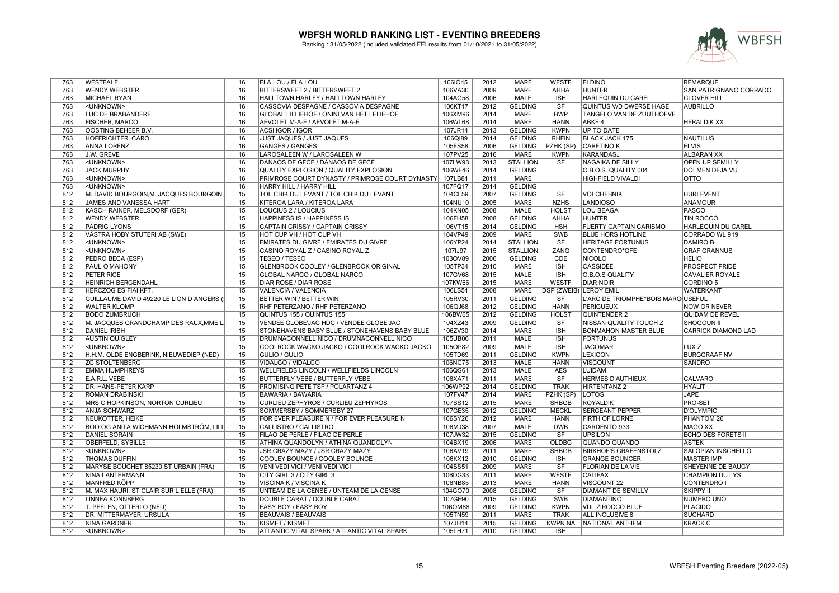

| 763 | <b>WESTFALE</b>                              | 16              | ELA LOU / ELA LOU                                  | 106IO45 | 2012 | <b>MARE</b>     | <b>WESTF</b>                  | <b>ELDINO</b>                     | <b>REMARQUE</b>               |
|-----|----------------------------------------------|-----------------|----------------------------------------------------|---------|------|-----------------|-------------------------------|-----------------------------------|-------------------------------|
| 763 | <b>WENDY WEBSTER</b>                         | 16              | BITTERSWEET 2 / BITTERSWEET 2                      | 106VA30 | 2009 | <b>MARE</b>     | AHHA                          | <b>HUNTER</b>                     | <b>SAN PATRIGNANO CORRADO</b> |
| 763 | <b>MICHAEL RYAN</b>                          | 16              | HALLTOWN HARLEY / HALLTOWN HARLEY                  | 104AG58 | 2006 | <b>MALE</b>     | <b>ISH</b>                    | <b>HARLEQUIN DU CAREL</b>         | <b>CLOVER HILL</b>            |
| 763 | <unknown></unknown>                          | 16              | CASSOVIA DESPAGNE / CASSOVIA DESPAGNE              | 106KT17 | 2012 | <b>GELDING</b>  | SF                            | QUINTUS V/D DWERSE HAGE           | <b>AUBRILLO</b>               |
| 763 | <b>LUC DE BRABANDERE</b>                     | 16              | GLOBAL LILLIEHOF / ONINI VAN HET LELIEHOF          | 106XM96 | 2014 | <b>MARE</b>     | <b>BWP</b>                    | <b>TANGELO VAN DE ZUUTHOEVE</b>   |                               |
| 763 | <b>FISCHER, MARCO</b>                        | 16              | AEVOLET M-A-F / AEVOLET M-A-F                      | 106WL68 | 2014 | <b>MARE</b>     | <b>HANN</b>                   | <b>ABKE 4</b>                     | <b>HERALDIK XX</b>            |
| 763 | OOSTING BEHEER B.V.                          | 16              | ACSI IGOR / IGOR                                   | 107JR14 | 2013 | <b>GELDING</b>  | <b>KWPN</b>                   | UP TO DATE                        |                               |
| 763 | HOFFRICHTER, CARO                            | 16              | JUST JAQUES / JUST JAQUES                          | 106QI89 | 2014 | <b>GELDING</b>  | <b>RHEIN</b>                  | <b>BLACK JACK 175</b>             | <b>NAUTILUS</b>               |
| 763 | ANNA LORENZ                                  | 16              | <b>GANGES / GANGES</b>                             | 105FS58 | 2006 | <b>GELDING</b>  | PZHK (SP)                     | <b>CARETINO K</b>                 | <b>ELVIS</b>                  |
| 763 | J.W. GREVE                                   | 16              | LAROSALEEN W / LAROSALEEN W                        | 107PV25 | 2016 | <b>MARE</b>     | <b>KWPN</b>                   | <b>KARANDASJ</b>                  | <b>ALBARAN XX</b>             |
| 763 | <unknown></unknown>                          | 16              | DANAOS DE GECE / DANAOS DE GECE                    | 107LW93 | 2013 | <b>STALLION</b> | <b>SF</b>                     | NAGAIKA DE SILLY                  | <b>OPEN UP SEMILLY</b>        |
| 763 | <b>JACK MURPHY</b>                           | 16              | <b>QUALITY EXPLOSION / QUALITY EXPLOSION</b>       | 106WF46 | 2014 | <b>GELDING</b>  |                               | O.B.O.S. QUALITY 004              | <b>DOLMEN DEJA VU</b>         |
| 763 |                                              | 16              |                                                    | 107LB81 | 2011 | <b>MARE</b>     |                               | <b>HIGHFIELD VIVALDI</b>          | <b>OTTO</b>                   |
| 763 | <unknown></unknown>                          | 16              | PRIMROSE COURT DYNASTY / PRIMROSE COURT DYNASTY    |         | 2014 | <b>GELDING</b>  |                               |                                   |                               |
|     | <unknown></unknown>                          |                 | HARRY HILL / HARRY HILL                            | 107FQ17 |      |                 |                               |                                   |                               |
| 812 | M. DAVID BOURGOIN, M. JACQUES BOURGOIN       | 15              | TOL CHIK DU LEVANT / TOL CHIK DU LEVANT            | 104CL59 | 2007 | <b>GELDING</b>  | SF                            | <b>VOLCHEBNIK</b>                 | <b>HURLEVENT</b>              |
| 812 | <b>JAMES AND VANESSA HART</b>                | 15              | KITEROA LARA / KITEROA LARA                        | 104NU10 | 2005 | <b>MARE</b>     | <b>NZHS</b>                   | <b>LANDIOSO</b>                   | <b>ANAMOUR</b>                |
| 812 | KASCH RAINER, MELSDORF (GER)                 | 15              | LOUCIUS 2 / LOUCIUS                                | 104KN05 | 2008 | <b>MALE</b>     | <b>HOLST</b>                  | <b>LOU BEAGA</b>                  | <b>PASCO</b>                  |
| 812 | <b>WENDY WEBSTER</b>                         | 15              | HAPPINESS IS / HAPPINESS IS                        | 106FH58 | 2008 | <b>GELDING</b>  | AHHA                          | <b>HUNTER</b>                     | <b>TIN ROCCO</b>              |
| 812 | <b>PADRIG LYONS</b>                          | 15              | CAPTAIN CRISSY / CAPTAIN CRISSY                    | 106VT15 | 2014 | <b>GELDING</b>  | <b>HSH</b>                    | <b>FUERTY CAPTAIN CARISMO</b>     | <b>HARLEQUIN DU CAREL</b>     |
| 812 | VÄSTRA HOBY STUTERI AB (SWE)                 | 15              | HOT CUP VH / HOT CUP VH                            | 104VP49 | 2009 | <b>MARE</b>     | <b>SWB</b>                    | <b>BLUE HORS HOTLINE</b>          | <b>CORRADO WL 919</b>         |
| 812 | <unknown></unknown>                          | 15              | EMIRATES DU GIVRE / EMIRATES DU GIVRE              | 106YP24 | 2014 | <b>STALLION</b> | $\overline{\text{S}}$ F       | <b>HERITAGE FORTUNUS</b>          | <b>DAMIRO B</b>               |
| 812 | <unknown></unknown>                          | 15              | CASINO ROYAL Z / CASINO ROYAL Z                    | 107IJ97 | 2015 | <b>STALLION</b> | ZANG                          | CONTENDRO*GFE                     | <b>GRAF GRANNUS</b>           |
| 812 | PEDRO BECA (ESP)                             | 15              | <b>TESEO / TESEO</b>                               | 103OV89 | 2006 | <b>GELDING</b>  | <b>CDE</b>                    | <b>NICOLO</b>                     | <b>HELIO</b>                  |
| 812 | <b>PAUL O'MAHONY</b>                         | 15              | GLENBROOK COOLEY / GLENBROOK ORIGINAL              | 105TP34 | 2010 | <b>MARE</b>     | ISH                           | <b>CASSIDEE</b>                   | <b>PROSPECT PRIDE</b>         |
| 812 | <b>PETER RICE</b>                            | 15              | <b>GLOBAL NARCO / GLOBAL NARCO</b>                 | 107GV68 | 2015 | <b>MALE</b>     | <b>ISH</b>                    | O.B.O.S QUALITY                   | <b>CAVALIER ROYALE</b>        |
| 812 | <b>HEINRICH BERGENDAHL</b>                   | 15              | DIAR ROSE / DIAR ROSE                              | 107KW66 | 2015 | <b>MARE</b>     | <b>WESTF</b>                  | <b>DIAR NOIR</b>                  | CORDINO <sub>5</sub>          |
| 812 | HERCZOG ÉS FIAI KFT.                         | 15              | VALENCIA / VALENCIA                                | 106LS51 | 2008 | <b>MARE</b>     | <b>DSP (ZWEIB) LEROY EMIL</b> |                                   | <b>WATERKANT</b>              |
| 812 | GUILLAUME DAVID 49220 LE LION D ANGERS       | 15              | BETTER WIN / BETTER WIN                            | 105RV30 | 2011 | <b>GELDING</b>  | SF                            | L'ARC DE TRIOMPHE*BOIS MARGUSEFUL |                               |
| 812 | <b>WALTER KLOMP</b>                          | 15              | RHF PETERZANO / RHF PETERZANO                      | 106QJ68 | 2012 | <b>GELDING</b>  | <b>HANN</b>                   | <b>PERIGUEUX</b>                  | <b>NOW OR NEVER</b>           |
| 812 | <b>BODO ZUMBRUCH</b>                         | $\overline{15}$ | QUINTUS 155 / QUINTUS 155                          | 106BW65 | 2012 | <b>GELDING</b>  | <b>HOLST</b>                  | QUINTENDER 2                      | QUIDAM DE REVEL               |
| 812 | M. JACQUES GRANDCHAMP DES RAUX, MME L        | 15              | VENDEE GLOBE'JAC HDC / VENDEE GLOBE'JAC            | 104XZ43 | 2009 | <b>GELDING</b>  | SF                            | <b>NISSAN QUALITY TOUCH Z</b>     | <b>SHOGOUN II</b>             |
| 812 | <b>DANIEL IRISH</b>                          | 15              | STONEHAVENS BABY BLUE / STONEHAVENS BABY BLUE      | 106ZV30 | 2014 | <b>MARE</b>     | <b>ISH</b>                    | <b>BONMAHON MASTER BLUE</b>       | <b>CARRICK DIAMOND LAD</b>    |
| 812 | <b>AUSTIN QUIGLEY</b>                        | 15              | DRUMNACONNELL NICO / DRUMNACONNELL NICO            | 105UB06 | 2011 | <b>MALE</b>     | <b>ISH</b>                    | <b>FORTUNUS</b>                   |                               |
| 812 | <unknown></unknown>                          | 15              | COOLROCK WACKO JACKO / COOLROCK WACKO JACKO        | 105OP82 | 2009 | MALE            | <b>ISH</b>                    | <b>JACOMAR</b>                    | LUX <sub>Z</sub>              |
|     |                                              |                 |                                                    |         |      |                 |                               |                                   |                               |
| 812 | H.H.M. OLDE ENGBERINK, NIEUWEDIEP (NED)      | 15              | <b>GULIO / GULIO</b>                               | 105TD69 | 2011 | <b>GELDING</b>  | <b>KWPN</b>                   | <b>LEXICON</b>                    | <b>BURGGRAAF NV</b>           |
| 812 | <b>ZG STOLTENBERG</b>                        | 15              | VIDALGO / VIDALGO                                  | 106NC75 | 2013 | <b>MALE</b>     | <b>HANN</b>                   | <b>VISCOUNT</b>                   | <b>SANDRO</b>                 |
| 812 | <b>EMMA HUMPHREYS</b>                        | $\overline{15}$ | WELLFIELDS LINCOLN / WELLFIELDS LINCOLN            | 106QS61 | 2013 | <b>MALE</b>     | <b>AES</b>                    | <b>LUIDAM</b>                     |                               |
| 812 | E.A.R.L. VEBE                                | 15              | BUTTERFLY VEBE / BUTTERFLY VEBE                    | 106XA71 | 2011 | <b>MARE</b>     | SF                            | <b>HERMES D'AUTHIEUX</b>          | <b>CALVARO</b>                |
| 812 | <b>DR. HANS-PETER KARP</b>                   | 15              | PROMISING PETE TSF / POLARTANZ 4                   | 106WP92 | 2014 | <b>GELDING</b>  | <b>TRAK</b>                   | <b>HIRTENTANZ 2</b>               | <b>HYALIT</b>                 |
| 812 | <b>ROMAN DRABINSKI</b>                       | 15              | <b>BAWARIA / BAWARIA</b>                           | 107FV47 | 2014 | <b>MARE</b>     | PZHK (SP)                     | <b>LOTOS</b>                      | <b>JAPE</b>                   |
| 812 | <b>MRS C HOPKINSON, NORTON CURLIEU</b>       | $\overline{15}$ | <b>CURLIEU ZEPHYROS / CURLIEU ZEPHYROS</b>         | 107SS12 | 2015 | <b>MARE</b>     | <b>SHBGB</b>                  | <b>ROYALDIK</b>                   | PRO-SET                       |
| 812 | <b>ANJA SCHWARZ</b>                          | 15              | SOMMERSBY / SOMMERSBY 27                           | 107GE35 | 2012 | <b>GELDING</b>  | <b>MECKL</b>                  | <b>SERGEANT PEPPER</b>            | <b>D'OLYMPIC</b>              |
| 812 | NEUKÖTTER, HEIKE                             | 15              | FOR EVER PLEASURE N / FOR EVER PLEASURE N          | 106SY26 | 2012 | <b>MARE</b>     | <b>HANN</b>                   | <b>FIRTH OF LORNE</b>             | PHANTOM 26                    |
| 812 | <b>BOO OG ANITA WICHMANN HOLMSTRÖM, LILL</b> | 15              | CALLISTRO / CALLISTRO                              | 106MJ38 | 2007 | <b>MALE</b>     | <b>DWB</b>                    | CARDENTO 933                      | <b>MAGO XX</b>                |
| 812 | <b>DANIEL SORAIN</b>                         | 15              | FILAO DE PERLE / FILAO DE PERLE                    | 107JW32 | 2015 | <b>GELDING</b>  | SF                            | <b>UPSILON</b>                    | <b>ECHO DES FORETS II</b>     |
| 812 | <b>OBERFELD, SYBILLE</b>                     | 15              | ATHINA QUANDOLYN / ATHINA QUANDOLYN                | 104BX19 | 2006 | <b>MARE</b>     | <b>OLDBG</b>                  | QUANDO QUANDO                     | <b>ASTEK</b>                  |
| 812 | <unknown></unknown>                          | 15              | JSR CRAZY MAZY / JSR CRAZY MAZY                    | 106AV19 | 2011 | <b>MARE</b>     | <b>SHBGB</b>                  | <b>BIRKHOF'S GRAFENSTOLZ</b>      | SALOPIAN INSCHELLO            |
| 812 | <b>THOMAS DUFFIN</b>                         | 15              | COOLEY BOUNCE / COOLEY BOUNCE                      | 106KX12 | 2010 | <b>GELDING</b>  | <b>ISH</b>                    | <b>GRANGE BOUNCER</b>             | <b>MASTER IMP</b>             |
| 812 | MARYSE BOUCHET 85230 ST URBAIN (FRA)         | 15              | VENI VEDI VICI / VENI VEDI VICI                    | 104SS51 | 2009 | <b>MARE</b>     | <b>SF</b>                     | <b>FLORIAN DE LA VIE</b>          | SHEYENNE DE BAUGY             |
| 812 | NINA LANTERMANN                              | 15              | CITY GIRL 3 / CITY GIRL 3                          | 106DG33 | 2011 | <b>MARE</b>     | <b>WESTF</b>                  | <b>CALIFAX</b>                    | <b>CHAMPION DU LYS</b>        |
| 812 | MANFRED KÖPP                                 | 15              | VISCINA K / VISCINA K                              | 106NB85 | 2013 | <b>MARE</b>     | <b>HANN</b>                   | <b>VISCOUNT 22</b>                | <b>CONTENDRO I</b>            |
| 812 | M. MAX HAURI, ST CLAIR SUR L ELLE (FRA)      | 15              | UNTEAM DE LA CENSE / UNTEAM DE LA CENSE            | 104GO70 | 2008 | <b>GELDING</b>  | SF                            | <b>DIAMANT DE SEMILLY</b>         | <b>SKIPPY II</b>              |
| 812 | <b>LINNEA KONNBERG</b>                       | 15              | DOUBLE CARAT / DOUBLE CARAT                        | 107GE90 | 2015 | <b>GELDING</b>  | SWB                           | <b>DIAMANTINO</b>                 | NUMERO UNO                    |
| 812 | T. PEELEN, OTTERLO (NED)                     | 15              | <b>EASY BOY / EASY BOY</b>                         | 106OM88 | 2009 | <b>GELDING</b>  | <b>KWPN</b>                   | <b>VDL ZIROCCO BLUE</b>           | <b>PLACIDO</b>                |
| 812 |                                              | 15              |                                                    |         | 2011 | <b>MARE</b>     | <b>TRAK</b>                   | <b>ALL INCLUSIVE 8</b>            | <b>SUCHARD</b>                |
|     | DR. MITTERMAYER, URSULA                      | 15              | <b>BEAUVAIS / BEAUVAIS</b>                         | 105TN59 |      |                 |                               |                                   |                               |
| 812 | NINA GARDNER                                 |                 | KISMET / KISMET                                    | 107JH14 | 2015 | GELDING         | <b>KWPN NA</b>                | NATIONAL ANTHEM                   | <b>KRACK C</b>                |
| 812 | <unknown></unknown>                          | 15              | <b>ATLANTIC VITAL SPARK / ATLANTIC VITAL SPARK</b> | 105LH71 | 2010 | <b>GELDING</b>  | <b>ISH</b>                    |                                   |                               |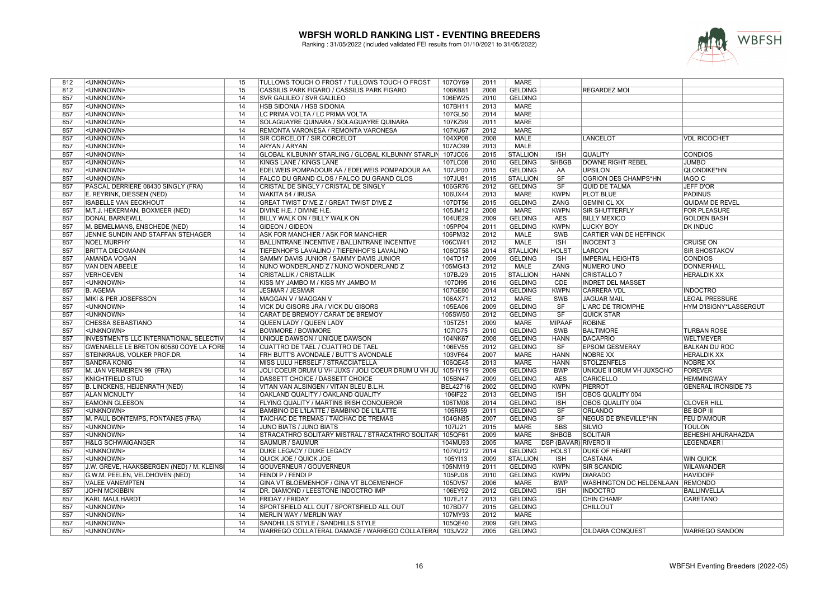

| 812        | <unknown></unknown>                                  | 15              | TULLOWS TOUCH O FROST / TULLOWS TOUCH O FROST                                          | 107OY69            | 2011         | <b>MARE</b>                      |                              |                                               |                                         |
|------------|------------------------------------------------------|-----------------|----------------------------------------------------------------------------------------|--------------------|--------------|----------------------------------|------------------------------|-----------------------------------------------|-----------------------------------------|
| 812        | <unknown></unknown>                                  | 15              | CASSILIS PARK FIGARO / CASSILIS PARK FIGARO                                            | 106KB81            | 2008         | <b>GELDING</b>                   |                              | <b>REGARDEZ MOI</b>                           |                                         |
| 857        | <unknown></unknown>                                  | $\overline{14}$ | <b>SVR GALILEO / SVR GALILEO</b>                                                       | 106EW25            | 2010         | <b>GELDING</b>                   |                              |                                               |                                         |
| 857        | <unknown></unknown>                                  | 14              | HSB SIDONIA / HSB SIDONIA                                                              | 107BH11            | 2013         | MARE                             |                              |                                               |                                         |
| 857        | <unknown></unknown>                                  | 14              | LC PRIMA VOLTA / LC PRIMA VOLTA                                                        | 107GL50            | 2014         | <b>MARE</b>                      |                              |                                               |                                         |
| 857        | <unknown></unknown>                                  | 14              | SOLAGUAYRE QUINARA / SOLAGUAYRE QUINARA                                                | 107KZ99            | 2011         | <b>MARE</b>                      |                              |                                               |                                         |
| 857        | <unknown></unknown>                                  | 14              | REMONTA VARONESA / REMONTA VARONESA                                                    | 107KU67            | 2012         | <b>MARE</b>                      |                              |                                               |                                         |
| 857        | <unknown></unknown>                                  | 14              | SIR CORCELOT / SIR CORCELOT                                                            | 104XP08            | 2008         | MALE                             |                              | <b>LANCELOT</b>                               | <b>VDL RICOCHET</b>                     |
| 857        | <unknown></unknown>                                  | 14              | ARYAN / ARYAN                                                                          | 107AO99            | 2013         | MALE                             |                              |                                               |                                         |
| 857        | <unknown></unknown>                                  | 14              | GLOBAL KILBUNNY STARLING / GLOBAL KILBUNNY STARLIN                                     | 107JC06            | 2015         | <b>STALLION</b>                  | <b>ISH</b>                   | <b>QUALITY</b>                                | <b>CONDIOS</b>                          |
| 857        | <unknown></unknown>                                  | 14              | KINGS LANE / KINGS LANE                                                                | 107LC08            | 2010         | <b>GELDING</b>                   | <b>SHBGB</b>                 | <b>DOWNE RIGHT REBEL</b>                      | <b>JUMBO</b>                            |
| 857        | <unknown></unknown>                                  | $\overline{14}$ | EDELWEIS POMPADOUR AA / EDELWEIS POMPADOUR AA                                          | 107JP00            | 2015         | <b>GELDING</b>                   | AA                           | <b>UPSILON</b>                                | <b>QLONDIKE*HN</b>                      |
| 857        | <unknown></unknown>                                  | 14              | FALCO DU GRAND CLOS / FALCO DU GRAND CLOS                                              | 107JU81            | 2015         | <b>STALLION</b>                  | SF                           | OGRION DES CHAMPS*HN                          | <b>IAGO C</b>                           |
| 857        | PASCAL DERRIERE 08430 SINGLY (FRA)                   | $\overline{14}$ | CRISTAL DE SINGLY / CRISTAL DE SINGLY                                                  | 106GR76            | 2012         | <b>GELDING</b>                   | SF                           | <b>QUID DE TALMA</b>                          | <b>JEFF D'OR</b>                        |
| 857        | E. REYRINK, DIESSEN (NED)                            | 14              | WAKITA 54 / IRUSA                                                                      | 106UX44            | 2013         | <b>MARE</b>                      | <b>KWPN</b>                  | <b>PLOT BLUE</b>                              | <b>PADINUS</b>                          |
| 857        | <b>ISABELLE VAN EECKHOUT</b>                         | 14              | GREAT TWIST D'IVE Z / GREAT TWIST D'IVE Z                                              | 107DT56            | 2015         | <b>GELDING</b>                   | <b>ZANG</b>                  | <b>GEMINI CL XX</b>                           | <b>QUIDAM DE REVEL</b>                  |
| 857        | M.T.J. HEKERMAN, BOXMEER (NED)                       | 14              | DIVINE H.E. / DIVINE H.E.                                                              | 105JM12            | 2008         | <b>MARE</b>                      | <b>KWPN</b>                  | <b>SIR SHUTTERFLY</b>                         | <b>FOR PLEASURE</b>                     |
| 857        | <b>DONAL BARNEWLL</b>                                | 14              | BILLY WALK ON / BILLY WALK ON                                                          | 104UE29            | 2009         | <b>GELDING</b>                   | <b>AES</b>                   | <b>BILLY MEXICO</b>                           | <b>GOLDEN BASH</b>                      |
| 857        | M. BEMELMANS, ENSCHEDE (NED)                         | 14              | <b>GIDEON / GIDEON</b>                                                                 | 105PP04            | 2011         | <b>GELDING</b>                   | <b>KWPN</b>                  | <b>LUCKY BOY</b>                              | <b>DK INDUC</b>                         |
| 857        | JENNIE SUNDIN AND STAFFAN STEHAGER                   | 14              | ASK FOR MANCHIER / ASK FOR MANCHIER                                                    | 106PM32            | 2012         | <b>MALE</b>                      | <b>SWB</b>                   | CARTIER VAN DE HEFFINCK                       |                                         |
| 857        | <b>NOEL MURPHY</b>                                   | 14              | BALLINTRANE INCENTIVE / BALLINTRANE INCENTIVE                                          | 106CW41            | 2012         | <b>MALE</b>                      | <b>ISH</b>                   | <b>INOCENT 3</b>                              | <b>CRUISE ON</b>                        |
| 857        | <b>BRITTA DIECKMANN</b>                              | 14              | TIEFENHOF'S LAVALINO / TIEFENHOF'S LAVALINO                                            | 106QT58            | 2014         | <b>STALLION</b>                  | <b>HOLST</b>                 | <b>LARCON</b>                                 | <b>SIR SHOSTAKOV</b>                    |
| 857        | <b>AMANDA VOGAN</b>                                  | 14              | SAMMY DAVIS JUNIOR / SAMMY DAVIS JUNIOR                                                | 104TD17            | 2009         | <b>GELDING</b>                   | <b>ISH</b>                   | <b>IMPERIAL HEIGHTS</b>                       | <b>CONDIOS</b>                          |
| 857        | VAN DEN ABEELE                                       | 14              | NUNO WONDERLAND Z / NUNO WONDERLAND Z                                                  | 105MG43            | 2012         | MALE                             | ZANG                         | NUMERO UNO                                    | <b>DONNERHALL</b>                       |
| 857        | <b>VERHOEVEN</b>                                     | 14              | <b>CRISTALLIK / CRISTALLIK</b>                                                         | 107BJ29            | 2015         | <b>STALLION</b>                  | <b>HANN</b>                  | <b>CRISTALLO 7</b>                            | <b>HERALDIK XX</b>                      |
| 857        | <unknown></unknown>                                  | 14              | KISS MY JAMBO M / KISS MY JAMBO M                                                      | 107DI95            | 2016         | <b>GELDING</b>                   | CDE                          | <b>INDRET DEL MASSET</b>                      |                                         |
| 857        | <b>B. AGEMA</b>                                      | 14              | JESMAR / JESMAR                                                                        | 107GE80            | 2014         | <b>GELDING</b>                   | <b>KWPN</b>                  | CARRERA VDL                                   | <b>INDOCTRO</b>                         |
| 857        | MIKI & PER JOSEFSSON                                 | 14              | MAGGAN V / MAGGAN V                                                                    | 106AX71            | 2012         | <b>MARE</b>                      | SWB                          | <b>JAGUAR MAIL</b>                            | <b>LEGAL PRESSURE</b>                   |
| 857        | <unknown></unknown>                                  | 14              | VICK DU GISORS JRA / VICK DU GISORS                                                    | 105EA06            | 2009         | <b>GELDING</b>                   | SF                           | L'ARC DE TRIOMPHE                             | HYM D'ISIGNY*LASSERGUT                  |
| 857        | <unknown></unknown>                                  | 14              | CARAT DE BREMOY / CARAT DE BREMOY                                                      | 105SW50            | 2012         | <b>GELDING</b>                   | SF                           | <b>QUICK STAR</b>                             |                                         |
| 857        | CHESSA SEBASTIANO                                    | 14              | QUEEN LADY / QUEEN LADY                                                                | 105TZ51            | 2009         | <b>MARE</b>                      | <b>MIPAAF</b>                | <b>ROBINE</b>                                 |                                         |
| 857        | <unknown></unknown>                                  | 14              | <b>BOWMORE / BOWMORE</b>                                                               | 1071075            | 2010         | <b>GELDING</b>                   | <b>SWB</b>                   | <b>BALTIMORE</b>                              | <b>TURBAN ROSE</b>                      |
| 857        | INVESTMENTS LLC INTERNATIONAL SELECTIVI              | 14              | UNIQUE DAWSON / UNIQUE DAWSON                                                          | 104NK67            | 2008         | <b>GELDING</b>                   | <b>HANN</b>                  | <b>DACAPRIO</b>                               | <b>WELTMEYER</b>                        |
| 857        | GWENAELLE LE BRETON 60580 COYE LA FORE               | 14              | <b>CUATTRO DE TAEL / CUATTRO DE TAEL</b>                                               | 106EV55            | 2012         | <b>GELDING</b>                   | SF                           | <b>EPSOM GESMERAY</b>                         | <b>BALKAN DU ROC</b>                    |
| 857        | STEINKRAUS, VOLKER PROF.DR.                          | 14              | FRH BUTT'S AVONDALE / BUTT'S AVONDALE                                                  | 103VF64            | 2007         | <b>MARE</b>                      | <b>HANN</b>                  | <b>NOBRE XX</b>                               | <b>HERALDIK XX</b>                      |
| 857        | <b>SANDRA KONIG</b>                                  | 14              | MISS LULU HERSELF / STRACCIATELLA                                                      | 106QE45            | 2013         | <b>MARE</b>                      | <b>HANN</b>                  | <b>STOLZENFELS</b>                            | <b>NOBRE XX</b>                         |
| 857        |                                                      | 14              |                                                                                        | 105HY19            | 2009         |                                  | <b>BWP</b>                   |                                               |                                         |
| 857        | M. JAN VERMEIREN 99 (FRA)<br><b>KNIGHTFIELD STUD</b> | 14              | JOLI COEUR DRUM U VH JUXS / JOLI COEUR DRUM U VH JU<br>DASSETT CHOICE / DASSETT CHOICE | 105BN47            | 2009         | <b>GELDING</b><br><b>GELDING</b> | <b>AES</b>                   | UNIQUE II DRUM VH JUXSCHO<br><b>CARICELLO</b> | <b>FOREVER</b><br><b>HEMMINGWAY</b>     |
| 857        | B. LINCKENS, HEIJENRATH (NED)                        | $\overline{14}$ | VITAN VAN ALSINGEN / VITAN BLEU B.L.H.                                                 | <b>BEL42716</b>    | 2002         | <b>GELDING</b>                   | <b>KWPN</b>                  | <b>PIERROT</b>                                | <b>GENERAL IRONSIDE 73</b>              |
| 857        |                                                      | 14              |                                                                                        |                    | 2013         | <b>GELDING</b>                   | <b>ISH</b>                   |                                               |                                         |
| 857        | <b>ALAN MCNULTY</b><br><b>EAMONN GLEESON</b>         | 14              | OAKLAND QUALITY / OAKLAND QUALITY                                                      | 106IF22<br>106TM08 | 2014         | <b>GELDING</b>                   | <b>ISH</b>                   | OBOS QUALITY 004<br>OBOS QUALITY 004          | <b>CLOVER HILL</b>                      |
|            |                                                      | 14              | FLYING QUALITY / MARTINS IRISH CONQUEROR                                               |                    |              |                                  |                              |                                               |                                         |
| 857<br>857 | <unknown></unknown>                                  | 14              | BAMBINO DE L'ILATTE / BAMBINO DE L'ILATTE<br>TAICHAC DE TREMAS / TAICHAC DE TREMAS     | 105RI59<br>104GN85 | 2011<br>2007 | <b>GELDING</b>                   | SF<br>SF                     | <b>ORLANDO</b>                                | <b>BE BOP III</b><br><b>FEU D'AMOUR</b> |
|            | M. PAUL BONTEMPS, FONTANES (FRA)                     |                 |                                                                                        |                    |              | <b>GELDING</b>                   |                              | NEGUS DE B'NEVILLE*HN                         |                                         |
| 857<br>857 | <unknown></unknown>                                  | 14<br>14        | JUNO BIATS / JUNO BIATS<br>STRACATHRO SOLITARY MISTRAL / STRACATHRO SOLITAR            | 107IJ21<br>105QF61 | 2015<br>2009 | <b>MARE</b><br><b>MARE</b>       | <b>SBS</b><br><b>SHBGB</b>   | SILVIO<br><b>SOLITAIR</b>                     | <b>TOULON</b>                           |
|            | <unknown></unknown>                                  | 14              |                                                                                        |                    |              |                                  |                              |                                               | BEHESHI AHURAHAZDA                      |
| 857        | <b>H&amp;LG SCHWAIGANGER</b>                         |                 | SAUMUR / SAUMUR                                                                        | 104MU93            | 2005         | <b>MARE</b>                      | <b>DSP (BAVAR) RIVERO II</b> |                                               | <b>LEGENDAER I</b>                      |
| 857        | <unknown></unknown>                                  | 14              | DUKE LEGACY / DUKE LEGACY                                                              | 107KU12            | 2014         | <b>GELDING</b>                   | <b>HOLST</b>                 | <b>DUKE OF HEART</b>                          |                                         |
| 857        | <unknown></unknown>                                  | 14              | QUICK JOE / QUICK JOE                                                                  | 105YI13            | 2009         | <b>STALLION</b>                  | <b>ISH</b>                   | <b>CASTANA</b>                                | <b>WIN QUICK</b>                        |
| 857        | J.W. GREVE, HAAKSBERGEN (NED) / M. KLEINSI           | 14              | GOUVERNEUR / GOUVERNEUR                                                                | 105NM19            | 2011         | <b>GELDING</b>                   | <b>KWPN</b>                  | <b>SIR SCANDIC</b>                            | <b>WILAWANDER</b>                       |
| 857        | G.W.M. PEELEN, VELDHOVEN (NED)                       | 14              | FENDI P / FENDI P                                                                      | 105PJ08            | 2010         | <b>GELDING</b>                   | <b>KWPN</b>                  | <b>DIARADO</b>                                | <b>HAVIDOFF</b>                         |
| 857        | <b>VALEE VANEMPTEN</b>                               | 14              | GINA VT BLOEMENHOF / GINA VT BLOEMENHOF                                                | 105DV57            | 2006         | MARE                             | <b>BWP</b>                   | WASHINGTON DC HELDENLAAN REMONDO              |                                         |
| 857        | <b>JOHN MCKIBBIN</b>                                 | 14              | DR. DIAMOND / LEESTONE INDOCTRO IMP                                                    | 106EY92            | 2012         | <b>GELDING</b>                   | <b>ISH</b>                   | <b>INDOCTRO</b>                               | <b>BALLINVELLA</b>                      |
| 857        | <b>KARL MAULHARDT</b>                                | 14              | <b>FRIDAY / FRIDAY</b>                                                                 | 107EJ17            | 2013         | <b>GELDING</b>                   |                              | <b>CHIN CHAMP</b>                             | CARETANO                                |
| 857        | <unknown></unknown>                                  | 14              | SPORTSFIELD ALL OUT / SPORTSFIELD ALL OUT                                              | 107BD77            | 2015         | <b>GELDING</b>                   |                              | <b>CHILLOUT</b>                               |                                         |
| 857        | <unknown></unknown>                                  | 14              | MERLIN WAY / MERLIN WAY                                                                | 107MY93            | 2012         | MARE                             |                              |                                               |                                         |
| 857        | <unknown></unknown>                                  | 14              | SANDHILLS STYLE / SANDHILLS STYLE                                                      | 105QE40            | 2009         | <b>GELDING</b>                   |                              |                                               |                                         |
| 857        | <unknown></unknown>                                  | 14              | WARREGO COLLATERAL DAMAGE / WARREGO COLLATERAI 103JV22                                 |                    | 2005         | <b>GELDING</b>                   |                              | <b>CILDARA CONQUEST</b>                       | <b>WARREGO SANDON</b>                   |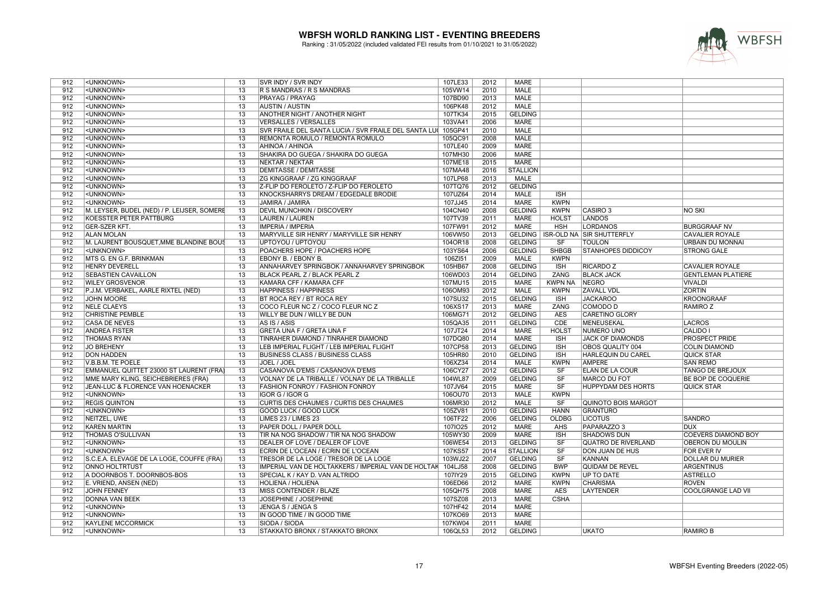

| 912 | <unknown></unknown>                          | 13              | SVR INDY / SVR INDY                                   | 107LE33 | 2012 | <b>MARE</b>     |                        |                                  |                            |
|-----|----------------------------------------------|-----------------|-------------------------------------------------------|---------|------|-----------------|------------------------|----------------------------------|----------------------------|
| 912 | <unknown></unknown>                          | $\overline{13}$ | R S MANDRAS / R S MANDRAS                             | 105VW14 | 2010 | <b>MALE</b>     |                        |                                  |                            |
| 912 | <unknown></unknown>                          | $\overline{13}$ | PRAYAG / PRAYAG                                       | 107BD90 | 2013 | <b>MALE</b>     |                        |                                  |                            |
| 912 | <unknown></unknown>                          | 13              | <b>AUSTIN / AUSTIN</b>                                | 106PK48 | 2012 | <b>MALE</b>     |                        |                                  |                            |
| 912 | <unknown></unknown>                          | 13              | <b>ANOTHER NIGHT / ANOTHER NIGHT</b>                  | 107TK34 | 2015 | <b>GELDING</b>  |                        |                                  |                            |
| 912 | <unknown></unknown>                          | 13              | <b>VERSALLES / VERSALLES</b>                          | 103VA41 | 2006 | <b>MARE</b>     |                        |                                  |                            |
| 912 | <unknown></unknown>                          | $\overline{13}$ | SVR FRAILE DEL SANTA LUCIA / SVR FRAILE DEL SANTA LUI | 105GP41 | 2010 | <b>MALE</b>     |                        |                                  |                            |
| 912 | <unknown></unknown>                          | 13              | REMONTA ROMULO / REMONTA ROMULO                       | 105QC91 | 2008 | <b>MALE</b>     |                        |                                  |                            |
| 912 | <unknown></unknown>                          | 13              | AHINOA / AHINOA                                       | 107LE40 | 2009 | <b>MARE</b>     |                        |                                  |                            |
| 912 | <unknown></unknown>                          | $\overline{13}$ | SHAKIRA DO GUEGA / SHAKIRA DO GUEGA                   | 107MH30 | 2006 | <b>MARE</b>     |                        |                                  |                            |
| 912 | <unknown></unknown>                          | $\overline{13}$ | NEKTAR / NEKTAR                                       | 107ME18 | 2015 | <b>MARE</b>     |                        |                                  |                            |
| 912 | <unknown></unknown>                          | $\overline{13}$ | <b>DEMITASSE / DEMITASSE</b>                          | 107MA48 | 2016 | <b>STALLION</b> |                        |                                  |                            |
|     |                                              |                 |                                                       |         |      |                 |                        |                                  |                            |
| 912 | <unknown></unknown>                          | $\overline{13}$ | <b>ZG KINGGRAAF / ZG KINGGRAAF</b>                    | 107LP68 | 2013 | <b>MALE</b>     |                        |                                  |                            |
| 912 | <unknown></unknown>                          | 13              | Z-FLIP DO FEROLETO / Z-FLIP DO FEROLETO               | 107TQ76 | 2012 | <b>GELDING</b>  |                        |                                  |                            |
| 912 | <unknown></unknown>                          | 13              | KNOCKSHARRYS DREAM / EDGEDALE BRODIE                  | 107UZ64 | 2014 | <b>MALE</b>     | <b>ISH</b>             |                                  |                            |
| 912 | <unknown></unknown>                          | 13              | JAMIRA / JAMIRA                                       | 107JJ45 | 2014 | <b>MARE</b>     | <b>KWPN</b>            |                                  |                            |
| 912 | M. LEYSER, BUDEL (NED) / P. LEIJSER, SOMERE  | 13              | <b>DEVIL MUNCHKIN / DISCOVERY</b>                     | 104CN40 | 2008 | <b>GELDING</b>  | <b>KWPN</b>            | CASIRO <sub>3</sub>              | <b>NO SKI</b>              |
| 912 | KOESSTER PETER PATTBURG                      | 13              | <b>LAUREN / LAUREN</b>                                | 107TV39 | 2011 | MARE            | <b>HOLST</b>           | <b>LANDOS</b>                    |                            |
| 912 | <b>GER-SZER KFT.</b>                         | $\overline{13}$ | <b>IMPERIA / IMPERIA</b>                              | 107FW91 | 2012 | <b>MARE</b>     | <b>HSH</b>             | <b>LORDANOS</b>                  | <b>BURGGRAAF NV</b>        |
| 912 | <b>ALAN MOLAN</b>                            | $\overline{13}$ | MARYVILLE SIR HENRY / MARYVILLE SIR HENRY             | 106VW50 | 2013 | <b>GELDING</b>  |                        | <b>ISR-OLD NA SIR SHUTTERFLY</b> | <b>CAVALIER ROYALE</b>     |
| 912 | M. LAURENT BOUSQUET, MME BLANDINE BOUS       | 13              | UPTOYOU / UPTOYOU                                     | 104OR18 | 2008 | <b>GELDING</b>  | $\overline{\text{SF}}$ | <b>TOULON</b>                    | URBAIN DU MONNAI           |
| 912 | <unknown></unknown>                          | 13              | POACHERS HOPE / POACHERS HOPE                         | 103YS64 | 2006 | <b>GELDING</b>  | <b>SHBGB</b>           | <b>STANHOPES DIDDICOY</b>        | <b>STRONG GALE</b>         |
| 912 | MTS G. EN G.F. BRINKMAN                      | $\overline{13}$ | EBONY B. / EBONY B.                                   | 106ZI51 | 2009 | <b>MALE</b>     | <b>KWPN</b>            |                                  |                            |
| 912 | <b>HENRY DEVERELL</b>                        | $\overline{13}$ | ANNAHARVEY SPRINGBOK / ANNAHARVEY SPRINGBOK           | 105HB67 | 2008 | <b>GELDING</b>  | <b>ISH</b>             | <b>RICARDO Z</b>                 | <b>CAVALIER ROYALE</b>     |
| 912 | <b>SEBASTIEN CAVAILLON</b>                   | $\overline{13}$ | BLACK PEARL Z / BLACK PEARL Z                         | 106WD03 | 2014 | <b>GELDING</b>  | ZANG                   | <b>BLACK JACK</b>                | <b>GENTLEMAN PLATIERE</b>  |
| 912 | <b>WILEY GROSVENOR</b>                       | $\overline{13}$ | KAMARA CFF / KAMARA CFF                               | 107MU15 | 2015 | <b>MARE</b>     | <b>KWPN NA</b>         | <b>NEGRO</b>                     | <b>VIVALDI</b>             |
| 912 | P.J.M. VERBAKEL, AARLE RIXTEL (NED)          | 13              | <b>HAPPINESS / HAPPINESS</b>                          | 106OM93 | 2012 | MALE            | <b>KWPN</b>            | <b>ZAVALL VDL</b>                | <b>ZORTIN</b>              |
| 912 | <b>JOHN MOORE</b>                            | 13              | BT ROCA REY / BT ROCA REY                             | 107SU32 | 2015 | <b>GELDING</b>  | <b>ISH</b>             | <b>JACKAROO</b>                  | <b>KROONGRAAF</b>          |
| 912 | <b>NELE CLAEYS</b>                           | $\overline{13}$ | COCO FLEUR NC Z / COCO FLEUR NC Z                     | 106XS17 | 2013 | <b>MARE</b>     | ZANG                   | <b>COMODO D</b>                  | RAMIRO Z                   |
| 912 | <b>CHRISTINE PEMBLE</b>                      | $\overline{13}$ | WILLY BE DUN / WILLY BE DUN                           | 106MG71 | 2012 | <b>GELDING</b>  | <b>AES</b>             | <b>CARETINO GLORY</b>            |                            |
| 912 | <b>CASA DE NEVES</b>                         | 13              | AS IS / ASIS                                          | 105QA35 | 2011 | <b>GELDING</b>  | CDE                    | MENEUSEKAL                       | <b>LACROS</b>              |
| 912 | <b>ANDREA FISTER</b>                         | 13              | <b>GRETA UNA F / GRETA UNA F</b>                      | 107JT24 | 2014 | <b>MARE</b>     | <b>HOLST</b>           | <b>NUMERO UNO</b>                | <b>CALIDO I</b>            |
| 912 | <b>THOMAS RYAN</b>                           | $\overline{13}$ | TINRAHER DIAMOND / TINRAHER DIAMOND                   | 107DQ80 | 2014 | <b>MARE</b>     | <b>ISH</b>             | <b>JACK OF DIAMONDS</b>          | <b>PROSPECT PRIDE</b>      |
| 912 | <b>JO BREHENY</b>                            | $\overline{13}$ | LEB IMPERIAL FLIGHT / LEB IMPERIAL FLIGHT             | 107CP58 | 2013 | <b>GELDING</b>  | <b>ISH</b>             | OBOS QUALITY 004                 | <b>COLIN DIAMOND</b>       |
| 912 | <b>DON HADDEN</b>                            | 13              | <b>BUSINESS CLASS / BUSINESS CLASS</b>                | 105HR80 | 2010 | <b>GELDING</b>  | <b>ISH</b>             | HARLEQUIN DU CAREL               | <b>QUICK STAR</b>          |
| 912 | V.B.B.M. TE POELE                            | 13              | JOEL / JOEL                                           | 106XZ34 | 2014 | <b>MALE</b>     | <b>KWPN</b>            | <b>AMPERE</b>                    | <b>SAN REMO</b>            |
| 912 | EMMANUEL QUITTET 23000 ST LAURENT (FRA)      | 13              | CASANOVA D'EMS / CASANOVA D'EMS                       | 106CY27 | 2012 | <b>GELDING</b>  | SF                     | <b>ELAN DE LA COUR</b>           | <b>TANGO DE BREJOUX</b>    |
| 912 | MME MARY KLING, SEICHEBRIERES (FRA)          | 13              | VOLNAY DE LA TRIBALLE / VOLNAY DE LA TRIBALLE         | 104WL87 | 2009 | <b>GELDING</b>  | <b>SF</b>              | <b>MARCO DU FOT</b>              | <b>BE BOP DE COQUERIE</b>  |
| 912 | <b>JEAN-LUC &amp; FLORENCE VAN HOENACKER</b> | $\overline{13}$ | <b>FASHION FONROY / FASHION FONROY</b>                | 107JV64 | 2015 | <b>MARE</b>     | $\overline{\text{SF}}$ | <b>HUPPYDAM DES HORTS</b>        | <b>QUICK STAR</b>          |
| 912 | <unknown></unknown>                          | 13              | IGOR G / IGOR G                                       | 106OU70 | 2013 | <b>MALE</b>     | <b>KWPN</b>            |                                  |                            |
| 912 | <b>REGIS QUINTON</b>                         | $\overline{13}$ | CURTIS DES CHAUMES / CURTIS DES CHAUMES               | 106MR30 | 2012 | <b>MALE</b>     | SF                     | <b>QUINOTO BOIS MARGOT</b>       |                            |
| 912 | <unknown></unknown>                          | $\overline{13}$ | <b>GOOD LUCK / GOOD LUCK</b>                          | 105ZV81 | 2010 | <b>GELDING</b>  | <b>HANN</b>            | <b>GRANTURO</b>                  |                            |
| 912 | NEITZEL, UWE                                 | $\overline{13}$ | LIMES 23 / LIMES 23                                   | 106TF22 | 2006 | <b>GELDING</b>  | <b>OLDBG</b>           | <b>LICOTUS</b>                   | <b>SANDRO</b>              |
| 912 | <b>KAREN MARTIN</b>                          | 13              |                                                       |         | 2012 |                 | AHS                    | PAPARAZZO <sub>3</sub>           | <b>DUX</b>                 |
|     |                                              |                 | PAPER DOLL / PAPER DOLL                               | 1071025 |      | MARE            |                        |                                  |                            |
| 912 | <b>THOMAS O'SULLIVAN</b>                     | 13              | TIR NA NOG SHADOW / TIR NA NOG SHADOW                 | 105WY30 | 2009 | <b>MARE</b>     | <b>ISH</b>             | <b>SHADOWS DUN</b>               | <b>COEVERS DIAMOND BOY</b> |
| 912 | <unknown></unknown>                          | $\overline{13}$ | DEALER OF LOVE / DEALER OF LOVE                       | 106WE54 | 2013 | <b>GELDING</b>  | SF                     | <b>QUATRO DE RIVERLAND</b>       | OBERON DU MOULIN           |
| 912 | <unknown></unknown>                          | $\overline{13}$ | ECRIN DE L'OCEAN / ECRIN DE L'OCEAN                   | 107KS57 | 2014 | <b>STALLION</b> | $\overline{\text{SF}}$ | <b>DON JUAN DE HUS</b>           | <b>FOR EVER IV</b>         |
| 912 | S.C.E.A. ELEVAGE DE LA LOGE, COUFFE (FRA)    | 13              | TRESOR DE LA LOGE / TRESOR DE LA LOGE                 | 103WJ22 | 2007 | <b>GELDING</b>  | $\overline{\text{SF}}$ | <b>KANNAN</b>                    | <b>DOLLAR DU MURIER</b>    |
| 912 | <b>ONNO HOLTRTUST</b>                        | 13              | IMPERIAL VAN DE HOLTAKKERS / IMPERIAL VAN DE HOLTAK   | 104LJ58 | 2008 | <b>GELDING</b>  | <b>BWP</b>             | <b>QUIDAM DE REVEL</b>           | ARGENTINUS                 |
| 912 | A DOORNBOS T. DOORNBOS-BOS                   | 13              | SPECIAL K / KAY D. VAN ALTRIDO                        | 107IY29 | 2015 | <b>GELDING</b>  | <b>KWPN</b>            | <b>UP TO DATE</b>                | <b>ASTRELLO</b>            |
| 912 | E. VRIEND, ANSEN (NED)                       | $\overline{13}$ | <b>HOLIENA / HOLIENA</b>                              | 106ED66 | 2012 | MARE            | <b>KWPN</b>            | <b>CHARISMA</b>                  | <b>ROVEN</b>               |
| 912 | <b>JOHN FENNEY</b>                           | $\overline{13}$ | MISS CONTENDER / BLAZE                                | 105QH75 | 2008 | <b>MARE</b>     | <b>AES</b>             | <b>LAYTENDER</b>                 | <b>COOLGRANGE LAD VII</b>  |
| 912 | <b>DONNA VAN BEEK</b>                        | 13              | JOSEPHINE / JOSEPHINE                                 | 107SZ08 | 2013 | <b>MARE</b>     | <b>CSHA</b>            |                                  |                            |
| 912 | <unknown></unknown>                          | 13              | JENGA S / JENGA S                                     | 107HF42 | 2014 | <b>MARE</b>     |                        |                                  |                            |
| 912 | <unknown></unknown>                          | 13              | IN GOOD TIME / IN GOOD TIME                           | 107KO69 | 2013 | <b>MARE</b>     |                        |                                  |                            |
| 912 | <b>KAYLENE MCCORMICK</b>                     | $\overline{13}$ | SIODA / SIODA                                         | 107KW04 | 2011 | <b>MARE</b>     |                        |                                  |                            |
| 912 | <unknown></unknown>                          | $\overline{13}$ | STAKKATO BRONX / STAKKATO BRONX                       | 106QL53 | 2012 | <b>GELDING</b>  |                        | <b>UKATO</b>                     | <b>RAMIRO B</b>            |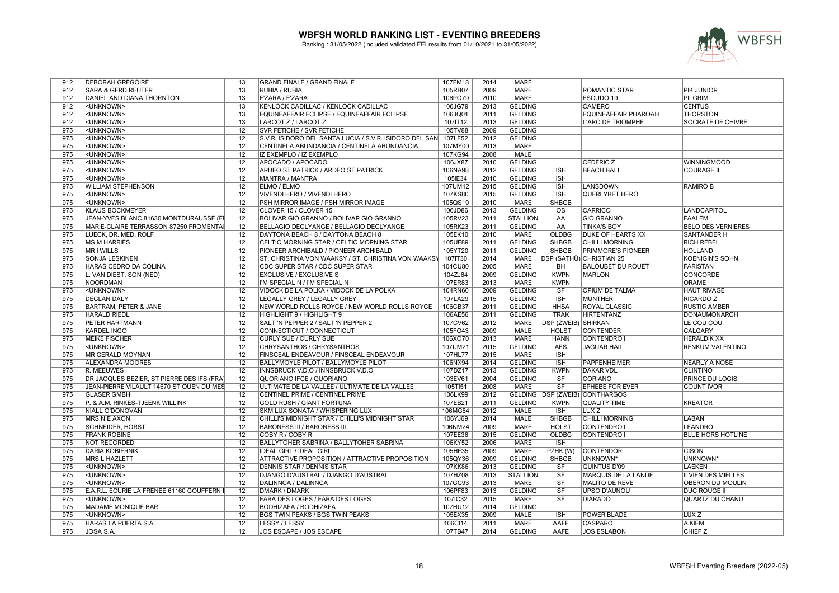

| 912 | <b>DEBORAH GREGOIRE</b>                    | 13              | <b>GRAND FINALE / GRAND FINALE</b>                              | 107FM18 | 2014 | <b>MARE</b>     |                        |                                  |                           |
|-----|--------------------------------------------|-----------------|-----------------------------------------------------------------|---------|------|-----------------|------------------------|----------------------------------|---------------------------|
| 912 | <b>SARA &amp; GERD REUTER</b>              | 13              | RUBIA / RUBIA                                                   | 105RB07 | 2009 | <b>MARE</b>     |                        | ROMANTIC STAR                    | PIK JUNIOR                |
| 912 | DANIEL AND DIANA THORNTON                  | 13              | E'ZARA / E'ZARA                                                 | 106PO79 | 2010 | <b>MARE</b>     |                        | ESCUDO 19                        | PILGRIM                   |
| 912 | <unknown></unknown>                        | 13              | KENLOCK CADILLAC / KENLOCK CADILLAC                             | 106JG79 | 2013 | <b>GELDING</b>  |                        | <b>CAMERO</b>                    | <b>CENTUS</b>             |
| 912 | <unknown></unknown>                        | $\overline{13}$ | EQUINEAFFAIR ECLIPSE / EQUINEAFFAIR ECLIPSE                     | 106JQ01 | 2011 | <b>GELDING</b>  |                        | <b>EQUINEAFFAIR PHAROAH</b>      | <b>THORSTON</b>           |
| 912 | <unknown></unknown>                        | $\overline{13}$ | LARCOT Z / LARCOT Z                                             | 107IT12 | 2013 | <b>GELDING</b>  |                        | <b>L'ARC DE TRIOMPHE</b>         | <b>SOCRATE DE CHIVRE</b>  |
| 975 | <unknown></unknown>                        | 12              | SVR FETICHE / SVR FETICHE                                       | 105TV88 | 2009 | <b>GELDING</b>  |                        |                                  |                           |
| 975 | <unknown></unknown>                        | 12              | S.V.R. ISIDORO DEL SANTA LUCIA / S.V.R. ISIDORO DEL SAN 107LE52 |         | 2012 | <b>GELDING</b>  |                        |                                  |                           |
| 975 | <unknown></unknown>                        | 12              | CENTINELA ABUNDANCIA / CENTINELA ABUNDANCIA                     | 107MY00 | 2013 | <b>MARE</b>     |                        |                                  |                           |
| 975 | <unknown></unknown>                        | $\overline{12}$ | IZ EXEMPLO / IZ EXEMPLO                                         | 107KG94 | 2008 | <b>MALE</b>     |                        |                                  |                           |
| 975 | <unknown></unknown>                        | 12              | APOCADO / APOCADO                                               |         | 2010 | <b>GELDING</b>  |                        | <b>CEDERIC Z</b>                 | <b>WINNINGMOOD</b>        |
|     |                                            | $\overline{12}$ |                                                                 | 106JX87 |      | <b>GELDING</b>  | <b>ISH</b>             | <b>BEACH BALL</b>                |                           |
| 975 | <unknown></unknown>                        | $\overline{12}$ | ARDEO ST PATRICK / ARDEO ST PATRICK                             | 106NA98 | 2012 |                 |                        |                                  | <b>COURAGE II</b>         |
| 975 | <unknown></unknown>                        |                 | MANTRA / MANTRA                                                 | 105IE34 | 2010 | <b>GELDING</b>  | <b>ISH</b>             |                                  |                           |
| 975 | <b>WILLIAM STEPHENSON</b>                  | $\overline{12}$ | <b>ELMO / ELMO</b>                                              | 107UM12 | 2015 | <b>GELDING</b>  | <b>ISH</b>             | <b>LANSDOWN</b>                  | <b>RAMIRO B</b>           |
| 975 | <unknown></unknown>                        | 12              | VIVENDI HERO / VIVENDI HERO                                     | 107KS80 | 2015 | <b>GELDING</b>  | <b>ISH</b>             | <b>QUERLYBET HERO</b>            |                           |
| 975 | <unknown></unknown>                        | 12              | PSH MIRROR IMAGE / PSH MIRROR IMAGE                             | 105QS19 | 2010 | <b>MARE</b>     | <b>SHBGB</b>           |                                  |                           |
| 975 | <b>KLAUS BOCKMEYER</b>                     | $\overline{12}$ | CLOVER 15 / CLOVER 15                                           | 106JD86 | 2013 | <b>GELDING</b>  | <b>OS</b>              | <b>CARRICO</b>                   | LANDCAPITOL               |
| 975 | JEAN-YVES BLANC 81630 MONTDURAUSSE (FI     | 12              | BOLIVAR GIO GRANNO / BOLIVAR GIO GRANNO                         | 105RV23 | 2011 | <b>STALLION</b> | AA                     | <b>GIO GRANNO</b>                | <b>FAALEM</b>             |
| 975 | MARIE-CLAIRE TERRASSON 87250 FROMENTAL     | $\overline{12}$ | BELLAGIO DECLYANGE / BELLAGIO DECLYANGE                         | 105RK23 | 2011 | <b>GELDING</b>  | AA                     | <b>TINKA'S BOY</b>               | <b>BELO DES VERNIERES</b> |
| 975 | LUECK, DR. MED. ROLF                       | 12              | DAYTONA BEACH 8 / DAYTONA BEACH 8                               | 105EK10 | 2010 | MARE            | <b>OLDBG</b>           | <b>DUKE OF HEARTS XX</b>         | <b>SANTANDER H</b>        |
| 975 | <b>MS M HARRIES</b>                        | $\overline{12}$ | CELTIC MORNING STAR / CELTIC MORNING STAR                       | 105UF89 | 2011 | <b>GELDING</b>  | <b>SHBGB</b>           | <b>CHILLI MORNING</b>            | <b>RICH REBEL</b>         |
| 975 | MR I WILLS                                 | 12              | PIONEER ARCHIBALD / PIONEER ARCHIBALD                           | 105YT20 | 2011 | <b>GELDING</b>  | <b>SHBGB</b>           | <b>PRIMMORE'S PIONEER</b>        | <b>HOLLAND</b>            |
| 975 | <b>SONJA LESKINEN</b>                      | $\overline{12}$ | ST. CHRISTINA VON WAAKSY / ST. CHRISTINA VON WAAKSY             | 107IT30 | 2014 | <b>MARE</b>     |                        | <b>IDSP (SATHÜ) CHRISTIAN 25</b> | <b>KOENIGIN'S SOHN</b>    |
| 975 | HARAS CEDRO DA COLINA                      | $\overline{12}$ | CDC SUPER STAR / CDC SUPER STAR                                 | 104CU80 | 2005 | <b>MARE</b>     | <b>BH</b>              | <b>BALOUBET DU ROUET</b>         | <b>FARISTAN</b>           |
| 975 | L. VAN DIEST, SON (NED)                    | 12              | <b>EXCLUSIVE / EXCLUSIVE S</b>                                  | 104ZJ64 | 2009 | <b>GELDING</b>  | <b>KWPN</b>            | MARLON                           | <b>CONCORDE</b>           |
| 975 | <b>NOORDMAN</b>                            | $\overline{12}$ | I'M SPECIAL N / I'M SPECIAL N                                   | 107ER83 | 2013 | <b>MARE</b>     | <b>KWPN</b>            |                                  | <b>ORAME</b>              |
| 975 | <unknown></unknown>                        | 12              | VIDOCK DE LA POLKA / VIDOCK DE LA POLKA                         | 104RN60 | 2009 | <b>GELDING</b>  | <b>SF</b>              | OPIUM DE TALMA                   | <b>HAUT RIVAGE</b>        |
| 975 | <b>DECLAN DALY</b>                         | 12              | LEGALLY GREY / LEGALLY GREY                                     | 107LA29 | 2015 | <b>GELDING</b>  | <b>ISH</b>             | <b>MUNTHER</b>                   | <b>RICARDO Z</b>          |
| 975 | <b>BARTRAM, PETER &amp; JANE</b>           | 12              | NEW WORLD ROLLS ROYCE / NEW WORLD ROLLS ROYCE                   | 106CB37 | 2011 | <b>GELDING</b>  | <b>HHSA</b>            | ROYAL CLASSIC                    | <b>RUSTIC AMBER</b>       |
| 975 | <b>HARALD RIEDL</b>                        | 12              | HIGHLIGHT 9 / HIGHLIGHT 9                                       | 106AE56 | 2011 | <b>GELDING</b>  | <b>TRAK</b>            | <b>HIRTENTANZ</b>                | <b>DONAUMONARCH</b>       |
| 975 | <b>PETER HARTMANN</b>                      | 12              | SALT 'N PEPPER 2 / SALT 'N PEPPER 2                             | 107CV62 | 2012 | MARE            | DSP (ZWEIB) SHIRKAN    |                                  | LE COU COU                |
| 975 | <b>KARDEL INGO</b>                         | 12              | CONNECTICUT / CONNECTICUT                                       | 105FO43 | 2009 | <b>MALE</b>     | <b>HOLST</b>           | <b>CONTENDER</b>                 | <b>CALGARY</b>            |
| 975 | <b>MEIKE FISCHER</b>                       | $\overline{12}$ | <b>CURLY SUE / CURLY SUE</b>                                    | 106XO70 | 2013 | <b>MARE</b>     | <b>HANN</b>            | <b>CONTENDRO</b>                 | <b>HERALDIK XX</b>        |
| 975 | <unknown></unknown>                        | 12              | CHRYSANTHOS / CHRYSANTHOS                                       | 107UM21 | 2015 | <b>GELDING</b>  | <b>AES</b>             | <b>JAGUAR HAIL</b>               | RENKUM VALENTINO          |
| 975 | <b>MR GERALD MOYNAN</b>                    | 12              | FINSCEAL ENDEAVOUR / FINSCEAL ENDEAVOUR                         | 107HL77 | 2015 | <b>MARE</b>     | <b>ISH</b>             |                                  |                           |
| 975 | ALEXANDRA MOORES                           | 12              | BALLYMOYLE PILOT / BALLYMOYLE PILOT                             | 106NX94 | 2014 | <b>GELDING</b>  | <b>ISH</b>             | PAPPENHEIMER                     | <b>NEARLY A NOSE</b>      |
| 975 | <b>R. MEEUWES</b>                          | $\overline{12}$ | INNSBRUCK V.D.O / INNSBRUCK V.D.O                               | 107DZ17 | 2013 | <b>GELDING</b>  | <b>KWPN</b>            | <b>DAKAR VDL</b>                 | <b>CLINTINO</b>           |
| 975 | DR JACQUES BEZIER, ST PIERRE DES IFS (FRA) | 12              | QUORIANO IFCE / QUORIANO                                        | 103EV61 | 2004 | <b>GELDING</b>  | SF                     | <b>CORIANO</b>                   | <b>PRINCE DU LOGIS</b>    |
| 975 | JEAN-PIERRE VILAULT 14670 ST OUEN DU MES   | 12              | ULTIMATE DE LA VALLEE / ULTIMATE DE LA VALLEE                   | 105TI51 | 2008 | <b>MARE</b>     | $\overline{\text{SF}}$ | <b>EPHEBE FOR EVER</b>           | <b>COUNT IVOR</b>         |
| 975 | <b>GLÄSER GMBH</b>                         | $\overline{12}$ | CENTINEL PRIME / CENTINEL PRIME                                 | 106LK99 | 2012 |                 |                        | GELDING   DSP (ZWEIB) CONTHARGOS |                           |
| 975 | P. & A.M. RINKES-TJEENK WILLINK            | $\overline{12}$ | <b>GOLD RUSH / GIANT FORTUNA</b>                                | 107EB21 | 2011 | <b>GELDING</b>  | <b>KWPN</b>            | <b>QUALITY TIME</b>              | <b>KREATOR</b>            |
| 975 | NIALL O'DONOVAN                            | 12              | SKM LUX SONATA / WHISPERING LUX                                 | 106MG84 | 2012 | <b>MALE</b>     | <b>ISH</b>             | LUX Z                            |                           |
| 975 | <b>MRS N E AXON</b>                        | 12              | CHILLI'S MIDNIGHT STAR / CHILLI'S MIDNIGHT STAR                 | 106YJ69 | 2014 | <b>MALE</b>     | <b>SHBGB</b>           | <b>CHILLI MORNING</b>            | LABAN                     |
| 975 | <b>SCHNEIDER, HORST</b>                    | 12              | <b>BARONESS III / BARONESS III</b>                              | 106NM24 | 2009 | <b>MARE</b>     | <b>HOLST</b>           | <b>CONTENDRO</b>                 | <b>LEANDRO</b>            |
| 975 | <b>FRANK ROBINE</b>                        | 12              | COBY R / COBY R                                                 | 107EE36 | 2015 | <b>GELDING</b>  | <b>OLDBG</b>           | CONTENDRO I                      | <b>BLUE HORS HOTLINE</b>  |
| 975 | <b>NOT RECORDED</b>                        | $\overline{12}$ | <b>BALLYTOHER SABRINA / BALLYTOHER SABRINA</b>                  | 106KY52 | 2006 | <b>MARE</b>     | $\overline{IBH}$       |                                  |                           |
| 975 | <b>DARIA KOBIERNIK</b>                     | $\overline{12}$ | <b>IDEAL GIRL / IDEAL GIRL</b>                                  | 105HF35 | 2009 | <b>MARE</b>     | PZHK (W)               | <b>CONTENDOR</b>                 | <b>CISON</b>              |
| 975 | <b>MRS L HAZLETT</b>                       | $\overline{12}$ | ATTRACTIVE PROPOSITION / ATTRACTIVE PROPOSITION                 | 105QY36 | 2009 | <b>GELDING</b>  | <b>SHBGB</b>           | <b>UNKNOWN*</b>                  | <b>UNKNOWN*</b>           |
| 975 | <unknown></unknown>                        | 12              | <b>DENNIS STAR / DENNIS STAR</b>                                | 107KK86 | 2013 | <b>GELDING</b>  | SF                     | <b>QUINTUS D'09</b>              | <b>LAEKEN</b>             |
| 975 | <unknown></unknown>                        | $\overline{12}$ | DJANGO D'AUSTRAL / DJANGO D'AUSTRAL                             | 107HZ08 | 2013 | <b>STALLION</b> | $\overline{\text{SF}}$ | MARQUIS DE LA LANDE              | <b>ILVIEN DES MIELLES</b> |
| 975 | <unknown></unknown>                        | $\overline{12}$ | DALINNCA / DALINNCA                                             | 107GC93 | 2013 | <b>MARE</b>     | SF                     | <b>MALITO DE REVE</b>            | <b>OBERON DU MOULIN</b>   |
| 975 | E.A.R.L. ECURIE LA FRENEE 61160 GOUFFERN I | $\overline{12}$ | <b>DMARK / DMARK</b>                                            | 106PF83 | 2013 | <b>GELDING</b>  | SF                     | <b>UPSO D'AUNOU</b>              | <b>DUC ROUGE II</b>       |
|     |                                            |                 |                                                                 |         |      |                 | $\overline{\text{SF}}$ | <b>DIARADO</b>                   |                           |
| 975 | <unknown></unknown>                        | 12              | FARA DES LOGES / FARA DES LOGES                                 | 107IC32 | 2015 | <b>MARE</b>     |                        |                                  | <b>QUARTZ DU CHANU</b>    |
| 975 | MADAME MONIQUE BAR                         | 12              | <b>BODHIZAFA / BODHIZAFA</b>                                    | 107HU12 | 2014 | <b>GELDING</b>  |                        |                                  |                           |
| 975 | <unknown></unknown>                        | $\overline{12}$ | BGS TWIN PEAKS / BGS TWIN PEAKS                                 | 105EX35 | 2009 | <b>MALE</b>     | <b>ISH</b>             | POWER BLADE                      | LUX <sub>Z</sub>          |
| 975 | HARAS LA PUERTA S.A.                       | 12              | LESSY / LESSY                                                   | 106Cl14 | 2011 | <b>MARE</b>     | AAFE                   | <b>CASPARO</b>                   | A.KIEM                    |
| 975 | JOSA S.A.                                  | 12              | JOS ESCAPE / JOS ESCAPE                                         | 107TB47 | 2014 | <b>GELDING</b>  | <b>AAFE</b>            | <b>JOS ESLABON</b>               | <b>CHIEF Z</b>            |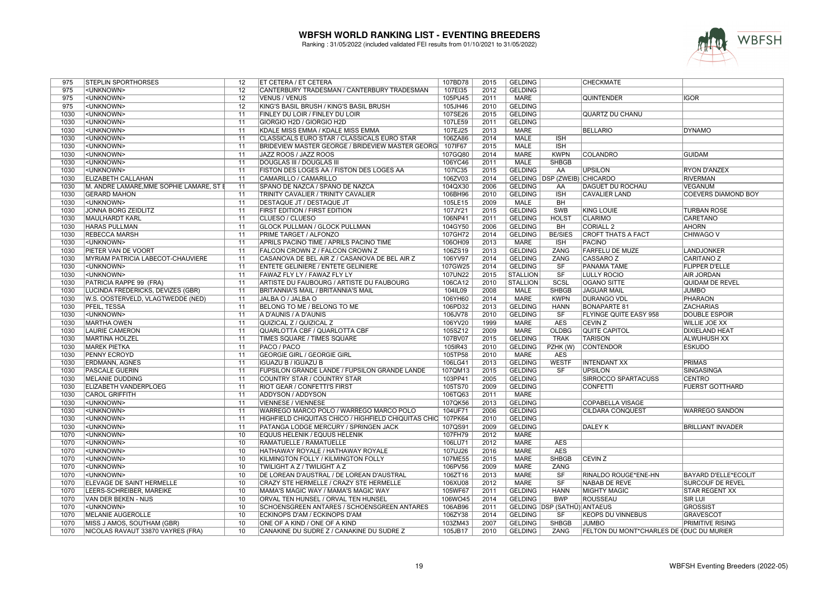

| 975  | <b>STEPLIN SPORTHORSES</b>               | 12              | ET CETERA / ET CETERA                                        | 107BD78 | 2015 | <b>GELDING</b>  |                                | <b>CHECKMATE</b>                         |                             |
|------|------------------------------------------|-----------------|--------------------------------------------------------------|---------|------|-----------------|--------------------------------|------------------------------------------|-----------------------------|
| 975  | <unknown></unknown>                      | 12              | CANTERBURY TRADESMAN / CANTERBURY TRADESMAN                  | 107EI35 | 2012 | <b>GELDING</b>  |                                |                                          |                             |
| 975  | <unknown></unknown>                      | $\overline{12}$ | <b>VENUS / VENUS</b>                                         | 105PU45 | 2011 | <b>MARE</b>     |                                | <b>QUINTENDER</b>                        | igor                        |
| 975  | <unknown></unknown>                      | 12              | KING'S BASIL BRUSH / KING'S BASIL BRUSH                      | 105JH46 | 2010 | <b>GELDING</b>  |                                |                                          |                             |
| 1030 | <unknown></unknown>                      | 11              | FINLEY DU LOIR / FINLEY DU LOIR                              | 107SE26 | 2015 | <b>GELDING</b>  |                                | <b>QUARTZ DU CHANU</b>                   |                             |
| 1030 | <unknown></unknown>                      | $\overline{11}$ | GIORGIO H2D / GIORGIO H2D                                    | 107LE59 | 2011 | <b>GELDING</b>  |                                |                                          |                             |
| 1030 | <unknown></unknown>                      | 11              | KDALE MISS EMMA / KDALE MISS EMMA                            | 107EJ25 | 2013 | MARE            |                                | <b>BELLARIO</b>                          | <b>DYNAMO</b>               |
| 1030 | <unknown></unknown>                      | 11              | CLASSICALS EURO STAR / CLASSICALS EURO STAR                  | 106ZA86 | 2014 | <b>MALE</b>     | <b>ISH</b>                     |                                          |                             |
|      |                                          |                 |                                                              |         |      |                 |                                |                                          |                             |
| 1030 | <unknown></unknown>                      | 11              | BRIDEVIEW MASTER GEORGE / BRIDEVIEW MASTER GEORG             | 107IF67 | 2015 | <b>MALE</b>     | <b>ISH</b>                     |                                          |                             |
| 1030 | <unknown></unknown>                      | $\overline{11}$ | JAZZ ROOS / JAZZ ROOS                                        | 107GQ80 | 2014 | <b>MARE</b>     | <b>KWPN</b>                    | <b>COLANDRO</b>                          | <b>GUIDAM</b>               |
| 1030 | <unknown></unknown>                      | 11              | <b>DOUGLAS III / DOUGLAS III</b>                             | 106YC46 | 2011 | <b>MALE</b>     | <b>SHBGB</b>                   |                                          |                             |
| 1030 | <unknown></unknown>                      | 11              | FISTON DES LOGES AA / FISTON DES LOGES AA                    | 107IC35 | 2015 | <b>GELDING</b>  | AA                             | <b>UPSILON</b>                           | <b>RYON D'ANZEX</b>         |
| 1030 | <b>ELIZABETH CALLAHAN</b>                | $\overline{11}$ | CAMARILLO / CAMARILLO                                        | 106ZV03 | 2014 |                 | GELDING   DSP (ZWEIB) CHICARDO |                                          | <b>RIVERMAN</b>             |
| 1030 | M. ANDRE LAMARE, MME SOPHIE LAMARE, ST I | 11              | SPANO DE NAZCA / SPANO DE NAZCA                              | 104QX30 | 2006 | <b>GELDING</b>  | AA                             | <b>DAGUET DU ROCHAU</b>                  | <b>VEGANUM</b>              |
| 1030 | <b>GERARD MAHON</b>                      | $\overline{11}$ | TRINITY CAVALIER / TRINITY CAVALIER                          | 106BH96 | 2010 | <b>GELDING</b>  | <b>ISH</b>                     | <b>CAVALIER LAND</b>                     | <b>COEVERS DIAMOND BOY</b>  |
| 1030 | <unknown></unknown>                      | 11              | DESTAQUE JT / DESTAQUE JT                                    | 105LE15 | 2009 | <b>MALE</b>     | BH                             |                                          |                             |
| 1030 | <b>JONNA BORG ZEIDLITZ</b>               | 11              | <b>FIRST EDITION / FIRST EDITION</b>                         | 107JY21 | 2015 | <b>GELDING</b>  | <b>SWB</b>                     | <b>KING LOUIE</b>                        | <b>TURBAN ROSE</b>          |
| 1030 | MAULHARDT KARL                           | 11              | CLUESO / CLUESO                                              | 106NP41 | 2011 | <b>GELDING</b>  | <b>HOLST</b>                   | <b>CLARIMO</b>                           | CARETANO                    |
| 1030 | <b>HARAS PULLMAN</b>                     | $\overline{11}$ | <b>GLOCK PULLMAN / GLOCK PULLMAN</b>                         | 104GY50 | 2006 | <b>GELDING</b>  | BH                             | <b>CORIALL 2</b>                         | <b>AHORN</b>                |
| 1030 | <b>REBECCA MARSH</b>                     | 11              | <b>PRIME TARGET / ALFONZO</b>                                | 107GH72 | 2014 | <b>GELDING</b>  | <b>BE/SIES</b>                 | <b>CROFT THATS A FACT</b>                | CHIWAGO V                   |
| 1030 | <unknown></unknown>                      | 11              | APRILS PACINO TIME / APRILS PACINO TIME                      | 106OH09 | 2013 | <b>MARE</b>     | <b>ISH</b>                     | <b>PACINO</b>                            |                             |
| 1030 | PIETER VAN DE VOORT                      | 11              | FALCON CROWN Z / FALCON CROWN Z                              | 106ZS19 | 2013 | <b>GELDING</b>  | ZANG                           | <b>FARFELU DE MUZE</b>                   | <b>LANDJONKER</b>           |
| 1030 | <b>MYRIAM PATRICIA LABECOT-CHAUVIERE</b> | $\overline{11}$ | CASANOVA DE BEL AIR Z / CASANOVA DE BEL AIR Z                | 106YV97 | 2014 | <b>GELDING</b>  | <b>ZANG</b>                    | <b>CASSAROZ</b>                          | <b>CARITANO Z</b>           |
|      |                                          | 11              |                                                              |         | 2014 | <b>GELDING</b>  | SF                             |                                          |                             |
| 1030 | <unknown></unknown>                      |                 | <b>ENTETE GELINIERE / ENTETE GELINIERE</b>                   | 107GW25 |      |                 |                                | PANAMA TAME                              | <b>FLIPPER D'ELLE</b>       |
| 1030 | <unknown></unknown>                      | 11              | FAWAZ FLY LY / FAWAZ FLY LY                                  | 107UN22 | 2015 | <b>STALLION</b> | SF                             | <b>LULLY ROCIO</b>                       | AIR JORDAN                  |
| 1030 | PATRICIA RAPPE 99 (FRA)                  | 11              | ARTISTE DU FAUBOURG / ARTISTE DU FAUBOURG                    | 106CA12 | 2010 | <b>STALLION</b> | SCSL                           | <b>OGANO SITTE</b>                       | QUIDAM DE REVEL             |
| 1030 | LUCINDA FREDERICKS, DEVIZES (GBR)        | 11              | <b>BRITANNIA'S MAIL / BRITANNIA'S MAIL</b>                   | 104IL09 | 2008 | MALE            | <b>SHBGB</b>                   | <b>JAGUAR MAIL</b>                       | <b>JUMBO</b>                |
| 1030 | W.S. OOSTERVELD, VLAGTWEDDE (NED)        | 11              | JALBA O / JALBA O                                            | 106YH60 | 2014 | <b>MARE</b>     | <b>KWPN</b>                    | <b>DURANGO VDL</b>                       | <b>PHARAON</b>              |
| 1030 | PFEIL, TESSA                             | 11              | BELONG TO ME / BELONG TO ME                                  | 106PD32 | 2013 | <b>GELDING</b>  | <b>HANN</b>                    | <b>BONAPARTE 81</b>                      | <b>ZACHARIAS</b>            |
| 1030 | <unknown></unknown>                      | 11              | A D'AUNIS / A D'AUNIS                                        | 106JV78 | 2010 | <b>GELDING</b>  | SF                             | FLYINGE QUITE EASY 958                   | <b>DOUBLE ESPOIR</b>        |
| 1030 | <b>MARTHA OWEN</b>                       | 11              | QUIZICAL Z / QUIZICAL Z                                      | 106YV20 | 1999 | <b>MARE</b>     | <b>AES</b>                     | CEVIN Z                                  | <b>WILLIE JOE XX</b>        |
| 1030 | <b>LAURIE CAMERON</b>                    | 11              | QUARLOTTA CBF / QUARLOTTA CBF                                | 105SZ12 | 2009 | <b>MARE</b>     | <b>OLDBG</b>                   | <b>QUITE CAPITOL</b>                     | <b>DIXIELAND HEAT</b>       |
| 1030 | İMARTINA HÖLZEL                          | 11              | TIMES SQUARE / TIMES SQUARE                                  | 107BV07 | 2015 | <b>GELDING</b>  | <b>TRAK</b>                    | <b>TARISON</b>                           | <b>ALWUHUSH XX</b>          |
| 1030 | <b>MAREK PIETKA</b>                      | 11              | PACO / PACO                                                  | 105IR43 | 2010 | <b>GELDING</b>  | PZHK (W)                       | <b>CONTENDOR</b>                         | <b>ESKUDO</b>               |
| 1030 | <b>PENNY ECROYD</b>                      | 11              | <b>GEORGIE GIRL / GEORGIE GIRL</b>                           | 105TP58 | 2010 | <b>MARE</b>     | <b>AES</b>                     |                                          |                             |
| 1030 | <b>ERDMANN, AGNES</b>                    | $\overline{11}$ | <b>IGUAZU B / IGUAZU B</b>                                   | 106LG41 | 2013 | <b>GELDING</b>  | <b>WESTF</b>                   | <b>INTENDANT XX</b>                      | <b>PRIMAS</b>               |
| 1030 | <b>PASCALE GUERIN</b>                    | 11              | FUPSILON GRANDE LANDE / FUPSILON GRANDE LANDE                | 107QM13 | 2015 | <b>GELDING</b>  | SF                             | <b>UPSILON</b>                           | SINGASINGA                  |
| 1030 | MELANIE DUDDING                          | 11              | COUNTRY STAR / COUNTRY STAR                                  | 103PP41 | 2005 | <b>GELDING</b>  |                                | SIRROCCO SPARTACUSS                      | <b>CENTRO</b>               |
| 1030 | <b>ELIZABETH VANDERPLOEG</b>             | 11              | RIOT GEAR / CONFETTI'S FIRST                                 | 105TS70 | 2009 | <b>GELDING</b>  |                                | <b>CONFETTI</b>                          | <b>FUERST GOTTHARD</b>      |
| 1030 | <b>CAROL GRIFFITH</b>                    | 11              | <b>ADDYSON / ADDYSON</b>                                     | 106TQ63 | 2011 | MARE            |                                |                                          |                             |
| 1030 | <unknown></unknown>                      | $\overline{11}$ | <b>VIENNESE / VIENNESE</b>                                   | 107QK56 | 2013 | <b>GELDING</b>  |                                | <b>COPABELLA VISAGE</b>                  |                             |
|      |                                          | 11              |                                                              | 104UF71 | 2006 | <b>GELDING</b>  |                                |                                          |                             |
| 1030 | <unknown></unknown>                      |                 | WARREGO MARCO POLO / WARREGO MARCO POLO                      |         | 2010 |                 |                                | <b>CILDARA CONQUEST</b>                  | <b>WARREGO SANDON</b>       |
| 1030 | <unknown></unknown>                      | 11              | HIGHFIELD CHIQUITAS CHICO / HIGHFIELD CHIQUITAS CHIC 107PK64 |         |      | <b>GELDING</b>  |                                |                                          |                             |
| 1030 | <unknown></unknown>                      | 11              | PATANGA LODGE MERCURY / SPRINGEN JACK                        | 107QS91 | 2009 | <b>GELDING</b>  |                                | DALEY K                                  | <b>BRILLIANT INVADER</b>    |
| 1070 | <unknown></unknown>                      | 10              | EQUUS HELENIK / EQUUS HELENIK                                | 107FH79 | 2012 | <b>MARE</b>     |                                |                                          |                             |
| 1070 | <unknown></unknown>                      | 10              | RAMATUELLE / RAMATUELLE                                      | 106LU71 | 2012 | <b>MARE</b>     | <b>AES</b>                     |                                          |                             |
| 1070 | <unknown></unknown>                      | 10              | HATHAWAY ROYALE / HATHAWAY ROYALE                            | 107UJ26 | 2016 | <b>MARE</b>     | <b>AES</b>                     |                                          |                             |
| 1070 | <unknown></unknown>                      | 10              | KILMINGTON FOLLY / KILMINGTON FOLLY                          | 107ME55 | 2015 | <b>MARE</b>     | <b>SHBGB</b>                   | <b>CEVIN Z</b>                           |                             |
| 1070 | <unknown></unknown>                      | 10              | TWILIGHT A Z / TWILIGHT A Z                                  | 106PV56 | 2009 | <b>MARE</b>     | ZANG                           |                                          |                             |
| 1070 | <unknown></unknown>                      | $\overline{10}$ | DE LOREAN D'AUSTRAL / DE LOREAN D'AUSTRAL                    | 106ZT16 | 2013 | <b>MARE</b>     | $\overline{\text{SF}}$         | RINALDO ROUGE*ENE-HN                     | <b>BAYARD D'ELLE*ECOLIT</b> |
| 1070 | ELEVAGE DE SAINT HERMELLE                | 10              | CRAZY STE HERMELLE / CRAZY STE HERMELLE                      | 106XU08 | 2012 | <b>MARE</b>     | SF                             | NABAB DE REVE                            | <b>SURCOUF DE REVEL</b>     |
| 1070 | LEERS-SCHREIBER, MAREIKE                 | 10              | MAMA'S MAGIC WAY / MAMA'S MAGIC WAY                          | 105WF67 | 2011 | <b>GELDING</b>  | <b>HANN</b>                    | <b>MIGHTY MAGIC</b>                      | <b>STAR REGENT XX</b>       |
| 1070 | VAN DER BEKEN - NIJS                     | 10              | ORVAL TEN HUNSEL / ORVAL TEN HUNSEL                          | 106WO45 | 2014 | <b>GELDING</b>  | <b>BWP</b>                     | <b>ROUSSEAU</b>                          | <b>SIR LUI</b>              |
| 1070 | <unknown></unknown>                      | 10              | SCHOENSGREEN ANTARES / SCHOENSGREEN ANTARES                  | 106AB96 | 2011 |                 | GELDING DSP (SATHÜ) ANTAEUS    |                                          | <b>GROSSIST</b>             |
| 1070 | MELANIE AUGEROLLE                        | 10              | ECKINOPS D'AM / ECKINOPS D'AM                                | 106ZY38 | 2014 | <b>GELDING</b>  | SF                             | <b>KEOPS DU VINNEBUS</b>                 | <b>GRAVESCOT</b>            |
| 1070 | MISS J AMOS, SOUTHAM (GBR)               | 10              | ONE OF A KIND / ONE OF A KIND                                | 103ZM43 | 2007 | <b>GELDING</b>  | <b>SHBGB</b>                   | <b>JUMBO</b>                             | PRIMITIVE RISING            |
| 1070 | NICOLAS RAVAUT 33870 VAYRES (FRA)        | 10              | CANAKINE DU SUDRE Z / CANAKINE DU SUDRE Z                    | 105JB17 | 2010 | <b>GELDING</b>  | <b>ZANG</b>                    | FELTON DU MONT*CHARLES DE (DUC DU MURIER |                             |
|      |                                          |                 |                                                              |         |      |                 |                                |                                          |                             |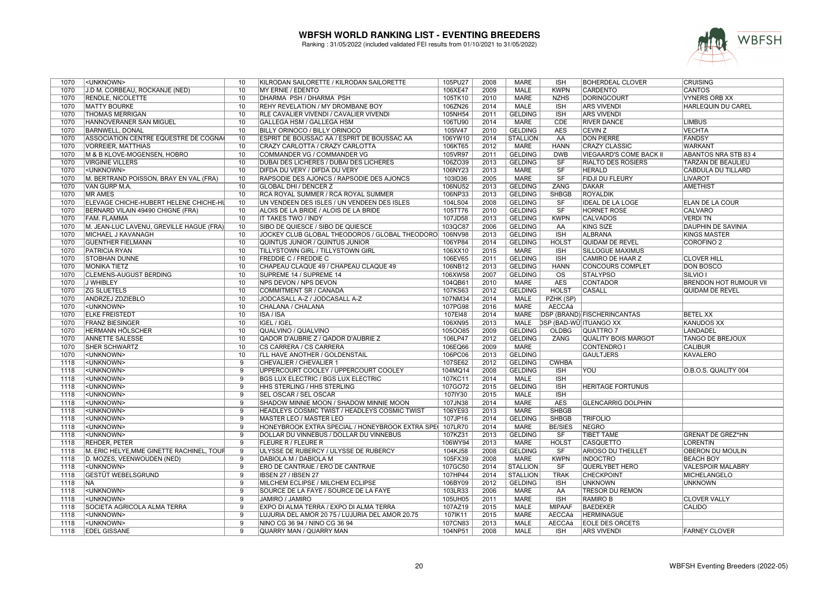

| 1070 | <unknown></unknown>                       | 10             | KILRODAN SAILORETTE / KILRODAN SAILORETTE       | 105PU27 | 2008 | <b>MARE</b>     | <b>ISH</b>                    | <b>BOHERDEAL CLOVER</b>        | <b>CRUISING</b>               |
|------|-------------------------------------------|----------------|-------------------------------------------------|---------|------|-----------------|-------------------------------|--------------------------------|-------------------------------|
| 1070 | J.D M. CORBEAU, ROCKANJE (NED)            | 10             | MY ERNIE / EDENTO                               | 106XE47 | 2009 | <b>MALE</b>     | <b>KWPN</b>                   | <b>CARDENTO</b>                | <b>CANTOS</b>                 |
| 1070 | RENDLE, NICOLETTE                         | 10             | DHARMA PSH / DHARMA PSH                         | 105TK10 | 2010 | <b>MARE</b>     | <b>NZHS</b>                   | <b>DORINGCOURT</b>             | <b>VYNERS ORB XX</b>          |
| 1070 | <b>MATTY BOURKE</b>                       | 10             | <b>REHY REVELATION / MY DROMBANE BOY</b>        | 106ZN26 | 2014 | <b>MALE</b>     | <b>ISH</b>                    | <b>ARS VIVENDI</b>             | <b>HARLEQUIN DU CAREL</b>     |
| 1070 | <b>THOMAS MERRIGAN</b>                    | 10             | RLE CAVALIER VIVENDI / CAVALIER VIVENDI         | 105NH54 | 2011 | <b>GELDING</b>  | <b>ISH</b>                    | <b>ARS VIVENDI</b>             |                               |
| 1070 | <b>HANNOVERANER SAN MIGUEL</b>            | 10             | GALLEGA HSM / GALLEGA HSM                       | 106TU90 | 2014 | <b>MARE</b>     | <b>CDE</b>                    | <b>RIVER DANCE</b>             | <b>LIMBUS</b>                 |
| 1070 | <b>BARNWELL, DONAL</b>                    | 10             | BILLY ORINOCO / BILLY ORINOCO                   | 105IV47 | 2010 | <b>GELDING</b>  | <b>AES</b>                    | <b>CEVIN Z</b>                 | <b>VECHTA</b>                 |
| 1070 | ASSOCIATION CENTRE EQUESTRE DE COGNA      | 10             | ESPRIT DE BOUSSAC AA / ESPRIT DE BOUSSAC AA     | 106YW10 | 2014 | <b>STALLION</b> | AA                            | <b>DON PIERRE</b>              | <b>FANDSY</b>                 |
| 1070 | <b>VORREIER, MATTHIAS</b>                 | 10             | CRAZY CARLOTTA / CRAZY CARLOTTA                 | 106KT65 | 2012 | MARE            | <b>HANN</b>                   | <b>CRAZY CLASSIC</b>           | <b>WARKANT</b>                |
| 1070 | M & B KLOVE-MOGENSEN. HOBRO               | 10             | COMMANDER VG / COMMANDER VG                     | 105VR97 | 2011 | <b>GELDING</b>  | <b>DWB</b>                    | <b>VIEGAARD'S COME BACK II</b> | <b>ABANTOS NRA STB 83 4</b>   |
| 1070 | <b>VIRGINIE VILLERS</b>                   | 10             | DUBAI DES LICHERES / DUBAI DES LICHERES         | 106ZO39 | 2013 | <b>GELDING</b>  | <b>SF</b>                     | <b>RIALTO DES ROSIERS</b>      | TARZAN DE BEAULIEU            |
| 1070 | <unknown></unknown>                       | 10             | DIFDA DU VERY / DIFDA DU VERY                   | 106NY23 | 2013 | <b>MARE</b>     | $\overline{\text{SF}}$        | <b>HERALD</b>                  | <b>CABDULA DU TILLARD</b>     |
| 1070 | M. BERTRAND POISSON, BRAY EN VAL (FRA)    | 10             | RAPSODIE DES AJONCS / RAPSODIE DES AJONCS       | 103ID36 | 2005 | <b>MARE</b>     | SF                            | FIDJI DU FLEURY                | <b>LIVAROT</b>                |
| 1070 | VAN GURP M.A.                             | 10             | <b>GLOBAL DHI / DENCER Z</b>                    | 106NU52 | 2013 | <b>GELDING</b>  | <b>ZANG</b>                   | <b>DAKAR</b>                   | <b>AMETHIST</b>               |
| 1070 | <b>MR AMES</b>                            | 10             | RCA ROYAL SUMMER / RCA ROYAL SUMMER             | 106NP33 | 2013 | <b>GELDING</b>  | <b>SHBGB</b>                  | <b>ROYALDIK</b>                |                               |
| 1070 | ELEVAGE CHICHE-HUBERT HELENE CHICHE-HU    | 10             | UN VENDEEN DES ISLES / UN VENDEEN DES ISLES     | 104LS04 | 2008 | <b>GELDING</b>  | <b>SF</b>                     | <b>IDEAL DE LA LOGE</b>        | ELAN DE LA COUR               |
| 1070 | BERNARD VILAIN 49490 CHIGNE (FRA)         | 10             | ALOIS DE LA BRIDE / ALOIS DE LA BRIDE           | 105TT76 | 2010 | <b>GELDING</b>  | SF                            | <b>HORNET ROSE</b>             | <b>CALVARO</b>                |
| 1070 | <b>FAM. FLAMMA</b>                        | 10             | IT TAKES TWO / INDY                             | 107JD58 | 2013 | <b>GELDING</b>  | <b>KWPN</b>                   | <b>CALVADOS</b>                | <b>VERDITN</b>                |
|      |                                           |                |                                                 |         |      |                 |                               | <b>KING SIZE</b>               |                               |
| 1070 | M. JEAN-LUC LAVENU, GREVILLE HAGUE (FRA)  | 10             | SIBO DE QUIESCE / SIBO DE QUIESCE               | 103QC87 | 2006 | <b>GELDING</b>  | AA                            |                                | <b>DAUPHIN DE SAVINIA</b>     |
| 1070 | MICHAEL J KAVANAGH                        | 10             | JOCKEY CLUB GLOBAL THEODOROS / GLOBAL THEODORO  | 106NV98 | 2013 | <b>GELDING</b>  | <b>ISH</b>                    | <b>ALBRANA</b>                 | KINGS MASTER                  |
| 1070 | <b>GUENTHER FIELMANN</b>                  | 10             | QUINTUS JUNIOR / QUINTUS JUNIOR                 | 106YP84 | 2014 | <b>GELDING</b>  | <b>HOLST</b>                  | QUIDAM DE REVEL                | <b>COROFINO 2</b>             |
| 1070 | <b>PATRICIA RYAN</b>                      | 10             | TILLYSTOWN GIRL / TILLYSTOWN GIRL               | 106XX10 | 2015 | <b>MARE</b>     | <b>ISH</b>                    | <b>SILLOGUE MAXIMUS</b>        |                               |
| 1070 | <b>STOBHAN DUNNE</b>                      | 10             | <b>FREDDIE C / FREDDIE C</b>                    | 106EV65 | 2011 | <b>GELDING</b>  | <b>ISH</b>                    | <b>CAMIRO DE HAAR Z</b>        | <b>CLOVER HILL</b>            |
| 1070 | <b>MONIKA TIETZ</b>                       | 10             | CHAPEAU CLAQUE 49 / CHAPEAU CLAQUE 49           | 106NB12 | 2013 | <b>GELDING</b>  | <b>HANN</b>                   | <b>CONCOURS COMPLET</b>        | <b>DON BOSCO</b>              |
| 1070 | <b>CLEMENS-AUGUST BERDING</b>             | 10             | SUPREME 14 / SUPREME 14                         | 106XW58 | 2007 | <b>GELDING</b>  | <b>OS</b>                     | <b>STALYPSO</b>                | <b>SILVIO</b> I               |
| 1070 | J WHIBLEY                                 | 10             | NPS DEVON / NPS DEVON                           | 104QB61 | 2010 | <b>MARE</b>     | <b>AES</b>                    | <b>CONTADOR</b>                | <b>BRENDON HOT RUMOUR VII</b> |
| 1070 | <b>ZG SLUETELS</b>                        | 10             | COMMITMENT SR / CANADA                          | 107KS63 | 2012 | <b>GELDING</b>  | <b>HOLST</b>                  | <b>CASALL</b>                  | <b>QUIDAM DE REVEL</b>        |
| 1070 | ANDRZEJ ZDZIEBLO                          | 10             | JODCASALL A-Z / JODCASALL A-Z                   | 107NM34 | 2014 | <b>MALE</b>     | PZHK (SP)                     |                                |                               |
| 1070 | <unknown></unknown>                       | 10             | CHALANA / CHALANA                               | 107PG98 | 2016 | <b>MARE</b>     | AECCAá                        |                                |                               |
| 1070 | <b>ELKE FREISTEDT</b>                     | 10             | <b>ISA/ISA</b>                                  | 107EI48 | 2014 | <b>MARE</b>     |                               | DSP (BRAND) FISCHERINCANTAS    | <b>BETEL XX</b>               |
| 1070 | <b>FRANZ BIESINGER</b>                    | 10             | IGEL / IGEL                                     | 106XN95 | 2013 | <b>MALE</b>     | <b>DSP (BAD-WÜ)ITUANGO XX</b> |                                | <b>KANUDOS XX</b>             |
| 1070 | <b>HERMANN HÖLSCHER</b>                   | 10             | <b>QUALVINO / QUALVINO</b>                      | 1050085 | 2009 | <b>GELDING</b>  | <b>OLDBG</b>                  | <b>QUATTRO 7</b>               | <b>LANDADEL</b>               |
| 1070 | <b>ANNETTE SALESSE</b>                    | 10             | QADOR D'AUBRIE Z / QADOR D'AUBRIE Z             | 106LP47 | 2012 | <b>GELDING</b>  | ZANG                          | <b>QUALITY BOIS MARGOT</b>     | <b>TANGO DE BREJOUX</b>       |
| 1070 | SHER SCHWARTZ                             | 10             | CS CARRERA / CS CARRERA                         | 106EQ66 | 2009 | MARE            |                               | <b>CONTENDRO I</b>             | <b>CALIBUR</b>                |
| 1070 |                                           |                | I'LL HAVE ANOTHER / GOLDENSTAIL                 | 106PC06 | 2013 | <b>GELDING</b>  |                               | <b>GAULTJERS</b>               |                               |
|      |                                           |                |                                                 |         |      |                 |                               |                                |                               |
|      | <unknown></unknown>                       | 10             |                                                 |         |      |                 |                               |                                | <b>KAVALERO</b>               |
| 1118 | <unknown></unknown>                       | $\overline{9}$ | CHEVALIER / CHEVALIER 1                         | 107SE62 | 2012 | <b>GELDING</b>  | <b>CWHBA</b>                  |                                |                               |
| 1118 | <unknown></unknown>                       | $\overline{9}$ | UPPERCOURT COOLEY / UPPERCOURT COOLEY           | 104MQ14 | 2008 | <b>GELDING</b>  | <b>ISH</b>                    | YOU                            | O.B.O.S. QUALITY 004          |
| 1118 | <unknown></unknown>                       | 9              | BGS LUX ELECTRIC / BGS LUX ELECTRIC             | 107KC11 | 2014 | <b>MALE</b>     | <b>ISH</b>                    |                                |                               |
| 1118 | <unknown></unknown>                       | 9              | HHS STERLING / HHS STERLING                     | 107GO72 | 2015 | <b>GELDING</b>  | <b>ISH</b>                    | <b>HERITAGE FORTUNUS</b>       |                               |
| 1118 | <unknown></unknown>                       | $\overline{9}$ | SEL OSCAR / SEL OSCAR                           | 107IY30 | 2015 | <b>MALE</b>     | <b>ISH</b>                    |                                |                               |
| 1118 | <unknown></unknown>                       | $\overline{9}$ | SHADOW MINNIE MOON / SHADOW MINNIE MOON         | 107JN38 | 2014 | <b>MARE</b>     | <b>AES</b>                    | <b>GLENCARRIG DOLPHIN</b>      |                               |
| 1118 | <unknown></unknown>                       | 9              | HEADLEYS COSMIC TWIST / HEADLEYS COSMIC TWIST   | 106YE93 | 2013 | <b>MARE</b>     | <b>SHBGB</b>                  |                                |                               |
| 1118 | <unknown></unknown>                       | 9              | MASTER LEO / MASTER LEO                         | 107JP16 | 2014 | <b>GELDING</b>  | <b>SHBGB</b>                  | <b>TRIFOLIO</b>                |                               |
| 1118 | <unknown></unknown>                       | $\overline{9}$ | HONEYBROOK EXTRA SPECIAL / HONEYBROOK EXTRA SPE | 107LR70 | 2014 | <b>MARE</b>     | <b>BE/SIES</b>                | <b>NEGRO</b>                   |                               |
| 1118 | <unknown></unknown>                       | 9              | DOLLAR DU VINNEBUS / DOLLAR DU VINNEBUS         | 107KZ31 | 2013 | <b>GELDING</b>  | SF                            | <b>TIBET TAME</b>              | <b>GRENAT DE GREZ*HN</b>      |
| 1118 | REHDER, PETER                             | 9              | <b>FLEURE R / FLEURE R</b>                      | 106WY94 | 2013 | <b>MARE</b>     | <b>HOLST</b>                  | <b>CASQUETTO</b>               | <b>LORENTIN</b>               |
| 1118 | M. ERIC HELYE, MME GINETTE RACHINEL, TOUF | 9              | ULYSSE DE RUBERCY / ULYSSE DE RUBERCY           | 104KJ58 | 2008 | <b>GELDING</b>  | <b>SF</b>                     | ARIOSO DU THEILLET             | OBERON DU MOULIN              |
| 1118 | D. MOZES, VEENWOUDEN (NED)                | $\overline{9}$ | DABIOLA M / DABIOLA M                           | 105FX39 | 2008 | <b>MARE</b>     | <b>KWPN</b>                   | <b>INDOCTRO</b>                | <b>BEACH BOY</b>              |
| 1118 | <unknown></unknown>                       | $\overline{9}$ | ERO DE CANTRAIE / ERO DE CANTRAIE               | 107GC50 | 2014 | <b>STALLION</b> | SF                            | QUERLYBET HERO                 | <b>VALESPOIR MALABRY</b>      |
| 1118 | <b>GESTÜT WEBELSGRUND</b>                 | $\overline{9}$ | IBSEN 27 / IBSEN 27                             | 107HP44 | 2014 | <b>STALLION</b> | <b>TRAK</b>                   | <b>CHECKPOINT</b>              | MICHELANGELO                  |
| 1118 | <b>NA</b>                                 | 9              | MILCHEM ECLIPSE / MILCHEM ECLIPSE               | 106BY09 | 2012 | <b>GELDING</b>  | <b>ISH</b>                    | <b>UNKNOWN</b>                 | <b>UNKNOWN</b>                |
| 1118 | <unknown></unknown>                       | $\overline{9}$ | SOURCE DE LA FAYE / SOURCE DE LA FAYE           | 103LR33 | 2006 | <b>MARE</b>     | AA                            | <b>TRESOR DU REMON</b>         |                               |
| 1118 | <unknown></unknown>                       | $\overline{9}$ | JAMIRO / JAMIRO                                 | 105UH05 | 2011 | <b>MARE</b>     | <b>ISH</b>                    | <b>RAMIRO B</b>                | <b>CLOVER VALLY</b>           |
| 1118 | SOCIETA AGRICOLA ALMA TERRA               | 9              | EXPO DI ALMA TERRA / EXPO DI ALMA TERRA         | 107AZ19 | 2015 | <b>MALE</b>     | <b>MIPAAF</b>                 | <b>BAEDEKER</b>                | CALIDO                        |
| 1118 | <unknown></unknown>                       | 9              | LUJURIA DEL AMOR 20 75 / LUJURIA DEL AMOR 20.75 | 107IK11 | 2015 | <b>MARE</b>     | <b>AECCAá</b>                 | <b>HERMINAGUE</b>              |                               |
| 1118 | <unknown></unknown>                       | $\overline{9}$ | NINO CG 36 94 / NINO CG 36 94                   | 107CN83 | 2013 | <b>MALE</b>     | <b>AECCAá</b>                 | <b>EOLE DES ORCETS</b>         |                               |
| 1118 | <b>EDEL GISSANE</b>                       | $\overline{9}$ | QUARRY MAN / QUARRY MAN                         | 104NP51 | 2008 | <b>MALE</b>     | <b>ISH</b>                    | <b>ARS VIVENDI</b>             | <b>FARNEY CLOVER</b>          |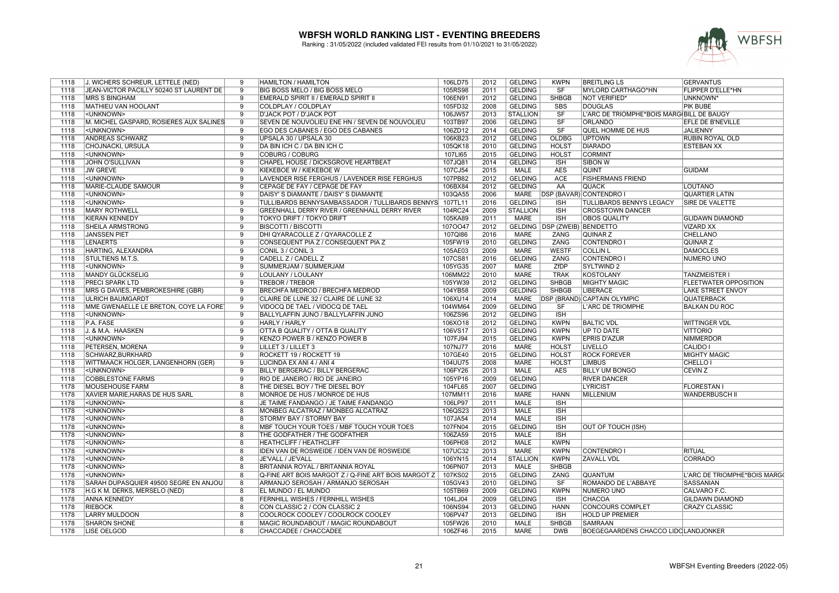

| 1118         | J. WICHERS SCHREUR, LETTELE (NED)                      | 9                       | <b>HAMILTON / HAMILTON</b>                                   | 106LD75            | 2012         | <b>GELDING</b>                   | <b>KWPN</b>                            | <b>BREITLING LS</b>                        | <b>GERVANTUS</b>             |
|--------------|--------------------------------------------------------|-------------------------|--------------------------------------------------------------|--------------------|--------------|----------------------------------|----------------------------------------|--------------------------------------------|------------------------------|
| 1118         | JEAN-VICTOR PACILLY 50240 ST LAURENT DE                | 9                       | BIG BOSS MELO / BIG BOSS MELO                                | 105RS98            | 2011         | <b>GELDING</b>                   | <b>SF</b>                              | MYLORD CARTHAGO*HN                         | FLIPPER D'ELLE*HN            |
| 1118         | <b>IMRS S BINGHAM</b>                                  | 9                       | EMERALD SPIRIT II / EMERALD SPIRIT II                        | 106EN91            | 2012         | <b>GELDING</b>                   | <b>SHBGB</b>                           | <b>NOT VERIFIED*</b>                       | UNKNOWN*                     |
| 1118         | <b>MATHIEU VAN HOOLANT</b>                             | $\overline{9}$          | COLDPLAY / COLDPLAY                                          | 105FD32            | 2008         | <b>GELDING</b>                   | <b>SBS</b>                             | <b>DOUGLAS</b>                             | <b>PIK BUBE</b>              |
| 1118         | <unknown></unknown>                                    | 9                       | <b>D'JACK POT / D'JACK POT</b>                               | 106JW57            | 2013         | <b>STALLION</b>                  | $\overline{\text{S}}$ F                | L'ARC DE TRIOMPHE*BOIS MARGIBILL DE BAUGY  |                              |
| 1118         | M. MICHEL GASPARD, ROSIERES AUX SALINES                | 9                       | SEVEN DE NOUVOLIEU ENE HN / SEVEN DE NOUVOLIEU               | 103TB97            | 2006         | <b>GELDING</b>                   | $\overline{\text{SF}}$                 | <b>ORLANDO</b>                             | EFLE DE B'NEVILLE            |
| 1118         | <unknown></unknown>                                    | 9                       | EGO DES CABANES / EGO DES CABANES                            | 106ZD12            | 2014         | <b>GELDING</b>                   | SF                                     | QUEL HOMME DE HUS                          | JALIENNY                     |
| 1118         | <b>ANDREAS SCHWARZ</b>                                 | $\overline{9}$          | UPSALA 30 / UPSALA 30                                        | 106KB23            | 2012         | <b>GELDING</b>                   | <b>OLDBG</b>                           | <b>UPTOWN</b>                              | <b>RUBIN ROYAL OLD</b>       |
| 1118         | CHOJNACKI, URSULA                                      | $\overline{9}$          | DA BIN ICH C / DA BIN ICH C                                  | 105QK18            | 2010         | <b>GELDING</b>                   | <b>HOLST</b>                           | <b>DIARADO</b>                             | <b>ESTEBAN XX</b>            |
| 1118         | <unknown></unknown>                                    | $\overline{9}$          | <b>COBURG / COBURG</b>                                       | 107LI65            | 2015         | <b>GELDING</b>                   | <b>HOLST</b>                           | <b>CORMINT</b>                             |                              |
| 1118         | JOHN O'SULLIVAN                                        | 9                       | CHAPEL HOUSE / DICKSGROVE HEARTBEAT                          | 107JQ81            | 2014         | <b>GELDING</b>                   | <b>ISH</b>                             | <b>SIBON W</b>                             |                              |
| 1118         | <b>JW GREVE</b>                                        | 9                       | KIEKEBOE W / KIEKEBOE W                                      | 107CJ54            | 2015         | <b>MALE</b>                      | <b>AES</b>                             | <b>QUINT</b>                               | <b>GUIDAM</b>                |
| 1118         | <unknown></unknown>                                    | $\overline{9}$          | LAVENDER RISE FERGHUS / LAVENDER RISE FERGHUS                | 107PB82            | 2012         | <b>GELDING</b>                   | <b>ACE</b>                             | <b>FISHERMANS FRIEND</b>                   |                              |
| 1118         | MARIE-CLAUDE SAMOUR                                    | $\overline{9}$          | CEPAGE DE FAY / CEPAGE DE FAY                                | 106BX84            | 2012         | <b>GELDING</b>                   | AA                                     | <b>QUACK</b>                               | <b>LOUTANO</b>               |
| 1118         | <unknown></unknown>                                    | 9                       | DAISY' S DIAMANTE / DAISY' S DIAMANTE                        | 103QA55            | 2006         |                                  |                                        | MARE   DSP (BAVAR) CONTENDRO I             | <b>QUARTIER LATIN</b>        |
| 1118         | <unknown></unknown>                                    | 9                       | TULLIBARDS BENNYSAMBASSADOR / TULLIBARDS BENNYS              | 107TL11            | 2016         | <b>GELDING</b>                   | <b>ISH</b>                             | <b>TULLIBARDS BENNYS LEGACY</b>            | SIRE DE VALETTE              |
| 1118         | <b>MARY ROTHWELL</b>                                   | $\overline{9}$          | GREENHALL DERRY RIVER / GREENHALL DERRY RIVER                | 104RC24            | 2009         | <b>STALLION</b>                  | <b>ISH</b>                             | <b>CROSSTOWN DANCER</b>                    |                              |
| 1118         | <b>KIERAN KENNEDY</b>                                  | 9                       | TOKYO DRIFT / TOKYO DRIFT                                    | 105KA89            | 2011         | <b>MARE</b>                      | <b>ISH</b>                             | <b>OBOS QUALITY</b>                        | <b>GLIDAWN DIAMOND</b>       |
| 1118         | SHEILA ARMSTRONG                                       | 9                       | <b>BISCOTTI / BISCOTTI</b>                                   | 1070047            | 2012         |                                  | <b>GELDING   DSP (ZWEIB) BENIDETTO</b> |                                            | <b>VIZARD XX</b>             |
| 1118         | <b>JANSSEN PIET</b>                                    | 9                       | DHI QYARACOLLE Z / QYARACOLLE Z                              | 107QI86            | 2016         | <b>MARE</b>                      | ZANG                                   | QUINAR Z                                   | CHELLANO                     |
| 1118         | <b>LENAERTS</b>                                        | 9                       | CONSEQUENT PIA Z / CONSEQUENT PIA Z                          | 105FW19            | 2010         | <b>GELDING</b>                   | <b>ZANG</b>                            | <b>CONTENDRO</b>                           | <b>QUINAR Z</b>              |
| 1118         | HARTING, ALEXANDRA                                     | $\overline{9}$          | CONIL 3 / CONIL 3                                            | 105AE03            | 2009         | <b>MARE</b>                      | <b>WESTF</b>                           | <b>COLLIN L</b>                            | <b>DAMOCLES</b>              |
| 1118         | STULTIENS M.T.S.                                       | $\overline{9}$          | CADELL Z / CADELL Z                                          | 107CS81            | 2016         | <b>GELDING</b>                   | <b>ZANG</b>                            | <b>CONTENDRO I</b>                         | <b>NUMERO UNO</b>            |
| 1118         | <unknown></unknown>                                    | 9                       | SUMMERJAM / SUMMERJAM                                        | 105YG35            | 2007         | <b>MARE</b>                      | ZfDP                                   | <b>SYLTWIND 2</b>                          |                              |
| 1118         | <b>MANDY GLÜCKSELIG</b>                                | 9                       | LOULANY / LOULANY                                            | 106MM22            | 2010         | <b>MARE</b>                      | <b>TRAK</b>                            | <b>KOSTOLANY</b>                           | <b>TANZMEISTER I</b>         |
| 1118         | <b>PRECI SPARK LTD</b>                                 | $\overline{9}$          | <b>TREBOR / TREBOR</b>                                       | 105YW39            | 2012         | <b>GELDING</b>                   | <b>SHBGB</b>                           | <b>MIGHTY MAGIC</b>                        | <b>FLEETWATER OPPOSITION</b> |
| 1118         | MRS G DAVIES, PEMBROKESHIRE (GBR)                      | 9                       | BRECHFA MEDROD / BRECHFA MEDROD                              | 104YB58            | 2009         | <b>GELDING</b>                   | <b>SHBGB</b>                           | <b>LIBERACE</b>                            | LAKE STREET ENVOY            |
| 1118         | <b>ULRICH BAUMGARDT</b>                                | 9                       | CLAIRE DE LUNE 32 / CLAIRE DE LUNE 32                        | 106XU14            | 2014         | <b>MARE</b>                      |                                        | <b>DSP (BRAND) CAPTAIN OLYMPIC</b>         | <b>QUATERBACK</b>            |
| 1118         | MME GWENAELLE LE BRETON, COYE LA FORE)                 | 9                       | VIDOCQ DE TAEL / VIDOCQ DE TAEL                              | 104WM64            | 2009         | <b>GELDING</b>                   | <b>SF</b>                              | L'ARC DE TRIOMPHE                          | <b>BALKAN DU ROC</b>         |
| 1118         | <unknown></unknown>                                    | $\overline{9}$          | BALLYLAFFIN JUNO / BALLYLAFFIN JUNO                          | 106ZS96            | 2012         | <b>GELDING</b>                   | <b>ISH</b>                             |                                            |                              |
| 1118         | P.A. FASE                                              | $\overline{9}$          | <b>HARLY / HARLY</b>                                         | 106XO18            | 2012         | <b>GELDING</b>                   | <b>KWPN</b>                            | <b>BALTIC VDL</b>                          | <b>WITTINGER VDL</b>         |
| 1118         | J. & M.A. HAASKEN                                      | $\overline{9}$          | OTTA B QUALITY / OTTA B QUALITY                              | 106VS17            | 2013         | <b>GELDING</b>                   | <b>KWPN</b>                            | <b>UP TO DATE</b>                          | <b>VITTORIO</b>              |
| 1118         | <unknown></unknown>                                    | 9                       | KENZO POWER B / KENZO POWER B                                | 107FJ94            | 2015         | <b>GELDING</b>                   | <b>KWPN</b>                            | <b>EPRIS D'AZUR</b>                        | <b>NIMMERDOR</b>             |
| 1118         | PETERSEN, MORENA                                       | $\overline{9}$          | LILLET 3 / LILLET 3                                          | 107NJ77            | 2016         | <b>MARE</b>                      | <b>HOLST</b>                           | <b>LIVELLO</b>                             | CALIDO I                     |
| 1118         | SCHWARZ.BURKHARD                                       | $\overline{9}$          | ROCKETT 19 / ROCKETT 19                                      | 107GE40            | 2015         | <b>GELDING</b>                   | <b>HOLST</b>                           | <b>ROCK FOREVER</b>                        | <b>MIGHTY MAGIC</b>          |
| 1118         | WITTMAACK HOLGER, LANGENHORN (GER)                     | 9                       | LUCINDA EX ANI 4 / ANI 4                                     | 104UU75            | 2008         | <b>MARE</b>                      | <b>HOLST</b>                           | <b>LIMBUS</b>                              | CHELLO I                     |
| 1118         | <unknown></unknown>                                    | 9                       |                                                              | 106FY26            | 2013         | <b>MALE</b>                      | <b>AES</b>                             | <b>BILLY UM BONGO</b>                      | <b>CEVIN Z</b>               |
|              |                                                        | 9                       | BILLY BERGERAC / BILLY BERGERAC                              |                    |              |                                  |                                        |                                            |                              |
| 1118         | <b>COBBLESTONE FARMS</b>                               | $\overline{8}$          | RIO DE JANEIRO / RIO DE JANEIRO                              | 105YP16            | 2009<br>2007 | <b>GELDING</b><br><b>GELDING</b> |                                        | <b>RIVER DANCER</b>                        |                              |
| 1178         | <b>MOUSEHOUSE FARM</b>                                 |                         | THE DIESEL BOY / THE DIESEL BOY                              | 104FL65            | 2016         |                                  |                                        | <b>LYRICIST</b>                            | <b>FLORESTAN1</b>            |
| 1178<br>1178 | XAVIER MARIE, HARAS DE HUS SARL<br><unknown></unknown> | 8<br>$\overline{8}$     | MONROE DE HUS / MONROE DE HUS                                | 107MM11<br>106LP97 | 2011         | <b>MARE</b><br><b>MALE</b>       | <b>HANN</b><br><b>ISH</b>              | <b>MILLENIUM</b>                           | <b>WANDERBUSCH II</b>        |
|              |                                                        |                         | JE TAIME FANDANGO / JE TAIME FANDANGO                        |                    |              |                                  |                                        |                                            |                              |
| 1178<br>1178 | <unknown><br/><unknown></unknown></unknown>            | 8<br>$\overline{8}$     | MONBEG ALCATRAZ / MONBEG ALCATRAZ<br>STORMY BAY / STORMY BAY | 106QS23<br>107JA54 | 2013<br>2014 | MALE<br><b>MALE</b>              | <b>ISH</b><br><b>ISH</b>               |                                            |                              |
| 1178         | <unknown></unknown>                                    |                         |                                                              |                    | 2015         | <b>GELDING</b>                   | <b>ISH</b>                             |                                            |                              |
| 1178         | <unknown></unknown>                                    | 8<br>$\overline{8}$     | MBF TOUCH YOUR TOES / MBF TOUCH YOUR TOES                    | 107FN04            | 2015         | <b>MALE</b>                      | <b>ISH</b>                             | OUT OF TOUCH (ISH)                         |                              |
|              |                                                        |                         | THE GODFATHER / THE GODFATHER                                | 106ZA59            |              |                                  |                                        |                                            |                              |
| 1178         | <unknown></unknown>                                    | 8                       | <b>HEATHCLIFF / HEATHCLIFF</b>                               | 106PH08            | 2012         | <b>MALE</b>                      | <b>KWPN</b>                            |                                            |                              |
| 1178         | <unknown></unknown>                                    | 8                       | IDEN VAN DE ROSWEIDE / IDEN VAN DE ROSWEIDE                  | 107UC32            | 2013         | <b>MARE</b>                      | <b>KWPN</b>                            | <b>CONTENDRO</b>                           | <b>RITUAL</b>                |
| 1178         | <unknown></unknown>                                    | $\overline{8}$          | JE'VALL / JE'VALL                                            | 106YN15            | 2014         | <b>STALLION</b>                  | <b>KWPN</b>                            | <b>ZAVALL VDL</b>                          | <b>CORRADO</b>               |
| 1178         | <unknown></unknown>                                    | 8                       | BRITANNIA ROYAL / BRITANNIA ROYAL                            | 106PN07            | 2013         | <b>MALE</b>                      | <b>SHBGB</b>                           |                                            |                              |
| 1178         | <unknown></unknown>                                    | $\overline{8}$          | Q-FINE ART BOIS MARGOT Z / Q-FINE ART BOIS MARGOT Z          | 107KS02            | 2015         | <b>GELDING</b>                   | <b>ZANG</b>                            | <b>QUANTUM</b>                             | L'ARC DE TRIOMPHE*BOIS MARGO |
| 1178         | SARAH DUPASQUIER 49500 SEGRE EN ANJOU                  | 8                       | ARMANJO SEROSAH / ARMANJO SEROSAH                            | 105GV43            | 2010         | <b>GELDING</b>                   | <b>SF</b>                              | ROMANDO DE L'ABBAYE                        | SASSANIAN                    |
| 1178         | H.G K M. DERKS, MERSELO (NED)                          | 8                       | EL MUNDO / EL MUNDO                                          | 105TB69            | 2009         | <b>GELDING</b>                   | <b>KWPN</b>                            | NUMERO UNO                                 | CALVARO F.C.                 |
| 1178         | <b>ANNA KENNEDY</b>                                    | 8                       | FERNHILL WISHES / FERNHILL WISHES                            | 104LJ04            | 2009         | <b>GELDING</b>                   | <b>ISH</b>                             | <b>CHACOA</b>                              | <b>GILDAWN DIAMOND</b>       |
| 1178         | <b>RIEBOCK</b>                                         | 8                       | CON CLASSIC 2 / CON CLASSIC 2                                | 106NS94            | 2013         | <b>GELDING</b>                   | <b>HANN</b>                            | <b>CONCOURS COMPLET</b>                    | <b>CRAZY CLASSIC</b>         |
| 1178         | <b>LARRY MULDOON</b>                                   | 8                       | COOLROCK COOLEY / COOLROCK COOLEY                            | 106PV47            | 2013         | <b>GELDING</b>                   | <b>ISH</b>                             | <b>HOLD UP PREMIER</b>                     |                              |
| 1178         | <b>SHARON SHONE</b>                                    | $\overline{8}$          | MAGIC ROUNDABOUT / MAGIC ROUNDABOUT                          | 105FW26            | 2010         | <b>MALE</b>                      | <b>SHBGB</b>                           | <b>SAMRAAN</b>                             |                              |
| 1178         | <b>LISE OELGOD</b>                                     | $\overline{\mathbf{g}}$ | CHACCADEE / CHACCADEE                                        | 106ZF46            | 2015         | <b>MARE</b>                      | <b>DWB</b>                             | <b>BOEGEGAARDENS CHACCO LIDCLANDJONKER</b> |                              |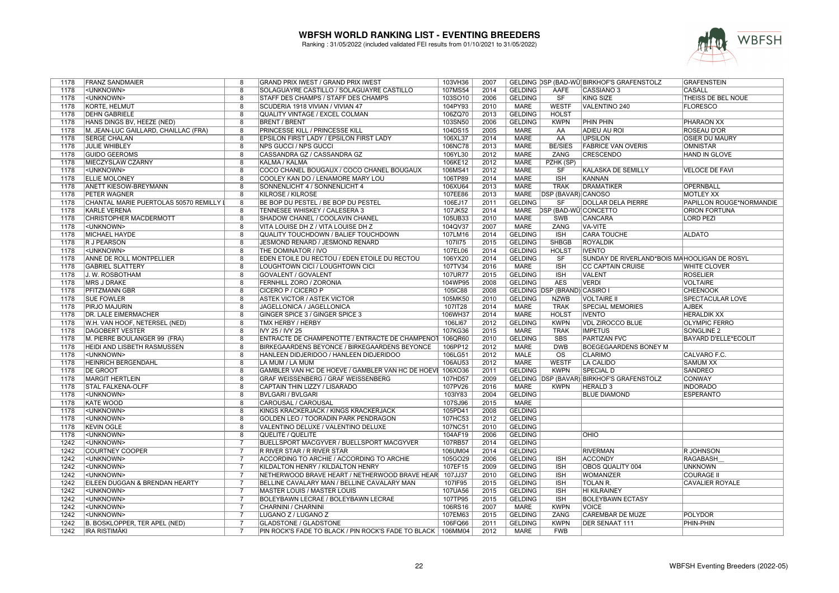

| 1178 | <b>FRANZ SANDMAIER</b>                | 8                       | GRAND PRIX IWEST / GRAND PRIX IWEST                           | 103VH36 | 2007 |                |                              | GELDING DSP (BAD-WÜ BIRKHOF'S GRAFENSTOLZ    | <b>GRAFENSTEIN</b>          |
|------|---------------------------------------|-------------------------|---------------------------------------------------------------|---------|------|----------------|------------------------------|----------------------------------------------|-----------------------------|
| 1178 | <unknown></unknown>                   | 8                       | SOLAGUAYRE CASTILLO / SOLAGUAYRE CASTILLO                     | 107MS54 | 2014 | <b>GELDING</b> | AAFE                         | CASSIANO 3                                   | <b>CASALL</b>               |
| 1178 | <unknown></unknown>                   | $\overline{8}$          | STAFF DES CHAMPS / STAFF DES CHAMPS                           | 103SO10 | 2006 | <b>GELDING</b> | $\overline{\text{S}}$ F      | <b>KING SIZE</b>                             | THEISS DE BEL NOUE          |
| 1178 | <b>KORTE, HELMUT</b>                  | $\overline{8}$          | SCUDERIA 1918 VIVIAN / VIVIAN 47                              | 104PY93 | 2010 | <b>MARE</b>    | <b>WESTF</b>                 | VALENTINO 240                                | <b>FLORESCO</b>             |
| 1178 | <b>DEHN GABRIELE</b>                  | $\overline{8}$          | <b>QUALITY VINTAGE / EXCEL COLMAN</b>                         | 106ZQ70 | 2013 | <b>GELDING</b> | <b>HOLST</b>                 |                                              |                             |
| 1178 | HANS DINGS BV, HEEZE (NED)            | $\overline{8}$          | <b>BRENT / BRENT</b>                                          | 103SN50 | 2006 | <b>GELDING</b> | <b>KWPN</b>                  | <b>PHIN PHIN</b>                             | <b>PHARAON XX</b>           |
| 1178 | M. JEAN-LUC GAILLARD, CHAILLAC (FRA)  | 8                       | PRINCESSE KILL / PRINCESSE KILL                               | 104DS15 | 2005 | <b>MARE</b>    | AA                           | <b>ADIEU AU ROI</b>                          | <b>ROSEAU D'OR</b>          |
| 1178 | <b>SERGE CHALAN</b>                   | $\overline{8}$          | EPSILON FIRST LADY / EPSILON FIRST LADY                       | 106XL37 | 2014 | <b>MARE</b>    | AA                           | <b>UPSILON</b>                               | <b>OSIER DU MAURY</b>       |
| 1178 | <b>JULIE WHIBLEY</b>                  | 8                       | <b>NPS GUCCI / NPS GUCCI</b>                                  | 106NC78 | 2013 | <b>MARE</b>    | <b>BE/SIES</b>               | <b>FABRICE VAN OVERIS</b>                    | <b>OMNISTAR</b>             |
| 1178 | <b>GUIDO GEEROMS</b>                  | 8                       | CASSANDRA GZ / CASSANDRA GZ                                   | 106YL30 | 2012 | <b>MARE</b>    | ZANG                         | <b>CRESCENDO</b>                             | HAND IN GLOVE               |
| 1178 | MIECZYSLAW CZARNY                     | 8                       | KALMA / KALMA                                                 | 106KE12 | 2012 | <b>MARE</b>    | PZHK (SP)                    |                                              |                             |
| 1178 | <unknown></unknown>                   | $\overline{8}$          | COCO CHANEL BOUGAUX / COCO CHANEL BOUGAUX                     | 106MS41 | 2012 | <b>MARE</b>    | SF                           | <b>KALASKA DE SEMILLY</b>                    | <b>VELOCE DE FAVI</b>       |
| 1178 | <b>ELLIE MOLONEY</b>                  | $\overline{8}$          | COOLEY KAN DO / LENAMORE MARY LOU                             | 106TP89 | 2014 | <b>MARE</b>    | <b>ISH</b>                   | <b>KANNAN</b>                                |                             |
| 1178 | <b>ANETT KIESOW-BREYMANN</b>          | $\overline{8}$          | SONNENLICHT 4 / SONNENLICHT 4                                 | 106XU64 | 2013 | <b>MARE</b>    | <b>TRAK</b>                  | <b>DRAMATIKER</b>                            | <b>OPERNBALL</b>            |
| 1178 | <b>PETER WAGNER</b>                   | 8                       | <b>KILROSE / KILROSE</b>                                      | 107EE86 | 2013 | <b>MARE</b>    | <b>DSP (BAVAR) CANOSO</b>    |                                              | <b>MOTLEY XX</b>            |
|      |                                       | 8                       |                                                               |         |      |                | <b>SF</b>                    |                                              |                             |
| 1178 | CHANTAL MARIE PUERTOLAS 50570 REMILLY |                         | BE BOP DU PESTEL / BE BOP DU PESTEL                           | 106EJ17 | 2011 | <b>GELDING</b> |                              | <b>DOLLAR DELA PIERRE</b>                    | PAPILLON ROUGE*NORMANDIE    |
| 1178 | <b>KARLE VERENA</b>                   | $\overline{8}$          | TENNESEE WHISKEY / CALESERA 3                                 | 107JK52 | 2014 | <b>MARE</b>    | <b>DSP (BAD-WÜ)CONCETTO</b>  |                                              | <b>ORION FORTUNA</b>        |
| 1178 | CHRISTOPHER MACDERMOTT                | 8                       | SHADOW CHANEL / COOLAVIN CHANEL                               | 105UB33 | 2010 | <b>MARE</b>    | SWB                          | <b>CANCARA</b>                               | <b>LORD PEZI</b>            |
| 1178 | <unknown></unknown>                   | $\overline{8}$          | VITA LOUISE DH Z / VITA LOUISE DH Z                           | 104QV37 | 2007 | <b>MARE</b>    | <b>ZANG</b>                  | VA-VITE                                      |                             |
| 1178 | MICHAEL HAYDE                         | 8                       | QUALITY TOUCHDOWN / BALIEF TOUCHDOWN                          | 107LM16 | 2014 | <b>GELDING</b> | <b>ISH</b>                   | <b>CARA TOUCHE</b>                           | <b>ALDATO</b>               |
| 1178 | <b>R J PEARSON</b>                    | $\overline{\mathbf{8}}$ | JESMOND RENARD / JESMOND RENARD                               | 1071175 | 2015 | <b>GELDING</b> | <b>SHBGB</b>                 | <b>ROYALDIK</b>                              |                             |
| 1178 | <unknown></unknown>                   | $\overline{8}$          | THE DOMINATOR / IVO                                           | 107EL06 | 2014 | <b>GELDING</b> | <b>HOLST</b>                 | <b>IVENTO</b>                                |                             |
| 1178 | ANNE DE ROLL MONTPELLIER              | $\overline{8}$          | EDEN ETOILE DU RECTOU / EDEN ETOILE DU RECTOU                 | 106YX20 | 2014 | <b>GELDING</b> | SF                           | SUNDAY DE RIVERLAND*BOIS MAHOOLIGAN DE ROSYL |                             |
| 1178 | <b>GABRIEL SLATTERY</b>               | 8                       | LOUGHTOWN CICI / LOUGHTOWN CICI                               | 107TV34 | 2016 | <b>MARE</b>    | <b>ISH</b>                   | <b>CC CAPTAIN CRUISE</b>                     | <b>WHITE CLOVER</b>         |
| 1178 | J. W. ROSBOTHAM                       | 8                       | <b>GOVALENT / GOVALENT</b>                                    | 107UR77 | 2015 | <b>GELDING</b> | <b>ISH</b>                   | VALENT                                       | <b>ROSELIER</b>             |
| 1178 | <b>MRS J DRAKE</b>                    | $\overline{8}$          | <b>FERNHILL ZORO / ZORONIA</b>                                | 104WP95 | 2008 | <b>GELDING</b> | <b>AES</b>                   | <b>VERDI</b>                                 | <b>VOLTAIRE</b>             |
| 1178 | PFITZMANN GBR                         | 8                       | CICERO P / CICERO P                                           | 105IC88 | 2008 |                | GELDING DSP (BRAND) CASIRO I |                                              | <b>CHEENOOK</b>             |
| 1178 | <b>SUE FOWLER</b>                     | 8                       | <b>ASTEK VICTOR / ASTEK VICTOR</b>                            | 105MK50 | 2010 | <b>GELDING</b> | <b>NZWB</b>                  | <b>VOLTAIRE II</b>                           | SPECTACULAR LOVE            |
| 1178 | PIRJO MAJURIN                         | 8                       | JAGELLONICA / JAGELLONICA                                     | 107IT28 | 2014 | <b>MARE</b>    | <b>TRAK</b>                  | <b>SPECIAL MEMORIES</b>                      | <b>AJBEK</b>                |
| 1178 | DR. LALE EIMERMACHER                  | $\overline{\mathbf{8}}$ | GINGER SPICE 3 / GINGER SPICE 3                               | 106WH37 | 2014 | <b>MARE</b>    | <b>HOLST</b>                 | <b>IVENTO</b>                                | <b>HERALDIK XX</b>          |
| 1178 | W.H. VAN HOOF, NETERSEL (NED)         | 8                       | TMX HERBY / HERBY                                             | 106LI67 | 2012 | <b>GELDING</b> | <b>KWPN</b>                  | <b>VDL ZIROCCO BLUE</b>                      | <b>OLYMPIC FERRO</b>        |
| 1178 | <b>DAGOBERT VESTER</b>                | $\overline{8}$          | IVY 25 / IVY 25                                               | 107KG36 | 2015 | <b>MARE</b>    | <b>TRAK</b>                  | <b>IMPETUS</b>                               | <b>SONGLINE 2</b>           |
| 1178 | M. PIERRE BOULANGER 99 (FRA)          | 8                       | ENTRACTE DE CHAMPENOTTE / ENTRACTE DE CHAMPENOT 106QR60       |         | 2010 | <b>GELDING</b> | <b>SBS</b>                   | <b>PARTIZAN FVC</b>                          | <b>BAYARD D'ELLE*ECOLIT</b> |
| 1178 | HEIDI AND LISBETH RASMUSSEN           | $\overline{8}$          | BIRKEGAARDENS BEYONCE / BIRKEGAARDENS BEYONCE                 | 106PP12 | 2012 | <b>MARE</b>    | <b>DWB</b>                   | <b>BOEGEGAARDENS BONEY M</b>                 |                             |
| 1178 | <unknown></unknown>                   | $\overline{8}$          | HANLEEN DIDJERIDOO / HANLEEN DIDJERIDOO                       | 106LG51 | 2012 | <b>MALE</b>    | $\overline{\mathrm{os}}$     | <b>CLARIMO</b>                               | CALVARO F.C.                |
| 1178 | HEINRICH BERGENDAHL                   | 8                       | LA MUM / LA MUM                                               | 106AU53 | 2012 | <b>MARE</b>    | <b>WESTF</b>                 | LA CALIDO                                    | <b>SAMUM XX</b>             |
| 1178 | <b>DE GROOT</b>                       | 8                       | GAMBLER VAN HC DE HOEVE / GAMBLER VAN HC DE HOEVI 106XO36     |         | 2011 | <b>GELDING</b> | <b>KWPN</b>                  | <b>SPECIAL D</b>                             | <b>SANDREO</b>              |
| 1178 | <b>MARGIT HERTLEIN</b>                | 8                       | GRAF WEISSENBERG / GRAF WEISSENBERG                           | 107HD57 | 2009 |                |                              | GELDING DSP (BAVAR) BIRKHOF'S GRAFENSTOLZ    | <b>CONWAY</b>               |
| 1178 | <b>STAL FALKENA-OLFF</b>              | $\overline{\mathbf{8}}$ | CAPTAIN THIN LIZZY / LISARADO                                 | 107PV26 | 2016 | <b>MARE</b>    | <b>KWPN</b>                  | <b>HERALD 3</b>                              | <b>INDORADO</b>             |
|      |                                       | $\overline{8}$          |                                                               |         |      |                |                              |                                              |                             |
| 1178 | <unknown></unknown>                   |                         | <b>BVLGARI / BVLGARI</b>                                      | 103IY83 | 2004 | <b>GELDING</b> |                              | <b>BLUE DIAMOND</b>                          | <b>ESPERANTO</b>            |
| 1178 | <b>KATE WOOD</b>                      | $\overline{8}$          | CAROUSAL / CAROUSAL                                           | 107SJ96 | 2015 | <b>MARE</b>    |                              |                                              |                             |
| 1178 | <unknown></unknown>                   | 8                       | KINGS KRACKERJACK / KINGS KRACKERJACK                         | 105PD41 | 2008 | <b>GELDING</b> |                              |                                              |                             |
| 1178 | <unknown></unknown>                   | $\overline{8}$          | GOLDEN LEO / TOORADIN PARK PENDRAGON                          | 107HC53 | 2012 | <b>GELDING</b> |                              |                                              |                             |
| 1178 | <b>KEVIN OGLE</b>                     | 8                       | VALENTINO DELUXE / VALENTINO DELUXE                           | 107NC51 | 2010 | <b>GELDING</b> |                              |                                              |                             |
| 1178 | <unknown></unknown>                   | 8                       | <b>QUELITE / QUELITE</b>                                      | 104AF19 | 2006 | <b>GELDING</b> |                              | <b>OHIO</b>                                  |                             |
| 1242 | <unknown></unknown>                   | $\overline{7}$          | BUELLSPORT MACGYVER / BUELLSPORT MACGYVER                     | 107RB57 | 2014 | <b>GELDING</b> |                              |                                              |                             |
| 1242 | <b>COURTNEY COOPER</b>                | $\overline{7}$          | R RIVER STAR / R RIVER STAR                                   | 106UM04 | 2014 | <b>GELDING</b> |                              | <b>RIVERMAN</b>                              | <b>R JOHNSON</b>            |
| 1242 | <unknown></unknown>                   | $\overline{7}$          | ACCORDING TO ARCHIE / ACCORDING TO ARCHIE                     | 105GO29 | 2006 | <b>GELDING</b> | <b>ISH</b>                   | <b>ACCONDY</b>                               | <b>RAGABASH</b>             |
| 1242 | <unknown></unknown>                   | $\overline{7}$          | KILDALTON HENRY / KILDALTON HENRY                             | 107EF15 | 2009 | <b>GELDING</b> | <b>ISH</b>                   | OBOS QUALITY 004                             | <b>UNKNOWN</b>              |
| 1242 | <unknown></unknown>                   | $\overline{7}$          | NETHERWOOD BRAVE HEART / NETHERWOOD BRAVE HEAR                | 107JJ37 | 2010 | <b>GELDING</b> | <b>ISH</b>                   | <b>WOMANIZER</b>                             | <b>COURAGE II</b>           |
| 1242 | EILEEN DUGGAN & BRENDAN HEARTY        | $\overline{7}$          | BELLINE CAVALARY MAN / BELLINE CAVALARY MAN                   | 107IF95 | 2015 | <b>GELDING</b> | <b>ISH</b>                   | <b>TOLAN R.</b>                              | <b>CAVALIER ROYALE</b>      |
| 1242 | <unknown></unknown>                   | $\overline{7}$          | <b>MASTER LOUIS / MASTER LOUIS</b>                            | 107UA56 | 2015 | <b>GELDING</b> | <b>ISH</b>                   | <b>HI KILRAINEY</b>                          |                             |
| 1242 | <unknown></unknown>                   | $\overline{7}$          | BOLEYBAWN LECRAE / BOLEYBAWN LECRAE                           | 107TP95 | 2015 | <b>GELDING</b> | <b>ISH</b>                   | <b>BOLEYBAWN ECTASY</b>                      |                             |
| 1242 | <unknown></unknown>                   | $\overline{7}$          | <b>CHARNINI / CHARNINI</b>                                    | 106RS16 | 2007 | <b>MARE</b>    | <b>KWPN</b>                  | <b>VOICE</b>                                 |                             |
| 1242 | <unknown></unknown>                   | $\overline{7}$          | LUGANO Z / LUGANO Z                                           | 107EM63 | 2015 | <b>GELDING</b> | ZANG                         | <b>CAREMBAR DE MUZE</b>                      | POLYDOR                     |
| 1242 | B. BOSKLOPPER, TER APEL (NED)         | $\overline{7}$          | <b>GLADSTONE / GLADSTONE</b>                                  | 106FQ66 | 2011 | <b>GELDING</b> | <b>KWPN</b>                  | <b>DER SENAAT 111</b>                        | PHIN-PHIN                   |
| 1242 | <b>IRA RISTIMÄKI</b>                  | $\overline{7}$          | PIN ROCK'S FADE TO BLACK / PIN ROCK'S FADE TO BLACK   106MM04 |         | 2012 | <b>MARE</b>    | <b>FWB</b>                   |                                              |                             |
|      |                                       |                         |                                                               |         |      |                |                              |                                              |                             |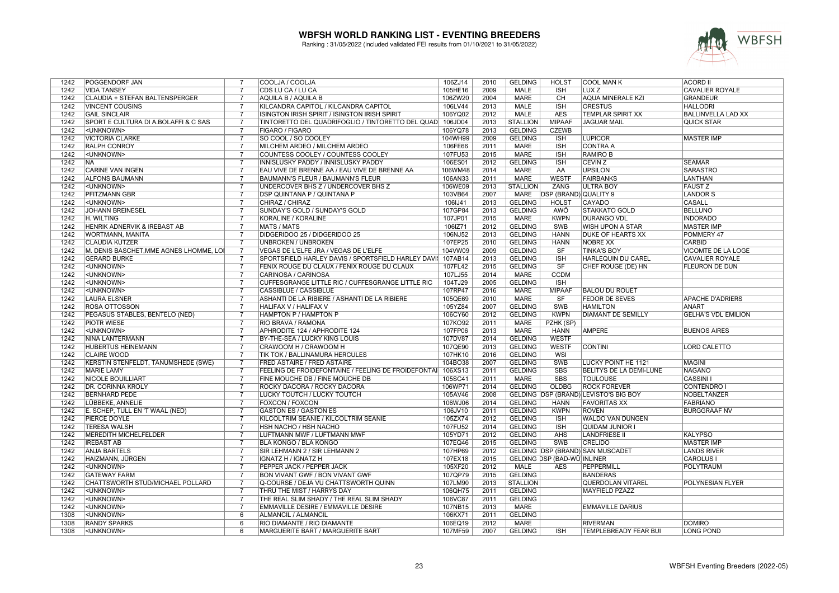

| 1242 | POGGENDORF JAN                          | 7              | COOLJA / COOLJA                                     | 106ZJ14 | 2010 | <b>GELDING</b>  | <b>HOLST</b>                 | <b>COOL MAN K</b>                     | <b>ACORD II</b>            |
|------|-----------------------------------------|----------------|-----------------------------------------------------|---------|------|-----------------|------------------------------|---------------------------------------|----------------------------|
| 1242 | <b>VIDA TANSEY</b>                      | 7              | CDS LU CA / LU CA                                   | 105HE16 | 2009 | <b>MALE</b>     | <b>ISH</b>                   | LUX Z                                 | <b>CAVALIER ROYALE</b>     |
| 1242 | CLAUDIA + STEFAN BALTENSPERGER          | $\overline{7}$ | AQUILA B / AQUILA B                                 | 106ZW20 | 2004 | <b>MARE</b>     | CH                           | <b>AQUA MINERALE KZI</b>              | <b>GRANDEUR</b>            |
| 1242 | <b>VINCENT COUSINS</b>                  | $\overline{7}$ | KILCANDRA CAPITOL / KILCANDRA CAPITOL               | 106LV44 | 2013 | <b>MALE</b>     | <b>ISH</b>                   | <b>ORESTUS</b>                        | <b>HALLODRI</b>            |
| 1242 | <b>GAIL SINCLAIR</b>                    | 7              | ISINGTON IRISH SPIRIT / ISINGTON IRISH SPIRIT       | 106YQ02 | 2012 | <b>MALE</b>     | <b>AES</b>                   | <b>TEMPLAR SPIRIT XX</b>              | <b>BALLINVELLA LAD XX</b>  |
| 1242 | SPORT E CULTURA DI A.BOLAFFI & C SAS    | $\overline{7}$ | TINTORETTO DEL QUADRIFOGLIO / TINTORETTO DEL QUAD   | 106JD04 | 2013 | <b>STALLION</b> | <b>MIPAAF</b>                | <b>JAGUAR MAIL</b>                    | <b>QUICK STAR</b>          |
| 1242 | <unknown></unknown>                     | $\overline{7}$ | <b>FIGARO / FIGARO</b>                              | 106YQ78 | 2013 | <b>GELDING</b>  | <b>CZEWB</b>                 |                                       |                            |
| 1242 | <b>VICTORIA CLARKE</b>                  | $\overline{7}$ | SO COOL / SO COOLEY                                 | 104WH99 | 2009 | <b>GELDING</b>  | <b>ISH</b>                   | <b>LUPICOR</b>                        | <b>MASTER IMP</b>          |
| 1242 | <b>RALPH CONROY</b>                     | 7              | MILCHEM ARDEO / MILCHEM ARDEO                       | 106FE66 | 2011 | <b>MARE</b>     | <b>ISH</b>                   | <b>CONTRA A</b>                       |                            |
| 1242 | <unknown></unknown>                     | $\overline{7}$ | COUNTESS COOLEY / COUNTESS COOLEY                   | 107FU53 | 2015 | <b>MARE</b>     | <b>ISH</b>                   | <b>RAMIRO B</b>                       |                            |
| 1242 | <b>NA</b>                               | $\overline{7}$ | INNISLUSKY PADDY / INNISLUSKY PADDY                 | 106ES01 | 2012 | <b>GELDING</b>  | <b>ISH</b>                   | CEVIN Z                               | <b>SEAMAR</b>              |
| 1242 | <b>CARINE VAN INGEN</b>                 |                | EAU VIVE DE BRENNE AA / EAU VIVE DE BRENNE AA       | 106WM48 | 2014 | <b>MARE</b>     | AA                           | <b>UPSILON</b>                        | <b>SARASTRO</b>            |
| 1242 | <b>ALFONS BAUMANN</b>                   | 7              | <b>BAUMANN'S FLEUR / BAUMANN'S FLEUR</b>            | 106AN33 | 2011 | <b>MARE</b>     | <b>WESTF</b>                 | <b>FAIRBANKS</b>                      | <b>LANTHAN</b>             |
| 1242 | <unknown></unknown>                     | $\overline{7}$ | UNDERCOVER BHS Z / UNDERCOVER BHS Z                 | 106WE09 | 2013 | <b>STALLION</b> | <b>ZANG</b>                  | <b>ULTRA BOY</b>                      | <b>FAUST Z</b>             |
| 1242 | <b>PFITZMANN GBR</b>                    | $\overline{7}$ | DSP QUINTANA P / QUINTANA P                         | 103VB64 | 2007 | <b>MARE</b>     | <b>DSP (BRAND) QUALITY 9</b> |                                       | <b>LANDORS</b>             |
| 1242 | <unknown></unknown>                     | $\overline{7}$ | CHIRAZ / CHIRAZ                                     | 106IJ41 | 2013 | <b>GELDING</b>  | <b>HOLST</b>                 | CAYADO                                | <b>CASALL</b>              |
| 1242 | <b>JOHANN BREINESEL</b>                 | $\overline{7}$ | SUNDAY'S GOLD / SUNDAY'S GOLD                       | 107GP84 | 2013 | <b>GELDING</b>  | AWÖ                          | STAKKATO GOLD                         | <b>BELLUNO</b>             |
| 1242 | H. WILTING                              | $\overline{7}$ | KORALINE / KORALINE                                 | 107JP01 | 2015 | <b>MARE</b>     | <b>KWPN</b>                  | <b>DURANGO VDL</b>                    | <b>INDORADO</b>            |
| 1242 | HENRIK ADNERVIK & IREBAST AB            | $\overline{7}$ | <b>MATS / MATS</b>                                  | 106IZ71 | 2012 | <b>GELDING</b>  | <b>SWB</b>                   | WISH UPON A STAR                      | <b>MASTER IMP</b>          |
| 1242 | WORTMANN, MANITA                        | 7              | DIDGERIDOO 25 / DIDGERIDOO 25                       | 106NJ52 | 2013 | <b>GELDING</b>  | <b>HANN</b>                  | DUKE OF HEARTS XX                     | POMMERY 47                 |
| 1242 | <b>CLAUDIA KUTZER</b>                   | $\overline{7}$ | <b>UNBROKEN / UNBROKEN</b>                          | 107EP25 | 2010 | <b>GELDING</b>  | <b>HANN</b>                  | <b>NOBRE XX</b>                       | <b>CARBID</b>              |
| 1242 | M. DENIS BASCHET, MME AGNES LHOMME, LOI | $\overline{7}$ | VEGAS DE L'ELFE JRA / VEGAS DE L'ELFE               | 104VW09 | 2009 | <b>GELDING</b>  | SF                           | <b>TINKA'S BOY</b>                    | VICOMTE DE LA LOGE         |
| 1242 | <b>GERARD BURKE</b>                     |                | SPORTSFIELD HARLEY DAVIS / SPORTSFIELD HARLEY DAVIS | 107AB14 | 2013 | <b>GELDING</b>  | <b>ISH</b>                   | <b>HARLEQUIN DU CAREL</b>             | <b>CAVALIER ROYALE</b>     |
| 1242 | <unknown></unknown>                     | $\overline{7}$ | FENIX ROUGE DU CLAUX / FENIX ROUGE DU CLAUX         | 107FL42 | 2015 | <b>GELDING</b>  | $\overline{\text{SF}}$       | CHEF ROUGE (DE) HN                    | FLEURON DE DUN             |
| 1242 | <unknown></unknown>                     | 7              | CARINOSA / CARINOSA                                 | 107LJ55 | 2014 | <b>MARE</b>     | <b>CCDM</b>                  |                                       |                            |
| 1242 | <unknown></unknown>                     | $\overline{7}$ | CUFFESGRANGE LITTLE RIC / CUFFESGRANGE LITTLE RIC   | 104TJ29 | 2005 | <b>GELDING</b>  | <b>ISH</b>                   |                                       |                            |
| 1242 | <unknown></unknown>                     | $\overline{7}$ | <b>CASSIBLUE / CASSIBLUE</b>                        | 107RP47 | 2016 | <b>MARE</b>     | <b>MIPAAF</b>                | <b>BALOU DU ROUET</b>                 |                            |
| 1242 | <b>LAURA ELSNER</b>                     | $\overline{7}$ | ASHANTI DE LA RIBIERE / ASHANTI DE LA RIBIERE       | 105QE69 | 2010 | <b>MARE</b>     | SF                           | <b>FEDOR DE SEVES</b>                 | <b>APACHE D'ADRIERS</b>    |
| 1242 | <b>ROSA OTTOSSON</b>                    | $\overline{7}$ | HALIFAX V / HALIFAX V                               | 105YZ84 | 2007 | <b>GELDING</b>  | <b>SWB</b>                   | <b>HAMILTON</b>                       | ANART                      |
| 1242 | PEGASUS STABLES, BENTELO (NED)          |                | <b>HAMPTON P / HAMPTON P</b>                        | 106CY60 | 2012 | <b>GELDING</b>  | <b>KWPN</b>                  | <b>DIAMANT DE SEMILLY</b>             | <b>GELHA'S VDL EMILION</b> |
| 1242 | <b>PIOTR WIESE</b>                      | $\overline{7}$ | RIO BRAVA / RAMONA                                  | 107KO92 | 2011 | <b>MARE</b>     | PZHK (SP)                    |                                       |                            |
| 1242 | <unknown></unknown>                     | 7              | APHRODITE 124 / APHRODITE 124                       | 107FP06 | 2013 | <b>MARE</b>     | <b>HANN</b>                  | <b>AMPERE</b>                         | <b>BUENOS AIRES</b>        |
| 1242 | <b>NINA LANTERMANN</b>                  | $\overline{7}$ | BY-THE-SEA / LUCKY KING LOUIS                       | 107DV87 | 2014 | <b>GELDING</b>  | <b>WESTF</b>                 |                                       |                            |
| 1242 | <b>HUBERTUS HEINEMANN</b>               | $\overline{7}$ | CRAWOOM H / CRAWOOM H                               | 107QE90 | 2013 | <b>GELDING</b>  | <b>WESTF</b>                 | <b>CONTINI</b>                        | <b>LORD CALETTO</b>        |
| 1242 | <b>CLAIRE WOOD</b>                      | $\overline{7}$ | TIK TOK / BALLINAMURA HERCULES                      | 107HK10 | 2016 | <b>GELDING</b>  | WSI                          |                                       |                            |
| 1242 | KERSTIN STENFELDT, TANUMSHEDE (SWE)     | $\overline{7}$ | FRED ASTAIRE / FRED ASTAIRE                         | 104BO38 | 2007 | <b>GELDING</b>  | <b>SWB</b>                   | LUCKY POINT HE 1121                   | <b>MAGINI</b>              |
| 1242 | <b>MARIE LAMY</b>                       | $\overline{7}$ | FEELING DE FROIDEFONTAINE / FEELING DE FROIDEFONTAI | 106XS13 | 2011 | <b>GELDING</b>  | <b>SBS</b>                   | BELITYS DE LA DEMI-LUNE               | <b>NAGANO</b>              |
| 1242 | <b>NICOLE BOUILLIART</b>                | 7              | FINE MOUCHE DB / FINE MOUCHE DB                     | 105SC41 | 2011 | <b>MARE</b>     | <b>SBS</b>                   | <b>TOULOUSE</b>                       | <b>CASSINI</b>             |
| 1242 | DR. CORINNA KRÖLY                       | 7              | ROCKY DACORA / ROCKY DACORA                         | 106WP71 | 2014 | <b>GELDING</b>  | <b>OLDBG</b>                 | <b>ROCK FOREVER</b>                   | <b>CONTENDRO I</b>         |
| 1242 | <b>BERNHARD PEDE</b>                    | $\overline{7}$ | LUCKY TOUTCH / LUCKY TOUTCH                         | 105AV46 | 2008 |                 |                              | GELDING DSP (BRAND) LEVISTO'S BIG BOY | <b>NOBELTÄNZER</b>         |
| 1242 | LÜBBEKE, ANNELIE                        | 7              | <b>FOXCON / FOXCON</b>                              | 106WJ06 | 2014 | <b>GELDING</b>  | <b>HANN</b>                  | <b>FAVORITAS XX</b>                   | <b>FABRIANO</b>            |
| 1242 | E. SCHEP, TULL EN 'T WAAL (NED)         | $\overline{7}$ | <b>GASTON ES / GASTON ES</b>                        | 106JV10 | 2011 | <b>GELDING</b>  | <b>KWPN</b>                  | <b>ROVEN</b>                          | <b>BURGGRAAF NV</b>        |
| 1242 | PIERCE DOYLE                            | 7              | KILCOLTRIM SEANIE / KILCOLTRIM SEANIE               | 105ZX74 | 2012 | <b>GELDING</b>  | <b>ISH</b>                   | WALDO VAN DUNGEN                      |                            |
| 1242 | <b>TERESA WALSH</b>                     | $\overline{7}$ | HSH NACHO / HSH NACHO                               | 107FU52 | 2014 | <b>GELDING</b>  | <b>ISH</b>                   | <b>QUIDAM JUNIOR I</b>                |                            |
| 1242 | <b>MEREDITH MICHELFELDER</b>            | $\overline{7}$ | LUFTMANN MWF / LUFTMANN MWF                         | 105YD71 | 2012 | <b>GELDING</b>  | <b>AHS</b>                   | <b>LANDFRIESE II</b>                  | <b>KALYPSO</b>             |
| 1242 | <b>IREBAST AB</b>                       | $\overline{7}$ | BLA KONGO / BLA KONGO                               | 107EQ46 | 2015 | <b>GELDING</b>  | <b>SWB</b>                   | <b>CRELIDO</b>                        | <b>MASTER IMP</b>          |
| 1242 | <b>ANJA BARTELS</b>                     | $\overline{7}$ | SIR LEHMANN 2 / SIR LEHMANN 2                       | 107HP69 | 2012 |                 |                              | GELDING DSP (BRAND) SAN MUSCADET      | <b>LANDS RIVER</b>         |
| 1242 | HAIZMANN, JÜRGEN                        |                | <b>IGNATZ H / IGNATZ H</b>                          | 107EX18 | 2015 |                 | GELDING DSP (BAD-WÜ) INLINER |                                       | <b>CAROLUS</b>             |
| 1242 | <unknown></unknown>                     | 7              | PEPPER JACK / PEPPER JACK                           | 105XF20 | 2012 | <b>MALE</b>     | <b>AES</b>                   | <b>PEPPERMILL</b>                     | <b>POLYTRAUM</b>           |
| 1242 | <b>GATEWAY FARM</b>                     | 7              | BON VIVANT GWF / BON VIVANT GWF                     | 107QP79 | 2015 | <b>GELDING</b>  |                              | <b>BANDERAS</b>                       |                            |
| 1242 | CHATTSWORTH STUD/MICHAEL POLLARD        | 7              | Q-COURSE / DEJA VU CHATTSWORTH QUINN                | 107LM90 | 2013 | <b>STALLION</b> |                              | <b>QUERDOLAN VITAREL</b>              | POLYNESIAN FLYER           |
| 1242 | <unknown></unknown>                     | $\overline{7}$ | THRU THE MIST / HARRYS DAY                          | 106QH75 | 2011 | <b>GELDING</b>  |                              | <b>MAYFIELD PZAZZ</b>                 |                            |
| 1242 | <unknown></unknown>                     | $\overline{7}$ | THE REAL SLIM SHADY / THE REAL SLIM SHADY           | 106VC87 | 2011 | <b>GELDING</b>  |                              |                                       |                            |
| 1242 | <unknown></unknown>                     | 7              | EMMAVILLE DESIRE / EMMAVILLE DESIRE                 | 107NB15 | 2013 | <b>MARE</b>     |                              | <b>EMMAVILLE DARIUS</b>               |                            |
| 1308 | <unknown></unknown>                     | 6              | <b>ALMANCIL / ALMANCIL</b>                          | 106KX71 | 2011 | <b>GELDING</b>  |                              |                                       |                            |
| 1308 | <b>RANDY SPARKS</b>                     | 6              | RIO DIAMANTE / RIO DIAMANTE                         | 106EQ19 | 2012 | MARE            |                              | <b>RIVERMAN</b>                       | <b>DOMIRO</b>              |
| 1308 | <unknown></unknown>                     | 6              | <b>MARGUERITE BART / MARGUERITE BART</b>            | 107MF59 | 2007 | <b>GELDING</b>  | <b>ISH</b>                   | TEMPLEBREADY FEAR BUI                 | <b>LONG POND</b>           |
|      |                                         |                |                                                     |         |      |                 |                              |                                       |                            |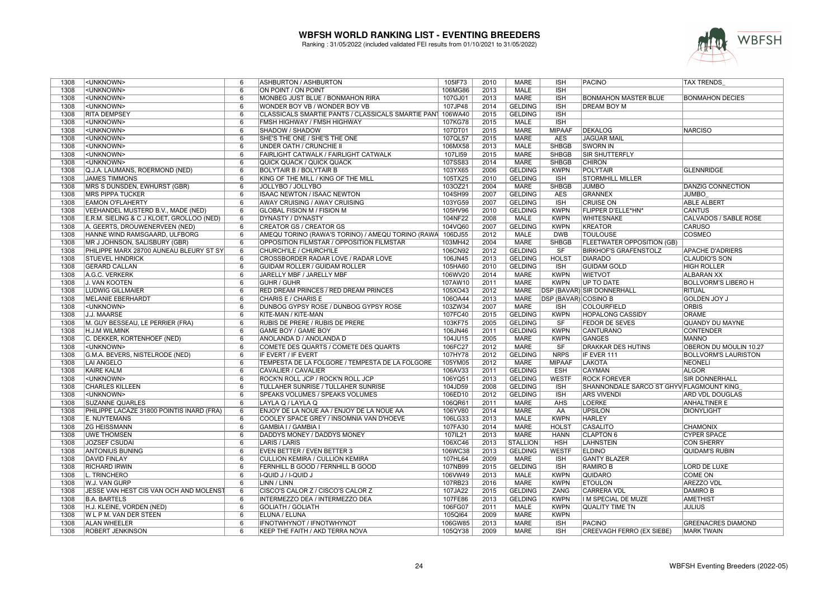

| 1308 | <unknown></unknown>                       | 6              | ASHBURTON / ASHBURTON                                     | 105IF73 | 2010 | <b>MARE</b>     | <b>ISH</b>                  | <b>PACINO</b>                            | <b>TAX TRENDS</b>           |
|------|-------------------------------------------|----------------|-----------------------------------------------------------|---------|------|-----------------|-----------------------------|------------------------------------------|-----------------------------|
| 1308 | <unknown></unknown>                       | 6              | ON POINT / ON POINT                                       | 106MG86 | 2013 | <b>MALE</b>     | <b>ISH</b>                  |                                          |                             |
| 1308 | <unknown></unknown>                       | 6              | MONBEG JUST BLUE / BONMAHON RIRA                          | 107GJ01 | 2013 | <b>MARE</b>     | <b>ISH</b>                  | <b>BONMAHON MASTER BLUE</b>              | <b>BONMAHON DECIES</b>      |
| 1308 | <unknown></unknown>                       | 6              | WONDER BOY VB / WONDER BOY VB                             | 107JP48 | 2014 | <b>GELDING</b>  | <b>ISH</b>                  | <b>DREAM BOY M</b>                       |                             |
| 1308 | <b>RITA DEMPSEY</b>                       | 6              | CLASSICALS SMARTIE PANTS / CLASSICALS SMARTIE PANT        | 106WA40 | 2015 | <b>GELDING</b>  | <b>ISH</b>                  |                                          |                             |
| 1308 | <unknown></unknown>                       | 6              | FMSH HIGHWAY / FMSH HIGHWAY                               | 107KG78 | 2015 | <b>MALE</b>     | <b>ISH</b>                  |                                          |                             |
| 1308 | <unknown></unknown>                       | 6              | SHADOW / SHADOW                                           | 107DT01 | 2015 | <b>MARE</b>     | <b>MIPAAF</b>               | DEKALOG                                  | NARCISO                     |
| 1308 | <unknown></unknown>                       | 6              | SHE'S THE ONE / SHE'S THE ONE                             | 107QL57 | 2015 | <b>MARE</b>     | <b>AES</b>                  | <b>JAGUAR MAIL</b>                       |                             |
| 1308 | <unknown></unknown>                       | 6              | UNDER OATH / CRUNCHIE II                                  | 106MX58 | 2013 | MALE            | <b>SHBGB</b>                | <b>SWORN IN</b>                          |                             |
| 1308 | <unknown></unknown>                       | 6              | FAIRLIGHT CATWALK / FAIRLIGHT CATWALK                     | 107LI59 | 2015 | <b>MARE</b>     | <b>SHBGB</b>                | <b>SIR SHUTTERFLY</b>                    |                             |
| 1308 | <unknown></unknown>                       | 6              | QUICK QUACK / QUICK QUACK                                 | 107SS83 | 2014 | <b>MARE</b>     | <b>SHBGB</b>                | <b>CHIRON</b>                            |                             |
| 1308 | Q.J.A. LAUMANS, ROERMOND (NED)            | 6              | <b>BOLYTAIR B / BOLYTAIR B</b>                            |         | 2006 | <b>GELDING</b>  | <b>KWPN</b>                 | <b>POLYTAIR</b>                          | <b>GLENNRIDGE</b>           |
|      |                                           |                |                                                           | 103YX65 |      |                 |                             |                                          |                             |
| 1308 | <b>JAMES TIMMONS</b>                      | 6              | KING OF THE MILL / KING OF THE MILL                       | 105TX25 | 2010 | <b>GELDING</b>  | <b>ISH</b>                  | <b>STORMHILL MILLER</b>                  |                             |
| 1308 | MRS S DUNSDEN, EWHURST (GBR)              | 6              | JOLLYBO / JOLLYBO                                         | 103OZ21 | 2004 | <b>MARE</b>     | <b>SHBGB</b>                | <b>JUMBO</b>                             | <b>DANZIG CONNECTION</b>    |
| 1308 | <b>MRS PIPPA TUCKER</b>                   | 6              | <b>ISAAC NEWTON / ISAAC NEWTON</b>                        | 104SH99 | 2007 | <b>GELDING</b>  | <b>AES</b>                  | GRANNEX                                  | <b>JUMBO</b>                |
| 1308 | <b>EAMON O'FLAHERTY</b>                   | 6              | AWAY CRUISING / AWAY CRUISING                             | 103YG59 | 2007 | <b>GELDING</b>  | <b>ISH</b>                  | <b>CRUISE ON</b>                         | <b>ABLE ALBERT</b>          |
| 1308 | VEEHANDEL MUSTERD B.V., MADE (NED)        | 6              | GLOBAL FISION M / FISION M                                | 105HV96 | 2010 | <b>GELDING</b>  | <b>KWPN</b>                 | FLIPPER D'ELLE*HN*                       | <b>CANTUS</b>               |
| 1308 | E.R.M. SIELING & C J KLOET, GROLLOO (NED) | 6              | DYNASTY / DYNASTY                                         | 104NF22 | 2008 | MALE            | <b>KWPN</b>                 | <b>WHITESNAKE</b>                        | CALVADOS / SABLE ROSE       |
| 1308 | A. GEERTS, DROUWENERVEEN (NED)            | 6              | <b>CREATOR GS / CREATOR GS</b>                            | 104VQ60 | 2007 | <b>GELDING</b>  | <b>KWPN</b>                 | <b>KREATOR</b>                           | <b>CARUSO</b>               |
| 1308 | HANNE WIND RAMSGAARD, ULFBORG             | 6              | AMEQU TORINO (RAWA'S TORINO) / AMEQU TORINO (RAWA 106DJ55 |         | 2012 | <b>MALE</b>     | <b>DWB</b>                  | <b>TOULOUSE</b>                          | <b>COSMEO</b>               |
| 1308 | MR J JOHNSON, SALISBURY (GBR)             | 6              | OPPOSITION FILMSTAR / OPPOSITION FILMSTAR                 | 103MH42 | 2004 | <b>MARE</b>     | <b>SHBGB</b>                | <b>FLEETWATER OPPOSITION (GB)</b>        |                             |
| 1308 | PHILIPPE MARX 28700 AUNEAU BLEURY ST SY   | 6              | CHURCH'ILE / CHURCH'ILE                                   | 106CN92 | 2012 | <b>GELDING</b>  | SF                          | <b>BIRKHOF'S GRAFENSTOLZ</b>             | <b>APACHE D'ADRIERS</b>     |
| 1308 | <b>STUEVEL HINDRICK</b>                   | 6              | CROSSBORDER RADAR LOVE / RADAR LOVE                       | 106JN45 | 2013 | <b>GELDING</b>  | <b>HOLST</b>                | <b>DIARADO</b>                           | <b>CLAUDIO'S SON</b>        |
| 1308 | <b>GERARD CALLAN</b>                      | 6              | GUIDAM ROLLER / GUIDAM ROLLER                             | 105HA60 | 2010 | <b>GELDING</b>  | <b>ISH</b>                  | <b>GUIDAM GOLD</b>                       | <b>HIGH ROLLER</b>          |
| 1308 | A.G.C. VERKERK                            | 6              | JARELLY MBF / JARELLY MBF                                 | 106WV20 | 2014 | MARE            | <b>KWPN</b>                 | <b>WIETVOT</b>                           | <b>ALBARAN XX</b>           |
| 1308 | J. VAN KOOTEN                             | 6              | <b>GUHR / GUHR</b>                                        | 107AW10 | 2011 | <b>MARE</b>     | <b>KWPN</b>                 | <b>UP TO DATE</b>                        | <b>BOLLVORM'S LIBERO H</b>  |
| 1308 | <b>LUDWIG GILLMAIER</b>                   | 6              | RED DREAM PRINCES / RED DREAM PRINCES                     | 105XO43 | 2012 | <b>MARE</b>     |                             | <b>DSP (BAVAR) SIR DONNERHALL</b>        | RITUAL                      |
| 1308 | <b>MELANIE EBERHARDT</b>                  | 6              | CHARIS E / CHARIS E                                       | 106OA44 | 2013 | <b>MARE</b>     | <b>DSP (BAVAR) COSINO B</b> |                                          | <b>GOLDEN JOY J</b>         |
| 1308 | <unknown></unknown>                       | 6              | DUNBOG GYPSY ROSE / DUNBOG GYPSY ROSE                     | 103ZW34 | 2007 | <b>MARE</b>     | <b>ISH</b>                  | COLOURFIELD                              | <b>ORBIS</b>                |
| 1308 | J.J. MAARSE                               | 6              | KITE-MAN / KITE-MAN                                       | 107FC40 | 2015 | <b>GELDING</b>  | <b>KWPN</b>                 | <b>HOPALONG CASSIDY</b>                  | <b>ORAMÉ</b>                |
| 1308 | M. GUY BESSEAU, LE PERRIER (FRA)          | 6              | RUBIS DE PRERE / RUBIS DE PRERE                           | 103KF75 | 2005 | <b>GELDING</b>  | <b>SF</b>                   | <b>FEDOR DE SEVES</b>                    | QUANDY DU MAYNE             |
| 1308 | H.J.M WILMINK                             | 6              | <b>GAME BOY / GAME BOY</b>                                | 106JN46 | 2011 | <b>GELDING</b>  | <b>KWPN</b>                 | <b>CANTURANO</b>                         | <b>CONTENDER</b>            |
| 1308 | C. DEKKER, KORTENHOEF (NED)               | 6              | ANOLANDA D / ANOLANDA D                                   | 104JU15 | 2005 | <b>MARE</b>     | <b>KWPN</b>                 | GANGES                                   | <b>MANNO</b>                |
| 1308 | <unknown></unknown>                       | 6              | COMETE DES QUARTS / COMETE DES QUARTS                     | 106FC27 | 2012 | <b>MARE</b>     | SF                          | <b>DRAKKAR DES HUTINS</b>                | OBERON DU MOULIN 10.27      |
| 1308 | G.M.A. BEVERS, NISTELRODE (NED)           | 6              | IF EVERT / IF EVERT                                       | 107HY78 | 2012 | <b>GELDING</b>  | <b>NRPS</b>                 | IF EVER 111                              | <b>BOLLVORM'S LAURISTON</b> |
| 1308 | <b>LAI ANGELO</b>                         | 6              | TEMPESTA DE LA FOLGORE / TEMPESTA DE LA FOLGORE           | 105YM05 | 2012 | <b>MARE</b>     | <b>MIPAAF</b>               | LAKOTA                                   | NEONELI                     |
| 1308 | <b>KAIRE KALM</b>                         | 6              | CAVALIER / CAVALIER                                       | 106AV33 | 2011 | <b>GELDING</b>  | <b>ESH</b>                  | <b>CAYMAN</b>                            | <b>ALGOR</b>                |
| 1308 | <unknown></unknown>                       | 6              | ROCK'N ROLL JCP / ROCK'N ROLL JCP                         | 106YQ51 | 2013 | <b>GELDING</b>  | <b>WESTF</b>                | <b>ROCK FOREVER</b>                      | <b>SIR DONNERHALL</b>       |
| 1308 | <b>CHARLES KILLEEN</b>                    | 6              | TULLAHER SUNRISE / TULLAHER SUNRISE                       | 104JD59 | 2008 | <b>GELDING</b>  | <b>ISH</b>                  | SHANNONDALE SARCO ST GHYV FLAGMOUNT KING |                             |
| 1308 | <unknown></unknown>                       | 6              | SPEAKS VOLUMES / SPEAKS VOLUMES                           | 106ED10 | 2012 | <b>GELDING</b>  | <b>ISH</b>                  | <b>ARS VIVENDI</b>                       | <b>ARD VDL DOUGLAS</b>      |
| 1308 | <b>SUZANNE QUARLES</b>                    | 6              | LAYLA Q / LAYLA Q                                         | 106QR61 | 2011 | <b>MARE</b>     | <b>AHS</b>                  | <b>LOERKE</b>                            | <b>ANHALTINER E</b>         |
| 1308 | PHILIPPE LACAZE 31800 POINTIS INARD (FRA) | 6              | ENJOY DE LA NOUE AA / ENJOY DE LA NOUE AA                 | 106YV80 | 2014 | <b>MARE</b>     | AA                          | <b>UPSILON</b>                           | <b>DIONYLIGHT</b>           |
| 1308 | E. NUYTEMANS                              | 6              | COOLEY SPACE GREY / INSOMNIA VAN D'HOEVE                  | 106LG33 | 2013 | MALE            | <b>KWPN</b>                 | <b>HARLEY</b>                            |                             |
| 1308 | <b>ZG HEISSMANN</b>                       | 6              | <b>GAMBIA I / GAMBIA I</b>                                | 107FA30 | 2014 | <b>MARE</b>     | <b>HOLST</b>                | CASALITO                                 |                             |
| 1308 |                                           |                |                                                           |         | 2013 | <b>MARE</b>     | <b>HANN</b>                 |                                          | <b>CHAMONIX</b>             |
|      | <b>UWE THOMSEN</b>                        | 6              | DADDYS MONEY / DADDYS MONEY                               | 107IL21 |      |                 |                             | <b>CLAPTON 6</b>                         | <b>CYPER SPACE</b>          |
| 1308 | <b>JOZSEF CSUDAI</b>                      | 6              | <b>LARIS / LARIS</b>                                      | 106XC46 | 2013 | <b>STALLION</b> | <b>HSH</b>                  | <b>LAHNSTEIN</b>                         | <b>CON SHERRY</b>           |
| 1308 | <b>ANTONIUS BUNING</b>                    | 6              | <b>EVEN BETTER / EVEN BETTER 3</b>                        | 106WC38 | 2013 | <b>GELDING</b>  | <b>WESTF</b>                | <b>ELDINO</b>                            | QUIDAM'S RUBIN              |
| 1308 | <b>DAVID FINLAY</b>                       | 6              | <b>CULLION KEMIRA / CULLION KEMIRA</b>                    | 107HL64 | 2009 | <b>MARE</b>     | <b>ISH</b>                  | <b>GANTY BLAZER</b>                      |                             |
| 1308 | <b>RICHARD IRWIN</b>                      | 6              | FERNHILL B GOOD / FERNHILL B GOOD                         | 107NB99 | 2015 | <b>GELDING</b>  | <b>ISH</b>                  | <b>RAMIRO B</b>                          | <b>LORD DE LUXE</b>         |
| 1308 | L. TRINCHERO                              | $\overline{6}$ | I-QUID J / I-QUID J                                       | 106VW49 | 2013 | <b>MALE</b>     | <b>KWPN</b>                 | <b>QUIDARO</b>                           | <b>COME ON</b>              |
| 1308 | W.J. VAN GURP                             | 6              | LINN / LINN                                               | 107RB23 | 2016 | MARE            | <b>KWPN</b>                 | <b>ETOULON</b>                           | <b>AREZZO VDL</b>           |
| 1308 | JESSE VAN HEST CIS VAN OCH AND MOLENST    | 6              | CISCO'S CALOR Z / CISCO'S CALOR Z                         | 107JA22 | 2015 | <b>GELDING</b>  | ZANG                        | <b>CARRERA VDL</b>                       | <b>DAMIRO B</b>             |
| 1308 | <b>B.A. BARTELS</b>                       | 6              | INTERMEZZO DEA / INTERMEZZO DEA                           | 107FE86 | 2013 | <b>GELDING</b>  | <b>KWPN</b>                 | II M SPECIAL DE MUZE                     | <b>AMETHIST</b>             |
| 1308 | H.J. KLEINE, VORDEN (NED)                 | 6              | <b>GOLIATH / GOLIATH</b>                                  | 106FG07 | 2011 | <b>MALE</b>     | <b>KWPN</b>                 | QUALITY TIME TN                          | <b>JULIUS</b>               |
| 1308 | W L P M. VAN DER STEEN                    | 6              | ELUNA / ELUNA                                             | 105QI64 | 2009 | <b>MARE</b>     | <b>KWPN</b>                 |                                          |                             |
| 1308 | <b>ALAN WHEELER</b>                       | 6              | IFNOTWHYNOT / IFNOTWHYNOT                                 | 106GW85 | 2013 | <b>MARE</b>     | <b>ISH</b>                  | PACINO                                   | <b>GREENACRES DIAMOND</b>   |
| 1308 | <b>ROBERT JENKINSON</b>                   | 6              | <b>KEEP THE FAITH / AKD TERRA NOVA</b>                    | 105QY38 | 2009 | <b>MARE</b>     | <b>ISH</b>                  | <b>CREEVAGH FERRO (EX SIEBE)</b>         | <b>MARK TWAIN</b>           |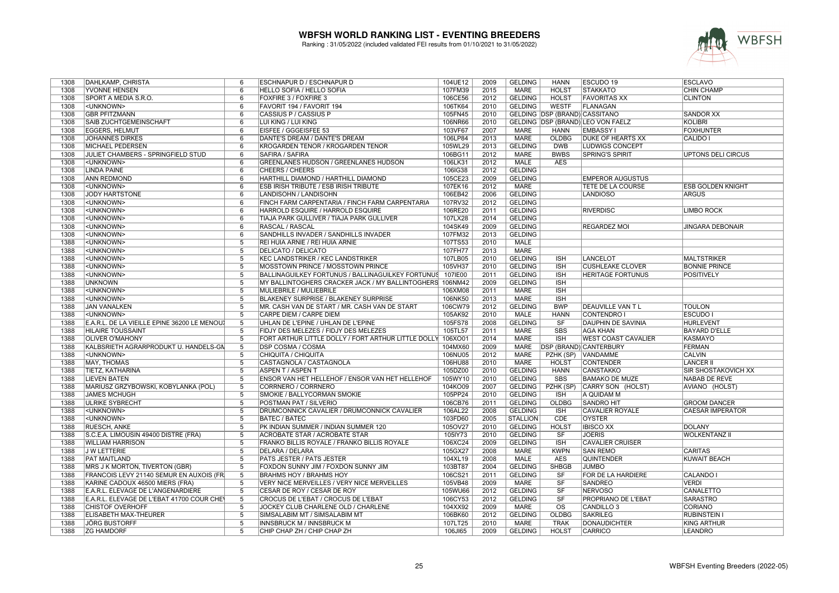

| 1308 | DAHLKAMP, CHRISTA                            | 6              | ESCHNAPUR D / ESCHNAPUR D                                | 104UE12 | 2009 | <b>GELDING</b>  | <b>HANN</b>                          | ESCUDO 19                         | <b>ESCLAVO</b>             |
|------|----------------------------------------------|----------------|----------------------------------------------------------|---------|------|-----------------|--------------------------------------|-----------------------------------|----------------------------|
| 1308 | YVONNE HENSEN                                | 6              | HELLO SOFIA / HELLO SOFIA                                | 107FM39 | 2015 | MARE            | <b>HOLST</b>                         | <b>STAKKATO</b>                   | <b>CHIN CHAMP</b>          |
| 1308 | SPORT A MEDIA S.R.O.                         | 6              | <b>FOXFIRE 3 / FOXFIRE 3</b>                             | 106CE56 | 2012 | <b>GELDING</b>  | <b>HOLST</b>                         | <b>FAVORITAS XX</b>               | <b>CLINTON</b>             |
| 1308 | <unknown></unknown>                          | 6              | FAVORIT 194 / FAVORIT 194                                | 106TK64 | 2010 | <b>GELDING</b>  | <b>WESTF</b>                         | <b>FLANAGAN</b>                   |                            |
| 1308 | <b>GBR PFITZMANN</b>                         | 6              | <b>CASSIUS P / CASSIUS P</b>                             | 105FN45 | 2010 |                 | <b>GELDING DSP (BRAND) CASSITANO</b> |                                   | <b>SANDOR XX</b>           |
| 1308 | SAIB ZUCHTGEMEINSCHAFT                       | 6              | LUI KING / LUI KING                                      | 106NR66 | 2010 |                 |                                      | GELDING DSP (BRAND) LEO VON FAELZ | <b>KOLIBRI</b>             |
| 1308 | <b>EGGERS, HELMUT</b>                        | 6              | EISFEE / GGGEISFEE 53                                    | 103VF67 | 2007 | <b>MARE</b>     | <b>HANN</b>                          | <b>EMBASSY I</b>                  | <b>FOXHUNTER</b>           |
| 1308 | <b>JOHANNES DIRKES</b>                       | 6              | DANTE'S DREAM / DANTE'S DREAM                            | 106LP84 | 2013 | MARE            | OLDBG                                | <b>DUKE OF HEARTS XX</b>          | CALIDO I                   |
| 1308 | <b>MICHAEL PEDERSEN</b>                      | 6              | KROGARDEN TENOR / KROGARDEN TENOR                        | 105WL29 | 2013 | <b>GELDING</b>  | <b>DWB</b>                           | LUDWIGS CONCEPT                   |                            |
|      |                                              |                |                                                          |         | 2012 | <b>MARE</b>     |                                      |                                   |                            |
| 1308 | JULIET CHAMBERS - SPRINGFIELD STUD           | 6              | SAFIRA / SAFIRA                                          | 106BG11 |      |                 | <b>BWBS</b>                          | <b>SPRING'S SPIRIT</b>            | <b>UPTONS DELI CIRCUS</b>  |
| 1308 | <unknown></unknown>                          | 6              | <b>GREENLANES HUDSON / GREENLANES HUDSON</b>             | 106LK31 | 2012 | <b>MALE</b>     | <b>AES</b>                           |                                   |                            |
| 1308 | <b>LINDA PAINE</b>                           | 6              | <b>CHEERS / CHEERS</b>                                   | 106IG38 | 2012 | <b>GELDING</b>  |                                      |                                   |                            |
| 1308 | <b>ANN REDMOND</b>                           | 6              | HARTHILL DIAMOND / HARTHILL DIAMOND                      | 105CE23 | 2009 | <b>GELDING</b>  |                                      | <b>EMPEROR AUGUSTUS</b>           |                            |
| 1308 | <unknown></unknown>                          | $\overline{6}$ | <b>ESB IRISH TRIBUTE / ESB IRISH TRIBUTE</b>             | 107EK16 | 2012 | <b>MARE</b>     |                                      | TETE DE LA COURSE                 | <b>ESB GOLDEN KNIGHT</b>   |
| 1308 | <b>JODY HARTSTONE</b>                        | 6              | LANDISOHN / LANDISOHN                                    | 106EB42 | 2006 | <b>GELDING</b>  |                                      | <b>LANDIOSO</b>                   | <b>ARGUS</b>               |
| 1308 | <unknown></unknown>                          | 6              | FINCH FARM CARPENTARIA / FINCH FARM CARPENTARIA          | 107RV32 | 2012 | <b>GELDING</b>  |                                      |                                   |                            |
| 1308 | <unknown></unknown>                          | 6              | HARROLD ESQUIRE / HARROLD ESQUIRE                        | 106RE20 | 2011 | <b>GELDING</b>  |                                      | <b>RIVERDISC</b>                  | <b>LIMBO ROCK</b>          |
| 1308 | <unknown></unknown>                          | 6              | TIAJA PARK GULLIVER / TIAJA PARK GULLIVER                | 107LX28 | 2014 | <b>GELDING</b>  |                                      |                                   |                            |
| 1308 | <unknown></unknown>                          | 6              | <b>RASCAL / RASCAL</b>                                   | 104SK49 | 2009 | <b>GELDING</b>  |                                      | <b>REGARDEZ MOI</b>               | JINGARA DEBONAIR           |
| 1308 | <unknown></unknown>                          | 6              | SANDHILLS INVADER / SANDHILLS INVADER                    | 107FM32 | 2013 | <b>GELDING</b>  |                                      |                                   |                            |
| 1388 | <unknown></unknown>                          | $\overline{5}$ | REI HUIA ARNIE / REI HUIA ARNIE                          | 107TS53 | 2010 | <b>MALE</b>     |                                      |                                   |                            |
| 1388 | <unknown></unknown>                          | 5              | <b>DELICATO / DELICATO</b>                               | 107FH77 | 2013 | MARE            |                                      |                                   |                            |
| 1388 | <unknown></unknown>                          | $\overline{5}$ | <b>KEC LANDSTRIKER / KEC LANDSTRIKER</b>                 | 107LB05 | 2010 | <b>GELDING</b>  | <b>ISH</b>                           | <b>LANCELOT</b>                   | <b>MALTSTRIKER</b>         |
| 1388 | <unknown></unknown>                          | 5              | MOSSTOWN PRINCE / MOSSTOWN PRINCE                        | 105VH37 | 2010 | <b>GELDING</b>  | <b>ISH</b>                           | <b>CUSHLEAKE CLOVER</b>           | <b>BONNIE PRINCE</b>       |
| 1388 | <unknown></unknown>                          | 5              | BALLINAGUILKEY FORTUNUS / BALLINAGUILKEY FORTUNUS        | 107IE00 | 2011 | <b>GELDING</b>  | <b>ISH</b>                           | <b>HERITAGE FORTUNUS</b>          | <b>POSITIVELY</b>          |
| 1388 | <b>UNKNOWN</b>                               | 5              | MY BALLINTOGHERS CRACKER JACK / MY BALLINTOGHERS 106NM42 |         | 2009 | <b>GELDING</b>  | <b>ISH</b>                           |                                   |                            |
| 1388 | <unknown></unknown>                          | 5              | MULIEBRILE / MULIEBRILE                                  | 106XM08 | 2011 | <b>MARE</b>     | <b>ISH</b>                           |                                   |                            |
| 1388 | <unknown></unknown>                          | 5              | <b>BLAKENEY SURPRISE / BLAKENEY SURPRISE</b>             | 106NK50 | 2013 | <b>MARE</b>     | <b>ISH</b>                           |                                   |                            |
| 1388 | <b>JAN VANALKEN</b>                          | 5              | MR. CASH VAN DE START / MR. CASH VAN DE START            | 106CW79 | 2012 | <b>GELDING</b>  | <b>BWP</b>                           | DEAUVILLE VAN TL                  | <b>TOULON</b>              |
| 1388 | <unknown></unknown>                          | $\overline{5}$ | <b>CARPE DIEM / CARPE DIEM</b>                           | 105AK92 | 2010 | <b>MALE</b>     | <b>HANN</b>                          | <b>CONTENDRO I</b>                | <b>ESCUDO I</b>            |
| 1388 | E.A.R.L. DE LA VIEILLE EPINE 36200 LE MENOU. | 5              | UHLAN DE L'EPINE / UHLAN DE L'EPINE                      | 105FS78 | 2008 | <b>GELDING</b>  | SF                                   | <b>DAUPHIN DE SAVINIA</b>         | HURLEVENT                  |
| 1388 | <b>HILAIRE TOUSSAINT</b>                     | $\overline{5}$ | FIDJY DES MELEZES / FIDJY DES MELEZES                    | 105TL57 | 2011 | <b>MARE</b>     | <b>SBS</b>                           | <b>AGA KHAN</b>                   | <b>BAYARD D'ELLE</b>       |
| 1388 | <b>OLIVER O'MAHONY</b>                       | 5              | FORT ARTHUR LITTLE DOLLY / FORT ARTHUR LITTLE DOLLY      | 106XO01 | 2014 | <b>MARE</b>     | <b>ISH</b>                           | <b>WEST COAST CAVALIER</b>        | KASMAYO                    |
| 1388 | KALBSRIETH AGRARPRODUKT U. HANDELS-GN        | 5              | <b>DSP COSMA / COSMA</b>                                 | 104MX60 | 2009 | MARE            |                                      | DSP (BRAND) CANTERBURY            | <b>FERMAN</b>              |
| 1388 | <unknown></unknown>                          | 5              | CHIQUITA / CHIQUITA                                      | 106NU05 | 2012 | <b>MARE</b>     | PZHK (SP)                            | <b>VANDAMME</b>                   | <b>CALVIN</b>              |
| 1388 | <b>MAY, THOMAS</b>                           | 5              | CASTAGNOLA / CASTAGNOLA                                  | 106HU88 | 2010 | <b>MARE</b>     | <b>HOLST</b>                         | <b>CONTENDER</b>                  | <b>LANCER II</b>           |
|      |                                              |                |                                                          |         |      |                 |                                      |                                   |                            |
| 1388 | TIETZ, KATHARINA                             | $\overline{5}$ | <b>ASPEN T / ASPEN T</b>                                 | 105DZ00 | 2010 | <b>GELDING</b>  | <b>HANN</b>                          | <b>CANSTAKKO</b>                  | <b>SIR SHOSTAKOVICH XX</b> |
| 1388 | <b>LIEVEN BATEN</b>                          | 5              | ENSOR VAN HET HELLEHOF / ENSOR VAN HET HELLEHOF          | 105WY10 | 2010 | <b>GELDING</b>  | <b>SBS</b>                           | <b>BAMAKO DE MUZE</b>             | NABAB DE REVE              |
| 1388 | MARIUSZ GRZYBOWSKI, KOBYLANKA (POL)          | $\overline{5}$ | CORRNERO / CORRNERO                                      | 104KO09 | 2007 | <b>GELDING</b>  | PZHK (SP)                            | CARRY SON (HOLST)                 | AVIANO (HOLST)             |
| 1388 | <b>JAMES MCHUGH</b>                          | 5              | SMOKIE / BALLYCORMAN SMOKIE                              | 105PP24 | 2010 | <b>GELDING</b>  | <b>ISH</b>                           | A QUIDAM M                        |                            |
| 1388 | <b>ULRIKE SYBRECHT</b>                       | $\overline{5}$ | POSTMAN PAT / SILVERIO                                   | 106CB76 | 2011 | <b>GELDING</b>  | <b>OLDBG</b>                         | <b>SANDRO HIT</b>                 | <b>GROOM DANCER</b>        |
| 1388 | <unknown></unknown>                          | 5              | DRUMCONNICK CAVALIER / DRUMCONNICK CAVALIER              | 106AL22 | 2008 | <b>GELDING</b>  | <b>ISH</b>                           | <b>CAVALIER ROYALE</b>            | <b>CAESAR IMPERATOR</b>    |
| 1388 | <unknown></unknown>                          | 5              | <b>BATEC / BATEC</b>                                     | 103FD60 | 2005 | <b>STALLION</b> | CDE                                  | <b>OYSTER</b>                     |                            |
| 1388 | <b>RUESCH, ANKE</b>                          | $\overline{5}$ | PK INDIAN SUMMER / INDIAN SUMMER 120                     | 105OV27 | 2010 | <b>GELDING</b>  | <b>HOLST</b>                         | <b>IBISCO XX</b>                  | <b>DOLANY</b>              |
| 1388 | S.C.E.A. LIMOUSIN 49400 DISTRE (FRA)         | 5              | <b>ACROBATE STAR / ACROBATE STAR</b>                     | 105IY73 | 2010 | <b>GELDING</b>  | <b>SF</b>                            | <b>JOERIS</b>                     | <b>WOLKENTANZ II</b>       |
| 1388 | <b>WILLIAM HARRISON</b>                      | $\overline{5}$ | FRANKO BILLIS ROYALE / FRANKO BILLIS ROYALE              | 106XC24 | 2009 | <b>GELDING</b>  | <b>ISH</b>                           | <b>CAVALIER CRUISER</b>           |                            |
| 1388 | <b>JWLETTERIE</b>                            | $\overline{5}$ | <b>DELARA / DELARA</b>                                   | 105GX27 | 2008 | <b>MARE</b>     | <b>KWPN</b>                          | <b>SAN REMO</b>                   | <b>CARITAS</b>             |
| 1388 | <b>PAT MAITLAND</b>                          | 5              | PATS JESTER / PATS JESTER                                | 104XL19 | 2008 | <b>MALE</b>     | <b>AES</b>                           | <b>QUINTENDER</b>                 | <b>KUWAIT BEACH</b>        |
| 1388 | <b>MRS J K MORTON, TIVERTON (GBR)</b>        | 5              | FOXDON SUNNY JIM / FOXDON SUNNY JIM                      | 103BT87 | 2004 | <b>GELDING</b>  | <b>SHBGB</b>                         | <b>JUMBO</b>                      |                            |
| 1388 | FRANCOIS LEVY 21140 SEMUR EN AUXOIS (FR      | $\overline{5}$ | <b>BRAHMS HOY / BRAHMS HOY</b>                           | 106CS21 | 2011 | <b>GELDING</b>  | SF                                   | FOR DE LA HARDIERE                | <b>CALANDO I</b>           |
| 1388 | KARINE CADOUX 46500 MIERS (FRA)              | 5              | VERY NICE MERVEILLES / VERY NICE MERVEILLES              | 105VB48 | 2009 | <b>MARE</b>     | SF                                   | <b>SANDREO</b>                    | <b>VERDI</b>               |
| 1388 | E.A.R.L. ELEVAGE DE L'ANGENARDIERE           | 5              | CESAR DE ROY / CESAR DE ROY                              | 105WU66 | 2012 | <b>GELDING</b>  | SF                                   | <b>NERVOSO</b>                    | CANALETTO                  |
| 1388 | E.A.R.L. ELEVAGE DE L'EBAT 41700 COUR CHE    | $\overline{5}$ | CROCUS DE L'EBAT / CROCUS DE L'EBAT                      | 106CY53 | 2012 | <b>GELDING</b>  | SF                                   | PROPRIANO DE L'EBAT               | <b>SARASTRO</b>            |
| 1388 | <b>CHISTOF OVERHOFF</b>                      | 5              | JOCKEY CLUB CHARLENE OLD / CHARLENE                      | 104XX92 | 2009 | MARE            | <b>OS</b>                            | CANDILLO <sub>3</sub>             | <b>CORIANO</b>             |
| 1388 | <b>ELISABETH MAX-THEURER</b>                 | 5              | SIMSALABIM MT / SIMSALABIM MT                            | 106BK60 | 2012 | <b>GELDING</b>  | <b>OLDBG</b>                         | <b>SAKRILEG</b>                   | <b>RUBINSTEIN</b>          |
| 1388 | <b>JÖRG BUSTORFF</b>                         | 5              | INNSBRUCK M / INNSBRUCK M                                | 107LT25 | 2010 | MARE            | <b>TRAK</b>                          | <b>DONAUDICHTER</b>               | <b>KING ARTHUR</b>         |
| 1388 | <b>ZG HAMDORF</b>                            | $\overline{5}$ | CHIP CHAP ZH / CHIP CHAP ZH                              | 106JI65 | 2009 | <b>GELDING</b>  | <b>HOLST</b>                         | <b>CARRICO</b>                    | <b>LEANDRO</b>             |
|      |                                              |                |                                                          |         |      |                 |                                      |                                   |                            |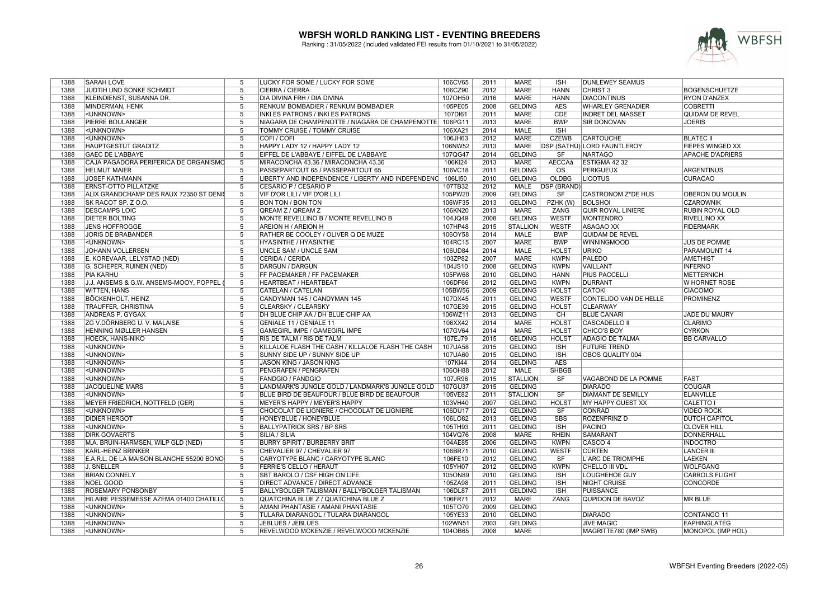

| 1388 | SARAH LOVE                               | 5                   | LUCKY FOR SOME / LUCKY FOR SOME                           | 106CV65 | 2011 | <b>MARE</b>     | <b>ISH</b>             | <b>DUNLEWEY SEAMUS</b>             |                         |
|------|------------------------------------------|---------------------|-----------------------------------------------------------|---------|------|-----------------|------------------------|------------------------------------|-------------------------|
| 1388 | JUDTIH UND SONKE SCHMIDT                 | $\overline{5}$      | CIERRA / CIERRA                                           | 106CZ90 | 2012 | <b>MARE</b>     | <b>HANN</b>            | <b>CHRIST 3</b>                    | <b>BOGENSCHUETZE</b>    |
| 1388 | KLEINDIENST, SUSANNA DR.                 | $\overline{5}$      | DIA DIVINA FRH / DIA DIVINA                               | 107OH50 | 2016 | <b>MARE</b>     | <b>HANN</b>            | <b>DIACONTINUS</b>                 | <b>RYON D'ANZEX</b>     |
| 1388 | MINDERMAN, HENK                          | 5                   | RENKUM BOMBADIER / RENKUM BOMBADIER                       | 105PE05 | 2008 | <b>GELDING</b>  | <b>AES</b>             | <b>WHARLEY GRENADIER</b>           | <b>COBRETTI</b>         |
| 1388 | <unknown></unknown>                      | 5                   | INKI ES PATRONS / INKI ES PATRONS                         | 107DI61 | 2011 | <b>MARE</b>     | <b>CDE</b>             | <b>INDRET DEL MASSET</b>           | <b>QUIDAM DE REVEL</b>  |
| 1388 | <b>PIERRE BOULANGER</b>                  | 5                   | NIAGARA DE CHAMPENOTTE / NIAGARA DE CHAMPENOTTE   106PG11 |         | 2013 | <b>MARE</b>     | <b>BWP</b>             | <b>SIR DONOVAN</b>                 | <b>JOERIS</b>           |
| 1388 | <unknown></unknown>                      | $\overline{5}$      | <b>TOMMY CRUISE / TOMMY CRUISE</b>                        | 106XA21 | 2014 | <b>MALE</b>     | <b>ISH</b>             |                                    |                         |
| 1388 | <unknown></unknown>                      | 5                   | COFI / COFI                                               | 106JH63 | 2012 | <b>MARE</b>     | <b>CZEWB</b>           | <b>CARTOUCHE</b>                   | <b>BLATEC II</b>        |
| 1388 | <b>HAUPTGESTÜT GRADITZ</b>               | $\overline{5}$      | HAPPY LADY 12 / HAPPY LADY 12                             | 106NW52 | 2013 | <b>MARE</b>     |                        | <b>DSP (SATHÜ) LORD FAUNTLEROY</b> | <b>FIEPES WINGED XX</b> |
| 1388 | <b>GAEC DE L'ABBAYE</b>                  | $\overline{5}$      | EIFFEL DE L'ABBAYE / EIFFEL DE L'ABBAYE                   | 107QG47 | 2014 | <b>GELDING</b>  | SF                     | <b>NARTAGO</b>                     | <b>APACHE D'ADRIERS</b> |
| 1388 | CAJA PAGADORA PERIFERICA DE ORGANISMO    | $\overline{5}$      | MIRACONCHA 43.36 / MIRACONCHA 43.36                       | 106KI24 | 2013 | <b>MARE</b>     | <b>AECCAá</b>          | ESTIGMA 42 32                      |                         |
| 1388 | <b>HELMUT MAIER</b>                      | 5                   | PASSEPARTOUT 65 / PASSEPARTOUT 65                         | 106VC18 | 2011 | <b>GELDING</b>  | $\overline{\text{os}}$ | <b>PERIGUEUX</b>                   | <b>ARGENTINUS</b>       |
| 1388 | <b>JOSEF KATHMANN</b>                    | $\overline{5}$      | LIBERTY AND INDEPENDENCE / LIBERTY AND INDEPENDENC        | 106LI50 | 2010 | <b>GELDING</b>  | <b>OLDBG</b>           | <b>LICOTUS</b>                     | <b>CURACAO</b>          |
| 1388 | <b>ERNST-OTTO PILLATZKE</b>              | $\overline{5}$      | CESARIO P / CESARIO P                                     | 107TB32 | 2012 | <b>MALE</b>     | <b>DSP (BRAND)</b>     |                                    |                         |
| 1388 | ALIX GRANDCHAMP DES RAUX 72350 ST DENIS  | 5                   | VIF D'OR LILI / VIF D'OR LILI                             | 105PW20 | 2009 | <b>GELDING</b>  | SF                     | <b>CASTRONOM Z*DE HUS</b>          | OBERON DU MOULIN        |
| 1388 | SK RACOT SP. Z O.O.                      | 5                   | <b>BON TON / BON TON</b>                                  | 106WF35 | 2013 | <b>GELDING</b>  | PZHK (W)               | <b>BOLSHOL</b>                     | <b>CZAROWNIK</b>        |
| 1388 | <b>DESCAMPS LOIC</b>                     | $\overline{5}$      | QREAM Z / QREAM Z                                         | 106KN20 | 2013 | <b>MARE</b>     | <b>ZANG</b>            | <b>QUIR ROYAL LINIERE</b>          | <b>RUBIN ROYAL OLD</b>  |
| 1388 | DIETER BÖLTING                           | 5                   | MONTE REVELLINO B / MONTE REVELLINO B                     | 104JQ49 | 2008 | <b>GELDING</b>  | WESTF                  | <b>MONTENDRO</b>                   | <b>RIVELLINO XX</b>     |
| 1388 | <b>JENS HOFFROGGE</b>                    | $\overline{5}$      | <b>AREION H / AREION H</b>                                | 107HP48 | 2015 | <b>STALLION</b> | <b>WESTF</b>           | <b>ASAGAO XX</b>                   | <b>FIDERMARK</b>        |
| 1388 | <b>JORIS DE BRABANDER</b>                | 5                   | RATHER BE COOLEY / OLIVER Q DE MUZE                       | 106OY58 | 2014 | <b>MALE</b>     | <b>BWP</b>             | QUIDAM DE REVEL                    |                         |
| 1388 |                                          | $\overline{5}$      |                                                           |         | 2007 | <b>MARE</b>     | <b>BWP</b>             |                                    |                         |
|      | <unknown></unknown>                      |                     | <b>HYASINTHE / HYASINTHE</b>                              | 104RC15 |      |                 |                        | <b>WINNINGMOOD</b>                 | <b>JUS DE POMME</b>     |
| 1388 | JOHANN VOLLERSEN                         | 5<br>$\overline{5}$ | UNCLE SAM / UNCLE SAM                                     | 106UD84 | 2014 | <b>MALE</b>     | <b>HOLST</b>           | <b>URIKO</b>                       | PARAMOUNT 14            |
| 1388 | E. KOREVAAR, LELYSTAD (NED)              |                     | <b>CERIDA / CERIDA</b>                                    | 103ZP82 | 2007 | <b>MARE</b>     | <b>KWPN</b>            | <b>PALEDO</b>                      | <b>AMETHIST</b>         |
| 1388 | G. SCHEPER, RUINEN (NED)                 | $\overline{5}$      | <b>DARGUN / DARGUN</b>                                    | 104JS10 | 2008 | <b>GELDING</b>  | <b>KWPN</b>            | VAILLANT                           | <b>INFERNO</b>          |
| 1388 | PIA KARHU                                | 5                   | FF PACEMAKER / FF PACEMAKER                               | 105FW68 | 2010 | <b>GELDING</b>  | <b>HANN</b>            | <b>PIUS PACCELLI</b>               | <b>METTERNICH</b>       |
| 1388 | J.J. ANSEMS & G.W. ANSEMS-MOOY, POPPEL   | 5                   | <b>HEARTBEAT / HEARTBEAT</b>                              | 106DF66 | 2012 | <b>GELDING</b>  | <b>KWPN</b>            | DURRANT                            | W HORNET ROSE           |
| 1388 | <b>WITTEN, HANS</b>                      | 5                   | CATELAN / CATELAN                                         | 105BW56 | 2009 | <b>GELDING</b>  | <b>HOLST</b>           | <b>CATOKI</b>                      | <b>CIACOMO</b>          |
| 1388 | <b>BÖCKENHOLT, HEINZ</b>                 | 5                   | CANDYMAN 145 / CANDYMAN 145                               | 107DX45 | 2011 | <b>GELDING</b>  | <b>WESTF</b>           | <b>CONTELIDO VAN DE HELLE</b>      | <b>PROMINENZ</b>        |
| 1388 | <b>TRAUFFER, CHRISTINA</b>               | 5                   | CLEARSKY / CLEARSKY                                       | 107GE39 | 2015 | <b>GELDING</b>  | <b>HOLST</b>           | <b>CLEARWAY</b>                    |                         |
| 1388 | <b>ANDREAS P. GYGAX</b>                  | 5                   | DH BLUE CHIP AA / DH BLUE CHIP AA                         | 106WZ11 | 2013 | <b>GELDING</b>  | CH                     | <b>BLUE CANARI</b>                 | <b>JADE DU MAURY</b>    |
| 1388 | ZG V.DÖRNBERG U. V. MALAISE              | $\overline{5}$      | <b>GENIALE 11 / GENIALE 11</b>                            | 106XX42 | 2014 | <b>MARE</b>     | <b>HOLST</b>           | <b>CASCADELLO II</b>               | CLARIMO                 |
| 1388 | <b>HENNING MØLLER HANSEN</b>             | $\overline{5}$      | <b>GAMEGIRL IMPE / GAMEGIRL IMPE</b>                      | 107GV64 | 2014 | <b>MARE</b>     | <b>HOLST</b>           | <b>CHICO'S BOY</b>                 | <b>CYRKON</b>           |
| 1388 | <b>HOECK, HANS-NIKO</b>                  | 5                   | RIS DE TALM / RIS DE TALM                                 | 107EJ79 | 2015 | <b>GELDING</b>  | <b>HOLST</b>           | <b>ADAGIO DE TALMA</b>             | <b>BB CARVALLO</b>      |
| 1388 | <unknown></unknown>                      | 5                   | KILLALOE FLASH THE CASH / KILLALOE FLASH THE CASH         | 107UA58 | 2015 | <b>GELDING</b>  | <b>ISH</b>             | <b>FUTURE TREND</b>                |                         |
| 1388 | <unknown></unknown>                      | 5                   | SUNNY SIDE UP / SUNNY SIDE UP                             | 107UA60 | 2015 | <b>GELDING</b>  | <b>ISH</b>             | OBOS QUALITY 004                   |                         |
| 1388 | <unknown></unknown>                      | 5                   | JASON KING / JASON KING                                   | 107KI44 | 2014 | <b>GELDING</b>  | <b>AES</b>             |                                    |                         |
| 1388 | <unknown></unknown>                      | $\overline{5}$      | PENGRAFEN / PENGRAFEN                                     | 106OH88 | 2012 | <b>MALE</b>     | <b>SHBGB</b>           |                                    |                         |
| 1388 | <unknown></unknown>                      | 5                   | <b>FANDGIO / FANDGIO</b>                                  | 107JR96 | 2015 | <b>STALLION</b> | SF                     | VAGABOND DE LA POMME               | <b>FAST</b>             |
| 1388 | <b>JACQUELINE MARS</b>                   | $\overline{5}$      | LANDMARK'S JUNGLE GOLD / LANDMARK'S JUNGLE GOLD           | 107GU37 | 2015 | <b>GELDING</b>  |                        | <b>DIARADO</b>                     | <b>COUGAR</b>           |
| 1388 | <unknown></unknown>                      | $\overline{5}$      | BLUE BIRD DE BEAUFOUR / BLUE BIRD DE BEAUFOUR             | 105VE82 | 2011 | <b>STALLION</b> | SF                     | <b>DIAMANT DE SEMILLY</b>          | <b>ELANVILLE</b>        |
| 1388 | MEYER FRIEDRICH, NOTTFELD (GER)          | $\overline{5}$      | <b>MEYER'S HAPPY / MEYER'S HAPPY</b>                      | 103VH40 | 2007 | <b>GELDING</b>  | <b>HOLST</b>           | <b>MY HAPPY GUEST XX</b>           | <b>CALETTO I</b>        |
| 1388 | <unknown></unknown>                      | 5                   | CHOCOLAT DE LIGNIERE / CHOCOLAT DE LIGNIERE               | 106DU17 | 2012 | <b>GELDING</b>  | SF                     | <b>CONRAD</b>                      | <b>VIDEO ROCK</b>       |
| 1388 | <b>DIDIER HERGOT</b>                     | 5                   | HONEYBLUE / HONEYBLUE                                     | 106LO82 | 2013 | <b>GELDING</b>  | <b>SBS</b>             | <b>ROZENPRINZ D</b>                | <b>DUTCH CAPITOL</b>    |
| 1388 | <unknown></unknown>                      | 5                   | <b>BALLYPATRICK SRS / BP SRS</b>                          | 105TH93 | 2011 | <b>GELDING</b>  | <b>ISH</b>             | <b>PACINO</b>                      | <b>CLOVER HILL</b>      |
| 1388 | <b>DIRK GOVAERTS</b>                     | $\overline{5}$      | SILIA / SILIA                                             | 104VQ76 | 2008 | <b>MARE</b>     | <b>RHEIN</b>           | <b>SAMARANT</b>                    | <b>DONNERHALL</b>       |
| 1388 | M.A. BRUIN-HARMSEN, WILP GLD (NED)       | 5                   | <b>BURRY SPIRIT / BURBERRY BRIT</b>                       | 104AE85 | 2006 | <b>GELDING</b>  | <b>KWPN</b>            | CASCO <sub>4</sub>                 | <b>INDOCTRO</b>         |
| 1388 | KARL-HEINZ BRINKER                       | 5                   | CHEVALIER 97 / CHEVALIER 97                               | 106BR71 | 2010 | <b>GELDING</b>  | <b>WESTF</b>           | <b>CÜRTEN</b>                      | <b>LANCER III</b>       |
| 1388 | E.A.R.L. DE LA MAISON BLANCHE 55200 BONC | $\overline{5}$      | CARYOTYPE BLANC / CARYOTYPE BLANC                         | 106FE10 | 2012 | <b>GELDING</b>  | SF                     | L'ARC DE TRIOMPHE                  | <b>LAEKEN</b>           |
| 1388 | J. SNELLER                               | $\overline{5}$      | <b>FERRIE'S CELLO / HERAUT</b>                            | 105YH07 | 2012 | <b>GELDING</b>  | <b>KWPN</b>            | <b>CHELLO III VDL</b>              | <b>WOLFGANG</b>         |
| 1388 | <b>BRIAN CONNELY</b>                     | $\overline{5}$      | SBT BAROLO / CSF HIGH ON LIFE                             | 105ON89 | 2010 | <b>GELDING</b>  | <b>ISH</b>             | <b>LOUGHEHOE GUY</b>               | <b>CARROLS FLIGHT</b>   |
| 1388 | NOEL GOOD                                | 5                   | <b>DIRECT ADVANCE / DIRECT ADVANCE</b>                    | 105ZA98 | 2011 | <b>GELDING</b>  | <b>ISH</b>             | <b>NIGHT CRUISE</b>                | <b>CONCORDE</b>         |
| 1388 | ROSEMARY PONSONBY                        | $\overline{5}$      | BALLYBOLGER TALISMAN / BALLYBOLGER TALISMAN               | 106DL87 | 2011 | <b>GELDING</b>  | <b>ISH</b>             | <b>PUISSANCE</b>                   |                         |
| 1388 | HILAIRE PESSEMESSE AZEMA 01400 CHATILLO  | $\overline{5}$      | QUATCHINA BLUE Z / QUATCHINA BLUE Z                       | 106FR71 | 2012 | <b>MARE</b>     | ZANG                   | <b>QUPIDON DE BAVOZ</b>            | <b>MR BLUE</b>          |
| 1388 | <unknown></unknown>                      | 5                   | AMANI PHANTASIE / AMANI PHANTASIE                         | 105TO70 | 2009 | <b>GELDING</b>  |                        |                                    |                         |
|      |                                          |                     |                                                           |         |      |                 |                        |                                    |                         |
| 1388 | <unknown></unknown>                      | 5<br>$\overline{5}$ | TULARA DIARANGOL / TULARA DIARANGOL                       | 105YE33 | 2010 | <b>GELDING</b>  |                        | <b>DIARADO</b>                     | CONTANGO 11             |
| 1388 | <unknown></unknown>                      |                     | JEBLUES / JEBLUES                                         | 102WN51 | 2003 | <b>GELDING</b>  |                        | <b>JIVE MAGIC</b>                  | <b>EAPHINGLATEG</b>     |
| 1388 | <unknown></unknown>                      | $\overline{5}$      | REVELWOOD MCKENZIE / REVELWOOD MCKENZIE                   | 104OB65 | 2008 | <b>MARE</b>     |                        | MAGRITTE780 (IMP SWB)              | MONOPOL (IMP HOL)       |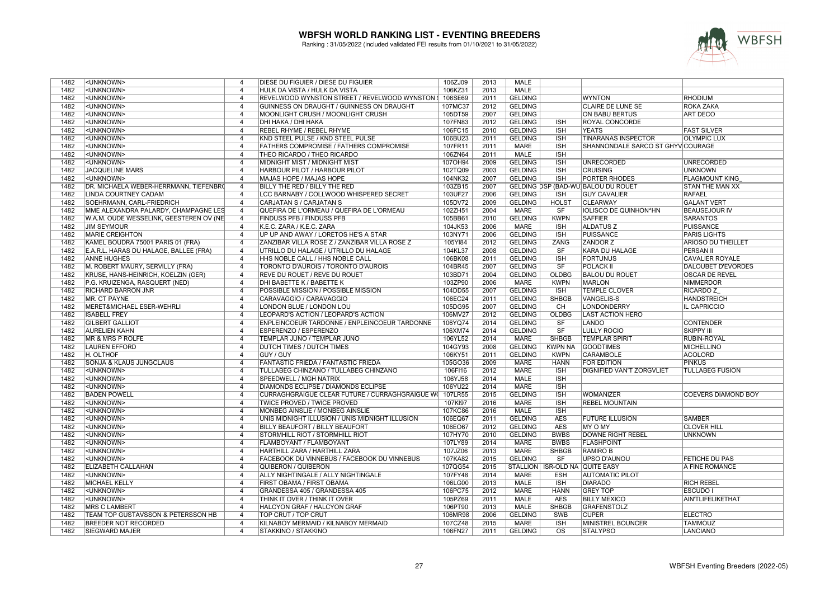

| 1482 | <unknown></unknown>                     | 4                       | DIESE DU FIGUIER / DIESE DU FIGUIER                | 106ZJ09 | 2013 | MALE           |                                |                                     |                            |
|------|-----------------------------------------|-------------------------|----------------------------------------------------|---------|------|----------------|--------------------------------|-------------------------------------|----------------------------|
| 1482 | <unknown></unknown>                     | $\overline{4}$          | HULK DA VISTA / HULK DA VISTA                      | 106KZ31 | 2013 | <b>MALE</b>    |                                |                                     |                            |
| 1482 | <unknown></unknown>                     | $\overline{4}$          | REVELWOOD WYNSTON STREET / REVELWOOD WYNSTON !     | 106SE69 | 2011 | <b>GELDING</b> |                                | <b>WYNTON</b>                       | <b>RHODIUM</b>             |
| 1482 | <unknown></unknown>                     | $\overline{4}$          | GUINNESS ON DRAUGHT / GUINNESS ON DRAUGHT          | 107MC37 | 2012 | <b>GELDING</b> |                                | <b>CLAIRE DE LUNE SE</b>            | <b>ROKA ZAKA</b>           |
| 1482 | <unknown></unknown>                     | 4                       | MOONLIGHT CRUSH / MOONLIGHT CRUSH                  | 105DT59 | 2007 | <b>GELDING</b> |                                | <b>ON BABU BERTUS</b>               | <b>ART DECO</b>            |
| 1482 | <unknown></unknown>                     | $\overline{4}$          | <b>DHI HAKA / DHI HAKA</b>                         | 107FN83 | 2012 | <b>GELDING</b> | <b>ISH</b>                     | <b>ROYAL CONCORDE</b>               |                            |
| 1482 | <unknown></unknown>                     | $\overline{4}$          | <b>REBEL RHYME / REBEL RHYME</b>                   | 106FC15 | 2010 | <b>GELDING</b> | <b>ISH</b>                     | <b>YEATS</b>                        | <b>FAST SILVER</b>         |
| 1482 | <unknown></unknown>                     | $\overline{4}$          | KND STEEL PULSE / KND STEEL PULSE                  | 106BU23 | 2011 | <b>GELDING</b> | <b>ISH</b>                     | TINARANAS INSPECTOR                 | <b>OLYMPIC LUX</b>         |
| 1482 | <unknown></unknown>                     | $\overline{4}$          | <b>FATHERS COMPROMISE / FATHERS COMPROMISE</b>     | 107FR11 | 2011 | <b>MARE</b>    | <b>ISH</b>                     | SHANNONDALE SARCO ST GHYVICOURAGE   |                            |
| 1482 | <unknown></unknown>                     | $\overline{4}$          | THEO RICARDO / THEO RICARDO                        | 106ZN64 | 2011 | <b>MALE</b>    | <b>ISH</b>                     |                                     |                            |
| 1482 |                                         | $\overline{4}$          |                                                    |         | 2009 | <b>GELDING</b> | <b>ISH</b>                     | <b>UNRECORDED</b>                   | <b>UNRECORDED</b>          |
|      | <unknown></unknown>                     |                         | MIDNIGHT MIST / MIDNIGHT MIST                      | 107OH94 |      | <b>GELDING</b> |                                |                                     |                            |
| 1482 | <b>JACQUELINE MARS</b>                  | $\overline{4}$          | HARBOUR PILOT / HARBOUR PILOT                      | 102TQ09 | 2003 |                | <b>ISH</b>                     | <b>CRUISING</b>                     | <b>UNKNOWN</b>             |
| 1482 | <unknown></unknown>                     | $\overline{4}$          | MAJAS HOPE / MAJAS HOPE                            | 104NK32 | 2007 | <b>GELDING</b> | <b>ISH</b>                     | <b>PORTER RHODES</b>                | <b>FLAGMOUNT KING</b>      |
| 1482 | DR. MICHAELA WEBER-HERRMANN, TIEFENBRO  | $\overline{4}$          | BILLY THE RED / BILLY THE RED                      | 103ZB15 | 2007 |                |                                | GELDING DSP (BAD-WÜ) BALOU DU ROUET | <b>STAN THE MAN XX</b>     |
| 1482 | <b>LINDA COURTNEY CADAM</b>             | $\overline{4}$          | LCC BARNABY / COLLWOOD WHISPERED SECRET            | 103UF27 | 2006 | <b>GELDING</b> | $\overline{\mathsf{ISH}}$      | <b>GUY CAVALIER</b>                 | <b>RAFAEL</b>              |
| 1482 | SOEHRMANN, CARL-FRIEDRICH               | $\overline{4}$          | CARJATAN S / CARJATAN S                            | 105DV72 | 2009 | <b>GELDING</b> | <b>HOLST</b>                   | <b>CLEARWAY</b>                     | <b>GALANT VERT</b>         |
| 1482 | MME ALEXANDRA PALARDY, CHAMPAGNE LES    | 4                       | QUEFIRA DE L'ORMEAU / QUEFIRA DE L'ORMEAU          | 102ZH51 | 2004 | <b>MARE</b>    | SF                             | <b>IOLISCO DE QUINHON*HN</b>        | <b>BEAUSEJOUR IV</b>       |
| 1482 | W.A.M. OUDE WESSELINK, GEESTEREN OV (NE | $\overline{4}$          | <b>FINDUSS PFB / FINDUSS PFB</b>                   | 105BB61 | 2010 | <b>GELDING</b> | <b>KWPN</b>                    | <b>SAFFIER</b>                      | <b>SARANTOS</b>            |
| 1482 | <b>JIM SEYMOUR</b>                      | $\overline{4}$          | K.E.C. ZARA / K.E.C. ZARA                          | 104JK53 | 2006 | MARE           | <b>ISH</b>                     | <b>ALDATUS Z</b>                    | <b>PUISSANCE</b>           |
| 1482 | <b>MARIE CREIGHTON</b>                  | $\overline{4}$          | UP UP AND AWAY / LORETOS HE'S A STAR               | 103NY71 | 2006 | <b>GELDING</b> | <b>ISH</b>                     | <b>PUISSANCE</b>                    | <b>PARIS LIGHTS</b>        |
| 1482 | KAMEL BOUDRA 75001 PARIS 01 (FRA)       | $\overline{4}$          | ZANZIBAR VILLA ROSE Z / ZANZIBAR VILLA ROSE Z      | 105Y184 | 2012 | <b>GELDING</b> | ZANG                           | <b>ZANDOR Z</b>                     | <b>ARIOSO DU THEILLET</b>  |
| 1482 | E.A.R.L. HARAS DU HALAGE, BALLEE (FRA)  | $\overline{4}$          | UTRILLO DU HALAGE / UTRILLO DU HALAGE              | 104KL37 | 2008 | <b>GELDING</b> | SF                             | <b>KARA DU HALAGE</b>               | <b>PERSAN II</b>           |
| 1482 | <b>ANNE HUGHES</b>                      | $\overline{4}$          | HHS NOBLE CALL / HHS NOBLE CALL                    | 106BK08 | 2011 | <b>GELDING</b> | <b>ISH</b>                     | <b>FORTUNUS</b>                     | <b>CAVALIER ROYALE</b>     |
| 1482 | M. ROBERT MAURY, SERVILLY (FRA)         | $\overline{4}$          | TORONTO D'AUROIS / TORONTO D'AUROIS                | 104BR45 | 2007 | <b>GELDING</b> | SF                             | <b>POLACK II</b>                    | <b>DALOUBET D'EVORDES</b>  |
| 1482 | KRUSE, HANS-HEINRICH, KOELZIN (GER)     | $\overline{4}$          | REVE DU ROUET / REVE DU ROUET                      | 103BD71 | 2004 | <b>GELDING</b> | <b>OLDBG</b>                   | <b>BALOU DU ROUET</b>               | <b>OSCAR DE REVEL</b>      |
| 1482 | P.G. KRUIZENGA, RASQUERT (NED)          | $\overline{4}$          | DHI BABETTE K / BABETTE K                          | 103ZP90 | 2006 | MARE           | <b>KWPN</b>                    | <b>MARLON</b>                       | <b>NIMMERDOR</b>           |
| 1482 | <b>RICHARD BARRON JNR</b>               | $\overline{4}$          | POSSIBLE MISSION / POSSIBLE MISSION                | 104DD55 | 2007 | <b>GELDING</b> | <b>ISH</b>                     | <b>TEMPLE CLOVER</b>                | RICARDO Z                  |
| 1482 | MR. CT PAYNE                            | $\overline{4}$          | CARAVAGGIO / CARAVAGGIO                            | 106EC24 | 2011 | <b>GELDING</b> | <b>SHBGB</b>                   | VANGELIS-S                          | <b>HANDSTREICH</b>         |
| 1482 | MERET&MICHAEL ESER-WEHRLI               | $\overline{4}$          | LONDON BLUE / LONDON LOU                           | 105DG95 | 2007 | <b>GELDING</b> | CH                             | LONDONDERRY                         | <b>IL CAPRICCIO</b>        |
| 1482 | <b>ISABELL FREY</b>                     | $\overline{4}$          | LEOPARD'S ACTION / LEOPARD'S ACTION                | 106MV27 | 2012 | <b>GELDING</b> | <b>OLDBG</b>                   | <b>LAST ACTION HERO</b>             |                            |
| 1482 | <b>GILBERT GALLIOT</b>                  | $\overline{4}$          | ENPLEINCOEUR TARDONNE / ENPLEINCOEUR TARDONNE      | 106YQ74 | 2014 | <b>GELDING</b> | SF                             | <b>LANDO</b>                        | <b>CONTENDER</b>           |
| 1482 | <b>AURELIEN KAHN</b>                    | $\overline{4}$          | <b>ESPERENZO / ESPERENZO</b>                       | 106XM74 | 2014 | <b>GELDING</b> | $\overline{\text{SF}}$         | <b>LULLY ROCIO</b>                  | <b>SKIPPY III</b>          |
| 1482 | <b>MR &amp; MRS P ROLFE</b>             | $\overline{4}$          | TEMPLAR JUNO / TEMPLAR JUNO                        | 106YL52 | 2014 | <b>MARE</b>    | <b>SHBGB</b>                   | <b>TEMPLAR SPIRIT</b>               | <b>RUBIN-ROYAL</b>         |
| 1482 | <b>LAUREN EFFORD</b>                    | $\overline{4}$          | <b>DUTCH TIMES / DUTCH TIMES</b>                   | 104GY93 | 2008 | <b>GELDING</b> | <b>KWPN NA</b>                 | <b>GOODTIMES</b>                    | <b>MICHELLINO</b>          |
| 1482 | H. OLTHOF                               | 4                       | <b>GUY / GUY</b>                                   | 106KY51 | 2011 | <b>GELDING</b> | <b>KWPN</b>                    | <b>CARAMBOLE</b>                    | <b>ACOLORD</b>             |
| 1482 | SONJA & KLAUS JUNGCLAUS                 | $\overline{\mathbf{A}}$ | <b>FANTASTIC FRIEDA / FANTASTIC FRIEDA</b>         | 105GO36 | 2009 | <b>MARE</b>    | <b>HANN</b>                    | <b>FOR EDITION</b>                  | PINKUS                     |
| 1482 | <unknown></unknown>                     | $\overline{4}$          | TULLABEG CHINZANO / TULLABEG CHINZANO              | 106FI16 | 2012 | <b>MARE</b>    | <b>ISH</b>                     | DIGNIFIED VAN'T ZORGVLIET           | <b>TULLABEG FUSION</b>     |
| 1482 | <unknown></unknown>                     | $\overline{4}$          | <b>SPEEDWELL / MGH NATRIX</b>                      | 106YJ58 | 2014 | <b>MALE</b>    | <b>ISH</b>                     |                                     |                            |
| 1482 | <unknown></unknown>                     | $\overline{4}$          | <b>DIAMONDS ECLIPSE / DIAMONDS ECLIPSE</b>         | 106YU22 | 2014 | <b>MARE</b>    | <b>ISH</b>                     |                                     |                            |
| 1482 | <b>BADEN POWELL</b>                     | $\overline{4}$          | CURRAGHGRAIGUE CLEAR FUTURE / CURRAGHGRAIGUE WO    | 107LR55 | 2015 | <b>GELDING</b> | <b>ISH</b>                     | <b>WOMANIZER</b>                    | <b>COEVERS DIAMOND BOY</b> |
| 1482 | <unknown></unknown>                     | $\overline{4}$          | <b>TWICE PROVED / TWICE PROVED</b>                 | 107KI97 | 2016 | <b>MARE</b>    | <b>ISH</b>                     | <b>REBEL MOUNTAIN</b>               |                            |
| 1482 | <unknown></unknown>                     | $\overline{4}$          | MONBEG AINSLIE / MONBEG AINSLIE                    | 107KC86 | 2016 | <b>MALE</b>    | <b>ISH</b>                     |                                     |                            |
| 1482 | <unknown></unknown>                     | $\overline{4}$          | UNIS MIDNIGHT ILLUSION / UNIS MIDNIGHT ILLUSION    | 106EQ67 | 2011 | <b>GELDING</b> | <b>AES</b>                     | <b>FUTURE ILLUSION</b>              | <b>SAMBER</b>              |
| 1482 | <unknown></unknown>                     | $\overline{4}$          | <b>BILLY BEAUFORT / BILLY BEAUFORT</b>             | 106EO67 | 2012 | <b>GELDING</b> | <b>AES</b>                     | MY O MY                             | <b>CLOVER HILL</b>         |
| 1482 | <unknown></unknown>                     | $\overline{4}$          | STORMHILL RIOT / STORMHILL RIOT                    | 107HY70 | 2010 | <b>GELDING</b> | <b>BWBS</b>                    | <b>DOWNE RIGHT REBEL</b>            | <b>UNKNOWN</b>             |
| 1482 | <unknown></unknown>                     | $\overline{4}$          | <b>FLAMBOYANT / FLAMBOYANT</b>                     | 107LY89 | 2014 | <b>MARE</b>    | <b>BWBS</b>                    | <b>FLASHPOINT</b>                   |                            |
| 1482 | <unknown></unknown>                     | $\overline{4}$          | HARTHILL ZARA / HARTHILL ZARA                      | 107JZ06 | 2013 | <b>MARE</b>    | <b>SHBGB</b>                   | <b>RAMIROB</b>                      |                            |
| 1482 | <unknown></unknown>                     | $\overline{4}$          | <b>FACEBOOK DU VINNEBUS / FACEBOOK DU VINNEBUS</b> | 107KA82 | 2015 | <b>GELDING</b> | SF                             | <b>UPSO D'AUNOU</b>                 | <b>FETICHE DU PAS</b>      |
| 1482 | <b>ELIZABETH CALLAHAN</b>               | $\overline{4}$          | <b>QUIBERON / QUIBERON</b>                         | 107QG54 | 2015 |                | STALLION ISR-OLD NA QUITE EASY |                                     | A FINE ROMANCE             |
| 1482 | <unknown></unknown>                     | $\overline{4}$          | ALLY NIGHTINGALE / ALLY NIGHTINGALE                | 107FY48 | 2014 | <b>MARE</b>    | <b>ESH</b>                     | <b>AUTOMATIC PILOT</b>              |                            |
| 1482 | <b>MICHAEL KELLY</b>                    | $\overline{4}$          | FIRST OBAMA / FIRST OBAMA                          | 106LG00 | 2013 | <b>MALE</b>    | <b>ISH</b>                     | <b>DIARADO</b>                      | <b>RICH REBEL</b>          |
| 1482 | <unknown></unknown>                     | $\overline{4}$          | GRANDESSA 405 / GRANDESSA 405                      | 106PC75 | 2012 | <b>MARE</b>    | <b>HANN</b>                    | <b>GREY TOP</b>                     | <b>ESCUDO I</b>            |
| 1482 | <unknown></unknown>                     | $\overline{4}$          | THINK IT OVER / THINK IT OVER                      | 105PZ69 | 2011 | MALE           | <b>AES</b>                     | <b>BILLY MEXICO</b>                 | <b>AIN'TLIFELIKETHAT</b>   |
| 1482 | <b>MRS C LAMBERT</b>                    | $\overline{4}$          | HALCYON GRAF / HALCYON GRAF                        | 106PT90 | 2013 | MALE           | <b>SHBGB</b>                   | GRAFENSTOLZ                         |                            |
| 1482 | TEAM TOP GUSTAVSSON & PETERSSON HB      | $\overline{4}$          | TOP CRUT / TOP CRUT                                | 106MR98 | 2006 | <b>GELDING</b> | SWB                            | <b>CUPER</b>                        | <b>ELECTRO</b>             |
| 1482 | <b>BREEDER NOT RECORDED</b>             | $\overline{4}$          | KILNABOY MERMAID / KILNABOY MERMAID                | 107CZ48 | 2015 | MARE           | <b>ISH</b>                     | MINISTREL BOUNCER                   | <b>TAMMOUZ</b>             |
| 1482 | <b>SIEGWARD MAJER</b>                   | $\overline{4}$          | <b>STAKKINO / STAKKINO</b>                         | 106FN27 | 2011 | <b>GELDING</b> | $\overline{\mathrm{OS}}$       | <b>STALYPSO</b>                     | <b>LANCIANO</b>            |
|      |                                         |                         |                                                    |         |      |                |                                |                                     |                            |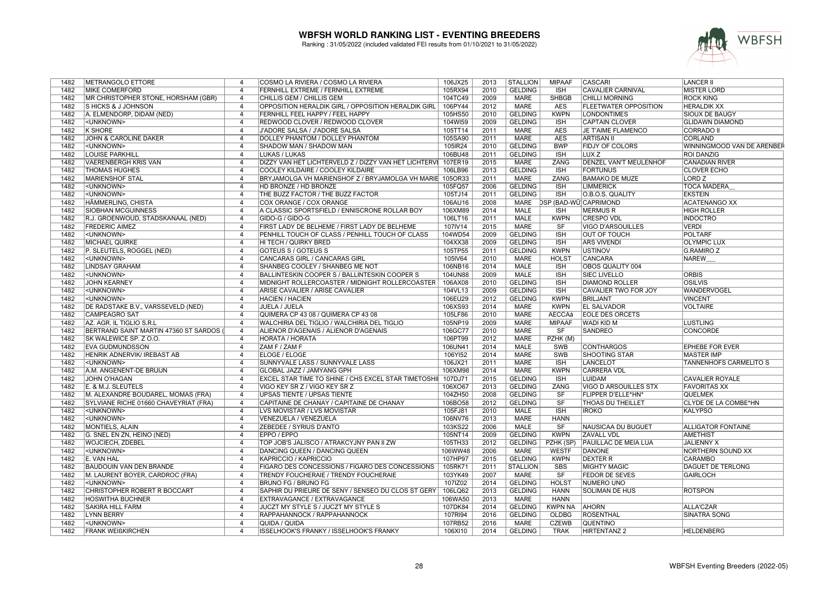

| 1482 | METRANGOLO ETTORE                          | 4              | COSMO LA RIVIERA / COSMO LA RIVIERA                      | 106JX25 | 2013 | <b>STALLION</b> | <b>MIPAAF</b>          | <b>CASCARI</b>                | <b>LANCER II</b>              |
|------|--------------------------------------------|----------------|----------------------------------------------------------|---------|------|-----------------|------------------------|-------------------------------|-------------------------------|
| 1482 | <b>MIKE COMERFORD</b>                      | $\overline{4}$ | FERNHILL EXTREME / FERNHILL EXTREME                      | 105RX94 | 2010 | <b>GELDING</b>  | <b>ISH</b>             | <b>CAVALIER CARNIVAL</b>      | <b>MISTER LORD</b>            |
| 1482 | <b>MR CHRISTOPHER STONE, HORSHAM (GBR)</b> | $\overline{4}$ | CHILLIS GEM / CHILLIS GEM                                | 104TC49 | 2009 | <b>MARE</b>     | <b>SHBGB</b>           | <b>CHILLI MORNING</b>         | <b>ROCK KING</b>              |
| 1482 | <b>SHICKS &amp; J JOHNSON</b>              | $\overline{4}$ | OPPOSITION HERALDIK GIRL / OPPOSITION HERALDIK GIRL      | 106PY44 | 2012 | <b>MARE</b>     | <b>AES</b>             | <b>FLEETWATER OPPOSITION</b>  | <b>HERALDIK XX</b>            |
| 1482 | A. ELMENDORP, DIDAM (NED)                  | $\overline{4}$ | <b>FERNHILL FEEL HAPPY / FEEL HAPPY</b>                  | 105HS50 | 2010 | <b>GELDING</b>  | <b>KWPN</b>            | <b>LONDONTIMES</b>            | <b>SIOUX DE BAUGY</b>         |
| 1482 | <unknown></unknown>                        | $\overline{4}$ | REDWOOD CLOVER / REDWOOD CLOVER                          | 104WI59 | 2009 | <b>GELDING</b>  | <b>ISH</b>             | <b>CAPTAIN CLOVER</b>         | <b>GLIDAWN DIAMOND</b>        |
| 1482 | <b>K SHORE</b>                             | $\overline{4}$ | J'ADORE SALSA / J'ADORE SALSA                            | 105TT14 | 2011 | <b>MARE</b>     | <b>AES</b>             | JE T'AIME FLAMENCO            | <b>CORRADO II</b>             |
| 1482 | JOHN & CAROLINE DAKER                      | $\overline{4}$ | DOLLEY PHANTOM / DOLLEY PHANTOM                          | 105SA90 | 2011 | <b>MARE</b>     | <b>AES</b>             | <b>ARTISAN II</b>             | <b>CORLAND</b>                |
| 1482 | <unknown></unknown>                        | $\overline{4}$ | SHADOW MAN / SHADOW MAN                                  | 105IR24 | 2010 | <b>GELDING</b>  | <b>BWP</b>             | <b>FIDJY OF COLORS</b>        | WINNINGMOOD VAN DE ARENBEF    |
| 1482 | <b>LOUISE PARKHILL</b>                     | $\overline{4}$ | <b>LUKAS / LUKAS</b>                                     | 106BU48 | 2011 | <b>GELDING</b>  | <b>ISH</b>             | LUX <sub>Z</sub>              | <b>ROI DANZIG</b>             |
| 1482 | <b>VAERENBERGH KRIS VAN</b>                | $\overline{4}$ | DIZZY VAN HET LICHTERVELD Z / DIZZY VAN HET LICHTERVI    | 107ER19 | 2015 | <b>MARE</b>     | ZANG                   | <b>DENZEL VAN'T MEULENHOF</b> | <b>CANADIAN RIVER</b>         |
| 1482 | <b>THOMAS HUGHES</b>                       | $\overline{4}$ | <b>COOLEY KILDAIRE / COOLEY KILDAIRE</b>                 | 106LB96 | 2013 | <b>GELDING</b>  | <b>ISH</b>             | <b>FORTUNUS</b>               | <b>CLOVER ECHO</b>            |
| 1482 | <b>MARIENSHOF STAL</b>                     | $\overline{4}$ | BRYJAMOLGA VH MARIENSHOF Z / BRYJAMOLGA VH MARIE 105OR33 |         | 2011 | <b>MARE</b>     | ZANG                   | <b>BAMAKO DE MUZE</b>         | LORD <sub>Z</sub>             |
| 1482 | <unknown></unknown>                        | $\overline{4}$ | <b>HD BRONZE / HD BRONZE</b>                             | 105FQ57 | 2006 | <b>GELDING</b>  | <b>ISH</b>             | <b>LIMMERICK</b>              | <b>TOCA MADERA</b>            |
| 1482 | <unknown></unknown>                        | $\overline{4}$ | THE BUZZ FACTOR / THE BUZZ FACTOR                        | 105TJ14 | 2011 | <b>GELDING</b>  | <b>ISH</b>             | O.B.O.S. QUALITY              | <b>EKSTEIN</b>                |
| 1482 | HÄMMERLING, CHISTA                         | $\overline{4}$ | COX ORANGE / COX ORANGE                                  | 106AU16 | 2008 | MARE            |                        | <b>DSP (BAD-WÜ)CAPRIMOND</b>  | <b>ACATENANGO XX</b>          |
| 1482 | <b>SIOBHAN MCGUINNESS</b>                  | $\overline{4}$ | A CLASSIC SPORTSFIELD / ENNISCRONE ROLLAR BOY            | 106XM89 | 2014 | <b>MALE</b>     | <b>ISH</b>             | MERMUS R                      | <b>HIGH ROLLER</b>            |
| 1482 | R.J. GROENWOUD, STADSKANAAL (NED)          | $\overline{4}$ | GIDO-G / GIDO-G                                          | 106LT16 | 2011 | <b>MALE</b>     | <b>KWPN</b>            | <b>CRESPO VDL</b>             | <b>INDOCTRO</b>               |
| 1482 | <b>FREDERIC AIMEZ</b>                      | $\overline{4}$ |                                                          | 107IV14 | 2015 | <b>MARE</b>     | SF                     | <b>VIGO D'ARSOUILLES</b>      | <b>VERDI</b>                  |
|      |                                            | $\overline{4}$ | FIRST LADY DE BELHEME / FIRST LADY DE BELHEME            |         | 2009 |                 | <b>ISH</b>             |                               |                               |
| 1482 | <unknown></unknown>                        | $\overline{4}$ | PENHILL TOUCH OF CLASS / PENHILL TOUCH OF CLASS          | 104WD54 |      | <b>GELDING</b>  |                        | <b>OUT OF TOUCH</b>           | <b>POLTARF</b>                |
| 1482 | <b>MICHAEL QUIRKE</b>                      |                | HI TECH / QUIRKY BRED                                    | 104XX38 | 2009 | <b>GELDING</b>  | <b>ISH</b>             | <b>ARS VIVENDI</b>            | <b>OLYMPIC LUX</b>            |
| 1482 | P. SLEUTELS, ROGGEL (NED)                  | $\overline{4}$ | GOTEUS S / GOTEUS S                                      | 105TP55 | 2011 | <b>GELDING</b>  | <b>KWPN</b>            | <b>IUSTINOV</b>               | <b>G.RAMIRO Z</b>             |
| 1482 | <unknown></unknown>                        | $\overline{4}$ | <b>CANCARAS GIRL / CANCARAS GIRL</b>                     | 105IV64 | 2010 | <b>MARE</b>     | <b>HOLST</b>           | <b>CANCARA</b>                | <b>NAREW</b>                  |
| 1482 | <b>LINDSAY GRAHAM</b>                      | $\overline{4}$ | SHANBEG COOLEY / SHANBEG ME NOT                          | 106NB16 | 2014 | <b>MALE</b>     | <b>ISH</b>             | <b>OBOS QUALITY 004</b>       |                               |
| 1482 | <unknown></unknown>                        | 4              | BALLINTESKIN COOPER S / BALLINTESKIN COOPER S            | 104UN88 | 2009 | MALE            | <b>ISH</b>             | <b>SIEC LIVELLO</b>           | <b>ORBIS</b>                  |
| 1482 | <b>JOHN KEARNEY</b>                        | $\overline{4}$ | MIDNIGHT ROLLERCOASTER / MIDNIGHT ROLLERCOASTER          | 106AX08 | 2010 | <b>GELDING</b>  | <b>ISH</b>             | <b>DIAMOND ROLLER</b>         | <b>OSILVIS</b>                |
| 1482 | <unknown></unknown>                        | $\overline{4}$ | ARISE CAVALIER / ARISE CAVALIER                          | 104VL13 | 2009 | <b>GELDING</b>  | <b>ISH</b>             | CAVALIER TWO FOR JOY          | WANDERVOGEL                   |
| 1482 | <unknown></unknown>                        | $\overline{4}$ | <b>HACIEN / HACIEN</b>                                   | 106EU29 | 2012 | <b>GELDING</b>  | <b>KWPN</b>            | <b>BRILJANT</b>               | <b>VINCENT</b>                |
| 1482 | DE RADSTAKE B.V., VARSSEVELD (NED)         | $\overline{4}$ | JUELA / JUELA                                            | 106XS93 | 2014 | <b>MARE</b>     | <b>KWPN</b>            | <b>EL SALVADOR</b>            | <b>VOLTAIRE</b>               |
| 1482 | <b>CAMPEAGRO SAT</b>                       | $\overline{4}$ | QUIMERA CP 43 08 / QUIMERA CP 43 08                      | 105LF86 | 2010 | <b>MARE</b>     | <b>AECCAá</b>          | <b>EOLE DES ORCETS</b>        |                               |
| 1482 | AZ. AGR. IL TIGLIO S.R.L                   | $\overline{4}$ | WALCHIRIA DEL TIGLIO / WALCHIRIA DEL TIGLIO              | 105NP19 | 2009 | <b>MARE</b>     | <b>MIPAAF</b>          | <b>WADI KID M</b>             | LUSTLING                      |
| 1482 | BERTRAND SAINT MARTIN 47360 ST SARDOS      | $\overline{4}$ | ALIENOR D'AGENAIS / ALIENOR D'AGENAIS                    | 106GC77 | 2010 | <b>MARE</b>     | SF                     | <b>SANDREO</b>                | <b>CONCORDE</b>               |
| 1482 | SK WALEWICE SP. Z O.O.                     | $\overline{4}$ | HORATA / HORATA                                          | 106PT99 | 2012 | <b>MARE</b>     | PZHK (M)               |                               |                               |
| 1482 | <b>EVA GUDMUNDSSON</b>                     | $\overline{4}$ | ZAM F / ZAM F                                            | 106UN41 | 2014 | <b>MALE</b>     | SWB                    | <b>CONTHARGOS</b>             | <b>EPHEBE FOR EVER</b>        |
| 1482 | HENRIK ADNERVIK/ IREBAST AB                | $\overline{4}$ | <b>ELOGE / ELOGE</b>                                     | 106YI52 | 2014 | <b>MARE</b>     | SWB                    | <b>SHOOTING STAR</b>          | <b>MASTER IMP</b>             |
| 1482 | <unknown></unknown>                        | 4              | SUNNYVALE LASS / SUNNYVALE LASS                          | 106JX21 | 2011 | <b>MARE</b>     | ISH                    | <b>LANCELOT</b>               | <b>TANNENHOFS CARMELITO S</b> |
| 1482 | A.M. ANGENENT-DE BRUIJN                    | $\overline{4}$ | GLOBAL JAZZ / JAMYANG GPH                                | 106XM98 | 2014 | <b>MARE</b>     | <b>KWPN</b>            | <b>CARRERA VDL</b>            |                               |
| 1482 | JOHN O'HAGAN                               | 4              | EXCEL STAR TIME TO SHINE / CHS EXCEL STAR TIMETOSHII     | 107DJ71 | 2015 | <b>GELDING</b>  | <b>ISH</b>             | LUIDAM                        | CAVALIER ROYALE               |
| 1482 | E. & M.J. SLEUTELS                         | $\overline{4}$ | VIGO KEY SR Z / VIGO KEY SR Z                            | 106XO67 | 2013 | <b>GELDING</b>  | ZANG                   | <b>VIGO D ARSOUILLES STX</b>  | <b>FAVORITAS XX</b>           |
| 1482 | M. ALEXANDRE BOUDAREL, MOMAS (FRA)         | $\overline{4}$ | <b>UPSAS TIENTE / UPSAS TIENTE</b>                       | 104ZH50 | 2008 | <b>GELDING</b>  | <b>SF</b>              | FLIPPER D'ELLE*HN*            | QUELMEK                       |
| 1482 | SYLVIANE RICHE 01660 CHAVEYRIAT (FRA)      | $\overline{4}$ | CAPITAINE DE CHANAY / CAPITAINE DE CHANAY                | 106BO58 | 2012 | <b>GELDING</b>  | $\overline{\text{SF}}$ | <b>THOAS DU THEILLET</b>      | <b>CLYDE DE LA COMBE*HN</b>   |
| 1482 | <unknown></unknown>                        | $\overline{4}$ | LVS MOVISTAR / LVS MOVISTAR                              | 105FJ81 | 2010 | MALE            | <b>ISH</b>             | <b>IROKO</b>                  | KALYPSO                       |
| 1482 | <unknown></unknown>                        | $\overline{4}$ | VENEZUELA / VENEZUELA                                    | 106NV76 | 2013 | <b>MARE</b>     | <b>HANN</b>            |                               |                               |
| 1482 | MONTIELS, ALAIN                            | $\overline{4}$ | ZEBEDEE / SYRIUS D'ANTO                                  | 103KS22 | 2006 | <b>MALE</b>     | SF                     | NAUSICAA DU BUGUET            | <b>ALLIGATOR FONTAINE</b>     |
| 1482 | G. SNEL EN ZN, HEINO (NED)                 | $\overline{4}$ | EPPO / EPPO                                              | 105NT14 | 2009 | <b>GELDING</b>  | <b>KWPN</b>            | <b>ZAVALL VDL</b>             | <b>AMETHIST</b>               |
| 1482 | <b>WOJCIECH, ZDEBEL</b>                    | $\overline{4}$ | TOP JOB'S JALISCO / ATRAKCYJNY PAN II ZW                 | 105TH33 | 2012 | <b>GELDING</b>  | PZHK (SP)              | <b>PAUILLAC DE MEIA LUA</b>   | JALIENNY X                    |
| 1482 | <unknown></unknown>                        | $\overline{4}$ | DANCING QUEEN / DANCING QUEEN                            | 106WW48 | 2006 | <b>MARE</b>     | <b>WESTF</b>           | DANONE                        | NORTHERN SOUND XX             |
| 1482 | E. VAN HAL                                 | $\overline{4}$ | <b>KAPRICCIO / KAPRICCIO</b>                             | 107HP97 | 2015 | <b>GELDING</b>  | <b>KWPN</b>            | <b>DEXTER R</b>               | <b>CARAMBO</b>                |
| 1482 | <b>BAUDOUIN VAN DEN BRANDE</b>             | $\overline{4}$ | FIGARO DES CONCESSIONS / FIGARO DES CONCESSIONS          | 105RK71 | 2011 | <b>STALLION</b> | <b>SBS</b>             | <b>MIGHTY MAGIC</b>           | DAGUET DE TERLONG             |
| 1482 | M. LAURENT BOYER, CARDROC (FRA)            | $\overline{4}$ | TRENDY FOUCHERAIE / TRENDY FOUCHERAIE                    | 103YK49 | 2007 | <b>MARE</b>     | $\overline{\text{SF}}$ | <b>FEDOR DE SEVES</b>         | <b>GAIRLOCH</b>               |
|      |                                            |                |                                                          |         |      |                 |                        |                               |                               |
| 1482 | <unknown></unknown>                        | 4              | <b>BRUNO FG / BRUNO FG</b>                               | 107IZ02 | 2014 | <b>GELDING</b>  | <b>HOLST</b>           | NUMERO UNO                    |                               |
| 1482 | CHRISTOPHER ROBERT R BOCCART               | $\overline{4}$ | SAPHIR DU PRIEURE DE SENY / SENSEO DU CLOS ST GERY       | 106LQ62 | 2013 | <b>GELDING</b>  | <b>HANN</b>            | SOLIMAN DE HUS                | <b>ROTSPON</b>                |
| 1482 | <b>HOSWITHA BUCHNER</b>                    | $\overline{4}$ | EXTRAVAGANCE / EXTRAVAGANCE                              | 106WA50 | 2013 | <b>MARE</b>     | <b>HANN</b>            |                               |                               |
| 1482 | <b>SAKIRA HILL FARM</b>                    | $\overline{4}$ | JUCZT MY STYLE S / JUCZT MY STYLE S                      | 107DK84 | 2014 | <b>GELDING</b>  | <b>KWPN NA</b>         | <b>AHORN</b>                  | ALLA'CZAR                     |
| 1482 | <b>LYNN BERRY</b>                          | $\overline{4}$ | RAPPAHANNOCK / RAPPAHANNOCK                              | 107RI94 | 2016 | <b>GELDING</b>  | <b>OLDBG</b>           | ROSENTHAL                     | <b>SINATRA SONG</b>           |
| 1482 | <unknown></unknown>                        | $\overline{4}$ | QUIDA / QUIDA                                            | 107RB52 | 2016 | <b>MARE</b>     | <b>CZEWB</b>           | <b>QUENTINO</b>               |                               |
| 1482 | <b>FRANK WEIßKIRCHEN</b>                   | $\overline{4}$ | ISSELHOOK'S FRANKY / ISSELHOOK'S FRANKY                  | 106XI10 | 2014 | <b>GELDING</b>  | <b>TRAK</b>            | <b>HIRTENTANZ 2</b>           | <b>HELDENBERG</b>             |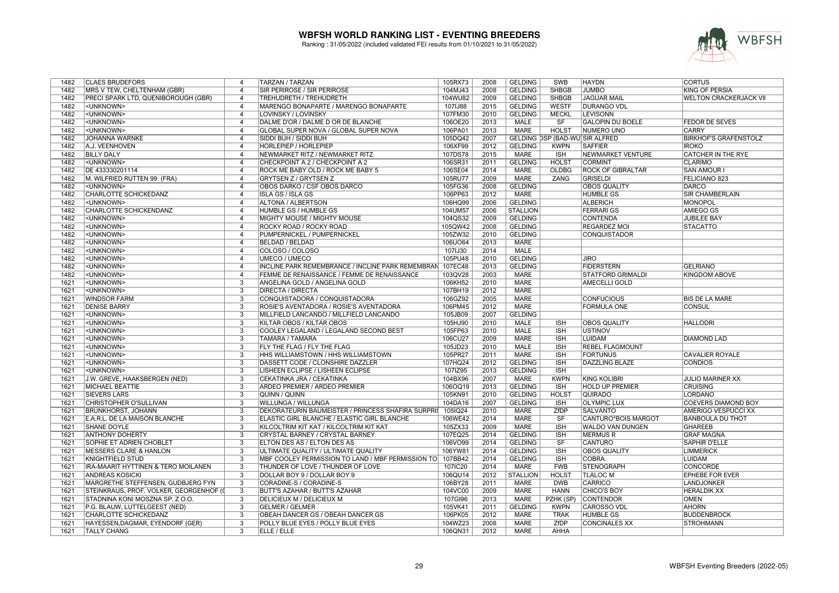

| 1482 | <b>CLAES BRUDEFORS</b>                  | 4                        | TARZAN / TARZAN                                          | 105RX73 | 2008 | <b>GELDING</b>  | SWB                            | <b>HAYDN</b>             | <b>CORTUS</b>                 |
|------|-----------------------------------------|--------------------------|----------------------------------------------------------|---------|------|-----------------|--------------------------------|--------------------------|-------------------------------|
| 1482 | MRS V TEW, CHELTENHAM (GBR)             | $\overline{4}$           | SIR PERIROSE / SIR PERIROSE                              | 104MJ43 | 2008 | <b>GELDING</b>  | <b>SHBGB</b>                   | <b>JUMBO</b>             | KING OF PERSIA                |
| 1482 | PRECI SPARK LTD, QUENIBOROUGH (GBR)     | $\overline{4}$           | TREHUDRETH / TREHUDRETH                                  | 104WU82 | 2009 | <b>GELDING</b>  | <b>SHBGB</b>                   | <b>JAGUAR MAIL</b>       | <b>WELTON CRACKERJACK VII</b> |
| 1482 | <unknown></unknown>                     | $\overline{4}$           | MARENGO BONAPARTE / MARENGO BONAPARTE                    | 107IJ88 | 2015 | <b>GELDING</b>  | <b>WESTF</b>                   | <b>DURANGO VDL</b>       |                               |
| 1482 | <unknown></unknown>                     | $\overline{4}$           | <b>LOVINSKY / LOVINSKY</b>                               | 107FM30 | 2010 | <b>GELDING</b>  | <b>MECKL</b>                   | <b>LEVISONN</b>          |                               |
| 1482 | <unknown></unknown>                     | $\overline{4}$           | DALME D'OR / DALME D OR DE BLANCHE                       | 106OE20 | 2013 | <b>MALE</b>     | $\overline{\text{S}}$ F        | <b>GALOPIN DU BOELE</b>  | <b>FEDOR DE SEVES</b>         |
| 1482 | <unknown></unknown>                     | $\overline{4}$           | GLOBAL SUPER NOVA / GLOBAL SUPER NOVA                    | 106PA01 | 2013 | <b>MARE</b>     | <b>HOLST</b>                   | <b>NUMERO UNO</b>        | <b>CARRY</b>                  |
| 1482 | <b>JOHANNA WARNKE</b>                   | $\overline{4}$           | SIDDI BUH / SIDDI BUH                                    | 105DQ42 | 2007 |                 | GELDING DSP (BAD-WÜ SIR ALFRED |                          | <b>BIRKHOF'S GRAFENSTOLZ</b>  |
| 1482 | A.J. VEENHOVEN                          | $\overline{4}$           | HORLEPIEP / HORLEPIEP                                    | 106XF99 | 2012 | <b>GELDING</b>  | <b>KWPN</b>                    | <b>SAFFIER</b>           | <b>IROKO</b>                  |
| 1482 | <b>BILLY DALY</b>                       | $\overline{4}$           | NEWMARKET RITZ / NEWMARKET RITZ                          | 107DS78 | 2015 | <b>MARE</b>     | ISH                            | <b>NEWMARKET VENTURE</b> | <b>CATCHER IN THE RYE</b>     |
| 1482 | <unknown></unknown>                     | $\overline{4}$           |                                                          |         | 2011 | <b>GELDING</b>  | <b>HOLST</b>                   | <b>CORMINT</b>           | <b>CLARIMO</b>                |
|      |                                         |                          | CHECKPOINT A 2 / CHECKPOINT A 2                          | 106SR31 |      |                 |                                |                          |                               |
| 1482 | DE 433330201114                         | $\overline{4}$           | ROCK ME BABY OLD / ROCK ME BABY 5                        | 106SE04 | 2014 | <b>MARE</b>     | <b>OLDBG</b>                   | <b>ROCK OF GIBRALTAR</b> | <b>SAN AMOUR I</b>            |
| 1482 | M. WILFRIED RUTTEN 99 (FRA)             | $\overline{4}$           | <b>GRYTSEN Z / GRYTSEN Z</b>                             | 105RU77 | 2009 | <b>MARE</b>     | ZANG                           | <b>GRISELDI</b>          | <b>FELICIANO 823</b>          |
| 1482 | <unknown></unknown>                     | $\overline{4}$           | OBOS DARKO / CSF OBOS DARCO                              | 105FG36 | 2008 | <b>GELDING</b>  |                                | <b>OBOS QUALITY</b>      | <b>DARCO</b>                  |
| 1482 | CHARLOTTE SCHICKEDANZ                   | $\overline{4}$           | <b>ISLA GS / ISLA GS</b>                                 | 106PP63 | 2012 | <b>MARE</b>     |                                | <b>HUMBLE GS</b>         | <b>SIR CHAMBERLAIN</b>        |
| 1482 | <unknown></unknown>                     | $\overline{4}$           | ALTONA / ALBERTSON                                       | 106HQ99 | 2006 | <b>GELDING</b>  |                                | <b>ALBERICH</b>          | <b>MONOPOL</b>                |
| 1482 | <b>CHARLOTTE SCHICKENDANZ</b>           | $\overline{4}$           | HUMBLE GS / HUMBLE GS                                    | 104UM57 | 2006 | <b>STALLION</b> |                                | <b>FERRARI GS</b>        | <b>AMIEGO GS</b>              |
| 1482 | <unknown></unknown>                     | $\overline{4}$           | MIGHTY MOUSE / MIGHTY MOUSE                              | 104QS32 | 2009 | <b>GELDING</b>  |                                | <b>CONTENDA</b>          | <b>JUBILEE BAY</b>            |
| 1482 | <unknown></unknown>                     | $\overline{4}$           | ROCKY ROAD / ROCKY ROAD                                  | 105QW42 | 2008 | <b>GELDING</b>  |                                | REGARDEZ MOI             | <b>STACATTO</b>               |
| 1482 | <unknown></unknown>                     | $\overline{4}$           | PUMPERNICKEL / PUMPERNICKEL                              | 105ZW32 | 2010 | <b>GELDING</b>  |                                | <b>CONQUISTADOR</b>      |                               |
| 1482 | <unknown></unknown>                     | $\overline{4}$           | <b>BELDAD / BELDAD</b>                                   | 106UO64 | 2013 | <b>MARE</b>     |                                |                          |                               |
| 1482 | <unknown></unknown>                     | $\overline{4}$           | COLOSO / COLOSO                                          | 107IJ30 | 2014 | <b>MALE</b>     |                                |                          |                               |
| 1482 | <unknown></unknown>                     | $\overline{4}$           | <b>UMECO / UMECO</b>                                     | 105PU48 | 2010 | <b>GELDING</b>  |                                | <b>JIRO</b>              |                               |
| 1482 | <unknown></unknown>                     | $\overline{4}$           | <b>INCLINE PARK REMEMBRANCE / INCLINE PARK REMEMBRAN</b> | 107EC48 | 2013 | <b>GELDING</b>  |                                | <b>FIDERSTERN</b>        | <b>GELRIANO</b>               |
| 1482 | <unknown></unknown>                     | $\overline{4}$           | FEMME DE RENAISSANCE / FEMME DE RENAISSANCE              | 103QV28 | 2003 | <b>MARE</b>     |                                | STATFORD GRIMALDI        | KINGDOM ABOVE                 |
| 1621 | <unknown></unknown>                     | $\overline{3}$           | ANGELINA GOLD / ANGELINA GOLD                            | 106KH52 | 2010 | <b>MARE</b>     |                                | <b>AMECELLI GOLD</b>     |                               |
| 1621 | <unknown></unknown>                     | 3                        | <b>DIRECTA / DIRECTA</b>                                 | 107BH19 | 2012 | <b>MARE</b>     |                                |                          |                               |
| 1621 | <b>WINDSOR FARM</b>                     | $\overline{3}$           | CONQUISTADORA / CONQUISTADORA                            | 106GZ92 | 2005 | <b>MARE</b>     |                                | <b>CONFUCIOUS</b>        | <b>BIS DE LA MARE</b>         |
| 1621 | <b>DENISE BARRY</b>                     | 3                        | ROSIE'S AVENTADORA / ROSIE'S AVENTADORA                  | 106PM45 | 2012 | <b>MARE</b>     |                                | FORMULA ONE              | CONSUL                        |
| 1621 | <unknown></unknown>                     | $\overline{3}$           | MILLFIELD LANCANDO / MILLFIELD LANCANDO                  | 105JB09 | 2007 | <b>GELDING</b>  |                                |                          |                               |
| 1621 | <unknown></unknown>                     | 3                        | KILTAR OBOS / KILTAR OBOS                                | 105HJ90 | 2010 | <b>MALE</b>     | <b>ISH</b>                     | <b>OBOS QUALITY</b>      | <b>HALLODRI</b>               |
| 1621 | <unknown></unknown>                     | $\overline{3}$           | COOLEY LEGALAND / LEGALAND SECOND BEST                   | 105FP63 | 2010 | <b>MALE</b>     | <b>ISH</b>                     | <b>USTINOV</b>           |                               |
| 1621 | <unknown></unknown>                     | $\overline{3}$           | TAMARA / TAMARA                                          | 106CU27 | 2009 | <b>MARE</b>     | <b>ISH</b>                     | LUIDAM                   | <b>DIAMOND LAD</b>            |
| 1621 | <unknown></unknown>                     | 3                        | FLY THE FLAG / FLY THE FLAG                              | 105JD23 | 2010 | <b>MALE</b>     | <b>ISH</b>                     | REBEL FLAGMOUNT          |                               |
| 1621 | <unknown></unknown>                     | 3                        | HHS WILLIAMSTOWN / HHS WILLIAMSTOWN                      | 105PR27 | 2011 | <b>MARE</b>     | <b>ISH</b>                     | <b>FORTUNUS</b>          | <b>CAVALIER ROYALE</b>        |
| 1621 | <unknown></unknown>                     | $\overline{3}$           | DASSETT CODE / CLONSHIRE DAZZLER                         | 107HQ24 | 2012 | <b>GELDING</b>  | <b>ISH</b>                     | <b>DAZZLING BLAZE</b>    | <b>CONDIOS</b>                |
| 1621 | <unknown></unknown>                     | $\overline{3}$           | LISHEEN ECLIPSE / LISHEEN ECLIPSE                        | 107IZ95 | 2013 | <b>GELDING</b>  | <b>ISH</b>                     |                          |                               |
| 1621 | J.W. GREVE, HAAKSBERGEN (NED)           | 3                        | CEKATINKA JRA / CEKATINKA                                | 104BX96 | 2007 | <b>MARE</b>     | <b>KWPN</b>                    | <b>KING KOLIBRI</b>      | JULIO MARINER XX              |
| 1621 | <b>MICHAEL BEATTIE</b>                  | $\overline{\mathcal{E}}$ | ARDEO PREMIER / ARDEO PREMIER                            | 106OQ19 | 2013 | <b>GELDING</b>  | <b>ISH</b>                     | <b>HOLD UP PREMIER</b>   | <b>CRUISING</b>               |
| 1621 | <b>SIEVERS LARS</b>                     | 3                        | QUINN / QUINN                                            | 105KN91 | 2010 | <b>GELDING</b>  | <b>HOLST</b>                   | <b>QUIRADO</b>           | LORDANO                       |
| 1621 | <b>CHRISTOPHER O'SULLIVAN</b>           | $\overline{3}$           | <b>WILLUNGA / WILLUNGA</b>                               | 104DA16 | 2007 | <b>GELDING</b>  | <b>ISH</b>                     | <b>OLYMPIC LUX</b>       | <b>COEVERS DIAMOND BOY</b>    |
| 1621 | <b>BRUNKHORST, JOHANN</b>               | 3                        | DEKORATEURIN BAUMEISTER / PRINCESS SHAFIRA SURPRIS       | 105IQ24 | 2010 | <b>MARE</b>     | ZfDP                           | <b>SALVANTO</b>          | AMERIGO VESPUCCI XX           |
| 1621 | E.A.R.L. DE LA MAISON BLANCHE           | 3                        | ELASTIC GIRL BLANCHE / ELASTIC GIRL BLANCHE              | 106WE42 | 2014 | <b>MARE</b>     | SF                             | CANTURO*BOIS MARGOT      | <b>BANBOULA DU THOT</b>       |
| 1621 | <b>SHANE DOYLE</b>                      | 3                        | KILCOLTRIM KIT KAT / KILCOLTRIM KIT KAT                  | 105ZX33 | 2009 | <b>MARE</b>     | <b>ISH</b>                     | WALDO VAN DUNGEN         | <b>GHAREEB</b>                |
| 1621 | <b>ANTHONY DOHERTY</b>                  | $\overline{3}$           | CRYSTAL BARNEY / CRYSTAL BARNEY                          | 107EQ25 | 2014 | <b>GELDING</b>  | <b>ISH</b>                     | <b>MERMUSR</b>           | <b>GRAF MAGNA</b>             |
| 1621 | <b>SOPHIE ET ADRIEN CHOBLET</b>         | $\overline{3}$           | ELTON DES AS / ELTON DES AS                              | 106VO99 | 2014 | <b>GELDING</b>  | <b>SF</b>                      | <b>CANTURO</b>           | <b>SAPHIR D'ELLE</b>          |
| 1621 | <b>MESSERS CLARE &amp; HANLON</b>       | 3                        | ULTIMATE QUALITY / ULTIMATE QUALITY                      | 106YW81 | 2014 | <b>GELDING</b>  | <b>ISH</b>                     | <b>OBOS QUALITY</b>      | <b>LIMMERICK</b>              |
| 1621 | <b>KNIGHTFIELD STUD</b>                 | 3                        | MBF COOLEY PERMISSION TO LAND / MBF PERMISSION TO        | 107BB42 | 2014 | <b>GELDING</b>  | <b>ISH</b>                     | <b>COBRA</b>             | <b>LUIDAM</b>                 |
|      |                                         |                          |                                                          |         |      |                 |                                |                          |                               |
| 1621 | IRA-MAARIT HYTTINEN & TERO MOILANEN     | 3                        | THUNDER OF LOVE / THUNDER OF LOVE                        | 107IC20 | 2014 | MARE            | <b>FWB</b>                     | <b>STENOGRAPH</b>        | CONCORDE                      |
| 1621 | <b>ANDREAS KOSICKI</b>                  | $\overline{3}$           | DOLLAR BOY 9 / DOLLAR BOY 9                              | 106QU14 | 2012 | <b>STALLION</b> | <b>HOLST</b>                   | <b>TLALOC M</b>          | <b>EPHEBE FOR EVER</b>        |
| 1621 | MARGRETHE STEFFENSEN, GUDBJERG FYN      | 3                        | CORADINE-S / CORADINE-S                                  | 106BY28 | 2011 | MARE            | <b>DWB</b>                     | CARRICO                  | <b>LANDJONKER</b>             |
| 1621 | STEINKRAUS, PROF. VOLKER, GEORGENHOF (0 | $\overline{3}$           | BUTT'S AZAHAR / BUTT'S AZAHAR                            | 104VC00 | 2009 | <b>MARE</b>     | <b>HANN</b>                    | CHICO'S BOY              | <b>HERALDIK XX</b>            |
| 1621 | STADNINA KONI MOSZNA SP. Z O.O.         | 3                        | DELICIEUX M / DELICIEUX M                                | 107GI96 | 2013 | <b>MARE</b>     | PZHK (SP)                      | <b>CONTENDOR</b>         | <b>OMEN</b>                   |
| 1621 | P.G. BLAUW, LUTTELGEEST (NED)           | $\overline{3}$           | <b>GELMER / GELMER</b>                                   | 105VK41 | 2011 | <b>GELDING</b>  | <b>KWPN</b>                    | <b>CAROSSO VDL</b>       | <b>AHORN</b>                  |
| 1621 | CHARLOTTE SCHICKEDANZ                   | 3                        | OBEAH DANCER GS / OBEAH DANCER GS                        | 106PK05 | 2012 | <b>MARE</b>     | <b>TRAK</b>                    | <b>HUMBLE GS</b>         | <b>BUDDENBROCK</b>            |
| 1621 | HAYESSEN, DAGMAR, EYENDORF (GER)        | 3                        | POLLY BLUE EYES / POLLY BLUE EYES                        | 104WZ23 | 2008 | <b>MARE</b>     | ZfDP                           | <b>CONCINALES XX</b>     | <b>STROHMANN</b>              |
| 1621 | <b>TALLY CHANG</b>                      | $\overline{3}$           | <b>ELLE / ELLE</b>                                       | 106QN31 | 2012 | <b>MARE</b>     | <b>AHHA</b>                    |                          |                               |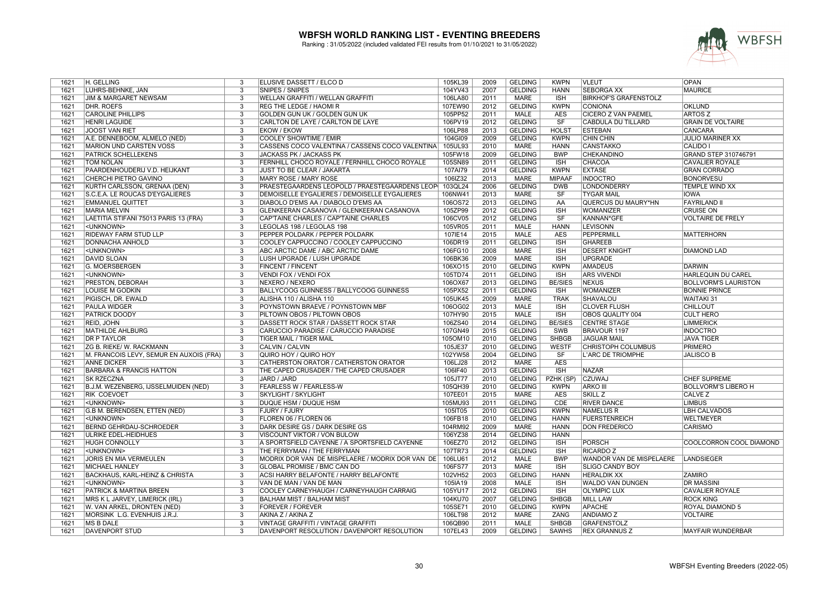

| 1621 | H. GELLING                                | 3                         | ELUSIVE DASSETT / ELCO D                         | 105KL39 | 2009 | <b>GELDING</b> | <b>KWPN</b>    | VLEUT                        | <b>OPAN</b>                 |
|------|-------------------------------------------|---------------------------|--------------------------------------------------|---------|------|----------------|----------------|------------------------------|-----------------------------|
| 1621 | LÜHRS-BEHNKE, JAN                         | 3                         | SNIPES / SNIPES                                  | 104YV43 | 2007 | <b>GELDING</b> | <b>HANN</b>    | <b>SEBORGA XX</b>            | <b>MAURICE</b>              |
| 1621 | <b>JIM &amp; MARGARET NEWSAM</b>          | 3                         | <b>WELLAN GRAFFITI / WELLAN GRAFFITI</b>         | 106LA80 | 2011 | <b>MARE</b>    | <b>ISH</b>     | <b>BIRKHOF'S GRAFENSTOLZ</b> |                             |
| 1621 | <b>DHR. ROEFS</b>                         | $\overline{3}$            | <b>REG THE LEDGE / HAOMIR</b>                    | 107EW90 | 2012 | <b>GELDING</b> | <b>KWPN</b>    | <b>CONIONA</b>               | <b>OKLUND</b>               |
| 1621 | <b>CAROLINE PHILLIPS</b>                  | $\overline{3}$            | GOLDEN GUN UK / GOLDEN GUN UK                    | 105PP52 | 2011 | <b>MALE</b>    | <b>AES</b>     | <b>CICERO Z VAN PAEMEL</b>   | <b>ARTOSZ</b>               |
| 1621 | <b>HENRI LAGUIDE</b>                      | $\overline{3}$            | CARLTON DE LAYE / CARLTON DE LAYE                | 106PV19 | 2012 | <b>GELDING</b> | SF             | <b>CABDULA DU TILLARD</b>    | <b>GRAIN DE VOLTAIRE</b>    |
| 1621 | <b>JOOST VAN RIET</b>                     | 3                         | <b>EKOW / EKOW</b>                               | 106LP88 | 2013 | <b>GELDING</b> | <b>HOLST</b>   | <b>ESTEBAN</b>               | CANCARA                     |
| 1621 | A.E. DENNEBOOM, ALMELO (NED)              | 3                         | COOLEY SHOWTIME / EMIR                           | 104GI09 | 2009 | <b>GELDING</b> | <b>KWPN</b>    | <b>CHIN CHIN</b>             | <b>JULIO MARINER XX</b>     |
| 1621 | <b>MARION UND CARSTEN VOSS</b>            | 3                         | CASSENS COCO VALENTINA / CASSENS COCO VALENTINA  | 105UL93 | 2010 | <b>MARE</b>    | <b>HANN</b>    | <b>CANSTAKKO</b>             | CALIDO I                    |
| 1621 | <b>PATRICK SCHELLEKENS</b>                | 3                         | JACKASS PK / JACKASS PK                          | 105FW18 | 2009 | <b>GELDING</b> | <b>BWP</b>     | CHEKANDINO                   | GRAND STEP 310746791        |
| 1621 | <b>TOM NOLAN</b>                          | 3                         | FERNHILL CHOCO ROYALE / FERNHILL CHOCO ROYALE    | 105SN89 | 2011 | <b>GELDING</b> | <b>ISH</b>     | CHACOA                       | <b>CAVALIER ROYALE</b>      |
| 1621 | PAARDENHOUDERIJ V.D. HEIJKANT             | 3                         | <b>JUST TO BE CLEAR / JAKARTA</b>                | 107AI79 | 2014 | <b>GELDING</b> | <b>KWPN</b>    | <b>EXTASE</b>                | <b>GRAN CORRADO</b>         |
| 1621 | CHERCHI PIETRO GAVINO                     | $\overline{3}$            | <b>MARY ROSE / MARY ROSE</b>                     | 106IZ32 | 2013 | <b>MARE</b>    | <b>MIPAAF</b>  | <b>INDOCTRO</b>              | <b>BONORVESU</b>            |
| 1621 | KURTH CARLSSON, GRENAA (DEN)              | $\overline{\overline{3}}$ | PRAESTEGAARDENS LEOPOLD / PRAESTEGAARDENS LEOP   | 103QL24 | 2006 | <b>GELDING</b> | <b>DWB</b>     | <b>LONDONDERRY</b>           | <b>TEMPLE WIND XX</b>       |
|      |                                           |                           |                                                  |         |      | <b>MARE</b>    |                |                              |                             |
| 1621 | S.C.E.A. LE ROUCAS D'EYGALIERES           | 3                         | DEMOISELLE EYGALIERES / DEMOISELLE EYGALIERES    | 106NW41 | 2013 |                | SF             | <b>TYGAR MAIL</b>            | <b>IOWA</b>                 |
| 1621 | <b>EMMANUEL QUITTET</b>                   | 3                         | DIABOLO D'EMS AA / DIABOLO D'EMS AA              | 106OS72 | 2013 | <b>GELDING</b> | AA             | QUERCUS DU MAURY*HN          | <b>FAYRILAND II</b>         |
| 1621 | <b>MARIA MELVIN</b>                       | 3                         | GLENKEERAN CASANOVA / GLENKEERAN CASANOVA        | 105ZP99 | 2012 | <b>GELDING</b> | <b>ISH</b>     | WOMANIZER                    | <b>CRUISE ON</b>            |
| 1621 | LAETITIA STIFANI 75013 PARIS 13 (FRA)     | 3                         | CAP'TAINE CHARLES / CAP'TAINE CHARLES            | 106CV05 | 2012 | <b>GELDING</b> | SF             | KANNAN*GFE                   | <b>VOLTAIRE DE FRELY</b>    |
| 1621 | <unknown></unknown>                       | $\overline{3}$            | LEGOLAS 198 / LEGOLAS 198                        | 105VR05 | 2011 | <b>MALE</b>    | <b>HANN</b>    | <b>LEVISONN</b>              |                             |
| 1621 | <b>RIDEWAY FARM STUD LLP</b>              | 3                         | PEPPER POLDARK / PEPPER POLDARK                  | 107IE14 | 2015 | <b>MALE</b>    | <b>AES</b>     | <b>PEPPERMILL</b>            | <b>MATTERHORN</b>           |
| 1621 | DONNACHA ANHOLD                           | 3                         | COOLEY CAPPUCCINO / COOLEY CAPPUCCINO            | 106DR19 | 2011 | <b>GELDING</b> | <b>ISH</b>     | <b>GHAREEB</b>               |                             |
| 1621 | <unknown></unknown>                       | $\overline{3}$            | ABC ARCTIC DAME / ABC ARCTIC DAME                | 106FG10 | 2008 | <b>MARE</b>    | <b>ISH</b>     | <b>DESERT KNIGHT</b>         | <b>DIAMOND LAD</b>          |
| 1621 | <b>DAVID SLOAN</b>                        | $\overline{3}$            | LUSH UPGRADE / LUSH UPGRADE                      | 106BK36 | 2009 | <b>MARE</b>    | <b>ISH</b>     | <b>UPGRADE</b>               |                             |
| 1621 | <b>G. MOERSBERGEN</b>                     | $\overline{3}$            | <b>FINCENT / FINCENT</b>                         | 106XO15 | 2010 | <b>GELDING</b> | <b>KWPN</b>    | <b>AMADEUS</b>               | <b>DARWIN</b>               |
| 1621 | <unknown></unknown>                       | 3                         | VENDI FOX / VENDI FOX                            | 105TD74 | 2011 | <b>GELDING</b> | <b>ISH</b>     | <b>ARS VIVENDI</b>           | HARLEQUIN DU CAREL          |
| 1621 | PRESTON, DEBORAH                          | 3                         | NEXERO / NEXERO                                  | 106OX67 | 2013 | <b>GELDING</b> | <b>BE/SIES</b> | <b>NEXUS</b>                 | <b>BOLLVORM'S LAURISTON</b> |
| 1621 | LOUISE M GODKIN                           | $\overline{3}$            | BALLYCOOG GUINNESS / BALLYCOOG GUINNESS          | 105PX52 | 2011 | <b>GELDING</b> | <b>ISH</b>     | <b>WOMANIZER</b>             | <b>BONNIE PRINCE</b>        |
| 1621 | PIGISCH, DR. EWALD                        | 3                         | ALISHA 110 / ALISHA 110                          | 105UK45 | 2009 | <b>MARE</b>    | <b>TRAK</b>    | SHAVALOU                     | <b>WAITAKI 31</b>           |
| 1621 | <b>PAULA WIDGER</b>                       | 3                         | POYNSTOWN BRAEVE / POYNSTOWN MBF                 | 106OG02 | 2013 | <b>MALE</b>    | <b>ISH</b>     | <b>CLOVER FLUSH</b>          | <b>CHILLOUT</b>             |
| 1621 | <b>PATRICK DOODY</b>                      | 3                         | PILTOWN OBOS / PILTOWN OBOS                      | 107HY90 | 2015 | <b>MALE</b>    | <b>ISH</b>     | <b>OBOS QUALITY 004</b>      | <b>CULT HERO</b>            |
| 1621 | <b>REID, JOHN</b>                         | $\overline{3}$            | DASSETT ROCK STAR / DASSETT ROCK STAR            | 106ZS40 | 2014 | <b>GELDING</b> | <b>BE/SIES</b> | <b>CENTRE STAGE</b>          | <b>LIMMERICK</b>            |
| 1621 | <b>MATHILDE AHLBURG</b>                   | 3                         | CARUCCIO PARADISE / CARUCCIO PARADISE            | 107GN49 | 2015 | <b>GELDING</b> | <b>SWB</b>     | BRAVOUR 1197                 | <b>INDOCTRO</b>             |
| 1621 | <b>DR P TAYLOR</b>                        | 3                         | <b>TIGER MAIL / TIGER MAIL</b>                   | 105OM10 | 2010 | <b>GELDING</b> | <b>SHBGB</b>   | <b>JAGUAR MAIL</b>           | <b>JAVA TIGER</b>           |
| 1621 | <b>ZG B. RIEKE/ W. RACKMANN</b>           | 3                         | CALVIN / CALVIN                                  | 105JE37 | 2010 | <b>GELDING</b> | <b>WESTF</b>   | <b>CHRISTOPH COLUMBUS</b>    | <b>PRIMERO</b>              |
| 1621 | M. FRANCOIS LEVY, SEMUR EN AUXOIS (FRA)   | 3                         | QUIRO HOY / QUIRO HOY                            | 102YW58 | 2004 | <b>GELDING</b> | <b>SF</b>      | L'ARC DE TRIOMPHE            | <b>JALISCO B</b>            |
|      |                                           | 3                         | CATHERSTON ORATOR / CATHERSTON ORATOR            | 106LJ28 | 2012 | <b>MARE</b>    | <b>AES</b>     |                              |                             |
| 1621 | <b>ANNE DICKER</b>                        |                           |                                                  |         |      |                |                |                              |                             |
| 1621 | <b>BARBARA &amp; FRANCIS HATTON</b>       | $\overline{3}$            | THE CAPED CRUSADER / THE CAPED CRUSADER          | 106IF40 | 2013 | <b>GELDING</b> | <b>ISH</b>     | <b>NAZAR</b>                 |                             |
| 1621 | <b>SK RZECZNA</b>                         | 3                         | JARD / JARD                                      | 105JT77 | 2010 | <b>GELDING</b> | PZHK (SP)      | <b>CZUWAJ</b>                | <b>CHEF SUPREME</b>         |
| 1621 | B.J.M. WEZENBERG, IJSSELMUIDEN (NED)      | 3                         | <b>FEARLESS W / FEARLESS-W</b>                   | 105QH39 | 2010 | <b>GELDING</b> | <b>KWPN</b>    | <b>ARKO III</b>              | <b>BOLLVORM'S LIBERO H</b>  |
| 1621 | <b>RIK COEVOET</b>                        | $\overline{3}$            | <b>SKYLIGHT / SKYLIGHT</b>                       | 107EE01 | 2015 | <b>MARE</b>    | <b>AES</b>     | <b>SKILL Z</b>               | <b>CALVE Z</b>              |
| 1621 | <unknown></unknown>                       | 3                         | <b>DUQUE HSM / DUQUE HSM</b>                     | 105MU93 | 2011 | <b>GELDING</b> | <b>CDE</b>     | <b>RIVER DANCE</b>           | <b>LIMBUS</b>               |
| 1621 | G.B M. BERENDSEN, ETTEN (NED)             | $\overline{3}$            | <b>FJURY / FJURY</b>                             | 105IT05 | 2010 | <b>GELDING</b> | <b>KWPN</b>    | <b>NAMELUS R</b>             | <b>LBH CALVADOS</b>         |
| 1621 | <unknown></unknown>                       | 3                         | FLOREN 06 / FLOREN 06                            | 106FB18 | 2010 | <b>GELDING</b> | <b>HANN</b>    | <b>FUERSTENREICH</b>         | <b>WELTMEYER</b>            |
| 1621 | <b>BERND GEHRDAU-SCHROEDER</b>            | 3                         | DARK DESIRE GS / DARK DESIRE GS                  | 104RM92 | 2009 | MARE           | <b>HANN</b>    | <b>DON FREDERICO</b>         | CARISMO                     |
| 1621 | ULRIKE EDEL-HEIDHUES                      | 3                         | VISCOUNT VIKTOR / VON BULOW                      | 106YZ38 | 2014 | <b>GELDING</b> | <b>HANN</b>    |                              |                             |
| 1621 | <b>HUGH CONNOLLY</b>                      | 3                         | A SPORTSFIELD CAYENNE / A SPORTSFIELD CAYENNE    | 106EZ70 | 2012 | <b>GELDING</b> | <b>ISH</b>     | <b>PORSCH</b>                | COOLCORRON COOL DIAMOND     |
| 1621 | <unknown></unknown>                       | 3                         | THE FERRYMAN / THE FERRYMAN                      | 107TR73 | 2014 | <b>GELDING</b> | <b>ISH</b>     | <b>RICARDO Z</b>             |                             |
| 1621 | JORIS EN MIA VERMEULEN                    | $\overline{3}$            | MODRIX DOR VAN DE MISPELAERE / MODRIX DOR VAN DE | 106LU61 | 2012 | <b>MALE</b>    | <b>BWP</b>     | WANDOR VAN DE MISPELAERE     | <b>LANDSIEGER</b>           |
| 1621 | <b>MICHAEL HANLEY</b>                     | $\overline{3}$            | <b>GLOBAL PROMISE / BMC CAN DO</b>               | 106FS77 | 2013 | <b>MARE</b>    | <b>ISH</b>     | <b>SLIGO CANDY BOY</b>       |                             |
| 1621 | <b>BACKHAUS, KARL-HEINZ &amp; CHRISTA</b> | $\overline{3}$            | ACSI HARRY BELAFONTE / HARRY BELAFONTE           | 102VH52 | 2003 | <b>GELDING</b> | <b>HANN</b>    | <b>HERALDIK XX</b>           | <b>ZAMIRO</b>               |
| 1621 | <unknown></unknown>                       | 3                         | VAN DE MAN / VAN DE MAN                          | 105IA19 | 2008 | <b>MALE</b>    | <b>ISH</b>     | <b>WALDO VAN DUNGEN</b>      | <b>DR MASSINI</b>           |
| 1621 | <b>PATRICK &amp; MARTINA BREEN</b>        | 3                         | COOLEY CARNEYHAUGH / CARNEYHAUGH CARRAIG         | 105YU17 | 2012 | <b>GELDING</b> | <b>ISH</b>     | <b>OLYMPIC LUX</b>           | <b>CAVALIER ROYALE</b>      |
| 1621 | MRS K L JARVEY, LIMERICK (IRL)            | 3                         | <b>BALHAM MIST / BALHAM MIST</b>                 | 104KU70 | 2007 | <b>GELDING</b> | <b>SHBGB</b>   | MILL LAW                     | <b>ROCK KING</b>            |
| 1621 | W. VAN ARKEL, DRONTEN (NED)               | 3                         | <b>FOREVER / FOREVER</b>                         | 105SE71 | 2010 | <b>GELDING</b> | <b>KWPN</b>    | <b>APACHE</b>                | ROYAL DIAMOND 5             |
| 1621 | MORSINK L.G. EVENHUIS J.R.J.              | 3                         | AKINA Z / AKINA Z                                | 106LT98 | 2012 | MARE           | ZANG           | <b>ANDIAMOZ</b>              | <b>VOLTAIRE</b>             |
| 1621 | MS B DALE                                 | 3                         | VINTAGE GRAFFITI / VINTAGE GRAFFITI              | 106QB90 | 2011 | <b>MALE</b>    | <b>SHBGB</b>   | <b>GRAFENSTOLZ</b>           |                             |
| 1621 | <b>DAVENPORT STUD</b>                     | 3                         | DAVENPORT RESOLUTION / DAVENPORT RESOLUTION      | 107EL43 | 2009 | <b>GELDING</b> | <b>SAWHS</b>   | <b>REX GRANNUS Z</b>         |                             |
|      |                                           |                           |                                                  |         |      |                |                |                              | MAYFAIR WUNDERBAR           |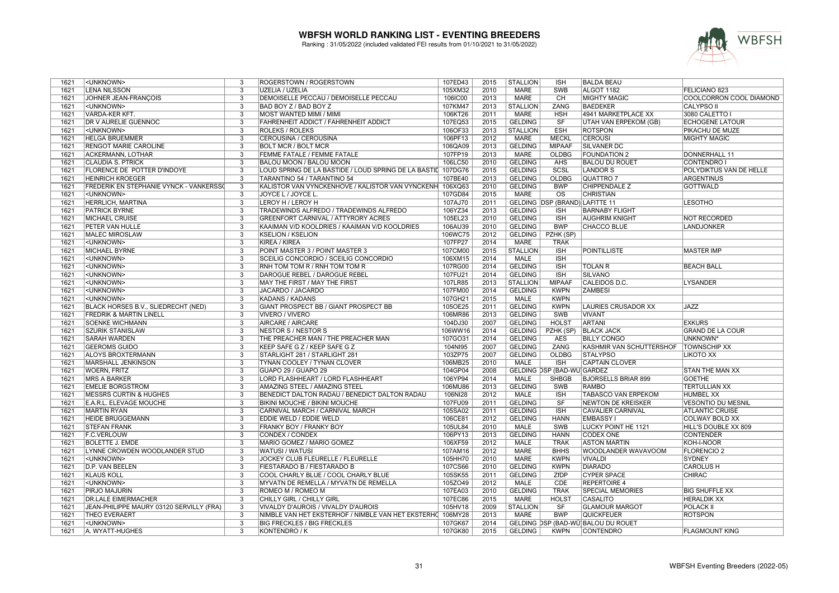

| 1621 | <unknown></unknown>                            | 3                         | <b>ROGERSTOWN / ROGERSTOWN</b>                               | 107ED43 | 2015 | <b>STALLION</b> | <b>ISH</b>                     | <b>BALDA BEAU</b>                  |                           |
|------|------------------------------------------------|---------------------------|--------------------------------------------------------------|---------|------|-----------------|--------------------------------|------------------------------------|---------------------------|
| 1621 | <b>LENA NILSSON</b>                            | 3                         | UZELIA / UZELIA                                              | 105XM32 | 2010 | <b>MARE</b>     | SWB                            | ALGOT 1182                         | FELICIANO 823             |
| 1621 | JOHNER JEAN-FRANCOIS                           | $\overline{\mathcal{E}}$  | DEMOISELLE PECCAU / DEMOISELLE PECCAU                        | 106IC00 | 2013 | <b>MARE</b>     | CH                             | <b>MIGHTY MAGIC</b>                | COOLCORRON COOL DIAMOND   |
| 1621 | <unknown></unknown>                            | $\overline{\overline{3}}$ | BAD BOY Z / BAD BOY Z                                        | 107KM47 | 2013 | <b>STALLION</b> | <b>ZANG</b>                    | <b>BAEDEKER</b>                    | <b>CALYPSO II</b>         |
| 1621 | <b>VARDA-KER KFT.</b>                          | 3                         | <b>MOST WANTED MIMI / MIMI</b>                               | 106KT26 | 2011 | <b>MARE</b>     | <b>HSH</b>                     | <b>4941 MARKETPLACE XX</b>         | 3080 CALETTO I            |
| 1621 | DR V AURELIE GUENNOC                           | 3                         | FAHRENHEIT ADDICT / FAHRENHEIT ADDICT                        | 107EQ53 | 2015 | <b>GELDING</b>  | SF                             | UTAH VAN ERPEKOM (GB)              | <b>ECHOGENE LATOUR</b>    |
| 1621 | <unknown></unknown>                            | $\overline{3}$            | <b>ROLEKS / ROLEKS</b>                                       | 106OF33 | 2013 | <b>STALLION</b> | <b>ESH</b>                     | <b>ROTSPON</b>                     | PIKACHU DE MUZE           |
| 1621 | <b>HELGA BRUEMMER</b>                          | 3                         | CEROUSINA / CEROUSINA                                        | 106PF13 | 2012 | <b>MARE</b>     | <b>MECKL</b>                   | <b>CEROUSI</b>                     | <b>MIGHTY MAGIC</b>       |
| 1621 | <b>RENGOT MARIE CAROLINE</b>                   | $\overline{3}$            | <b>BOLT MCR / BOLT MCR</b>                                   | 106QA09 | 2013 | <b>GELDING</b>  | <b>MIPAAF</b>                  | <b>SILVANER DC</b>                 |                           |
|      |                                                |                           |                                                              |         |      |                 |                                |                                    |                           |
| 1621 | <b>ACKERMANN, LOTHAR</b>                       | 3                         | FEMME FATALE / FEMME FATALE                                  | 107FP19 | 2013 | <b>MARE</b>     | <b>OLDBG</b>                   | <b>FOUNDATION 2</b>                | DONNERHALL 11             |
| 1621 | <b>CLAUDIA S. PTRICK</b>                       | $\overline{3}$            | <b>BALOU MOON / BALOU MOON</b>                               | 106LC50 | 2010 | <b>GELDING</b>  | <b>AHS</b>                     | <b>BALOU DU ROUET</b>              | <b>CONTENDRO I</b>        |
| 1621 | FLORENCE DE POTTER D'INDOYE                    | 3                         | LOUD SPRING DE LA BASTIDE / LOUD SPRING DE LA BASTIL 107DG76 |         | 2015 | <b>GELDING</b>  | SCSL                           | <b>LANDOR S</b>                    | POLYDIKTUS VAN DE HELLE   |
| 1621 | <b>HEINRICH KROEGER</b>                        | 3                         | TARANTINO 54 / TARANTINO 54                                  | 107BE40 | 2013 | <b>GELDING</b>  | <b>OLDBG</b>                   | QUATTRO 7                          | <b>ARGENTINUS</b>         |
| 1621 | <b>FREDERIK EN STEPHANIE VYNCK - VANKERSSO</b> | $\overline{\mathbf{3}}$   | KALISTOR VAN VYNCKENHOVE / KALISTOR VAN VYNCKENH 106XQ63     |         | 2010 | <b>GELDING</b>  | <b>BWP</b>                     | <b>CHIPPENDALE Z</b>               | <b>GOTTWALD</b>           |
| 1621 | <unknown></unknown>                            | 3                         | JOYCE L / JOYCE L.                                           | 107GD84 | 2015 | <b>MARE</b>     | <b>OS</b>                      | <b>CHRISTIAN</b>                   |                           |
| 1621 | HERRLICH, MARTINA                              | $\overline{3}$            | LEROY H / LEROY H                                            | 107AJ70 | 2011 |                 | GELDING DSP (BRAND) LAFITTE 11 |                                    | <b>LESOTHO</b>            |
| 1621 | <b>PATRICK BYRNE</b>                           | $\overline{3}$            | TRADEWINDS ALFREDO / TRADEWINDS ALFREDO                      | 106YZ34 | 2013 | <b>GELDING</b>  | <b>ISH</b>                     | <b>BARNABY FLIGHT</b>              |                           |
| 1621 | <b>MICHAEL CRUISE</b>                          | 3                         | <b>GREENFORT CARNIVAL / ATTYRORY ACRES</b>                   | 105EL23 | 2010 | <b>GELDING</b>  | <b>ISH</b>                     | <b>AUGHRIM KNIGHT</b>              | <b>NOT RECORDED</b>       |
| 1621 | <b>PETER VAN HULLE</b>                         | $\overline{\mathcal{E}}$  | KAAIMAN V/D KOOLDRIES / KAAIMAN V/D KOOLDRIES                | 106AU39 | 2010 | <b>GELDING</b>  | <b>BWP</b>                     | <b>CHACCO BLUE</b>                 | LANDJONKER                |
| 1621 | <b>MALEC MIROSLAW</b>                          | 3                         | <b>KSELION / KSELION</b>                                     | 106WC75 | 2012 | GELDING         | PZHK (SP)                      |                                    |                           |
| 1621 | <unknown></unknown>                            | 3                         | <b>KIREA / KIREA</b>                                         | 107FP27 | 2014 | <b>MARE</b>     | <b>TRAK</b>                    |                                    |                           |
| 1621 | <b>MICHAEL BYRNE</b>                           | 3                         | POINT MASTER 3 / POINT MASTER 3                              | 107CM00 | 2015 | <b>STALLION</b> | <b>ISH</b>                     | <b>POINTILLISTE</b>                | <b>MASTER IMP</b>         |
| 1621 | <unknown></unknown>                            | $\overline{3}$            | SCEILIG CONCORDIO / SCEILIG CONCORDIO                        | 106XM15 | 2014 | <b>MALE</b>     | <b>ISH</b>                     |                                    |                           |
| 1621 | <unknown></unknown>                            | 3                         | RNH TOM TOM R / RNH TOM TOM R                                | 107RG00 | 2014 | <b>GELDING</b>  | <b>ISH</b>                     | <b>TOLAN R</b>                     | <b>BEACH BALL</b>         |
| 1621 | <unknown></unknown>                            | 3                         | DAROGUE REBEL / DAROGUE REBEL                                | 107FU21 | 2014 | <b>GELDING</b>  | <b>ISH</b>                     | <b>SILVANO</b>                     |                           |
| 1621 | <unknown></unknown>                            | $\overline{\mathbf{3}}$   | MAY THE FIRST / MAY THE FIRST                                | 107LR85 | 2013 | <b>STALLION</b> | <b>MIPAAF</b>                  | CALEIDOS D.C.                      | <b>LYSANDER</b>           |
| 1621 | <unknown></unknown>                            | 3                         | JACARDO / JACARDO                                            | 107FM00 | 2014 | <b>GELDING</b>  | <b>KWPN</b>                    | <b>ZAMBESI</b>                     |                           |
| 1621 | <unknown></unknown>                            | 3                         | <b>KADANS / KADANS</b>                                       | 107GH21 | 2015 | <b>MALE</b>     | <b>KWPN</b>                    |                                    |                           |
| 1621 | BLACK HORSES B.V., SLIEDRECHT (NED)            | 3                         | GIANT PROSPECT BB / GIANT PROSPECT BB                        | 105OE25 | 2011 | <b>GELDING</b>  | <b>KWPN</b>                    | LAURIES CRUSADOR XX                | <b>JAZZ</b>               |
| 1621 | <b>FREDRIK &amp; MARTIN LINELL</b>             | $\overline{\overline{3}}$ | <b>VIVERO / VIVERO</b>                                       | 106MR86 | 2013 | <b>GELDING</b>  | <b>SWB</b>                     | <b>VIVANT</b>                      |                           |
| 1621 | <b>SOENKE WICHMANN</b>                         | 3                         | AIRCARE / AIRCARE                                            | 104DJ30 | 2007 | <b>GELDING</b>  | <b>HOLST</b>                   | <b>ARTANI</b>                      | <b>EXKURS</b>             |
| 1621 | <b>SZURIK STANISLAW</b>                        | $\overline{3}$            | <b>NESTOR S / NESTOR S</b>                                   | 106WW16 | 2014 | <b>GELDING</b>  | PZHK (SP)                      | <b>BLACK JACK</b>                  | <b>GRAND DE LA COUR</b>   |
| 1621 | <b>SARAH WARDEN</b>                            | 3                         | THE PREACHER MAN / THE PREACHER MAN                          | 107GO31 | 2014 | <b>GELDING</b>  | <b>AES</b>                     | <b>BILLY CONGO</b>                 | UNKNOWN <sup>*</sup>      |
| 1621 | <b>GEEROMS GUIDO</b>                           | 3                         | KEEP SAFE G Z / KEEP SAFE G Z                                | 104NI95 | 2007 | <b>GELDING</b>  | ZANG                           | KASHMIR VAN SCHUTTERSHOF           | <b>TOWNSCHIP XX</b>       |
| 1621 | <b>ALOYS BROXTERMANN</b>                       | $\overline{3}$            | STARLIGHT 281 / STARLIGHT 281                                | 103ZP75 | 2007 | <b>GELDING</b>  | OLDBG                          | <b>STALYPSO</b>                    | LIKOTO XX                 |
| 1621 | MARSHALL JENKINSON                             | 3                         | TYNAN COOLEY / TYNAN CLOVER                                  | 106MB25 | 2010 | <b>MALE</b>     | <b>ISH</b>                     | <b>CAPTAIN CLOVER</b>              |                           |
| 1621 | <b>WOERN, FRITZ</b>                            | $\overline{\overline{3}}$ | GUAPO 29 / GUAPO 29                                          | 104GP04 | 2008 |                 | GELDING DSP (BAD-WÜ GARDEZ     |                                    | <b>STAN THE MAN XX</b>    |
| 1621 | <b>MRS A BARKER</b>                            | 3                         | LORD FLASHHEART / LORD FLASHHEART                            | 106YP94 | 2014 | MALE            | <b>SHBGB</b>                   | <b>BJORSELLS BRIAR 899</b>         | <b>GOETHE</b>             |
| 1621 | <b>EMELIE BORGSTRÖM</b>                        | $\overline{3}$            | <b>AMAZING STEEL / AMAZING STEEL</b>                         | 106MU86 | 2013 | <b>GELDING</b>  | <b>SWB</b>                     | <b>RAMBO</b>                       | <b>TERTULLIAN XX</b>      |
| 1621 | <b>MESSRS CURTIN &amp; HUGHES</b>              | $\overline{3}$            | BENEDICT DALTON RADAU / BENEDICT DALTON RADAU                | 106NI28 | 2012 | <b>MALE</b>     | <b>ISH</b>                     | <b>TABASCO VAN ERPEKOM</b>         | <b>HUMBEL XX</b>          |
| 1621 | <b>E.A.R.L. ELEVAGE MOUCHE</b>                 | $\overline{3}$            | <b>BIKINI MOUCHE / BIKINI MOUCHE</b>                         | 107FU09 | 2011 | <b>GELDING</b>  | $\overline{\text{SF}}$         | <b>NEWTON DE KREISKER</b>          | <b>VESONTIO DU MESNIL</b> |
| 1621 | <b>MARTIN RYAN</b>                             | $\overline{3}$            | CARNIVAL MARCH / CARNIVAL MARCH                              | 105SA02 | 2011 | <b>GELDING</b>  | <b>ISH</b>                     | <b>CAVALIER CARNIVAL</b>           | <b>ATLANTIC CRUISE</b>    |
| 1621 | HEIDE BRÜGGEMANN                               | 3                         | EDDIE WELD / EDDIE WELD                                      | 106CE81 | 2012 | <b>GELDING</b>  | <b>HANN</b>                    | <b>EMBASSY I</b>                   | COLWAY BOLD XX            |
| 1621 | <b>STEFAN FRANK</b>                            | $\overline{3}$            | FRANKY BOY / FRANKY BOY                                      | 105UL84 | 2010 | <b>MALE</b>     | <b>SWB</b>                     | LUCKY POINT HE 1121                | HILL'S DOUBLE XX 809      |
| 1621 | <b>F.C.VERLOUW</b>                             | 3                         | CONDEX / CONDEX                                              | 106PY13 | 2013 | <b>GELDING</b>  | <b>HANN</b>                    | <b>CODEX ONE</b>                   | <b>CONTENDER</b>          |
| 1621 | <b>BOLETTE J. EMDE</b>                         | $\overline{3}$            | MARIO GOMEZ / MARIO GOMEZ                                    | 106XF59 | 2012 | <b>MALE</b>     | <b>TRAK</b>                    | <b>ASTON MARTIN</b>                | <b>KOH-I-NOOR</b>         |
| 1621 | LYNNE CROWDEN WOODLANDER STUD                  | 3                         | WATUSI / WATUSI                                              | 107AM16 | 2012 | <b>MARE</b>     | <b>BHHS</b>                    | WOODLANDER WAVAVOOM                | <b>FLORENCIO 2</b>        |
| 1621 | <unknown></unknown>                            | 3                         | JOCKEY CLUB FLEURELLE / FLEURELLE                            | 105HH70 | 2010 | <b>MARE</b>     | <b>KWPN</b>                    | <b>VIVALDI</b>                     | <b>SYDNEY</b>             |
| 1621 | <b>D.P. VAN BEELEN</b>                         | $\overline{3}$            | FIESTARADO B / FIESTARADO B                                  | 107CS66 | 2010 | <b>GELDING</b>  | <b>KWPN</b>                    | <b>DIARADO</b>                     | <b>CAROLUS H</b>          |
| 1621 | <b>KLAUS KOLL</b>                              | $\overline{3}$            | COOL CHARLY BLUE / COOL CHARLY BLUE                          | 105SK55 | 2011 | <b>GELDING</b>  | ZfDP                           | <b>CYPER SPACE</b>                 | <b>CHIRAC</b>             |
| 1621 | <unknown></unknown>                            | 3                         | MYVATN DE REMELLA / MYVATN DE REMELLA                        | 105ZO49 | 2012 | <b>MALE</b>     | <b>CDE</b>                     | <b>REPERTOIRE 4</b>                |                           |
| 1621 | PIRJO MAJURIN                                  | 3                         | ROMEO M / ROMEO M                                            | 107EA03 | 2010 | <b>GELDING</b>  | <b>TRAK</b>                    | <b>SPECIAL MEMORIES</b>            | <b>BIG SHUFFLE XX</b>     |
| 1621 | <b>DR.LALE EIMERMACHER</b>                     | 3                         | CHILLY GIRL / CHILLY GIRL                                    | 107EC86 | 2015 | MARE            | <b>HOLST</b>                   | <b>CASALITO</b>                    | <b>HERALDIK XX</b>        |
| 1621 | JEAN-PHILIPPE MAURY 03120 SERVILLY (FRA)       | 3                         | VIVALDY D'AUROIS / VIVALDY D'AUROIS                          | 105HV18 | 2009 | <b>STALLION</b> | SF                             | <b>GLAMOUR MARGOT</b>              | <b>POLACK II</b>          |
| 1621 | THEO EVERAERT                                  | 3                         | NIMBLE VAN HET EKSTERHOF / NIMBLE VAN HET EKSTERHO 106MY28   |         | 2013 | <b>MARE</b>     | <b>BWP</b>                     | <b>QUICKFEUER</b>                  | <b>ROTSPON</b>            |
| 1621 | <unknown></unknown>                            | 3                         | <b>BIG FRECKLES / BIG FRECKLES</b>                           | 107GK67 | 2014 |                 |                                | GELDING DSP (BAD-WÜ BALOU DU ROUET |                           |
| 1621 | A. WYATT-HUGHES                                | 3                         | KONTENDRO / K                                                | 107GK80 | 2015 | <b>GELDING</b>  | <b>KWPN</b>                    | <b>CONTENDRO</b>                   | <b>FLAGMOUNT KING</b>     |
|      |                                                |                           |                                                              |         |      |                 |                                |                                    |                           |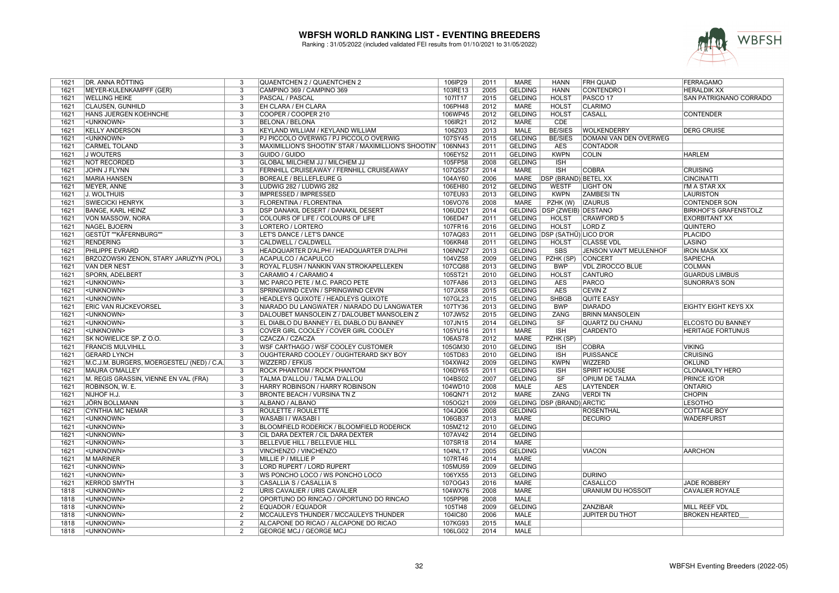

| 1621         | DR. ANNA RÖTTING                           | 3                         | QUAENTCHEN 2 / QUAENTCHEN 2                                         | 106IP29            | 2011         | <b>MARE</b>                | HANN                                 | <b>FRH QUAID</b>              | <b>FERRAGAMO</b>              |
|--------------|--------------------------------------------|---------------------------|---------------------------------------------------------------------|--------------------|--------------|----------------------------|--------------------------------------|-------------------------------|-------------------------------|
| 1621         | MEYER-KULENKAMPFF (GER)                    | 3                         | CAMPINO 369 / CAMPINO 369                                           | 103RE13            | 2005         | <b>GELDING</b>             | <b>HANN</b>                          | <b>CONTENDRO I</b>            | <b>HERALDIK XX</b>            |
| 1621         | <b>WELLING HEIKE</b>                       | $\overline{3}$            | <b>PASCAL / PASCAL</b>                                              | 107IT17            | 2015         | <b>GELDING</b>             | <b>HOLST</b>                         | PASCO <sub>17</sub>           | <b>SAN PATRIGNANO CORRADO</b> |
| 1621         | <b>CLAUSEN, GUNHILD</b>                    | $\overline{3}$            | EH CLARA / EH CLARA                                                 | 106PH48            | 2012         | <b>MARE</b>                | <b>HOLST</b>                         | <b>CLARIMO</b>                |                               |
| 1621         | HANS JUERGEN KOEHNCHE                      | $\overline{\mathbf{3}}$   | COOPER / COOPER 210                                                 | 106WP45            | 2012         | <b>GELDING</b>             | <b>HOLST</b>                         | <b>CASALL</b>                 | <b>CONTENDER</b>              |
| 1621         | <unknown></unknown>                        | 3                         | <b>BELONA / BELONA</b>                                              | 106IR21            | 2012         | <b>MARE</b>                | <b>CDE</b>                           |                               |                               |
| 1621         | <b>KELLY ANDERSON</b>                      | 3                         | KEYLAND WILLIAM / KEYLAND WILLIAM                                   | 106ZI03            | 2013         | MALE                       | <b>BE/SIES</b>                       | <b>WOLKENDERRY</b>            | <b>DERG CRUISE</b>            |
| 1621         | <unknown></unknown>                        | $\overline{3}$            | PJ PICCOLO OVERWIG / PJ PICCOLO OVERWIG                             | 107SY45            | 2015         | <b>GELDING</b>             | <b>BE/SIES</b>                       | <b>DOMANI VAN DEN OVERWEG</b> |                               |
| 1621         | <b>CARMEL TOLAND</b>                       | 3                         | MAXIMILLION'S SHOOTIN' STAR / MAXIMILLION'S SHOOTIN'                | 106NN43            | 2011         | <b>GELDING</b>             | <b>AES</b>                           | <b>CONTADOR</b>               |                               |
| 1621         | <b>J WOUTERS</b>                           | 3                         | GUIDO / GUIDO                                                       | 106EY52            | 2011         | <b>GELDING</b>             | <b>KWPN</b>                          | <b>COLIN</b>                  | <b>HARLEM</b>                 |
| 1621         | NOT RECORDED                               | 3                         | GLOBAL MILCHEM JJ / MILCHEM JJ                                      | 105FP58            | 2008         | <b>GELDING</b>             | <b>ISH</b>                           |                               |                               |
| 1621         | <b>JOHN J FLYNN</b>                        | $\overline{3}$            | FERNHILL CRUISEAWAY / FERNHILL CRUISEAWAY                           | 107QS57            | 2014         | <b>MARE</b>                | <b>ISH</b>                           | <b>COBRA</b>                  | <b>CRUISING</b>               |
| 1621         | <b>MARIA HANSEN</b>                        | $\overline{3}$            | <b>BOREALE / BELLEFLEURE G</b>                                      | 104AY60            | 2006         | <b>MARE</b>                | <b>DSP (BRAND) BETEL XX</b>          |                               | <b>CINCINATTI</b>             |
| 1621         | MEYER, ANNE                                | $\overline{3}$            | LUDWIG 282 / LUDWIG 282                                             | 106EH80            | 2012         | <b>GELDING</b>             | <b>WESTF</b>                         | <b>LIGHT ON</b>               | I'M A STAR XX                 |
| 1621         | J. WOLTHUIS                                | 3                         | IMPRESSED / IMPRESSED                                               | 107EU93            | 2013         | <b>GELDING</b>             | <b>KWPN</b>                          | <b>ZAMBESI TN</b>             | LAURISTON                     |
| 1621         | <b>SWIECICKI HENRYK</b>                    | $\overline{3}$            | FLORENTINA / FLORENTINA                                             | 106VO76            | 2008         | <b>MARE</b>                | PZHK (W)                             | <b>IZAURUS</b>                | <b>CONTENDER SON</b>          |
| 1621         | <b>BANGE, KARL HEINZ</b>                   | $\overline{3}$            | DSP DANAKIL DESERT / DANAKIL DESERT                                 | 106UD21            | 2014         |                            | <b>GELDING   DSP (ZWEIB) DESTANO</b> |                               | <b>BIRKHOF'S GRAFENSTOLZ</b>  |
| 1621         | VON MASSOW, NORA                           | $\overline{3}$            | COLOURS OF LIFE / COLOURS OF LIFE                                   | 106ED47            | 2011         | <b>GELDING</b>             | <b>HOLST</b>                         | <b>CRAWFORD 5</b>             | <b>EXORBITANT XX</b>          |
| 1621         | <b>NAGEL BJOERN</b>                        | 3                         | LORTERO / LORTERO                                                   | 107FR16            | 2016         | <b>GELDING</b>             | <b>HOLST</b>                         | LORD <sub>Z</sub>             | <b>QUINTERO</b>               |
| 1621         | <b>GESTÜT ""KÄFERNBURG"</b>                | $\overline{3}$            | LET'S DANCE / LET'S DANCE                                           | 107AQ83            | 2011         |                            | GELDING DSP (SATHÜ) LICO D'OR        |                               | <b>PLACIDO</b>                |
| 1621         | <b>RENDERING</b>                           | $\overline{3}$            | CALDWELL / CALDWELL                                                 | 106KR48            | 2011         | <b>GELDING</b>             | <b>HOLST</b>                         | <b>CLASSE VDL</b>             | <b>LASINO</b>                 |
| 1621         | PHILIPPE EVRARD                            | $\overline{3}$            | HEADQUARTER D'ALPHI / HEADQUARTER D'ALPHI                           | 106NN27            | 2013         | <b>GELDING</b>             | <b>SBS</b>                           | JENSON VAN'T MEULENHOF        | <b>IRON MASK XX</b>           |
| 1621         | BRZOZOWSKI ZENON, STARY JARUZYN (POL)      | $\overline{\mathbf{3}}$   | ACAPULCO / ACAPULCO                                                 | 104VZ58            | 2009         | <b>GELDING</b>             | PZHK (SP)                            | <b>CONCERT</b>                | <b>SAPIECHA</b>               |
| 1621         | <b>VAN DER NEST</b>                        | 3                         | ROYAL FLUSH / NANKIN VAN STROKAPELLEKEN                             | 107CQ88            | 2013         | <b>GELDING</b>             | <b>BWP</b>                           | <b>VDL ZIROCCO BLUE</b>       | <b>COLMAN</b>                 |
| 1621         | SPORN, ADELBERT                            | 3                         | CARAMIO 4 / CARAMIO 4                                               | 105ST21            | 2010         | <b>GELDING</b>             | <b>HOLST</b>                         | <b>CANTURO</b>                | <b>GUARDUS LIMBUS</b>         |
| 1621         | <unknown></unknown>                        | $\overline{\overline{3}}$ | MC PARCO PETE / M.C. PARCO PETE                                     | 107FA86            | 2013         | <b>GELDING</b>             | <b>AES</b>                           | <b>PARCO</b>                  | <b>SUNORRA'S SON</b>          |
| 1621         | <unknown></unknown>                        | 3                         | SPRINGWIND CEVIN / SPRINGWIND CEVIN                                 | 107JX58            | 2015         | <b>GELDING</b>             | <b>AES</b>                           | <b>CEVIN Z</b>                |                               |
| 1621         | <unknown></unknown>                        | 3                         | HEADLEYS QUIXOTE / HEADLEYS QUIXOTE                                 | 107GL23            | 2015         | <b>GELDING</b>             | <b>SHBGB</b>                         | <b>QUITE EASY</b>             |                               |
| 1621         | ERIC VAN RIJCKEVORSEL                      | 3                         | NIARADO DU LANGWATER / NIARADO DU LANGWATER                         | 107TY36            | 2013         | <b>GELDING</b>             | <b>BWP</b>                           | <b>DIARADO</b>                | <b>EIGHTY EIGHT KEYS XX</b>   |
| 1621         | <unknown></unknown>                        | $\overline{\mathbf{3}}$   | DALOUBET MANSOLEIN Z / DALOUBET MANSOLEIN Z                         | 107JW52            | 2015         | <b>GELDING</b>             | <b>ZANG</b>                          | <b>BRINN MANSOLEIN</b>        |                               |
| 1621         | <unknown></unknown>                        | $\overline{3}$            | EL DIABLO DU BANNEY / EL DIABLO DU BANNEY                           | 107JN15            | 2014         | <b>GELDING</b>             | SF                                   | QUARTZ DU CHANU               | <b>ELCOSTO DU BANNEY</b>      |
| 1621         | <unknown></unknown>                        | 3                         | COVER GIRL COOLEY / COVER GIRL COOLEY                               | 105YU16            | 2011         | <b>MARE</b>                | $\overline{\text{ISH}}$              | <b>CARDENTO</b>               | <b>HERITAGE FORTUNUS</b>      |
| 1621         | SK NOWIELICE SP. Z O.O.                    | 3                         | CZACZA / CZACZA                                                     | 106AS78            | 2012         | <b>MARE</b>                | PZHK (SP)                            |                               |                               |
| 1621         | <b>FRANCIS MULVIHILL</b>                   | $\overline{3}$            | WSF CARTHAGO / WSF COOLEY CUSTOMER                                  | 105GM30            | 2010         | <b>GELDING</b>             | <b>ISH</b>                           | <b>COBRA</b>                  | <b>VIKING</b>                 |
| 1621         | <b>GERARD LYNCH</b>                        | 3                         | OUGHTERARD COOLEY / OUGHTERARD SKY BOY                              | 105TD83            | 2010         | <b>GELDING</b>             | <b>ISH</b>                           | <b>PUISSANCE</b>              | <b>CRUISING</b>               |
| 1621         | M.C.J.M. BURGERS, MOERGESTEL/ (NED) / C.A. | 3                         | <b>WIZZERD / EFKUS</b>                                              | 104XW42            | 2009         | <b>GELDING</b>             | <b>KWPN</b>                          | <b>WIZZERD</b>                | <b>OKLUND</b>                 |
| 1621         | MAURA O'MALLEY                             | 3                         | ROCK PHANTOM / ROCK PHANTOM                                         | 106DY65            | 2011         | <b>GELDING</b>             | <b>ISH</b>                           | <b>SPIRIT HOUSE</b>           | <b>CLONAKILTY HERO</b>        |
| 1621         | M. REGIS GRASSIN, VIENNE EN VAL (FRA)      | 3                         | TALMA D'ALLOU / TALMA D'ALLOU                                       | 104BS02            | 2007         | <b>GELDING</b>             | SF                                   | <b>OPIUM DE TALMA</b>         | <b>PRINCE IG'OR</b>           |
| 1621         | ROBINSON, W. E.                            | $\overline{3}$            | <b>HARRY ROBINSON / HARRY ROBINSON</b>                              | 104WD10            | 2008         | <b>MALE</b>                | <b>AES</b>                           | <b>LAYTENDER</b>              | <b>ONTARIO</b>                |
| 1621         | NIJHOF H.J.                                | $\overline{3}$            | <b>BRONTE BEACH / VURSINA TN Z</b>                                  | 106QN71            | 2012         | <b>MARE</b>                | ZANG                                 | <b>VERDI TN</b>               | <b>CHOPIN</b>                 |
| 1621         | <b>JÖRN BOLLMANN</b>                       | $\overline{\mathbf{3}}$   | ALBANO / ALBANO                                                     | 105OG21            | 2009         |                            | <b>GELDING DSP (BRAND) ARCTIC</b>    |                               | <b>LESOTHO</b>                |
| 1621         | <b>CYNTHIA MC NEMAR</b>                    | $\overline{3}$            | ROULETTE / ROULETTE                                                 | 104JQ06            | 2008         | <b>GELDING</b>             |                                      | <b>ROSENTHAL</b>              | <b>COTTAGE BOY</b>            |
| 1621         | <unknown></unknown>                        | $\overline{3}$            | WASABI I / WASABI I                                                 | 106GB37            | 2013         | <b>MARE</b>                |                                      | <b>DECURIO</b>                | <b>WADERFURST</b>             |
| 1621         | <unknown></unknown>                        | 3                         | BLOOMFIELD RODERICK / BLOOMFIELD RODERICK                           | 105MZ12            | 2010         | <b>GELDING</b>             |                                      |                               |                               |
| 1621         | <unknown></unknown>                        | 3                         | CIL DARA DEXTER / CIL DARA DEXTER                                   | 107AV42            | 2014         | <b>GELDING</b>             |                                      |                               |                               |
| 1621         | <unknown></unknown>                        | $\overline{3}$            | BELLEVUE HILL / BELLEVUE HILL                                       | 107SR18            | 2014         | <b>MARE</b>                |                                      |                               |                               |
| 1621         | <unknown></unknown>                        | $\overline{3}$            | VINCHENZO / VINCHENZO                                               | 104NL17            | 2005         | <b>GELDING</b>             |                                      | <b>VIACON</b>                 | <b>AARCHON</b>                |
| 1621         | <b>M MARINER</b>                           | $\overline{3}$            | <b>MILLIE P / MILLIE P</b>                                          | 107RT46            | 2014         | <b>MARE</b>                |                                      |                               |                               |
| 1621         | <unknown></unknown>                        | 3                         | LORD RUPERT / LORD RUPERT                                           | 105MU59            | 2009         | <b>GELDING</b>             |                                      |                               |                               |
| 1621         | <unknown></unknown>                        | $\overline{\mathbf{3}}$   | WS PONCHO LOCO / WS PONCHO LOCO                                     | 106YX55            | 2013         | <b>GELDING</b>             |                                      | <b>DURINO</b>                 |                               |
| 1621         | <b>KERROD SMYTH</b>                        | 3                         | CASALLIA S / CASALLIA S                                             | 107OG43            | 2016         | <b>MARE</b>                |                                      | <b>CASALLCO</b>               | <b>JADE ROBBERY</b>           |
| 1818         | <unknown></unknown>                        | $\overline{2}$            | URIS CAVALIER / URIS CAVALIER                                       |                    | 2008         | <b>MARE</b>                |                                      | <b>URANIUM DU HOSSOIT</b>     | <b>CAVALIER ROYALE</b>        |
| 1818         |                                            | 2                         |                                                                     | 104WX76<br>105PP98 | 2008         | <b>MALE</b>                |                                      |                               |                               |
|              | <unknown></unknown>                        |                           | OPORTUNO DO RINCAO / OPORTUNO DO RINCAO<br><b>EQUADOR / EQUADOR</b> |                    | 2009         | <b>GELDING</b>             |                                      | <b>ZANZIBAR</b>               | <b>MILL REEF VDL</b>          |
| 1818         | <unknown></unknown>                        | 2<br>$\overline{2}$       |                                                                     | 105TI48            |              |                            |                                      |                               |                               |
| 1818<br>1818 | <unknown></unknown>                        | $\overline{2}$            | MCCAULEYS THUNDER / MCCAULEYS THUNDER                               | 104IC80            | 2006<br>2015 | <b>MALE</b><br><b>MALE</b> |                                      | <b>JUPITER DU THOT</b>        | <b>BROKEN HEARTED</b>         |
|              | <unknown></unknown>                        | $\overline{2}$            | ALCAPONE DO RICAO / ALCAPONE DO RICAO                               | 107KG93            | 2014         | <b>MALE</b>                |                                      |                               |                               |
| 1818         | <unknown></unknown>                        |                           | <b>GEORGE MCJ / GEORGE MCJ</b>                                      | 106LG02            |              |                            |                                      |                               |                               |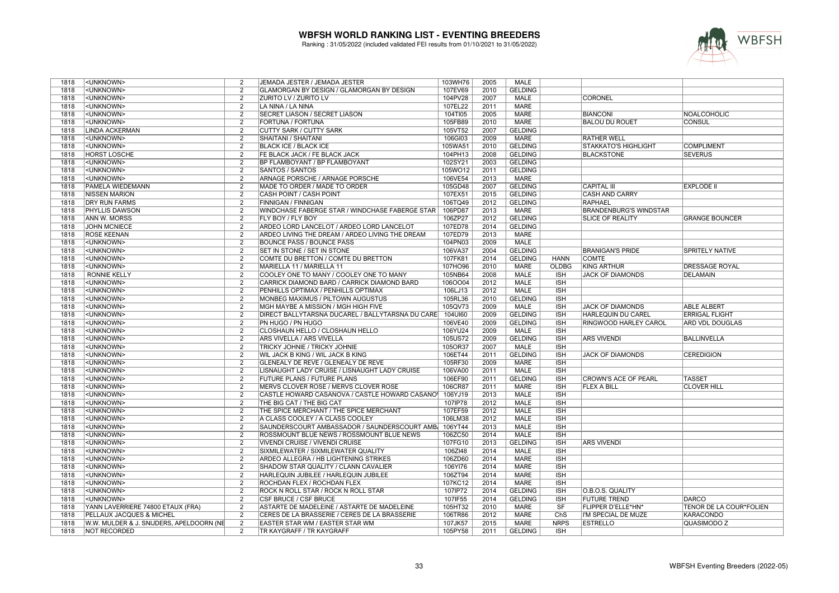

| 1818 | <unknown></unknown>                      | 2              | JEMADA JESTER / JEMADA JESTER                          | 103WH76 | 2005 | MALE           |              |                               |                         |
|------|------------------------------------------|----------------|--------------------------------------------------------|---------|------|----------------|--------------|-------------------------------|-------------------------|
| 1818 | <unknown></unknown>                      | $\overline{2}$ | GLAMORGAN BY DESIGN / GLAMORGAN BY DESIGN              | 107EV69 | 2010 | <b>GELDING</b> |              |                               |                         |
| 1818 | <unknown></unknown>                      | $\overline{2}$ | <b>ZURITO LV / ZURITO LV</b>                           | 104PV28 | 2007 | <b>MALE</b>    |              | <b>CORONEL</b>                |                         |
| 1818 | <unknown></unknown>                      | $\overline{2}$ | LA NINA / LA NINA                                      | 107EL22 | 2011 | <b>MARE</b>    |              |                               |                         |
| 1818 | <unknown></unknown>                      | $\overline{2}$ | SECRET LIASON / SECRET LIASON                          | 104TI05 | 2005 | <b>MARE</b>    |              | <b>BIANCONI</b>               | <b>NOALCOHOLIC</b>      |
| 1818 | <unknown></unknown>                      | $\overline{2}$ | FORTUNA / FORTUNA                                      | 105FB89 | 2010 | <b>MARE</b>    |              | <b>BALOU DU ROUET</b>         | <b>CONSUL</b>           |
| 1818 | LINDA ACKERMAN                           | $\overline{2}$ | <b>CUTTY SARK / CUTTY SARK</b>                         | 105VT52 | 2007 | <b>GELDING</b> |              |                               |                         |
| 1818 | <unknown></unknown>                      | 2              | SHAITANI / SHAITANI                                    | 106GI03 | 2009 | <b>MARE</b>    |              | <b>RATHER WELL</b>            |                         |
| 1818 | <unknown></unknown>                      | $\overline{2}$ | <b>BLACK ICE / BLACK ICE</b>                           | 105WA51 | 2010 | <b>GELDING</b> |              | STAKKATO'S HIGHLIGHT          | <b>COMPLIMENT</b>       |
| 1818 | <b>HORST LOSCHE</b>                      | $\overline{2}$ | FE BLACK JACK / FE BLACK JACK                          | 104PH13 | 2008 | <b>GELDING</b> |              | <b>BLACKSTONE</b>             | <b>SEVERUS</b>          |
| 1818 | <unknown></unknown>                      | $\overline{2}$ | <b>BP FLAMBOYANT / BP FLAMBOYANT</b>                   | 102SY21 | 2003 | <b>GELDING</b> |              |                               |                         |
| 1818 | <unknown></unknown>                      | $\overline{2}$ | <b>SANTOS / SANTOS</b>                                 | 105WO12 | 2011 | <b>GELDING</b> |              |                               |                         |
| 1818 | <unknown></unknown>                      | $\overline{2}$ | ARNAGE PORSCHE / ARNAGE PORSCHE                        | 106VE54 | 2013 | MARE           |              |                               |                         |
| 1818 | PAMELA WIEDEMANN                         | $\overline{2}$ | MADE TO ORDER / MADE TO ORDER                          | 105GD48 | 2007 | <b>GELDING</b> |              | <b>CAPITAL III</b>            | <b>EXPLODE II</b>       |
| 1818 | <b>NISSEN MARION</b>                     | $\overline{2}$ | CASH POINT / CASH POINT                                | 107EX51 | 2015 | <b>GELDING</b> |              | <b>CASH AND CARRY</b>         |                         |
| 1818 | <b>DRY RUN FARMS</b>                     | $\overline{2}$ | <b>FINNIGAN / FINNIGAN</b>                             | 106TQ49 | 2012 | <b>GELDING</b> |              | <b>RAPHAEL</b>                |                         |
| 1818 | <b>PHYLLIS DAWSON</b>                    | $\overline{2}$ | WINDCHASE FABERGE STAR / WINDCHASE FABERGE STAR        | 106PD87 | 2013 | MARE           |              | <b>BRANDENBURG'S WINDSTAR</b> |                         |
| 1818 | ANN W. MORSS                             | $\overline{2}$ | <b>FLY BOY / FLY BOY</b>                               | 106ZP27 | 2012 | <b>GELDING</b> |              | <b>SLICE OF REALITY</b>       | <b>GRANGE BOUNCER</b>   |
| 1818 | <b>JOHN MCNIECE</b>                      | $\overline{2}$ | ARDEO LORD LANCELOT / ARDEO LORD LANCELOT              |         | 2014 | <b>GELDING</b> |              |                               |                         |
|      |                                          |                |                                                        | 107ED78 |      |                |              |                               |                         |
| 1818 | <b>ROSE KEENAN</b>                       | $\overline{2}$ | ARDEO LIVING THE DREAM / ARDEO LIVING THE DREAM        | 107ED79 | 2013 | <b>MARE</b>    |              |                               |                         |
| 1818 | <unknown></unknown>                      | $\overline{2}$ | <b>BOUNCE PASS / BOUNCE PASS</b>                       | 104PN03 | 2009 | <b>MALE</b>    |              |                               |                         |
| 1818 | <unknown></unknown>                      | $\overline{2}$ | SET IN STONE / SET IN STONE                            | 106VA37 | 2004 | <b>GELDING</b> |              | <b>BRANIGAN'S PRIDE</b>       | <b>SPRITELY NATIVE</b>  |
| 1818 | <unknown></unknown>                      | $\overline{2}$ | COMTE DU BRETTON / COMTE DU BRETTON                    | 107FK81 | 2014 | <b>GELDING</b> | <b>HANN</b>  | <b>COMTE</b>                  |                         |
| 1818 | <unknown></unknown>                      | $\overline{2}$ | MARIELLA 11 / MARIELLA 11                              | 107HO96 | 2010 | MARE           | <b>OLDBG</b> | <b>KING ARTHUR</b>            | <b>DRESSAGE ROYAL</b>   |
| 1818 | <b>RONNIE KELLY</b>                      | $\overline{2}$ | COOLEY ONE TO MANY / COOLEY ONE TO MANY                | 105NB64 | 2008 | <b>MALE</b>    | <b>ISH</b>   | <b>JACK OF DIAMONDS</b>       | <b>DELAMAIN</b>         |
| 1818 | <unknown></unknown>                      | $\overline{2}$ | CARRICK DIAMOND BARD / CARRICK DIAMOND BARD            | 106OO04 | 2012 | MALE           | <b>ISH</b>   |                               |                         |
| 1818 | <unknown></unknown>                      | $\overline{2}$ | PENHILLS OPTIMAX / PENHILLS OPTIMAX                    | 106LJ13 | 2012 | <b>MALE</b>    | <b>ISH</b>   |                               |                         |
| 1818 | <unknown></unknown>                      | $\overline{2}$ | MONBEG MAXIMUS / PILTOWN AUGUSTUS                      | 105RL36 | 2010 | <b>GELDING</b> | <b>ISH</b>   |                               |                         |
| 1818 | <unknown></unknown>                      | $\overline{2}$ | MGH MAYBE A MISSION / MGH HIGH FIVE                    | 105QV73 | 2009 | <b>MALE</b>    | <b>ISH</b>   | <b>JACK OF DIAMONDS</b>       | <b>ABLE ALBERT</b>      |
| 1818 | <unknown></unknown>                      | $\overline{2}$ | DIRECT BALLYTARSNA DUCAREL / BALLYTARSNA DU CARE       | 104UI60 | 2009 | <b>GELDING</b> | <b>ISH</b>   | <b>HARLEQUIN DU CAREL</b>     | <b>ERRIGAL FLIGHT</b>   |
| 1818 | <unknown></unknown>                      | $\overline{2}$ | PN HUGO / PN HUGO                                      | 106VE40 | 2009 | <b>GELDING</b> | <b>ISH</b>   | RINGWOOD HARLEY CAROL         | <b>ARD VDL DOUGLAS</b>  |
| 1818 | <unknown></unknown>                      | $\overline{2}$ | CLOSHAUN HELLO / CLOSHAUN HELLO                        | 106YU24 | 2009 | <b>MALE</b>    | <b>ISH</b>   |                               |                         |
| 1818 | <unknown></unknown>                      | $\overline{2}$ | ARS VIVELLA / ARS VIVELLA                              | 105US72 | 2009 | <b>GELDING</b> | <b>ISH</b>   | <b>ARS VIVENDI</b>            | <b>BALLINVELLA</b>      |
| 1818 | <unknown></unknown>                      | 2              | TRICKY JOHNIE / TRICKY JOHNIE                          | 105OR37 | 2007 | MALE           | <b>ISH</b>   |                               |                         |
| 1818 | <unknown></unknown>                      | $\overline{2}$ | WIL JACK B KING / WIL JACK B KING                      | 106ET44 | 2011 | <b>GELDING</b> | <b>ISH</b>   | <b>JACK OF DIAMONDS</b>       | <b>CEREDIGION</b>       |
| 1818 | <unknown></unknown>                      | $\overline{2}$ | GLENEALY DE REVE / GLENEALY DE REVE                    | 105RF30 | 2009 | MARE           | <b>ISH</b>   |                               |                         |
| 1818 | <unknown></unknown>                      | $\overline{2}$ | LISNAUGHT LADY CRUISE / LISNAUGHT LADY CRUISE          | 106VA00 | 2011 | <b>MALE</b>    | <b>ISH</b>   |                               |                         |
| 1818 | <unknown></unknown>                      | $\overline{2}$ | FUTURE PLANS / FUTURE PLANS                            | 106EF90 | 2011 | <b>GELDING</b> | <b>ISH</b>   | <b>CROWN'S ACE OF PEARL</b>   | <b>TASSET</b>           |
| 1818 | <unknown></unknown>                      | $\overline{2}$ | MERVS CLOVER ROSE / MERVS CLOVER ROSE                  | 106CR87 | 2011 | <b>MARE</b>    | <b>ISH</b>   | <b>FLEX A BILL</b>            | <b>CLOVER HILL</b>      |
| 1818 | <unknown></unknown>                      | 2              | CASTLE HOWARD CASANOVA / CASTLE HOWARD CASANO\ 106YJ19 |         | 2013 | <b>MALE</b>    | <b>ISH</b>   |                               |                         |
| 1818 | <unknown></unknown>                      | $\overline{2}$ | THE BIG CAT / THE BIG CAT                              | 107IP78 | 2012 | <b>MALE</b>    | <b>ISH</b>   |                               |                         |
| 1818 | <unknown></unknown>                      | $\overline{2}$ | THE SPICE MERCHANT / THE SPICE MERCHANT                | 107EF59 | 2012 | <b>MALE</b>    | <b>ISH</b>   |                               |                         |
| 1818 | <unknown></unknown>                      | $\overline{2}$ | A CLASS COOLEY / A CLASS COOLEY                        | 106LM38 | 2012 | MALE           | <b>ISH</b>   |                               |                         |
| 1818 | <unknown></unknown>                      | $\overline{2}$ | SAUNDERSCOURT AMBASSADOR / SAUNDERSCOURT AMB   106YT44 |         | 2013 | <b>MALE</b>    | <b>ISH</b>   |                               |                         |
| 1818 | <unknown></unknown>                      | $\overline{2}$ | ROSSMOUNT BLUE NEWS / ROSSMOUNT BLUE NEWS              | 106ZC50 | 2014 | MALE           | <b>ISH</b>   |                               |                         |
| 1818 | <unknown></unknown>                      | $\overline{2}$ | <b>VIVENDI CRUISE / VIVENDI CRUISE</b>                 | 107FG10 | 2013 | <b>GELDING</b> | <b>ISH</b>   | <b>ARS VIVENDI</b>            |                         |
| 1818 | <unknown></unknown>                      | 2              | SIXMILEWATER / SIXMILEWATER QUALITY                    | 106ZI48 | 2014 | MALE           | <b>ISH</b>   |                               |                         |
| 1818 | <unknown></unknown>                      | $\overline{2}$ | ARDEO ALLEGRA / HB LIGHTENING STRIKES                  | 106ZD60 | 2014 | <b>MARE</b>    | <b>ISH</b>   |                               |                         |
| 1818 | <unknown></unknown>                      | $\overline{2}$ | SHADOW STAR QUALITY / CLANN CAVALIER                   | 106YI76 | 2014 | MARE           | <b>ISH</b>   |                               |                         |
| 1818 | <unknown></unknown>                      | $\overline{2}$ |                                                        | 106ZT94 | 2014 | <b>MARE</b>    | <b>ISH</b>   |                               |                         |
|      |                                          |                | HARLEQUIN JUBILEE / HARLEQUIN JUBILEE                  |         |      |                |              |                               |                         |
| 1818 | <unknown></unknown>                      | $\overline{2}$ | ROCHDAN FLEX / ROCHDAN FLEX                            | 107KC12 | 2014 | MARE           | <b>ISH</b>   |                               |                         |
| 1818 | <unknown></unknown>                      | $\overline{2}$ | ROCK N ROLL STAR / ROCK N ROLL STAR                    | 107IP72 | 2014 | <b>GELDING</b> | <b>ISH</b>   | O.B.O.S. QUALITY              |                         |
| 1818 | <unknown></unknown>                      | $\overline{2}$ | CSF BRUCE / CSF BRUCE                                  | 107IF55 | 2014 | <b>GELDING</b> | <b>ISH</b>   | <b>FUTURE TREND</b>           | <b>DARCO</b>            |
| 1818 | YANN LAVERRIERE 74800 ETAUX (FRA)        | $\overline{2}$ | ASTARTE DE MADELEINE / ASTARTE DE MADELEINE            | 105HT32 | 2010 | <b>MARE</b>    | SF           | FLIPPER D'ELLE*HN*            | TENOR DE LA COUR*FOLIEN |
| 1818 | PELLAUX JACQUES & MICHEL                 | $\overline{2}$ | CERES DE LA BRASSERIE / CERES DE LA BRASSERIE          | 106TR86 | 2012 | <b>MARE</b>    | ChS          | I'M SPECIAL DE MUZE           | <b>KARACONDO</b>        |
| 1818 | W.W. MULDER & J. SNIJDERS, APELDOORN (NE | $\overline{2}$ | <b>EASTER STAR WM / EASTER STAR WM</b>                 | 107JK57 | 2015 | <b>MARE</b>    | <b>NRPS</b>  | <b>ESTRELLO</b>               | QUASIMODO Z             |
| 1818 | <b>NOT RECORDED</b>                      | 2              | <b>TR KAYGRAFF / TR KAYGRAFF</b>                       | 105PY58 | 2011 | <b>GELDING</b> | <b>ISH</b>   |                               |                         |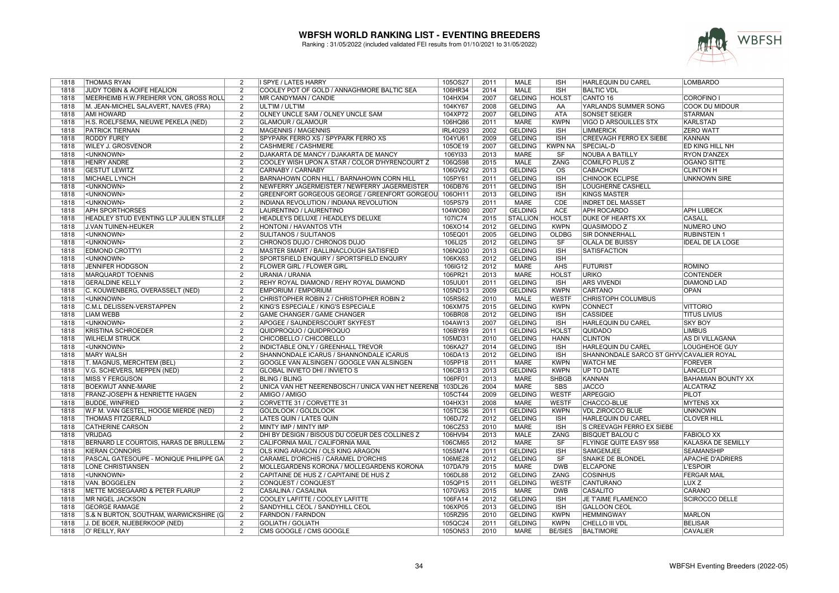

| 1818 | <b>THOMAS RYAN</b>                        | 2              | I SPYE / LATES HARRY                                      | 105OS27         | 2011 | MALE            | <b>ISH</b>              | <b>HARLEQUIN DU CAREL</b>                | LOMBARDO                  |
|------|-------------------------------------------|----------------|-----------------------------------------------------------|-----------------|------|-----------------|-------------------------|------------------------------------------|---------------------------|
| 1818 | JUDY TOBIN & AOIFE HEALION                | 2              | COOLEY POT OF GOLD / ANNAGHMORE BALTIC SEA                | 106HR34         | 2014 | <b>MALE</b>     | <b>ISH</b>              | <b>BALTIC VDL</b>                        |                           |
| 1818 | MEERHEIMB H.W.FREIHERR VON, GROSS ROLL    | 2              | <b>MR CANDYMAN / CANDIE</b>                               | 104HX94         | 2007 | <b>GELDING</b>  | <b>HOLST</b>            | CANTO 16                                 | <b>COROFINO I</b>         |
| 1818 | M. JEAN-MICHEL SALAVERT, NAVES (FRA)      | $\overline{2}$ | ULT'IM / ULT'IM                                           | 104KY67         | 2008 | <b>GELDING</b>  | AA                      | YARLANDS SUMMER SONG                     | <b>COOK DU MIDOUR</b>     |
| 1818 | <b>AMI HOWARD</b>                         | $\overline{2}$ | <b>OLNEY UNCLE SAM / OLNEY UNCLE SAM</b>                  | 104XP72         | 2007 | <b>GELDING</b>  | <b>ATA</b>              | <b>SONSET SEIGER</b>                     | <b>STARMAN</b>            |
| 1818 | H.S. ROELFSEMA, NIEUWE PEKELA (NED)       | $\overline{2}$ | <b>GLAMOUR / GLAMOUR</b>                                  | 106HQ86         | 2011 | <b>MARE</b>     | <b>KWPN</b>             | <b>VIGO D ARSOUILLES STX</b>             | KARLSTAD                  |
| 1818 | <b>PATRICK TIERNAN</b>                    | 2              | MAGENNIS / MAGENNIS                                       | <b>IRL40293</b> | 2002 | <b>GELDING</b>  | <b>ISH</b>              | <b>LIMMERICK</b>                         | <b>ZERO WATT</b>          |
| 1818 | <b>RODDY FUREY</b>                        | $\overline{2}$ | SPYPARK FERRO XS / SPYPARK FERRO XS                       | 104YU61         | 2009 | <b>GELDING</b>  | <b>ISH</b>              | <b>CREEVAGH FERRO EX SIEBE</b>           | KANNAN                    |
| 1818 | WILEY J. GROSVENOR                        | 2              | CASHMERE / CASHMERE                                       | 105OE19         | 2007 | <b>GELDING</b>  | <b>KWPN NA</b>          | <b>SPECIAL-D</b>                         | <b>ED KING HILL NH</b>    |
| 1818 | <unknown></unknown>                       | $\overline{2}$ | DJAKARTA DE MANCY / DJAKARTA DE MANCY                     | 106YI33         | 2013 | <b>MARE</b>     | SF                      | <b>NOUBA A BATILLY</b>                   | <b>RYON D'ANZEX</b>       |
| 1818 | <b>HENRY ANDRE</b>                        | 2              | COOLEY WISH UPON A STAR / COLOR D'HYRENCOURT Z            | 106QS98         | 2015 | <b>MALE</b>     | <b>ZANG</b>             | COMILFO PLUS Z                           | <b>OGANO SITTE</b>        |
| 1818 | <b>GESTUT LEWITZ</b>                      | $\overline{2}$ | CARNABY / CARNABY                                         | 106GV92         | 2013 | <b>GELDING</b>  | $\overline{\text{OS}}$  | <b>CABACHON</b>                          | <b>CLINTON H</b>          |
| 1818 | <b>MICHAEL LYNCH</b>                      | $\overline{2}$ | <b>BARNAHOWN CORN HILL / BARNAHOWN CORN HILL</b>          | 105PY61         | 2011 | <b>GELDING</b>  | <b>ISH</b>              | <b>CHINOOK ECLIPSE</b>                   | <b>UNKNOWN SIRE</b>       |
| 1818 | <unknown></unknown>                       | $\overline{2}$ | NEWFERRY JAGERMEISTER / NEWFERRY JAGERMEISTER             | 106DB76         | 2011 | <b>GELDING</b>  | <b>ISH</b>              | LOUGHERNE CASHELL                        |                           |
| 1818 | <unknown></unknown>                       | $\overline{2}$ | GREENFORT GORGEOUS GEORGE / GREENFORT GORGEOU 106OH11     |                 | 2013 | <b>GELDING</b>  | <b>ISH</b>              | <b>KINGS MASTER</b>                      |                           |
| 1818 | <unknown></unknown>                       | $\overline{2}$ | INDIANA REVOLUTION / INDIANA REVOLUTION                   | 105PS79         | 2011 | MARE            | CDE                     | <b>INDRET DEL MASSET</b>                 |                           |
| 1818 | <b>APH SPORTHORSES</b>                    | $\overline{2}$ | LAURENTINO / LAURENTINO                                   | 104WO80         | 2007 | <b>GELDING</b>  | <b>ACE</b>              | <b>APH ROCARDO</b>                       | <b>APH LUBECK</b>         |
| 1818 | HEADLEY STUD EVENTING LLP JULIEN STILLER  | 2              | HEADLEYS DELUXE / HEADLEYS DELUXE                         | 107IC74         | 2015 | <b>STALLION</b> | <b>HOLST</b>            | <b>DUKE OF HEARTS XX</b>                 | <b>CASALL</b>             |
| 1818 | <b>J.VAN TUINEN-HEUKER</b>                | 2              | <b>HONTONI / HAVANTOS VTH</b>                             | 106XO14         | 2012 | <b>GELDING</b>  | <b>KWPN</b>             | QUASIMODO Z                              | <b>NUMERO UNO</b>         |
| 1818 | <unknown></unknown>                       | 2              | <b>SULITANOS / SULITANOS</b>                              | 105EQ01         | 2005 | <b>GELDING</b>  | <b>OLDBG</b>            | <b>SIR DONNERHALL</b>                    | <b>RUBINSTEIN 1</b>       |
| 1818 | <unknown></unknown>                       | $\overline{2}$ | CHRONOS DUJO / CHRONOS DUJO                               | 106LI25         | 2012 | <b>GELDING</b>  | SF                      | <b>OLALA DE BUISSY</b>                   | <b>IDEAL DE LA LOGE</b>   |
| 1818 | <b>EDMOND CROTTYI</b>                     | $\overline{2}$ | MASTER SMART / BALLINACLOUGH SATISFIED                    | 106NQ30         | 2013 | <b>GELDING</b>  | <b>ISH</b>              | <b>SATISFACTION</b>                      |                           |
| 1818 | <unknown></unknown>                       | $\overline{2}$ | SPORTSFIELD ENQUIRY / SPORTSFIELD ENQUIRY                 | 106KX63         | 2012 | <b>GELDING</b>  | <b>ISH</b>              |                                          |                           |
| 1818 | <b>JENNIFER HODGSON</b>                   | 2              | <b>FLOWER GIRL / FLOWER GIRL</b>                          | 106IG12         | 2012 | <b>MARE</b>     | AHS                     | <b>FUTURIST</b>                          | <b>ROMINO</b>             |
| 1818 | <b>MARQUARDT TOENNIS</b>                  | 2              | URANIA / URANIA                                           | 106PR21         | 2013 | MARE            | HOLS <sub>1</sub>       | URIKO                                    | <b>CONTENDER</b>          |
|      |                                           | $\overline{2}$ |                                                           |                 |      |                 |                         |                                          |                           |
| 1818 | <b>GERALDINE KELLY</b>                    |                | REHY ROYAL DIAMOND / REHY ROYAL DIAMOND                   | 105UU01         | 2011 | <b>GELDING</b>  | <b>ISH</b>              | <b>ARS VIVENDI</b>                       | <b>DIAMOND LAD</b>        |
| 1818 | C. KOUWENBERG, OVERASSELT (NED)           | 2              | <b>EMPORIUM / EMPORIUM</b>                                | 105ND13         | 2009 | <b>GELDING</b>  | <b>KWPN</b>             | <b>CARTANO</b>                           | <b>OPAN</b>               |
| 1818 | <unknown></unknown>                       | $\overline{2}$ | CHRISTOPHER ROBIN 2 / CHRISTOPHER ROBIN 2                 | 105RS62         | 2010 | <b>MALE</b>     | <b>WESTF</b>            | <b>CHRISTOPH COLUMBUS</b>                |                           |
| 1818 | C.M.L DELISSEN-VERSTAPPEN                 | $\overline{2}$ | KING'S ESPECIALE / KING'S ESPECIALE                       | 106XM75         | 2015 | <b>GELDING</b>  | <b>KWPN</b>             | <b>CONNECT</b>                           | <b>VITTORIO</b>           |
| 1818 | <b>LIAM WEBB</b>                          | $\overline{2}$ | <b>GAME CHANGER / GAME CHANGER</b>                        | 106BR08         | 2012 | <b>GELDING</b>  | <b>ISH</b>              | <b>CASSIDEE</b>                          | <b>TITUS LIVIUS</b>       |
| 1818 | <unknown></unknown>                       | $\overline{2}$ | <b>APOGEE / SAUNDERSCOURT SKYFEST</b>                     | 104AW13         | 2007 | <b>GELDING</b>  | <b>ISH</b>              | <b>HARLEQUIN DU CAREL</b>                | <b>SKY BOY</b>            |
| 1818 | <b>KRISTINA SCHROEDER</b>                 | $\overline{2}$ | QUIDPROQUO / QUIDPROQUO                                   | 106BY89         | 2011 | <b>GELDING</b>  | <b>HOLST</b>            | <b>QUIDADO</b>                           | <b>LIMBUS</b>             |
| 1818 | <b>WILHELM STRUCK</b>                     | $\overline{2}$ | CHICOBELLO / CHICOBELLO                                   | 105MD31         | 2010 | <b>GELDING</b>  | <b>HANN</b>             | <b>CLINTON</b>                           | <b>AS DI VILLAGANA</b>    |
| 1818 | <unknown></unknown>                       | $\overline{2}$ | INDICTABLE ONLY / GREENHALL TREVOR                        | 106KA27         | 2014 | <b>GELDING</b>  | <b>ISH</b>              | <b>HARLEQUIN DU CAREL</b>                | LOUGHEHOE GUY             |
| 1818 | <b>MARY WALSH</b>                         | 2              | SHANNONDALE ICARUS / SHANNONDALE ICARUS                   | 106DA13         | 2012 | <b>GELDING</b>  | <b>ISH</b>              | SHANNONDALE SARCO ST GHYVICAVALIER ROYAL |                           |
| 1818 | T. MAGNUS, MERCHTEM (BEL)                 | $\overline{2}$ | GOOGLE VAN ALSINGEN / GOOGLE VAN ALSINGEN                 | 105PP18         | 2011 | <b>MARE</b>     | <b>KWPN</b>             | WATCH ME                                 | <b>FOREVER</b>            |
| 1818 | V.G. SCHEVERS, MEPPEN (NED)               | 2              | <b>GLOBAL INVIETO DHI / INVIETO S</b>                     | 106CB13         | 2013 | <b>GELDING</b>  | <b>KWPN</b>             | <b>UP TO DATE</b>                        | LANCELOT                  |
| 1818 | <b>MISS Y FERGUSON</b>                    | 2              | <b>BLING / BLING</b>                                      | 106PF01         | 2013 | MARE            | <b>SHBGB</b>            | <b>KANNAN</b>                            | <b>BAHAMIAN BOUNTY XX</b> |
| 1818 | <b>BOEKWIJT ANNE-MARIE</b>                | $\overline{2}$ | UNICA VAN HET NEERENBOSCH / UNICA VAN HET NEERENB 103DL26 |                 | 2004 | <b>MARE</b>     | <b>SBS</b>              | <b>JACCO</b>                             | <b>ALCATRAZ</b>           |
| 1818 | <b>FRANZ-JOSEPH &amp; HENRIETTE HAGEN</b> | 2              | AMIGO / AMIGO                                             | 105CT44         | 2009 | <b>GELDING</b>  | <b>WESTF</b>            | <b>ARPEGGIO</b>                          | <b>PILOT</b>              |
| 1818 | <b>BUDDE, WINFRIED</b>                    | $\overline{2}$ | CORVETTE 31 / CORVETTE 31                                 | 104HX31         | 2008 | <b>MARE</b>     | <b>WESTF</b>            | CHACCO-BLUE                              | <b>MYTENS XX</b>          |
| 1818 | W.F M. VAN GESTEL, HOOGE MIERDE (NED)     | $\overline{2}$ | GOLDLOOK / GOLDLOOK                                       | 105TC36         | 2011 | <b>GELDING</b>  | <b>KWPN</b>             | <b>VDL ZIROCCO BLUE</b>                  | <b>UNKNOWN</b>            |
| 1818 | <b>THOMAS FITZGERALD</b>                  | $\overline{2}$ | LATES QUIN / LATES QUIN                                   | 106DJ72         | 2012 | <b>GELDING</b>  | <b>ISH</b>              | <b>HARLEQUIN DU CAREL</b>                | <b>CLOVER HILL</b>        |
| 1818 | <b>CATHERINE CARSON</b>                   | $\overline{2}$ | MINTY IMP / MINTY IMP                                     | 106CZ53         | 2010 | <b>MARE</b>     | <b>ISH</b>              | <b>S CREEVAGH FERRO EX SIEBE</b>         |                           |
| 1818 | <b>VRIJDAG</b>                            | 2              | DHI BY DESIGN / BISOUS DU COEUR DES COLLINES Z            | 106HV94         | 2013 | <b>MALE</b>     | ZANG                    | <b>BISQUET BALOU C</b>                   | <b>FABIOLO XX</b>         |
| 1818 | BERNARD LE COURTOIS, HARAS DE BRULLEM/    | 2              | CALIFORNIA MAIL / CALIFORNIA MAIL                         | 106CM65         | 2012 | <b>MARE</b>     | <b>SF</b>               | FLYINGE QUITE EASY 958                   | KALASKA DE SEMILLY        |
| 1818 | <b>KIERAN CONNORS</b>                     | 2              | <b>OLS KING ARAGON / OLS KING ARAGON</b>                  | 105SM74         | 2011 | <b>GELDING</b>  | <b>ISH</b>              | <b>SAMGEMJEE</b>                         | <b>SEAMANSHIP</b>         |
| 1818 | PASCAL GATESOUPE - MONIQUE PHILIPPE GA    | $\overline{2}$ | CARAMEL D'ORCHIS / CARAMEL D'ORCHIS                       | 106ME28         | 2012 | <b>GELDING</b>  | $\overline{\text{S}}$ F | <b>SNAIKE DE BLONDEL</b>                 | <b>APACHE D'ADRIERS</b>   |
| 1818 | <b>LONE CHRISTIANSEN</b>                  | $\overline{2}$ | MOLLEGARDENS KORONA / MOLLEGARDENS KORONA                 | 107DA79         | 2015 | MARE            | <b>DWB</b>              | <b>ELCAPONE</b>                          | <b>L'ESPOIR</b>           |
| 1818 | <unknown></unknown>                       | $\overline{2}$ | CAPITAINE DE HUS Z / CAPITAINE DE HUS Z                   | 106DL88         | 2012 | <b>GELDING</b>  | <b>ZANG</b>             | <b>COSINHUS</b>                          | <b>FERGAR MAIL</b>        |
| 1818 | VAN. BOGGELEN                             | 2              | CONQUEST / CONQUEST                                       | 105QP15         | 2011 | <b>GELDING</b>  | <b>WESTF</b>            | <b>CANTURANO</b>                         | LUX <sub>Z</sub>          |
| 1818 | METTE MOSEGAARD & PETER FLARUP            | $\mathcal{P}$  | CASALINA / CASALINA                                       | 107GV63         | 2015 | MARE            | <b>DWB</b>              | <b>CASALITO</b>                          | <b>CARANO</b>             |
| 1818 | <b>MR NIGEL JACKSON</b>                   | 2              | COOLEY LAFITTE / COOLEY LAFITTE                           | 106FA14         | 2012 | <b>GELDING</b>  | <b>ISH</b>              | JE T'AIME FLAMENCO                       | <b>SCIROCCO DELLE</b>     |
| 1818 | <b>GEORGE RAMAGE</b>                      | 2              | SANDYHILL CEOL / SANDYHILL CEOL                           | 106XP05         | 2013 | <b>GELDING</b>  | <b>ISH</b>              | <b>GALLOON CEOL</b>                      |                           |
| 1818 | S.& N BURTON, SOUTHAM, WARWICKSHIRE (G    | $\overline{2}$ | <b>FARNDON / FARNDON</b>                                  | 105RZ95         | 2010 | <b>GELDING</b>  | <b>KWPN</b>             | <b>HEMMINGWAY</b>                        | <b>MARLON</b>             |
| 1818 | J. DE BOER, NIJEBERKOOP (NED)             | $\overline{2}$ | GOLIATH / GOLIATH                                         | 105QC24         | 2011 | <b>GELDING</b>  | <b>KWPN</b>             | CHELLO III VDL                           | <b>BELISAR</b>            |
| 1818 | O' REILLY, RAY                            | $\overline{2}$ | CMS GOOGLE / CMS GOOGLE                                   | 105ON53         | 2010 | <b>MARE</b>     | <b>BE/SIES</b>          | <b>BALTIMORE</b>                         | <b>CAVALIER</b>           |
|      |                                           |                |                                                           |                 |      |                 |                         |                                          |                           |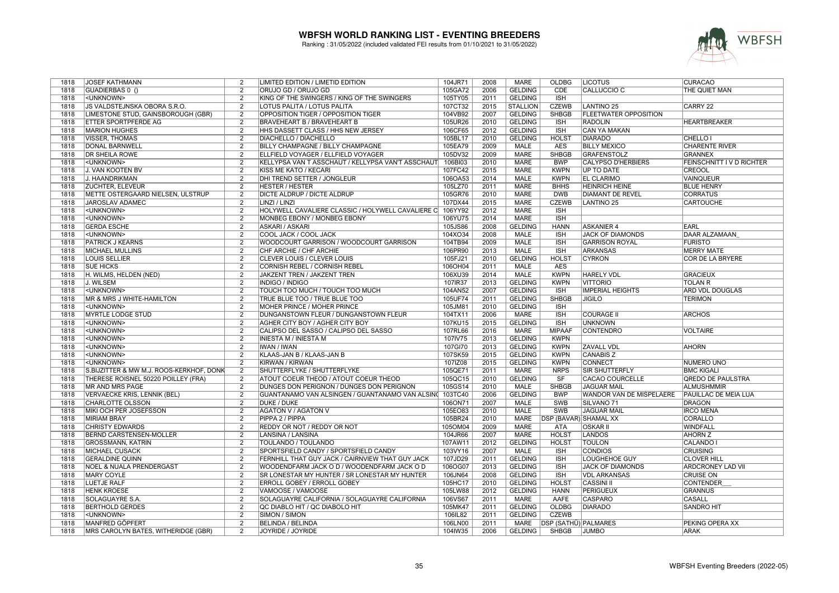

| 1818         | <b>JOSEF KATHMANN</b>                    | 2              | LIMITED EDITION / LIMETID EDITION                         | 104JR71 | 2008 | MARE            | OLDBG                        | <b>LICOTUS</b>                | <b>CURACAO</b>              |
|--------------|------------------------------------------|----------------|-----------------------------------------------------------|---------|------|-----------------|------------------------------|-------------------------------|-----------------------------|
| 1818         | GUADIERBAS 0 ()                          | $\overline{2}$ | ORUJO GD / ORUJO GD                                       | 105GA72 | 2006 | <b>GELDING</b>  | CDE                          | CALLUCCIO C                   | THE QUIET MAN               |
| 1818         | <unknown></unknown>                      | $\mathcal{P}$  | KING OF THE SWINGERS / KING OF THE SWINGERS               | 105TY05 | 2011 | <b>GELDING</b>  | <b>ISH</b>                   |                               |                             |
| 1818         | JS VALDSTEJNSKA OBORA S.R.O.             | $\overline{2}$ | LOTUS PALITA / LOTUS PALITA                               | 107CT32 | 2015 | <b>STALLION</b> | <b>CZEWB</b>                 | <b>LANTINO 25</b>             | CARRY 22                    |
| 1818         | LIMESTONE STUD, GAINSBOROUGH (GBR)       | $\overline{2}$ | OPPOSITION TIGER / OPPOSITION TIGER                       | 104VB92 | 2007 | <b>GELDING</b>  | <b>SHBGB</b>                 | <b>IFLEETWATER OPPOSITION</b> |                             |
| 1818         | <b>ETTER SPORTPFERDE AG</b>              | $\overline{2}$ | <b>BRAVEHEART B / BRAVEHEART B</b>                        | 105UR26 | 2010 | <b>GELDING</b>  | <b>ISH</b>                   | <b>RADOLIN</b>                | <b>HEARTBREAKER</b>         |
| 1818         | <b>MARION HUGHES</b>                     | 2              | HHS DASSETT CLASS / HHS NEW JERSEY                        | 106CF65 | 2012 | <b>GELDING</b>  | <b>ISH</b>                   | CAN YA MAKAN                  |                             |
| 1818         | <b>VISSER, THOMAS</b>                    | $\overline{2}$ | DIACHELLO / DIACHELLO                                     | 105BL17 | 2010 | <b>GELDING</b>  | <b>HOLST</b>                 | <b>DIARADO</b>                | CHELLO <sub>I</sub>         |
| 1818         | <b>DONAL BARNWELL</b>                    | 2              | BILLY CHAMPAGNE / BILLY CHAMPAGNE                         | 105EA79 | 2009 | <b>MALE</b>     | <b>AES</b>                   | <b>BILLY MEXICO</b>           | <b>CHARENTE RIVER</b>       |
|              |                                          | $\overline{2}$ | ELLFIELD VOYAGER / ELLFIELD VOYAGER                       |         | 2009 | <b>MARE</b>     | <b>SHBGB</b>                 | <b>GRAFENSTOLZ</b>            |                             |
| 1818         | <b>DR SHEILA ROWE</b>                    |                |                                                           | 105DV32 |      |                 |                              |                               | <b>GRANNEX</b>              |
| 1818         | <unknown></unknown>                      | 2              | KELLYPSA VAN T ASSCHAUT / KELLYPSA VAN'T ASSCHAUT         | 106BI03 | 2010 | <b>MARE</b>     | <b>BWP</b>                   | <b>CALYPSO D'HERBIERS</b>     | FEINSCHNITT IV D RICHTER    |
| 1818         | J. VAN KOOTEN BV                         | $\overline{2}$ | <b>KISS ME KATO / KECARI</b>                              | 107FC42 | 2015 | <b>MARE</b>     | <b>KWPN</b>                  | <b>UP TO DATE</b>             | <b>CREOOL</b>               |
| 1818         | J. HAANDRIKMAN                           | $\overline{2}$ | DHI TREND SETTER / JONGLEUR                               | 106OA53 | 2014 | <b>MALE</b>     | <b>KWPN</b>                  | <b>EL CLARIMO</b>             | <b>VAINQUEUR</b>            |
| 1818         | <b>ZUCHTER, ELEVEUR</b>                  | $\overline{2}$ | <b>HESTER / HESTER</b>                                    | 105LZ70 | 2011 | <b>MARE</b>     | <b>BHHS</b>                  | <b>HEINRICH HEINE</b>         | <b>BLUE HENRY</b>           |
| 1818         | METTE OSTERGAARD NIELSEN, ULSTRUP        | $\overline{2}$ | <b>DICTE ALDRUP / DICTE ALDRUP</b>                        | 105GR76 | 2010 | <b>MARE</b>     | <b>DWB</b>                   | <b>DIAMANT DE REVEL</b>       | <b>CORRATUS</b>             |
| 1818         | JAROSLAV ADAMEC                          | 2              | LINZI / LINZI                                             | 107DX44 | 2015 | <b>MARE</b>     | <b>CZEWB</b>                 | <b>LANTINO 25</b>             | <b>CARTOUCHE</b>            |
| 1818         | <unknown></unknown>                      | 2              | HOLYWELL CAVALIERE CLASSIC / HOLYWELL CAVALIERE C 106YY92 |         | 2012 | <b>MARE</b>     | <b>ISH</b>                   |                               |                             |
| 1818         | <unknown></unknown>                      | $\overline{2}$ | MONBEG EBONY / MONBEG EBONY                               | 106YU75 | 2014 | <b>MARE</b>     | <b>ISH</b>                   |                               |                             |
| 1818         | <b>GERDA ESCHE</b>                       | $\overline{2}$ | <b>ASKARI / ASKARI</b>                                    | 105JS86 | 2008 | <b>GELDING</b>  | <b>HANN</b>                  | <b>ASKANIER 4</b>             | EARL                        |
| 1818         | <unknown></unknown>                      | $\overline{2}$ | COOL JACK / COOL JACK                                     | 104XO34 | 2008 | <b>MALE</b>     | <b>ISH</b>                   | <b>JACK OF DIAMONDS</b>       | DAAR ALZAMAAN               |
| 1818         | <b>PATRICK J KEARNS</b>                  | $\overline{2}$ | WOODCOURT GARRISON / WOODCOURT GARRISON                   | 104TB94 | 2009 | <b>MALE</b>     | <b>ISH</b>                   | <b>GARRISON ROYAL</b>         | <b>FURISTO</b>              |
| 1818         | <b>MICHAEL MULLINS</b>                   | 2              | CHF ARCHIE / CHF ARCHIE                                   | 106PR90 | 2013 | <b>MALE</b>     | <b>ISH</b>                   | <b>ARKANSAS</b>               | <b>MERRY MATE</b>           |
| 1818         | <b>LOUIS SELLIER</b>                     | $\overline{2}$ | <b>CLEVER LOUIS / CLEVER LOUIS</b>                        | 105FJ21 | 2010 | <b>GELDING</b>  | <b>HOLST</b>                 | <b>CYRKON</b>                 | <b>COR DE LA BRYERE</b>     |
| 1818         | <b>SUE HICKS</b>                         | $\overline{2}$ | CORNISH REBEL / CORNISH REBEL                             | 106OH04 | 2011 | <b>MALE</b>     | <b>AES</b>                   |                               |                             |
| 1818         | H. WILMS, HELDEN (NED)                   | 2              | JAKZENT TREN / JAKZENT TREN                               | 106XU39 | 2014 | <b>MALE</b>     | <b>KWPN</b>                  | <b>HARELY VDL</b>             | <b>GRACIEUX</b>             |
| 1818         | J. WILSEM                                | $\overline{2}$ | <b>INDIGO / INDIGO</b>                                    | 107IR37 | 2013 | <b>GELDING</b>  | <b>KWPN</b>                  | <b>VITTORIO</b>               | <b>TOLAN R</b>              |
| 1818         | <unknown></unknown>                      | 2              | TOUCH TOO MUCH / TOUCH TOO MUCH                           | 104AN52 | 2007 | <b>GELDING</b>  | <b>ISH</b>                   | <b>IMPERIAL HEIGHTS</b>       | ARD VDL DOUGLAS             |
| 1818         | MR & MRS J WHITE-HAMILTON                | $\overline{2}$ | TRUE BLUE TOO / TRUE BLUE TOO                             | 105UF74 | 2011 | <b>GELDING</b>  | <b>SHBGB</b>                 | <b>JIGILO</b>                 | <b>TERIMON</b>              |
|              | <unknown></unknown>                      | $\overline{2}$ |                                                           |         | 2010 | <b>GELDING</b>  |                              |                               |                             |
| 1818<br>1818 |                                          | $\overline{2}$ | MOHER PRINCE / MOHER PRINCE                               | 105JM81 | 2006 | <b>MARE</b>     | <b>ISH</b><br><b>ISH</b>     | <b>COURAGE II</b>             | <b>ARCHOS</b>               |
|              | <b>MYRTLE LODGE STUD</b>                 |                | DUNGANSTOWN FLEUR / DUNGANSTOWN FLEUR                     | 104TX11 |      |                 |                              |                               |                             |
| 1818         | <unknown></unknown>                      | $\overline{2}$ | AGHER CITY BOY / AGHER CITY BOY                           | 107KU15 | 2015 | <b>GELDING</b>  | <b>ISH</b>                   | <b>UNKNOWN</b>                |                             |
| 1818         | <unknown></unknown>                      | $\overline{2}$ | CALIPSO DEL SASSO / CALIPSO DEL SASSO                     | 107RL66 | 2016 | <b>MARE</b>     | <b>MIPAAF</b>                | <b>CONTENDRO</b>              | <b>VOLTAIRE</b>             |
| 1818         | <unknown></unknown>                      | $\overline{2}$ | <b>INIESTA M / INIESTA M</b>                              | 107IV75 | 2013 | <b>GELDING</b>  | <b>KWPN</b>                  |                               |                             |
| 1818         | <unknown></unknown>                      | 2              | IWAN / IWAN                                               | 107GI70 | 2013 | <b>GELDING</b>  | <b>KWPN</b>                  | <b>ZAVALL VDL</b>             | <b>AHORN</b>                |
| 1818         | <unknown></unknown>                      | 2              | KLAAS-JAN B / KLAAS-JAN B                                 | 107SK59 | 2015 | <b>GELDING</b>  | <b>KWPN</b>                  | <b>CANABIS Z</b>              |                             |
| 1818         | <unknown></unknown>                      | $\overline{2}$ | KIRWAN / KIRWAN                                           | 107IZ08 | 2015 | <b>GELDING</b>  | <b>KWPN</b>                  | <b>CONNECT</b>                | NUMERO UNO                  |
| 1818         | S.BIJZITTER & MW M.J. ROOS-KERKHOF, DONK | $\overline{2}$ | SHUTTERFLYKE / SHUTTERFLYKE                               | 105QE71 | 2011 | <b>MARE</b>     | <b>NRPS</b>                  | <b>SIR SHUTTERFLY</b>         | <b>BMC KIGALI</b>           |
| 1818         | THERESE ROISNEL 50220 POILLEY (FRA)      | 2              | ATOUT COEUR THEOD / ATOUT COEUR THEOD                     | 105QC15 | 2010 | <b>GELDING</b>  | <b>SF</b>                    | CACAO COURCELLE               | <b>QREDO DE PAULSTRA</b>    |
| 1818         | <b>MR AND MRS PAGE</b>                   | $\overline{2}$ | DUNGES DON PERIGNON / DUNGES DON PERIGNON                 | 105GS14 | 2010 | <b>MALE</b>     | <b>SHBGB</b>                 | <b>JAGUAR MAIL</b>            | <b>ALMUSHMMIR</b>           |
| 1818         | <b>VERVAECKE KRIS, LENNIK (BEL)</b>      | $\overline{2}$ | GUANTANAMO VAN ALSINGEN / GUANTANAMO VAN ALSIN 103TC40    |         | 2006 | <b>GELDING</b>  | <b>BWP</b>                   | WANDOR VAN DE MISPELAERE      | <b>PAUILLAC DE MEIA LUA</b> |
| 1818         | <b>CHARLOTTE OLSSON</b>                  | $\overline{2}$ | <b>DUKE / DUKE</b>                                        | 106ON71 | 2007 | <b>MALE</b>     | <b>SWB</b>                   | SILVANO <sub>71</sub>         | <b>DRAGON</b>               |
| 1818         | MIKI OCH PER JOSEFSSON                   | $\overline{2}$ | <b>AGATON V / AGATON V</b>                                | 105EO83 | 2010 | <b>MALE</b>     | <b>SWB</b>                   | <b>JAGUAR MAIL</b>            | <b>IRCO MENA</b>            |
| 1818         | <b>MIRIAM BRAY</b>                       | $\overline{2}$ | PIPPA 2 / PIPPA                                           | 105BR24 | 2010 | <b>MARE</b>     | <b>DSP (BAVAR) SHAMAL XX</b> |                               | <b>CORALLO</b>              |
| 1818         | <b>CHRISTY EDWARDS</b>                   | $\overline{2}$ | REDDY OR NOT / REDDY OR NOT                               | 105OM04 | 2009 | <b>MARE</b>     | <b>ATA</b>                   | <b>OSKAR II</b>               | <b>WINDFALL</b>             |
| 1818         | BERND CARSTENSEN-MÖLLER                  | 2              | LANSINA / LANSINA                                         | 104JR66 | 2007 | <b>MARE</b>     | <b>HOLST</b>                 | <b>LANDOS</b>                 | <b>AHORN Z</b>              |
| 1818         | <b>GROSSMANN, KATRIN</b>                 | $\overline{2}$ | TOULANDO / TOULANDO                                       | 107AW11 | 2012 | <b>GELDING</b>  | <b>HOLST</b>                 | <b>TOULON</b>                 | <b>CALANDO</b>              |
| 1818         | <b>MICHAEL CUSACK</b>                    | $\overline{2}$ | SPORTSFIELD CANDY / SPORTSFIELD CANDY                     | 103VY16 | 2007 | <b>MALE</b>     | <b>ISH</b>                   | <b>CONDIOS</b>                | <b>CRUISING</b>             |
| 1818         | <b>GERALDINE QUINN</b>                   | $\overline{2}$ | FERNHILL THAT GUY JACK / CAIRNVIEW THAT GUY JACK          | 107JD29 | 2011 | <b>GELDING</b>  | <b>ISH</b>                   | <b>LOUGHEHOE GUY</b>          | <b>CLOVER HILL</b>          |
| 1818         | <b>NOEL &amp; NUALA PRENDERGAST</b>      | $\overline{2}$ | WOODENDFARM JACK O D / WOODENDFARM JACK O D               | 106OG07 | 2013 | <b>GELDING</b>  | <b>ISH</b>                   | <b>JACK OF DIAMONDS</b>       | <b>ARDCRONEY LAD VII</b>    |
| 1818         | <b>MARY COYLE</b>                        | $\overline{2}$ | SR LONESTAR MY HUNTER / SR LONESTAR MY HUNTER             | 106JN64 | 2008 | <b>GELDING</b>  | <b>ISH</b>                   | <b>VDL ARKANSAS</b>           | <b>CRUISE ON</b>            |
| 1818         | LUETJE RALF                              | $\overline{2}$ | <b>ERROLL GOBEY / ERROLL GOBEY</b>                        | 105HC17 | 2010 | <b>GELDING</b>  | <b>HOLST</b>                 | <b>CASSINI II</b>             | <b>CONTENDER</b>            |
| 1818         | <b>HENK KROESE</b>                       | 2              | VAMOOSE / VAMOOSE                                         | 105LW88 | 2012 | <b>GELDING</b>  | <b>HANN</b>                  | <b>PERIGUEUX</b>              | <b>GRANNUS</b>              |
| 1818         | SOLAGUAYRE S.A.                          | $\overline{2}$ | SOLAGUAYRE CALIFORNIA / SOLAGUAYRE CALIFORNIA             | 106VS67 | 2011 | <b>MARE</b>     | AAFE                         | <b>CASPARO</b>                | <b>CASALL</b>               |
| 1818         | <b>BERTHOLD GERDES</b>                   | 2              | QC DIABLO HIT / QC DIABOLO HIT                            | 105MK47 | 2011 | <b>GELDING</b>  | <b>OLDBG</b>                 | <b>DIARADO</b>                | <b>SANDRO HIT</b>           |
| 1818         | <unknown></unknown>                      | 2              | SIMON / SIMON                                             | 106IL82 | 2011 | <b>GELDING</b>  | <b>CZEWB</b>                 |                               |                             |
| 1818         | MANFRED GÖPFERT                          | 2              | <b>BELINDA / BELINDA</b>                                  | 106LN00 | 2011 | <b>MARE</b>     | DSP (SATHÜ) PALMARES         |                               | PEKING OPERA XX             |
| 1818         | MRS CAROLYN BATES, WITHERIDGE (GBR)      | $\overline{2}$ | JOYRIDE / JOYRIDE                                         | 104IW35 | 2006 | <b>GELDING</b>  | <b>SHBGB</b>                 | <b>JUMBO</b>                  | <b>ARAK</b>                 |
|              |                                          |                |                                                           |         |      |                 |                              |                               |                             |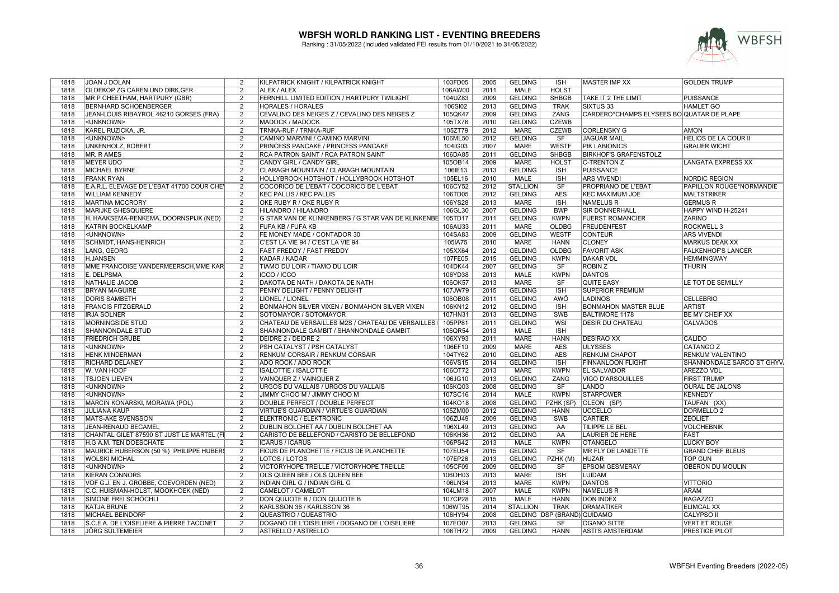

| 1818 | JOAN J DOLAN                               | 2              | KILPATRICK KNIGHT / KILPATRICK KNIGHT               | 103FD05 | 2005 | <b>GELDING</b>  | <b>ISH</b>                        | <b>MASTER IMP XX</b>                      | <b>GOLDEN TRUMP</b>        |
|------|--------------------------------------------|----------------|-----------------------------------------------------|---------|------|-----------------|-----------------------------------|-------------------------------------------|----------------------------|
| 1818 | <b>OLDEKOP ZG CAREN UND DIRK, GER</b>      | 2              | ALEX / ALEX                                         | 106AW00 | 2011 | <b>MALE</b>     | <b>HOLST</b>                      |                                           |                            |
| 1818 | MR P CHEETHAM, HARTPURY (GBR)              | 2              | FERNHILL LIMITED EDITION / HARTPURY TWILIGHT        | 104UZ83 | 2009 | <b>GELDING</b>  | <b>SHBGB</b>                      | TAKE IT 2 THE LIMIT                       | <b>PUISSANCE</b>           |
| 1818 | <b>BERNHARD SCHOENBERGER</b>               | $\overline{2}$ | <b>HORALES / HORALES</b>                            | 106SI02 | 2013 | <b>GELDING</b>  | <b>TRAK</b>                       | SIXTUS <sub>33</sub>                      | <b>HAMLET GO</b>           |
| 1818 | JEAN-LOUIS RIBAYROL 46210 GORSES (FRA)     | $\overline{2}$ | CEVALINO DES NEIGES Z / CEVALINO DES NEIGES Z       | 105QK47 | 2009 | <b>GELDING</b>  | <b>ZANG</b>                       | CARDERO*CHAMPS ELYSEES BO QUATAR DE PLAPE |                            |
| 1818 | <unknown></unknown>                        | 2              | MADOCK / MADOCK                                     | 105TX76 | 2010 | <b>GELDING</b>  | <b>CZEWB</b>                      |                                           |                            |
| 1818 | KAREL RUZICKA, JR.                         | $\overline{2}$ | TRNKA-RUF / TRNKA-RUF                               | 105ZT79 | 2012 | <b>MARE</b>     | <b>CZEWB</b>                      | <b>CORLENSKY G</b>                        | AMON                       |
|      |                                            |                |                                                     |         |      |                 |                                   |                                           |                            |
| 1818 | <unknown></unknown>                        | 2              | CAMINO MARVINI / CAMINO MARVINI                     | 106ML50 | 2012 | <b>GELDING</b>  | <b>SF</b>                         | <b>JAGUAR MAIL</b>                        | HELIOS DE LA COUR II       |
| 1818 | <b>UNKENHOLZ, ROBERT</b>                   | 2              | PRINCESS PANCAKE / PRINCESS PANCAKE                 | 104IG03 | 2007 | <b>MARE</b>     | <b>WESTF</b>                      | <b>PIK LABIONICS</b>                      | <b>GRAUER WICHT</b>        |
| 1818 | MR. R AMES                                 | $\overline{2}$ | <b>RCA PATRON SAINT / RCA PATRON SAINT</b>          | 106DA85 | 2011 | <b>GELDING</b>  | <b>SHBGB</b>                      | <b>BIRKHOF'S GRAFENSTOLZ</b>              |                            |
| 1818 | MEYER UDO                                  | $\overline{2}$ | CANDY GIRL / CANDY GIRL                             | 105OB14 | 2009 | <b>MARE</b>     | <b>HOLST</b>                      | C-TRENTON Z                               | <b>LANGATA EXPRESS XX</b>  |
| 1818 | <b>MICHAEL BYRNE</b>                       | 2              | CLARAGH MOUNTAIN / CLARAGH MOUNTAIN                 | 106IE13 | 2013 | <b>GELDING</b>  | <b>ISH</b>                        | <b>PUISSANCE</b>                          |                            |
| 1818 | <b>FRANK RYAN</b>                          | $\overline{2}$ | HOLLYBROOK HOTSHOT / HOLLYBROOK HOTSHOT             | 105EL16 | 2010 | <b>MALE</b>     | <b>ISH</b>                        | <b>ARS VIVENDI</b>                        | <b>NORDIC REGION</b>       |
| 1818 | E.A.R.L. ELEVAGE DE L'EBAT 41700 COUR CHEY | $\overline{2}$ | COCORICO DE L'EBAT / COCORICO DE L'EBAT             | 106CY52 | 2012 | <b>STALLION</b> | $\overline{\text{S}}$ F           | PROPRIANO DE L'EBAT                       | PAPILLON ROUGE*NORMANDIE   |
| 1818 | <b>WILLIAM KENNEDY</b>                     | 2              | <b>KEC PALLIS / KEC PALLIS</b>                      | 106TD05 | 2012 | <b>GELDING</b>  | AES                               | <b>KEC MAXIMUM JOE</b>                    | MALTSTRIKER                |
| 1818 | <b>MARTINA MCCRORY</b>                     | 2              | OKE RUBY R / OKE RUBY R                             | 106YS28 | 2013 | <b>MARE</b>     | <b>ISH</b>                        | <b>NAMELUS R</b>                          | <b>GERMUS R</b>            |
| 1818 | <b>MARIJKE GHESQUIERE</b>                  | 2              | HILANDRO / HILANDRO                                 | 106GL30 | 2007 | <b>GELDING</b>  | <b>BWP</b>                        | <b>SIR DONNERHALL</b>                     | HAPPY WIND H-25241         |
| 1818 | H. HAAKSEMA-RENKEMA, DOORNSPIJK (NED)      | 2              | G STAR VAN DE KLINKENBERG / G STAR VAN DE KLINKENBE | 105TD17 | 2011 | <b>GELDING</b>  | <b>KWPN</b>                       | <b>FUERST ROMANCIER</b>                   | <b>ZARINO</b>              |
| 1818 | <b>KATRIN BOCKELKAMP</b>                   | 2              | FUFA KB / FUFA KB                                   | 106AU33 | 2011 | <b>MARE</b>     | <b>OLDBG</b>                      | <b>FREUDENFEST</b>                        | <b>ROCKWELL 3</b>          |
|      |                                            |                |                                                     |         |      |                 |                                   |                                           |                            |
| 1818 | <unknown></unknown>                        | 2              | FE MONEY MADE / CONTADOR 30                         | 104SA83 | 2009 | <b>GELDING</b>  | <b>WESTF</b>                      | <b>CONTEUR</b>                            | <b>ARS VIVENDI</b>         |
| 1818 | <b>SCHMIDT, HANS-HEINRICH</b>              | $\overline{2}$ | C'EST LA VIE 94 / C'EST LA VIE 94                   | 105IA75 | 2010 | <b>MARE</b>     | <b>HANN</b>                       | <b>CLONEY</b>                             | <b>MARKUS DEAK XX</b>      |
| 1818 | LANG, GEORG                                | 2              | <b>FAST FREDDY / FAST FREDDY</b>                    | 105XX64 | 2012 | <b>GELDING</b>  | <b>OLDBG</b>                      | <b>FAVORIT ASK</b>                        | <b>FALKENHOF'S LANCER</b>  |
| 1818 | <b>H.JANSEN</b>                            | $\overline{2}$ | KADAR / KADAR                                       | 107FE05 | 2015 | <b>GELDING</b>  | <b>KWPN</b>                       | <b>DAKAR VDL</b>                          | <b>HEMMINGWAY</b>          |
| 1818 | <b>MME FRANCOISE VANDERMEERSCH.MME KAR</b> | 2              | TIAMO DU LOIR / TIAMO DU LOIR                       | 104DK44 | 2007 | <b>GELDING</b>  | SF                                | <b>ROBIN Z</b>                            | <b>THURIN</b>              |
| 1818 | E. DELPSMA                                 | 2              | <b>ICCO / ICCO</b>                                  | 106YD38 | 2013 | <b>MALE</b>     | <b>KWPN</b>                       | <b>DANTOS</b>                             |                            |
| 1818 | <b>NATHALIE JACOB</b>                      | $\overline{2}$ | DAKOTA DE NATH / DAKOTA DE NATH                     | 106OK57 | 2013 | <b>MARE</b>     | $\overline{\text{SF}}$            | <b>QUITE EASY</b>                         | LE TOT DE SEMILLY          |
| 1818 | <b>BRYAN MAGUIRE</b>                       | 2              | PENNY DELIGHT / PENNY DELIGHT                       | 107JW79 | 2015 | <b>GELDING</b>  | $\overline{\mathsf{ISH}}$         | <b>SUPERIOR PREMIUM</b>                   |                            |
| 1818 | <b>DORIS SAMBETH</b>                       | $\overline{2}$ | <b>LIONEL / LIONEL</b>                              | 106OB08 | 2011 | <b>GELDING</b>  | AWÖ                               | <b>LADINOS</b>                            | <b>CELLEBRIO</b>           |
| 1818 | <b>FRANCIS FITZGERALD</b>                  | 2              | BONMAHON SILVER VIXEN / BONMAHON SILVER VIXEN       | 106KN12 | 2012 | <b>GELDING</b>  | <b>ISH</b>                        | <b>BONMAHON MASTER BLUE</b>               | <b>ARTIST</b>              |
| 1818 | <b>IRJA SOLNER</b>                         | $\overline{2}$ | SOTOMAYOR / SOTOMAYOR                               | 107HN31 | 2013 | <b>GELDING</b>  | <b>SWB</b>                        | <b>BALTIMORE 1178</b>                     | <b>BE MY CHEIF XX</b>      |
| 1818 | <b>MORNINGSIDE STUD</b>                    | 2              | CHATEAU DE VERSAILLES M2S / CHATEAU DE VERSAILLES   | 105PP81 | 2011 | <b>GELDING</b>  | WSI                               | <b>DESIR DU CHATEAU</b>                   | <b>CALVADOS</b>            |
|      |                                            |                |                                                     |         | 2013 | <b>MALE</b>     | <b>ISH</b>                        |                                           |                            |
| 1818 | <b>SHANNONDALE STUD</b>                    | $\overline{2}$ | SHANNONDALE GAMBIT / SHANNONDALE GAMBIT             | 106QR54 |      |                 |                                   |                                           |                            |
| 1818 | <b>FRIEDRICH GRUBE</b>                     | $\overline{2}$ | DEIDRE 2 / DEIDRE 2                                 | 106XY93 | 2011 | <b>MARE</b>     | <b>HANN</b>                       | <b>DESIRAO XX</b>                         | <b>CALIDO</b>              |
| 1818 | <unknown></unknown>                        | 2              | PSH CATALYST / PSH CATALYST                         | 106EF10 | 2009 | <b>MARE</b>     | <b>AES</b>                        | <b>ULYSSES</b>                            | CATANGO Z                  |
| 1818 | <b>HENK MINDERMAN</b>                      | 2              | RENKUM CORSAIR / RENKUM CORSAIR                     | 104TY62 | 2010 | <b>GELDING</b>  | <b>AES</b>                        | <b>RENKUM CHAPOT</b>                      | RENKUM VALENTINO           |
| 1818 | <b>RICHARD DELANEY</b>                     | 2              | <b>ADO ROCK / ADO ROCK</b>                          | 106VS15 | 2014 | <b>GELDING</b>  | <b>ISH</b>                        | <b>FINNANLOON FLIGHT</b>                  | SHANNONDALE SARCO ST GHYV. |
| 1818 | W. VAN HOOF                                | $\overline{2}$ | <b>ISALOTTIE / ISALOTTIE</b>                        | 106OT72 | 2013 | <b>MARE</b>     | <b>KWPN</b>                       | <b>EL SALVADOR</b>                        | <b>AREZZO VDL</b>          |
| 1818 | <b>TSJOEN LIEVEN</b>                       | 2              | VAINQUER Z / VAINQUER Z                             | 106JG10 | 2013 | <b>GELDING</b>  | ZANG                              | VIGO D'ARSOUILLES                         | <b>FIRST TRUMP</b>         |
| 1818 | <unknown></unknown>                        | $\overline{2}$ | URGOS DU VALLAIS / URGOS DU VALLAIS                 | 106KQ03 | 2008 | <b>GELDING</b>  | $\overline{\mathsf{S}\mathsf{F}}$ | <b>LANDO</b>                              | <b>OURAL DE JALONS</b>     |
| 1818 | <unknown></unknown>                        | 2              | JIMMY CHOO M / JIMMY CHOO M                         | 107SC16 | 2014 | <b>MALE</b>     | <b>KWPN</b>                       | <b>STARPOWER</b>                          | <b>KENNEDY</b>             |
| 1818 | MARCIN KONARSKI, MORAWA (POL)              | 2              | DOUBLE PERFECT / DOUBLE PERFECT                     | 104KO18 | 2008 | <b>GELDING</b>  | PZHK (SP)                         | <b>OLEON (SP)</b>                         | TAUFAN (XX)                |
| 1818 | <b>JULIANA KAUP</b>                        | 2              | VIRTUE'S GUARDIAN / VIRTUE'S GUARDIAN               | 105ZM00 | 2012 | <b>GELDING</b>  | <b>HANN</b>                       | <b>UCCELLO</b>                            | <b>DORMELLO 2</b>          |
| 1818 | MATS-ÅKE SVENSSON                          | 2              | <b>ELEKTRONIC / ELEKTRONIC</b>                      | 106ZU49 | 2009 | <b>GELDING</b>  | SWB                               | <b>CARTIER</b>                            | <b>ZEOLIET</b>             |
|      |                                            | 2              |                                                     |         | 2013 | <b>GELDING</b>  | AA                                | <b>TILIPPE LE BEL</b>                     | <b>VOLCHEBNIK</b>          |
| 1818 | JEAN-RENAUD BECAMEL                        |                | DUBLIN BOLCHET AA / DUBLIN BOLCHET AA               | 106XL49 |      |                 |                                   |                                           |                            |
| 1818 | CHANTAL GILET 87590 ST JUST LE MARTEL (FI  | 2              | CARISTO DE BELLEFOND / CARISTO DE BELLEFOND         | 106KH36 | 2012 | <b>GELDING</b>  | AA                                | LAURIER DE HERE                           | FAST                       |
| 1818 | H.G A.M. TEN DOESCHATE                     | $\overline{2}$ | <b>ICARUS / ICARUS</b>                              | 106PS42 | 2013 | <b>MALE</b>     | <b>KWPN</b>                       | <b>OTANGELO</b>                           | <b>LUCKY BOY</b>           |
| 1818 | MAURICE HUBERSON (50 %) PHILIPPE HUBER     | 2              | <b>FICUS DE PLANCHETTE / FICUS DE PLANCHETTE</b>    | 107EU54 | 2015 | <b>GELDING</b>  | $\overline{\text{S}}$ F           | MR FLY DE LANDETTE                        | <b>GRAND CHEF BLEUS</b>    |
| 1818 | <b>WOLSKI MICHAL</b>                       | 2              | LOTOS / LOTOS                                       | 107EP26 | 2013 | <b>GELDING</b>  | PZHK (M)                          | <b>HUZAR</b>                              | <b>TOP GUN</b>             |
| 1818 | <unknown></unknown>                        | 2              | VICTORYHOPE TREILLE / VICTORYHOPE TREILLE           | 105CF09 | 2009 | <b>GELDING</b>  | SF                                | <b>EPSOM GESMERAY</b>                     | <b>OBERON DU MOULIN</b>    |
| 1818 | <b>KIERAN CONNORS</b>                      | $\overline{2}$ | OLS QUEEN BEE / OLS QUEEN BEE                       | 106OH03 | 2013 | <b>MARE</b>     | <b>ISH</b>                        | <b>LUIDAM</b>                             |                            |
| 1818 | VOF G.J. EN J. GROBBE, COEVORDEN (NED)     | $\overline{2}$ | <b>INDIAN GIRL G / INDIAN GIRL G</b>                | 106LN34 | 2013 | <b>MARE</b>     | <b>KWPN</b>                       | <b>DANTOS</b>                             | <b>VITTORIO</b>            |
| 1818 | C.C. HUISMAN-HOLST, MOOKHOEK (NED)         | 2              | CAMELOT / CAMELOT                                   | 104LM18 | 2007 | <b>MALE</b>     | <b>KWPN</b>                       | <b>NAMELUS R</b>                          | ARAM                       |
| 1818 | SIMONE FREI SCHÖCHLI                       | 2              | DON QUIJOTE B / DON QUIJOTE B                       | 107CP28 | 2015 | <b>MALE</b>     | <b>HANN</b>                       | <b>DON INDEX</b>                          | <b>RAGAZZO</b>             |
| 1818 | <b>KATJA BRUNE</b>                         | 2              | KARLSSON 36 / KARLSSON 36                           | 106WT95 | 2014 | <b>STALLION</b> | <b>TRAK</b>                       | <b>DRAMATIKER</b>                         | <b>ELIMCAL XX</b>          |
|      |                                            |                |                                                     |         |      |                 |                                   |                                           |                            |
| 1818 | MICHAEL BEINDORF                           | 2              | QUEASTRIO / QUEASTRIO                               | 106HY94 | 2008 |                 | GELDING DSP (BRAND) QUIDAMO       |                                           | <b>CALYPSO II</b>          |
| 1818 | S.C.E.A. DE L'OISELIERE & PIERRE TACONET   | $\overline{2}$ | DOGANO DE L'OISELIERE / DOGANO DE L'OISELIERE       | 107EO07 | 2013 | <b>GELDING</b>  | SF                                | <b>OGANO SITTE</b>                        | <b>VERT ET ROUGE</b>       |
| 1818 | <b>JÖRG SÜLTEMEIER</b>                     | $\overline{2}$ | <b>ASTRELLO / ASTRELLO</b>                          | 106TH72 | 2009 | <b>GELDING</b>  | <b>HANN</b>                       | <b>ASTI'S AMSTERDAM</b>                   | <b>PRESTIGE PILOT</b>      |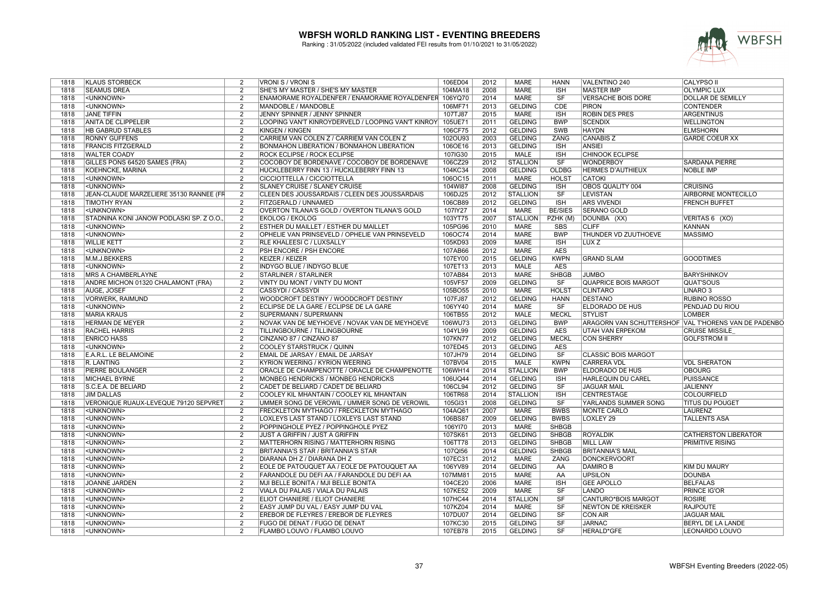

| 1818         | <b>KLAUS STORBECK</b>                    | 2              | VRONI S / VRONI S                                                       | 106ED04            | 2012 | <b>MARE</b>     | <b>HANN</b>            | VALENTINO 240               | <b>CALYPSO II</b>                                    |
|--------------|------------------------------------------|----------------|-------------------------------------------------------------------------|--------------------|------|-----------------|------------------------|-----------------------------|------------------------------------------------------|
| 1818         | <b>SEAMUS DREA</b>                       | 2              | SHE'S MY MASTER / SHE'S MY MASTER                                       | 104MA18            | 2008 | <b>MARE</b>     | <b>ISH</b>             | <b>MASTER IMP</b>           | <b>OLYMPIC LUX</b>                                   |
| 1818         | <unknown></unknown>                      | $\overline{2}$ | ENAMORAME ROYALDENFER / ENAMORAME ROYALDENFER 106YQ70                   |                    | 2014 | <b>MARE</b>     | SF                     | <b>VERSACHE BOIS DORE</b>   | <b>DOLLAR DE SEMILLY</b>                             |
| 1818         | <unknown></unknown>                      | $\overline{2}$ | MANDOBLE / MANDOBLE                                                     | 106MF71            | 2013 | <b>GELDING</b>  | CDE                    | <b>PIRON</b>                | <b>CONTENDER</b>                                     |
| 1818         | <b>JANE TIFFIN</b>                       | $\overline{2}$ | JENNY SPINNER / JENNY SPINNER                                           | 107TJ87            | 2015 | <b>MARE</b>     | <b>ISH</b>             | <b>ROBIN DES PRES</b>       | <b>ARGENTINUS</b>                                    |
| 1818         | <b>ANITA DE CLIPPELEIR</b>               | 2              | LOOPING VAN'T KINROYDERVELD / LOOPING VAN'T KINROY                      | 105UE71            | 2011 | <b>GELDING</b>  | <b>BWP</b>             | <b>SCENDIX</b>              | <b>WELLINGTON</b>                                    |
| 1818         | <b>HB GABRUD STABLES</b>                 | $\overline{2}$ | <b>KINGEN / KINGEN</b>                                                  | 106CF75            | 2012 | <b>GELDING</b>  | SWB                    | <b>HAYDN</b>                | <b>ELMSHORN</b>                                      |
| 1818         | <b>RONNY GUFFENS</b>                     | $\overline{2}$ | CARRIEM VAN COLEN Z / CARRIEM VAN COLEN Z                               | 102OU93            | 2003 | <b>GELDING</b>  | ZANG                   | <b>CANABIS Z</b>            | <b>GARDE COEUR XX</b>                                |
| 1818         | <b>FRANCIS FITZGERALD</b>                | $\overline{2}$ | <b>BONMAHON LIBERATION / BONMAHON LIBERATION</b>                        | 106OE16            | 2013 | <b>GELDING</b>  | <b>ISH</b>             | <b>ANSIEI</b>               |                                                      |
| 1818         | <b>WALTER COADY</b>                      | 2              | ROCK ECLIPSE / ROCK ECLIPSE                                             | 107IG30            | 2015 | MALE            | <b>ISH</b>             | <b>CHINOOK ECLIPSE</b>      |                                                      |
| 1818         | GILLES PONS 64520 SAMES (FRA)            | 2              | COCOBOY DE BORDENAVE / COCOBOY DE BORDENAVE                             | 106CZ29            | 2012 | <b>STALLION</b> | SF                     | <b>WONDERBOY</b>            | <b>SARDANA PIERRE</b>                                |
| 1818         | <b>KOEHNCKE, MARINA</b>                  | $\overline{2}$ | HUCKLEBERRY FINN 13 / HUCKLEBERRY FINN 13                               | 104KC34            | 2008 | <b>GELDING</b>  | <b>OLDBG</b>           | <b>HERMES D'AUTHIEUX</b>    | <b>NOBLE IMP</b>                                     |
| 1818         | <unknown></unknown>                      | $\overline{2}$ | CICCIOTTELLA / CICCIOTTELLA                                             | 106OC15            | 2011 | <b>MARE</b>     | <b>HOLST</b>           | <b>CATOKI</b>               |                                                      |
| 1818         | <unknown></unknown>                      | $\overline{2}$ | <b>SLANEY CRUISE / SLANEY CRUISE</b>                                    | 104WI87            | 2008 | <b>GELDING</b>  | <b>ISH</b>             | OBOS QUALITY 004            | <b>CRUISING</b>                                      |
| 1818         | JEAN-CLAUDE MARZELIERE 35130 RANNEE (FR  | 2              | CLEEN DES JOUSSARDAIS / CLEEN DES JOUSSARDAIS                           | 106DJ25            | 2012 | <b>STALLION</b> | SF                     | <b>LEVISTAN</b>             | AIRBORNE MONTECILLO                                  |
| 1818         | <b>TIMOTHY RYAN</b>                      | 2              | FITZGERALD / UNNAMED                                                    | 106CB89            | 2012 | <b>GELDING</b>  | <b>ISH</b>             | <b>ARS VIVENDI</b>          | <b>FRENCH BUFFET</b>                                 |
|              | <unknown></unknown>                      | $\overline{2}$ |                                                                         |                    | 2014 | <b>MARE</b>     | <b>BE/SIES</b>         | <b>SERANO GOLD</b>          |                                                      |
| 1818<br>1818 |                                          | 2              | OVERTON TILANA'S GOLD / OVERTON TILANA'S GOLD<br><b>EKOLOG / EKOLOG</b> | 107IY27<br>103YT75 | 2007 | <b>STALLION</b> |                        |                             |                                                      |
|              | STADNINA KONI JANOW PODLASKI SP. Z O.O., |                |                                                                         |                    |      |                 | PZHK (M)               | DOUNBA (XX)                 | VERITAS 6 (XO)                                       |
| 1818         | <unknown></unknown>                      | 2              | ESTHER DU MAILLET / ESTHER DU MAILLET                                   | 105PG96            | 2010 | <b>MARE</b>     | <b>SBS</b>             | <b>CLIFF</b>                | <b>KANNAN</b>                                        |
| 1818         | <unknown></unknown>                      | 2              | OPHELIE VAN PRINSEVELD / OPHELIE VAN PRINSEVELD                         | 106OC74            | 2014 | <b>MARE</b>     | <b>BWP</b>             | THUNDER VD ZUUTHOEVE        | <b>MASSIMO</b>                                       |
| 1818         | <b>WILLIE KETT</b>                       | $\overline{2}$ | <b>RLE KHALEESI C / LUXSALLY</b>                                        | 105KD93            | 2009 | <b>MARE</b>     | <b>ISH</b>             | LUX <sub>Z</sub>            |                                                      |
| 1818         | <unknown></unknown>                      | $\overline{2}$ | PSH ENCORE / PSH ENCORE                                                 | 107AB66            | 2012 | <b>MARE</b>     | <b>AES</b>             |                             |                                                      |
| 1818         | M.M.J.BEKKERS                            | $\overline{2}$ | <b>KEIZER / KEIZER</b>                                                  | 107EY00            | 2015 | <b>GELDING</b>  | <b>KWPN</b>            | <b>GRAND SLAM</b>           | <b>GOODTIMES</b>                                     |
| 1818         | <unknown></unknown>                      | 2              | INDYGO BLUE / INDYGO BLUE                                               | 107ET13            | 2013 | MALE            | <b>AES</b>             |                             |                                                      |
| 1818         | MRS A CHAMBERLAYNE                       | 2              | <b>STARLINER / STARLINER</b>                                            | 107AB84            | 2013 | <b>MARE</b>     | <b>SHBGB</b>           | <b>JUMBO</b>                | <b>BARYSHINKOV</b>                                   |
| 1818         | ANDRE MICHON 01320 CHALAMONT (FRA)       | $\overline{2}$ | VINTY DU MONT / VINTY DU MONT                                           | 105VF57            | 2009 | <b>GELDING</b>  | SF                     | <b>QUAPRICE BOIS MARGOT</b> | <b>QUAT'SOUS</b>                                     |
| 1818         | <b>AUGE, JOSEF</b>                       | $\overline{2}$ | <b>CASSYDI / CASSYDI</b>                                                | 105BO55            | 2010 | <b>MARE</b>     | <b>HOLST</b>           | <b>CLINTARO</b>             | LINARO <sub>3</sub>                                  |
| 1818         | <b>VORWERK, RAIMUND</b>                  | 2              | WOODCROFT DESTINY / WOODCROFT DESTINY                                   | 107FJ87            | 2012 | <b>GELDING</b>  | <b>HANN</b>            | DESTANO                     | <b>RUBINO ROSSO</b>                                  |
| 1818         | <unknown></unknown>                      | 2              | ECLIPSE DE LA GARE / ECLIPSE DE LA GARE                                 | 106YY40            | 2014 | MARE            | SF                     | ELDORADO DE HUS             | PENDJAD DU RIOU                                      |
| 1818         | <b>MARIA KRAUS</b>                       |                | SUPERMANN / SUPERMANN                                                   | 106TB55            | 2012 | <b>MALE</b>     | <b>MECKL</b>           | <b>STYLIST</b>              | <b>LOMBER</b>                                        |
|              |                                          | $\overline{2}$ |                                                                         |                    |      |                 |                        |                             |                                                      |
| 1818         | <b>HERMAN DE MEYER</b>                   | $\overline{2}$ | NOVAK VAN DE MEYHOEVE / NOVAK VAN DE MEYHOEVE                           | 106WU73            | 2013 | <b>GELDING</b>  | <b>BWP</b>             |                             | ARAGORN VAN SCHUTTERSHOF VAL T'HORENS VAN DE PADENBO |
| 1818         | <b>RACHEL HARRIS</b>                     | $\overline{2}$ | TILLINGBOURNE / TILLINGBOURNE                                           | 104YL99            | 2009 | <b>GELDING</b>  | <b>AES</b>             | <b>UTAH VAN ERPEKOM</b>     | <b>CRUISE MISSILE</b>                                |
|              |                                          | $\overline{2}$ |                                                                         |                    |      |                 |                        |                             |                                                      |
| 1818         | <b>ENRICO HASS</b>                       |                | CINZANO 87 / CINZANO 87                                                 | 107KN77            | 2012 | <b>GELDING</b>  | <b>MECKL</b>           | <b>CON SHERRY</b>           | <b>GOLFSTROM II</b>                                  |
| 1818         | <unknown></unknown>                      | 2              | COOLEY STARSTRUCK / QUINN                                               | 107ED45            | 2013 | <b>GELDING</b>  | AES                    |                             |                                                      |
| 1818         | E.A.R.L. LE BELAMOINE                    | 2              | EMAIL DE JARSAY / EMAIL DE JARSAY                                       | 107JH79            | 2014 | <b>GELDING</b>  | <b>SF</b>              | <b>CLASSIC BOIS MARGOT</b>  |                                                      |
| 1818         | R. LANTING                               | $\overline{2}$ | KYRION WEERING / KYRION WEERING                                         | 107BV04            | 2015 | <b>MALE</b>     | <b>KWPN</b>            | <b>CARRERA VDL</b>          | <b>VDL SHERATON</b>                                  |
| 1818         | PIERRE BOULANGER                         | $\overline{2}$ | ORACLE DE CHAMPENOTTE / ORACLE DE CHAMPENOTTE                           | 106WH14            | 2014 | <b>STALLION</b> | <b>BWP</b>             | ELDORADO DE HUS             | <b>OBOURG</b>                                        |
| 1818         | <b>MICHAEL BYRNE</b>                     | 2              | MONBEG HENDRICKS / MONBEG HENDRICKS                                     | 106UQ44            | 2014 | <b>GELDING</b>  | <b>ISH</b>             | <b>HARLEQUIN DU CAREL</b>   | <b>PUISSANCE</b>                                     |
| 1818         | S.C.E.A. DE BELIARD                      | $\overline{2}$ | CADET DE BELIARD / CADET DE BELIARD                                     | 106CL94            | 2012 | <b>GELDING</b>  | SF                     | <b>JAGUAR MAIL</b>          | <b>JALIENNY</b>                                      |
| 1818         | <b>JIM DALLAS</b>                        | 2              | COOLEY KIL MHANTAIN / COOLEY KIL MHANTAIN                               | 106TR68            | 2014 | <b>STALLION</b> | <b>ISH</b>             | <b>CENTRESTAGE</b>          | <b>COLOURFIELD</b>                                   |
| 1818         | VERONIQUE RUAUX-LEVEQUE 79120 SEPVRET    | $\overline{2}$ | UMMER SONG DE VEROWIL / UMMER SONG DE VEROWIL                           | 105GI31            | 2008 | <b>GELDING</b>  | SF                     | YARLANDS SUMMER SONG        | <b>TITUS DU POUGET</b>                               |
| 1818         | <unknown></unknown>                      | $\overline{2}$ | <b>FRECKLETON MYTHAGO / FRECKLETON MYTHAGO</b>                          | 104AQ61            | 2007 | <b>MARE</b>     | <b>BWBS</b>            | <b>MONTE CARLO</b>          | <b>LAURENZ</b>                                       |
| 1818         | <unknown></unknown>                      | $\overline{2}$ | LOXLEYS LAST STAND / LOXLEYS LAST STAND                                 | 106BS87            | 2009 | <b>GELDING</b>  | <b>BWBS</b>            | LOXLEY 29                   | <b>TALLENTS ASA</b>                                  |
| 1818         | <unknown></unknown>                      | $\overline{2}$ | POPPINGHOLE PYEZ / POPPINGHOLE PYEZ                                     | 106YI70            | 2013 | <b>MARE</b>     | <b>SHBGB</b>           |                             |                                                      |
| 1818         | <unknown></unknown>                      | 2              | JUST A GRIFFIN / JUST A GRIFFIN                                         | 107SK61            | 2013 | <b>GELDING</b>  | <b>SHBGB</b>           | <b>ROYALDIK</b>             | <b>CATHERSTON LIBERATOR</b>                          |
| 1818         | <unknown></unknown>                      | $\overline{2}$ | MATTERHORN RISING / MATTERHORN RISING                                   | 106TT78            | 2013 | <b>GELDING</b>  | <b>SHBGB</b>           | <b>MILL LAW</b>             | PRIMITIVE RISING                                     |
| 1818         | <unknown></unknown>                      | $\overline{2}$ | BRITANNIA'S STAR / BRITANNIA'S STAR                                     | 107QI56            | 2014 | <b>GELDING</b>  | <b>SHBGB</b>           | <b>BRITANNIA'S MAIL</b>     |                                                      |
| 1818         | <unknown></unknown>                      | $\overline{2}$ | DIARANA DH Z / DIARANA DH Z                                             | 107EC31            | 2012 | <b>MARE</b>     | ZANG                   | <b>DONCKERVOORT</b>         |                                                      |
| 1818         | <unknown></unknown>                      | $\overline{2}$ | EOLE DE PATOUQUET AA / EOLE DE PATOUQUET AA                             | 106YV89            | 2014 | <b>GELDING</b>  | AA                     | <b>DAMIRO B</b>             | <b>KIM DU MAURY</b>                                  |
| 1818         | <unknown></unknown>                      | $\overline{2}$ | FARANDOLE DU DEFI AA / FARANDOLE DU DEFI AA                             | 107MM81            | 2015 | <b>MARE</b>     | AA                     | <b>UPSILON</b>              | <b>DOUNBA</b>                                        |
| 1818         | <b>JOANNE JARDEN</b>                     | $\overline{2}$ | MJI BELLE BONITA / MJI BELLE BONITA                                     | 104CE20            | 2006 | <b>MARE</b>     | <b>ISH</b>             | <b>GEE APOLLO</b>           | <b>BELFALAS</b>                                      |
| 1818         | <unknown></unknown>                      | 2              | VIALA DU PALAIS / VIALA DU PALAIS                                       | 107KE52            | 2009 | <b>MARE</b>     | SF                     | LANDO                       | PRINCE IG'OR                                         |
| 1818         | <unknown></unknown>                      | $\overline{2}$ | ELIOT CHANIERE / ELIOT CHANIERE                                         | 107HC44            | 2014 | <b>STALLION</b> | SF                     | CANTURO*BOIS MARGOT         | <b>ROSIRE</b>                                        |
| 1818         | <unknown></unknown>                      | 2              | EASY JUMP DU VAL / EASY JUMP DU VAL                                     | 107KZ04            | 2014 | <b>MARE</b>     | <b>SF</b>              | NEWTON DE KREISKER          | <b>RAJPOUTE</b>                                      |
| 1818         | <unknown></unknown>                      | 2              | EREBOR DE FLEYRES / EREBOR DE FLEYRES                                   | 107DU07            | 2014 | <b>GELDING</b>  | SF                     | <b>CON AIR</b>              | <b>JAGUAR MAIL</b>                                   |
| 1818         | <unknown></unknown>                      | $\overline{2}$ | FUGO DE DENAT / FUGO DE DENAT                                           | 107KC30            | 2015 | <b>GELDING</b>  | SF                     | <b>JARNAC</b>               | <b>BERYL DE LA LANDE</b>                             |
| 1818         | <unknown></unknown>                      | $\overline{2}$ | FLAMBO LOUVO / FLAMBO LOUVO                                             | 107EB78            | 2015 | <b>GELDING</b>  | $\overline{\text{SF}}$ | <b>HERALD*GFE</b>           | LEONARDO LOUVO                                       |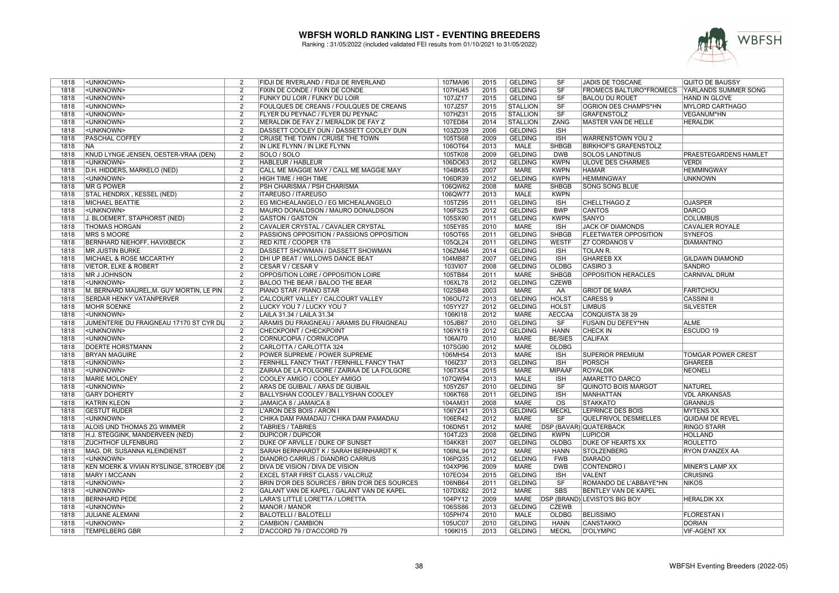

| 1818         | <unknown></unknown>                      | 2              | FIDJI DE RIVERLAND / FIDJI DE RIVERLAND       | 107MA96        | 2015 | <b>GELDING</b>  | SF                      | <b>JADIS DE TOSCANE</b>             | <b>QUITO DE BAUSSY</b>       |
|--------------|------------------------------------------|----------------|-----------------------------------------------|----------------|------|-----------------|-------------------------|-------------------------------------|------------------------------|
| 1818         | <unknown></unknown>                      | $\overline{2}$ | FIXIN DE CONDE / FIXIN DE CONDE               | 107HU45        | 2015 | <b>GELDING</b>  | <b>SF</b>               | FROMECS BALTURO*FROMECS             | YARLANDS SUMMER SONG         |
| 1818         | <unknown></unknown>                      | $\overline{2}$ | <b>FUNKY DU LOIR / FUNKY DU LOIR</b>          | 107JZ17        | 2015 | <b>GELDING</b>  | SF                      | <b>BALOU DU ROUET</b>               | <b>HAND IN GLOVE</b>         |
| 1818         | <unknown></unknown>                      | $\overline{2}$ | FOULQUES DE CREANS / FOULQUES DE CREANS       | 107JZ57        | 2015 | <b>STALLION</b> | $\overline{\text{SF}}$  | OGRION DES CHAMPS*HN                | <b>MYLORD CARTHAGO</b>       |
| 1818         | <unknown></unknown>                      | $\overline{2}$ | FLYER DU PEYNAC / FLYER DU PEYNAC             | 107HZ31        | 2015 | <b>STALLION</b> | $\overline{\text{S}}$ F | <b>GRAFENSTOLZ</b>                  | <b>VEGANUM*HN</b>            |
| 1818         | <unknown></unknown>                      | $\overline{2}$ | MERALDIK DE FAY Z / MERALDIK DE FAY Z         | 107ED84        | 2014 | <b>STALLION</b> | <b>ZANG</b>             | MASTER VAN DE HELLE                 | <b>HERALDIK</b>              |
| 1818         | <unknown></unknown>                      | $\overline{2}$ | DASSETT COOLEY DUN / DASSETT COOLEY DUN       | 103ZD39        | 2006 | <b>GELDING</b>  | <b>ISH</b>              |                                     |                              |
| 1818         | <b>PASCHAL COFFEY</b>                    | $\overline{2}$ | CRUISE THE TOWN / CRUISE THE TOWN             | 105TS68        | 2009 | <b>GELDING</b>  | <b>ISH</b>              | WARRENSTOWN YOU 2                   |                              |
| 1818         | <b>NA</b>                                | 2              | IN LIKE FLYNN / IN LIKE FLYNN                 | 106OT64        | 2013 | <b>MALE</b>     | <b>SHBGB</b>            | <b>BIRKHOF'S GRAFENSTOLZ</b>        |                              |
| 1818         | KNUD LYNGE JENSEN, OESTER-VRAA (DEN)     | $\overline{2}$ | SOLO / SOLO                                   | 105TK08        | 2009 | <b>GELDING</b>  | <b>DWB</b>              | <b>SOLOS LANDTINUS</b>              | <b>PRAESTEGARDENS HAMLET</b> |
| 1818         | <unknown></unknown>                      | 2              | HABLEUR / HABLEUR                             | 106DO63        | 2012 | <b>GELDING</b>  | <b>KWPN</b>             | <b>ULOVE DES CHARMES</b>            | <b>VERDI</b>                 |
| 1818         | D.H. HIDDERS, MARKELO (NED)              | $\overline{2}$ | CALL ME MAGGIE MAY / CALL ME MAGGIE MAY       | 104BK85        | 2007 | <b>MARE</b>     | <b>KWPN</b>             | <b>HAMAR</b>                        | <b>HEMMINGWAY</b>            |
| 1818         | <unknown></unknown>                      | $\overline{2}$ | <b>HIGH TIME / HIGH TIME</b>                  | 106DR39        | 2012 | <b>GELDING</b>  | <b>KWPN</b>             | <b>HEMMINGWAY</b>                   | <b>UNKNOWN</b>               |
| 1818         | <b>MR G POWER</b>                        | $\overline{2}$ | PSH CHARISMA / PSH CHARISMA                   | 106QW62        | 2008 | <b>MARE</b>     | <b>SHBGB</b>            | <b>SONG SONG BLUE</b>               |                              |
| 1818         | STAL HENDRIX, KESSEL (NED)               | $\overline{2}$ | <b>ITAREUSO / ITAREUSO</b>                    | 106QW77        | 2013 | <b>MALE</b>     | <b>KWPN</b>             |                                     |                              |
| 1818         | MICHAEL BEATTIE                          | $\overline{2}$ | EG MICHEALANGELO / EG MICHEALANGELO           | 105TZ95        | 2011 | <b>GELDING</b>  | <b>ISH</b>              | CHELLTHAGO Z                        | <b>OJASPER</b>               |
|              |                                          |                |                                               |                |      |                 |                         |                                     |                              |
| 1818         | <unknown></unknown>                      | 2              | MAURO DONALDSON / MAURO DONALDSON             | 106FS25        | 2012 | <b>GELDING</b>  | <b>BWP</b>              | <b>CANTOS</b>                       | <b>DARCO</b>                 |
| 1818         | J. BLOEMERT, STAPHORST (NED)             | $\overline{2}$ | <b>GASTON / GASTON</b>                        | 105SX90        | 2011 | <b>GELDING</b>  | <b>KWPN</b>             | <b>SANYO</b>                        | <b>COLUMBUS</b>              |
| 1818         | <b>THOMAS HORGAN</b>                     | 2              | CAVALIER CRYSTAL / CAVALIER CRYSTAL           | 105EY85        | 2010 | <b>MARE</b>     | <b>ISH</b>              | <b>JACK OF DIAMONDS</b>             | <b>CAVALIER ROYALE</b>       |
| 1818         | <b>MRS S MOORE</b>                       | $\overline{2}$ | PASSIONS OPPOSITION / PASSIONS OPPOSITION     | 105OT65        | 2011 | <b>GELDING</b>  | <b>SHBGB</b>            | <b>FLEETWATER OPPOSITION</b>        | <b>SYNEFOS</b>               |
| 1818         | <b>BERNHARD NIEHOFF, HAVIXBECK</b>       | $\overline{2}$ | <b>RED KITE / COOPER 178</b>                  | 105QL24        | 2011 | <b>GELDING</b>  | <b>WESTF</b>            | <b>Z7 CORDANOS V</b>                | <b>DIAMANTINO</b>            |
| 1818         | <b>MR JUSTIN BURKE</b>                   | $\overline{2}$ | DASSETT SHOWMAN / DASSETT SHOWMAN             | 106ZM46        | 2014 | <b>GELDING</b>  | <b>ISH</b>              | <b>TOLAN R.</b>                     |                              |
| 1818         | <b>MICHAEL &amp; ROSE MCCARTHY</b>       | $\overline{2}$ | DHI UP BEAT / WILLOWS DANCE BEAT              | 104MB87        | 2007 | <b>GELDING</b>  | <b>ISH</b>              | <b>GHAREEB XX</b>                   | <b>GILDAWN DIAMOND</b>       |
| 1818         | <b>VIETOR, ELKE &amp; ROBERT</b>         | $\overline{2}$ | CESAR V / CESAR V                             | 103VI07        | 2008 | <b>GELDING</b>  | <b>OLDBG</b>            | CASIRO <sub>3</sub>                 | <b>SANDRO</b>                |
| 1818         | <b>MR J JOHNSON</b>                      | $\overline{2}$ | OPPOSITION LOIRE / OPPOSITION LOIRE           | 105TB84        | 2011 | <b>MARE</b>     | <b>SHBGB</b>            | <b>OPPOSITION HERACLES</b>          | <b>CARNIVAL DRUM</b>         |
| 1818         | <unknown></unknown>                      | $\overline{2}$ | BALOO THE BEAR / BALOO THE BEAR               | 106XL78        | 2012 | <b>GELDING</b>  | <b>CZEWB</b>            |                                     |                              |
| 1818         | M. BERNARD MAUREL, M. GUY MORTIN, LE PIN | $\overline{2}$ | PIANO STAR / PIANO STAR                       | 102SB48        | 2003 | <b>MARE</b>     | AA                      | <b>GRIOT DE MARA</b>                | <b>FARITCHOU</b>             |
| 1818         | <b>SERDAR HENKY VATANPERVER</b>          | $\overline{2}$ | CALCOURT VALLEY / CALCOURT VALLEY             | 106OU72        | 2013 | <b>GELDING</b>  | <b>HOLST</b>            | <b>CARESS 9</b>                     | <b>CASSINI II</b>            |
| 1818         | <b>MOHR SOENKE</b>                       | $\overline{2}$ | LUCKY YOU 7 / LUCKY YOU 7                     | 105YY27        | 2012 | <b>GELDING</b>  | <b>HOLST</b>            | <b>LIMBUS</b>                       | <b>SILVESTER</b>             |
| 1818         | <unknown></unknown>                      | $\overline{2}$ | LAILA 31.34 / LAILA 31.34                     | 106KI18        | 2012 | <b>MARE</b>     | AECCAá                  | <b>CONQUISTA 38 29</b>              |                              |
| 1818         | JUMENTERIE DU FRAIGNEAU 17170 ST CYR DU  | $\overline{2}$ | ARAMIS DU FRAIGNEAU / ARAMIS DU FRAIGNEAU     | 105JB67        | 2010 | <b>GELDING</b>  | SF                      | <b>FUSAIN DU DEFEY*HN</b>           | <b>ALME</b>                  |
| 1818         | <unknown></unknown>                      | $\overline{2}$ | CHECKPOINT / CHECKPOINT                       | 106YK19        | 2012 | <b>GELDING</b>  | <b>HANN</b>             | <b>CHECK IN</b>                     | <b>ESCUDO 19</b>             |
| 1818         | <unknown></unknown>                      | $\overline{2}$ | CORNUCOPIA / CORNUCOPIA                       | 106AI70        | 2010 | <b>MARE</b>     | <b>BE/SIES</b>          | <b>CALIFAX</b>                      |                              |
| 1818         | <b>DOERTE HORSTMANN</b>                  | 2              | CARLOTTA / CARLOTTA 324                       | 107SG90        | 2012 | <b>MARE</b>     | <b>OLDBG</b>            |                                     |                              |
| 1818         | <b>BRYAN MAGUIRE</b>                     | $\overline{2}$ | POWER SUPREME / POWER SUPREME                 | 106MH54        | 2013 | <b>MARE</b>     | <b>ISH</b>              | <b>SUPERIOR PREMIUM</b>             | <b>TOMGAR POWER CREST</b>    |
| 1818         | <unknown></unknown>                      | $\overline{2}$ | FERNHILL FANCY THAT / FERNHILL FANCY THAT     | 106IZ37        | 2013 | <b>GELDING</b>  | <b>ISH</b>              | <b>PORSCH</b>                       | <b>GHAREEB</b>               |
| 1818         | <unknown></unknown>                      | 2              | ZAIRAA DE LA FOLGORE / ZAIRAA DE LA FOLGORE   | 106TX54        | 2015 | <b>MARE</b>     | <b>MIPAAF</b>           | <b>ROYALDIK</b>                     | <b>NEONELI</b>               |
| 1818         | <b>MARIE MOLONEY</b>                     | $\overline{2}$ | COOLEY AMIGO / COOLEY AMIGO                   | 107QW94        | 2013 | <b>MALE</b>     | <b>ISH</b>              | <b>AMARETTO DARCO</b>               |                              |
| 1818         | <unknown></unknown>                      | $\overline{2}$ | <b>ARAS DE GUIBAIL / ARAS DE GUIBAIL</b>      | 105YZ67        | 2010 | <b>GELDING</b>  | SF                      | <b>QUINOTO BOIS MARGOT</b>          | NATUREL                      |
|              | <b>GARY DOHERTY</b>                      | $\overline{2}$ |                                               |                | 2011 | <b>GELDING</b>  | <b>ISH</b>              |                                     | <b>VDL ARKANSAS</b>          |
| 1818<br>1818 |                                          | $\overline{2}$ | BALLYSHAN COOLEY / BALLYSHAN COOLEY           | 106KT68        | 2008 | <b>MARE</b>     | $\overline{\text{OS}}$  | <b>MANHATTAN</b><br><b>STAKKATO</b> | <b>GRANNUS</b>               |
|              | <b>KATRIN KLEON</b>                      | $\overline{2}$ | JAMAICA 8 / JAMAICA 8                         | 104AM31        | 2013 | <b>GELDING</b>  | <b>MECKL</b>            |                                     |                              |
| 1818         | <b>GESTÜT RÜDER</b>                      |                | L'ARON DES BOIS / ARON I                      | 106YZ41        |      |                 |                         | <b>LEPRINCE DES BOIS</b>            | <b>MYTENS XX</b>             |
| 1818         | <unknown></unknown>                      | 2              | CHIKA DAM PAMADAU / CHIKA DAM PAMADAU         | 106ER42        | 2012 | MARE            | <b>SF</b>               | <b>QUELFRIVOL DESMIELLES</b>        | <b>QUIDAM DE REVEL</b>       |
| 1818         | ALOIS UND THOMAS ZG WIMMER               | $\overline{2}$ | <b>TABRIES / TABRIES</b>                      | 106DN51        | 2012 | MARE            |                         | DSP (BAVAR) QUATERBACK              | <b>RINGO STARR</b>           |
| 1818         | H.J. STEGGINK, MANDERVEEN (NED)          | 2              | <b>DUPICOR / DUPICOR</b>                      | 104TJ23        | 2008 | <b>GELDING</b>  | <b>KWPN</b>             | <b>LUPICOR</b>                      | HOLLAND                      |
| 1818         | <b>ZUCHTHOF ULFENBURG</b>                | $\overline{2}$ | DUKE OF ARVILLE / DUKE OF SUNSET              | 104KK81        | 2007 | <b>GELDING</b>  | <b>OLDBG</b>            | <b>DUKE OF HEARTS XX</b>            | <b>ROULETTO</b>              |
| 1818         | MAG. DR. SUSANNA KLEINDIENST             | 2              | SARAH BERNHARDT K / SARAH BERNHARDT K         | 106NL94        | 2012 | MARE            | <b>HANN</b>             | <b>STOLZENBERG</b>                  | <b>RYON D'ANZEX AA</b>       |
| 1818         | <unknown></unknown>                      | $\overline{2}$ | <b>DIANDRO CARRUS / DIANDRO CARRUS</b>        | 106PQ35        | 2012 | <b>GELDING</b>  | <b>FWB</b>              | <b>DIARADO</b>                      |                              |
| 1818         | KEN MOERK & VIVIAN RYSLINGE, STROEBY (DE | $\overline{2}$ | DIVA DE VISION / DIVA DE VISION               | 104XP96        | 2009 | <b>MARE</b>     | <b>DWB</b>              | <b>CONTENDRO I</b>                  | MINER'S LAMP XX              |
| 1818         | <b>MARY I MCCANN</b>                     | $\overline{2}$ | <b>EXCEL STAR FIRST CLASS / VALCRUZ</b>       | 107EO34        | 2015 | <b>GELDING</b>  | <b>ISH</b>              | <b>VALENT</b>                       | <b>CRUISING</b>              |
| 1818         | <unknown></unknown>                      | $\overline{2}$ | BRIN D'OR DES SOURCES / BRIN D'OR DES SOURCES | 106NB64        | 2011 | <b>GELDING</b>  | SF                      | ROMANDO DE L'ABBAYE*HN              | <b>NIKOS</b>                 |
| 1818         | <unknown></unknown>                      | $\overline{2}$ | GALANT VAN DE KAPEL / GALANT VAN DE KAPEL     | 107DX82        | 2012 | <b>MARE</b>     | <b>SBS</b>              | BENTLEY VAN DE KAPEL                |                              |
| 1818         | <b>BERNHARD PEDE</b>                     | 2              | LARA'S LITTLE LORETTA / LORETTA               | 104PY12        | 2009 | MARE            |                         | DSP (BRAND) LEVISTO'S BIG BOY       | <b>HERALDIK XX</b>           |
| 1818         | <unknown></unknown>                      | $\overline{2}$ | MANOR / MANOR                                 | <b>106SS86</b> | 2013 | <b>GELDING</b>  | <b>CZEWB</b>            |                                     |                              |
| 1818         | <b>JULIANE ALEMANI</b>                   | $\overline{2}$ | <b>BALOTELLI / BALOTELLI</b>                  | 105PH74        | 2010 | MALE            | OLDBG                   | <b>BELISSIMO</b>                    | <b>FLORESTAN I</b>           |
| 1818         | <unknown></unknown>                      | $\overline{2}$ | CAMBION / CAMBION                             | 105UC07        | 2010 | <b>GELDING</b>  | <b>HANN</b>             | <b>CANSTAKKO</b>                    | DORIAN                       |
| 1818         | <b>TEMPELBERG GBR</b>                    | $\mathcal{P}$  | D'ACCORD 79 / D'ACCORD 79                     | 106KI15        | 2013 | <b>GELDING</b>  | <b>MECKL</b>            | <b>D'OLYMPIC</b>                    | <b>VIF-AGENT XX</b>          |
|              |                                          |                |                                               |                |      |                 |                         |                                     |                              |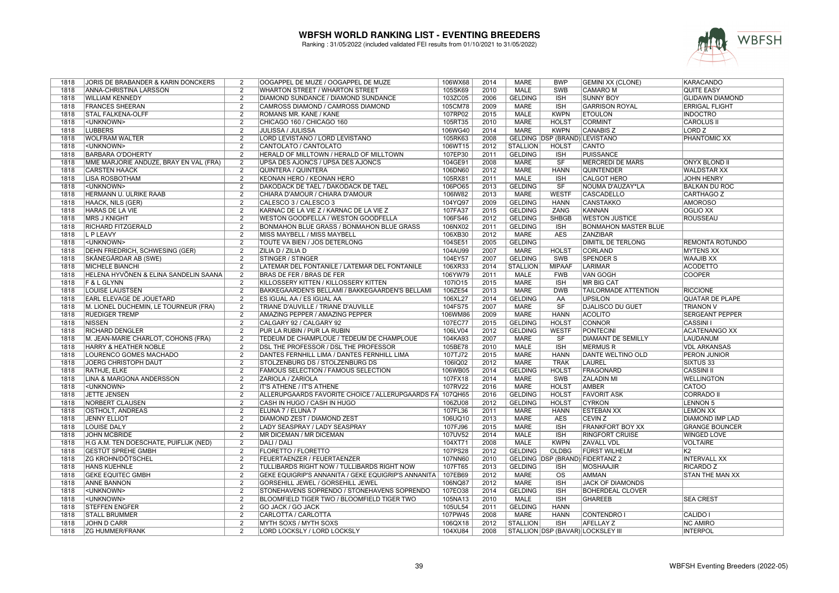

| 1818 | JORIS DE BRABANDER & KARIN DONCKERS    | 2              | OOGAPPEL DE MUZE / OOGAPPEL DE MUZE                 | 106WX68 | 2014 | <b>MARE</b>     | <b>BWP</b>                    | <b>GEMINI XX (CLONE)</b>          | KARACANDO              |
|------|----------------------------------------|----------------|-----------------------------------------------------|---------|------|-----------------|-------------------------------|-----------------------------------|------------------------|
| 1818 | ANNA-CHRISTINA LARSSON                 | 2              | <b>WHARTON STREET / WHARTON STREET</b>              | 105SK69 | 2010 | <b>MALE</b>     | SWB                           | <b>CAMARO M</b>                   | QUITE EASY             |
| 1818 | <b>WILLIAM KENNEDY</b>                 | $\overline{2}$ | DIAMOND SUNDANCE / DIAMOND SUNDANCE                 | 103ZC05 | 2006 | <b>GELDING</b>  | <b>ISH</b>                    | <b>SUNNY BOY</b>                  | <b>GLIDAWN DIAMOND</b> |
| 1818 | <b>FRANCES SHEERAN</b>                 | $\overline{2}$ | CAMROSS DIAMOND / CAMROSS DIAMOND                   | 105CM78 | 2009 | <b>MARE</b>     | $\overline{\mathsf{ISH}}$     | <b>GARRISON ROYAL</b>             | <b>ERRIGAL FLIGHT</b>  |
| 1818 | <b>STAL FALKENA-OLFF</b>               | $\overline{2}$ | ROMANS MR. KANE / KANE                              | 107RP02 | 2015 | <b>MALE</b>     | <b>KWPN</b>                   | <b>ETOULON</b>                    | <b>INDOCTRO</b>        |
| 1818 | <unknown></unknown>                    | $\overline{2}$ | CHICAGO 160 / CHICAGO 160                           | 105RT35 | 2010 | <b>MARE</b>     | <b>HOLST</b>                  | <b>CORMINT</b>                    | <b>CAROLUS II</b>      |
| 1818 | <b>LUBBERS</b>                         | $\overline{2}$ | JULISSA / JULISSA                                   | 106WG40 | 2014 | <b>MARE</b>     | <b>KWPN</b>                   | <b>CANABIS Z</b>                  | LORD <sub>Z</sub>      |
| 1818 | <b>WOLFRAM WALTER</b>                  | $\overline{2}$ | LORD LEVISTANO / LORD LEVISTANO                     | 105RK63 | 2008 |                 | GELDING DSP (BRAND) LEVISTANO |                                   | <b>PHANTOMIC XX</b>    |
| 1818 | <unknown></unknown>                    | $\overline{2}$ | CANTOLATO / CANTOLATO                               | 106WT15 | 2012 | <b>STALLION</b> | <b>HOLST</b>                  | CANTO                             |                        |
| 1818 | <b>BARBARA O'DOHERTY</b>               | 2              | HERALD OF MILLTOWN / HERALD OF MILLTOWN             | 107EP30 | 2011 | <b>GELDING</b>  | <b>ISH</b>                    | <b>PUISSANCE</b>                  |                        |
| 1818 | MME MARJORIE ANDUZE, BRAY EN VAL (FRA) | 2              | UPSA DES AJONCS / UPSA DES AJONCS                   | 104GE91 | 2008 | <b>MARE</b>     | SF                            | <b>MERCREDI DE MARS</b>           | <b>ONYX BLOND II</b>   |
| 1818 | <b>CARSTEN HAACK</b>                   | $\overline{2}$ | <b>QUINTERA / QUINTERA</b>                          | 106DN60 | 2012 | <b>MARE</b>     | <b>HANN</b>                   | <b>QUINTENDER</b>                 | <b>WALDSTAR XX</b>     |
| 1818 | <b>LISA ROSBOTHAM</b>                  | $\overline{2}$ | KEONAN HERO / KEONAN HERO                           | 105RX81 | 2011 | <b>MALE</b>     | <b>ISH</b>                    | <b>CALGOT HERO</b>                | <b>JOHN HENRY</b>      |
| 1818 | <unknown></unknown>                    | $\overline{2}$ | DAKODACK DE TAEL / DAKODACK DE TAEL                 | 106PO65 | 2013 | <b>GELDING</b>  | $\overline{\text{S}}$ F       | NOUMA D'AUZAY*LA                  | <b>BALKAN DU ROC</b>   |
| 1818 | HERMANN U. ULRIKE RAAB                 | $\overline{2}$ | CHIARA D'AMOUR / CHIARA D'AMOUR                     | 106IW82 | 2013 | <b>MARE</b>     | <b>WESTF</b>                  | <b>CASCADELLO</b>                 | <b>CARTHAGO Z</b>      |
| 1818 | HAACK, NILS (GER)                      | 2              | CALESCO 3 / CALESCO 3                               | 104YQ97 | 2009 | <b>GELDING</b>  | <b>HANN</b>                   | <b>CANSTAKKO</b>                  | <b>AMOROSO</b>         |
| 1818 | HARAS DE LA VIE                        | $\overline{2}$ | KARNAC DE LA VIE Z / KARNAC DE LA VIE Z             | 107FA37 | 2015 | <b>GELDING</b>  | ZANG                          | KANNAN                            | OGLIO XX               |
| 1818 | <b>MRS J KNIGHT</b>                    | $\overline{2}$ | WESTON GOODFELLA / WESTON GOODFELLA                 | 106FS46 | 2012 | <b>GELDING</b>  | <b>SHBGB</b>                  | <b>WESTON JUSTICE</b>             | <b>ROUSSEAU</b>        |
| 1818 | RICHARD FITZGERALD                     | 2              | BONMAHON BLUE GRASS / BONMAHON BLUE GRASS           | 106NX02 | 2011 | <b>GELDING</b>  | <b>ISH</b>                    | <b>BONMAHON MASTER BLUE</b>       |                        |
| 1818 | L P LEAVY                              | $\overline{2}$ | MISS MAYBELL / MISS MAYBELL                         | 106XB30 | 2012 | <b>MARE</b>     | <b>AES</b>                    | <b>ZANZIBAR</b>                   |                        |
| 1818 | <unknown></unknown>                    | $\overline{2}$ | TOUTE VA BIEN / JOS DETERLONG                       | 104SE51 | 2005 | <b>GELDING</b>  |                               | DIMITIL DE TERLONG                | <b>REMONTA ROTUNDO</b> |
| 1818 | DEHN FRIEDRICH, SCHWESING (GER)        | $\overline{2}$ | ZILIA D / ZILIA D                                   | 104AU99 | 2007 | <b>MARE</b>     | <b>HOLST</b>                  | <b>CORLAND</b>                    | <b>MYTENS XX</b>       |
| 1818 | SKÅNEGÅRDAR AB (SWE)                   | $\overline{2}$ | <b>STINGER / STINGER</b>                            | 104EY57 | 2007 | <b>GELDING</b>  | <b>SWB</b>                    | <b>SPENDER S</b>                  | <b>WAAJIB XX</b>       |
|      |                                        | $\overline{2}$ |                                                     |         |      |                 |                               |                                   |                        |
| 1818 | <b>MICHELE BIANCHI</b>                 |                | LATEMAR DEL FONTANILE / LATEMAR DEL FONTANILE       | 106XR33 | 2014 | <b>STALLION</b> | <b>MIPAAF</b>                 | <b>LARIMAR</b>                    | <b>ACODETTO</b>        |
| 1818 | HELENA HYVÖNEN & ELINA SANDELIN SAANA  | 2              | BRAS DE FER / BRAS DE FER                           | 106YW79 | 2011 | <b>MALE</b>     | <b>FWB</b>                    | <b>VAN GOGH</b>                   | <b>COOPER</b>          |
| 1818 | F & L GLYNN                            | $\overline{2}$ | KILLOSSERY KITTEN / KILLOSSERY KITTEN               | 1071015 | 2015 | <b>MARE</b>     | <b>ISH</b>                    | <b>MR BIG CAT</b>                 |                        |
| 1818 | <b>LOUISE LAUSTSEN</b>                 | $\overline{2}$ | BAKKEGAARDEN'S BELLAMI / BAKKEGAARDEN'S BELLAMI     | 106ZE54 | 2013 | <b>MARE</b>     | <b>DWB</b>                    | <b>TAILORMADE ATTENTION</b>       | <b>RICCIONE</b>        |
| 1818 | EARL ELEVAGE DE JOUETARD               | 2              | ES IGUAL AA / ES IGUAL AA                           | 106XL27 | 2014 | <b>GELDING</b>  | AA                            | <b>UPSILON</b>                    | <b>QUATAR DE PLAPE</b> |
| 1818 | M. LIONEL DUCHEMIN, LE TOURNEUR (FRA)  | $\overline{2}$ | TRIANE D'AUVILLE / TRIANE D'AUVILLE                 | 104FS75 | 2007 | <b>MARE</b>     | SF                            | <b>DJALISCO DU GUET</b>           | <b>TRIANON V</b>       |
| 1818 | <b>RUEDIGER TREMP</b>                  | $\overline{2}$ | AMAZING PEPPER / AMAZING PEPPER                     | 106WM86 | 2009 | <b>MARE</b>     | <b>HANN</b>                   | <b>ACOLITO</b>                    | <b>SERGEANT PEPPER</b> |
| 1818 | <b>NISSEN</b>                          | $\overline{2}$ | CALGARY 92 / CALGARY 92                             | 107EC77 | 2015 | <b>GELDING</b>  | <b>HOLST</b>                  | <b>CONNOR</b>                     | <b>CASSINI I</b>       |
| 1818 | <b>RICHARD DENGLER</b>                 | $\overline{2}$ | PUR LA RUBIN / PUR LA RUBIN                         | 106LV04 | 2012 | <b>GELDING</b>  | <b>WESTF</b>                  | <b>PONTECINI</b>                  | <b>ACATENANGO XX</b>   |
| 1818 | M. JEAN-MARIE CHARLOT, COHONS (FRA)    | $\overline{2}$ | TEDEUM DE CHAMPLOUE / TEDEUM DE CHAMPLOUE           | 104KA93 | 2007 | <b>MARE</b>     | SF                            | <b>DIAMANT DE SEMILLY</b>         | LAUDANUM               |
| 1818 | HARRY & HEATHER NOBLE                  | 2              | DSL THE PROFESSOR / DSL THE PROFESSOR               | 105BE78 | 2010 | <b>MALE</b>     | <b>ISH</b>                    | <b>MERMUS R</b>                   | <b>VDL ARKANSAS</b>    |
| 1818 | LOURENCO GOMES MACHADO                 | $\overline{2}$ | DANTES FERNHILL LIMA / DANTES FERNHILL LIMA         | 107TJ72 | 2015 | <b>MARE</b>     | <b>HANN</b>                   | <b>DANTE WELTINO OLD</b>          | PERON JUNIOR           |
| 1818 | JOERG CHRISTOPH DAUT                   | $\overline{2}$ | STOLZENBURG DS / STOLZENBURG DS                     | 106IQ02 | 2012 | <b>MARE</b>     | <b>TRAK</b>                   | <b>LAUREL</b>                     | SIXTUS 33              |
| 1818 | RATHJE, ELKE                           | 2              | FAMOUS SELECTION / FAMOUS SELECTION                 | 106WB05 | 2014 | <b>GELDING</b>  | <b>HOLST</b>                  | <b>FRAGONARD</b>                  | <b>CASSINI II</b>      |
| 1818 | LINA & MARGONA ANDERSSON               | 2              | ZARIOLA / ZARIOLA                                   | 107FX18 | 2014 | <b>MARE</b>     | <b>SWB</b>                    | <b>ZALADIN MI</b>                 | <b>WELLINGTON</b>      |
| 1818 | <unknown></unknown>                    | $\overline{2}$ | IT'S ATHENE / IT'S ATHENE                           | 107RV22 | 2016 | <b>MARE</b>     | <b>HOLST</b>                  | <b>AMBER</b>                      | CATOO                  |
| 1818 | <b>JETTE JENSEN</b>                    | $\overline{2}$ | ALLERUPGAARDS FAVORITE CHOICE / ALLERUPGAARDS FA    | 107QH65 | 2016 | <b>GELDING</b>  | <b>HOLST</b>                  | <b>FAVORIT ASK</b>                | <b>CORRADO II</b>      |
| 1818 | NORBERT CLAUSEN                        | $\overline{2}$ | CASH IN HUGO / CASH IN HUGO                         | 106ZU08 | 2012 | <b>GELDING</b>  | <b>HOLST</b>                  | <b>CYRKON</b>                     | <b>LENNON 5</b>        |
| 1818 | <b>OSTHOLT, ANDREAS</b>                | $\overline{2}$ | ELUNA 7 / ELUNA 7                                   | 107FL36 | 2011 | <b>MARE</b>     | <b>HANN</b>                   | <b>ESTEBAN XX</b>                 | <b>LEMON XX</b>        |
| 1818 | <b>JENNY ELLIOT</b>                    | $\overline{2}$ | DIAMOND ZEST / DIAMOND ZEST                         | 106UQ10 | 2013 | <b>MARE</b>     | <b>AES</b>                    | CEVIN Z                           | DIAMOND IMP LAD        |
| 1818 | <b>LOUISE DALY</b>                     | $\overline{2}$ | LADY SEASPRAY / LADY SEASPRAY                       | 107FJ96 | 2015 | <b>MARE</b>     | <b>ISH</b>                    | <b>FRANKFORT BOY XX</b>           | <b>GRANGE BOUNCER</b>  |
| 1818 | <b>JOHN MCBRIDE</b>                    | $\overline{2}$ | MR DICEMAN / MR DICEMAN                             | 107UV52 | 2014 | <b>MALE</b>     | <b>ISH</b>                    | <b>RINGFORT CRUISE</b>            | <b>WINGED LOVE</b>     |
| 1818 | H.G A.M. TEN DOESCHATE, PUIFLIJK (NED) | 2              | DALI / DALI                                         | 104XT71 | 2008 | <b>MALE</b>     | <b>KWPN</b>                   | <b>ZAVALL VDL</b>                 | <b>VOLTAIRE</b>        |
| 1818 | <b>GESTÜT SPREHE GMBH</b>              | 2              | FLORETTO / FLORETTO                                 | 107PS28 | 2012 | <b>GELDING</b>  | <b>OLDBG</b>                  | <b>FÜRST WILHELM</b>              | K <sub>2</sub>         |
| 1818 | <b>ZG KROHN/DÖTSCHEL</b>               | $\overline{2}$ | FEUERTAENZER / FEUERTAENZER                         | 107NN60 | 2010 |                 |                               | GELDING DSP (BRAND) FIDERTANZ 2   | <b>INTERVALL XX</b>    |
| 1818 | <b>HANS KUEHNLE</b>                    | $\overline{2}$ | TULLIBARDS RIGHT NOW / TULLIBARDS RIGHT NOW         | 107FT65 | 2013 | <b>GELDING</b>  | <b>ISH</b>                    | <b>MOSHAAJIR</b>                  | <b>RICARDO Z</b>       |
| 1818 | <b>GEKE EQUITEC GMBH</b>               | $\overline{2}$ | GEKE EQUIGRIP'S ANNANITA / GEKE EQUIGRIP'S ANNANITA | 107EB69 | 2012 | <b>MARE</b>     | $\overline{\mathrm{OS}}$      | <b>AMMAN</b>                      | <b>STAN THE MAN XX</b> |
| 1818 | <b>ANNE BANNON</b>                     | 2              | GORSEHILL JEWEL / GORSEHILL JEWEL                   | 106NQ87 | 2012 | <b>MARE</b>     | <b>ISH</b>                    | <b>JACK OF DIAMONDS</b>           |                        |
| 1818 | <unknown></unknown>                    | 2              | STONEHAVENS SOPRENDO / STONEHAVENS SOPRENDO         | 107EO38 | 2014 | <b>GELDING</b>  | <b>ISH</b>                    | <b>BOHERDEAL CLOVER</b>           |                        |
| 1818 | <unknown></unknown>                    | $\overline{2}$ | BLOOMFIELD TIGER TWO / BLOOMFIELD TIGER TWO         | 105NA13 | 2010 | <b>MALE</b>     | <b>ISH</b>                    | <b>GHAREEB</b>                    | <b>SEA CREST</b>       |
| 1818 | <b>STEFFEN ENGFER</b>                  | $\overline{2}$ | <b>GO JACK / GO JACK</b>                            | 105UL54 | 2011 | <b>GELDING</b>  | <b>HANN</b>                   |                                   |                        |
| 1818 | <b>STALL BRUMMER</b>                   | 2              | CARLOTTA / CARLOTTA                                 | 107PW45 | 2008 | MARE            | <b>HANN</b>                   | <b>CONTENDRO I</b>                | CALIDO I               |
| 1818 | JOHN D CARR                            | $\overline{2}$ | MYTH SOXS / MYTH SOXS                               | 106QX18 | 2012 | <b>STALLION</b> | <b>ISH</b>                    | <b>AFELLAY Z</b>                  | <b>NC AMIRO</b>        |
| 1818 | <b>ZG HUMMER/FRANK</b>                 | $\overline{2}$ | LORD LOCKSLY / LORD LOCKSLY                         | 104XU84 | 2008 |                 |                               | STALLION DSP (BAVAR) LOCKSLEY III | <b>INTERPOL</b>        |
|      |                                        |                |                                                     |         |      |                 |                               |                                   |                        |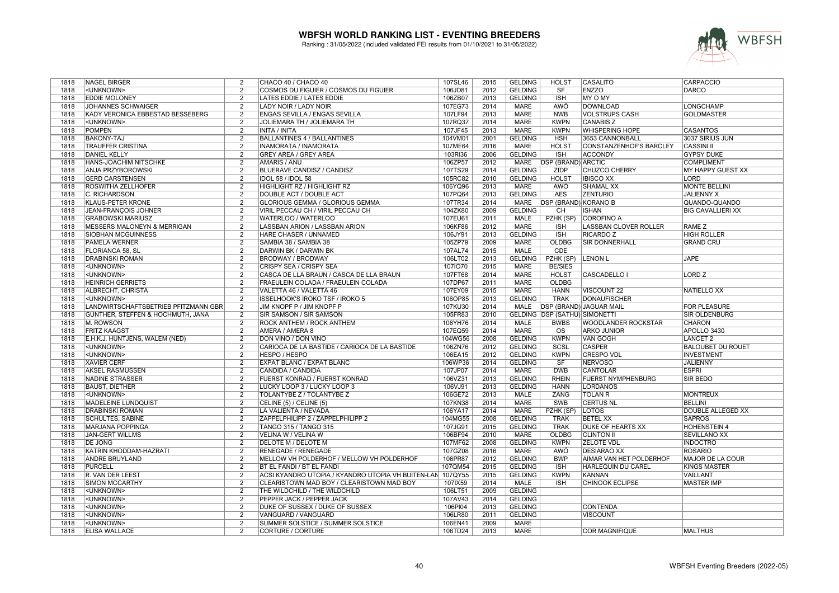

| 1818 | <b>NAGEL BIRGER</b>                  | 2              | CHACO 40 / CHACO 40                                        | 107SL46 | 2015 | <b>GELDING</b> | <b>HOLST</b>                         | CASALITO                       | <b>CARPACCIO</b>         |
|------|--------------------------------------|----------------|------------------------------------------------------------|---------|------|----------------|--------------------------------------|--------------------------------|--------------------------|
| 1818 | <unknown></unknown>                  | 2              | COSMOS DU FIGUIER / COSMOS DU FIGUIER                      | 106JD81 | 2012 | <b>GELDING</b> | <b>SF</b>                            | <b>ENZZO</b>                   | <b>DARCO</b>             |
| 1818 | <b>EDDIE MOLONEY</b>                 | $\overline{2}$ | LATES EDDIE / LATES EDDIE                                  | 106ZB07 | 2013 | <b>GELDING</b> | <b>ISH</b>                           | <b>MY O MY</b>                 |                          |
| 1818 | <b>JOHANNES SCHWAIGER</b>            | $\overline{2}$ | <b>LADY NOIR / LADY NOIR</b>                               | 107EG73 | 2014 | <b>MARE</b>    | <b>AWÖ</b>                           | <b>DOWNLOAD</b>                | <b>LONGCHAMP</b>         |
| 1818 | KADY VERONICA EBBESTAD BESSEBERG     | $\overline{2}$ | <b>ENGAS SEVILLA / ENGAS SEVILLA</b>                       | 107LF94 | 2013 | <b>MARE</b>    | <b>NWB</b>                           | <b>VOLSTRUPS CASH</b>          | <b>GOLDMASTER</b>        |
| 1818 | <unknown></unknown>                  | $\overline{2}$ | JOLIEMARA TH / JOLIEMARA TH                                | 107RQ37 | 2014 | <b>MARE</b>    | <b>KWPN</b>                          | <b>CANABIS Z</b>               |                          |
| 1818 | <b>POMPEN</b>                        | 2              | INITA / INITA                                              | 107JF45 | 2013 | <b>MARE</b>    | <b>KWPN</b>                          | <b>WHISPERING HOPE</b>         | <b>CASANTOS</b>          |
| 1818 | <b>BAKONY-TÁJ</b>                    | $\overline{2}$ | <b>BALLANTINES 4 / BALLANTINES</b>                         | 104VM01 | 2001 | <b>GELDING</b> | <b>HSH</b>                           | 3653 CANNONBALL                | 3037 SIRIUS JUN          |
| 1818 | <b>TRAUFFER CRISTINA</b>             | 2              | INAMORATA / INAMORATA                                      | 107ME64 | 2016 | <b>MARE</b>    | <b>HOLST</b>                         | <b>CONSTANZENHOF'S BARCLEY</b> | <b>CASSINI II</b>        |
|      |                                      |                |                                                            |         |      |                |                                      |                                |                          |
| 1818 | <b>DANIEL KELLY</b>                  | $\overline{2}$ | <b>GREY AREA / GREY AREA</b>                               | 103RI36 | 2006 | <b>GELDING</b> | <b>ISH</b>                           | <b>ACCONDY</b>                 | <b>GYPSY DUKE</b>        |
| 1818 | HANS-JOACHIM NITSCHKE                | $\overline{2}$ | AMARIS / ANU                                               | 106ZP57 | 2012 | <b>MARE</b>    | <b>DSP (BRAND) ARCTIC</b>            |                                | <b>COMPLIMENT</b>        |
| 1818 | <b>ANJA PRZYBOROWSKI</b>             | $\overline{2}$ | <b>BLUERAVE CANDISZ / CANDISZ</b>                          | 107TS29 | 2014 | <b>GELDING</b> | <b>ZfDP</b>                          | <b>CHUZCO CHERRY</b>           | <b>MY HAPPY GUEST XX</b> |
| 1818 | <b>GERD CARSTENSEN</b>               | $\overline{2}$ | IDOL 58 / IDOL 58                                          | 105RC82 | 2010 | <b>GELDING</b> | <b>HOLST</b>                         | <b>IBISCO XX</b>               | <b>LORD</b>              |
| 1818 | <b>ROSWITHA ZELLHOFER</b>            | $\overline{2}$ | HIGHLIGHT RZ / HIGHLIGHT RZ                                | 106YQ96 | 2013 | <b>MARE</b>    | <b>AWÖ</b>                           | <b>SHAMAL XX</b>               | <b>MONTE BELLINI</b>     |
| 1818 | C. RICHARDSON                        | $\overline{2}$ | <b>DOUBLE ACT / DOUBLE ACT</b>                             | 107PQ64 | 2013 | <b>GELDING</b> | <b>AES</b>                           | <b>ZENTURIO</b>                | <b>JALIENNY X</b>        |
| 1818 | <b>KLAUS-PETER KRONE</b>             | $\overline{2}$ | GLORIOUS GEMMA / GLORIOUS GEMMA                            | 107TR34 | 2014 | MARE           | <b>DSP (BRAND) KORANO B</b>          |                                | QUANDO-QUANDO            |
| 1818 | <b>JEAN-FRANÇOIS JOHNER</b>          | $\overline{2}$ | VIRIL PECCAU CH / VIRIL PECCAU CH                          | 104ZK80 | 2009 | <b>GELDING</b> | CH                                   | <b>ISHAN</b>                   | <b>BIG CAVALLIERI XX</b> |
| 1818 | <b>GRABOWSKI MARIUSZ</b>             | $\overline{2}$ | WATERLOO / WATERLOO                                        | 107EU61 | 2011 | <b>MALE</b>    | PZHK (SP)                            | <b>COROFINO A</b>              |                          |
| 1818 | MESSERS MALONEYN & MERRIGAN          | $\overline{2}$ | LASSBAN ARION / LASSBAN ARION                              | 106KF86 | 2012 | <b>MARE</b>    | <b>ISH</b>                           | <b>LASSBAN CLOVER ROLLER</b>   | <b>RAME Z</b>            |
| 1818 | <b>SIOBHAN MCGUINNESS</b>            | 2              | <b>HARE CHASER / UNNAMED</b>                               | 106JY91 | 2013 | <b>GELDING</b> | <b>ISH</b>                           | <b>RICARDO Z</b>               | <b>HIGH ROLLER</b>       |
| 1818 | <b>PAMELA WERNER</b>                 | $\overline{2}$ | SAMBIA 38 / SAMBIA 38                                      | 105ZP79 | 2009 | <b>MARE</b>    | <b>OLDBG</b>                         | <b>SIR DONNERHALL</b>          | <b>GRAND CRU</b>         |
| 1818 | <b>FLORIANCA 58, SL</b>              | 2              | <b>DARWIN BK / DARWIN BK</b>                               | 107AL74 | 2015 | <b>MALE</b>    | CDE                                  |                                |                          |
| 1818 | <b>DRABINSKI ROMAN</b>               | $\overline{2}$ | <b>BRODWAY / BRODWAY</b>                                   | 106LT02 | 2013 | <b>GELDING</b> | PZHK (SP)                            | <b>LENON L</b>                 | <b>JAPE</b>              |
| 1818 | <unknown></unknown>                  | $\mathcal{P}$  | <b>CRISPY SEA / CRISPY SEA</b>                             | 1071070 | 2015 | <b>MARE</b>    | <b>BE/SIES</b>                       |                                |                          |
|      | <unknown></unknown>                  | $\overline{2}$ | CASCA DE LLA BRAUN / CASCA DE LLA BRAUN                    | 107FT68 | 2014 | <b>MARE</b>    | <b>HOLST</b>                         | CASCADELLO I                   | <b>LORD Z</b>            |
| 1818 |                                      | $\overline{2}$ |                                                            | 107DP67 | 2011 | <b>MARE</b>    | <b>OLDBG</b>                         |                                |                          |
| 1818 | <b>HEINRICH GERRIETS</b>             |                | FRAEULEIN COLADA / FRAEULEIN COLADA                        |         |      |                |                                      |                                |                          |
| 1818 | ALBRECHT, CHRISTA                    | 2              | VALETTA 46 / VALETTA 46                                    | 107EY09 | 2015 | <b>MARE</b>    | <b>HANN</b>                          | VISCOUNT 22                    | <b>NATIELLO XX</b>       |
| 1818 | <unknown></unknown>                  | $\overline{2}$ | <b>ISSELHOOK'S IROKO TSF / IROKO 5</b>                     | 106OP85 | 2013 | <b>GELDING</b> | <b>TRAK</b>                          | <b>DONAUFISCHER</b>            |                          |
| 1818 | LANDWIRTSCHAFTSBETRIEB PFITZMANN GBR | $\overline{2}$ | JIM KNOPF P / JIM KNOPF P                                  | 107KU30 | 2014 | MALE           |                                      | <b>DSP (BRAND) JAGUAR MAIL</b> | <b>FOR PLEASURE</b>      |
| 1818 | GÜNTHER, STEFFEN & HOCHMUTH, JANA    | $\overline{2}$ | <b>SIR SAMSON / SIR SAMSON</b>                             | 105FR83 | 2010 |                | <b>GELDING DSP (SATHÜ) SIMONETTI</b> |                                | <b>SIR OLDENBURG</b>     |
| 1818 | M. ROWSON                            | 2              | <b>ROCK ANTHEM / ROCK ANTHEM</b>                           | 106YH76 | 2014 | <b>MALE</b>    | <b>BWBS</b>                          | <b>WOODLANDER ROCKSTAR</b>     | <b>CHARON</b>            |
| 1818 | <b>FRITZ KAAGST</b>                  | $\overline{2}$ | <b>AMERA / AMERA 8</b>                                     | 107EQ59 | 2014 | <b>MARE</b>    | $\overline{\mathrm{os}}$             | <b>ARKO JUNIOR</b>             | APOLLO 3430              |
| 1818 | E.H.K.J. HUNTJENS, WALEM (NED)       | $\overline{2}$ | DON VINO / DON VINO                                        | 104WG56 | 2008 | <b>GELDING</b> | <b>KWPN</b>                          | <b>VAN GOGH</b>                | <b>LANCET 2</b>          |
| 1818 | <unknown></unknown>                  | $\overline{2}$ | CARIOCA DE LA BASTIDE / CARIOCA DE LA BASTIDE              | 106ZN76 | 2012 | <b>GELDING</b> | SCSL                                 | <b>CASPER</b>                  | <b>BALOUBET DU ROUET</b> |
| 1818 | <unknown></unknown>                  | 2              | HESPO / HESPO                                              | 106EA15 | 2012 | <b>GELDING</b> | <b>KWPN</b>                          | <b>CRESPO VDL</b>              | <b>INVESTMENT</b>        |
| 1818 | <b>XAVIER CERF</b>                   | $\overline{2}$ | EXPAT BLANC / EXPAT BLANC                                  | 106WP36 | 2014 | <b>GELDING</b> | SF                                   | <b>NERVOSO</b>                 | JALIENNY                 |
| 1818 | <b>AKSEL RASMUSSEN</b>               | $\mathcal{P}$  | CANDIDA / CANDIDA                                          | 107JP07 | 2014 | <b>MARE</b>    | <b>DWB</b>                           | <b>CANTOLAR</b>                | <b>ESPRI</b>             |
| 1818 | <b>NADINE STRASSER</b>               | 2              | <b>FUERST KONRAD / FUERST KONRAD</b>                       | 106VZ31 | 2013 | <b>GELDING</b> | <b>RHEIN</b>                         | <b>FUERST NYMPHENBURG</b>      | <b>SIR BEDO</b>          |
| 1818 | <b>BAUST, DIETHER</b>                | $\overline{2}$ | LUCKY LOOP 3 / LUCKY LOOP 3                                | 106VJ91 | 2013 | <b>GELDING</b> | <b>HANN</b>                          | <b>LORDANOS</b>                |                          |
| 1818 | <unknown></unknown>                  | $\overline{2}$ | TOLANTYBE Z / TOLANTYBE Z                                  | 106GE72 | 2013 | <b>MALE</b>    | <b>ZANG</b>                          | <b>TOLAN R</b>                 | <b>MONTREUX</b>          |
| 1818 | <b>MADELEINE LUNDQUIST</b>           | $\overline{2}$ | CELINE (5) / CELINE (5)                                    | 107KN38 | 2014 | <b>MARE</b>    | <b>SWB</b>                           | <b>CERTUS NL</b>               | <b>BELLINI</b>           |
| 1818 | <b>DRABINSKI ROMAN</b>               | $\mathcal{P}$  | LA VALIENTA / NEVADA                                       | 106YA17 | 2014 | <b>MARE</b>    | PZHK (SP)                            | <b>LOTOS</b>                   | DOUBLE ALLEGED XX        |
| 1818 | <b>SCHULTES, SABINE</b>              | $\overline{2}$ | ZAPPELPHILIPP 2 / ZAPPELPHILIPP 2                          | 104MG55 | 2008 | <b>GELDING</b> | <b>TRAK</b>                          | <b>BETEL XX</b>                | <b>SAPROS</b>            |
| 1818 | <b>MARJANA POPPINGA</b>              | $\overline{2}$ | TANGO 315 / TANGO 315                                      | 107JG91 | 2015 | <b>GELDING</b> | <b>TRAK</b>                          | <b>DUKE OF HEARTS XX</b>       | <b>HOHENSTEIN 4</b>      |
| 1818 | <b>JAN-GERT WILLMS</b>               | 2              | VELINA W / VELINA W                                        | 106BF94 | 2010 | <b>MARE</b>    | <b>OLDBG</b>                         | <b>CLINTON II</b>              | <b>SEVILLANO XX</b>      |
| 1818 | <b>DE JONG</b>                       | $\overline{2}$ | <b>DELOTE M / DELOTE M</b>                                 | 107MF62 | 2008 | <b>GELDING</b> | <b>KWPN</b>                          | <b>ZELOTE VDL</b>              | <b>INDOCTRO</b>          |
| 1818 | KATRIN KHODDAM-HAZRATI               | $\overline{2}$ | <b>RENEGADE / RENEGADE</b>                                 | 107GZ08 | 2016 | <b>MARE</b>    | <b>AWÖ</b>                           | <b>DESIARAO XX</b>             | <b>ROSARIO</b>           |
| 1818 | <b>ANDRE BRUYLAND</b>                | $\overline{2}$ | <b>IMELLOW VH POLDERHOF / MELLOW VH POLDERHOF</b>          | 106PR87 | 2012 | <b>GELDING</b> | <b>BWP</b>                           | <b>AIMAR VAN HET POLDERHOF</b> | <b>MAJOR DE LA COUR</b>  |
| 1818 | <b>PURCELL</b>                       | $\overline{2}$ | BT EL FANDI / BT EL FANDI                                  | 107QM54 | 2015 | <b>GELDING</b> | <b>ISH</b>                           | HARLEQUIN DU CAREL             | <b>KINGS MASTER</b>      |
| 1818 | R. VAN DER LEEST                     | $\overline{2}$ | ACSI KYANDRO UTOPIA / KYANDRO UTOPIA VH BUITEN-LAN 107QY55 |         | 2015 | <b>GELDING</b> | <b>KWPN</b>                          | <b>KANNAN</b>                  | <b>VAILLANT</b>          |
| 1818 | <b>SIMON MCCARTHY</b>                | $\overline{2}$ | CLEARISTOWN MAD BOY / CLEARISTOWN MAD BOY                  | 107IX59 | 2014 | MALE           | <b>ISH</b>                           | <b>CHINOOK ECLIPSE</b>         | <b>MASTER IMP</b>        |
|      |                                      | $\overline{2}$ | THE WILDCHILD / THE WILDCHILD                              | 106LT51 | 2009 |                |                                      |                                |                          |
| 1818 | <unknown></unknown>                  |                |                                                            |         |      | <b>GELDING</b> |                                      |                                |                          |
| 1818 | <unknown></unknown>                  | 2              | PEPPER JACK / PEPPER JACK                                  | 107AV43 | 2014 | <b>GELDING</b> |                                      |                                |                          |
| 1818 | <unknown></unknown>                  | $\overline{2}$ | DUKE OF SUSSEX / DUKE OF SUSSEX                            | 106PI04 | 2013 | <b>GELDING</b> |                                      | <b>CONTENDA</b>                |                          |
| 1818 | <unknown></unknown>                  | $\mathcal{P}$  | VANGUARD / VANGUARD                                        | 106LR80 | 2011 | <b>GELDING</b> |                                      | <b>VISCOUNT</b>                |                          |
| 1818 | <unknown></unknown>                  | $\overline{2}$ | SUMMER SOLSTICE / SUMMER SOLSTICE                          | 106EN41 | 2009 | <b>MARE</b>    |                                      |                                |                          |
| 1818 | <b>ELISA WALLACE</b>                 | $\overline{2}$ | <b>CORTURE / CORTURE</b>                                   | 106TD24 | 2013 | <b>MARE</b>    |                                      | <b>COR MAGNIFIQUE</b>          | <b>MALTHUS</b>           |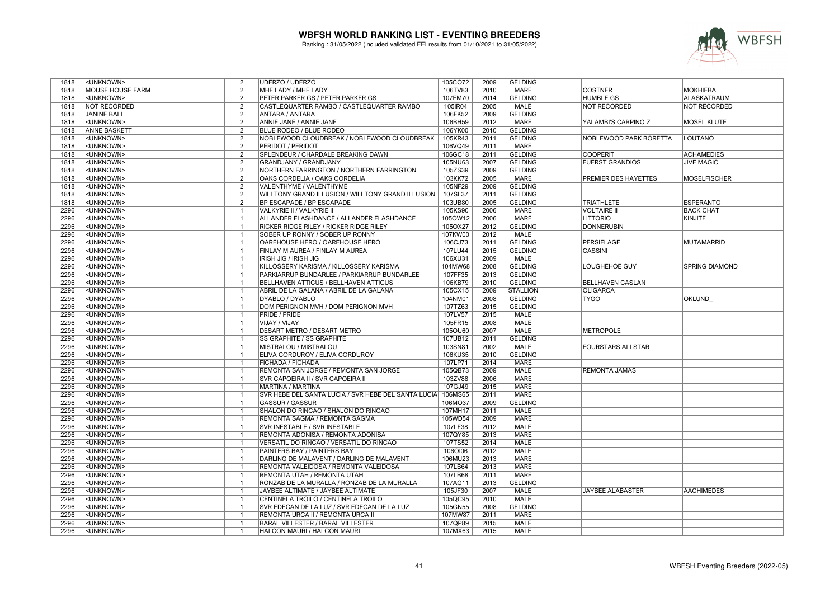

| 1818 | <unknown></unknown>     | 2                                                  | UDERZO / UDERZO                                     | 105CO72 | 2009 | <b>GELDING</b>  |                          |                       |
|------|-------------------------|----------------------------------------------------|-----------------------------------------------------|---------|------|-----------------|--------------------------|-----------------------|
| 1818 | <b>MOUSE HOUSE FARM</b> | $\overline{2}$                                     | MHF LADY / MHF LADY                                 | 106TV83 | 2010 | <b>MARE</b>     | <b>COSTNER</b>           | <b>MOKHIEBA</b>       |
| 1818 | <unknown></unknown>     | $\overline{2}$                                     | PETER PARKER GS / PETER PARKER GS                   | 107EM70 | 2014 | <b>GELDING</b>  | <b>HUMBLE GS</b>         | <b>ALASKATRAUM</b>    |
| 1818 | <b>NOT RECORDED</b>     | $\overline{2}$                                     | CASTLEQUARTER RAMBO / CASTLEQUARTER RAMBO           | 105IR04 | 2005 | <b>MALE</b>     | <b>NOT RECORDED</b>      | <b>NOT RECORDED</b>   |
| 1818 | <b>JANINE BALL</b>      | $\overline{2}$                                     | <b>ANTARA / ANTARA</b>                              | 106FK52 | 2009 | <b>GELDING</b>  |                          |                       |
| 1818 | <unknown></unknown>     | $\overline{2}$                                     | ANNIE JANE / ANNIE JANE                             | 106BH59 | 2012 | <b>MARE</b>     | YALAMBI'S CARPINO Z      | <b>MOSEL KLUTE</b>    |
| 1818 | <b>ANNE BASKETT</b>     | $\overline{2}$                                     | <b>BLUE RODEO / BLUE RODEO</b>                      | 106YK00 | 2010 | <b>GELDING</b>  |                          |                       |
| 1818 | <unknown></unknown>     | $\overline{2}$                                     | NOBLEWOOD CLOUDBREAK / NOBLEWOOD CLOUDBREAK         | 105KR43 | 2011 | <b>GELDING</b>  | NOBLEWOOD PARK BORETTA   | LOUTANO               |
| 1818 | <unknown></unknown>     | $\overline{2}$                                     | <b>PERIDOT / PERIDOT</b>                            | 106VQ49 | 2011 | <b>MARE</b>     |                          |                       |
| 1818 | <unknown></unknown>     | $\overline{2}$                                     | SPLENDEUR / CHARDALE BREAKING DAWN                  | 106GC18 | 2011 | <b>GELDING</b>  | <b>COOPERIT</b>          | <b>ACHAMEDIES</b>     |
| 1818 | <unknown></unknown>     | $\overline{2}$                                     | GRANDJANY / GRANDJANY                               | 105NU63 | 2007 | <b>GELDING</b>  | <b>FUERST GRANDIOS</b>   | <b>JIVE MAGIC</b>     |
| 1818 | <unknown></unknown>     | $\overline{2}$                                     | NORTHERN FARRINGTON / NORTHERN FARRINGTON           | 105ZS39 | 2009 | <b>GELDING</b>  |                          |                       |
| 1818 | <unknown></unknown>     | $\overline{2}$                                     | OAKS CORDELIA / OAKS CORDELIA                       | 103KK72 | 2005 | <b>MARE</b>     | PREMIER DES HAYETTES     | <b>MOSELFISCHER</b>   |
| 1818 | <unknown></unknown>     | $\overline{2}$                                     | VALENTHYME / VALENTHYME                             | 105NF29 | 2009 | <b>GELDING</b>  |                          |                       |
| 1818 | <unknown></unknown>     | $\overline{2}$                                     | WILLTONY GRAND ILLUSION / WILLTONY GRAND ILLUSION   | 107SL37 | 2011 | <b>GELDING</b>  |                          |                       |
| 1818 | <unknown></unknown>     | $\overline{2}$                                     | <b>BP ESCAPADE / BP ESCAPADE</b>                    | 103UB80 | 2005 | <b>GELDING</b>  | <b>TRIATHLETE</b>        | <b>ESPERANTO</b>      |
| 2296 | <unknown></unknown>     | $\overline{1}$                                     | VALKYRIE II / VALKYRIE II                           | 105KS90 | 2006 | <b>MARE</b>     | <b>VOLTAIRE II</b>       | <b>BACK CHAT</b>      |
| 2296 | <unknown></unknown>     | $\mathbf{1}$                                       | ALLANDER FLASHDANCE / ALLANDER FLASHDANCE           | 105OW12 | 2006 | <b>MARE</b>     | <b>LITTORIO</b>          | KINJITE               |
| 2296 | <unknown></unknown>     | $\overline{1}$                                     | <b>RICKER RIDGE RILEY / RICKER RIDGE RILEY</b>      | 105OX27 | 2012 | <b>GELDING</b>  | <b>DONNERUBIN</b>        |                       |
| 2296 |                         | $\overline{1}$                                     | SOBER UP RONNY / SOBER UP RONNY                     | 107KW00 | 2012 | MALE            |                          |                       |
| 2296 | <unknown></unknown>     | $\overline{1}$                                     |                                                     |         | 2011 |                 |                          | <b>MUTAMARRID</b>     |
|      | <unknown></unknown>     |                                                    | OAREHOUSE HERO / OAREHOUSE HERO                     | 106CJ73 |      | <b>GELDING</b>  | <b>PERSIFLAGE</b>        |                       |
| 2296 | <unknown></unknown>     | -1                                                 | FINLAY M AUREA / FINLAY M AUREA                     | 107LU44 | 2015 | <b>GELDING</b>  | <b>CASSINI</b>           |                       |
| 2296 | <unknown></unknown>     | -1                                                 | <b>IRISH JIG / IRISH JIG</b>                        | 106XU31 | 2009 | <b>MALE</b>     |                          |                       |
| 2296 | <unknown></unknown>     | $\overline{1}$                                     | KILLOSSERY KARISMA / KILLOSSERY KARISMA             | 104MW68 | 2008 | <b>GELDING</b>  | LOUGHEHOE GUY            | <b>SPRING DIAMOND</b> |
| 2296 | <unknown></unknown>     | -1                                                 | PARKIARRUP BUNDARLEE / PARKIARRUP BUNDARLEE         | 107FF35 | 2013 | <b>GELDING</b>  |                          |                       |
| 2296 | <unknown></unknown>     | $\overline{1}$                                     | <b>BELLHAVEN ATTICUS / BELLHAVEN ATTICUS</b>        | 106KB79 | 2010 | <b>GELDING</b>  | <b>BELLHAVEN CASLAN</b>  |                       |
| 2296 | <unknown></unknown>     | $\overline{1}$                                     | ABRIL DE LA GALANA / ABRIL DE LA GALANA             | 105CX15 | 2009 | <b>STALLION</b> | <b>OLIGARCA</b>          |                       |
| 2296 | <unknown></unknown>     |                                                    | DYABLO / DYABLO                                     | 104NM01 | 2008 | <b>GELDING</b>  | <b>TYGO</b>              | <b>OKLUND</b>         |
| 2296 | <unknown></unknown>     | $\overline{1}$                                     | DOM PERIGNON MVH / DOM PERIGNON MVH                 | 107TZ63 | 2015 | <b>GELDING</b>  |                          |                       |
| 2296 | <unknown></unknown>     | -1                                                 | <b>PRIDE / PRIDE</b>                                | 107LV57 | 2015 | <b>MALE</b>     |                          |                       |
| 2296 | <unknown></unknown>     | $\mathbf{1}$                                       | VIJAY / VIJAY                                       | 105FR15 | 2008 | <b>MALE</b>     |                          |                       |
| 2296 | <unknown></unknown>     | $\mathbf{1}$                                       | <b>DESART METRO / DESART METRO</b>                  | 105OU60 | 2007 | <b>MALE</b>     | <b>METROPOLE</b>         |                       |
| 2296 | <unknown></unknown>     | -1                                                 | <b>SS GRAPHITE / SS GRAPHITE</b>                    | 107UB12 | 2011 | <b>GELDING</b>  |                          |                       |
| 2296 | <unknown></unknown>     | $\overline{1}$                                     | <b>MISTRALOU / MISTRALOU</b>                        | 103SN81 | 2002 | <b>MALE</b>     | <b>FOURSTARS ALLSTAR</b> |                       |
| 2296 | <unknown></unknown>     | $\overline{1}$                                     | ELIVA CORDUROY / ELIVA CORDUROY                     | 106KU35 | 2010 | <b>GELDING</b>  |                          |                       |
| 2296 | <unknown></unknown>     | $\overline{1}$                                     | FICHADA / FICHADA                                   | 107LP71 | 2014 | <b>MARE</b>     |                          |                       |
| 2296 | <unknown></unknown>     | $\overline{1}$                                     | REMONTA SAN JORGE / REMONTA SAN JORGE               | 105QB73 | 2009 | <b>MALE</b>     | <b>REMONTA JAMAS</b>     |                       |
| 2296 | <unknown></unknown>     | -1                                                 | <b>SVR CAPOEIRA II / SVR CAPOEIRA II</b>            | 103ZV88 | 2006 | <b>MARE</b>     |                          |                       |
| 2296 | <unknown></unknown>     | -1                                                 | <b>MARTINA / MARTINA</b>                            | 107GJ49 | 2015 | <b>MARE</b>     |                          |                       |
| 2296 | <unknown></unknown>     | $\overline{1}$                                     | SVR HEBE DEL SANTA LUCIA / SVR HEBE DEL SANTA LUCIA | 106MS65 | 2011 | <b>MARE</b>     |                          |                       |
| 2296 | <unknown></unknown>     |                                                    | <b>GASSUR / GASSUR</b>                              | 106MO37 | 2009 | <b>GELDING</b>  |                          |                       |
| 2296 | <unknown></unknown>     | $\overline{\mathbf{1}}$                            | SHALON DO RINCAO / SHALON DO RINCAO                 | 107MH17 | 2011 | <b>MALE</b>     |                          |                       |
| 2296 | <unknown></unknown>     | $\overline{1}$                                     | REMONTA SAGMA / REMONTA SAGMA                       | 105WD54 | 2009 | <b>MARE</b>     |                          |                       |
| 2296 | <unknown></unknown>     | $\mathbf{1}$                                       | <b>SVR INESTABLE / SVR INESTABLE</b>                | 107LF38 | 2012 | <b>MALE</b>     |                          |                       |
| 2296 | <unknown></unknown>     | $\overline{1}$                                     | REMONTA ADONISA / REMONTA ADONISA                   | 107QY85 | 2013 | <b>MARE</b>     |                          |                       |
| 2296 | <unknown></unknown>     | $\overline{1}$                                     | VERSATIL DO RINCAO / VERSATIL DO RINCAO             | 107TS52 | 2014 | <b>MALE</b>     |                          |                       |
| 2296 | <unknown></unknown>     | $\overline{1}$                                     | PAINTERS BAY / PAINTERS BAY                         | 106OI06 | 2012 | <b>MALE</b>     |                          |                       |
| 2296 | <unknown></unknown>     | -1                                                 | DARLING DE MALAVENT / DARLING DE MALAVENT           | 106MU23 | 2013 | <b>MARE</b>     |                          |                       |
| 2296 | <unknown></unknown>     | $\overline{1}$                                     | REMONTA VALEIDOSA / REMONTA VALEIDOSA               | 107LB64 | 2013 | <b>MARE</b>     |                          |                       |
| 2296 | <unknown></unknown>     | $\overline{1}$                                     | REMONTA UTAH / REMONTA UTAH                         | 107LB68 | 2011 | <b>MARE</b>     |                          |                       |
| 2296 | <unknown></unknown>     | $\overline{1}$                                     | RONZAB DE LA MURALLA / RONZAB DE LA MURALLA         | 107AG11 | 2013 | <b>GELDING</b>  |                          |                       |
| 2296 | <unknown></unknown>     | $\overline{\mathbf{1}}$                            | JAYBEE ALTIMATE / JAYBEE ALTIMATE                   | 105JF30 | 2007 | <b>MALE</b>     | <b>JAYBEE ALABASTER</b>  | <b>AACHIMEDES</b>     |
| 2296 | <unknown></unknown>     | $\overline{1}$                                     | CENTINELA TROILO / CENTINELA TROILO                 | 105QC95 | 2010 | <b>MALE</b>     |                          |                       |
|      |                         |                                                    |                                                     |         |      |                 |                          |                       |
| 2296 | <unknown></unknown>     | $\overline{\mathbf{1}}$<br>$\overline{\mathbf{1}}$ | SVR EDECAN DE LA LUZ / SVR EDECAN DE LA LUZ         | 105GN55 | 2008 | <b>GELDING</b>  |                          |                       |
| 2296 | <unknown></unknown>     |                                                    | REMONTA URCA II / REMONTA URCA II                   | 107MW87 | 2011 | <b>MARE</b>     |                          |                       |
| 2296 | <unknown></unknown>     | $\overline{\mathbf{1}}$                            | BARAL VILLESTER / BARAL VILLESTER                   | 107QP89 | 2015 | <b>MALE</b>     |                          |                       |
| 2296 | <unknown></unknown>     |                                                    | <b>HALCON MAURI / HALCON MAURI</b>                  | 107MX63 | 2015 | <b>MALE</b>     |                          |                       |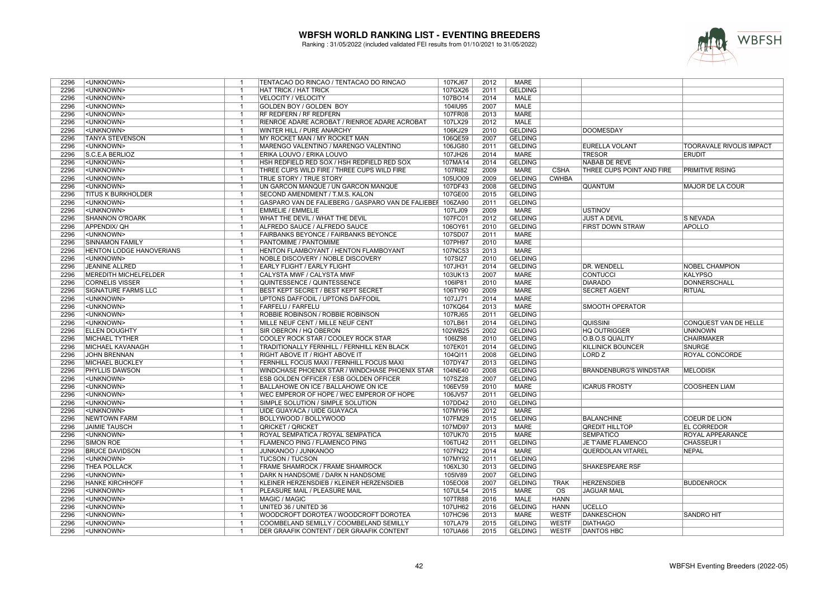

| 2296 | <unknown></unknown>          |                         | TENTACAO DO RINCAO / TENTACAO DO RINCAO                    | 107KJ67 | 2012 | <b>MARE</b>    |                        |                                  |                          |
|------|------------------------------|-------------------------|------------------------------------------------------------|---------|------|----------------|------------------------|----------------------------------|--------------------------|
| 2296 | <unknown></unknown>          | $\overline{1}$          | <b>HAT TRICK / HAT TRICK</b>                               | 107GX26 | 2011 | <b>GELDING</b> |                        |                                  |                          |
| 2296 | <unknown></unknown>          | -1                      | <b>VELOCITY / VELOCITY</b>                                 | 107BO14 | 2014 | <b>MALE</b>    |                        |                                  |                          |
| 2296 | <unknown></unknown>          | $\overline{1}$          | GOLDEN BOY / GOLDEN BOY                                    | 104IU95 | 2007 | <b>MALE</b>    |                        |                                  |                          |
| 2296 | <unknown></unknown>          | $\mathbf{1}$            | RF REDFERN / RF REDFERN                                    | 107FR08 | 2013 | <b>MARE</b>    |                        |                                  |                          |
| 2296 | <unknown></unknown>          | -1                      | RIENROE ADARE ACROBAT / RIENROE ADARE ACROBAT              | 107LX29 | 2012 | <b>MALE</b>    |                        |                                  |                          |
| 2296 | <unknown></unknown>          | $\mathbf{1}$            | WINTER HILL / PURE ANARCHY                                 | 106KJ29 | 2010 | <b>GELDING</b> |                        | <b>DOOMESDAY</b>                 |                          |
| 2296 | <b>TANYA STEVENSON</b>       | $\overline{1}$          | MY ROCKET MAN / MY ROCKET MAN                              | 106QE59 | 2007 | <b>GELDING</b> |                        |                                  |                          |
| 2296 | <unknown></unknown>          | $\overline{\mathbf{1}}$ | MARENGO VALENTINO / MARENGO VALENTINO                      | 106JG80 | 2011 | <b>GELDING</b> |                        | <b>EURELLA VOLANT</b>            | TOORAVALE RIVOLIS IMPACT |
| 2296 | S.C.E.A BERLIOZ              | $\overline{1}$          | ERIKA LOUVO / ERIKA LOUVO                                  | 107JH26 | 2014 | <b>MARE</b>    |                        | <b>TRESOR</b>                    | <b>ERUDIT</b>            |
| 2296 | <unknown></unknown>          | $\overline{1}$          | HSH REDFIELD RED SOX / HSH REDFIELD RED SOX                | 107MA14 | 2014 | <b>GELDING</b> |                        | NABAB DE REVE                    |                          |
| 2296 | <unknown></unknown>          |                         | THREE CUPS WILD FIRE / THREE CUPS WILD FIRE                | 107RI82 | 2009 | <b>MARE</b>    | <b>CSHA</b>            | <b>THREE CUPS POINT AND FIRE</b> | <b>PRIMITIVE RISING</b>  |
| 2296 | <unknown></unknown>          | $\overline{\mathbf{1}}$ | <b>TRUE STORY / TRUE STORY</b>                             | 105UO09 | 2009 | <b>GELDING</b> | <b>CWHBA</b>           |                                  |                          |
| 2296 | <unknown></unknown>          |                         | UN GARCON MANQUE / UN GARCON MANQUE                        | 107DF43 | 2008 | <b>GELDING</b> |                        | <b>QUANTUM</b>                   | <b>MAJOR DE LA COUR</b>  |
| 2296 | <b>TITUS K BURKHOLDER</b>    | $\overline{1}$          | SECOND AMENDMENT / T.M.S. KALON                            | 107GE00 | 2015 | <b>GELDING</b> |                        |                                  |                          |
| 2296 | <unknown></unknown>          | $\overline{\mathbf{1}}$ | GASPARO VAN DE FALIEBERG / GASPARO VAN DE FALIEBEI 106ZA90 |         | 2011 | <b>GELDING</b> |                        |                                  |                          |
| 2296 | <unknown></unknown>          | $\overline{1}$          | EMMELIE / EMMELIE                                          | 107LJ09 | 2009 | <b>MARE</b>    |                        | <b>USTINOV</b>                   |                          |
| 2296 | SHANNON O'ROARK              | $\overline{1}$          | WHAT THE DEVIL / WHAT THE DEVIL                            | 107FC01 | 2012 | <b>GELDING</b> |                        | <b>JUST A DEVIL</b>              | <b>S NEVADA</b>          |
| 2296 | APPENDIX/ QH                 | $\overline{1}$          | ALFREDO SAUCE / ALFREDO SAUCE                              | 106OY61 | 2010 | <b>GELDING</b> |                        | FIRST DOWN STRAW                 | <b>APOLLO</b>            |
| 2296 | <unknown></unknown>          | $\overline{1}$          | <b>FAIRBANKS BEYONCE / FAIRBANKS BEYONCE</b>               | 107SD07 | 2011 | <b>MARE</b>    |                        |                                  |                          |
| 2296 | <b>SINNAMON FAMILY</b>       | $\overline{1}$          | PANTOMIME / PANTOMIME                                      | 107PH97 | 2010 | <b>MARE</b>    |                        |                                  |                          |
| 2296 | HENTON LODGE HANOVERIANS     | $\overline{\mathbf{1}}$ | HENTON FLAMBOYANT / HENTON FLAMBOYANT                      | 107NC53 | 2013 | <b>MARE</b>    |                        |                                  |                          |
| 2296 | <unknown></unknown>          | $\mathbf{1}$            | <b>NOBLE DISCOVERY / NOBLE DISCOVERY</b>                   | 107SI27 | 2010 | <b>GELDING</b> |                        |                                  |                          |
| 2296 | <b>JEANINE ALLRED</b>        | $\overline{1}$          | <b>EARLY FLIGHT / EARLY FLIGHT</b>                         | 107JH31 | 2014 | <b>GELDING</b> |                        | DR. WENDELL                      | <b>NOBEL CHAMPION</b>    |
| 2296 | <b>MEREDITH MICHELFELDER</b> | $\overline{1}$          | CALYSTA MWF / CALYSTA MWF                                  | 103UK13 | 2007 | <b>MARE</b>    |                        | <b>CONTUCCI</b>                  | KALYPSO                  |
| 2296 | <b>CORNELIS VISSER</b>       | $\overline{1}$          | QUINTESSENCE / QUINTESSENCE                                | 106IP81 | 2010 | <b>MARE</b>    |                        | <b>DIARADO</b>                   | DONNERSCHALL             |
| 2296 | SIGNATURE FARMS LLC          | $\overline{1}$          | BEST KEPT SECRET / BEST KEPT SECRET                        | 106TY90 | 2009 | <b>MARE</b>    |                        | <b>SECRET AGENT</b>              | <b>RITUAL</b>            |
| 2296 | <unknown></unknown>          | $\overline{1}$          | UPTONS DAFFODIL / UPTONS DAFFODIL                          | 107JJ71 | 2014 | <b>MARE</b>    |                        |                                  |                          |
| 2296 | <unknown></unknown>          | $\overline{1}$          | <b>FARFELU / FARFELU</b>                                   | 107KQ64 | 2013 | <b>MARE</b>    |                        | <b>SMOOTH OPERATOR</b>           |                          |
| 2296 | <unknown></unknown>          | $\overline{1}$          | <b>ROBBIE ROBINSON / ROBBIE ROBINSON</b>                   | 107RJ65 | 2011 | <b>GELDING</b> |                        |                                  |                          |
| 2296 | <unknown></unknown>          | $\overline{1}$          | MILLE NEUF CENT / MILLE NEUF CENT                          | 107LB61 | 2014 | <b>GELDING</b> |                        | <b>QUISSINI</b>                  | CONQUEST VAN DE HELLE    |
| 2296 | <b>ELLEN DOUGHTY</b>         | -1                      | SIR OBERON / HQ OBERON                                     | 102WB25 | 2002 | <b>GELDING</b> |                        | <b>HQ OUTRIGGER</b>              | <b>UNKNOWN</b>           |
| 2296 | <b>MICHAEL TYTHER</b>        | $\overline{1}$          | COOLEY ROCK STAR / COOLEY ROCK STAR                        | 106IZ98 | 2010 | <b>GELDING</b> |                        | O.B.O.S QUALITY                  | <b>CHAIRMAKER</b>        |
| 2296 | MICHAEL KAVANAGH             | $\overline{1}$          | TRADITIONALLY FERNHILL / FERNHILL KEN BLACK                | 107EK01 | 2014 | <b>GELDING</b> |                        | <b>KILLINICK BOUNCER</b>         | <b>SNURGE</b>            |
| 2296 | <b>JOHN BRENNAN</b>          | $\overline{\mathbf{1}}$ | <b>RIGHT ABOVE IT / RIGHT ABOVE IT</b>                     | 104QI11 | 2008 | <b>GELDING</b> |                        | LORD <sub>Z</sub>                | <b>ROYAL CONCORDE</b>    |
| 2296 | MICHAEL BUCKLEY              | $\overline{1}$          | FERNHILL FOCUS MAXI / FERNHILL FOCUS MAXI                  | 107DY47 | 2013 | <b>GELDING</b> |                        |                                  |                          |
| 2296 | PHYLLIS DAWSON               | $\overline{1}$          | WINDCHASE PHOENIX STAR / WINDCHASE PHOENIX STAR            | 104NE40 | 2008 | <b>GELDING</b> |                        | <b>BRANDENBURG'S WINDSTAR</b>    | <b>MELODISK</b>          |
| 2296 | <unknown></unknown>          | $\overline{1}$          | <b>ESB GOLDEN OFFICER / ESB GOLDEN OFFICER</b>             | 107SZ28 | 2007 | <b>GELDING</b> |                        |                                  |                          |
| 2296 | <unknown></unknown>          | $\mathbf{1}$            | <b>BALLAHOWE ON ICE / BALLAHOWE ON ICE</b>                 | 106EV59 | 2010 | <b>MARE</b>    |                        | <b>ICARUS FROSTY</b>             | <b>COOSHEEN LIAM</b>     |
| 2296 | <unknown></unknown>          | $\overline{1}$          | WEC EMPEROR OF HOPE / WEC EMPEROR OF HOPE                  | 106JV57 | 2011 | <b>GELDING</b> |                        |                                  |                          |
| 2296 | <unknown></unknown>          | $\overline{\mathbf{1}}$ | SIMPLE SOLUTION / SIMPLE SOLUTION                          | 107DD42 | 2010 | <b>GELDING</b> |                        |                                  |                          |
| 2296 | <unknown></unknown>          | $\overline{1}$          | UIDE GUAYACA / UIDE GUAYACA                                | 107MY96 | 2012 | <b>MARE</b>    |                        |                                  |                          |
| 2296 | <b>NEWTOWN FARM</b>          | $\overline{1}$          | BOLLYWOOD / BOLLYWOOD                                      | 107FM29 | 2015 | <b>GELDING</b> |                        | <b>BALANCHINE</b>                | <b>COEUR DE LION</b>     |
| 2296 | <b>JAIMIE TAUSCH</b>         | $\overline{1}$          | <b>QRICKET / QRICKET</b>                                   | 107MD97 | 2013 | <b>MARE</b>    |                        | <b>QREDIT HILLTOP</b>            | <b>EL CORREDOR</b>       |
| 2296 | <unknown></unknown>          | $\overline{1}$          | ROYAL SEMPATICA / ROYAL SEMPATICA                          | 107UK70 | 2015 | <b>MARE</b>    |                        | <b>SEMPATICO</b>                 | <b>ROYAL APPEARANCE</b>  |
| 2296 | <b>SIMON ROE</b>             | $\overline{1}$          | <b>FLAMENCO PING / FLAMENCO PING</b>                       | 106TU42 | 2011 | <b>GELDING</b> |                        | <b>JE T'AIME FLAMENCO</b>        | <b>CHASSEUR I</b>        |
| 2296 | <b>BRUCE DAVIDSON</b>        | $\overline{1}$          | <b>JUNKANOO / JUNKANOO</b>                                 | 107FN22 | 2014 | <b>MARE</b>    |                        | QUERDOLAN VITAREL                | NEPAL                    |
| 2296 | <unknown></unknown>          |                         | <b>TUCSON / TUCSON</b>                                     | 107MY92 | 2011 | <b>GELDING</b> |                        |                                  |                          |
| 2296 | <b>THEA POLLACK</b>          | $\overline{1}$          | <b>FRAME SHAMROCK / FRAME SHAMROCK</b>                     | 106XL30 | 2013 | <b>GELDING</b> |                        | <b>SHAKESPEARE RSF</b>           |                          |
| 2296 | <unknown></unknown>          | $\overline{1}$          | <b>DARK N HANDSOME / DARK N HANDSOME</b>                   | 105IV89 | 2007 | <b>GELDING</b> |                        |                                  |                          |
| 2296 | <b>HANKE KIRCHHOFF</b>       | $\mathbf{1}$            | KLEINER HERZENSDIEB / KLEINER HERZENSDIEB                  | 105EO08 | 2007 | <b>GELDING</b> | <b>TRAK</b>            | <b>HERZENSDIEB</b>               | <b>BUDDENROCK</b>        |
| 2296 | <unknown></unknown>          | $\overline{1}$          | PLEASURE MAIL / PLEASURE MAIL                              | 107UL54 | 2015 | <b>MARE</b>    | $\overline{\text{os}}$ | <b>JAGUAR MAIL</b>               |                          |
| 2296 | <unknown></unknown>          | $\overline{1}$          | MAGIC / MAGIC                                              | 107TR88 | 2016 | <b>MALE</b>    | <b>HANN</b>            |                                  |                          |
| 2296 | <unknown></unknown>          | $\overline{1}$          | UNITED 36 / UNITED 36                                      | 107UH62 | 2016 | <b>GELDING</b> | <b>HANN</b>            | <b>UCELLO</b>                    |                          |
| 2296 | <unknown></unknown>          | $\mathbf{1}$            | WOODCROFT DOROTEA / WOODCROFT DOROTEA                      | 107HC96 | 2013 | <b>MARE</b>    | <b>WESTF</b>           | <b>DANKESCHON</b>                | <b>SANDRO HIT</b>        |
| 2296 | <unknown></unknown>          | $\overline{1}$          | COOMBELAND SEMILLY / COOMBELAND SEMILLY                    | 107LA79 | 2015 | <b>GELDING</b> | <b>WESTF</b>           | <b>DIATHAGO</b>                  |                          |
| 2296 | <unknown></unknown>          | $\overline{1}$          | <b>DER GRAAFIK CONTENT / DER GRAAFIK CONTENT</b>           | 107UA66 | 2015 | <b>GELDING</b> | <b>WESTF</b>           | <b>DANTOS HBC</b>                |                          |
|      |                              |                         |                                                            |         |      |                |                        |                                  |                          |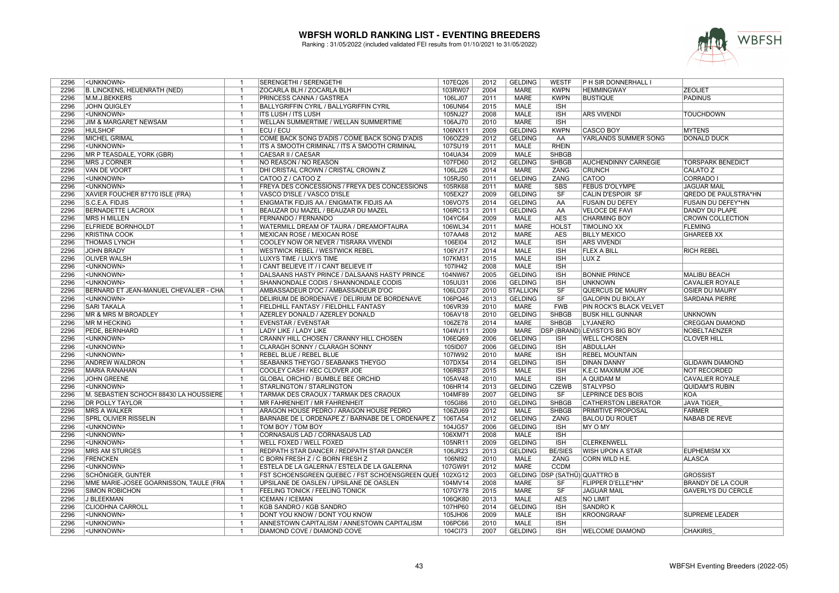

| 2296 | <unknown></unknown>                    | -1             | SERENGETHI / SERENGETHI                           | 107EQ26 | 2012 | <b>GELDING</b>  | <b>WESTF</b>                  | <b>P H SIR DONNERHALL I</b>          |                             |
|------|----------------------------------------|----------------|---------------------------------------------------|---------|------|-----------------|-------------------------------|--------------------------------------|-----------------------------|
| 2296 | B. LINCKENS, HEIJENRATH (NED)          | $\mathbf{1}$   | ZOCARLA BLH / ZOCARLA BLH                         | 103RW07 | 2004 | <b>MARE</b>     | <b>KWPN</b>                   | <b>HEMMINGWAY</b>                    | <b>ZEOLIET</b>              |
| 2296 | M.M.J.BEKKERS                          | $\mathbf{1}$   | PRINCESS CANNA / GASTREA                          | 106LJ07 | 2011 | <b>MARE</b>     | <b>KWPN</b>                   | <b>BUSTIQUE</b>                      | <b>PADINUS</b>              |
| 2296 | <b>JOHN QUIGLEY</b>                    | $\overline{1}$ | <b>BALLYGRIFFIN CYRIL / BALLYGRIFFIN CYRIL</b>    | 106UN64 | 2015 | <b>MALE</b>     | <b>ISH</b>                    |                                      |                             |
| 2296 | <unknown></unknown>                    | $\mathbf{1}$   | <b>ITS LUSH / ITS LUSH</b>                        | 105NJ27 | 2008 | <b>MALE</b>     | <b>ISH</b>                    | <b>ARS VIVENDI</b>                   | <b>TOUCHDOWN</b>            |
| 2296 | JIM & MARGARET NEWSAM                  | $\overline{1}$ | WELLAN SUMMERTIME / WELLAN SUMMERTIME             | 106AJ70 | 2010 | <b>MARE</b>     | <b>ISH</b>                    |                                      |                             |
| 2296 | <b>HULSHOF</b>                         | $\overline{1}$ | ECU / ECU                                         | 106NX11 | 2009 | <b>GELDING</b>  | <b>KWPN</b>                   | <b>CASCO BOY</b>                     | <b>MYTENS</b>               |
| 2296 | MICHEL GRIMAL                          | $\mathbf{1}$   | COME BACK SONG D'ADIS / COME BACK SONG D'ADIS     | 106OZ29 | 2012 | <b>GELDING</b>  | AA                            | YARLANDS SUMMER SONG                 | <b>DONALD DUCK</b>          |
| 2296 | <unknown></unknown>                    | $\overline{1}$ | ITS A SMOOTH CRIMINAL / ITS A SMOOTH CRIMINAL     | 107SU19 | 2011 | <b>MALE</b>     | <b>RHEIN</b>                  |                                      |                             |
| 2296 | MR P TEASDALE, YORK (GBR)              | $\overline{1}$ | CAESAR II / CAESAR                                | 104UA34 | 2009 | <b>MALE</b>     | <b>SHBGB</b>                  |                                      |                             |
| 2296 | <b>MRS J CORNER</b>                    | $\overline{1}$ | NO REASON / NO REASON                             | 107FD60 | 2012 | <b>GELDING</b>  | <b>SHBGB</b>                  | <b>AUCHENDINNY CARNEGIE</b>          | <b>TORSPARK BENEDICT</b>    |
| 2296 | VAN DE VOORT                           | $\mathbf{1}$   | DHI CRISTAL CROWN / CRISTAL CROWN Z               | 106LJ26 | 2014 | <b>MARE</b>     | <b>ZANG</b>                   | <b>CRUNCH</b>                        | <b>CALATO Z</b>             |
| 2296 | <unknown></unknown>                    | $\overline{1}$ | CATOO Z / CATOO Z                                 | 105RJ50 | 2011 | <b>GELDING</b>  | ZANG                          | CATOO                                | <b>CORRADO I</b>            |
| 2296 | <unknown></unknown>                    | $\mathbf{1}$   | FREYA DES CONCESSIONS / FREYA DES CONCESSIONS     | 105RK68 | 2011 | <b>MARE</b>     | <b>SBS</b>                    | <b>FEBUS D'OLYMPE</b>                | <b>JAGUAR MAIL</b>          |
| 2296 | XAVIER FOUCHER 87170 ISLE (FRA)        | $\overline{1}$ | VASCO D'ISLE / VASCO D'ISLE                       | 105EX27 | 2009 | <b>GELDING</b>  | SF                            | <b>CALIN D'ESPOIR SF</b>             | <b>QREDO DE PAULSTRA*HN</b> |
| 2296 | S.C.E.A. FIDJIS                        | $\mathbf{1}$   | ENIGMATIK FIDJIS AA / ENIGMATIK FIDJIS AA         | 106VO75 | 2014 | <b>GELDING</b>  | AA                            | <b>FUSAIN DU DEFEY</b>               | FUSAIN DU DEFEY*HN          |
| 2296 | <b>BERNADETTE LACROIX</b>              | $\mathbf{1}$   | BEAUZAR DU MAZEL / BEAUZAR DU MAZEL               | 106RC13 | 2011 | <b>GELDING</b>  | AA                            | <b>VELOCE DE FAVI</b>                | DANDY DU PLAPE              |
| 2296 | <b>MRS H MILLEN</b>                    | $\mathbf{1}$   | FERNANDO / FERNANDO                               | 104YC64 | 2009 | <b>MALE</b>     | <b>AES</b>                    | <b>CHARMING BOY</b>                  | <b>CROWN COLLECTION</b>     |
| 2296 | <b>ELFRIEDE BORNHOLDT</b>              | $\overline{1}$ | WATERMILL DREAM OF TAURA / DREAMOFTAURA           | 106WL34 | 2011 | <b>MARE</b>     | <b>HOLST</b>                  | <b>TIMOLINO XX</b>                   | <b>FLEMING</b>              |
| 2296 | <b>KRISTINA COOK</b>                   | $\mathbf{1}$   | <b>MEXICAN ROSE / MEXICAN ROSE</b>                | 107AA48 | 2012 | <b>MARE</b>     | <b>AES</b>                    | <b>BILLY MEXICO</b>                  | <b>GHAREEB XX</b>           |
| 2296 | <b>THOMAS LYNCH</b>                    | $\mathbf{1}$   | COOLEY NOW OR NEVER / TISRARA VIVENDI             | 106EI04 | 2012 | <b>MALE</b>     | <b>ISH</b>                    | <b>ARS VIVENDI</b>                   |                             |
| 2296 | <b>JOHN BRADY</b>                      | $\mathbf{1}$   | <b>WESTWICK REBEL / WESTWICK REBEL</b>            | 106YJ17 | 2014 | <b>MALE</b>     | <b>ISH</b>                    | <b>FLEX A BILL</b>                   | <b>RICH REBEL</b>           |
| 2296 | <b>OLIVER WALSH</b>                    | $\overline{1}$ | LUXYS TIME / LUXYS TIME                           | 107KM31 | 2015 | <b>MALE</b>     | <b>ISH</b>                    | LUX <sub>Z</sub>                     |                             |
| 2296 | <unknown></unknown>                    | $\overline{1}$ | I CANT BELIEVE IT / I CANT BELIEVE IT             | 107IH42 | 2008 | <b>MALE</b>     | <b>ISH</b>                    |                                      |                             |
| 2296 | <unknown></unknown>                    | $\overline{1}$ | DALSAANS HASTY PRINCE / DALSAANS HASTY PRINCE     |         | 2005 | <b>GELDING</b>  | <b>ISH</b>                    | <b>BONNIE PRINCE</b>                 | <b>MALIBU BEACH</b>         |
|      |                                        | $\overline{1}$ |                                                   | 104NW67 |      |                 |                               |                                      |                             |
| 2296 | <unknown></unknown>                    |                | SHANNONDALE CODIS / SHANNONDALE CODIS             | 105UU31 | 2006 | <b>GELDING</b>  | <b>ISH</b>                    | <b>UNKNOWN</b>                       | <b>CAVALIER ROYALE</b>      |
| 2296 | BERNARD ET JEAN-MANUEL CHEVALIER - CHA | $\mathbf{1}$   | AMBASSADEUR D'OC / AMBASSADEUR D'OC               | 106LO37 | 2010 | <b>STALLION</b> | SF                            | QUERCUS DE MAURY                     | <b>OSIER DU MAURY</b>       |
| 2296 | <unknown></unknown>                    | $\overline{1}$ | DELIRIUM DE BORDENAVE / DELIRIUM DE BORDENAVE     | 106PQ46 | 2013 | <b>GELDING</b>  | SF                            | <b>GALOPIN DU BIOLAY</b>             | <b>SARDANA PIERRE</b>       |
| 2296 | <b>SARI TAKALA</b>                     | $\overline{1}$ | FIELDHILL FANTASY / FIELDHILL FANTASY             | 106VR39 | 2010 | <b>MARE</b>     | <b>FWB</b>                    | PIN ROCK'S BLACK VELVET              |                             |
| 2296 | <b>MR &amp; MRS M BROADLEY</b>         | $\mathbf{1}$   | AZERLEY DONALD / AZERLEY DONALD                   | 106AV18 | 2010 | <b>GELDING</b>  | <b>SHBGB</b>                  | <b>BUSK HILL GUNNAR</b>              | <b>UNKNOWN</b>              |
| 2296 | <b>MR M HECKING</b>                    | $\mathbf{1}$   | <b>EVENSTAR / EVENSTAR</b>                        | 106ZE78 | 2014 | <b>MARE</b>     | <b>SHBGB</b>                  | <b>LYJANERO</b>                      | <b>CREGGAN DIAMOND</b>      |
| 2296 | PEDE, BERNHARD                         | $\mathbf{1}$   | LADY LIKE / LADY LIKE                             | 104WJ11 | 2009 | <b>MARE</b>     |                               | <b>DSP (BRAND) LEVISTO'S BIG BOY</b> | <b>NOBELTAENZER</b>         |
| 2296 | <unknown></unknown>                    | $\overline{1}$ | CRANNY HILL CHOSEN / CRANNY HILL CHOSEN           | 106EQ69 | 2006 | <b>GELDING</b>  | <b>ISH</b>                    | <b>WELL CHOSEN</b>                   | <b>CLOVER HILL</b>          |
| 2296 | <unknown></unknown>                    | $\overline{1}$ | CLARAGH SONNY / CLARAGH SONNY                     | 105ID07 | 2006 | <b>GELDING</b>  | <b>ISH</b>                    | <b>ABDULLAH</b>                      |                             |
| 2296 | <unknown></unknown>                    | $\mathbf{1}$   | <b>REBEL BLUE / REBEL BLUE</b>                    | 107IW92 | 2010 | <b>MARE</b>     | <b>ISH</b>                    | <b>REBEL MOUNTAIN</b>                |                             |
| 2296 | <b>ANDREW WALDRON</b>                  | $\overline{1}$ | SEABANKS THEYGO / SEABANKS THEYGO                 | 107DX54 | 2014 | <b>GELDING</b>  | <b>ISH</b>                    | <b>DINAN DANNY</b>                   | <b>GLIDAWN DIAMOND</b>      |
| 2296 | <b>MARIA RANAHAN</b>                   | $\overline{1}$ | COOLEY CASH / KEC CLOVER JOE                      | 106RB37 | 2015 | <b>MALE</b>     | $\overline{\mathsf{ISH}}$     | K.E.C MAXIMUM JOE                    | NOT RECORDED                |
| 2296 | <b>JOHN GREENE</b>                     | $\overline{1}$ | GLOBAL ORCHID / BUMBLE BEE ORCHID                 | 105AV48 | 2010 | <b>MALE</b>     | <b>ISH</b>                    | A QUIDAM M                           | <b>CAVALIER ROYALE</b>      |
| 2296 | <unknown></unknown>                    | $\overline{1}$ | STARLINGTON / STARLINGTON                         | 106HR14 | 2013 | <b>GELDING</b>  | <b>CZEWB</b>                  | <b>STALYPSO</b>                      | <b>QUIDAM'S RUBIN</b>       |
| 2296 | M. SEBASTIEN SCHOCH 88430 LA HOUSSIERE | $\mathbf{1}$   | TARMAK DES CRAOUX / TARMAK DES CRAOUX             | 104MF89 | 2007 | <b>GELDING</b>  | <b>SF</b>                     | LEPRINCE DES BOIS                    | <b>KOA</b>                  |
| 2296 | <b>DR POLLY TAYLOR</b>                 | $\overline{1}$ | <b>MR FAHRENHEIT / MR FAHRENHEIT</b>              | 105GI86 | 2010 | <b>GELDING</b>  | <b>SHBGB</b>                  | <b>CATHERSTON LIBERATOR</b>          | <b>JAVA TIGER</b>           |
| 2296 | <b>MRS A WALKER</b>                    | $\overline{1}$ | ARAGON HOUSE PEDRO / ARAGON HOUSE PEDRO           | 106ZU69 | 2012 | <b>MALE</b>     | <b>SHBGB</b>                  | <b>PRIMITIVE PROPOSAL</b>            | FARMER                      |
| 2296 | <b>SPRL OLIVIER RISSELIN</b>           | $\mathbf{1}$   | BARNABE DE L ORDENAPE Z / BARNABE DE L ORDENAPE Z | 106TA54 | 2012 | <b>GELDING</b>  | ZANG                          | <b>BALOU DU ROUET</b>                | NABAB DE REVE               |
| 2296 | <unknown></unknown>                    | $\overline{1}$ | TOM BOY / TOM BOY                                 | 104JG57 | 2006 | <b>GELDING</b>  | <b>ISH</b>                    | MY O MY                              |                             |
| 2296 | <unknown></unknown>                    | $\mathbf{1}$   | CORNASAUS LAD / CORNASAUS LAD                     | 106XM71 | 2008 | MALE            | <b>ISH</b>                    |                                      |                             |
| 2296 | <unknown></unknown>                    | $\mathbf{1}$   | <b>WELL FOXED / WELL FOXED</b>                    | 105NR11 | 2009 | <b>GELDING</b>  | <b>ISH</b>                    | <b>CLERKENWELL</b>                   |                             |
| 2296 | <b>MRS AM STURGES</b>                  | $\overline{1}$ | REDPATH STAR DANCER / REDPATH STAR DANCER         | 106JR23 | 2013 | <b>GELDING</b>  | <b>BE/SIES</b>                | WISH UPON A STAR                     | <b>EUPHEMISM XX</b>         |
| 2296 | <b>FRENCKEN</b>                        | $\overline{1}$ | C BORN FRESH Z / C BORN FRESH Z                   | 106NI92 | 2010 | <b>MALE</b>     | <b>ZANG</b>                   | CORN WILD H.E.                       | <b>ALASCA</b>               |
| 2296 | <unknown></unknown>                    | $\mathbf{1}$   | ESTELA DE LA GALERNA / ESTELA DE LA GALERNA       | 107GW91 | 2012 | <b>MARE</b>     | <b>CCDM</b>                   |                                      |                             |
| 2296 | <b>SCHÖNIGER, GUNTER</b>               | $\overline{1}$ | FST SCHOENSGREEN QUEBEC / FST SCHOENSGREEN QUEI   | 102XG12 | 2003 |                 | GELDING DSP (SATHÜ) QUATTRO B |                                      | <b>GROSSIST</b>             |
| 2296 | MME MARIE-JOSEE GOARNISSON, TAULE (FRA | $\mathbf{1}$   | UPSILANE DE OASLEN / UPSILANE DE OASLEN           | 104MV14 | 2008 | <b>MARE</b>     | <b>SF</b>                     | FLIPPER D'ELLE*HN*                   | <b>BRANDY DE LA COUR</b>    |
| 2296 | <b>SIMON ROBICHON</b>                  | $\mathbf{1}$   | FEELING TONICK / FEELING TONICK                   | 107GY78 | 2015 | <b>MARE</b>     | $\overline{\text{SF}}$        | <b>JAGUAR MAIL</b>                   | <b>GAVERLYS DU CERCLE</b>   |
| 2296 | J BLEEKMAN                             | $\overline{1}$ | <b>ICEMAN / ICEMAN</b>                            | 106QK80 | 2013 | <b>MALE</b>     | <b>AES</b>                    | <b>NO LIMIT</b>                      |                             |
| 2296 | <b>CLIODHNA CARROLL</b>                | $\mathbf{1}$   | <b>KGB SANDRO / KGB SANDRO</b>                    | 107HP60 | 2014 | <b>GELDING</b>  | <b>ISH</b>                    | <b>SANDROK</b>                       |                             |
| 2296 | <unknown></unknown>                    | $\overline{1}$ | DONT YOU KNOW / DONT YOU KNOW                     | 105JH06 | 2009 | <b>MALE</b>     | <b>ISH</b>                    | <b>KROONGRAAF</b>                    | <b>SUPREME LEADER</b>       |
| 2296 | <unknown></unknown>                    | $\mathbf{1}$   | ANNESTOWN CAPITALISM / ANNESTOWN CAPITALISM       | 106PC66 | 2010 | <b>MALE</b>     | <b>ISH</b>                    |                                      |                             |
| 2296 | <unknown></unknown>                    | $\mathbf{1}$   | DIAMOND COVE / DIAMOND COVE                       | 104Cl73 | 2007 | <b>GELDING</b>  | <b>ISH</b>                    | <b>WELCOME DIAMOND</b>               | <b>CHAKIRIS</b>             |
|      |                                        |                |                                                   |         |      |                 |                               |                                      |                             |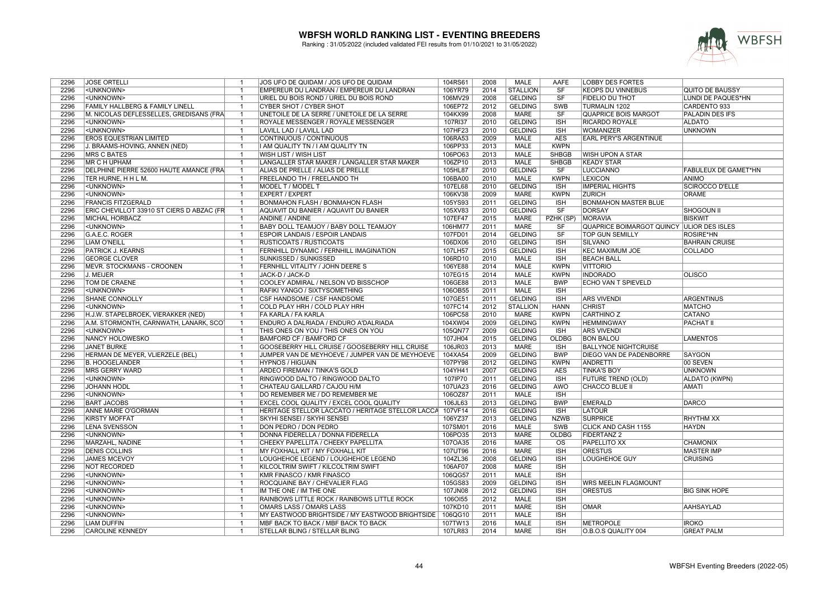

| 2296 | <b>JOSE ORTELLI</b>                        | $\overline{1}$          | JOS UFO DE QUIDAM / JOS UFO DE QUIDAM                     | 104RS61 | 2008 | MALE            | AAFE         | <b>LOBBY DES FORTES</b>                   |                             |
|------|--------------------------------------------|-------------------------|-----------------------------------------------------------|---------|------|-----------------|--------------|-------------------------------------------|-----------------------------|
| 2296 | <unknown></unknown>                        |                         | EMPEREUR DU LANDRAN / EMPEREUR DU LANDRAN                 | 106YR79 | 2014 | <b>STALLION</b> | SF           | <b>KEOPS DU VINNEBUS</b>                  | <b>QUITO DE BAUSSY</b>      |
| 2296 | <unknown></unknown>                        |                         | URIEL DU BOIS ROND / URIEL DU BOIS ROND                   | 106MV29 | 2008 | <b>GELDING</b>  | SF           | <b>FIDELIO DU THOT</b>                    | LUNDI DE PAQUES*HN          |
| 2296 | <b>FAMILY HALLBERG &amp; FAMILY LINELL</b> | $\overline{1}$          | <b>CYBER SHOT / CYBER SHOT</b>                            | 106EP72 | 2012 | <b>GELDING</b>  | <b>SWB</b>   | <b>TURMALIN 1202</b>                      | <b>CARDENTO 933</b>         |
| 2296 | M. NICOLAS DEFLESSELLES, GREDISANS (FRA    |                         | UNETOILE DE LA SERRE / UNETOILE DE LA SERRE               | 104KX99 | 2008 | <b>MARE</b>     | SF           | <b>QUAPRICE BOIS MARGOT</b>               | <b>PALADIN DES IFS</b>      |
| 2296 | <unknown></unknown>                        | $\overline{1}$          | ROYALE MESSENGER / ROYALE MESSENGER                       | 107RI37 | 2010 | <b>GELDING</b>  | <b>ISH</b>   | <b>RICARDO ROYALE</b>                     | <b>ALDATO</b>               |
| 2296 | <unknown></unknown>                        | $\overline{1}$          | LAVILL LAD / LAVILL LAD                                   | 107HF23 | 2010 | <b>GELDING</b>  | <b>ISH</b>   | <b>WOMANIZER</b>                          | <b>UNKNOWN</b>              |
| 2296 | <b>EROS EQUESTRIAN LIMITED</b>             |                         | CONTINUOUS / CONTINUOUS                                   | 106RA53 | 2009 | MALE            | <b>AES</b>   | <b>EARL PERY'S ARGENTINUE</b>             |                             |
| 2296 | J. BRAAMS-HOVING, ANNEN (NED)              | $\overline{1}$          | I AM QUALITY TN / I AM QUALITY TN                         | 106PP33 | 2013 | <b>MALE</b>     | <b>KWPN</b>  |                                           |                             |
| 2296 | <b>MRS C BATES</b>                         | $\overline{1}$          | WISH LIST / WISH LIST                                     | 106PO63 | 2013 | <b>MALE</b>     | <b>SHBGB</b> | <b>WISH UPON A STAR</b>                   |                             |
| 2296 | MR C H UPHAM                               | $\overline{1}$          | LANGALLER STAR MAKER / LANGALLER STAR MAKER               | 106ZP10 | 2013 | <b>MALE</b>     | SHBGB        | <b>KEADY STAR</b>                         |                             |
| 2296 | DELPHINE PIERRE 52600 HAUTE AMANCE (FRA    |                         | ALIAS DE PRELLE / ALIAS DE PRELLE                         | 105HL87 | 2010 | <b>GELDING</b>  | SF           | <b>LUCCIANNO</b>                          | <b>FABULEUX DE GAMET*HN</b> |
| 2296 | TER HURNE, H H L M.                        |                         | <b>FREELANDO TH / FREELANDO TH</b>                        | 106BA00 | 2010 | <b>MALE</b>     | <b>KWPN</b>  | <b>LEXICON</b>                            | <b>ANIMO</b>                |
| 2296 | <unknown></unknown>                        | $\mathbf{1}$            | MODEL T / MODEL T                                         | 107EL68 | 2010 | <b>GELDING</b>  | <b>ISH</b>   | <b>IMPERIAL HIGHTS</b>                    | <b>SCIROCCO D'ELLE</b>      |
| 2296 | <unknown></unknown>                        |                         | <b>EXPERT / EXPERT</b>                                    | 106KV38 | 2009 | <b>MARE</b>     | <b>KWPN</b>  | <b>ZURICH</b>                             | <b>ORAME</b>                |
| 2296 | <b>FRANCIS FITZGERALD</b>                  | $\overline{1}$          | <b>BONMAHON FLASH / BONMAHON FLASH</b>                    | 105YS93 | 2011 | <b>GELDING</b>  | <b>ISH</b>   | <b>BONMAHON MASTER BLUE</b>               |                             |
| 2296 | ERIC CHEVILLOT 33910 ST CIERS D ABZAC (FR  | $\mathbf{1}$            | AQUAVIT DU BANIER / AQUAVIT DU BANIER                     | 105XV83 | 2010 | <b>GELDING</b>  | SF           | <b>DORSAY</b>                             | <b>SHOGOUN II</b>           |
| 2296 | <b>MICHAL HORBACZ</b>                      |                         | <b>ANDINE / ANDINE</b>                                    | 107EF47 | 2015 | <b>MARE</b>     | PZHK (SP)    | <b>MORAVIA</b>                            | <b>BISKWIT</b>              |
| 2296 | <unknown></unknown>                        | $\overline{1}$          |                                                           |         | 2011 | <b>MARE</b>     | SF           | QUAPRICE BOIMARGOT QUINCY ULIOR DES ISLES |                             |
|      |                                            | $\overline{1}$          | BABY DOLL TEAMJOY / BABY DOLL TEAMJOY                     | 106HM77 | 2014 |                 | SF           |                                           |                             |
| 2296 | G.A.E.C. ROGER                             |                         | <b>ESPOIR LANDAIS / ESPOIR LANDAIS</b>                    | 107FD01 |      | <b>GELDING</b>  |              | TOP GUN SEMILLY                           | ROSIRE*HN                   |
| 2296 | <b>LIAM O'NEILL</b>                        | $\overline{1}$          | <b>RUSTICOATS / RUSTICOATS</b>                            | 106DX06 | 2010 | <b>GELDING</b>  | <b>ISH</b>   | <b>SILVANO</b>                            | <b>BAHRAIN CRUISE</b>       |
| 2296 | PATRICK J. KEARNS                          | $\overline{1}$          | FERNHILL DYNAMIC / FERNHILL IMAGINATION                   | 107LH57 | 2015 | <b>GELDING</b>  | <b>ISH</b>   | <b>KEC MAXIMUM JOE</b>                    | <b>COLLADO</b>              |
| 2296 | <b>GEORGE CLOVER</b>                       |                         | <b>SUNKISSED / SUNKISSED</b>                              | 106RD10 | 2010 | <b>MALE</b>     | <b>ISH</b>   | <b>BEACH BALL</b>                         |                             |
| 2296 | MEVR. STOCKMANS - CROONEN                  | $\mathbf{1}$            | FERNHILL VITALITY / JOHN DEERE S                          | 106YE88 | 2014 | <b>MALE</b>     | <b>KWPN</b>  | <b>VITTORIO</b>                           |                             |
| 2296 | J. MEIJER                                  |                         | JACK-D / JACK-D                                           | 107EG15 | 2014 | <b>MALE</b>     | <b>KWPN</b>  | <b>INDORADO</b>                           | <b>OLISCO</b>               |
| 2296 | <b>TOM DE CRAENE</b>                       |                         | COOLEY ADMIRAL / NELSON VD BISSCHOP                       | 106GE88 | 2013 | <b>MALE</b>     | <b>BWP</b>   | <b>ECHO VAN T SPIEVELD</b>                |                             |
| 2296 | <unknown></unknown>                        | $\overline{1}$          | RAFIKI YANGO / SIXTYSOMETHING                             | 106OB55 | 2011 | <b>MALE</b>     | <b>ISH</b>   |                                           |                             |
| 2296 | <b>SHANE CONNOLLY</b>                      |                         | <b>CSF HANDSOME / CSF HANDSOME</b>                        | 107GE51 | 2011 | <b>GELDING</b>  | <b>ISH</b>   | <b>ARS VIVENDI</b>                        | <b>ARGENTINUS</b>           |
| 2296 | <unknown></unknown>                        | $\overline{1}$          | COLD PLAY HRH / COLD PLAY HRH                             | 107FC14 | 2012 | <b>STALLION</b> | <b>HANN</b>  | <b>CHRIST</b>                             | <b>MATCHO</b>               |
| 2296 | H.J.W. STAPELBROEK, VIERAKKER (NED)        |                         | FA KARLA / FA KARLA                                       | 106PC58 | 2010 | <b>MARE</b>     | <b>KWPN</b>  | <b>CARTHINO Z</b>                         | <b>CATANO</b>               |
| 2296 | A.M. STORMONTH, CARNWATH, LANARK, SCO      |                         | ENDURO A DALRIADA / ENDURO A'DALRIADA                     | 104XW04 | 2009 | <b>GELDING</b>  | <b>KWPN</b>  | <b>HEMMINGWAY</b>                         | <b>PACHAT II</b>            |
| 2296 | <unknown></unknown>                        | $\overline{1}$          | THIS ONES ON YOU / THIS ONES ON YOU                       | 105QN77 | 2009 | <b>GELDING</b>  | <b>ISH</b>   | <b>ARS VIVENDI</b>                        |                             |
| 2296 | <b>NANCY HOLOWESKO</b>                     |                         | <b>BAMFORD CF / BAMFORD CF</b>                            | 107JH04 | 2015 | <b>GELDING</b>  | <b>OLDBG</b> | <b>BON BALOU</b>                          | <b>LAMENTOS</b>             |
| 2296 | <b>JANET BURKE</b>                         | $\overline{1}$          | GOOSEBERRY HILL CRUISE / GOOSEBERRY HILL CRUISE           | 106JR03 | 2013 | MARE            | <b>ISH</b>   | <b>BALLYNOE NIGHTCRUISE</b>               |                             |
| 2296 | HERMAN DE MEYER, VLIERZELE (BEL)           | $\overline{1}$          | JUMPER VAN DE MEYHOEVE / JUMPER VAN DE MEYHOEVE           | 104XA54 | 2009 | <b>GELDING</b>  | <b>BWP</b>   | DIEGO VAN DE PADENBORRE                   | SAYGON                      |
| 2296 | <b>B. HOOGELANDER</b>                      |                         | <b>HYPNOS / HIGUAIN</b>                                   | 107PY98 | 2012 | <b>GELDING</b>  | <b>KWPN</b>  | <b>ANDRETTI</b>                           | 00 SEVEN                    |
| 2296 | MRS GERRY WARD                             | $\overline{1}$          | ARDEO FIREMAN / TINKA'S GOLD                              | 104YH41 | 2007 | <b>GELDING</b>  | <b>AES</b>   | <b>TINKA'S BOY</b>                        | <b>UNKNOWN</b>              |
| 2296 | <unknown></unknown>                        |                         | RINGWOOD DALTO / RINGWOOD DALTO                           | 107IP70 | 2011 | <b>GELDING</b>  | <b>ISH</b>   | <b>FUTURE TREND (OLD)</b>                 | ALDATO (KWPN)               |
| 2296 | <b>JOHANN HÖDL</b>                         |                         | CHATEAU GAILLARD / CAJOU H/M                              | 107UA23 | 2016 | <b>GELDING</b>  | <b>AWÖ</b>   | <b>CHACCO BLUE II</b>                     | <b>AMATI</b>                |
| 2296 | <unknown></unknown>                        | $\overline{1}$          | DO REMEMBER ME / DO REMEMBER ME                           | 106OZ87 | 2011 | <b>MALE</b>     | <b>ISH</b>   |                                           |                             |
| 2296 | <b>BART JACOBS</b>                         |                         | <b>EXCEL COOL QUALITY / EXCEL COOL QUALITY</b>            | 106JL63 | 2013 | <b>GELDING</b>  | <b>BWP</b>   | <b>EMERALD</b>                            | <b>DARCO</b>                |
| 2296 | <b>ANNE MARIE O'GORMAN</b>                 | $\overline{1}$          | HERITAGE STELLOR LACCATO / HERITAGE STELLOR LACCA 107VF14 |         | 2016 | <b>GELDING</b>  | <b>ISH</b>   | <b>LATOUR</b>                             |                             |
| 2296 | <b>KIRSTY MOFFAT</b>                       | $\overline{1}$          | SKYHI SENSEI / SKYHI SENSEI                               | 106YZ37 | 2013 | <b>GELDING</b>  | <b>NZWB</b>  | <b>SURPRICE</b>                           | <b>RHYTHM XX</b>            |
| 2296 | <b>LENA SVENSSON</b>                       | $\overline{\mathbf{1}}$ | DON PEDRO / DON PEDRO                                     | 107SM01 | 2016 | MALE            | SWB          | CLICK AND CASH 1155                       | <b>HAYDN</b>                |
| 2296 | <unknown></unknown>                        | $\overline{1}$          | DONNA FIDERELLA / DONNA FIDERELLA                         | 106PO35 | 2013 | <b>MARE</b>     | <b>OLDBG</b> | <b>FIDERTANZ 2</b>                        |                             |
| 2296 | MARZAHL, NADINE                            | $\overline{1}$          | CHEEKY PAPELLITA / CHEEKY PAPELLITA                       | 107OA35 | 2016 | <b>MARE</b>     | <b>OS</b>    | <b>PAPELLITO XX</b>                       | <b>CHAMONIX</b>             |
| 2296 | <b>DENIS COLLINS</b>                       | $\mathbf{1}$            | MY FOXHALL KIT / MY FOXHALL KIT                           | 107UT96 | 2016 | <b>MARE</b>     | <b>ISH</b>   | <b>ORESTUS</b>                            | <b>MASTER IMP</b>           |
| 2296 | <b>JAMES MCEVOY</b>                        |                         | LOUGHEHOE LEGEND / LOUGHEHOE LEGEND                       | 104ZL36 | 2008 | <b>GELDING</b>  | <b>ISH</b>   | <b>LOUGHEHOE GUY</b>                      | <b>CRUISING</b>             |
| 2296 | <b>NOT RECORDED</b>                        |                         | KILCOLTRIM SWIFT / KILCOLTRIM SWIFT                       | 106AF07 | 2008 | <b>MARE</b>     | <b>ISH</b>   |                                           |                             |
| 2296 | <unknown></unknown>                        | $\overline{1}$          | <b>KMR FINASCO / KMR FINASCO</b>                          | 106QG57 | 2011 | <b>MALE</b>     | <b>ISH</b>   |                                           |                             |
| 2296 | <unknown></unknown>                        |                         | ROCQUAINE BAY / CHEVALIER FLAG                            | 105GS83 | 2009 | <b>GELDING</b>  | <b>ISH</b>   |                                           |                             |
|      |                                            | $\overline{1}$          |                                                           |         |      |                 |              | <b>WRS MEELIN FLAGMOUNT</b>               |                             |
| 2296 | <unknown></unknown>                        |                         | IM THE ONE / IM THE ONE                                   | 107JN08 | 2012 | <b>GELDING</b>  | <b>ISH</b>   | <b>ORESTUS</b>                            | <b>BIG SINK HOPE</b>        |
| 2296 | <unknown></unknown>                        | $\overline{1}$          | RAINBOWS LITTLE ROCK / RAINBOWS LITTLE ROCK               | 106OI55 | 2012 | <b>MALE</b>     | <b>ISH</b>   |                                           |                             |
| 2296 | <unknown></unknown>                        |                         | OMARS LASS / OMARS LASS                                   | 107KD10 | 2011 | <b>MARE</b>     | <b>ISH</b>   | <b>OMAR</b>                               | <b>AAHSAYLAD</b>            |
| 2296 | <unknown></unknown>                        | $\overline{1}$          | MY EASTWOOD BRIGHTSIDE / MY EASTWOOD BRIGHTSIDE           | 106QG10 | 2011 | <b>MALE</b>     | <b>ISH</b>   |                                           |                             |
| 2296 | <b>LIAM DUFFIN</b>                         | $\overline{1}$          | MBF BACK TO BACK / MBF BACK TO BACK                       | 107TW13 | 2016 | <b>MALE</b>     | <b>ISH</b>   | <b>METROPOLE</b>                          | <b>IROKO</b>                |
| 2296 | <b>CAROLINE KENNEDY</b>                    |                         | <b>STELLAR BLING / STELLAR BLING</b>                      | 107LR83 | 2014 | <b>MARE</b>     | <b>ISH</b>   | O.B.O.S QUALITY 004                       | <b>GREAT PALM</b>           |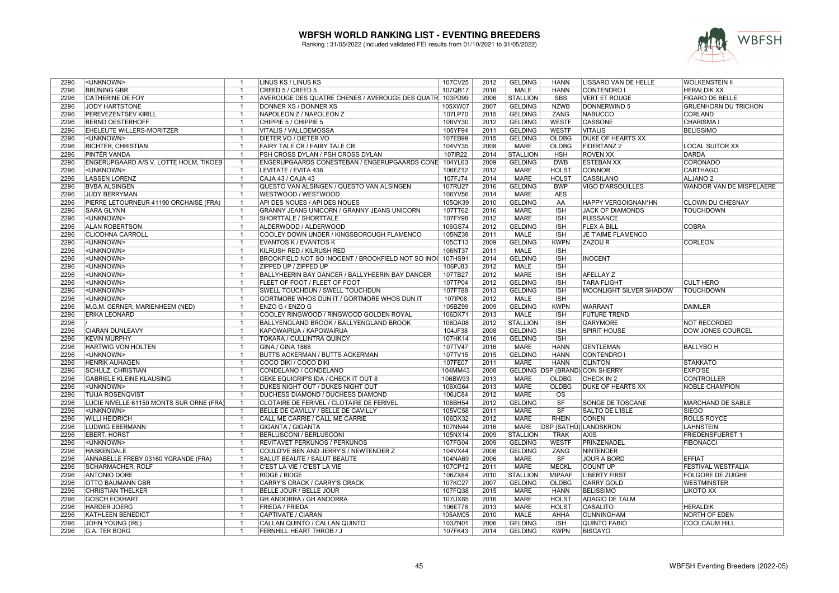

| 2296 | <unknown></unknown>                      | $\mathbf{1}$                     | LINUS KS / LINUS KS                                     | 107CV25            | 2012 | <b>GELDING</b>  | <b>HANN</b>            | LISSARO VAN DE HELLE           | <b>WOLKENSTEIN II</b>           |
|------|------------------------------------------|----------------------------------|---------------------------------------------------------|--------------------|------|-----------------|------------------------|--------------------------------|---------------------------------|
| 2296 | <b>BRÜNING GBR</b>                       | $\overline{1}$                   | CREED 5 / CREED 5                                       | 107QB17            | 2016 | MALE            | <b>HANN</b>            | CONTENDRO I                    | <b>HERALDIK XX</b>              |
| 2296 | <b>CATHERINE DE FOY</b>                  |                                  | AVEROUGE DES QUATRE CHENES / AVEROUGE DES QUATR 103PD99 |                    | 2006 | <b>STALLION</b> | <b>SBS</b>             | <b>VERT ET ROUGE</b>           | <b>FIGARO DE BELLE</b>          |
| 2296 | <b>JODY HARTSTONE</b>                    | $\overline{1}$                   | DONNER XS / DONNER XS                                   | 105XW07            | 2007 | <b>GELDING</b>  | <b>NZWB</b>            | <b>DONNERWIND 5</b>            | <b>GRUENHORN DU TRICHON</b>     |
| 2296 | PEREVEZENTSEV KIRILL                     |                                  | NAPOLEON Z / NAPOLEON Z                                 | 107LP70            | 2015 | <b>GELDING</b>  | <b>ZANG</b>            | <b>NABUCCO</b>                 | <b>CORLAND</b>                  |
| 2296 | <b>BERND OESTERHOFF</b>                  | $\overline{1}$                   | CHIPPIE 5 / CHIPPIE 5                                   | 106VY30            | 2012 | <b>GELDING</b>  | <b>WESTF</b>           | <b>CASSONE</b>                 | <b>CHARISMA1</b>                |
| 2296 | EHELEUTE WILLERS-MORITZER                | $\overline{\mathbf{1}}$          | VITALIS / VALLDEMOSSA                                   | 105YF94            | 2011 | <b>GELDING</b>  | <b>WESTF</b>           | <b>VITALIS</b>                 | <b>BELISSIMO</b>                |
| 2296 | <unknown></unknown>                      | -1                               | DIETER VO / DIETER VO                                   | 107EB99            | 2015 | <b>GELDING</b>  | <b>OLDBG</b>           | <b>DUKE OF HEARTS XX</b>       |                                 |
| 2296 | <b>RICHTER, CHRISTIAN</b>                | $\overline{1}$                   | <b>FAIRY TALE CR / FAIRY TALE CR</b>                    | 104VY35            | 2008 | <b>MARE</b>     | <b>OLDBG</b>           | <b>FIDERTANZ 2</b>             | <b>LOCAL SUITOR XX</b>          |
| 2296 | PINTÉR VANDA                             | $\overline{1}$                   | PSH CROSS DYLAN / PSH CROSS DYLAN                       | 107IR22            | 2014 | <b>STALLION</b> | <b>HSH</b>             | <b>ROVEN XX</b>                | <b>DARDA</b>                    |
| 2296 | ENGERUPGAARD A/S V. LOTTE HOLM, TIKOEB   | $\mathbf{1}$                     | ENGERUPGAARDS CONESTEBAN / ENGERUPGAARDS CONE           | 104YL63            | 2009 | <b>GELDING</b>  | <b>DWB</b>             | <b>ESTEBAN XX</b>              | <b>CORONADO</b>                 |
| 2296 | <unknown></unknown>                      | -1                               | LEVITATE / EVITA 438                                    | 106EZ12            | 2012 | <b>MARE</b>     | <b>HOLST</b>           | <b>CONNOR</b>                  | <b>CARTHAGO</b>                 |
| 2296 | <b>LASSEN LORENZ</b>                     | $\overline{1}$                   | CAJA 43 / CAJA 43                                       | 107FJ74            | 2014 | <b>MARE</b>     | <b>HOLST</b>           | <b>CASSILANO</b>               | <b>ALJANO<sub>2</sub></b>       |
| 2296 | <b>BVBA ALSINGEN</b>                     | $\overline{1}$                   | QUESTO VAN ALSINGEN / QUESTO VAN ALSINGEN               | 107RU27            | 2016 | <b>GELDING</b>  | <b>BWP</b>             | <b>VIGO D'ARSOUILLES</b>       | <b>WANDOR VAN DE MISPELAERE</b> |
| 2296 | <b>JUDY BERRYMAN</b>                     |                                  | WESTWOOD / WESTWOOD                                     | 106YV56            | 2014 | <b>MARE</b>     | <b>AES</b>             |                                |                                 |
| 2296 | PIERRE LETOURNEUR 41190 ORCHAISE (FRA)   | $\overline{1}$                   | API DES NOUES / API DES NOUES                           | 105QK39            | 2010 | <b>GELDING</b>  | AA                     | HAPPY VERGOIGNAN*HN            | CLOWN DU CHESNAY                |
| 2296 | <b>SARA GLYNN</b>                        | $\overline{1}$                   | GRANNY JEANS UNICORN / GRANNY JEANS UNICORN             | 107TT62            | 2016 | <b>MARE</b>     | <b>ISH</b>             | <b>JACK OF DIAMONDS</b>        | <b>TOUCHDOWN</b>                |
| 2296 | <unknown></unknown>                      | $\overline{\mathbf{1}}$          | <b>SHORTTALE / SHORTTALE</b>                            | 107FY98            | 2012 | <b>MARE</b>     | <b>ISH</b>             | <b>PUISSANCE</b>               |                                 |
| 2296 | <b>ALAN ROBERTSON</b>                    | $\overline{1}$                   | ALDERWOOD / ALDERWOOD                                   |                    | 2012 | <b>GELDING</b>  | <b>ISH</b>             | <b>FLEX A BILL</b>             | <b>COBRA</b>                    |
| 2296 | <b>CLIODHNA CARROLL</b>                  | $\overline{1}$                   | COOLEY DOWN UNDER / KINGSBOROUGH FLAMENCO               | 106GS74<br>105NZ39 | 2011 | <b>MALE</b>     | <b>ISH</b>             | JE T'AIME FLAMENCO             |                                 |
| 2296 |                                          | $\overline{1}$                   |                                                         |                    | 2009 |                 | <b>KWPN</b>            | <b>ZAZOUR</b>                  |                                 |
|      | <unknown></unknown>                      |                                  | <b>EVANTOS K / EVANTOS K</b>                            | 105CT13            |      | <b>GELDING</b>  |                        |                                | <b>CORLEON</b>                  |
| 2296 | <unknown></unknown>                      | $\overline{1}$                   | KILRUSH RED / KILRUSH RED                               | 106NT37            | 2011 | <b>MALE</b>     | <b>ISH</b>             |                                |                                 |
| 2296 | <unknown></unknown>                      |                                  | BROOKFIELD NOT SO INOCENT / BROOKFIELD NOT SO INO       | 107HS91            | 2014 | <b>GELDING</b>  | <b>ISH</b>             | <b>INOCENT</b>                 |                                 |
| 2296 | <unknown></unknown>                      | $\mathbf{1}$                     | ZIPPED UP / ZIPPED UP                                   | 106PJ83            | 2012 | <b>MALE</b>     | <b>ISH</b>             |                                |                                 |
| 2296 | <unknown></unknown>                      | $\overline{1}$                   | BALLYHEERIN BAY DANCER / BALLYHEERIN BAY DANCER         | 107TB27            | 2012 | <b>MARE</b>     | <b>ISH</b>             | <b>AFELLAY Z</b>               |                                 |
| 2296 | <unknown></unknown>                      | -1                               | <b>FLEET OF FOOT / FLEET OF FOOT</b>                    | 107TP04            | 2012 | <b>GELDING</b>  | <b>ISH</b>             | <b>TARA FLIGHT</b>             | <b>CULT HERO</b>                |
| 2296 | <unknown></unknown>                      | $\overline{1}$                   | SWELL TOUCHDUN / SWELL TOUCHDUN                         | 107FT88            | 2013 | <b>GELDING</b>  | <b>ISH</b>             | MOONLIGHT SILVER SHADOW        | <b>TOUCHDOWN</b>                |
| 2296 | <unknown></unknown>                      |                                  | GORTMORE WHOS DUN IT / GORTMORE WHOS DUN IT             | 107IP08            | 2012 | <b>MALE</b>     | <b>ISH</b>             |                                |                                 |
| 2296 | M.G.M. GERNER, MARIENHEEM (NED)          | $\overline{1}$                   | ENZO G / ENZO G                                         | 105BZ99            | 2009 | <b>GELDING</b>  | <b>KWPN</b>            | <b>WARRANT</b>                 | <b>DAIMLER</b>                  |
| 2296 | <b>ERIKA LEONARD</b>                     | -1                               | COOLEY RINGWOOD / RINGWOOD GOLDEN ROYAL                 | 106DX71            | 2013 | <b>MALE</b>     | <b>ISH</b>             | <b>FUTURE TREND</b>            |                                 |
| 2296 |                                          |                                  | BALLYENGLAND BROOK / BALLYENGLAND BROOK                 | 106DA08            | 2012 | <b>STALLION</b> | <b>ISH</b>             | <b>GARYMORE</b>                | <b>NOT RECORDED</b>             |
| 2296 | <b>CIARAN DUNLEAVY</b>                   | $\overline{1}$                   | KAPOWAIRUA / KAPOWAIRUA                                 | 104JF38            | 2008 | <b>GELDING</b>  | $\overline{1SH}$       | <b>SPIRIT HOUSE</b>            | <b>DOW JONES COURCEL</b>        |
| 2296 | <b>KEVIN MURPHY</b>                      | -1                               | TOKARA / CULLINTRA QUINCY                               | 107HK14            | 2016 | <b>GELDING</b>  | <b>ISH</b>             |                                |                                 |
| 2296 | HARTWIG VON HOLTEN                       | $\overline{1}$                   | GINA / GINA 1868                                        | 107TV47            | 2016 | MARE            | <b>HANN</b>            | <b>GENTLEMAN</b>               | <b>BALLYBO H</b>                |
| 2296 | <unknown></unknown>                      | -1                               | <b>BUTTS ACKERMAN / BUTTS ACKERMAN</b>                  | 107TV15            | 2015 | <b>GELDING</b>  | <b>HANN</b>            | CONTENDRO I                    |                                 |
| 2296 | <b>HENRIK AUHAGEN</b>                    |                                  | COCO DIKI / COCO DIKI                                   | 107FE07            | 2011 | <b>MARE</b>     | <b>HANN</b>            | <b>CLINTON</b>                 | <b>STAKKATO</b>                 |
| 2296 | <b>SCHULZ, CHRISTIAN</b>                 | $\overline{1}$                   | CONDELANO / CONDELANO                                   | 104MM43            | 2008 |                 |                        | GELDING DSP (BRAND) CON SHERRY | <b>EXPO'SE</b>                  |
| 2296 | <b>GABRIELE KLEINE KLAUSING</b>          | $\overline{1}$                   | GEKE EQUIGRIP'S IDA / CHECK IT OUT 8                    | 106BW93            | 2013 | <b>MARE</b>     | OLDBG                  | CHECK IN 2                     | <b>CONTROLLER</b>               |
| 2296 | <unknown></unknown>                      |                                  | DUKES NIGHT OUT / DUKES NIGHT OUT                       | 106XG64            | 2013 | <b>MARE</b>     | <b>OLDBG</b>           | <b>DUKE OF HEARTS XX</b>       | <b>NOBLE CHAMPION</b>           |
| 2296 | <b>TUIJA ROSENQVIST</b>                  | $\overline{1}$                   | <b>DUCHESS DIAMOND / DUCHESS DIAMOND</b>                | 106JC84            | 2012 | <b>MARE</b>     | $\overline{\text{OS}}$ |                                |                                 |
| 2296 | LUCIE NIVELLE 61150 MONTS SUR ORNE (FRA) |                                  | CLOTAIRE DE FERIVEL / CLOTAIRE DE FERIVEL               | 106BH54            | 2012 | <b>GELDING</b>  | $\overline{\text{SF}}$ | SONGE DE TOSCANE               | <b>MARCHAND DE SABLE</b>        |
| 2296 | <unknown></unknown>                      | $\overline{1}$                   | BELLE DE CAVILLY / BELLE DE CAVILLY                     | 105VC58            | 2011 | <b>MARE</b>     | $\overline{\text{SF}}$ | <b>SALTO DE L'ISLE</b>         | <b>SIEGO</b>                    |
| 2296 | <b>WILLI HEIDRICH</b>                    | $\overline{1}$                   | CALL ME CARRIE / CALL ME CARRIE                         | 106DX32            | 2012 | <b>MARE</b>     | <b>RHEIN</b>           | <b>CONEN</b>                   | <b>ROLLS ROYCE</b>              |
| 2296 | <b>LUDWIG EBERMANN</b>                   | $\overline{\mathbf{1}}$          | GIGANTA / GIGANTA                                       | 107NN44            | 2016 | MARE            | DSP (SATHÜ) LANDSKRON  |                                | <b>LAHNSTEIN</b>                |
| 2296 | <b>EBERT, HORST</b>                      | $\overline{1}$                   | <b>BERLUSCONI / BERLUSCONI</b>                          | 105NX14            | 2009 | <b>STALLION</b> | <b>TRAK</b>            | <b>AXIS</b>                    | FRIEDENSFUERST 1                |
| 2296 | <unknown></unknown>                      | $\overline{1}$                   | <b>REVITAVET PERKUNOS / PERKUNOS</b>                    | 107FG04            | 2009 | <b>GELDING</b>  | <b>WESTF</b>           | PRINZENADEL                    | <b>FIBONACCI</b>                |
| 2296 | <b>HASKENDALE</b>                        | $\overline{1}$                   | COULD'VE BEN AND JERRY'S / NEWTENDER Z                  | 104VX44            | 2006 | <b>GELDING</b>  | <b>ZANG</b>            | NINTENDER                      |                                 |
| 2296 | ANNABELLE FREBY 03160 YGRANDE (FRA)      | -1                               | <b>SALUT BEAUTE / SALUT BEAUTE</b>                      | 104NA69            | 2006 | <b>MARE</b>     | SF                     | <b>JOUR A BORD</b>             | <b>EFFIAT</b>                   |
| 2296 | <b>SCHARMACHER, ROLF</b>                 | $\overline{1}$                   | C'EST LA VIE / C'EST LA VIE                             | 107CP12            | 2011 | <b>MARE</b>     | <b>MECKL</b>           | <b>COUNT UP</b>                | <b>FESTIVAL WESTFALIA</b>       |
| 2296 | <b>ANTONIO DORE</b>                      | $\overline{1}$                   | <b>RIDGE / RIDGE</b>                                    | 106ZX84            | 2010 | <b>STALLION</b> | <b>MIPAAF</b>          | <b>LIBERTY FIRST</b>           | <b>FOLGORE DE ZUIGHE</b>        |
| 2296 | <b>OTTO BAUMANN GBR</b>                  |                                  | CARRY'S CRACK / CARRY'S CRACK                           | 107KC27            | 2007 | <b>GELDING</b>  | <b>OLDBG</b>           | <b>CARRY GOLD</b>              | <b>WESTMINSTER</b>              |
| 2296 | <b>CHRISTIAN THELKER</b>                 | $\overline{1}$                   | BELLE JOUR / BELLE JOUR                                 | 107FQ38            | 2015 | <b>MARE</b>     | <b>HANN</b>            | <b>BELISSIMO</b>               | LIKOTO XX                       |
| 2296 | <b>GOSCH ECKHART</b>                     | $\overline{1}$                   | <b>GH ANDORRA / GH ANDORRA</b>                          | 107UX85            | 2016 | <b>MARE</b>     | <b>HOLST</b>           | <b>ADAGIO DE TALM</b>          |                                 |
| 2296 | <b>HARDER JOERG</b>                      | -1                               | <b>FRIEDA / FRIEDA</b>                                  | 106ET76            | 2013 | <b>MARE</b>     | <b>HOLST</b>           | <b>CASALITO</b>                | <b>HERALDIK</b>                 |
|      |                                          |                                  |                                                         |                    |      |                 |                        |                                |                                 |
| 2296 | <b>KATHLEEN BENEDICT</b>                 | $\overline{1}$<br>$\overline{1}$ | CAPTIVATE / CIARAN                                      | 105AM05            | 2010 | <b>MALE</b>     | AHHA                   | <b>CUNNINGHAM</b>              | NORTH OF EDEN                   |
| 2296 | JOHN YOUNG (IRL)                         |                                  | CALLAN QUINTO / CALLAN QUINTO                           | 103ZN01            | 2006 | <b>GELDING</b>  | <b>ISH</b>             | <b>QUINTO FABIO</b>            | <b>COOLCAUM HILL</b>            |
| 2296 | <b>G.A. TER BORG</b>                     |                                  | <b>FERNHILL HEART THROB / J</b>                         | 107FK43            | 2014 | <b>GELDING</b>  | <b>KWPN</b>            | <b>BISCAYO</b>                 |                                 |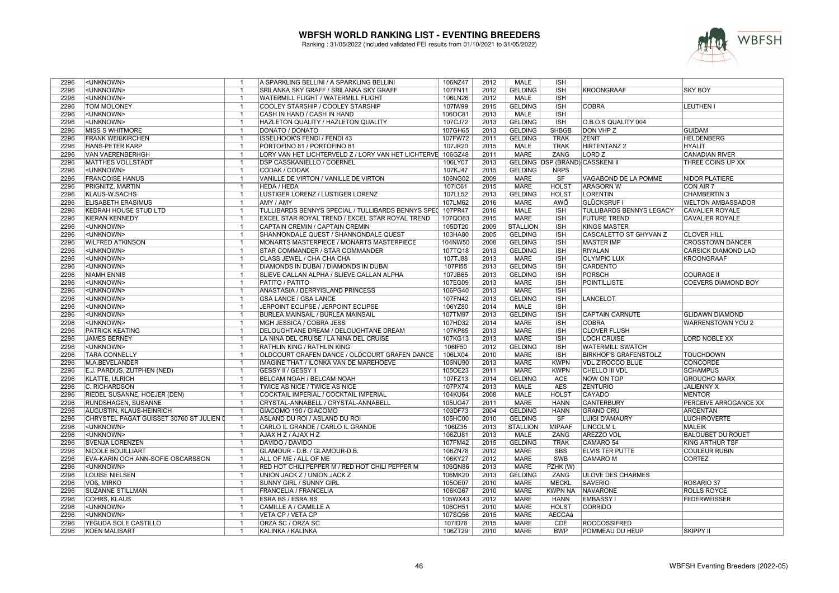

| 2296 | <unknown></unknown>                      | -1             | A SPARKLING BELLINI / A SPARKLING BELLINI                   | 106NZ47 | 2012 | <b>MALE</b>     | <b>ISH</b>     |                                 |                            |
|------|------------------------------------------|----------------|-------------------------------------------------------------|---------|------|-----------------|----------------|---------------------------------|----------------------------|
| 2296 | <unknown></unknown>                      | $\mathbf{1}$   | SRILANKA SKY GRAFF / SRILANKA SKY GRAFF                     | 107FN11 | 2012 | <b>GELDING</b>  | <b>ISH</b>     | <b>KROONGRAAF</b>               | <b>SKY BOY</b>             |
| 2296 | <unknown></unknown>                      | $\mathbf{1}$   | <b>WATERMILL FLIGHT / WATERMILL FLIGHT</b>                  | 106LN26 | 2012 | <b>MALE</b>     | <b>ISH</b>     |                                 |                            |
| 2296 | <b>TOM MOLONEY</b>                       | $\overline{1}$ | COOLEY STARSHIP / COOLEY STARSHIP                           | 107IW99 | 2015 | <b>GELDING</b>  | <b>ISH</b>     | <b>COBRA</b>                    | LEUTHEN I                  |
| 2296 | <unknown></unknown>                      | $\mathbf{1}$   | CASH IN HAND / CASH IN HAND                                 | 106OC81 | 2013 | <b>MALE</b>     | <b>ISH</b>     |                                 |                            |
| 2296 | <unknown></unknown>                      | $\overline{1}$ | HAZLETON QUALITY / HAZLETON QUALITY                         | 107CJ72 | 2013 | <b>GELDING</b>  | <b>ISH</b>     | O.B.O.S QUALITY 004             |                            |
| 2296 | <b>MISS S WHITMORE</b>                   | $\overline{1}$ | DONATO / DONATO                                             | 107GH65 | 2013 | <b>GELDING</b>  | <b>SHBGB</b>   | DON VHP Z                       | <b>GUIDAM</b>              |
| 2296 | <b>FRANK WEIßKIRCHEN</b>                 | $\mathbf{1}$   | ISSELHOOK'S FENDI / FENDI 43                                | 107FW72 | 2011 | <b>GELDING</b>  | <b>TRAK</b>    | <b>ZENIT</b>                    | <b>HELDENBERG</b>          |
| 2296 | <b>HANS-PETER KARP</b>                   | $\mathbf{1}$   | PORTOFINO 81 / PORTOFINO 81                                 | 107JR20 | 2015 | MALE            | <b>TRAK</b>    | HIRTENTANZ 2                    | <b>HYALIT</b>              |
| 2296 | <b>VAN VAERENBERHGH</b>                  | $\overline{1}$ | LORY VAN HET LICHTERVELD Z / LORY VAN HET LICHTERVE 106GZ48 |         | 2011 | <b>MARE</b>     | <b>ZANG</b>    | <b>LORD Z</b>                   | <b>CANADIAN RIVER</b>      |
| 2296 | <b>MATTHES VOLLSTÄDT</b>                 | $\overline{1}$ | <b>DSP CASSKANIELLO / COERNEL</b>                           | 106LY07 | 2013 |                 |                | GELDING DSP (BRAND) CASSKENI II | THREE COINS UP XX          |
| 2296 | <unknown></unknown>                      | $\overline{1}$ | <b>CODAK / CODAK</b>                                        | 107KJ47 | 2015 | <b>GELDING</b>  | <b>NRPS</b>    |                                 |                            |
| 2296 | <b>FRANCOISE HANUS</b>                   | $\overline{1}$ | VANILLE DE VIRTON / VANILLE DE VIRTON                       | 106NG02 | 2009 | <b>MARE</b>     | SF             | VAGABOND DE LA POMME            | NIDOR PLATIERE             |
| 2296 | PRIGNITZ, MARTIN                         | $\mathbf{1}$   | <b>HEDA / HEDA</b>                                          | 107IC61 | 2015 | <b>MARE</b>     | <b>HOLST</b>   | <b>ARAGORN W</b>                | CON AIR 7                  |
| 2296 | KLAUS-W.SACHS                            | $\overline{1}$ | LUSTIGER LORENZ / LUSTIGER LORENZ                           | 107LL52 | 2013 | <b>GELDING</b>  | <b>HOLST</b>   | <b>LORENTIN</b>                 | <b>CHAMBERTIN 3</b>        |
| 2296 | <b>ELISABETH ERASIMUS</b>                | $\mathbf{1}$   | AMY / AMY                                                   | 107LM62 | 2016 | <b>MARE</b>     | <b>AWÖ</b>     | <b>GLÜCKSRUF I</b>              | <b>WELTON AMBASSADOR</b>   |
| 2296 | <b>KEDRAH HOUSE STUD LTD</b>             | $\mathbf{1}$   | TULLIBARDS BENNYS SPECIAL / TULLIBARDS BENNYS SPEC          | 107PR47 | 2016 | <b>MALE</b>     | <b>ISH</b>     | TULLIBARDS BENNYS LEGACY        | <b>CAVALIER ROYALE</b>     |
| 2296 | <b>KIERAN KENNEDY</b>                    | $\overline{1}$ | EXCEL STAR ROYAL TREND / EXCEL STAR ROYAL TREND             | 107Q083 | 2015 | <b>MARE</b>     | <b>ISH</b>     | <b>FUTURE TREND</b>             | <b>CAVALIER ROYALE</b>     |
| 2296 | <unknown></unknown>                      | $\overline{1}$ | CAPTAIN CREMIN / CAPTAIN CREMIN                             | 105DT20 | 2009 | <b>STALLION</b> | <b>ISH</b>     | <b>KINGS MASTER</b>             |                            |
| 2296 | <unknown></unknown>                      | $\mathbf{1}$   | SHANNONDALE QUEST / SHANNONDALE QUEST                       | 103HA80 | 2005 | <b>GELDING</b>  | <b>ISH</b>     | <b>CASCALETTO ST GHYVAN Z</b>   | <b>CLOVER HILL</b>         |
| 2296 | <b>WILFRED ATKINSON</b>                  | $\mathbf{1}$   | MONARTS MASTERPIECE / MONARTS MASTERPIECE                   | 104NW50 | 2008 | <b>GELDING</b>  | <b>ISH</b>     | <b>MASTER IMP</b>               | <b>CROSSTOWN DANCER</b>    |
| 2296 | <unknown></unknown>                      | $\mathbf{1}$   | STAR COMMANDER / STAR COMMANDER                             | 107TQ18 | 2013 | <b>GELDING</b>  | <b>ISH</b>     | <b>RIYALAN</b>                  | <b>CARSICK DIAMOND LAD</b> |
| 2296 | <unknown></unknown>                      | $\overline{1}$ | CLASS JEWEL / CHA CHA CHA                                   | 107TJ88 | 2013 | <b>MARE</b>     | <b>ISH</b>     | <b>OLYMPIC LUX</b>              | <b>KROONGRAAF</b>          |
| 2296 | <unknown></unknown>                      | $\overline{1}$ | DIAMONDS IN DUBAI / DIAMONDS IN DUBAI                       | 107PI55 | 2013 | <b>GELDING</b>  | <b>ISH</b>     | <b>CARDENTO</b>                 |                            |
| 2296 | <b>NIAMH ENNIS</b>                       | $\mathbf{1}$   | SLIEVE CALLAN ALPHA / SLIEVE CALLAN ALPHA                   | 107JB65 | 2013 | <b>GELDING</b>  | <b>ISH</b>     | <b>PORSCH</b>                   | <b>COURAGE II</b>          |
| 2296 | <unknown></unknown>                      | $\mathbf{1}$   | PATITO / PATITO                                             | 107EG09 | 2013 | <b>MARE</b>     | <b>ISH</b>     | <b>POINTILLISTE</b>             | <b>COEVERS DIAMOND BOY</b> |
| 2296 | <unknown></unknown>                      | $\overline{1}$ | ANASTASIA / DERRYISLAND PRINCESS                            | 106PG40 | 2013 | <b>MARE</b>     | <b>ISH</b>     |                                 |                            |
| 2296 | <unknown></unknown>                      | $\mathbf{1}$   | <b>GSA LANCE / GSA LANCE</b>                                | 107FN42 | 2013 | <b>GELDING</b>  | <b>ISH</b>     | <b>LANCELOT</b>                 |                            |
| 2296 | <unknown></unknown>                      | $\overline{1}$ | JERPOINT ECLIPSE / JERPOINT ECLIPSE                         | 106YZ80 | 2014 | MALE            | <b>ISH</b>     |                                 |                            |
| 2296 | <unknown></unknown>                      | $\mathbf{1}$   | BURLEA MAINSAIL / BURLEA MAINSAIL                           | 107TM97 | 2013 | <b>GELDING</b>  | <b>ISH</b>     | <b>CAPTAIN CARNUTE</b>          | <b>GLIDAWN DIAMOND</b>     |
| 2296 | <unknown></unknown>                      | $\overline{1}$ | MGH JESSICA / COBRA JESS                                    | 107HD32 | 2014 | <b>MARE</b>     | <b>ISH</b>     | <b>COBRA</b>                    | WARRENSTOWN YOU 2          |
| 2296 | <b>PATRICK KEATING</b>                   | $\overline{1}$ | DELOUGHTANE DREAM / DELOUGHTANE DREAM                       | 107KP85 | 2013 | <b>MARE</b>     | <b>ISH</b>     | <b>CLOVER FLUSH</b>             |                            |
| 2296 | <b>JAMES BERNEY</b>                      | $\overline{1}$ | LA NINA DEL CRUISE / LA NINA DEL CRUISE                     | 107KG13 | 2013 | <b>MARE</b>     | <b>ISH</b>     | <b>LOCH CRUISE</b>              | LORD NOBLE XX              |
| 2296 | <unknown></unknown>                      | $\mathbf{1}$   | RATHLIN KING / RATHLIN KING                                 | 106IF50 | 2012 | <b>GELDING</b>  | <b>ISH</b>     | <b>WATERMILL SWATCH</b>         |                            |
| 2296 | <b>TARA CONNELLY</b>                     | $\mathbf{1}$   | OLDCOURT GRAFEN DANCE / OLDCOURT GRAFEN DANCE               | 106LX04 | 2010 | <b>MARE</b>     | <b>ISH</b>     | <b>BIRKHOF'S GRAFENSTOLZ</b>    | <b>TOUCHDOWN</b>           |
| 2296 | M.A.BEVELANDER                           | $\overline{1}$ | IMAGINE THAT / ILONKA VAN DE MAREHOEVE                      | 106NU90 | 2013 | <b>MARE</b>     | <b>KWPN</b>    | <b>VDL ZIROCCO BLUE</b>         | <b>CONCORDE</b>            |
| 2296 | E.J. PARDIJS, ZUTPHEN (NED)              | $\overline{1}$ | GESSY II / GESSY II                                         | 105OE23 | 2011 | <b>MARE</b>     | <b>KWPN</b>    | CHELLO III VDL                  | <b>SCHAMPUS</b>            |
| 2296 | <b>KLATTE, ULRICH</b>                    | $\mathbf{1}$   | BELCAM NOAH / BELCAM NOAH                                   | 107FZ13 | 2014 | <b>GELDING</b>  | <b>ACE</b>     | <b>NOW ON TOP</b>               | <b>GROUCHO MARX</b>        |
| 2296 | C. RICHARDSON                            | $\overline{1}$ | TWICE AS NICE / TWICE AS NICE                               | 107PX74 | 2013 | <b>MALE</b>     | <b>AES</b>     | <b>ZENTURIO</b>                 | <b>JALIENNY X</b>          |
| 2296 | RIEDEL SUSANNE, HOEJER (DEN)             | $\mathbf{1}$   | COCKTAIL IMPERIAL / COCKTAIL IMPERIAL                       | 104KU64 | 2008 | <b>MALE</b>     | <b>HOLST</b>   | <b>CAYADO</b>                   | <b>MENTOR</b>              |
| 2296 | RUNDSHAGEN, SUSANNE                      | $\overline{1}$ | CRYSTAL-ANNABELL / CRYSTAL-ANNABELL                         | 105UG47 | 2011 | <b>MARE</b>     | <b>HANN</b>    | <b>CANTERBURY</b>               | PERCEIVE ARROGANCE XX      |
| 2296 | AUGUSTIN, KLAUS-HEINRICH                 | $\mathbf{1}$   | GIACOMO 190 / GIACOMO                                       | 103DF73 | 2004 | <b>GELDING</b>  | <b>HANN</b>    | <b>GRAND CRU</b>                | ARGENTAN                   |
| 2296 | CHRYSTEL PAGAT GUISSET 30760 ST JULIEN I | $\overline{1}$ | ASLAND DU ROI / ASLAND DU ROI                               | 105HC00 | 2010 | <b>GELDING</b>  | SF             | <b>LUIGI D'AMAURY</b>           | <b>LUCHIROVERTE</b>        |
| 2296 | <unknown></unknown>                      | $\mathbf{1}$   | CARLO IL GRANDE / CARLO IL GRANDE                           | 106IZ35 | 2013 | <b>STALLION</b> | <b>MIPAAF</b>  | <b>LINCOLM L</b>                | <b>MALEIK</b>              |
| 2296 | <unknown></unknown>                      | $\overline{1}$ | AJAX H Z / AJAX H Z                                         | 106ZU81 | 2013 | <b>MALE</b>     | ZANG           | <b>AREZZO VDL</b>               | <b>BALOUBET DU ROUET</b>   |
| 2296 | <b>SVENJA LORENZEN</b>                   | $\mathbf{1}$   | DAVIDO / DAVIDO                                             | 107FM42 | 2015 | <b>GELDING</b>  | <b>TRAK</b>    | CAMARO 54                       | KING ARTHUR TSF            |
| 2296 | <b>NICOLE BOUILLIART</b>                 | $\mathbf{1}$   | GLAMOUR - D.B. / GLAMOUR-D.B.                               | 106ZN78 | 2012 | <b>MARE</b>     | <b>SBS</b>     | <b>ELVIS TER PUTTE</b>          | <b>COULEUR RUBIN</b>       |
| 2296 | EVA-KARIN OCH ANN-SOFIE OSCARSSON        | $\overline{1}$ | ALL OF ME / ALL OF ME                                       | 106KY27 | 2012 | <b>MARE</b>     | <b>SWB</b>     | <b>CAMARO M</b>                 | <b>CORTEZ</b>              |
|      |                                          | $\overline{1}$ |                                                             |         |      |                 |                |                                 |                            |
| 2296 | <unknown></unknown>                      |                | RED HOT CHILI PEPPER M / RED HOT CHILI PEPPER M             | 106QN86 | 2013 | <b>MARE</b>     | PZHK (W)       |                                 |                            |
| 2296 | <b>LOUISE NIELSEN</b>                    | $\overline{1}$ | UNION JACK Z / UNION JACK Z                                 | 106MK20 | 2013 | <b>GELDING</b>  | <b>ZANG</b>    | <b>ULOVE DES CHARMES</b>        |                            |
| 2296 | VOß. MIRKO                               | $\mathbf{1}$   | <b>SUNNY GIRL / SUNNY GIRL</b>                              | 105OE07 | 2010 | <b>MARE</b>     | <b>MECKL</b>   | <b>SAVERIO</b>                  | ROSARIO 37                 |
| 2296 | <b>SUZANNE STILLMAN</b>                  | $\mathbf{1}$   | FRANCELIA / FRANCELIA                                       | 106KG67 | 2010 | <b>MARE</b>     | <b>KWPN NA</b> | <b>NAVARONE</b>                 | <b>ROLLS ROYCE</b>         |
| 2296 | <b>COHRS, KLAUS</b>                      | $\overline{1}$ | <b>ESRA BS / ESRA BS</b>                                    | 105WX43 | 2012 | <b>MARE</b>     | <b>HANN</b>    | <b>EMBASSY I</b>                | <b>FEDERWEISSER</b>        |
| 2296 | <unknown></unknown>                      | $\mathbf{1}$   | CAMILLE A / CAMILLE A                                       | 106CH51 | 2010 | <b>MARE</b>     | <b>HOLST</b>   | <b>CORRIDO</b>                  |                            |
| 2296 | <unknown></unknown>                      | $\overline{1}$ | VETA CP / VETA CP                                           | 107SQ56 | 2015 | <b>MARE</b>     | <b>AECCAá</b>  |                                 |                            |
| 2296 | YEGUDA SOLE CASTILLO                     | $\mathbf{1}$   | ORZA SC / ORZA SC                                           | 107ID78 | 2015 | <b>MARE</b>     | CDE            | <b>ROCCOSSIFRED</b>             |                            |
| 2296 | <b>KOEN MALISART</b>                     | $\overline{1}$ | KALINKA / KALINKA                                           | 106ZT29 | 2010 | <b>MARE</b>     | <b>BWP</b>     | POMMEAU DU HEUP                 | <b>SKIPPY II</b>           |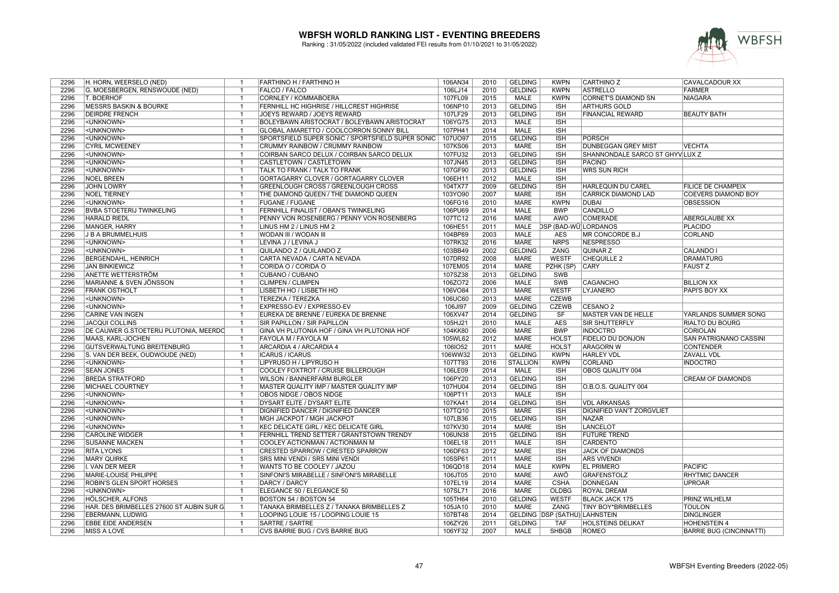

| 2296<br>G. MOESBERGEN, RENSWOUDE (NED)<br>106LJ14<br>2010<br><b>GELDING</b><br><b>KWPN</b><br><b>ASTRELLO</b><br>FARMER<br>$\overline{1}$<br><b>FALCO / FALCO</b><br>2296<br><b>T. BOERHOF</b><br>2015<br><b>MALE</b><br><b>NIAGARA</b><br><b>CORNLEY / KOMMABOERA</b><br>107FL09<br><b>KWPN</b><br><b>CORNET'S DIAMOND SN</b><br>$\overline{1}$<br>2296<br><b>MESSRS BASKIN &amp; BOURKE</b><br>FERNHILL HC HIGHRISE / HILLCREST HIGHRISE<br>106NP10<br>2013<br><b>GELDING</b><br><b>ARTHURS GOLD</b><br><b>ISH</b><br>$\overline{1}$<br>2296<br><b>DEIRDRE FRENCH</b><br>JOEYS REWARD / JOEYS REWARD<br>107LF29<br>2013<br><b>GELDING</b><br><b>ISH</b><br><b>FINANCIAL REWARD</b><br><b>BEAUTY BATH</b><br>$\overline{\mathbf{1}}$<br>2013<br>2296<br><unknown><br/>BOLEYBAWN ARISTOCRAT / BOLEYBAWN ARISTOCRAT<br/>106YG75<br/><b>MALE</b><br/><b>ISH</b><br/><math>\overline{\phantom{0}}</math><br/>2296<br/>107PH41<br/>2014<br/><b>MALE</b><br/><b>ISH</b><br/><unknown><br/><math>\overline{\mathbf{1}}</math><br/>GLOBAL AMARETTO / COOLCORRON SONNY BILL<br/>2296<br/><unknown><br/>SPORTSFIELD SUPER SONIC / SPORTSFIELD SUPER SONIC<br/>107UO97<br/>2015<br/><b>GELDING</b><br/><b>ISH</b><br/><b>PORSCH</b><br/><math>\overline{1}</math><br/>2296<br/><b>CYRIL MCWEENEY</b><br/>CRUMMY RAINBOW / CRUMMY RAINBOW<br/>107KS06<br/>2013<br/>MARE<br/><b>ISH</b><br/>DUNBEGGAN GREY MIST<br/><b>VECHTA</b><br/><math>\overline{1}</math><br/>2296<br/><unknown><br/>COIRBAN SARCO DELUX / COIRBAN SARCO DELUX<br/>107FU32<br/>2013<br/><b>GELDING</b><br/><b>ISH</b><br/>SHANNONDALE SARCO ST GHYVILUX Z<br/><math>\overline{\phantom{0}}</math><br/>2296<br/>2013<br/><b>GELDING</b><br/><b>ISH</b><br/><unknown><br/>CASTLETOWN / CASTLETOWN<br/>107JN45<br/><b>PACINO</b><br/><math>\overline{1}</math><br/>2296<br/>107GF90<br/><unknown><br/><b>TALK TO FRANK / TALK TO FRANK</b><br/>2013<br/><b>GELDING</b><br/><b>ISH</b><br/><b>WRS SUN RICH</b><br/>-1<br/>2012<br/>2296<br/><b>NOEL BREEN</b><br/><b>MALE</b><br/><b>ISH</b><br/>GORTAGARRY CLOVER / GORTAGARRY CLOVER<br/>106EH11<br/><math>\overline{1}</math><br/>2296<br/><b>JOHN LOWRY</b><br/><b>GREENLOUGH CROSS / GREENLOUGH CROSS</b><br/>104TX77<br/>2009<br/><b>GELDING</b><br/><b>ISH</b><br/><b>FILICE DE CHAMPEIX</b><br/><math>\overline{1}</math><br/>HARLEQUIN DU CAREL<br/>2296<br/><b>NOEL TIERNEY</b><br/>THE DIAMOND QUEEN / THE DIAMOND QUEEN<br/>103YO90<br/>2007<br/><b>MARE</b><br/><b>ISH</b><br/><b>CARRICK DIAMOND LAD</b><br/><b>COEVERS DIAMOND BOY</b><br/><math>\overline{\mathbf{1}}</math><br/>2010<br/><b>MARE</b><br/><b>KWPN</b><br/>2296<br/><unknown><br/><b>FUGANE / FUGANE</b><br/>106FG16<br/><b>OBSESSION</b><br/>DUBAI<br/>- 1<br/>2296<br/><b>BVBA STOETERIJ TWINKELING</b><br/>FERNHILL FINALIST / OBAN'S TWINKELING<br/>106PU69<br/>2014<br/><b>MALE</b><br/><b>BWP</b><br/><b>CANDILLO</b><br/><math>\overline{1}</math><br/>2296<br/><b>HARALD RIEDL</b><br/>PENNY VON ROSENBERG / PENNY VON ROSENBERG<br/>107TC12<br/>2016<br/><b>MARE</b><br/>AWÖ<br/><b>COMERADE</b><br/>ABERGLAUBE XX<br/><math>\overline{1}</math><br/>2296<br/>MANGER, HARRY<br/>LINUS HM 2 / LINUS HM 2<br/>106HE51<br/>2011<br/><b>MALE</b><br/>DSP (BAD-WÜ LORDANOS<br/><b>PLACIDO</b><br/><math>\overline{\phantom{0}}</math><br/>2296<br/><b>J B A BRUMMELHUIS</b><br/>WODAN III / WODAN III<br/>104BP89<br/>2003<br/><b>MALE</b><br/><b>MR CONCORDE B.J</b><br/><b>CORLAND</b><br/><math>\overline{\mathbf{1}}</math><br/><b>AES</b><br/>2016<br/>2296<br/><unknown><br/>LEVINA J / LEVINA J<br/><b>MARE</b><br/><b>NRPS</b><br/><b>NESPRESSO</b><br/>107RK32<br/><math>\overline{1}</math><br/>2296<br/><unknown><br/>103BB49<br/>2002<br/><b>GELDING</b><br/>QUILANDO Z / QUILANDO Z<br/>ZANG<br/>QUINAR Z<br/><b>CALANDO I</b><br/><math>\overline{\mathbf{1}}</math><br/>2296<br/><b>BERGENDAHL, HEINRICH</b><br/>CARTA NEVADA / CARTA NEVADA<br/>107DR92<br/>2008<br/><b>MARE</b><br/><b>WESTF</b><br/><b>CHEQUILLE 2</b><br/><b>DRAMATURG</b><br/><math>\overline{1}</math><br/>2296<br/><b>JAN BINKIEWICZ</b><br/>CORIDA O / CORIDA O<br/>107EM05<br/>2014<br/><b>MARE</b><br/>PZHK (SP)<br/><b>CARY</b><br/><b>FAUST Z</b><br/><math>\overline{1}</math><br/>107SZ38<br/>2013<br/>2296<br/>ANETTE WETTERSTRÖM<br/>CUBANO / CUBANO<br/><b>GELDING</b><br/>SWB<br/>-1<br/>2006<br/>2296<br/><b>CLIMPEN / CLIMPEN</b><br/>106ZO72<br/><b>SWB</b><br/>MARIANNE &amp; SVEN JÖNSSON<br/><b>MALE</b><br/><b>CAGANCHO</b><br/><b>BILLION XX</b><br/><math>\overline{1}</math><br/>2296<br/><b>FRANK OSTHOLT</b><br/>LISBETH HO / LISBETH HO<br/>106VO84<br/>2013<br/><b>MARE</b><br/><b>WESTF</b><br/>LYJANERO<br/>PAPI'S BOY XX<br/><math>\overline{1}</math><br/>2296<br/><unknown><br/><b>TEREZKA / TEREZKA</b><br/>106UC60<br/>2013<br/><b>MARE</b><br/><b>CZEWB</b><br/><math>\overline{\mathbf{1}}</math><br/>2009<br/><b>GELDING</b><br/><b>CZEWB</b><br/>2296<br/><unknown><br/>EXPRESSO-EV / EXPRESSO-EV<br/>106JI97<br/>CESANO<sub>2</sub><br/>- 1<br/>2296<br/>2014<br/><b>GELDING</b><br/>SF<br/><b>CARINE VAN INGEN</b><br/>EUREKA DE BRENNE / EUREKA DE BRENNE<br/>106XV47<br/>MASTER VAN DE HELLE<br/><b>YARLANDS SUMMER SONG</b><br/><math>\overline{1}</math><br/>2010<br/><b>AES</b><br/>2296<br/><b>JACQUI COLLINS</b><br/><b>SIR PAPILLON / SIR PAPILLON</b><br/>105HJ21<br/><b>MALE</b><br/>SIR SHUTTERFLY<br/><b>RIALTO DU BOURG</b><br/><math>\overline{1}</math><br/>2296<br/>2006<br/><b>MARE</b><br/><b>BWP</b><br/><b>INDOCTRO</b><br/>DE CAUWER G.STOETERIJ PLUTONIA, MEERDO<br/>GINA VH PLUTONIA HOF / GINA VH PLUTONIA HOF<br/>104KK80<br/><b>CORIOLAN</b><br/><math>\overline{1}</math><br/>2296<br/>105WL62<br/>2012<br/><b>MARE</b><br/><b>HOLST</b><br/><b>FIDELIO DU DONJON</b><br/><b>SAN PATRIGNANO CASSINI</b><br/>MAAS. KARL-JOCHEN<br/>FAYOLA M / FAYOLA M<br/><math>\overline{\mathbf{1}}</math><br/>106IO52<br/>2011<br/><b>MARE</b><br/><b>HOLST</b><br/><b>ARAGORN W</b><br/>2296<br/>GUTSVERWALTUNG BREITENBURG<br/><math>\overline{1}</math><br/>ARCARDIA 4 / ARCARDIA 4<br/><b>CONTENDER</b><br/>2013<br/>2296<br/>S. VAN DER BEEK, OUDWOUDE (NED)<br/><b>ICARUS / ICARUS</b><br/>106WW32<br/><b>GELDING</b><br/><b>KWPN</b><br/><b>HARLEY VDL</b><br/><b>ZAVALL VDL</b><br/><math>\overline{1}</math><br/>2296<br/><unknown><br/>LIPYRUSO H / LIPYRUSO H<br/>107TT93<br/>2016<br/><b>STALLION</b><br/><b>KWPN</b><br/><b>CORLAND</b><br/><b>INDOCTRO</b><br/><math>\overline{1}</math><br/>2296<br/><b>SEAN JONES</b><br/>COOLEY FOXTROT / CRUISE BILLEROUGH<br/>106LE09<br/>2014<br/><b>MALE</b><br/>ISH<br/>OBOS QUALITY 004<br/><math>\overline{1}</math><br/>106PY20<br/>2296<br/><b>BREDA STRATFORD</b><br/>WILSON / BANNERFARM BURGLER<br/>2013<br/><b>GELDING</b><br/><b>ISH</b><br/><b>CREAM OF DIAMONDS</b><br/><math>\overline{\mathbf{1}}</math><br/>2014<br/>2296<br/><b>GELDING</b><br/><b>ISH</b><br/><b>MICHAEL COURTNEY</b><br/>MASTER QUALITY IMP / MASTER QUALITY IMP<br/>107HU04<br/>O.B.O.S. QUALITY 004<br/><math>\overline{1}</math><br/>2296<br/><unknown><br/>OBOS NIDGE / OBOS NIDGE<br/>106PT11<br/>2013<br/><b>MALE</b><br/><b>ISH</b><br/><math>\overline{1}</math><br/>2296<br/><unknown><br/>107KA41<br/>2014<br/><b>GELDING</b><br/><b>ISH</b><br/><math>\overline{1}</math><br/>DYSART ELITE / DYSART ELITE<br/><b>VDL ARKANSAS</b><br/>2296<br/>107TQ10<br/>2015<br/><b>MARE</b><br/><b>ISH</b><br/><unknown><br/><b>DIGNIFIED DANCER / DIGNIFIED DANCER</b><br/>DIGNIFIED VAN'T ZORGVLIET<br/><math>\overline{1}</math><br/>2296<br/><unknown><br/>MGH JACKPOT / MGH JACKPOT<br/>107LB36<br/>2015<br/><b>GELDING</b><br/><b>ISH</b><br/><math>\overline{\phantom{0}}</math><br/><b>NAZAR</b><br/>2014<br/>LANCELOT<br/>2296<br/><unknown><br/>KEC DELICATE GIRL / KEC DELICATE GIRL<br/>107KV30<br/><b>MARE</b><br/><b>ISH</b><br/><math>\overline{1}</math><br/>2296<br/>106UN38<br/>2015<br/><b>GELDING</b><br/><b>FUTURE TREND</b><br/><b>CAROLINE WIDGER</b><br/><math>\overline{1}</math><br/>FERNHILL TREND SETTER / GRANTSTOWN TRENDY<br/><b>ISH</b><br/>2296<br/>COOLEY ACTIONMAN / ACTIONMAN M<br/>106EL18<br/>2011<br/><b>MALE</b><br/><b>ISH</b><br/><b>CARDENTO</b><br/><b>SUSANNE MACKEN</b><br/><math>\overline{1}</math><br/>2296<br/>106DF63<br/>2012<br/><b>MARE</b><br/><b>ISH</b><br/><b>JACK OF DIAMONDS</b><br/><b>RITA LYONS</b><br/><math>\overline{1}</math><br/>CRESTED SPARROW / CRESTED SPARROW<br/>2296<br/>105SP61<br/>2011<br/><b>MARE</b><br/><b>MARY QUIRKE</b><br/><b>SRS MINI VENDI / SRS MINI VENDI</b><br/><b>ISH</b><br/><b>ARS VIVENDI</b><br/>-1<br/>2014<br/>2296<br/>I. VAN DER MEER<br/>WANTS TO BE COOLEY / JAZOU<br/>106QD18<br/><b>MALE</b><br/><b>KWPN</b><br/><b>EL PRIMERO</b><br/><b>PACIFIC</b><br/><math>\overline{\mathbf{1}}</math><br/>2010<br/>2296<br/>MARIE-LOUISE PHILIPPE<br/>SINFONI'S MIRABELLE / SINFONI'S MIRABELLE<br/>106JT05<br/><b>MARE</b><br/><b>AWÖ</b><br/><b>GRAFENSTOLZ</b><br/><b>RHYTMIC DANCER</b><br/><math>\overline{1}</math><br/>2296<br/><b>ROBIN'S GLEN SPORT HORSES</b><br/>DARCY / DARCY<br/>107EL19<br/>2014<br/><b>MARE</b><br/><b>CSHA</b><br/><b>DONNEGAN</b><br/><b>UPROAR</b><br/><math>\overline{\mathbf{1}}</math><br/>2296<br/>2016<br/><b>MARE</b><br/><b>OLDBG</b><br/><unknown><br/>ELEGANCE 50 / ELEGANCE 50<br/>107SL71<br/><b>ROYAL DREAM</b><br/><math>\overline{1}</math><br/>2296<br/>HÖLSCHER, ALFONS<br/><b>BOSTON 54 / BOSTON 54</b><br/>105TH64<br/>2010<br/><b>GELDING</b><br/><b>WESTF</b><br/><b>BLACK JACK 175</b><br/>PRINZ WILHELM<br/><math>\overline{1}</math><br/>2296<br/>HAR. DES BRIMBELLES 27600 ST AUBIN SUR G<br/><math>\overline{1}</math><br/>TANAKA BRIMBELLES Z / TANAKA BRIMBELLES Z<br/>105JA10<br/>2010<br/><b>MARE</b><br/>ZANG<br/>TINY BOY*BRIMBELLES<br/><b>TOULON</b><br/>2014<br/>GELDING DSP (SATHÜ) LAHNSTEIN<br/>2296<br/><b>EBERMANN, LUDWIG</b><br/>LOOPING LOUIE 15 / LOOPING LOUIE 15<br/>107BT48<br/><b>DINGLINGER</b><br/><math>\overline{1}</math><br/><b>EBBE EIDE ANDERSEN</b><br/><b>SARTRE / SARTRE</b><br/>106ZY26<br/>2011<br/>2296<br/><b>GELDING</b><br/><b>TAF</b><br/>HOLSTEINS DELIKAT<br/><b>HOHENSTEIN 4</b><br/><math>\overline{1}</math><br/>2007<br/><b>SHBGB</b><br/>2296<br/><b>MISS A LOVE</b><br/><b>CVS BARRIE BUG / CVS BARRIE BUG</b><br/>106YF32<br/><b>MALE</b><br/><b>ROMEO</b><br/><b>BARRIE BUG (CINCINNATTI)</b><br/><math>\mathbf{1}</math></unknown></unknown></unknown></unknown></unknown></unknown></unknown></unknown></unknown></unknown></unknown></unknown></unknown></unknown></unknown></unknown></unknown></unknown> | 2296 | H. HORN, WEERSELO (NED) | -1 | FARTHINO H / FARTHINO H | 106AN34 | 2010 | <b>GELDING</b> | <b>KWPN</b> | <b>CARTHINO Z</b> | CAVALCADOUR XX |
|----------------------------------------------------------------------------------------------------------------------------------------------------------------------------------------------------------------------------------------------------------------------------------------------------------------------------------------------------------------------------------------------------------------------------------------------------------------------------------------------------------------------------------------------------------------------------------------------------------------------------------------------------------------------------------------------------------------------------------------------------------------------------------------------------------------------------------------------------------------------------------------------------------------------------------------------------------------------------------------------------------------------------------------------------------------------------------------------------------------------------------------------------------------------------------------------------------------------------------------------------------------------------------------------------------------------------------------------------------------------------------------------------------------------------------------------------------------------------------------------------------------------------------------------------------------------------------------------------------------------------------------------------------------------------------------------------------------------------------------------------------------------------------------------------------------------------------------------------------------------------------------------------------------------------------------------------------------------------------------------------------------------------------------------------------------------------------------------------------------------------------------------------------------------------------------------------------------------------------------------------------------------------------------------------------------------------------------------------------------------------------------------------------------------------------------------------------------------------------------------------------------------------------------------------------------------------------------------------------------------------------------------------------------------------------------------------------------------------------------------------------------------------------------------------------------------------------------------------------------------------------------------------------------------------------------------------------------------------------------------------------------------------------------------------------------------------------------------------------------------------------------------------------------------------------------------------------------------------------------------------------------------------------------------------------------------------------------------------------------------------------------------------------------------------------------------------------------------------------------------------------------------------------------------------------------------------------------------------------------------------------------------------------------------------------------------------------------------------------------------------------------------------------------------------------------------------------------------------------------------------------------------------------------------------------------------------------------------------------------------------------------------------------------------------------------------------------------------------------------------------------------------------------------------------------------------------------------------------------------------------------------------------------------------------------------------------------------------------------------------------------------------------------------------------------------------------------------------------------------------------------------------------------------------------------------------------------------------------------------------------------------------------------------------------------------------------------------------------------------------------------------------------------------------------------------------------------------------------------------------------------------------------------------------------------------------------------------------------------------------------------------------------------------------------------------------------------------------------------------------------------------------------------------------------------------------------------------------------------------------------------------------------------------------------------------------------------------------------------------------------------------------------------------------------------------------------------------------------------------------------------------------------------------------------------------------------------------------------------------------------------------------------------------------------------------------------------------------------------------------------------------------------------------------------------------------------------------------------------------------------------------------------------------------------------------------------------------------------------------------------------------------------------------------------------------------------------------------------------------------------------------------------------------------------------------------------------------------------------------------------------------------------------------------------------------------------------------------------------------------------------------------------------------------------------------------------------------------------------------------------------------------------------------------------------------------------------------------------------------------------------------------------------------------------------------------------------------------------------------------------------------------------------------------------------------------------------------------------------------------------------------------------------------------------------------------------------------------------------------------------------------------------------------------------------------------------------------------------------------------------------------------------------------------------------------------------------------------------------------------------------------------------------------------------------------------------------------------------------------------------------------------------------------------------------------------------------------------------------------------------------------------------------------------------------------------------------------------------------------------------------------------------------------------------------------------------------------------------------------------------------------------------------------------------------------------------------------------------------------------------------------------------------------------------------------------------------------------------------------------------------------------------------------------------------------------------------------------------------------------------------------------------------------------------------------------------------------------------------------------------------------------------------------------------------------------------------------------------------------------------------------------------------------------------------------------------------------------------------------------------------------------------------------------------------------------------------------------------------------------------------------------------------------------------------------------------------------------------------------------------------------------------------------------------------------------------------------------------------------------------------------------------------------------------------------------------------------------------------------------------------------------------------------------------------------------------------------------------------------------------------------------------------------------------------------------------------------------------------------------------------------------------------------------------------------------------------------------------------------------------------------------------------------------------------------------------------------------------------------------------------------------------------------------------------------------------------------------------------------------------------------------------------------------------------------------------------------------------------------------------------------------------------------------------------------------------------------------------------------------------------------------------------------------------------------------------------------------------------------------------------------------------------------------------------------------------------------------------------------------------------------------------------------------------------------------------------------------------------------------------------------------------------------------------------------------------------------------------------------------------------------------------------------------------------------------------------------------------------------------------------------------------------------------------------------------------------------------------------------------------------------------------------------------------------------------------|------|-------------------------|----|-------------------------|---------|------|----------------|-------------|-------------------|----------------|
|                                                                                                                                                                                                                                                                                                                                                                                                                                                                                                                                                                                                                                                                                                                                                                                                                                                                                                                                                                                                                                                                                                                                                                                                                                                                                                                                                                                                                                                                                                                                                                                                                                                                                                                                                                                                                                                                                                                                                                                                                                                                                                                                                                                                                                                                                                                                                                                                                                                                                                                                                                                                                                                                                                                                                                                                                                                                                                                                                                                                                                                                                                                                                                                                                                                                                                                                                                                                                                                                                                                                                                                                                                                                                                                                                                                                                                                                                                                                                                                                                                                                                                                                                                                                                                                                                                                                                                                                                                                                                                                                                                                                                                                                                                                                                                                                                                                                                                                                                                                                                                                                                                                                                                                                                                                                                                                                                                                                                                                                                                                                                                                                                                                                                                                                                                                                                                                                                                                                                                                                                                                                                                                                                                                                                                                                                                                                                                                                                                                                                                                                                                                                                                                                                                                                                                                                                                                                                                                                                                                                                                                                                                                                                                                                                                                                                                                                                                                                                                                                                                                                                                                                                                                                                                                                                                                                                                                                                                                                                                                                                                                                                                                                                                                                                                                                                                                                                                                                                                                                                                                                                                                                                                                                                                                                                                                                                                                                                                                                                                                                                                                                                                                                                                                                                                                                                                                                                                                                                                                                                                                                                                                                                                                                                                                                                                                                                                                                                                                                                                                                                                                                                                                                                                                                                                                                                                                                                                                                                                                                                                                                                                                                                                                                                                    |      |                         |    |                         |         |      |                |             |                   |                |
|                                                                                                                                                                                                                                                                                                                                                                                                                                                                                                                                                                                                                                                                                                                                                                                                                                                                                                                                                                                                                                                                                                                                                                                                                                                                                                                                                                                                                                                                                                                                                                                                                                                                                                                                                                                                                                                                                                                                                                                                                                                                                                                                                                                                                                                                                                                                                                                                                                                                                                                                                                                                                                                                                                                                                                                                                                                                                                                                                                                                                                                                                                                                                                                                                                                                                                                                                                                                                                                                                                                                                                                                                                                                                                                                                                                                                                                                                                                                                                                                                                                                                                                                                                                                                                                                                                                                                                                                                                                                                                                                                                                                                                                                                                                                                                                                                                                                                                                                                                                                                                                                                                                                                                                                                                                                                                                                                                                                                                                                                                                                                                                                                                                                                                                                                                                                                                                                                                                                                                                                                                                                                                                                                                                                                                                                                                                                                                                                                                                                                                                                                                                                                                                                                                                                                                                                                                                                                                                                                                                                                                                                                                                                                                                                                                                                                                                                                                                                                                                                                                                                                                                                                                                                                                                                                                                                                                                                                                                                                                                                                                                                                                                                                                                                                                                                                                                                                                                                                                                                                                                                                                                                                                                                                                                                                                                                                                                                                                                                                                                                                                                                                                                                                                                                                                                                                                                                                                                                                                                                                                                                                                                                                                                                                                                                                                                                                                                                                                                                                                                                                                                                                                                                                                                                                                                                                                                                                                                                                                                                                                                                                                                                                                                                                                    |      |                         |    |                         |         |      |                |             |                   |                |
|                                                                                                                                                                                                                                                                                                                                                                                                                                                                                                                                                                                                                                                                                                                                                                                                                                                                                                                                                                                                                                                                                                                                                                                                                                                                                                                                                                                                                                                                                                                                                                                                                                                                                                                                                                                                                                                                                                                                                                                                                                                                                                                                                                                                                                                                                                                                                                                                                                                                                                                                                                                                                                                                                                                                                                                                                                                                                                                                                                                                                                                                                                                                                                                                                                                                                                                                                                                                                                                                                                                                                                                                                                                                                                                                                                                                                                                                                                                                                                                                                                                                                                                                                                                                                                                                                                                                                                                                                                                                                                                                                                                                                                                                                                                                                                                                                                                                                                                                                                                                                                                                                                                                                                                                                                                                                                                                                                                                                                                                                                                                                                                                                                                                                                                                                                                                                                                                                                                                                                                                                                                                                                                                                                                                                                                                                                                                                                                                                                                                                                                                                                                                                                                                                                                                                                                                                                                                                                                                                                                                                                                                                                                                                                                                                                                                                                                                                                                                                                                                                                                                                                                                                                                                                                                                                                                                                                                                                                                                                                                                                                                                                                                                                                                                                                                                                                                                                                                                                                                                                                                                                                                                                                                                                                                                                                                                                                                                                                                                                                                                                                                                                                                                                                                                                                                                                                                                                                                                                                                                                                                                                                                                                                                                                                                                                                                                                                                                                                                                                                                                                                                                                                                                                                                                                                                                                                                                                                                                                                                                                                                                                                                                                                                                                                    |      |                         |    |                         |         |      |                |             |                   |                |
|                                                                                                                                                                                                                                                                                                                                                                                                                                                                                                                                                                                                                                                                                                                                                                                                                                                                                                                                                                                                                                                                                                                                                                                                                                                                                                                                                                                                                                                                                                                                                                                                                                                                                                                                                                                                                                                                                                                                                                                                                                                                                                                                                                                                                                                                                                                                                                                                                                                                                                                                                                                                                                                                                                                                                                                                                                                                                                                                                                                                                                                                                                                                                                                                                                                                                                                                                                                                                                                                                                                                                                                                                                                                                                                                                                                                                                                                                                                                                                                                                                                                                                                                                                                                                                                                                                                                                                                                                                                                                                                                                                                                                                                                                                                                                                                                                                                                                                                                                                                                                                                                                                                                                                                                                                                                                                                                                                                                                                                                                                                                                                                                                                                                                                                                                                                                                                                                                                                                                                                                                                                                                                                                                                                                                                                                                                                                                                                                                                                                                                                                                                                                                                                                                                                                                                                                                                                                                                                                                                                                                                                                                                                                                                                                                                                                                                                                                                                                                                                                                                                                                                                                                                                                                                                                                                                                                                                                                                                                                                                                                                                                                                                                                                                                                                                                                                                                                                                                                                                                                                                                                                                                                                                                                                                                                                                                                                                                                                                                                                                                                                                                                                                                                                                                                                                                                                                                                                                                                                                                                                                                                                                                                                                                                                                                                                                                                                                                                                                                                                                                                                                                                                                                                                                                                                                                                                                                                                                                                                                                                                                                                                                                                                                                                                    |      |                         |    |                         |         |      |                |             |                   |                |
|                                                                                                                                                                                                                                                                                                                                                                                                                                                                                                                                                                                                                                                                                                                                                                                                                                                                                                                                                                                                                                                                                                                                                                                                                                                                                                                                                                                                                                                                                                                                                                                                                                                                                                                                                                                                                                                                                                                                                                                                                                                                                                                                                                                                                                                                                                                                                                                                                                                                                                                                                                                                                                                                                                                                                                                                                                                                                                                                                                                                                                                                                                                                                                                                                                                                                                                                                                                                                                                                                                                                                                                                                                                                                                                                                                                                                                                                                                                                                                                                                                                                                                                                                                                                                                                                                                                                                                                                                                                                                                                                                                                                                                                                                                                                                                                                                                                                                                                                                                                                                                                                                                                                                                                                                                                                                                                                                                                                                                                                                                                                                                                                                                                                                                                                                                                                                                                                                                                                                                                                                                                                                                                                                                                                                                                                                                                                                                                                                                                                                                                                                                                                                                                                                                                                                                                                                                                                                                                                                                                                                                                                                                                                                                                                                                                                                                                                                                                                                                                                                                                                                                                                                                                                                                                                                                                                                                                                                                                                                                                                                                                                                                                                                                                                                                                                                                                                                                                                                                                                                                                                                                                                                                                                                                                                                                                                                                                                                                                                                                                                                                                                                                                                                                                                                                                                                                                                                                                                                                                                                                                                                                                                                                                                                                                                                                                                                                                                                                                                                                                                                                                                                                                                                                                                                                                                                                                                                                                                                                                                                                                                                                                                                                                                                                    |      |                         |    |                         |         |      |                |             |                   |                |
|                                                                                                                                                                                                                                                                                                                                                                                                                                                                                                                                                                                                                                                                                                                                                                                                                                                                                                                                                                                                                                                                                                                                                                                                                                                                                                                                                                                                                                                                                                                                                                                                                                                                                                                                                                                                                                                                                                                                                                                                                                                                                                                                                                                                                                                                                                                                                                                                                                                                                                                                                                                                                                                                                                                                                                                                                                                                                                                                                                                                                                                                                                                                                                                                                                                                                                                                                                                                                                                                                                                                                                                                                                                                                                                                                                                                                                                                                                                                                                                                                                                                                                                                                                                                                                                                                                                                                                                                                                                                                                                                                                                                                                                                                                                                                                                                                                                                                                                                                                                                                                                                                                                                                                                                                                                                                                                                                                                                                                                                                                                                                                                                                                                                                                                                                                                                                                                                                                                                                                                                                                                                                                                                                                                                                                                                                                                                                                                                                                                                                                                                                                                                                                                                                                                                                                                                                                                                                                                                                                                                                                                                                                                                                                                                                                                                                                                                                                                                                                                                                                                                                                                                                                                                                                                                                                                                                                                                                                                                                                                                                                                                                                                                                                                                                                                                                                                                                                                                                                                                                                                                                                                                                                                                                                                                                                                                                                                                                                                                                                                                                                                                                                                                                                                                                                                                                                                                                                                                                                                                                                                                                                                                                                                                                                                                                                                                                                                                                                                                                                                                                                                                                                                                                                                                                                                                                                                                                                                                                                                                                                                                                                                                                                                                                                    |      |                         |    |                         |         |      |                |             |                   |                |
|                                                                                                                                                                                                                                                                                                                                                                                                                                                                                                                                                                                                                                                                                                                                                                                                                                                                                                                                                                                                                                                                                                                                                                                                                                                                                                                                                                                                                                                                                                                                                                                                                                                                                                                                                                                                                                                                                                                                                                                                                                                                                                                                                                                                                                                                                                                                                                                                                                                                                                                                                                                                                                                                                                                                                                                                                                                                                                                                                                                                                                                                                                                                                                                                                                                                                                                                                                                                                                                                                                                                                                                                                                                                                                                                                                                                                                                                                                                                                                                                                                                                                                                                                                                                                                                                                                                                                                                                                                                                                                                                                                                                                                                                                                                                                                                                                                                                                                                                                                                                                                                                                                                                                                                                                                                                                                                                                                                                                                                                                                                                                                                                                                                                                                                                                                                                                                                                                                                                                                                                                                                                                                                                                                                                                                                                                                                                                                                                                                                                                                                                                                                                                                                                                                                                                                                                                                                                                                                                                                                                                                                                                                                                                                                                                                                                                                                                                                                                                                                                                                                                                                                                                                                                                                                                                                                                                                                                                                                                                                                                                                                                                                                                                                                                                                                                                                                                                                                                                                                                                                                                                                                                                                                                                                                                                                                                                                                                                                                                                                                                                                                                                                                                                                                                                                                                                                                                                                                                                                                                                                                                                                                                                                                                                                                                                                                                                                                                                                                                                                                                                                                                                                                                                                                                                                                                                                                                                                                                                                                                                                                                                                                                                                                                                                    |      |                         |    |                         |         |      |                |             |                   |                |
|                                                                                                                                                                                                                                                                                                                                                                                                                                                                                                                                                                                                                                                                                                                                                                                                                                                                                                                                                                                                                                                                                                                                                                                                                                                                                                                                                                                                                                                                                                                                                                                                                                                                                                                                                                                                                                                                                                                                                                                                                                                                                                                                                                                                                                                                                                                                                                                                                                                                                                                                                                                                                                                                                                                                                                                                                                                                                                                                                                                                                                                                                                                                                                                                                                                                                                                                                                                                                                                                                                                                                                                                                                                                                                                                                                                                                                                                                                                                                                                                                                                                                                                                                                                                                                                                                                                                                                                                                                                                                                                                                                                                                                                                                                                                                                                                                                                                                                                                                                                                                                                                                                                                                                                                                                                                                                                                                                                                                                                                                                                                                                                                                                                                                                                                                                                                                                                                                                                                                                                                                                                                                                                                                                                                                                                                                                                                                                                                                                                                                                                                                                                                                                                                                                                                                                                                                                                                                                                                                                                                                                                                                                                                                                                                                                                                                                                                                                                                                                                                                                                                                                                                                                                                                                                                                                                                                                                                                                                                                                                                                                                                                                                                                                                                                                                                                                                                                                                                                                                                                                                                                                                                                                                                                                                                                                                                                                                                                                                                                                                                                                                                                                                                                                                                                                                                                                                                                                                                                                                                                                                                                                                                                                                                                                                                                                                                                                                                                                                                                                                                                                                                                                                                                                                                                                                                                                                                                                                                                                                                                                                                                                                                                                                                                                    |      |                         |    |                         |         |      |                |             |                   |                |
|                                                                                                                                                                                                                                                                                                                                                                                                                                                                                                                                                                                                                                                                                                                                                                                                                                                                                                                                                                                                                                                                                                                                                                                                                                                                                                                                                                                                                                                                                                                                                                                                                                                                                                                                                                                                                                                                                                                                                                                                                                                                                                                                                                                                                                                                                                                                                                                                                                                                                                                                                                                                                                                                                                                                                                                                                                                                                                                                                                                                                                                                                                                                                                                                                                                                                                                                                                                                                                                                                                                                                                                                                                                                                                                                                                                                                                                                                                                                                                                                                                                                                                                                                                                                                                                                                                                                                                                                                                                                                                                                                                                                                                                                                                                                                                                                                                                                                                                                                                                                                                                                                                                                                                                                                                                                                                                                                                                                                                                                                                                                                                                                                                                                                                                                                                                                                                                                                                                                                                                                                                                                                                                                                                                                                                                                                                                                                                                                                                                                                                                                                                                                                                                                                                                                                                                                                                                                                                                                                                                                                                                                                                                                                                                                                                                                                                                                                                                                                                                                                                                                                                                                                                                                                                                                                                                                                                                                                                                                                                                                                                                                                                                                                                                                                                                                                                                                                                                                                                                                                                                                                                                                                                                                                                                                                                                                                                                                                                                                                                                                                                                                                                                                                                                                                                                                                                                                                                                                                                                                                                                                                                                                                                                                                                                                                                                                                                                                                                                                                                                                                                                                                                                                                                                                                                                                                                                                                                                                                                                                                                                                                                                                                                                                                                    |      |                         |    |                         |         |      |                |             |                   |                |
|                                                                                                                                                                                                                                                                                                                                                                                                                                                                                                                                                                                                                                                                                                                                                                                                                                                                                                                                                                                                                                                                                                                                                                                                                                                                                                                                                                                                                                                                                                                                                                                                                                                                                                                                                                                                                                                                                                                                                                                                                                                                                                                                                                                                                                                                                                                                                                                                                                                                                                                                                                                                                                                                                                                                                                                                                                                                                                                                                                                                                                                                                                                                                                                                                                                                                                                                                                                                                                                                                                                                                                                                                                                                                                                                                                                                                                                                                                                                                                                                                                                                                                                                                                                                                                                                                                                                                                                                                                                                                                                                                                                                                                                                                                                                                                                                                                                                                                                                                                                                                                                                                                                                                                                                                                                                                                                                                                                                                                                                                                                                                                                                                                                                                                                                                                                                                                                                                                                                                                                                                                                                                                                                                                                                                                                                                                                                                                                                                                                                                                                                                                                                                                                                                                                                                                                                                                                                                                                                                                                                                                                                                                                                                                                                                                                                                                                                                                                                                                                                                                                                                                                                                                                                                                                                                                                                                                                                                                                                                                                                                                                                                                                                                                                                                                                                                                                                                                                                                                                                                                                                                                                                                                                                                                                                                                                                                                                                                                                                                                                                                                                                                                                                                                                                                                                                                                                                                                                                                                                                                                                                                                                                                                                                                                                                                                                                                                                                                                                                                                                                                                                                                                                                                                                                                                                                                                                                                                                                                                                                                                                                                                                                                                                                                                    |      |                         |    |                         |         |      |                |             |                   |                |
|                                                                                                                                                                                                                                                                                                                                                                                                                                                                                                                                                                                                                                                                                                                                                                                                                                                                                                                                                                                                                                                                                                                                                                                                                                                                                                                                                                                                                                                                                                                                                                                                                                                                                                                                                                                                                                                                                                                                                                                                                                                                                                                                                                                                                                                                                                                                                                                                                                                                                                                                                                                                                                                                                                                                                                                                                                                                                                                                                                                                                                                                                                                                                                                                                                                                                                                                                                                                                                                                                                                                                                                                                                                                                                                                                                                                                                                                                                                                                                                                                                                                                                                                                                                                                                                                                                                                                                                                                                                                                                                                                                                                                                                                                                                                                                                                                                                                                                                                                                                                                                                                                                                                                                                                                                                                                                                                                                                                                                                                                                                                                                                                                                                                                                                                                                                                                                                                                                                                                                                                                                                                                                                                                                                                                                                                                                                                                                                                                                                                                                                                                                                                                                                                                                                                                                                                                                                                                                                                                                                                                                                                                                                                                                                                                                                                                                                                                                                                                                                                                                                                                                                                                                                                                                                                                                                                                                                                                                                                                                                                                                                                                                                                                                                                                                                                                                                                                                                                                                                                                                                                                                                                                                                                                                                                                                                                                                                                                                                                                                                                                                                                                                                                                                                                                                                                                                                                                                                                                                                                                                                                                                                                                                                                                                                                                                                                                                                                                                                                                                                                                                                                                                                                                                                                                                                                                                                                                                                                                                                                                                                                                                                                                                                                                                    |      |                         |    |                         |         |      |                |             |                   |                |
|                                                                                                                                                                                                                                                                                                                                                                                                                                                                                                                                                                                                                                                                                                                                                                                                                                                                                                                                                                                                                                                                                                                                                                                                                                                                                                                                                                                                                                                                                                                                                                                                                                                                                                                                                                                                                                                                                                                                                                                                                                                                                                                                                                                                                                                                                                                                                                                                                                                                                                                                                                                                                                                                                                                                                                                                                                                                                                                                                                                                                                                                                                                                                                                                                                                                                                                                                                                                                                                                                                                                                                                                                                                                                                                                                                                                                                                                                                                                                                                                                                                                                                                                                                                                                                                                                                                                                                                                                                                                                                                                                                                                                                                                                                                                                                                                                                                                                                                                                                                                                                                                                                                                                                                                                                                                                                                                                                                                                                                                                                                                                                                                                                                                                                                                                                                                                                                                                                                                                                                                                                                                                                                                                                                                                                                                                                                                                                                                                                                                                                                                                                                                                                                                                                                                                                                                                                                                                                                                                                                                                                                                                                                                                                                                                                                                                                                                                                                                                                                                                                                                                                                                                                                                                                                                                                                                                                                                                                                                                                                                                                                                                                                                                                                                                                                                                                                                                                                                                                                                                                                                                                                                                                                                                                                                                                                                                                                                                                                                                                                                                                                                                                                                                                                                                                                                                                                                                                                                                                                                                                                                                                                                                                                                                                                                                                                                                                                                                                                                                                                                                                                                                                                                                                                                                                                                                                                                                                                                                                                                                                                                                                                                                                                                                                    |      |                         |    |                         |         |      |                |             |                   |                |
|                                                                                                                                                                                                                                                                                                                                                                                                                                                                                                                                                                                                                                                                                                                                                                                                                                                                                                                                                                                                                                                                                                                                                                                                                                                                                                                                                                                                                                                                                                                                                                                                                                                                                                                                                                                                                                                                                                                                                                                                                                                                                                                                                                                                                                                                                                                                                                                                                                                                                                                                                                                                                                                                                                                                                                                                                                                                                                                                                                                                                                                                                                                                                                                                                                                                                                                                                                                                                                                                                                                                                                                                                                                                                                                                                                                                                                                                                                                                                                                                                                                                                                                                                                                                                                                                                                                                                                                                                                                                                                                                                                                                                                                                                                                                                                                                                                                                                                                                                                                                                                                                                                                                                                                                                                                                                                                                                                                                                                                                                                                                                                                                                                                                                                                                                                                                                                                                                                                                                                                                                                                                                                                                                                                                                                                                                                                                                                                                                                                                                                                                                                                                                                                                                                                                                                                                                                                                                                                                                                                                                                                                                                                                                                                                                                                                                                                                                                                                                                                                                                                                                                                                                                                                                                                                                                                                                                                                                                                                                                                                                                                                                                                                                                                                                                                                                                                                                                                                                                                                                                                                                                                                                                                                                                                                                                                                                                                                                                                                                                                                                                                                                                                                                                                                                                                                                                                                                                                                                                                                                                                                                                                                                                                                                                                                                                                                                                                                                                                                                                                                                                                                                                                                                                                                                                                                                                                                                                                                                                                                                                                                                                                                                                                                                                    |      |                         |    |                         |         |      |                |             |                   |                |
|                                                                                                                                                                                                                                                                                                                                                                                                                                                                                                                                                                                                                                                                                                                                                                                                                                                                                                                                                                                                                                                                                                                                                                                                                                                                                                                                                                                                                                                                                                                                                                                                                                                                                                                                                                                                                                                                                                                                                                                                                                                                                                                                                                                                                                                                                                                                                                                                                                                                                                                                                                                                                                                                                                                                                                                                                                                                                                                                                                                                                                                                                                                                                                                                                                                                                                                                                                                                                                                                                                                                                                                                                                                                                                                                                                                                                                                                                                                                                                                                                                                                                                                                                                                                                                                                                                                                                                                                                                                                                                                                                                                                                                                                                                                                                                                                                                                                                                                                                                                                                                                                                                                                                                                                                                                                                                                                                                                                                                                                                                                                                                                                                                                                                                                                                                                                                                                                                                                                                                                                                                                                                                                                                                                                                                                                                                                                                                                                                                                                                                                                                                                                                                                                                                                                                                                                                                                                                                                                                                                                                                                                                                                                                                                                                                                                                                                                                                                                                                                                                                                                                                                                                                                                                                                                                                                                                                                                                                                                                                                                                                                                                                                                                                                                                                                                                                                                                                                                                                                                                                                                                                                                                                                                                                                                                                                                                                                                                                                                                                                                                                                                                                                                                                                                                                                                                                                                                                                                                                                                                                                                                                                                                                                                                                                                                                                                                                                                                                                                                                                                                                                                                                                                                                                                                                                                                                                                                                                                                                                                                                                                                                                                                                                                                                    |      |                         |    |                         |         |      |                |             |                   |                |
|                                                                                                                                                                                                                                                                                                                                                                                                                                                                                                                                                                                                                                                                                                                                                                                                                                                                                                                                                                                                                                                                                                                                                                                                                                                                                                                                                                                                                                                                                                                                                                                                                                                                                                                                                                                                                                                                                                                                                                                                                                                                                                                                                                                                                                                                                                                                                                                                                                                                                                                                                                                                                                                                                                                                                                                                                                                                                                                                                                                                                                                                                                                                                                                                                                                                                                                                                                                                                                                                                                                                                                                                                                                                                                                                                                                                                                                                                                                                                                                                                                                                                                                                                                                                                                                                                                                                                                                                                                                                                                                                                                                                                                                                                                                                                                                                                                                                                                                                                                                                                                                                                                                                                                                                                                                                                                                                                                                                                                                                                                                                                                                                                                                                                                                                                                                                                                                                                                                                                                                                                                                                                                                                                                                                                                                                                                                                                                                                                                                                                                                                                                                                                                                                                                                                                                                                                                                                                                                                                                                                                                                                                                                                                                                                                                                                                                                                                                                                                                                                                                                                                                                                                                                                                                                                                                                                                                                                                                                                                                                                                                                                                                                                                                                                                                                                                                                                                                                                                                                                                                                                                                                                                                                                                                                                                                                                                                                                                                                                                                                                                                                                                                                                                                                                                                                                                                                                                                                                                                                                                                                                                                                                                                                                                                                                                                                                                                                                                                                                                                                                                                                                                                                                                                                                                                                                                                                                                                                                                                                                                                                                                                                                                                                                                                    |      |                         |    |                         |         |      |                |             |                   |                |
|                                                                                                                                                                                                                                                                                                                                                                                                                                                                                                                                                                                                                                                                                                                                                                                                                                                                                                                                                                                                                                                                                                                                                                                                                                                                                                                                                                                                                                                                                                                                                                                                                                                                                                                                                                                                                                                                                                                                                                                                                                                                                                                                                                                                                                                                                                                                                                                                                                                                                                                                                                                                                                                                                                                                                                                                                                                                                                                                                                                                                                                                                                                                                                                                                                                                                                                                                                                                                                                                                                                                                                                                                                                                                                                                                                                                                                                                                                                                                                                                                                                                                                                                                                                                                                                                                                                                                                                                                                                                                                                                                                                                                                                                                                                                                                                                                                                                                                                                                                                                                                                                                                                                                                                                                                                                                                                                                                                                                                                                                                                                                                                                                                                                                                                                                                                                                                                                                                                                                                                                                                                                                                                                                                                                                                                                                                                                                                                                                                                                                                                                                                                                                                                                                                                                                                                                                                                                                                                                                                                                                                                                                                                                                                                                                                                                                                                                                                                                                                                                                                                                                                                                                                                                                                                                                                                                                                                                                                                                                                                                                                                                                                                                                                                                                                                                                                                                                                                                                                                                                                                                                                                                                                                                                                                                                                                                                                                                                                                                                                                                                                                                                                                                                                                                                                                                                                                                                                                                                                                                                                                                                                                                                                                                                                                                                                                                                                                                                                                                                                                                                                                                                                                                                                                                                                                                                                                                                                                                                                                                                                                                                                                                                                                                                                    |      |                         |    |                         |         |      |                |             |                   |                |
|                                                                                                                                                                                                                                                                                                                                                                                                                                                                                                                                                                                                                                                                                                                                                                                                                                                                                                                                                                                                                                                                                                                                                                                                                                                                                                                                                                                                                                                                                                                                                                                                                                                                                                                                                                                                                                                                                                                                                                                                                                                                                                                                                                                                                                                                                                                                                                                                                                                                                                                                                                                                                                                                                                                                                                                                                                                                                                                                                                                                                                                                                                                                                                                                                                                                                                                                                                                                                                                                                                                                                                                                                                                                                                                                                                                                                                                                                                                                                                                                                                                                                                                                                                                                                                                                                                                                                                                                                                                                                                                                                                                                                                                                                                                                                                                                                                                                                                                                                                                                                                                                                                                                                                                                                                                                                                                                                                                                                                                                                                                                                                                                                                                                                                                                                                                                                                                                                                                                                                                                                                                                                                                                                                                                                                                                                                                                                                                                                                                                                                                                                                                                                                                                                                                                                                                                                                                                                                                                                                                                                                                                                                                                                                                                                                                                                                                                                                                                                                                                                                                                                                                                                                                                                                                                                                                                                                                                                                                                                                                                                                                                                                                                                                                                                                                                                                                                                                                                                                                                                                                                                                                                                                                                                                                                                                                                                                                                                                                                                                                                                                                                                                                                                                                                                                                                                                                                                                                                                                                                                                                                                                                                                                                                                                                                                                                                                                                                                                                                                                                                                                                                                                                                                                                                                                                                                                                                                                                                                                                                                                                                                                                                                                                                                                    |      |                         |    |                         |         |      |                |             |                   |                |
|                                                                                                                                                                                                                                                                                                                                                                                                                                                                                                                                                                                                                                                                                                                                                                                                                                                                                                                                                                                                                                                                                                                                                                                                                                                                                                                                                                                                                                                                                                                                                                                                                                                                                                                                                                                                                                                                                                                                                                                                                                                                                                                                                                                                                                                                                                                                                                                                                                                                                                                                                                                                                                                                                                                                                                                                                                                                                                                                                                                                                                                                                                                                                                                                                                                                                                                                                                                                                                                                                                                                                                                                                                                                                                                                                                                                                                                                                                                                                                                                                                                                                                                                                                                                                                                                                                                                                                                                                                                                                                                                                                                                                                                                                                                                                                                                                                                                                                                                                                                                                                                                                                                                                                                                                                                                                                                                                                                                                                                                                                                                                                                                                                                                                                                                                                                                                                                                                                                                                                                                                                                                                                                                                                                                                                                                                                                                                                                                                                                                                                                                                                                                                                                                                                                                                                                                                                                                                                                                                                                                                                                                                                                                                                                                                                                                                                                                                                                                                                                                                                                                                                                                                                                                                                                                                                                                                                                                                                                                                                                                                                                                                                                                                                                                                                                                                                                                                                                                                                                                                                                                                                                                                                                                                                                                                                                                                                                                                                                                                                                                                                                                                                                                                                                                                                                                                                                                                                                                                                                                                                                                                                                                                                                                                                                                                                                                                                                                                                                                                                                                                                                                                                                                                                                                                                                                                                                                                                                                                                                                                                                                                                                                                                                                                                    |      |                         |    |                         |         |      |                |             |                   |                |
|                                                                                                                                                                                                                                                                                                                                                                                                                                                                                                                                                                                                                                                                                                                                                                                                                                                                                                                                                                                                                                                                                                                                                                                                                                                                                                                                                                                                                                                                                                                                                                                                                                                                                                                                                                                                                                                                                                                                                                                                                                                                                                                                                                                                                                                                                                                                                                                                                                                                                                                                                                                                                                                                                                                                                                                                                                                                                                                                                                                                                                                                                                                                                                                                                                                                                                                                                                                                                                                                                                                                                                                                                                                                                                                                                                                                                                                                                                                                                                                                                                                                                                                                                                                                                                                                                                                                                                                                                                                                                                                                                                                                                                                                                                                                                                                                                                                                                                                                                                                                                                                                                                                                                                                                                                                                                                                                                                                                                                                                                                                                                                                                                                                                                                                                                                                                                                                                                                                                                                                                                                                                                                                                                                                                                                                                                                                                                                                                                                                                                                                                                                                                                                                                                                                                                                                                                                                                                                                                                                                                                                                                                                                                                                                                                                                                                                                                                                                                                                                                                                                                                                                                                                                                                                                                                                                                                                                                                                                                                                                                                                                                                                                                                                                                                                                                                                                                                                                                                                                                                                                                                                                                                                                                                                                                                                                                                                                                                                                                                                                                                                                                                                                                                                                                                                                                                                                                                                                                                                                                                                                                                                                                                                                                                                                                                                                                                                                                                                                                                                                                                                                                                                                                                                                                                                                                                                                                                                                                                                                                                                                                                                                                                                                                                                    |      |                         |    |                         |         |      |                |             |                   |                |
|                                                                                                                                                                                                                                                                                                                                                                                                                                                                                                                                                                                                                                                                                                                                                                                                                                                                                                                                                                                                                                                                                                                                                                                                                                                                                                                                                                                                                                                                                                                                                                                                                                                                                                                                                                                                                                                                                                                                                                                                                                                                                                                                                                                                                                                                                                                                                                                                                                                                                                                                                                                                                                                                                                                                                                                                                                                                                                                                                                                                                                                                                                                                                                                                                                                                                                                                                                                                                                                                                                                                                                                                                                                                                                                                                                                                                                                                                                                                                                                                                                                                                                                                                                                                                                                                                                                                                                                                                                                                                                                                                                                                                                                                                                                                                                                                                                                                                                                                                                                                                                                                                                                                                                                                                                                                                                                                                                                                                                                                                                                                                                                                                                                                                                                                                                                                                                                                                                                                                                                                                                                                                                                                                                                                                                                                                                                                                                                                                                                                                                                                                                                                                                                                                                                                                                                                                                                                                                                                                                                                                                                                                                                                                                                                                                                                                                                                                                                                                                                                                                                                                                                                                                                                                                                                                                                                                                                                                                                                                                                                                                                                                                                                                                                                                                                                                                                                                                                                                                                                                                                                                                                                                                                                                                                                                                                                                                                                                                                                                                                                                                                                                                                                                                                                                                                                                                                                                                                                                                                                                                                                                                                                                                                                                                                                                                                                                                                                                                                                                                                                                                                                                                                                                                                                                                                                                                                                                                                                                                                                                                                                                                                                                                                                                                    |      |                         |    |                         |         |      |                |             |                   |                |
|                                                                                                                                                                                                                                                                                                                                                                                                                                                                                                                                                                                                                                                                                                                                                                                                                                                                                                                                                                                                                                                                                                                                                                                                                                                                                                                                                                                                                                                                                                                                                                                                                                                                                                                                                                                                                                                                                                                                                                                                                                                                                                                                                                                                                                                                                                                                                                                                                                                                                                                                                                                                                                                                                                                                                                                                                                                                                                                                                                                                                                                                                                                                                                                                                                                                                                                                                                                                                                                                                                                                                                                                                                                                                                                                                                                                                                                                                                                                                                                                                                                                                                                                                                                                                                                                                                                                                                                                                                                                                                                                                                                                                                                                                                                                                                                                                                                                                                                                                                                                                                                                                                                                                                                                                                                                                                                                                                                                                                                                                                                                                                                                                                                                                                                                                                                                                                                                                                                                                                                                                                                                                                                                                                                                                                                                                                                                                                                                                                                                                                                                                                                                                                                                                                                                                                                                                                                                                                                                                                                                                                                                                                                                                                                                                                                                                                                                                                                                                                                                                                                                                                                                                                                                                                                                                                                                                                                                                                                                                                                                                                                                                                                                                                                                                                                                                                                                                                                                                                                                                                                                                                                                                                                                                                                                                                                                                                                                                                                                                                                                                                                                                                                                                                                                                                                                                                                                                                                                                                                                                                                                                                                                                                                                                                                                                                                                                                                                                                                                                                                                                                                                                                                                                                                                                                                                                                                                                                                                                                                                                                                                                                                                                                                                                                    |      |                         |    |                         |         |      |                |             |                   |                |
|                                                                                                                                                                                                                                                                                                                                                                                                                                                                                                                                                                                                                                                                                                                                                                                                                                                                                                                                                                                                                                                                                                                                                                                                                                                                                                                                                                                                                                                                                                                                                                                                                                                                                                                                                                                                                                                                                                                                                                                                                                                                                                                                                                                                                                                                                                                                                                                                                                                                                                                                                                                                                                                                                                                                                                                                                                                                                                                                                                                                                                                                                                                                                                                                                                                                                                                                                                                                                                                                                                                                                                                                                                                                                                                                                                                                                                                                                                                                                                                                                                                                                                                                                                                                                                                                                                                                                                                                                                                                                                                                                                                                                                                                                                                                                                                                                                                                                                                                                                                                                                                                                                                                                                                                                                                                                                                                                                                                                                                                                                                                                                                                                                                                                                                                                                                                                                                                                                                                                                                                                                                                                                                                                                                                                                                                                                                                                                                                                                                                                                                                                                                                                                                                                                                                                                                                                                                                                                                                                                                                                                                                                                                                                                                                                                                                                                                                                                                                                                                                                                                                                                                                                                                                                                                                                                                                                                                                                                                                                                                                                                                                                                                                                                                                                                                                                                                                                                                                                                                                                                                                                                                                                                                                                                                                                                                                                                                                                                                                                                                                                                                                                                                                                                                                                                                                                                                                                                                                                                                                                                                                                                                                                                                                                                                                                                                                                                                                                                                                                                                                                                                                                                                                                                                                                                                                                                                                                                                                                                                                                                                                                                                                                                                                                                    |      |                         |    |                         |         |      |                |             |                   |                |
|                                                                                                                                                                                                                                                                                                                                                                                                                                                                                                                                                                                                                                                                                                                                                                                                                                                                                                                                                                                                                                                                                                                                                                                                                                                                                                                                                                                                                                                                                                                                                                                                                                                                                                                                                                                                                                                                                                                                                                                                                                                                                                                                                                                                                                                                                                                                                                                                                                                                                                                                                                                                                                                                                                                                                                                                                                                                                                                                                                                                                                                                                                                                                                                                                                                                                                                                                                                                                                                                                                                                                                                                                                                                                                                                                                                                                                                                                                                                                                                                                                                                                                                                                                                                                                                                                                                                                                                                                                                                                                                                                                                                                                                                                                                                                                                                                                                                                                                                                                                                                                                                                                                                                                                                                                                                                                                                                                                                                                                                                                                                                                                                                                                                                                                                                                                                                                                                                                                                                                                                                                                                                                                                                                                                                                                                                                                                                                                                                                                                                                                                                                                                                                                                                                                                                                                                                                                                                                                                                                                                                                                                                                                                                                                                                                                                                                                                                                                                                                                                                                                                                                                                                                                                                                                                                                                                                                                                                                                                                                                                                                                                                                                                                                                                                                                                                                                                                                                                                                                                                                                                                                                                                                                                                                                                                                                                                                                                                                                                                                                                                                                                                                                                                                                                                                                                                                                                                                                                                                                                                                                                                                                                                                                                                                                                                                                                                                                                                                                                                                                                                                                                                                                                                                                                                                                                                                                                                                                                                                                                                                                                                                                                                                                                                                    |      |                         |    |                         |         |      |                |             |                   |                |
|                                                                                                                                                                                                                                                                                                                                                                                                                                                                                                                                                                                                                                                                                                                                                                                                                                                                                                                                                                                                                                                                                                                                                                                                                                                                                                                                                                                                                                                                                                                                                                                                                                                                                                                                                                                                                                                                                                                                                                                                                                                                                                                                                                                                                                                                                                                                                                                                                                                                                                                                                                                                                                                                                                                                                                                                                                                                                                                                                                                                                                                                                                                                                                                                                                                                                                                                                                                                                                                                                                                                                                                                                                                                                                                                                                                                                                                                                                                                                                                                                                                                                                                                                                                                                                                                                                                                                                                                                                                                                                                                                                                                                                                                                                                                                                                                                                                                                                                                                                                                                                                                                                                                                                                                                                                                                                                                                                                                                                                                                                                                                                                                                                                                                                                                                                                                                                                                                                                                                                                                                                                                                                                                                                                                                                                                                                                                                                                                                                                                                                                                                                                                                                                                                                                                                                                                                                                                                                                                                                                                                                                                                                                                                                                                                                                                                                                                                                                                                                                                                                                                                                                                                                                                                                                                                                                                                                                                                                                                                                                                                                                                                                                                                                                                                                                                                                                                                                                                                                                                                                                                                                                                                                                                                                                                                                                                                                                                                                                                                                                                                                                                                                                                                                                                                                                                                                                                                                                                                                                                                                                                                                                                                                                                                                                                                                                                                                                                                                                                                                                                                                                                                                                                                                                                                                                                                                                                                                                                                                                                                                                                                                                                                                                                                                    |      |                         |    |                         |         |      |                |             |                   |                |
|                                                                                                                                                                                                                                                                                                                                                                                                                                                                                                                                                                                                                                                                                                                                                                                                                                                                                                                                                                                                                                                                                                                                                                                                                                                                                                                                                                                                                                                                                                                                                                                                                                                                                                                                                                                                                                                                                                                                                                                                                                                                                                                                                                                                                                                                                                                                                                                                                                                                                                                                                                                                                                                                                                                                                                                                                                                                                                                                                                                                                                                                                                                                                                                                                                                                                                                                                                                                                                                                                                                                                                                                                                                                                                                                                                                                                                                                                                                                                                                                                                                                                                                                                                                                                                                                                                                                                                                                                                                                                                                                                                                                                                                                                                                                                                                                                                                                                                                                                                                                                                                                                                                                                                                                                                                                                                                                                                                                                                                                                                                                                                                                                                                                                                                                                                                                                                                                                                                                                                                                                                                                                                                                                                                                                                                                                                                                                                                                                                                                                                                                                                                                                                                                                                                                                                                                                                                                                                                                                                                                                                                                                                                                                                                                                                                                                                                                                                                                                                                                                                                                                                                                                                                                                                                                                                                                                                                                                                                                                                                                                                                                                                                                                                                                                                                                                                                                                                                                                                                                                                                                                                                                                                                                                                                                                                                                                                                                                                                                                                                                                                                                                                                                                                                                                                                                                                                                                                                                                                                                                                                                                                                                                                                                                                                                                                                                                                                                                                                                                                                                                                                                                                                                                                                                                                                                                                                                                                                                                                                                                                                                                                                                                                                                                                    |      |                         |    |                         |         |      |                |             |                   |                |
|                                                                                                                                                                                                                                                                                                                                                                                                                                                                                                                                                                                                                                                                                                                                                                                                                                                                                                                                                                                                                                                                                                                                                                                                                                                                                                                                                                                                                                                                                                                                                                                                                                                                                                                                                                                                                                                                                                                                                                                                                                                                                                                                                                                                                                                                                                                                                                                                                                                                                                                                                                                                                                                                                                                                                                                                                                                                                                                                                                                                                                                                                                                                                                                                                                                                                                                                                                                                                                                                                                                                                                                                                                                                                                                                                                                                                                                                                                                                                                                                                                                                                                                                                                                                                                                                                                                                                                                                                                                                                                                                                                                                                                                                                                                                                                                                                                                                                                                                                                                                                                                                                                                                                                                                                                                                                                                                                                                                                                                                                                                                                                                                                                                                                                                                                                                                                                                                                                                                                                                                                                                                                                                                                                                                                                                                                                                                                                                                                                                                                                                                                                                                                                                                                                                                                                                                                                                                                                                                                                                                                                                                                                                                                                                                                                                                                                                                                                                                                                                                                                                                                                                                                                                                                                                                                                                                                                                                                                                                                                                                                                                                                                                                                                                                                                                                                                                                                                                                                                                                                                                                                                                                                                                                                                                                                                                                                                                                                                                                                                                                                                                                                                                                                                                                                                                                                                                                                                                                                                                                                                                                                                                                                                                                                                                                                                                                                                                                                                                                                                                                                                                                                                                                                                                                                                                                                                                                                                                                                                                                                                                                                                                                                                                                                                    |      |                         |    |                         |         |      |                |             |                   |                |
|                                                                                                                                                                                                                                                                                                                                                                                                                                                                                                                                                                                                                                                                                                                                                                                                                                                                                                                                                                                                                                                                                                                                                                                                                                                                                                                                                                                                                                                                                                                                                                                                                                                                                                                                                                                                                                                                                                                                                                                                                                                                                                                                                                                                                                                                                                                                                                                                                                                                                                                                                                                                                                                                                                                                                                                                                                                                                                                                                                                                                                                                                                                                                                                                                                                                                                                                                                                                                                                                                                                                                                                                                                                                                                                                                                                                                                                                                                                                                                                                                                                                                                                                                                                                                                                                                                                                                                                                                                                                                                                                                                                                                                                                                                                                                                                                                                                                                                                                                                                                                                                                                                                                                                                                                                                                                                                                                                                                                                                                                                                                                                                                                                                                                                                                                                                                                                                                                                                                                                                                                                                                                                                                                                                                                                                                                                                                                                                                                                                                                                                                                                                                                                                                                                                                                                                                                                                                                                                                                                                                                                                                                                                                                                                                                                                                                                                                                                                                                                                                                                                                                                                                                                                                                                                                                                                                                                                                                                                                                                                                                                                                                                                                                                                                                                                                                                                                                                                                                                                                                                                                                                                                                                                                                                                                                                                                                                                                                                                                                                                                                                                                                                                                                                                                                                                                                                                                                                                                                                                                                                                                                                                                                                                                                                                                                                                                                                                                                                                                                                                                                                                                                                                                                                                                                                                                                                                                                                                                                                                                                                                                                                                                                                                                                                    |      |                         |    |                         |         |      |                |             |                   |                |
|                                                                                                                                                                                                                                                                                                                                                                                                                                                                                                                                                                                                                                                                                                                                                                                                                                                                                                                                                                                                                                                                                                                                                                                                                                                                                                                                                                                                                                                                                                                                                                                                                                                                                                                                                                                                                                                                                                                                                                                                                                                                                                                                                                                                                                                                                                                                                                                                                                                                                                                                                                                                                                                                                                                                                                                                                                                                                                                                                                                                                                                                                                                                                                                                                                                                                                                                                                                                                                                                                                                                                                                                                                                                                                                                                                                                                                                                                                                                                                                                                                                                                                                                                                                                                                                                                                                                                                                                                                                                                                                                                                                                                                                                                                                                                                                                                                                                                                                                                                                                                                                                                                                                                                                                                                                                                                                                                                                                                                                                                                                                                                                                                                                                                                                                                                                                                                                                                                                                                                                                                                                                                                                                                                                                                                                                                                                                                                                                                                                                                                                                                                                                                                                                                                                                                                                                                                                                                                                                                                                                                                                                                                                                                                                                                                                                                                                                                                                                                                                                                                                                                                                                                                                                                                                                                                                                                                                                                                                                                                                                                                                                                                                                                                                                                                                                                                                                                                                                                                                                                                                                                                                                                                                                                                                                                                                                                                                                                                                                                                                                                                                                                                                                                                                                                                                                                                                                                                                                                                                                                                                                                                                                                                                                                                                                                                                                                                                                                                                                                                                                                                                                                                                                                                                                                                                                                                                                                                                                                                                                                                                                                                                                                                                                                                    |      |                         |    |                         |         |      |                |             |                   |                |
|                                                                                                                                                                                                                                                                                                                                                                                                                                                                                                                                                                                                                                                                                                                                                                                                                                                                                                                                                                                                                                                                                                                                                                                                                                                                                                                                                                                                                                                                                                                                                                                                                                                                                                                                                                                                                                                                                                                                                                                                                                                                                                                                                                                                                                                                                                                                                                                                                                                                                                                                                                                                                                                                                                                                                                                                                                                                                                                                                                                                                                                                                                                                                                                                                                                                                                                                                                                                                                                                                                                                                                                                                                                                                                                                                                                                                                                                                                                                                                                                                                                                                                                                                                                                                                                                                                                                                                                                                                                                                                                                                                                                                                                                                                                                                                                                                                                                                                                                                                                                                                                                                                                                                                                                                                                                                                                                                                                                                                                                                                                                                                                                                                                                                                                                                                                                                                                                                                                                                                                                                                                                                                                                                                                                                                                                                                                                                                                                                                                                                                                                                                                                                                                                                                                                                                                                                                                                                                                                                                                                                                                                                                                                                                                                                                                                                                                                                                                                                                                                                                                                                                                                                                                                                                                                                                                                                                                                                                                                                                                                                                                                                                                                                                                                                                                                                                                                                                                                                                                                                                                                                                                                                                                                                                                                                                                                                                                                                                                                                                                                                                                                                                                                                                                                                                                                                                                                                                                                                                                                                                                                                                                                                                                                                                                                                                                                                                                                                                                                                                                                                                                                                                                                                                                                                                                                                                                                                                                                                                                                                                                                                                                                                                                                                                    |      |                         |    |                         |         |      |                |             |                   |                |
|                                                                                                                                                                                                                                                                                                                                                                                                                                                                                                                                                                                                                                                                                                                                                                                                                                                                                                                                                                                                                                                                                                                                                                                                                                                                                                                                                                                                                                                                                                                                                                                                                                                                                                                                                                                                                                                                                                                                                                                                                                                                                                                                                                                                                                                                                                                                                                                                                                                                                                                                                                                                                                                                                                                                                                                                                                                                                                                                                                                                                                                                                                                                                                                                                                                                                                                                                                                                                                                                                                                                                                                                                                                                                                                                                                                                                                                                                                                                                                                                                                                                                                                                                                                                                                                                                                                                                                                                                                                                                                                                                                                                                                                                                                                                                                                                                                                                                                                                                                                                                                                                                                                                                                                                                                                                                                                                                                                                                                                                                                                                                                                                                                                                                                                                                                                                                                                                                                                                                                                                                                                                                                                                                                                                                                                                                                                                                                                                                                                                                                                                                                                                                                                                                                                                                                                                                                                                                                                                                                                                                                                                                                                                                                                                                                                                                                                                                                                                                                                                                                                                                                                                                                                                                                                                                                                                                                                                                                                                                                                                                                                                                                                                                                                                                                                                                                                                                                                                                                                                                                                                                                                                                                                                                                                                                                                                                                                                                                                                                                                                                                                                                                                                                                                                                                                                                                                                                                                                                                                                                                                                                                                                                                                                                                                                                                                                                                                                                                                                                                                                                                                                                                                                                                                                                                                                                                                                                                                                                                                                                                                                                                                                                                                                                                    |      |                         |    |                         |         |      |                |             |                   |                |
|                                                                                                                                                                                                                                                                                                                                                                                                                                                                                                                                                                                                                                                                                                                                                                                                                                                                                                                                                                                                                                                                                                                                                                                                                                                                                                                                                                                                                                                                                                                                                                                                                                                                                                                                                                                                                                                                                                                                                                                                                                                                                                                                                                                                                                                                                                                                                                                                                                                                                                                                                                                                                                                                                                                                                                                                                                                                                                                                                                                                                                                                                                                                                                                                                                                                                                                                                                                                                                                                                                                                                                                                                                                                                                                                                                                                                                                                                                                                                                                                                                                                                                                                                                                                                                                                                                                                                                                                                                                                                                                                                                                                                                                                                                                                                                                                                                                                                                                                                                                                                                                                                                                                                                                                                                                                                                                                                                                                                                                                                                                                                                                                                                                                                                                                                                                                                                                                                                                                                                                                                                                                                                                                                                                                                                                                                                                                                                                                                                                                                                                                                                                                                                                                                                                                                                                                                                                                                                                                                                                                                                                                                                                                                                                                                                                                                                                                                                                                                                                                                                                                                                                                                                                                                                                                                                                                                                                                                                                                                                                                                                                                                                                                                                                                                                                                                                                                                                                                                                                                                                                                                                                                                                                                                                                                                                                                                                                                                                                                                                                                                                                                                                                                                                                                                                                                                                                                                                                                                                                                                                                                                                                                                                                                                                                                                                                                                                                                                                                                                                                                                                                                                                                                                                                                                                                                                                                                                                                                                                                                                                                                                                                                                                                                                                    |      |                         |    |                         |         |      |                |             |                   |                |
|                                                                                                                                                                                                                                                                                                                                                                                                                                                                                                                                                                                                                                                                                                                                                                                                                                                                                                                                                                                                                                                                                                                                                                                                                                                                                                                                                                                                                                                                                                                                                                                                                                                                                                                                                                                                                                                                                                                                                                                                                                                                                                                                                                                                                                                                                                                                                                                                                                                                                                                                                                                                                                                                                                                                                                                                                                                                                                                                                                                                                                                                                                                                                                                                                                                                                                                                                                                                                                                                                                                                                                                                                                                                                                                                                                                                                                                                                                                                                                                                                                                                                                                                                                                                                                                                                                                                                                                                                                                                                                                                                                                                                                                                                                                                                                                                                                                                                                                                                                                                                                                                                                                                                                                                                                                                                                                                                                                                                                                                                                                                                                                                                                                                                                                                                                                                                                                                                                                                                                                                                                                                                                                                                                                                                                                                                                                                                                                                                                                                                                                                                                                                                                                                                                                                                                                                                                                                                                                                                                                                                                                                                                                                                                                                                                                                                                                                                                                                                                                                                                                                                                                                                                                                                                                                                                                                                                                                                                                                                                                                                                                                                                                                                                                                                                                                                                                                                                                                                                                                                                                                                                                                                                                                                                                                                                                                                                                                                                                                                                                                                                                                                                                                                                                                                                                                                                                                                                                                                                                                                                                                                                                                                                                                                                                                                                                                                                                                                                                                                                                                                                                                                                                                                                                                                                                                                                                                                                                                                                                                                                                                                                                                                                                                                                    |      |                         |    |                         |         |      |                |             |                   |                |
|                                                                                                                                                                                                                                                                                                                                                                                                                                                                                                                                                                                                                                                                                                                                                                                                                                                                                                                                                                                                                                                                                                                                                                                                                                                                                                                                                                                                                                                                                                                                                                                                                                                                                                                                                                                                                                                                                                                                                                                                                                                                                                                                                                                                                                                                                                                                                                                                                                                                                                                                                                                                                                                                                                                                                                                                                                                                                                                                                                                                                                                                                                                                                                                                                                                                                                                                                                                                                                                                                                                                                                                                                                                                                                                                                                                                                                                                                                                                                                                                                                                                                                                                                                                                                                                                                                                                                                                                                                                                                                                                                                                                                                                                                                                                                                                                                                                                                                                                                                                                                                                                                                                                                                                                                                                                                                                                                                                                                                                                                                                                                                                                                                                                                                                                                                                                                                                                                                                                                                                                                                                                                                                                                                                                                                                                                                                                                                                                                                                                                                                                                                                                                                                                                                                                                                                                                                                                                                                                                                                                                                                                                                                                                                                                                                                                                                                                                                                                                                                                                                                                                                                                                                                                                                                                                                                                                                                                                                                                                                                                                                                                                                                                                                                                                                                                                                                                                                                                                                                                                                                                                                                                                                                                                                                                                                                                                                                                                                                                                                                                                                                                                                                                                                                                                                                                                                                                                                                                                                                                                                                                                                                                                                                                                                                                                                                                                                                                                                                                                                                                                                                                                                                                                                                                                                                                                                                                                                                                                                                                                                                                                                                                                                                                                                    |      |                         |    |                         |         |      |                |             |                   |                |
|                                                                                                                                                                                                                                                                                                                                                                                                                                                                                                                                                                                                                                                                                                                                                                                                                                                                                                                                                                                                                                                                                                                                                                                                                                                                                                                                                                                                                                                                                                                                                                                                                                                                                                                                                                                                                                                                                                                                                                                                                                                                                                                                                                                                                                                                                                                                                                                                                                                                                                                                                                                                                                                                                                                                                                                                                                                                                                                                                                                                                                                                                                                                                                                                                                                                                                                                                                                                                                                                                                                                                                                                                                                                                                                                                                                                                                                                                                                                                                                                                                                                                                                                                                                                                                                                                                                                                                                                                                                                                                                                                                                                                                                                                                                                                                                                                                                                                                                                                                                                                                                                                                                                                                                                                                                                                                                                                                                                                                                                                                                                                                                                                                                                                                                                                                                                                                                                                                                                                                                                                                                                                                                                                                                                                                                                                                                                                                                                                                                                                                                                                                                                                                                                                                                                                                                                                                                                                                                                                                                                                                                                                                                                                                                                                                                                                                                                                                                                                                                                                                                                                                                                                                                                                                                                                                                                                                                                                                                                                                                                                                                                                                                                                                                                                                                                                                                                                                                                                                                                                                                                                                                                                                                                                                                                                                                                                                                                                                                                                                                                                                                                                                                                                                                                                                                                                                                                                                                                                                                                                                                                                                                                                                                                                                                                                                                                                                                                                                                                                                                                                                                                                                                                                                                                                                                                                                                                                                                                                                                                                                                                                                                                                                                                                                    |      |                         |    |                         |         |      |                |             |                   |                |
|                                                                                                                                                                                                                                                                                                                                                                                                                                                                                                                                                                                                                                                                                                                                                                                                                                                                                                                                                                                                                                                                                                                                                                                                                                                                                                                                                                                                                                                                                                                                                                                                                                                                                                                                                                                                                                                                                                                                                                                                                                                                                                                                                                                                                                                                                                                                                                                                                                                                                                                                                                                                                                                                                                                                                                                                                                                                                                                                                                                                                                                                                                                                                                                                                                                                                                                                                                                                                                                                                                                                                                                                                                                                                                                                                                                                                                                                                                                                                                                                                                                                                                                                                                                                                                                                                                                                                                                                                                                                                                                                                                                                                                                                                                                                                                                                                                                                                                                                                                                                                                                                                                                                                                                                                                                                                                                                                                                                                                                                                                                                                                                                                                                                                                                                                                                                                                                                                                                                                                                                                                                                                                                                                                                                                                                                                                                                                                                                                                                                                                                                                                                                                                                                                                                                                                                                                                                                                                                                                                                                                                                                                                                                                                                                                                                                                                                                                                                                                                                                                                                                                                                                                                                                                                                                                                                                                                                                                                                                                                                                                                                                                                                                                                                                                                                                                                                                                                                                                                                                                                                                                                                                                                                                                                                                                                                                                                                                                                                                                                                                                                                                                                                                                                                                                                                                                                                                                                                                                                                                                                                                                                                                                                                                                                                                                                                                                                                                                                                                                                                                                                                                                                                                                                                                                                                                                                                                                                                                                                                                                                                                                                                                                                                                                                    |      |                         |    |                         |         |      |                |             |                   |                |
|                                                                                                                                                                                                                                                                                                                                                                                                                                                                                                                                                                                                                                                                                                                                                                                                                                                                                                                                                                                                                                                                                                                                                                                                                                                                                                                                                                                                                                                                                                                                                                                                                                                                                                                                                                                                                                                                                                                                                                                                                                                                                                                                                                                                                                                                                                                                                                                                                                                                                                                                                                                                                                                                                                                                                                                                                                                                                                                                                                                                                                                                                                                                                                                                                                                                                                                                                                                                                                                                                                                                                                                                                                                                                                                                                                                                                                                                                                                                                                                                                                                                                                                                                                                                                                                                                                                                                                                                                                                                                                                                                                                                                                                                                                                                                                                                                                                                                                                                                                                                                                                                                                                                                                                                                                                                                                                                                                                                                                                                                                                                                                                                                                                                                                                                                                                                                                                                                                                                                                                                                                                                                                                                                                                                                                                                                                                                                                                                                                                                                                                                                                                                                                                                                                                                                                                                                                                                                                                                                                                                                                                                                                                                                                                                                                                                                                                                                                                                                                                                                                                                                                                                                                                                                                                                                                                                                                                                                                                                                                                                                                                                                                                                                                                                                                                                                                                                                                                                                                                                                                                                                                                                                                                                                                                                                                                                                                                                                                                                                                                                                                                                                                                                                                                                                                                                                                                                                                                                                                                                                                                                                                                                                                                                                                                                                                                                                                                                                                                                                                                                                                                                                                                                                                                                                                                                                                                                                                                                                                                                                                                                                                                                                                                                                                    |      |                         |    |                         |         |      |                |             |                   |                |
|                                                                                                                                                                                                                                                                                                                                                                                                                                                                                                                                                                                                                                                                                                                                                                                                                                                                                                                                                                                                                                                                                                                                                                                                                                                                                                                                                                                                                                                                                                                                                                                                                                                                                                                                                                                                                                                                                                                                                                                                                                                                                                                                                                                                                                                                                                                                                                                                                                                                                                                                                                                                                                                                                                                                                                                                                                                                                                                                                                                                                                                                                                                                                                                                                                                                                                                                                                                                                                                                                                                                                                                                                                                                                                                                                                                                                                                                                                                                                                                                                                                                                                                                                                                                                                                                                                                                                                                                                                                                                                                                                                                                                                                                                                                                                                                                                                                                                                                                                                                                                                                                                                                                                                                                                                                                                                                                                                                                                                                                                                                                                                                                                                                                                                                                                                                                                                                                                                                                                                                                                                                                                                                                                                                                                                                                                                                                                                                                                                                                                                                                                                                                                                                                                                                                                                                                                                                                                                                                                                                                                                                                                                                                                                                                                                                                                                                                                                                                                                                                                                                                                                                                                                                                                                                                                                                                                                                                                                                                                                                                                                                                                                                                                                                                                                                                                                                                                                                                                                                                                                                                                                                                                                                                                                                                                                                                                                                                                                                                                                                                                                                                                                                                                                                                                                                                                                                                                                                                                                                                                                                                                                                                                                                                                                                                                                                                                                                                                                                                                                                                                                                                                                                                                                                                                                                                                                                                                                                                                                                                                                                                                                                                                                                                                                    |      |                         |    |                         |         |      |                |             |                   |                |
|                                                                                                                                                                                                                                                                                                                                                                                                                                                                                                                                                                                                                                                                                                                                                                                                                                                                                                                                                                                                                                                                                                                                                                                                                                                                                                                                                                                                                                                                                                                                                                                                                                                                                                                                                                                                                                                                                                                                                                                                                                                                                                                                                                                                                                                                                                                                                                                                                                                                                                                                                                                                                                                                                                                                                                                                                                                                                                                                                                                                                                                                                                                                                                                                                                                                                                                                                                                                                                                                                                                                                                                                                                                                                                                                                                                                                                                                                                                                                                                                                                                                                                                                                                                                                                                                                                                                                                                                                                                                                                                                                                                                                                                                                                                                                                                                                                                                                                                                                                                                                                                                                                                                                                                                                                                                                                                                                                                                                                                                                                                                                                                                                                                                                                                                                                                                                                                                                                                                                                                                                                                                                                                                                                                                                                                                                                                                                                                                                                                                                                                                                                                                                                                                                                                                                                                                                                                                                                                                                                                                                                                                                                                                                                                                                                                                                                                                                                                                                                                                                                                                                                                                                                                                                                                                                                                                                                                                                                                                                                                                                                                                                                                                                                                                                                                                                                                                                                                                                                                                                                                                                                                                                                                                                                                                                                                                                                                                                                                                                                                                                                                                                                                                                                                                                                                                                                                                                                                                                                                                                                                                                                                                                                                                                                                                                                                                                                                                                                                                                                                                                                                                                                                                                                                                                                                                                                                                                                                                                                                                                                                                                                                                                                                                                                    |      |                         |    |                         |         |      |                |             |                   |                |
|                                                                                                                                                                                                                                                                                                                                                                                                                                                                                                                                                                                                                                                                                                                                                                                                                                                                                                                                                                                                                                                                                                                                                                                                                                                                                                                                                                                                                                                                                                                                                                                                                                                                                                                                                                                                                                                                                                                                                                                                                                                                                                                                                                                                                                                                                                                                                                                                                                                                                                                                                                                                                                                                                                                                                                                                                                                                                                                                                                                                                                                                                                                                                                                                                                                                                                                                                                                                                                                                                                                                                                                                                                                                                                                                                                                                                                                                                                                                                                                                                                                                                                                                                                                                                                                                                                                                                                                                                                                                                                                                                                                                                                                                                                                                                                                                                                                                                                                                                                                                                                                                                                                                                                                                                                                                                                                                                                                                                                                                                                                                                                                                                                                                                                                                                                                                                                                                                                                                                                                                                                                                                                                                                                                                                                                                                                                                                                                                                                                                                                                                                                                                                                                                                                                                                                                                                                                                                                                                                                                                                                                                                                                                                                                                                                                                                                                                                                                                                                                                                                                                                                                                                                                                                                                                                                                                                                                                                                                                                                                                                                                                                                                                                                                                                                                                                                                                                                                                                                                                                                                                                                                                                                                                                                                                                                                                                                                                                                                                                                                                                                                                                                                                                                                                                                                                                                                                                                                                                                                                                                                                                                                                                                                                                                                                                                                                                                                                                                                                                                                                                                                                                                                                                                                                                                                                                                                                                                                                                                                                                                                                                                                                                                                                                                    |      |                         |    |                         |         |      |                |             |                   |                |
|                                                                                                                                                                                                                                                                                                                                                                                                                                                                                                                                                                                                                                                                                                                                                                                                                                                                                                                                                                                                                                                                                                                                                                                                                                                                                                                                                                                                                                                                                                                                                                                                                                                                                                                                                                                                                                                                                                                                                                                                                                                                                                                                                                                                                                                                                                                                                                                                                                                                                                                                                                                                                                                                                                                                                                                                                                                                                                                                                                                                                                                                                                                                                                                                                                                                                                                                                                                                                                                                                                                                                                                                                                                                                                                                                                                                                                                                                                                                                                                                                                                                                                                                                                                                                                                                                                                                                                                                                                                                                                                                                                                                                                                                                                                                                                                                                                                                                                                                                                                                                                                                                                                                                                                                                                                                                                                                                                                                                                                                                                                                                                                                                                                                                                                                                                                                                                                                                                                                                                                                                                                                                                                                                                                                                                                                                                                                                                                                                                                                                                                                                                                                                                                                                                                                                                                                                                                                                                                                                                                                                                                                                                                                                                                                                                                                                                                                                                                                                                                                                                                                                                                                                                                                                                                                                                                                                                                                                                                                                                                                                                                                                                                                                                                                                                                                                                                                                                                                                                                                                                                                                                                                                                                                                                                                                                                                                                                                                                                                                                                                                                                                                                                                                                                                                                                                                                                                                                                                                                                                                                                                                                                                                                                                                                                                                                                                                                                                                                                                                                                                                                                                                                                                                                                                                                                                                                                                                                                                                                                                                                                                                                                                                                                                                                    |      |                         |    |                         |         |      |                |             |                   |                |
|                                                                                                                                                                                                                                                                                                                                                                                                                                                                                                                                                                                                                                                                                                                                                                                                                                                                                                                                                                                                                                                                                                                                                                                                                                                                                                                                                                                                                                                                                                                                                                                                                                                                                                                                                                                                                                                                                                                                                                                                                                                                                                                                                                                                                                                                                                                                                                                                                                                                                                                                                                                                                                                                                                                                                                                                                                                                                                                                                                                                                                                                                                                                                                                                                                                                                                                                                                                                                                                                                                                                                                                                                                                                                                                                                                                                                                                                                                                                                                                                                                                                                                                                                                                                                                                                                                                                                                                                                                                                                                                                                                                                                                                                                                                                                                                                                                                                                                                                                                                                                                                                                                                                                                                                                                                                                                                                                                                                                                                                                                                                                                                                                                                                                                                                                                                                                                                                                                                                                                                                                                                                                                                                                                                                                                                                                                                                                                                                                                                                                                                                                                                                                                                                                                                                                                                                                                                                                                                                                                                                                                                                                                                                                                                                                                                                                                                                                                                                                                                                                                                                                                                                                                                                                                                                                                                                                                                                                                                                                                                                                                                                                                                                                                                                                                                                                                                                                                                                                                                                                                                                                                                                                                                                                                                                                                                                                                                                                                                                                                                                                                                                                                                                                                                                                                                                                                                                                                                                                                                                                                                                                                                                                                                                                                                                                                                                                                                                                                                                                                                                                                                                                                                                                                                                                                                                                                                                                                                                                                                                                                                                                                                                                                                                                                    |      |                         |    |                         |         |      |                |             |                   |                |
|                                                                                                                                                                                                                                                                                                                                                                                                                                                                                                                                                                                                                                                                                                                                                                                                                                                                                                                                                                                                                                                                                                                                                                                                                                                                                                                                                                                                                                                                                                                                                                                                                                                                                                                                                                                                                                                                                                                                                                                                                                                                                                                                                                                                                                                                                                                                                                                                                                                                                                                                                                                                                                                                                                                                                                                                                                                                                                                                                                                                                                                                                                                                                                                                                                                                                                                                                                                                                                                                                                                                                                                                                                                                                                                                                                                                                                                                                                                                                                                                                                                                                                                                                                                                                                                                                                                                                                                                                                                                                                                                                                                                                                                                                                                                                                                                                                                                                                                                                                                                                                                                                                                                                                                                                                                                                                                                                                                                                                                                                                                                                                                                                                                                                                                                                                                                                                                                                                                                                                                                                                                                                                                                                                                                                                                                                                                                                                                                                                                                                                                                                                                                                                                                                                                                                                                                                                                                                                                                                                                                                                                                                                                                                                                                                                                                                                                                                                                                                                                                                                                                                                                                                                                                                                                                                                                                                                                                                                                                                                                                                                                                                                                                                                                                                                                                                                                                                                                                                                                                                                                                                                                                                                                                                                                                                                                                                                                                                                                                                                                                                                                                                                                                                                                                                                                                                                                                                                                                                                                                                                                                                                                                                                                                                                                                                                                                                                                                                                                                                                                                                                                                                                                                                                                                                                                                                                                                                                                                                                                                                                                                                                                                                                                                                                    |      |                         |    |                         |         |      |                |             |                   |                |
|                                                                                                                                                                                                                                                                                                                                                                                                                                                                                                                                                                                                                                                                                                                                                                                                                                                                                                                                                                                                                                                                                                                                                                                                                                                                                                                                                                                                                                                                                                                                                                                                                                                                                                                                                                                                                                                                                                                                                                                                                                                                                                                                                                                                                                                                                                                                                                                                                                                                                                                                                                                                                                                                                                                                                                                                                                                                                                                                                                                                                                                                                                                                                                                                                                                                                                                                                                                                                                                                                                                                                                                                                                                                                                                                                                                                                                                                                                                                                                                                                                                                                                                                                                                                                                                                                                                                                                                                                                                                                                                                                                                                                                                                                                                                                                                                                                                                                                                                                                                                                                                                                                                                                                                                                                                                                                                                                                                                                                                                                                                                                                                                                                                                                                                                                                                                                                                                                                                                                                                                                                                                                                                                                                                                                                                                                                                                                                                                                                                                                                                                                                                                                                                                                                                                                                                                                                                                                                                                                                                                                                                                                                                                                                                                                                                                                                                                                                                                                                                                                                                                                                                                                                                                                                                                                                                                                                                                                                                                                                                                                                                                                                                                                                                                                                                                                                                                                                                                                                                                                                                                                                                                                                                                                                                                                                                                                                                                                                                                                                                                                                                                                                                                                                                                                                                                                                                                                                                                                                                                                                                                                                                                                                                                                                                                                                                                                                                                                                                                                                                                                                                                                                                                                                                                                                                                                                                                                                                                                                                                                                                                                                                                                                                                                                    |      |                         |    |                         |         |      |                |             |                   |                |
|                                                                                                                                                                                                                                                                                                                                                                                                                                                                                                                                                                                                                                                                                                                                                                                                                                                                                                                                                                                                                                                                                                                                                                                                                                                                                                                                                                                                                                                                                                                                                                                                                                                                                                                                                                                                                                                                                                                                                                                                                                                                                                                                                                                                                                                                                                                                                                                                                                                                                                                                                                                                                                                                                                                                                                                                                                                                                                                                                                                                                                                                                                                                                                                                                                                                                                                                                                                                                                                                                                                                                                                                                                                                                                                                                                                                                                                                                                                                                                                                                                                                                                                                                                                                                                                                                                                                                                                                                                                                                                                                                                                                                                                                                                                                                                                                                                                                                                                                                                                                                                                                                                                                                                                                                                                                                                                                                                                                                                                                                                                                                                                                                                                                                                                                                                                                                                                                                                                                                                                                                                                                                                                                                                                                                                                                                                                                                                                                                                                                                                                                                                                                                                                                                                                                                                                                                                                                                                                                                                                                                                                                                                                                                                                                                                                                                                                                                                                                                                                                                                                                                                                                                                                                                                                                                                                                                                                                                                                                                                                                                                                                                                                                                                                                                                                                                                                                                                                                                                                                                                                                                                                                                                                                                                                                                                                                                                                                                                                                                                                                                                                                                                                                                                                                                                                                                                                                                                                                                                                                                                                                                                                                                                                                                                                                                                                                                                                                                                                                                                                                                                                                                                                                                                                                                                                                                                                                                                                                                                                                                                                                                                                                                                                                                                    |      |                         |    |                         |         |      |                |             |                   |                |
|                                                                                                                                                                                                                                                                                                                                                                                                                                                                                                                                                                                                                                                                                                                                                                                                                                                                                                                                                                                                                                                                                                                                                                                                                                                                                                                                                                                                                                                                                                                                                                                                                                                                                                                                                                                                                                                                                                                                                                                                                                                                                                                                                                                                                                                                                                                                                                                                                                                                                                                                                                                                                                                                                                                                                                                                                                                                                                                                                                                                                                                                                                                                                                                                                                                                                                                                                                                                                                                                                                                                                                                                                                                                                                                                                                                                                                                                                                                                                                                                                                                                                                                                                                                                                                                                                                                                                                                                                                                                                                                                                                                                                                                                                                                                                                                                                                                                                                                                                                                                                                                                                                                                                                                                                                                                                                                                                                                                                                                                                                                                                                                                                                                                                                                                                                                                                                                                                                                                                                                                                                                                                                                                                                                                                                                                                                                                                                                                                                                                                                                                                                                                                                                                                                                                                                                                                                                                                                                                                                                                                                                                                                                                                                                                                                                                                                                                                                                                                                                                                                                                                                                                                                                                                                                                                                                                                                                                                                                                                                                                                                                                                                                                                                                                                                                                                                                                                                                                                                                                                                                                                                                                                                                                                                                                                                                                                                                                                                                                                                                                                                                                                                                                                                                                                                                                                                                                                                                                                                                                                                                                                                                                                                                                                                                                                                                                                                                                                                                                                                                                                                                                                                                                                                                                                                                                                                                                                                                                                                                                                                                                                                                                                                                                                                    |      |                         |    |                         |         |      |                |             |                   |                |
|                                                                                                                                                                                                                                                                                                                                                                                                                                                                                                                                                                                                                                                                                                                                                                                                                                                                                                                                                                                                                                                                                                                                                                                                                                                                                                                                                                                                                                                                                                                                                                                                                                                                                                                                                                                                                                                                                                                                                                                                                                                                                                                                                                                                                                                                                                                                                                                                                                                                                                                                                                                                                                                                                                                                                                                                                                                                                                                                                                                                                                                                                                                                                                                                                                                                                                                                                                                                                                                                                                                                                                                                                                                                                                                                                                                                                                                                                                                                                                                                                                                                                                                                                                                                                                                                                                                                                                                                                                                                                                                                                                                                                                                                                                                                                                                                                                                                                                                                                                                                                                                                                                                                                                                                                                                                                                                                                                                                                                                                                                                                                                                                                                                                                                                                                                                                                                                                                                                                                                                                                                                                                                                                                                                                                                                                                                                                                                                                                                                                                                                                                                                                                                                                                                                                                                                                                                                                                                                                                                                                                                                                                                                                                                                                                                                                                                                                                                                                                                                                                                                                                                                                                                                                                                                                                                                                                                                                                                                                                                                                                                                                                                                                                                                                                                                                                                                                                                                                                                                                                                                                                                                                                                                                                                                                                                                                                                                                                                                                                                                                                                                                                                                                                                                                                                                                                                                                                                                                                                                                                                                                                                                                                                                                                                                                                                                                                                                                                                                                                                                                                                                                                                                                                                                                                                                                                                                                                                                                                                                                                                                                                                                                                                                                                                    |      |                         |    |                         |         |      |                |             |                   |                |
|                                                                                                                                                                                                                                                                                                                                                                                                                                                                                                                                                                                                                                                                                                                                                                                                                                                                                                                                                                                                                                                                                                                                                                                                                                                                                                                                                                                                                                                                                                                                                                                                                                                                                                                                                                                                                                                                                                                                                                                                                                                                                                                                                                                                                                                                                                                                                                                                                                                                                                                                                                                                                                                                                                                                                                                                                                                                                                                                                                                                                                                                                                                                                                                                                                                                                                                                                                                                                                                                                                                                                                                                                                                                                                                                                                                                                                                                                                                                                                                                                                                                                                                                                                                                                                                                                                                                                                                                                                                                                                                                                                                                                                                                                                                                                                                                                                                                                                                                                                                                                                                                                                                                                                                                                                                                                                                                                                                                                                                                                                                                                                                                                                                                                                                                                                                                                                                                                                                                                                                                                                                                                                                                                                                                                                                                                                                                                                                                                                                                                                                                                                                                                                                                                                                                                                                                                                                                                                                                                                                                                                                                                                                                                                                                                                                                                                                                                                                                                                                                                                                                                                                                                                                                                                                                                                                                                                                                                                                                                                                                                                                                                                                                                                                                                                                                                                                                                                                                                                                                                                                                                                                                                                                                                                                                                                                                                                                                                                                                                                                                                                                                                                                                                                                                                                                                                                                                                                                                                                                                                                                                                                                                                                                                                                                                                                                                                                                                                                                                                                                                                                                                                                                                                                                                                                                                                                                                                                                                                                                                                                                                                                                                                                                                                                    |      |                         |    |                         |         |      |                |             |                   |                |
|                                                                                                                                                                                                                                                                                                                                                                                                                                                                                                                                                                                                                                                                                                                                                                                                                                                                                                                                                                                                                                                                                                                                                                                                                                                                                                                                                                                                                                                                                                                                                                                                                                                                                                                                                                                                                                                                                                                                                                                                                                                                                                                                                                                                                                                                                                                                                                                                                                                                                                                                                                                                                                                                                                                                                                                                                                                                                                                                                                                                                                                                                                                                                                                                                                                                                                                                                                                                                                                                                                                                                                                                                                                                                                                                                                                                                                                                                                                                                                                                                                                                                                                                                                                                                                                                                                                                                                                                                                                                                                                                                                                                                                                                                                                                                                                                                                                                                                                                                                                                                                                                                                                                                                                                                                                                                                                                                                                                                                                                                                                                                                                                                                                                                                                                                                                                                                                                                                                                                                                                                                                                                                                                                                                                                                                                                                                                                                                                                                                                                                                                                                                                                                                                                                                                                                                                                                                                                                                                                                                                                                                                                                                                                                                                                                                                                                                                                                                                                                                                                                                                                                                                                                                                                                                                                                                                                                                                                                                                                                                                                                                                                                                                                                                                                                                                                                                                                                                                                                                                                                                                                                                                                                                                                                                                                                                                                                                                                                                                                                                                                                                                                                                                                                                                                                                                                                                                                                                                                                                                                                                                                                                                                                                                                                                                                                                                                                                                                                                                                                                                                                                                                                                                                                                                                                                                                                                                                                                                                                                                                                                                                                                                                                                                                                    |      |                         |    |                         |         |      |                |             |                   |                |
|                                                                                                                                                                                                                                                                                                                                                                                                                                                                                                                                                                                                                                                                                                                                                                                                                                                                                                                                                                                                                                                                                                                                                                                                                                                                                                                                                                                                                                                                                                                                                                                                                                                                                                                                                                                                                                                                                                                                                                                                                                                                                                                                                                                                                                                                                                                                                                                                                                                                                                                                                                                                                                                                                                                                                                                                                                                                                                                                                                                                                                                                                                                                                                                                                                                                                                                                                                                                                                                                                                                                                                                                                                                                                                                                                                                                                                                                                                                                                                                                                                                                                                                                                                                                                                                                                                                                                                                                                                                                                                                                                                                                                                                                                                                                                                                                                                                                                                                                                                                                                                                                                                                                                                                                                                                                                                                                                                                                                                                                                                                                                                                                                                                                                                                                                                                                                                                                                                                                                                                                                                                                                                                                                                                                                                                                                                                                                                                                                                                                                                                                                                                                                                                                                                                                                                                                                                                                                                                                                                                                                                                                                                                                                                                                                                                                                                                                                                                                                                                                                                                                                                                                                                                                                                                                                                                                                                                                                                                                                                                                                                                                                                                                                                                                                                                                                                                                                                                                                                                                                                                                                                                                                                                                                                                                                                                                                                                                                                                                                                                                                                                                                                                                                                                                                                                                                                                                                                                                                                                                                                                                                                                                                                                                                                                                                                                                                                                                                                                                                                                                                                                                                                                                                                                                                                                                                                                                                                                                                                                                                                                                                                                                                                                                                                    |      |                         |    |                         |         |      |                |             |                   |                |
|                                                                                                                                                                                                                                                                                                                                                                                                                                                                                                                                                                                                                                                                                                                                                                                                                                                                                                                                                                                                                                                                                                                                                                                                                                                                                                                                                                                                                                                                                                                                                                                                                                                                                                                                                                                                                                                                                                                                                                                                                                                                                                                                                                                                                                                                                                                                                                                                                                                                                                                                                                                                                                                                                                                                                                                                                                                                                                                                                                                                                                                                                                                                                                                                                                                                                                                                                                                                                                                                                                                                                                                                                                                                                                                                                                                                                                                                                                                                                                                                                                                                                                                                                                                                                                                                                                                                                                                                                                                                                                                                                                                                                                                                                                                                                                                                                                                                                                                                                                                                                                                                                                                                                                                                                                                                                                                                                                                                                                                                                                                                                                                                                                                                                                                                                                                                                                                                                                                                                                                                                                                                                                                                                                                                                                                                                                                                                                                                                                                                                                                                                                                                                                                                                                                                                                                                                                                                                                                                                                                                                                                                                                                                                                                                                                                                                                                                                                                                                                                                                                                                                                                                                                                                                                                                                                                                                                                                                                                                                                                                                                                                                                                                                                                                                                                                                                                                                                                                                                                                                                                                                                                                                                                                                                                                                                                                                                                                                                                                                                                                                                                                                                                                                                                                                                                                                                                                                                                                                                                                                                                                                                                                                                                                                                                                                                                                                                                                                                                                                                                                                                                                                                                                                                                                                                                                                                                                                                                                                                                                                                                                                                                                                                                                                                    |      |                         |    |                         |         |      |                |             |                   |                |
|                                                                                                                                                                                                                                                                                                                                                                                                                                                                                                                                                                                                                                                                                                                                                                                                                                                                                                                                                                                                                                                                                                                                                                                                                                                                                                                                                                                                                                                                                                                                                                                                                                                                                                                                                                                                                                                                                                                                                                                                                                                                                                                                                                                                                                                                                                                                                                                                                                                                                                                                                                                                                                                                                                                                                                                                                                                                                                                                                                                                                                                                                                                                                                                                                                                                                                                                                                                                                                                                                                                                                                                                                                                                                                                                                                                                                                                                                                                                                                                                                                                                                                                                                                                                                                                                                                                                                                                                                                                                                                                                                                                                                                                                                                                                                                                                                                                                                                                                                                                                                                                                                                                                                                                                                                                                                                                                                                                                                                                                                                                                                                                                                                                                                                                                                                                                                                                                                                                                                                                                                                                                                                                                                                                                                                                                                                                                                                                                                                                                                                                                                                                                                                                                                                                                                                                                                                                                                                                                                                                                                                                                                                                                                                                                                                                                                                                                                                                                                                                                                                                                                                                                                                                                                                                                                                                                                                                                                                                                                                                                                                                                                                                                                                                                                                                                                                                                                                                                                                                                                                                                                                                                                                                                                                                                                                                                                                                                                                                                                                                                                                                                                                                                                                                                                                                                                                                                                                                                                                                                                                                                                                                                                                                                                                                                                                                                                                                                                                                                                                                                                                                                                                                                                                                                                                                                                                                                                                                                                                                                                                                                                                                                                                                                                                    |      |                         |    |                         |         |      |                |             |                   |                |
|                                                                                                                                                                                                                                                                                                                                                                                                                                                                                                                                                                                                                                                                                                                                                                                                                                                                                                                                                                                                                                                                                                                                                                                                                                                                                                                                                                                                                                                                                                                                                                                                                                                                                                                                                                                                                                                                                                                                                                                                                                                                                                                                                                                                                                                                                                                                                                                                                                                                                                                                                                                                                                                                                                                                                                                                                                                                                                                                                                                                                                                                                                                                                                                                                                                                                                                                                                                                                                                                                                                                                                                                                                                                                                                                                                                                                                                                                                                                                                                                                                                                                                                                                                                                                                                                                                                                                                                                                                                                                                                                                                                                                                                                                                                                                                                                                                                                                                                                                                                                                                                                                                                                                                                                                                                                                                                                                                                                                                                                                                                                                                                                                                                                                                                                                                                                                                                                                                                                                                                                                                                                                                                                                                                                                                                                                                                                                                                                                                                                                                                                                                                                                                                                                                                                                                                                                                                                                                                                                                                                                                                                                                                                                                                                                                                                                                                                                                                                                                                                                                                                                                                                                                                                                                                                                                                                                                                                                                                                                                                                                                                                                                                                                                                                                                                                                                                                                                                                                                                                                                                                                                                                                                                                                                                                                                                                                                                                                                                                                                                                                                                                                                                                                                                                                                                                                                                                                                                                                                                                                                                                                                                                                                                                                                                                                                                                                                                                                                                                                                                                                                                                                                                                                                                                                                                                                                                                                                                                                                                                                                                                                                                                                                                                                                    |      |                         |    |                         |         |      |                |             |                   |                |
|                                                                                                                                                                                                                                                                                                                                                                                                                                                                                                                                                                                                                                                                                                                                                                                                                                                                                                                                                                                                                                                                                                                                                                                                                                                                                                                                                                                                                                                                                                                                                                                                                                                                                                                                                                                                                                                                                                                                                                                                                                                                                                                                                                                                                                                                                                                                                                                                                                                                                                                                                                                                                                                                                                                                                                                                                                                                                                                                                                                                                                                                                                                                                                                                                                                                                                                                                                                                                                                                                                                                                                                                                                                                                                                                                                                                                                                                                                                                                                                                                                                                                                                                                                                                                                                                                                                                                                                                                                                                                                                                                                                                                                                                                                                                                                                                                                                                                                                                                                                                                                                                                                                                                                                                                                                                                                                                                                                                                                                                                                                                                                                                                                                                                                                                                                                                                                                                                                                                                                                                                                                                                                                                                                                                                                                                                                                                                                                                                                                                                                                                                                                                                                                                                                                                                                                                                                                                                                                                                                                                                                                                                                                                                                                                                                                                                                                                                                                                                                                                                                                                                                                                                                                                                                                                                                                                                                                                                                                                                                                                                                                                                                                                                                                                                                                                                                                                                                                                                                                                                                                                                                                                                                                                                                                                                                                                                                                                                                                                                                                                                                                                                                                                                                                                                                                                                                                                                                                                                                                                                                                                                                                                                                                                                                                                                                                                                                                                                                                                                                                                                                                                                                                                                                                                                                                                                                                                                                                                                                                                                                                                                                                                                                                                                                    |      |                         |    |                         |         |      |                |             |                   |                |
|                                                                                                                                                                                                                                                                                                                                                                                                                                                                                                                                                                                                                                                                                                                                                                                                                                                                                                                                                                                                                                                                                                                                                                                                                                                                                                                                                                                                                                                                                                                                                                                                                                                                                                                                                                                                                                                                                                                                                                                                                                                                                                                                                                                                                                                                                                                                                                                                                                                                                                                                                                                                                                                                                                                                                                                                                                                                                                                                                                                                                                                                                                                                                                                                                                                                                                                                                                                                                                                                                                                                                                                                                                                                                                                                                                                                                                                                                                                                                                                                                                                                                                                                                                                                                                                                                                                                                                                                                                                                                                                                                                                                                                                                                                                                                                                                                                                                                                                                                                                                                                                                                                                                                                                                                                                                                                                                                                                                                                                                                                                                                                                                                                                                                                                                                                                                                                                                                                                                                                                                                                                                                                                                                                                                                                                                                                                                                                                                                                                                                                                                                                                                                                                                                                                                                                                                                                                                                                                                                                                                                                                                                                                                                                                                                                                                                                                                                                                                                                                                                                                                                                                                                                                                                                                                                                                                                                                                                                                                                                                                                                                                                                                                                                                                                                                                                                                                                                                                                                                                                                                                                                                                                                                                                                                                                                                                                                                                                                                                                                                                                                                                                                                                                                                                                                                                                                                                                                                                                                                                                                                                                                                                                                                                                                                                                                                                                                                                                                                                                                                                                                                                                                                                                                                                                                                                                                                                                                                                                                                                                                                                                                                                                                                                                                    |      |                         |    |                         |         |      |                |             |                   |                |
|                                                                                                                                                                                                                                                                                                                                                                                                                                                                                                                                                                                                                                                                                                                                                                                                                                                                                                                                                                                                                                                                                                                                                                                                                                                                                                                                                                                                                                                                                                                                                                                                                                                                                                                                                                                                                                                                                                                                                                                                                                                                                                                                                                                                                                                                                                                                                                                                                                                                                                                                                                                                                                                                                                                                                                                                                                                                                                                                                                                                                                                                                                                                                                                                                                                                                                                                                                                                                                                                                                                                                                                                                                                                                                                                                                                                                                                                                                                                                                                                                                                                                                                                                                                                                                                                                                                                                                                                                                                                                                                                                                                                                                                                                                                                                                                                                                                                                                                                                                                                                                                                                                                                                                                                                                                                                                                                                                                                                                                                                                                                                                                                                                                                                                                                                                                                                                                                                                                                                                                                                                                                                                                                                                                                                                                                                                                                                                                                                                                                                                                                                                                                                                                                                                                                                                                                                                                                                                                                                                                                                                                                                                                                                                                                                                                                                                                                                                                                                                                                                                                                                                                                                                                                                                                                                                                                                                                                                                                                                                                                                                                                                                                                                                                                                                                                                                                                                                                                                                                                                                                                                                                                                                                                                                                                                                                                                                                                                                                                                                                                                                                                                                                                                                                                                                                                                                                                                                                                                                                                                                                                                                                                                                                                                                                                                                                                                                                                                                                                                                                                                                                                                                                                                                                                                                                                                                                                                                                                                                                                                                                                                                                                                                                                                                    |      |                         |    |                         |         |      |                |             |                   |                |
|                                                                                                                                                                                                                                                                                                                                                                                                                                                                                                                                                                                                                                                                                                                                                                                                                                                                                                                                                                                                                                                                                                                                                                                                                                                                                                                                                                                                                                                                                                                                                                                                                                                                                                                                                                                                                                                                                                                                                                                                                                                                                                                                                                                                                                                                                                                                                                                                                                                                                                                                                                                                                                                                                                                                                                                                                                                                                                                                                                                                                                                                                                                                                                                                                                                                                                                                                                                                                                                                                                                                                                                                                                                                                                                                                                                                                                                                                                                                                                                                                                                                                                                                                                                                                                                                                                                                                                                                                                                                                                                                                                                                                                                                                                                                                                                                                                                                                                                                                                                                                                                                                                                                                                                                                                                                                                                                                                                                                                                                                                                                                                                                                                                                                                                                                                                                                                                                                                                                                                                                                                                                                                                                                                                                                                                                                                                                                                                                                                                                                                                                                                                                                                                                                                                                                                                                                                                                                                                                                                                                                                                                                                                                                                                                                                                                                                                                                                                                                                                                                                                                                                                                                                                                                                                                                                                                                                                                                                                                                                                                                                                                                                                                                                                                                                                                                                                                                                                                                                                                                                                                                                                                                                                                                                                                                                                                                                                                                                                                                                                                                                                                                                                                                                                                                                                                                                                                                                                                                                                                                                                                                                                                                                                                                                                                                                                                                                                                                                                                                                                                                                                                                                                                                                                                                                                                                                                                                                                                                                                                                                                                                                                                                                                                                                    |      |                         |    |                         |         |      |                |             |                   |                |
|                                                                                                                                                                                                                                                                                                                                                                                                                                                                                                                                                                                                                                                                                                                                                                                                                                                                                                                                                                                                                                                                                                                                                                                                                                                                                                                                                                                                                                                                                                                                                                                                                                                                                                                                                                                                                                                                                                                                                                                                                                                                                                                                                                                                                                                                                                                                                                                                                                                                                                                                                                                                                                                                                                                                                                                                                                                                                                                                                                                                                                                                                                                                                                                                                                                                                                                                                                                                                                                                                                                                                                                                                                                                                                                                                                                                                                                                                                                                                                                                                                                                                                                                                                                                                                                                                                                                                                                                                                                                                                                                                                                                                                                                                                                                                                                                                                                                                                                                                                                                                                                                                                                                                                                                                                                                                                                                                                                                                                                                                                                                                                                                                                                                                                                                                                                                                                                                                                                                                                                                                                                                                                                                                                                                                                                                                                                                                                                                                                                                                                                                                                                                                                                                                                                                                                                                                                                                                                                                                                                                                                                                                                                                                                                                                                                                                                                                                                                                                                                                                                                                                                                                                                                                                                                                                                                                                                                                                                                                                                                                                                                                                                                                                                                                                                                                                                                                                                                                                                                                                                                                                                                                                                                                                                                                                                                                                                                                                                                                                                                                                                                                                                                                                                                                                                                                                                                                                                                                                                                                                                                                                                                                                                                                                                                                                                                                                                                                                                                                                                                                                                                                                                                                                                                                                                                                                                                                                                                                                                                                                                                                                                                                                                                                                                    |      |                         |    |                         |         |      |                |             |                   |                |
|                                                                                                                                                                                                                                                                                                                                                                                                                                                                                                                                                                                                                                                                                                                                                                                                                                                                                                                                                                                                                                                                                                                                                                                                                                                                                                                                                                                                                                                                                                                                                                                                                                                                                                                                                                                                                                                                                                                                                                                                                                                                                                                                                                                                                                                                                                                                                                                                                                                                                                                                                                                                                                                                                                                                                                                                                                                                                                                                                                                                                                                                                                                                                                                                                                                                                                                                                                                                                                                                                                                                                                                                                                                                                                                                                                                                                                                                                                                                                                                                                                                                                                                                                                                                                                                                                                                                                                                                                                                                                                                                                                                                                                                                                                                                                                                                                                                                                                                                                                                                                                                                                                                                                                                                                                                                                                                                                                                                                                                                                                                                                                                                                                                                                                                                                                                                                                                                                                                                                                                                                                                                                                                                                                                                                                                                                                                                                                                                                                                                                                                                                                                                                                                                                                                                                                                                                                                                                                                                                                                                                                                                                                                                                                                                                                                                                                                                                                                                                                                                                                                                                                                                                                                                                                                                                                                                                                                                                                                                                                                                                                                                                                                                                                                                                                                                                                                                                                                                                                                                                                                                                                                                                                                                                                                                                                                                                                                                                                                                                                                                                                                                                                                                                                                                                                                                                                                                                                                                                                                                                                                                                                                                                                                                                                                                                                                                                                                                                                                                                                                                                                                                                                                                                                                                                                                                                                                                                                                                                                                                                                                                                                                                                                                                                                    |      |                         |    |                         |         |      |                |             |                   |                |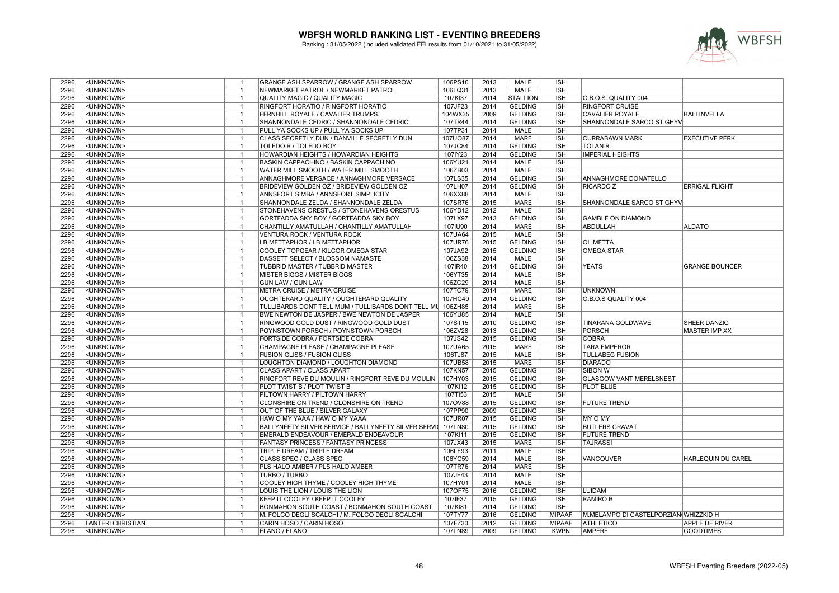

| 2296 | <unknown></unknown>      | -1                               | GRANGE ASH SPARROW / GRANGE ASH SPARROW                    | 106PS10        | 2013         | MALE            | <b>ISH</b>    |                                       |                           |
|------|--------------------------|----------------------------------|------------------------------------------------------------|----------------|--------------|-----------------|---------------|---------------------------------------|---------------------------|
| 2296 | <unknown></unknown>      | $\overline{1}$                   | NEWMARKET PATROL / NEWMARKET PATROL                        | 106LQ31        | 2013         | <b>MALE</b>     | <b>ISH</b>    |                                       |                           |
| 2296 | <unknown></unknown>      | $\mathbf{1}$                     | QUALITY MAGIC / QUALITY MAGIC                              | 107KI37        | 2014         | <b>STALLION</b> | <b>ISH</b>    | O.B.O.S. QUALITY 004                  |                           |
| 2296 | <unknown></unknown>      | $\overline{1}$                   | RINGFORT HORATIO / RINGFORT HORATIO                        | 107JF23        | 2014         | <b>GELDING</b>  | <b>ISH</b>    | <b>RINGFORT CRUISE</b>                |                           |
| 2296 | <unknown></unknown>      | $\overline{\mathbf{1}}$          | <b>FERNHILL ROYALE / CAVALIER TRUMPS</b>                   | 104WX35        | 2009         | <b>GELDING</b>  | <b>ISH</b>    | <b>CAVALIER ROYALE</b>                | <b>BALLINVELLA</b>        |
| 2296 | <unknown></unknown>      | $\overline{1}$                   | SHANNONDALE CEDRIC / SHANNONDALE CEDRIC                    | 107TR44        | 2014         | <b>GELDING</b>  | <b>ISH</b>    | SHANNONDALE SARCO ST GHYV             |                           |
| 2296 | <unknown></unknown>      | $\overline{1}$                   | PULL YA SOCKS UP / PULL YA SOCKS UP                        | 107TP31        | 2014         | <b>MALE</b>     | <b>ISH</b>    |                                       |                           |
| 2296 | <unknown></unknown>      | $\overline{1}$                   | CLASS SECRETLY DUN / DANVILLE SECRETLY DUN                 | <b>107UO87</b> | 2014         | <b>MARE</b>     | <b>ISH</b>    | <b>CURRABAWN MARK</b>                 | <b>EXECUTIVE PERK</b>     |
| 2296 | <unknown></unknown>      | $\overline{1}$                   | <b>TOLEDO R / TOLEDO BOY</b>                               | 107JC84        | 2014         | <b>GELDING</b>  | <b>ISH</b>    | <b>TOLAN R.</b>                       |                           |
| 2296 | <unknown></unknown>      | $\overline{1}$                   | HOWARDIAN HEIGHTS / HOWARDIAN HEIGHTS                      | 107IY23        | 2014         | <b>GELDING</b>  | <b>ISH</b>    | <b>IMPERIAL HEIGHTS</b>               |                           |
| 2296 | <unknown></unknown>      | $\overline{1}$                   |                                                            |                | 2014         | <b>MALE</b>     | <b>ISH</b>    |                                       |                           |
|      |                          |                                  | BASKIN CAPPACHINO / BASKIN CAPPACHINO                      | 106YU21        |              | <b>MALE</b>     |               |                                       |                           |
| 2296 | <unknown></unknown>      |                                  | <b>WATER MILL SMOOTH / WATER MILL SMOOTH</b>               | 106ZB03        | 2014         |                 | <b>ISH</b>    |                                       |                           |
| 2296 | <unknown></unknown>      | $\overline{1}$                   | ANNAGHMORE VERSACE / ANNAGHMORE VERSACE                    | 107LS35        | 2014         | <b>GELDING</b>  | <b>ISH</b>    | <b>ANNAGHMORE DONATELLO</b>           |                           |
| 2296 | <unknown></unknown>      | -1                               | <b>BRIDEVIEW GOLDEN OZ / BRIDEVIEW GOLDEN OZ</b>           | 107LH07        | 2014         | <b>GELDING</b>  | <b>ISH</b>    | <b>RICARDO Z</b>                      | <b>ERRIGAL FLIGHT</b>     |
| 2296 | <unknown></unknown>      | $\overline{1}$                   | ANNSFORT SIMBA / ANNSFORT SIMPLICITY                       | 106XX88        | 2014         | <b>MALE</b>     | <b>ISH</b>    |                                       |                           |
| 2296 | <unknown></unknown>      | $\overline{1}$                   | SHANNONDALE ZELDA / SHANNONDALE ZELDA                      | 107SR76        | 2015         | <b>MARE</b>     | <b>ISH</b>    | SHANNONDALE SARCO ST GHYV             |                           |
| 2296 | <unknown></unknown>      | $\overline{1}$                   | STONEHAVENS ORESTUS / STONEHAVENS ORESTUS                  | 106YD12        | 2012         | MALE            | <b>ISH</b>    |                                       |                           |
| 2296 | <unknown></unknown>      | $\overline{1}$                   | GORTFADDA SKY BOY / GORTFADDA SKY BOY                      | 107LX97        | 2013         | <b>GELDING</b>  | <b>ISH</b>    | <b>GAMBLE ON DIAMOND</b>              |                           |
| 2296 | <unknown></unknown>      | $\overline{1}$                   | CHANTILLY AMATULLAH / CHANTILLY AMATULLAH                  | 107IU90        | 2014         | <b>MARE</b>     | <b>ISH</b>    | ABDULLAH                              | <b>ALDATO</b>             |
| 2296 | <unknown></unknown>      | $\overline{1}$                   | VENTURA ROCK / VENTURA ROCK                                | 107UA64        | 2015         | <b>MALE</b>     | <b>ISH</b>    |                                       |                           |
| 2296 | <unknown></unknown>      | $\mathbf{1}$                     | LB METTAPHOR / LB METTAPHOR                                | 107UR76        | 2015         | <b>GELDING</b>  | <b>ISH</b>    | <b>OL METTA</b>                       |                           |
| 2296 | <unknown></unknown>      | $\overline{1}$                   | COOLEY TOPGEAR / KILCOR OMEGA STAR                         | 107JA92        | 2015         | <b>GELDING</b>  | <b>ISH</b>    | <b>OMEGA STAR</b>                     |                           |
| 2296 | <unknown></unknown>      | $\overline{\mathbf{1}}$          | DASSETT SELECT / BLOSSOM NAMASTE                           | 106ZS38        | 2014         | <b>MALE</b>     | <b>ISH</b>    |                                       |                           |
| 2296 | <unknown></unknown>      | $\overline{1}$                   | <b>TUBBRID MASTER / TUBBRID MASTER</b>                     | 107IR40        | 2014         | <b>GELDING</b>  | <b>ISH</b>    | <b>YEATS</b>                          | <b>GRANGE BOUNCER</b>     |
| 2296 | <unknown></unknown>      | $\overline{1}$                   | MISTER BIGGS / MISTER BIGGS                                | 106YT35        | 2014         | <b>MALE</b>     | <b>ISH</b>    |                                       |                           |
| 2296 | <unknown></unknown>      | $\overline{1}$                   | <b>GUN LAW / GUN LAW</b>                                   | 106ZC29        | 2014         | MALE            | <b>ISH</b>    |                                       |                           |
| 2296 | <unknown></unknown>      | $\overline{1}$                   | METRA CRUISE / METRA CRUISE                                | 107TC79        | 2014         | <b>MARE</b>     | <b>ISH</b>    | <b>UNKNOWN</b>                        |                           |
| 2296 | <unknown></unknown>      | $\overline{1}$                   | OUGHTERARD QUALITY / OUGHTERARD QUALITY                    | 107HG40        | 2014         | <b>GELDING</b>  | <b>ISH</b>    | O.B.O.S QUALITY 004                   |                           |
| 2296 | <unknown></unknown>      | $\overline{1}$                   | TULLIBARDS DONT TELL MUM / TULLIBARDS DONT TELL MI 106ZH85 |                | 2014         | <b>MARE</b>     | <b>ISH</b>    |                                       |                           |
| 2296 | <unknown></unknown>      | -1                               | BWE NEWTON DE JASPER / BWE NEWTON DE JASPER                | 106YU85        | 2014         | <b>MALE</b>     | <b>ISH</b>    |                                       |                           |
| 2296 | <unknown></unknown>      | $\overline{1}$                   | RINGWOOD GOLD DUST / RINGWOOD GOLD DUST                    | 107ST15        | 2010         | <b>GELDING</b>  | <b>ISH</b>    | <b>TINARANA GOLDWAVE</b>              | <b>SHEER DANZIG</b>       |
| 2296 | <unknown></unknown>      | -1                               | POYNSTOWN PORSCH / POYNSTOWN PORSCH                        | 106ZV28        | 2013         | <b>GELDING</b>  | <b>ISH</b>    | <b>PORSCH</b>                         | <b>MASTER IMP XX</b>      |
| 2296 | <unknown></unknown>      | $\overline{1}$                   | <b>FORTSIDE COBRA / FORTSIDE COBRA</b>                     | 107JS42        | 2015         | <b>GELDING</b>  | <b>ISH</b>    | <b>COBRA</b>                          |                           |
| 2296 | <unknown></unknown>      | $\overline{1}$                   | CHAMPAGNE PLEASE / CHAMPAGNE PLEASE                        | 107UA65        | 2015         | <b>MARE</b>     | <b>ISH</b>    | <b>TARA EMPEROR</b>                   |                           |
| 2296 | <unknown></unknown>      | $\overline{1}$                   | <b>FUSION GLISS / FUSION GLISS</b>                         | 106TJ87        | 2015         | MALE            | <b>ISH</b>    | <b>TULLABEG FUSION</b>                |                           |
| 2296 | <unknown></unknown>      | $\overline{1}$                   | LOUGHTON DIAMOND / LOUGHTON DIAMOND                        | 107UB58        | 2015         | <b>MARE</b>     | <b>ISH</b>    | <b>DIARADO</b>                        |                           |
| 2296 | <unknown></unknown>      | $\overline{1}$                   | CLASS APART / CLASS APART                                  | 107KN57        | 2015         | <b>GELDING</b>  | <b>ISH</b>    | <b>SIBON W</b>                        |                           |
| 2296 | <unknown></unknown>      | $\overline{1}$                   | RINGFORT REVE DU MOULIN / RINGFORT REVE DU MOULIN          | 107HY03        | 2015         | <b>GELDING</b>  | <b>ISH</b>    | <b>GLASGOW VANT MERELSNEST</b>        |                           |
| 2296 | <unknown></unknown>      | $\mathbf{1}$                     | <b>PLOT TWIST B / PLOT TWIST B</b>                         | 107KI12        | 2015         | <b>GELDING</b>  | <b>ISH</b>    | <b>PLOT BLUE</b>                      |                           |
| 2296 | <unknown></unknown>      | $\overline{1}$                   | PILTOWN HARRY / PILTOWN HARRY                              | 107TI53        | 2015         | <b>MALE</b>     | <b>ISH</b>    |                                       |                           |
| 2296 | <unknown></unknown>      | $\overline{1}$                   | CLONSHIRE ON TREND / CLONSHIRE ON TREND                    | 107OV88        | 2015         | <b>GELDING</b>  | <b>ISH</b>    | <b>FUTURE TREND</b>                   |                           |
| 2296 | <unknown></unknown>      | $\overline{1}$                   | <b>OUT OF THE BLUE / SILVER GALAXY</b>                     | 107PP90        | 2009         | <b>GELDING</b>  | <b>ISH</b>    |                                       |                           |
| 2296 | <unknown></unknown>      | $\overline{1}$                   | HAW O MY YAAA / HAW O MY YAAA                              | 107UR07        | 2015         | <b>GELDING</b>  | <b>ISH</b>    | <b>MY O MY</b>                        |                           |
| 2296 | <unknown></unknown>      | $\overline{1}$                   | BALLYNEETY SILVER SERVICE / BALLYNEETY SILVER SERVI        | 107LN80        | 2015         | <b>GELDING</b>  | <b>ISH</b>    | <b>BUTLERS CRAVAT</b>                 |                           |
| 2296 | <unknown></unknown>      | $\overline{1}$                   | EMERALD ENDEAVOUR / EMERALD ENDEAVOUR                      | 107KI11        | 2015         | <b>GELDING</b>  | <b>ISH</b>    | <b>FUTURE TREND</b>                   |                           |
| 2296 | <unknown></unknown>      | $\overline{1}$                   | <b>FANTASY PRINCESS / FANTASY PRINCESS</b>                 | 107JX43        | 2015         | <b>MARE</b>     | <b>ISH</b>    | <b>TAJRASSI</b>                       |                           |
| 2296 | <unknown></unknown>      | $\overline{1}$                   | TRIPLE DREAM / TRIPLE DREAM                                | 106LE93        | 2011         | <b>MALE</b>     | <b>ISH</b>    |                                       |                           |
| 2296 | <unknown></unknown>      |                                  | CLASS SPEC / CLASS SPEC                                    | 106YC59        | 2014         | <b>MALE</b>     | <b>ISH</b>    | <b>VANCOUVER</b>                      | <b>HARLEQUIN DU CAREL</b> |
| 2296 | <unknown></unknown>      | $\overline{1}$                   | PLS HALO AMBER / PLS HALO AMBER                            |                | 2014         | <b>MARE</b>     | <b>ISH</b>    |                                       |                           |
| 2296 |                          |                                  |                                                            | 107TR76        |              | <b>MALE</b>     |               |                                       |                           |
|      | <unknown></unknown>      | -1                               | <b>TURBO / TURBO</b>                                       | 107JE43        | 2014         |                 | <b>ISH</b>    |                                       |                           |
| 2296 | <unknown></unknown>      | $\overline{1}$<br>$\overline{1}$ | COOLEY HIGH THYME / COOLEY HIGH THYME                      | 107HY01        | 2014         | <b>MALE</b>     | <b>ISH</b>    |                                       |                           |
| 2296 | <unknown></unknown>      |                                  | LOUIS THE LION / LOUIS THE LION                            | 107OF75        | 2016         | <b>GELDING</b>  | <b>ISH</b>    | <b>LUIDAM</b>                         |                           |
| 2296 | <unknown></unknown>      | $\overline{1}$<br>$\overline{1}$ | KEEP IT COOLEY / KEEP IT COOLEY                            | 107IF37        | 2015         | <b>GELDING</b>  | <b>ISH</b>    | <b>RAMIRO B</b>                       |                           |
| 2296 | <unknown></unknown>      |                                  | BONMAHON SOUTH COAST / BONMAHON SOUTH COAST                | 107KI81        | 2014         | <b>GELDING</b>  | <b>ISH</b>    |                                       |                           |
| 2296 | <unknown></unknown>      | $\overline{1}$                   | M. FOLCO DEGLI SCALCHI / M. FOLCO DEGLI SCALCHI            | 107TY77        | 2016         | <b>GELDING</b>  | <b>MIPAAF</b> | M.MELAMPO DI CASTELPORZIAN WHIZZKID H |                           |
| 2296 | <b>LANTERI CHRISTIAN</b> | $\overline{1}$<br>$\overline{1}$ | CARIN HOSO / CARIN HOSO                                    | 107FZ30        | 2012<br>2009 | <b>GELDING</b>  | <b>MIPAAF</b> | ATHLETICO                             | <b>APPLE DE RIVER</b>     |
| 2296 | <unknown></unknown>      |                                  | <b>ELANO / ELANO</b>                                       | 107LN89        |              | <b>GELDING</b>  | <b>KWPN</b>   | <b>AMPERE</b>                         | <b>GOODTIMES</b>          |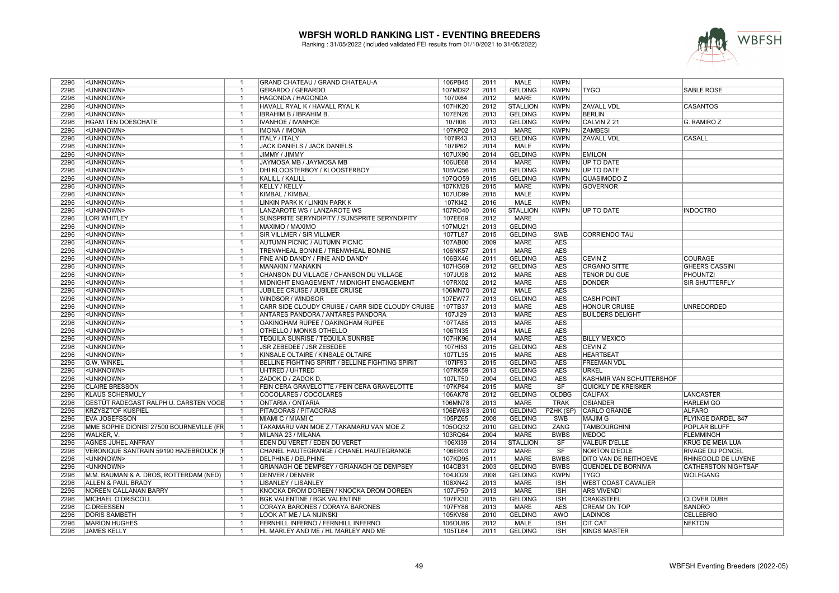

| 2296 | <unknown></unknown>                                    | $\mathbf{1}$                     | GRAND CHATEAU / GRAND CHATEAU-A                                      | 106PB45            | 2011         | MALE                          | <b>KWPN</b>         |                              |                                  |
|------|--------------------------------------------------------|----------------------------------|----------------------------------------------------------------------|--------------------|--------------|-------------------------------|---------------------|------------------------------|----------------------------------|
| 2296 | <unknown></unknown>                                    | $\overline{1}$                   | GERARDO / GERARDO                                                    | 107MD92            | 2011         | <b>GELDING</b>                | <b>KWPN</b>         | <b>TYGO</b>                  | SABLE ROSE                       |
| 2296 | <unknown></unknown>                                    | $\mathbf{1}$                     | <b>HAGONDA / HAGONDA</b>                                             | 107IX64            | 2012         | <b>MARE</b>                   | <b>KWPN</b>         |                              |                                  |
| 2296 | <unknown></unknown>                                    | $\overline{1}$                   | HAVALL RYAL K / HAVALL RYAL K                                        | 107HK20            | 2012         | <b>STALLION</b>               | <b>KWPN</b>         | <b>ZAVALL VDL</b>            | <b>CASANTOS</b>                  |
| 2296 | <unknown></unknown>                                    | $\mathbf{1}$                     | <b>IBRAHIM B / IBRAHIM B.</b>                                        | 107EN26            | 2013         | <b>GELDING</b>                | <b>KWPN</b>         | <b>BERLIN</b>                |                                  |
| 2296 | <b>HGAM TEN DOESCHATE</b>                              | $\overline{1}$                   | IVANHOE / IVANHOE                                                    | 1071108            | 2013         | <b>GELDING</b>                | <b>KWPN</b>         | CALVIN Z 21                  | G. RAMIRO Z                      |
| 2296 | <unknown></unknown>                                    | $\mathbf{1}$                     | <b>IMONA / IMONA</b>                                                 | 107KP02            | 2013         | MARE                          | <b>KWPN</b>         | <b>ZAMBESI</b>               |                                  |
| 2296 | <unknown></unknown>                                    | $\overline{1}$                   | <b>ITALY / ITALY</b>                                                 | 107IR43            | 2013         | <b>GELDING</b>                | <b>KWPN</b>         | <b>ZAVALL VDL</b>            | <b>CASALL</b>                    |
| 2296 | <unknown></unknown>                                    | $\mathbf{1}$                     | JACK DANIELS / JACK DANIELS                                          | 107IP62            | 2014         | <b>MALE</b>                   | <b>KWPN</b>         |                              |                                  |
|      |                                                        | $\overline{1}$                   |                                                                      |                    |              |                               |                     |                              |                                  |
| 2296 | <unknown></unknown>                                    |                                  | JIMMY / JIMMY                                                        | 107UX90            | 2014         | <b>GELDING</b>                | <b>KWPN</b>         | <b>EMILON</b>                |                                  |
| 2296 | <unknown></unknown>                                    | $\overline{1}$                   | JAYMOSA MB / JAYMOSA MB                                              | 106UE68            | 2014         | MARE                          | <b>KWPN</b>         | <b>UP TO DATE</b>            |                                  |
| 2296 | <unknown></unknown>                                    | $\mathbf{1}$                     | <b>DHI KLOOSTERBOY / KLOOSTERBOY</b>                                 | 106VQ56            | 2015         | <b>GELDING</b>                | <b>KWPN</b>         | <b>UP TO DATE</b>            |                                  |
| 2296 | <unknown></unknown>                                    | $\mathbf{1}$                     | KALILL / KALILL                                                      | 107QO59            | 2015         | <b>GELDING</b>                | <b>KWPN</b>         | QUASIMODO Z                  |                                  |
| 2296 | <unknown></unknown>                                    | $\overline{1}$                   | <b>KELLY / KELLY</b>                                                 | 107KM28            | 2015         | <b>MARE</b>                   | <b>KWPN</b>         | <b>GOVERNOR</b>              |                                  |
| 2296 | <unknown></unknown>                                    | $\overline{1}$                   | KIMBAL / KIMBAL                                                      | 107UD99            | 2015         | <b>MALE</b>                   | <b>KWPN</b>         |                              |                                  |
| 2296 | <unknown></unknown>                                    | $\overline{1}$                   | LINKIN PARK K / LINKIN PARK K                                        | 107KI42            | 2016         | <b>MALE</b>                   | <b>KWPN</b>         |                              |                                  |
| 2296 | <unknown></unknown>                                    | $\overline{1}$                   | LANZAROTE WS / LANZAROTE WS                                          | 107RO40            | 2016         | <b>STALLION</b>               | <b>KWPN</b>         | UP TO DATE                   | <b>INDOCTRO</b>                  |
| 2296 | <b>LORI WHITLEY</b>                                    | $\overline{1}$                   | SUNSPRITE SERYNDIPITY / SUNSPRITE SERYNDIPITY                        | 107EE69            | 2012         | <b>MARE</b>                   |                     |                              |                                  |
| 2296 | <unknown></unknown>                                    | $\overline{1}$                   | MAXIMO / MAXIMO                                                      | 107MU21            | 2013         | <b>GELDING</b>                |                     |                              |                                  |
| 2296 | <unknown></unknown>                                    | $\mathbf{1}$                     | SIR VILLMER / SIR VILLMER                                            | 107TL87            | 2015         | <b>GELDING</b>                | <b>SWB</b>          | <b>CORRIENDO TAU</b>         |                                  |
| 2296 | <unknown></unknown>                                    | $\overline{1}$                   | AUTUMN PICNIC / AUTUMN PICNIC                                        | 107AB00            | 2009         | <b>MARE</b>                   | <b>AES</b>          |                              |                                  |
| 2296 | <unknown></unknown>                                    | $\mathbf{1}$                     | TRENWHEAL BONNIE / TRENWHEAL BONNIE                                  | 106NK57            | 2011         | <b>MARE</b>                   | <b>AES</b>          |                              |                                  |
| 2296 | <unknown></unknown>                                    | $\overline{1}$                   | FINE AND DANDY / FINE AND DANDY                                      | 106BX46            | 2011         | <b>GELDING</b>                | <b>AES</b>          | <b>CEVIN Z</b>               | <b>COURAGE</b>                   |
| 2296 | <unknown></unknown>                                    | $\overline{1}$                   | MANAKIN / MANAKIN                                                    | 107HG69            | 2012         | <b>GELDING</b>                | <b>AES</b>          | <b>ORGANO SITTE</b>          | <b>GHEERS CASSINI</b>            |
| 2296 | <unknown></unknown>                                    | $\overline{1}$                   | CHANSON DU VILLAGE / CHANSON DU VILLAGE                              | 107JU98            | 2012         | MARE                          | <b>AES</b>          | <b>TENOR DU GUE</b>          | PHOUNTZI                         |
| 2296 | <unknown></unknown>                                    | $\overline{1}$                   | MIDNIGHT ENGAGEMENT / MIDNIGHT ENGAGEMENT                            | 107RX02            | 2012         | MARE                          | <b>AES</b>          | <b>DONDER</b>                | SIR SHUTTERFLY                   |
| 2296 | <unknown></unknown>                                    | $\overline{1}$                   | JUBILEE CRUISE / JUBILEE CRUISE                                      | 106MN70            | 2012         | <b>MALE</b>                   | <b>AES</b>          |                              |                                  |
| 2296 | <unknown></unknown>                                    | $\mathbf{1}$                     | WINDSOR / WINDSOR                                                    | 107EW77            | 2013         | <b>GELDING</b>                | AES                 | <b>CASH POINT</b>            |                                  |
| 2296 | <unknown></unknown>                                    | $\overline{1}$                   | CARR SIDE CLOUDY CRUISE / CARR SIDE CLOUDY CRUISE                    | 107TB37            | 2013         | MARE                          | AES                 | <b>HONOUR CRUISE</b>         | <b>UNRECORDED</b>                |
| 2296 | <unknown></unknown>                                    | $\mathbf{1}$                     | <b>ANTARES PANDORA / ANTARES PANDORA</b>                             | 107JI29            | 2013         | <b>MARE</b>                   | <b>AES</b>          | <b>BUILDERS DELIGHT</b>      |                                  |
| 2296 | <unknown></unknown>                                    | $\overline{1}$                   | OAKINGHAM RUPEE / OAKINGHAM RUPEE                                    | 107TA85            | 2013         | <b>MARE</b>                   | <b>AES</b>          |                              |                                  |
| 2296 | <unknown></unknown>                                    | $\overline{1}$                   | <b>OTHELLO / MONKS OTHELLO</b>                                       | 106TN35            | 2014         | <b>MALE</b>                   | <b>AES</b>          |                              |                                  |
| 2296 | <unknown></unknown>                                    | $\mathbf{1}$                     | TEQUILA SUNRISE / TEQUILA SUNRISE                                    | 107HK96            | 2014         | <b>MARE</b>                   | AES                 | <b>BILLY MEXICO</b>          |                                  |
| 2296 | <unknown></unknown>                                    | $\overline{1}$                   | JSR ZEBEDEE / JSR ZEBEDEE                                            | 107HI53            | 2015         | <b>GELDING</b>                | <b>AES</b>          | <b>CEVIN Z</b>               |                                  |
| 2296 | <unknown></unknown>                                    | -1                               | KINSALE OLTAIRE / KINSALE OLTAIRE                                    | 107TL35            | 2015         | MARE                          | AES                 | <b>HEARTBEAT</b>             |                                  |
| 2296 | G.W. WINKEL                                            | $\mathbf{1}$                     | BELLINE FIGHTING SPIRIT / BELLINE FIGHTING SPIRIT                    | 107IF93            | 2015         | <b>GELDING</b>                | <b>AES</b>          | <b>FREEMAN VDL</b>           |                                  |
| 2296 | <unknown></unknown>                                    | $\overline{1}$                   | UHTRED / UHTRED                                                      | 107RK59            | 2013         | <b>GELDING</b>                | <b>AES</b>          | URKEL                        |                                  |
| 2296 | <unknown></unknown>                                    | $\mathbf{1}$                     | ZADOK D / ZADOK D.                                                   | 107LT50            | 2004         | <b>GELDING</b>                | <b>AES</b>          | KASHMIR VAN SCHUTTERSHOF     |                                  |
| 2296 | <b>CLAIRE BRESSON</b>                                  | $\overline{1}$                   |                                                                      | 107KP84            | 2015         | <b>MARE</b>                   | SF                  | <b>QUICKLY DE KREISKER</b>   |                                  |
| 2296 | <b>KLAUS SCHERMULY</b>                                 | $\overline{1}$                   | FEIN CERA GRAVELOTTE / FEIN CERA GRAVELOTTE<br>COCOLARES / COCOLARES | 106AK78            | 2012         | <b>GELDING</b>                | <b>OLDBG</b>        | <b>CALIFAX</b>               |                                  |
| 2296 | GESTÜT RADEGAST RALPH U. CARSTEN VOGE                  | $\overline{1}$                   | <b>ONTARIA / ONTARIA</b>                                             | 106MN78            | 2013         | <b>MARE</b>                   | <b>TRAK</b>         | <b>OSIANDER</b>              | LANCASTER<br><b>HARLEM GO</b>    |
| 2296 | <b>KRZYSZTOF KUSPIEL</b>                               | $\overline{1}$                   | PITAGORAS / PITAGORAS                                                | 106EW63            | 2010         | <b>GELDING</b>                | PZHK (SP)           | <b>CARLO GRANDE</b>          | <b>ALFARO</b>                    |
| 2296 | <b>EVA JOSEFSSON</b>                                   | $\mathbf{1}$                     | MIAMI C / MIAMI C                                                    | 105PZ65            | 2008         | <b>GELDING</b>                | SWB                 | <b>MAJIM G</b>               | <b>FLYINGE DARDEL 847</b>        |
| 2296 |                                                        |                                  |                                                                      |                    |              |                               |                     |                              |                                  |
| 2296 | MME SOPHIE DIONISI 27500 BOURNEVILLE (FR<br>WALKER, V. | $\overline{1}$<br>$\overline{1}$ | TAKAMARU VAN MOE Z / TAKAMARU VAN MOE Z<br>MILANA 23 / MILANA        | 105OQ32<br>103RQ64 | 2010<br>2004 | <b>GELDING</b><br><b>MARE</b> | ZANG<br><b>BWBS</b> | <b>TAMBOURGHINI</b><br>MEDOC | <b>POPLAR BLUFF</b><br>FLEMMINGH |
|      |                                                        |                                  |                                                                      |                    |              |                               |                     |                              |                                  |
| 2296 | <b>AGNES JUHEL ANFRAY</b>                              | $\mathbf{1}$                     | EDEN DU VERET / EDEN DU VERET                                        | 106XI39            | 2014         | <b>STALLION</b>               | SF                  | <b>VALEUR D'ELLE</b>         | <b>KRUG DE MEIA LUA</b>          |
| 2296 | VERONIQUE SANTRAIN 59190 HAZEBROUCK (F                 | $\overline{1}$                   | CHANEL HAUTEGRANGE / CHANEL HAUTEGRANGE                              | 106ER03            | 2012         | MARE                          | SF                  | <b>NORTON D'EOLE</b>         | <b>RIVAGE DU PONCEL</b>          |
| 2296 | <unknown></unknown>                                    | $\mathbf 1$                      | <b>DELPHINE / DELPHINE</b>                                           | 107KD95            | 2011         | <b>MARE</b>                   | <b>BWBS</b>         | <b>DITO VAN DE REITHOEVE</b> | <b>RHINEGOLD DE LUYENE</b>       |
| 2296 | <unknown></unknown>                                    | $\mathbf{1}$                     | GRIANAGH QE DEMPSEY / GRIANAGH QE DEMPSEY                            | 104CB31            | 2003         | <b>GELDING</b>                | <b>BWBS</b>         | QUENDEL DE BORNIVA           | <b>CATHERSTON NIGHTSAF</b>       |
| 2296 | M.M. BAUMAN & A. DROS, ROTTERDAM (NED)                 | $\overline{1}$                   | <b>DENVER / DENVER</b>                                               | 104JO29            | 2008         | <b>GELDING</b>                | <b>KWPN</b>         | <b>TYGO</b>                  | <b>WOLFGANG</b>                  |
| 2296 | ALLEN & PAUL BRADY                                     | $\mathbf{1}$                     | <b>LISANLEY / LISANLEY</b>                                           | 106XN42            | 2013         | <b>MARE</b>                   | <b>ISH</b>          | <b>WEST COAST CAVALIER</b>   |                                  |
| 2296 | <b>NOREEN CALLANAN BARRY</b>                           | $\overline{1}$                   | KNOCKA DROM DOREEN / KNOCKA DROM DOREEN                              | 107JP50            | 2013         | <b>MARE</b>                   | <b>ISH</b>          | <b>ARS VIVENDI</b>           |                                  |
| 2296 | MICHAEL O'DRISCOLL                                     | $\overline{1}$                   | <b>BGK VALENTINE / BGK VALENTINE</b>                                 | 107FX30            | 2015         | <b>GELDING</b>                | <b>ISH</b>          | <b>CRAIGSTEEL</b>            | <b>CLOVER DUBH</b>               |
| 2296 | <b>C.DREESSEN</b>                                      | $\overline{1}$                   | CORAYA BARONES / CORAYA BARONES                                      | 107FY86            | 2013         | MARE                          | <b>AES</b>          | <b>CREAM ON TOP</b>          | <b>SANDRO</b>                    |
| 2296 | <b>DORIS SAMBETH</b>                                   | $\mathbf{1}$                     | LOOK AT ME / LA NIJINSKI                                             | 105KV86            | 2010         | <b>GELDING</b>                | AWÖ                 | <b>LADINOS</b>               | <b>CELLEBRIO</b>                 |
| 2296 | <b>MARION HUGHES</b>                                   | $\overline{1}$                   | FERNHILL INFERNO / FERNHILL INFERNO                                  | 106OU86            | 2012         | MALE                          | <b>ISH</b>          | <b>CIT CAT</b>               | <b>NEKTON</b>                    |
| 2296 | <b>JAMES KELLY</b>                                     | $\overline{1}$                   | HL MARLEY AND ME / HL MARLEY AND ME                                  | 105TL64            | 2011         | <b>GELDING</b>                | <b>ISH</b>          | <b>KINGS MASTER</b>          |                                  |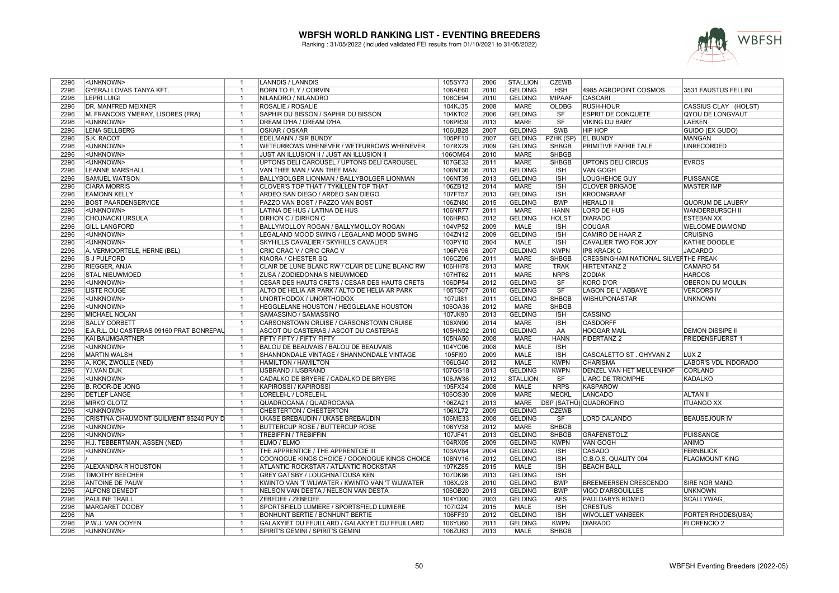

| 2296 | <unknown></unknown>                           | $\mathbf{1}$                            | <b>LANNDIS / LANNDIS</b>                                           | 105SY73            | 2006 | <b>STALLION</b>            | <b>CZEWB</b>           |                                             |                         |
|------|-----------------------------------------------|-----------------------------------------|--------------------------------------------------------------------|--------------------|------|----------------------------|------------------------|---------------------------------------------|-------------------------|
| 2296 | <b>GYERAJ LOVAS TANYA KFT.</b>                | $\mathbf{1}$                            | <b>BORN TO FLY / CORVIN</b>                                        | 106AE60            | 2010 | <b>GELDING</b>             | <b>HSH</b>             | 4985 AGROPOINT COSMOS                       | 3531 FAUSTUS FELLINI    |
| 2296 | <b>LEPRI LUIGI</b>                            | $\overline{1}$                          | NILANDRO / NILANDRO                                                | 106CE94            | 2010 | <b>GELDING</b>             | <b>MIPAAF</b>          | <b>CASCARI</b>                              |                         |
| 2296 | DR. MANFRED MEIXNER                           | $\mathbf{1}$                            | <b>ROSALIE / ROSALIE</b>                                           | 104KJ35            | 2008 | <b>MARE</b>                | <b>OLDBG</b>           | <b>RUSH-HOUR</b>                            | CASSIUS CLAY (HOLST)    |
| 2296 | M. FRANCOIS YMERAY, LISORES (FRA)             | 1                                       | SAPHIR DU BISSON / SAPHIR DU BISSON                                | 104KT02            | 2006 | <b>GELDING</b>             | $\overline{\text{SF}}$ | <b>ESPRIT DE CONQUETE</b>                   | QYOU DE LONGVAUT        |
| 2296 | <unknown></unknown>                           | $\overline{1}$                          | DREAM D'HA / DREAM D'HA                                            | 106PR39            | 2013 | <b>MARE</b>                | $\overline{\text{SF}}$ | <b>VIKING DU BARY</b>                       | <b>LAEKEN</b>           |
| 2296 | LENA SELLBERG                                 | $\mathbf{1}$                            | OSKAR / OSKAR                                                      | 106UB28            | 2007 | <b>GELDING</b>             | <b>SWB</b>             | <b>HIP HOP</b>                              | GUIDO (EX GUDO)         |
| 2296 | S.K. RACOT                                    | $\overline{1}$                          | <b>EDELMANN / SIR BUNDY</b>                                        | 105PF10            | 2007 | <b>GELDING</b>             | PZHK (SP)              | <b>EL BUNDY</b>                             | <b>MANGAN</b>           |
| 2296 | <unknown></unknown>                           | $\overline{1}$                          | WETFURROWS WHENEVER / WETFURROWS WHENEVER                          | 107RX29            | 2009 | <b>GELDING</b>             | <b>SHBGB</b>           | PRIMITIVE FAERIE TALE                       | <b>UNRECORDED</b>       |
| 2296 | <unknown></unknown>                           | $\overline{1}$                          | JUST AN ILLUSION II / JUST AN ILLUSION II                          | 106OM64            | 2010 | <b>MARE</b>                | <b>SHBGB</b>           |                                             |                         |
| 2296 | <unknown></unknown>                           | $\overline{1}$                          | UPTONS DELI CAROUSEL / UPTONS DELI CAROUSEL                        | 107GE32            | 2011 | <b>MARE</b>                | <b>SHBGB</b>           | <b>UPTONS DELI CIRCUS</b>                   | <b>EVROS</b>            |
| 2296 | <b>LEANNE MARSHALL</b>                        | -1                                      | VAN THEE MAN / VAN THEE MAN                                        | 106NT36            | 2013 | <b>GELDING</b>             | <b>ISH</b>             | <b>VAN GOGH</b>                             |                         |
| 2296 | <b>SAMUEL WATSON</b>                          | $\overline{1}$                          | BALLYBOLGER LIONMAN / BALLYBOLGER LIONMAN                          | 106NT39            | 2013 | <b>GELDING</b>             | <b>ISH</b>             | LOUGHEHOE GUY                               | <b>PUISSANCE</b>        |
| 2296 | <b>CIARA MORRIS</b>                           | $\overline{1}$                          | CLOVER'S TOP THAT / TYKILLEN TOP THAT                              | 106ZB12            | 2014 | <b>MARE</b>                | <b>ISH</b>             | <b>CLOVER BRIGADE</b>                       | <b>MASTER IMP</b>       |
| 2296 | <b>EAMONN KELLY</b>                           | $\mathbf{1}$                            | ARDEO SAN DIEGO / ARDEO SAN DIEGO                                  | 107FT57            | 2013 | <b>GELDING</b>             | ISH                    | <b>KROONGRAAF</b>                           |                         |
| 2296 | <b>BOST PAARDENSERVICE</b>                    | $\overline{1}$                          | PAZZO VAN BOST / PAZZO VAN BOST                                    | 106ZN80            | 2015 | <b>GELDING</b>             | <b>BWP</b>             | <b>HERALD III</b>                           | <b>QUORUM DE LAUBRY</b> |
| 2296 | <unknown></unknown>                           | $\mathbf{1}$                            | LATINA DE HUS / LATINA DE HUS                                      | 106NR77            | 2011 | <b>MARE</b>                | <b>HANN</b>            | <b>LORD DE HUS</b>                          | <b>WANDERBURSCH II</b>  |
| 2296 | CHOJNACKI URSULA                              | $\overline{1}$                          | DIRHON C / DIRHON C                                                | 106HP83            | 2012 | <b>GELDING</b>             | <b>HOLST</b>           | <b>DIARADO</b>                              | <b>ESTEBAN XX</b>       |
| 2296 | <b>GILL LANGFORD</b>                          | $\overline{1}$                          | BALLYMOLLOY ROGAN / BALLYMOLLOY ROGAN                              | 104VP52            | 2009 | <b>MALE</b>                | <b>ISH</b>             | <b>COUGAR</b>                               | <b>WELCOME DIAMOND</b>  |
| 2296 | <unknown></unknown>                           | $\mathbf{1}$                            | LEGALAND MOOD SWING / LEGALAND MOOD SWING                          | 104ZN12            | 2009 | <b>GELDING</b>             | <b>ISH</b>             | CAMIRO DE HAAR Z                            | <b>CRUISING</b>         |
| 2296 | <unknown></unknown>                           | -1                                      | SKYHILLS CAVALIER / SKYHILLS CAVALIER                              | 103PY10            | 2004 | <b>MALE</b>                | <b>ISH</b>             | <b>CAVALIER TWO FOR JOY</b>                 | <b>KATHIE DOODLIE</b>   |
| 2296 | A. VERMOORTELE, HERNE (BEL)                   | $\overline{1}$                          | CRIC CRAC V / CRIC CRAC V                                          | 106FV96            | 2007 | <b>GELDING</b>             | <b>KWPN</b>            | <b>IPS KRACK C</b>                          | <b>JACARDO</b>          |
| 2296 | <b>SJ PULFORD</b>                             | -1                                      | <b>KIAORA / CHESTER SQ</b>                                         | 106CZ06            | 2011 | <b>MARE</b>                | <b>SHBGB</b>           | <b>CRESSINGHAM NATIONAL SILVEFTHE FREAK</b> |                         |
| 2296 | <b>RIEGGER, ANJA</b>                          | $\overline{1}$                          | CLAIR DE LUNE BLANC RW / CLAIR DE LUNE BLANC RW                    | 106HH78            | 2013 | <b>MARE</b>                | <b>TRAK</b>            | <b>HIRTENTANZ 2</b>                         | CAMARO 54               |
| 2296 | <b>STAL NIEUWMOED</b>                         | $\mathbf{1}$                            | ZUSA / ZODIEDONNA'S NIEUWMOED                                      | 107HT62            | 2011 | <b>MARE</b>                | <b>NRPS</b>            | <b>ZODIAK</b>                               | <b>HARCOS</b>           |
| 2296 | <unknown></unknown>                           | $\overline{1}$                          | CESAR DES HAUTS CRETS / CESAR DES HAUTS CRETS                      | 106DP54            | 2012 | <b>GELDING</b>             | SF                     | <b>KORO D'OR</b>                            | <b>OBERON DU MOULIN</b> |
| 2296 | <b>LISTE ROUGE</b>                            | $\mathbf{1}$                            | ALTO DE HELIA AR PARK / ALTO DE HELIA AR PARK                      | 105TS07            | 2010 | <b>GELDING</b>             | $\overline{\text{SF}}$ | LAGON DE L'ABBAYE                           | <b>VERCORS IV</b>       |
| 2296 | <unknown></unknown>                           | $\overline{1}$                          | UNORTHODOX / UNORTHODOX                                            | 107UI81            | 2011 | <b>GELDING</b>             | <b>SHBGB</b>           | <b>WISHUPONASTAR</b>                        |                         |
| 2296 | <unknown></unknown>                           | $\overline{1}$                          | HEGGLELANE HOUSTON / HEGGLELANE HOUSTON                            | 106OA36            | 2012 | <b>MARE</b>                | <b>SHBGB</b>           |                                             | <b>UNKNOWN</b>          |
| 2296 | <b>MICHAEL NOLAN</b>                          | $\mathbf{1}$                            | SAMASSINO / SAMASSINO                                              | 107JK90            | 2013 | <b>GELDING</b>             | <b>ISH</b>             | <b>CASSINO</b>                              |                         |
| 2296 | <b>SALLY CORBETT</b>                          | $\overline{1}$                          | CARSONSTOWN CRUISE / CARSONSTOWN CRUISE                            | 106XN90            | 2014 | <b>MARE</b>                | <b>ISH</b>             | <b>CASDORFF</b>                             |                         |
| 2296 | E.A.R.L. DU CASTERAS 09160 PRAT BONREPAU      | $\overline{1}$                          |                                                                    |                    | 2010 | <b>GELDING</b>             | AA                     | <b>HOGGAR MAIL</b>                          | <b>DEMON DISSIPE II</b> |
| 2296 |                                               |                                         | ASCOT DU CASTERAS / ASCOT DU CASTERAS<br>FIFTY FIFTY / FIFTY FIFTY | 105HN92            | 2008 |                            |                        | <b>FIDERTANZ 2</b>                          |                         |
| 2296 | <b>KAI BAUMGARTNER</b><br><unknown></unknown> | $\mathbf{1}$<br>$\overline{1}$          | BALOU DE BEAUVAIS / BALOU DE BEAUVAIS                              | 105NA50<br>104YC06 | 2008 | <b>MARE</b><br><b>MALE</b> | <b>HANN</b><br>ISH     |                                             | <b>FRIEDENSFUERST 1</b> |
|      |                                               |                                         |                                                                    |                    | 2009 | <b>MALE</b>                |                        |                                             |                         |
| 2296 | <b>MARTIN WALSH</b>                           | $\overline{1}$                          | SHANNONDALE VINTAGE / SHANNONDALE VINTAGE                          | 105FI90            |      |                            | ISH                    | CASCALETTO ST. GHYVAN Z                     | LUX <sub>Z</sub>        |
| 2296 | A. KOK, ZWOLLE (NED)                          | $\overline{1}$                          | <b>HAMILTON / HAMILTON</b>                                         | 106LG40            | 2012 | MALE                       | <b>KWPN</b>            | <b>CHARISMA</b>                             | LABOR'S VDL INDORADO    |
| 2296 | Y.I.VAN DIJK                                  | $\mathbf{1}$                            | <b>IJSBRAND / IJSBRAND</b>                                         | 107GG18            | 2013 | <b>GELDING</b>             | <b>KWPN</b>            | DENZEL VAN HET MEULENHOF                    | <b>CORLAND</b>          |
| 2296 | <unknown></unknown>                           | $\mathbf{1}$<br>$\overline{\mathbf{1}}$ | CADALKO DE BRYERE / CADALKO DE BRYERE                              | 106JW36            | 2012 | <b>STALLION</b>            | <b>SF</b>              | L'ARC DE TRIOMPHE                           | KADALKO                 |
| 2296 | <b>B. ROOR-DE JONG</b>                        |                                         | <b>KAPIROSSI / KAPIROSSI</b>                                       | 105FX34            | 2008 | <b>MALE</b>                | <b>NRPS</b>            | <b>KASPAROW</b>                             |                         |
| 2296 | <b>DETLEF LANGE</b>                           | $\mathbf{1}$                            | LORELEI-L / LORELEI-L                                              | 106OS30            | 2009 | <b>MARE</b>                | <b>MECKL</b>           | <b>LANCADO</b>                              | <b>ALTAN II</b>         |
| 2296 | <b>MIRKO GLOTZ</b>                            | $\overline{1}$<br>$\overline{1}$        | QUADROCANA / QUADROCANA                                            | 106ZA21            | 2013 | <b>MARE</b>                |                        | <b>DSP (SATHÜ) QUADROFINO</b>               | <b>ITUANGO XX</b>       |
| 2296 | <unknown></unknown>                           |                                         | CHESTERTON / CHESTERTON                                            | 106XL72            | 2009 | <b>GELDING</b>             | <b>CZEWB</b>           |                                             |                         |
| 2296 | CRISTINA CHAUMONT GUILMENT 85240 PUY D        | $\mathbf{1}$                            | UKASE BREBAUDIN / UKASE BREBAUDIN                                  | 106ME33            | 2008 | <b>GELDING</b>             | SF                     | <b>LORD CALANDO</b>                         | <b>BEAUSEJOUR IV</b>    |
| 2296 | <unknown></unknown>                           | $\overline{1}$                          | <b>BUTTERCUP ROSE / BUTTERCUP ROSE</b>                             | 106YV38            | 2012 | <b>MARE</b>                | <b>SHBGB</b>           |                                             |                         |
| 2296 | <unknown></unknown>                           | $\mathbf{1}$                            | <b>TREBIFFIN / TREBIFFIN</b>                                       | 107JF41            | 2013 | <b>GELDING</b>             | <b>SHBGB</b>           | <b>GRAFENSTOLZ</b>                          | <b>PUISSANCE</b>        |
| 2296 | H.J. TEBBERTMAN, ASSEN (NED)                  | $\mathbf{1}$                            | ELMO / ELMO                                                        | 104RX05            | 2009 | <b>GELDING</b>             | <b>KWPN</b>            | <b>VAN GOGH</b>                             | <b>ANIMO</b>            |
| 2296 | <unknown></unknown>                           | $\overline{1}$                          | THE APPRENTICE / THE APPRENTCIE III                                | 103AV84            | 2004 | <b>GELDING</b>             | ISH                    | <b>CASADO</b>                               | <b>FERNBLICK</b>        |
| 2296 |                                               | $\overline{1}$                          | COONOGUE KINGS CHOICE / COONOGUE KINGS CHOICE                      | 106NV16            | 2012 | <b>GELDING</b>             | $\overline{1SH}$       | O.B.O.S. QUALITY 004                        | <b>FLAGMOUNT KING</b>   |
| 2296 | ALEXANDRA R HOUSTON                           | $\overline{1}$                          | ATLANTIC ROCKSTAR / ATLANTIC ROCKSTAR                              | 107KZ85            | 2015 | <b>MALE</b>                | <b>ISH</b>             | <b>BEACH BALL</b>                           |                         |
| 2296 | <b>TIMOTHY BEECHER</b>                        | $\overline{1}$                          | <b>GREY GATSBY / LOUGHNATOUSA KEN</b>                              | 107DK86            | 2013 | <b>GELDING</b>             | <b>ISH</b>             |                                             |                         |
| 2296 | ANTOINE DE PAUW                               | $\overline{1}$                          | KWINTO VAN 'T WIJWATER / KWINTO VAN 'T WIJWATER                    | 106XJ28            | 2010 | <b>GELDING</b>             | <b>BWP</b>             | <b>BREEMEERSEN CRESCENDO</b>                | <b>SIRE NOR MAND</b>    |
| 2296 | <b>ALFONS DEMEDT</b>                          | $\overline{1}$                          | NELSON VAN DESTA / NELSON VAN DESTA                                | 106OB20            | 2013 | <b>GELDING</b>             | <b>BWP</b>             | <b>VIGO D'ARSOUILLES</b>                    | <b>UNKNOWN</b>          |
| 2296 | <b>PAULINE TRAILL</b>                         | $\mathbf{1}$                            | ZEBEDEE / ZEBEDEE                                                  | 104YD00            | 2003 | <b>GELDING</b>             | <b>AES</b>             | PAULDARYS ROMEO                             | <b>SCALLYWAG</b>        |
| 2296 | <b>MARGARET DOOBY</b>                         | $\overline{1}$                          | SPORTSFIELD LUMIERE / SPORTSFIELD LUMIERE                          | 107IG24            | 2015 | MALE                       | <b>ISH</b>             | <b>ORESTUS</b>                              |                         |
| 2296 | <b>NA</b>                                     | $\overline{1}$                          | <b>BONHUNT BERTIE / BONHUNT BERTIE</b>                             | 106FF30            | 2012 | <b>GELDING</b>             | <b>ISH</b>             | <b>WIVOLLET VANBEEK</b>                     | PORTER RHODES(USA)      |
| 2296 | P.W.J. VAN OOYEN                              | $\mathbf{1}$                            | GALAXYIET DU FEUILLARD / GALAXYIET DU FEUILLARD                    | 106YU60            | 2011 | <b>GELDING</b>             | <b>KWPN</b>            | <b>DIARADO</b>                              | <b>FLORENCIO 2</b>      |
| 2296 | <unknown></unknown>                           | $\overline{1}$                          | SPIRIT'S GEMINI / SPIRIT'S GEMINI                                  | 106ZU83            | 2013 | <b>MALE</b>                | <b>SHBGB</b>           |                                             |                         |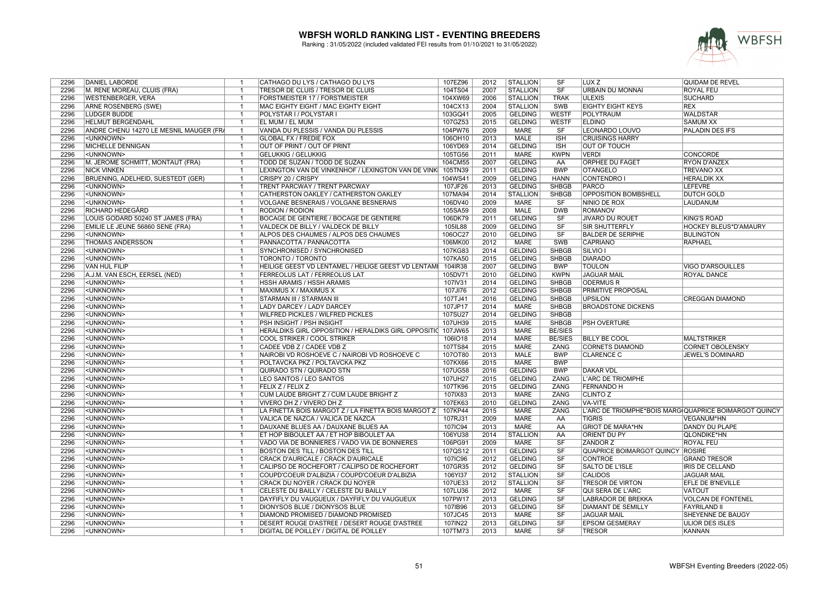

| 2296 | DANIEL LABORDE                          | $\overline{1}$           | CATHAGO DU LYS / CATHAGO DU LYS                                  | 107EZ96            | 2012 | <b>STALLION</b> | SF                     | LUX Z                     | QUIDAM DE REVEL                                       |
|------|-----------------------------------------|--------------------------|------------------------------------------------------------------|--------------------|------|-----------------|------------------------|---------------------------|-------------------------------------------------------|
| 2296 | M. RENE MOREAU, CLUIS (FRA)             | $\overline{1}$           | TRESOR DE CLUIS / TRESOR DE CLUIS                                | 104TS04            | 2007 | <b>STALLION</b> | <b>SF</b>              | URBAIN DU MONNAI          | <b>ROYAL FEU</b>                                      |
| 2296 | <b>WESTENBERGER, VERA</b>               | $\overline{1}$           | FORSTMEISTER 17 / FORSTMEISTER                                   | 104XW69            | 2006 | <b>STALLION</b> | <b>TRAK</b>            | <b>ULEXIS</b>             | <b>SUCHARD</b>                                        |
| 2296 | <b>ARNE ROSENBERG (SWE)</b>             | $\overline{1}$           | MAC EIGHTY EIGHT / MAC EIGHTY EIGHT                              | 104CX13            | 2004 | <b>STALLION</b> | <b>SWB</b>             | <b>EIGHTY EIGHT KEYS</b>  | <b>REX</b>                                            |
| 2296 | <b>LUDGER BUDDE</b>                     | $\overline{\mathbf{1}}$  | POLYSTAR I / POLYSTAR I                                          | 103GQ41            | 2005 | <b>GELDING</b>  | <b>WESTF</b>           | <b>POLYTRAUM</b>          | <b>WALDSTAR</b>                                       |
| 2296 | <b>HELMUT BERGENDAHL</b>                | $\overline{1}$           | EL MUM / EL MUM                                                  | 107GZ53            | 2015 | <b>GELDING</b>  | <b>WESTF</b>           | <b>ELDINO</b>             | <b>SAMUM XX</b>                                       |
| 2296 | ANDRE CHENU 14270 LE MESNIL MAUGER (FRA | $\overline{1}$           | VANDA DU PLESSIS / VANDA DU PLESSIS                              | 104PW76            | 2009 | <b>MARE</b>     | SF                     | LEONARDO LOUVO            | PALADIN DES IFS                                       |
| 2296 | <unknown></unknown>                     | $\overline{1}$           | <b>GLOBAL FX / FREDIE FOX</b>                                    | 106OH10            | 2013 | <b>MALE</b>     | ISH                    | <b>CRUISINGS HARRY</b>    |                                                       |
| 2296 | MICHELLE DENNIGAN                       | $\overline{1}$           | OUT OF PRINT / OUT OF PRINT                                      | 106YD69            | 2014 | <b>GELDING</b>  | <b>ISH</b>             | <b>OUT OF TOUCH</b>       |                                                       |
| 2296 | <unknown></unknown>                     | $\overline{1}$           | <b>GELUKKIG / GELUKKIG</b>                                       | 105TG56            | 2011 | <b>MARE</b>     | <b>KWPN</b>            | <b>VERDI</b>              | <b>CONCORDE</b>                                       |
| 2296 | M. JEROME SCHMITT, MONTAUT (FRA)        | $\overline{1}$           | TODD DE SUZAN / TODD DE SUZAN                                    | 104CM55            | 2007 | <b>GELDING</b>  | AA                     | ORPHEE DU FAGET           | <b>RYON D'ANZEX</b>                                   |
| 2296 | <b>NICK VINKEN</b>                      | -1                       | LEXINGTON VAN DE VINKENHOF / LEXINGTON VAN DE VINK               | 105TN39            | 2011 | <b>GELDING</b>  | <b>BWP</b>             | <b>OTANGELO</b>           | <b>TREVANO XX</b>                                     |
| 2296 | BRUENING, ADELHEID, SUESTEDT (GER)      | $\overline{\phantom{0}}$ | CRISPY 20 / CRISPY                                               | 104WS41            | 2009 | <b>GELDING</b>  | <b>HANN</b>            | <b>CONTENDRO I</b>        | <b>HERALDIK XX</b>                                    |
| 2296 | <unknown></unknown>                     | $\overline{1}$           | TRENT PARCWAY / TRENT PARCWAY                                    | 107JF26            | 2013 | <b>GELDING</b>  | <b>SHBGB</b>           | PARCO                     | <b>LEFEVRE</b>                                        |
| 2296 | <unknown></unknown>                     | $\overline{\mathbf{1}}$  | CATHERSTON OAKLEY / CATHERSTON OAKLEY                            | 107MA94            | 2014 | <b>STALLION</b> | <b>SHBGB</b>           | OPPOSITION BOMBSHELL      | <b>DUTCH GOLD</b>                                     |
| 2296 | <unknown></unknown>                     | $\overline{1}$           | VOLGANE BESNERAIS / VOLGANE BESNERAIS                            | 106DV40            | 2009 | <b>MARE</b>     | SF                     | NINIO DE ROX              | <b>LAUDANUM</b>                                       |
| 2296 | RICHARD HEDEGÅRD                        | $\overline{1}$           | <b>RODION / RODION</b>                                           | 105SA59            | 2008 | <b>MALE</b>     | <b>DWB</b>             | <b>ROMANOV</b>            |                                                       |
| 2296 | LOUIS GODARD 50240 ST JAMES (FRA)       | $\overline{\mathbf{1}}$  | BOCAGE DE GENTIERE / BOCAGE DE GENTIERE                          | 106DK79            | 2011 | <b>GELDING</b>  | SF                     | JIVARO DU ROUET           | <b>KING'S ROAD</b>                                    |
| 2296 | EMILIE LE JEUNE 56860 SENE (FRA)        | $\overline{1}$           | VALDECK DE BILLY / VALDECK DE BILLY                              |                    | 2009 | <b>GELDING</b>  | $\overline{\text{SF}}$ | SIR SHUTTERFLY            | HOCKEY BLEUS*D'AMAURY                                 |
| 2296 | <unknown></unknown>                     | -1                       |                                                                  | 105IL88<br>106OC27 | 2010 | <b>GELDING</b>  | SF                     | <b>BALDER DE SERIPHE</b>  |                                                       |
| 2296 | <b>THOMAS ANDERSSON</b>                 | $\overline{1}$           | ALPOS DES CHAUMES / ALPOS DES CHAUMES<br>PANNACOTTA / PANNACOTTA | 106MK00            | 2012 | <b>MARE</b>     | <b>SWB</b>             | <b>CAPRIANO</b>           | <b>BULINGTON</b><br><b>RAPHAEL</b>                    |
|      |                                         |                          |                                                                  |                    |      |                 |                        |                           |                                                       |
| 2296 | <unknown></unknown>                     | $\overline{1}$           | SYNCHRONISED / SYNCHRONISED                                      | 107KG83            | 2014 | <b>GELDING</b>  | <b>SHBGB</b>           | SILVIO I                  |                                                       |
| 2296 | <unknown></unknown>                     | $\overline{\mathbf{1}}$  | TORONTO / TORONTO                                                | 107KA50            | 2015 | <b>GELDING</b>  | <b>SHBGB</b>           | <b>DIARADO</b>            |                                                       |
| 2296 | <b>VAN HUL FILIP</b>                    | $\overline{1}$           | HEILIGE GEEST VD LENTAMEL / HEILIGE GEEST VD LENTAM              | 104IR38            | 2007 | <b>GELDING</b>  | <b>BWP</b>             | <b>TOULON</b>             | <b>VIGO D'ARSOUILLES</b>                              |
| 2296 | A.J.M. VAN ESCH, EERSEL (NED)           | $\overline{1}$           | FERREOLUS LAT / FERREOLUS LAT                                    | 105DV71            | 2010 | <b>GELDING</b>  | <b>KWPN</b>            | <b>JAGUAR MAIL</b>        | ROYAL DANCE                                           |
| 2296 | <unknown></unknown>                     | $\overline{\phantom{0}}$ | <b>HSSH ARAMIS / HSSH ARAMIS</b>                                 | 107IV31            | 2014 | <b>GELDING</b>  | <b>SHBGB</b>           | <b>ODERMUS R</b>          |                                                       |
| 2296 | <unknown></unknown>                     | $\overline{1}$           | MAXIMUS X / MAXIMUS X                                            | 107JI76            | 2012 | <b>GELDING</b>  | <b>SHBGB</b>           | PRIMITIVE PROPOSAL        |                                                       |
| 2296 | <unknown></unknown>                     | $\overline{\mathbf{1}}$  | STARMAN III / STARMAN III                                        | 107TJ41            | 2016 | <b>GELDING</b>  | <b>SHBGB</b>           | <b>UPSILON</b>            | <b>CREGGAN DIAMOND</b>                                |
| 2296 | <unknown></unknown>                     | $\overline{1}$           | LADY DARCEY / LADY DARCEY                                        | 107JP17            | 2014 | <b>MARE</b>     | <b>SHBGB</b>           | <b>BROADSTONE DICKENS</b> |                                                       |
| 2296 | <unknown></unknown>                     | $\overline{1}$           | <b>WILFRED PICKLES / WILFRED PICKLES</b>                         | 107SU27            | 2014 | <b>GELDING</b>  | <b>SHBGB</b>           |                           |                                                       |
| 2296 | <unknown></unknown>                     | $\overline{\mathbf{1}}$  | PSH INSIGHT / PSH INSIGHT                                        | 107UH39            | 2015 | <b>MARE</b>     | <b>SHBGB</b>           | <b>PSH OVERTURE</b>       |                                                       |
| 2296 | <unknown></unknown>                     | $\overline{1}$           | HERALDIKS GIRL OPPOSITION / HERALDIKS GIRL OPPOSITIO             | 107JW65            | 2013 | <b>MARE</b>     | <b>BE/SIES</b>         |                           |                                                       |
| 2296 | <unknown></unknown>                     | $\overline{1}$           | COOL STRIKER / COOL STRIKER                                      | 106IO18            | 2014 | <b>MARE</b>     | <b>BE/SIES</b>         | <b>BILLY BE COOL</b>      | <b>MALTSTRIKER</b>                                    |
| 2296 | <unknown></unknown>                     | $\overline{1}$           | CADEE VDB Z / CADEE VDB Z                                        | 107TS84            | 2015 | <b>MARE</b>     | ZANG                   | <b>CORNETS DIAMOND</b>    | <b>CORNET OBOLENSKY</b>                               |
| 2296 | <unknown></unknown>                     | $\overline{\mathbf{1}}$  | NAIROBI VD ROSHOEVE C / NAIROBI VD ROSHOEVE C                    | 107OT80            | 2013 | <b>MALE</b>     | <b>BWP</b>             | <b>CLARENCE C</b>         | JEWEL'S DOMINARD                                      |
| 2296 | <unknown></unknown>                     | $\overline{1}$           | POLTAVCKA PKZ / POLTAVCKA PKZ                                    | 107KX66            | 2015 | <b>MARE</b>     | <b>BWP</b>             |                           |                                                       |
| 2296 | <unknown></unknown>                     | $\overline{1}$           | QUIRADO STN / QUIRADO STN                                        | 107UG58            | 2016 | <b>GELDING</b>  | <b>BWP</b>             | <b>DAKAR VDL</b>          |                                                       |
| 2296 | <unknown></unknown>                     | $\overline{1}$           | LEO SANTOS / LEO SANTOS                                          | 107UH27            | 2015 | <b>GELDING</b>  | ZANG                   | L'ARC DE TRIOMPHE         |                                                       |
| 2296 | <unknown></unknown>                     | $^-$ 1                   | <b>FELIX Z / FELIX Z</b>                                         | 107TK96            | 2015 | <b>GELDING</b>  | <b>ZANG</b>            | <b>FERNANDO H</b>         |                                                       |
| 2296 | <unknown></unknown>                     | $\overline{1}$           | CUM LAUDE BRIGHT Z / CUM LAUDE BRIGHT Z                          | 107IX83            | 2013 | <b>MARE</b>     | <b>ZANG</b>            | <b>CLINTO Z</b>           |                                                       |
| 2296 | <unknown></unknown>                     | -1                       | VIVERO DH Z / VIVERO DH Z                                        | 107EK63            | 2010 | <b>GELDING</b>  | <b>ZANG</b>            | <b>VA-VITE</b>            |                                                       |
| 2296 | <unknown></unknown>                     | $\overline{1}$           | LA FINETTA BOIS MARGOT Z / LA FINETTA BOIS MARGOT Z              | 107KP44            | 2015 | <b>MARE</b>     | ZANG                   |                           | L'ARC DE TRIOMPHE*BOIS MARG QUAPRICE BOIMARGOT QUINCY |
| 2296 | <unknown></unknown>                     | $\overline{1}$           | VALICA DE NAZCA / VALICA DE NAZCA                                | 107RJ31            | 2009 | <b>MARE</b>     | AA                     | <b>TIGRIS</b>             | VEGANUM*HN                                            |
| 2296 | <unknown></unknown>                     | $\overline{\mathbf{1}}$  | DAUXANE BLUES AA / DAUXANE BLUES AA                              | 107IC94            | 2013 | <b>MARE</b>     | AA                     | <b>GRIOT DE MARA*HN</b>   | <b>DANDY DU PLAPE</b>                                 |
| 2296 | <unknown></unknown>                     | $\overline{1}$           | ET HOP BIBOULET AA / ET HOP BIBOULET AA                          | 106YU38            | 2014 | <b>STALLION</b> | AA                     | ORIENT DU PY              | QLONDIKE*HN                                           |
| 2296 | <unknown></unknown>                     | $\overline{1}$           | VADO VIA DE BONNIERES / VADO VIA DE BONNIERES                    | 106PG91            | 2009 | <b>MARE</b>     | SF                     | <b>ZANDOR Z</b>           | <b>ROYAL FEU</b>                                      |
| 2296 | <unknown></unknown>                     | $\overline{\mathbf{1}}$  | <b>BOSTON DES TILL / BOSTON DES TILL</b>                         | 107QS12            | 2011 | <b>GELDING</b>  | SF                     | QUAPRICE BOIMARGOT QUINCY | <b>ROSIRE</b>                                         |
| 2296 | <unknown></unknown>                     | $\overline{1}$           | CRACK D'AURICALE / CRACK D'AURICALE                              | 107IC96            | 2012 | <b>GELDING</b>  | $\overline{\text{SF}}$ | <b>CONTROE</b>            | <b>GRAND TRESOR</b>                                   |
| 2296 | <unknown></unknown>                     | $\overline{\mathbf{1}}$  | CALIPSO DE ROCHEFORT / CALIPSO DE ROCHEFORT                      | 107GR35            | 2012 | <b>GELDING</b>  | SF                     | <b>SALTO DE L'ISLE</b>    | <b>IRIS DE CELLAND</b>                                |
| 2296 | <unknown></unknown>                     | $\overline{1}$           | COUPD'COEUR D'ALBIZIA / COUPD'COEUR D'ALBIZIA                    | 106YI37            | 2012 | <b>STALLION</b> | $\overline{\text{SF}}$ | <b>CALIDOS</b>            | <b>JAGUAR MAIL</b>                                    |
| 2296 | <unknown></unknown>                     | $\overline{1}$           | CRACK DU NOYER / CRACK DU NOYER                                  | 107UE33            | 2012 | <b>STALLION</b> | SF                     | <b>TRESOR DE VIRTON</b>   | <b>EFLE DE B'NEVILLE</b>                              |
| 2296 | <unknown></unknown>                     | $\overline{1}$           | CELESTE DU BAILLY / CELESTE DU BAILLY                            | 107LU36            | 2012 | <b>MARE</b>     | SF                     | <b>QUI SERA DE L'ARC</b>  | <b>VATOUT</b>                                         |
| 2296 | <unknown></unknown>                     | $\overline{1}$           | DAYFIFLY DU VAUGUEUX / DAYFIFLY DU VAUGUEUX                      | 107PW17            | 2013 | <b>GELDING</b>  | SF                     | LABRADOR DE BREKKA        | <b>VOLCAN DE FONTENEL</b>                             |
| 2296 | <unknown></unknown>                     | $\overline{1}$           | DIONYSOS BLUE / DIONYSOS BLUE                                    | 107IB96            | 2013 | <b>GELDING</b>  | SF                     | <b>DIAMANT DE SEMILLY</b> | <b>FAYRILAND II</b>                                   |
| 2296 | <unknown></unknown>                     | $\overline{\mathbf{1}}$  | DIAMOND PROMISED / DIAMOND PROMISED                              | 107JC45            | 2013 | <b>MARE</b>     | SF                     | <b>JAGUAR MAIL</b>        | SHEYENNE DE BAUGY                                     |
| 2296 | <unknown></unknown>                     | $\overline{1}$           | DESERT ROUGE D'ASTREE / DESERT ROUGE D'ASTREE                    | 107IN22            | 2013 | <b>GELDING</b>  | SF                     | <b>EPSOM GESMERAY</b>     | ULIOR DES ISLES                                       |
| 2296 | <unknown></unknown>                     | $\overline{1}$           | <b>DIGITAL DE POILLEY / DIGITAL DE POILLEY</b>                   | 107TM73            | 2013 | <b>MARE</b>     | $\overline{\text{SF}}$ | <b>TRESOR</b>             | KANNAN                                                |
|      |                                         |                          |                                                                  |                    |      |                 |                        |                           |                                                       |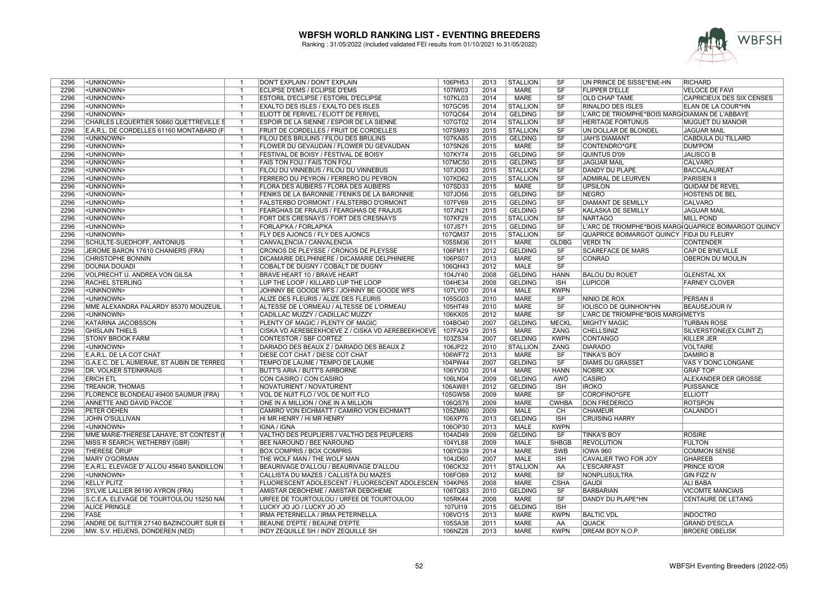

| 2296 | <unknown></unknown>                        | $\mathbf{1}$   | DON'T EXPLAIN / DON'T EXPLAIN                          | 106PH53 | 2013 | <b>STALLION</b> | <b>SF</b>              | UN PRINCE DE SISSE*ENE-HN                             | <b>RICHARD</b>                   |
|------|--------------------------------------------|----------------|--------------------------------------------------------|---------|------|-----------------|------------------------|-------------------------------------------------------|----------------------------------|
| 2296 | <unknown></unknown>                        | $\overline{1}$ | ECLIPSE D'EMS / ECLIPSE D'EMS                          | 107IW03 | 2014 | MARE            | SF                     | <b>FLIPPER D'ELLE</b>                                 | <b>VELOCE DE FAVI</b>            |
| 2296 | <unknown></unknown>                        | $\mathbf{1}$   | <b>ESTORIL D'ECLIPSE / ESTORIL D'ECLIPSE</b>           | 107KL03 | 2014 | <b>MARE</b>     | SF                     | <b>OLD CHAP TAME</b>                                  | <b>CAPRICIEUX DES SIX CENSES</b> |
| 2296 | <unknown></unknown>                        | $\overline{1}$ | <b>EXALTO DES ISLES / EXALTO DES ISLES</b>             | 107GC95 | 2014 | <b>STALLION</b> | SF                     | RINALDO DES ISLES                                     | ELAN DE LA COUR*HN               |
| 2296 | <unknown></unknown>                        | $\overline{1}$ | ELIOTT DE FERIVEL / ELIOTT DE FERIVEL                  | 107QC64 | 2014 | <b>GELDING</b>  | $\overline{\text{SF}}$ | L'ARC DE TRIOMPHE*BOIS MARG DIAMAN DE L'ABBAYE        |                                  |
| 2296 | CHARLES LEQUERTIER 50660 QUETTREVILLE S    | $\overline{1}$ | ESPOIR DE LA SIENNE / ESPOIR DE LA SIENNE              | 107GT02 | 2014 | <b>STALLION</b> | SF                     | HERITAGE FORTUNUS                                     | MUGUET DU MANOIR                 |
| 2296 | E.A.R.L. DE CORDELLES 61160 MONTABARD (F   | $\overline{1}$ | FRUIT DE CORDELLES / FRUIT DE CORDELLES                | 107SM93 | 2015 | <b>STALLION</b> | SF                     | UN DOLLAR DE BLONDEL                                  | <b>JAGUAR MAIL</b>               |
| 2296 | <unknown></unknown>                        | $\overline{1}$ | FILOU DES BRULINS / FILOU DES BRULINS                  | 107KA85 | 2015 | <b>GELDING</b>  | SF                     | <b>JAH'S DIAMANT</b>                                  | <b>CABDULA DU TILLARD</b>        |
| 2296 | <unknown></unknown>                        | $\mathbf{1}$   | FLOWER DU GEVAUDAN / FLOWER DU GEVAUDAN                | 107SN26 | 2015 | <b>MARE</b>     | SF                     | CONTENDRO*GFE                                         | <b>DUM'POM</b>                   |
| 2296 | <unknown></unknown>                        | $\overline{1}$ | FESTIVAL DE BOISY / FESTIVAL DE BOISY                  | 107KY74 | 2015 | <b>GELDING</b>  | SF                     | <b>QUINTUS D'09</b>                                   | <b>JALISCO B</b>                 |
| 2296 | <unknown></unknown>                        | $\overline{1}$ | FAIS TON FOU / FAIS TON FOU                            | 107MC50 | 2015 | <b>GELDING</b>  | <b>SF</b>              | <b>JAGUAR MAIL</b>                                    | <b>CALVARO</b>                   |
| 2296 | <unknown></unknown>                        | $\mathbf{1}$   | FILOU DU VINNEBUS / FILOU DU VINNEBUS                  | 107JO93 | 2015 | <b>STALLION</b> | SF                     | <b>DANDY DU PLAPE</b>                                 | <b>BACCALAUREAT</b>              |
| 2296 | <unknown></unknown>                        | $\overline{1}$ | FERRERO DU PEYRON / FERRERO DU PEYRON                  | 107KD62 | 2015 | <b>STALLION</b> | SF                     | <b>ADMIRAL DE LEURVEN</b>                             | <b>PARISIEN II</b>               |
| 2296 | <unknown></unknown>                        | $\overline{1}$ | FLORA DES AUBIERS / FLORA DES AUBIERS                  | 107SD33 | 2015 | <b>MARE</b>     | $\overline{\text{SF}}$ | <b>UPSILON</b>                                        | QUIDAM DE REVEL                  |
| 2296 | <unknown></unknown>                        | $\overline{1}$ | FENIKS DE LA BARONNIE / FENIKS DE LA BARONNIE          | 107JO56 | 2015 | <b>GELDING</b>  | SF                     | <b>NEGRO</b>                                          | HOSTENS DE BEL                   |
| 2296 | <unknown></unknown>                        | $\overline{1}$ | FALSTERBO D'ORMONT / FALSTERBO D'ORMONT                | 107FV69 | 2015 | <b>GELDING</b>  | SF                     | <b>DIAMANT DE SEMILLY</b>                             | <b>CALVARO</b>                   |
| 2296 | <unknown></unknown>                        | $\overline{1}$ | FEARGHAS DE FRAJUS / FEARGHAS DE FRAJUS                | 107JN21 | 2015 | <b>GELDING</b>  | SF                     | <b>KALASKA DE SEMILLY</b>                             | <b>JAGUAR MAIL</b>               |
| 2296 | <unknown></unknown>                        | $\overline{1}$ | FORT DES CRESNAYS / FORT DES CRESNAYS                  | 107KF29 | 2015 | <b>STALLION</b> | SF                     | <b>NARTAGO</b>                                        | <b>MILL POND</b>                 |
| 2296 | <unknown></unknown>                        | $\overline{1}$ | FORLAP'KA / FORLAP'KA                                  | 107JS71 | 2015 | <b>GELDING</b>  | SF                     | L'ARC DE TRIOMPHE*BOIS MARG QUAPRICE BOIMARGOT QUINCY |                                  |
| 2296 | <unknown></unknown>                        | $\overline{1}$ | FLY DES AJONCS / FLY DES AJONCS                        | 107QM37 | 2015 | <b>STALLION</b> | SF                     | QUAPRICE BOIMARGOT QUINCY FIDJI DU FLEURY             |                                  |
| 2296 | SCHULTE-SUEDHOFF, ANTONIUS                 | $\overline{1}$ | CANVALENCIA / CANVALENCIA                              | 105SM36 | 2011 | <b>MARE</b>     | <b>OLDBG</b>           | <b>VERDI TN</b>                                       | <b>CONTENDER</b>                 |
| 2296 | JEROME BARON 17610 CHANIERS (FRA)          | $\overline{1}$ | CRONOS DE PLEYSSE / CRONOS DE PLEYSSE                  | 106FM11 | 2012 | <b>GELDING</b>  | SF                     | <b>SCAREFACE DE MARS</b>                              | <b>CAP DE B'NEVILLE</b>          |
| 2296 | <b>CHRISTOPHE BONNIN</b>                   | -1             | DICAMARIE DELPHINIERE / DICAMARIE DELPHINIERE          | 106PS07 | 2013 | <b>MARE</b>     | $\overline{\text{SF}}$ | <b>CONRAD</b>                                         | <b>OBERON DU MOULIN</b>          |
| 2296 | <b>DOUNIA DOUADI</b>                       | $\overline{1}$ |                                                        | 106QH43 | 2012 | <b>MALE</b>     | SF                     |                                                       |                                  |
|      |                                            |                | COBALT DE DUGNY / COBALT DE DUGNY                      |         |      |                 |                        |                                                       |                                  |
| 2296 | VOLPRECHT U. ANDREA VON GILSA              | $\mathbf{1}$   | <b>BRAVE HEART 10 / BRAVE HEART</b>                    | 104JY40 | 2008 | <b>GELDING</b>  | <b>HANN</b>            | <b>BALOU DU ROUET</b>                                 | <b>GLENSTAL XX</b>               |
| 2296 | <b>RACHEL STERLING</b>                     | $\overline{1}$ | LUP THE LOOP / KILLARD LUP THE LOOP                    | 104HE34 | 2008 | <b>GELDING</b>  | <b>ISH</b>             | <b>LUPICOR</b>                                        | <b>FARNEY CLOVER</b>             |
| 2296 | <unknown></unknown>                        | $\overline{1}$ | JOHNNY BE GOODE WFS / JOHNNY BE GOODE WFS              | 107LY00 | 2014 | MALE            | <b>KWPN</b>            |                                                       |                                  |
| 2296 | <unknown></unknown>                        | $\overline{1}$ | ALIZE DES FLEURIS / ALIZE DES FLEURIS                  | 105SG03 | 2010 | <b>MARE</b>     | SF                     | NINIO DE ROX                                          | <b>PERSAN II</b>                 |
| 2296 | MME ALEXANDRA PALARDY 85370 MOUZEUIL       | $\overline{1}$ | ALTESSE DE L'ORMEAU / ALTESSE DE L'ORMEAU              | 105HT49 | 2010 | <b>MARE</b>     | SF                     | <b>IOLISCO DE QUINHON*HN</b>                          | <b>BEAUSEJOUR IV</b>             |
| 2296 | <unknown></unknown>                        | $\overline{1}$ | CADILLAC MUZZY / CADILLAC MUZZY                        | 106KX05 | 2012 | <b>MARE</b>     | SF                     | L'ARC DE TRIOMPHE*BOIS MARG METYS                     |                                  |
| 2296 | <b>KATARINA JACOBSSON</b>                  | $\overline{1}$ | PLENTY OF MAGIC / PLENTY OF MAGIC                      | 104BO40 | 2007 | <b>GELDING</b>  | <b>MECKL</b>           | <b>MIGHTY MAGIC</b>                                   | <b>TURBAN ROSE</b>               |
| 2296 | <b>GHISLAIN THIELS</b>                     | $\overline{1}$ | CISKA VD AEREBEEKHOEVE Z / CISKA VD AEREBEEKHOEVE      | 107FA29 | 2015 | <b>MARE</b>     | <b>ZANG</b>            | <b>CHELLSINIZ</b>                                     | SILVERSTONE(EX CLINT Z)          |
| 2296 | <b>STONY BROOK FARM</b>                    | $\overline{1}$ | CONTESTOR / SBF CORTEZ                                 | 103ZS34 | 2007 | <b>GELDING</b>  | <b>KWPN</b>            | CONTANGO                                              | <b>KILLER JER</b>                |
| 2296 | <unknown></unknown>                        | $\overline{1}$ | DARIADO DES BEAUX Z / DARIADO DES BEAUX Z              | 106JP22 | 2010 | <b>STALLION</b> | ZANG                   | <b>DIARADO</b>                                        | <b>VOLTAIRE</b>                  |
| 2296 | E.A.R.L. DE LA COT CHAT                    | $\overline{1}$ | DIESE COT CHAT / DIESE COT CHAT                        | 106WF72 | 2013 | <b>MARE</b>     | SF                     | <b>TINKA'S BOY</b>                                    | <b>DAMIRO B</b>                  |
| 2296 | G.A.E.C. DE L AUMERAIE, ST AUBIN DE TERREG | $\overline{1}$ | TEMPO DE LAUME / TEMPO DE LAUME                        | 104PW44 | 2007 | <b>GELDING</b>  | SF                     | <b>DIAMS DU GRASSET</b>                               | VAS Y DONC LONGANE               |
| 2296 | <b>DR. VOLKER STEINKRAUS</b>               | $\overline{1}$ | <b>BUTT'S ARIA / BUTT'S AIRBORNE</b>                   | 106YV30 | 2014 | MARE            | <b>HANN</b>            | <b>NOBRE XX</b>                                       | <b>GRAF TOP</b>                  |
| 2296 | <b>ERICH ETL</b>                           | $\mathbf{1}$   | CON CASIRO / CON CASIRO                                | 106LN04 | 2009 | <b>GELDING</b>  | AWÖ                    | CASIRO                                                | ALEXANDER DER GROSSE             |
| 2296 | <b>TREANOR, THOMAS</b>                     | $\overline{1}$ | NOVATURIENT / NOVATURIENT                              | 106AW81 | 2012 | <b>GELDING</b>  | <b>ISH</b>             | <b>IROKO</b>                                          | <b>PUISSANCE</b>                 |
| 2296 | FLORENCE BLONDEAU 49400 SAUMUR (FRA)       | $\overline{1}$ | VOL DE NUIT FLO / VOL DE NUIT FLO                      | 105GW58 | 2009 | <b>MARE</b>     | SF                     | COROFINO*GFE                                          | <b>ELLIOTT</b>                   |
| 2296 | ANNETTE AND DAVID PACOE                    | $\mathbf{1}$   | ONE IN A MILLION / ONE IN A MILLION                    | 106QS76 | 2009 | <b>MARE</b>     | <b>CWHBA</b>           | <b>DON FREDERICO</b>                                  | <b>ROTSPON</b>                   |
| 2296 | PETER OEHEN                                | $\overline{1}$ | CAMIRO VON EICHMATT / CAMIRO VON EICHMATT              | 105ZM60 | 2009 | <b>MALE</b>     | CH                     | <b>CHAMEUR</b>                                        | CALANDO I                        |
| 2296 | JOHN O'SULLIVAN                            | $\overline{1}$ | HI MR HENRY / HI MR HENRY                              | 106XP76 | 2013 | <b>GELDING</b>  | <b>ISH</b>             | <b>CRUISING HARRY</b>                                 |                                  |
| 2296 | <unknown></unknown>                        | $\overline{1}$ | IGNA / IGNA                                            | 106OP30 | 2013 | <b>MALE</b>     | <b>KWPN</b>            |                                                       |                                  |
| 2296 | MME MARIE-THERESE LAHAYE, ST CONTEST (I    | $\overline{1}$ | VALTHO DES PEUPLIERS / VALTHO DES PEUPLIERS            | 104AD49 | 2009 | <b>GELDING</b>  | SF                     | <b>TINKA'S BOY</b>                                    | <b>ROSIRE</b>                    |
| 2296 | MISS R SEARCH, WETHERBY (GBR)              | $\overline{1}$ | BEE NAROUND / BEE NAROUND                              | 104YL88 | 2009 | <b>MALE</b>     | <b>SHBGB</b>           | <b>REVOLUTION</b>                                     | <b>FULTON</b>                    |
| 2296 | <b>THERESE ÖRUP</b>                        | $\overline{1}$ | <b>BOX COMPRIS / BOX COMPRIS</b>                       | 106YG39 | 2014 | <b>MARE</b>     | SWB                    | <b>IOWA 960</b>                                       | <b>COMMON SENSE</b>              |
| 2296 | <b>MARY O'GORMAN</b>                       | $\overline{1}$ | THE WOLF MAN / THE WOLF MAN                            | 104JD60 | 2007 | <b>MALE</b>     | <b>ISH</b>             | <b>CAVALIER TWO FOR JOY</b>                           | <b>GHAREEB</b>                   |
| 2296 | E.A.R.L. ELEVAGE D' ALLOU 45640 SANDILLON  | $\overline{1}$ | BEAURIVAGE D'ALLOU / BEAURIVAGE D'ALLOU                | 106CK32 | 2011 | <b>STALLION</b> | AA                     | <b>L'ESCARFAST</b>                                    | PRINCE IG'OR                     |
| 2296 | <unknown></unknown>                        | $\overline{1}$ | CALLISTA DU MAZES / CALLISTA DU MAZES                  | 106FO89 | 2012 | <b>MARE</b>     | $\overline{\text{SF}}$ | <b>NONPLUSULTRA</b>                                   | <b>GIN FIZZ IV</b>               |
| 2296 | <b>KELLY PLITZ</b>                         | $\mathbf{1}$   | FLUORESCENT ADOLESCENT / FLUORESCENT ADOLESCEN 104KP65 |         | 2008 | <b>MARE</b>     | <b>CSHA</b>            | <b>GAUDI</b>                                          | <b>ALI BABA</b>                  |
| 2296 | SYLVIE LALLIER 86190 AYRON (FRA)           | $\overline{1}$ | AMISTAR DEBOHEME / AMISTAR DEBOHEME                    | 106TQ83 | 2010 | <b>GELDING</b>  | SF                     | <b>BARBARIAN</b>                                      | <b>VICOMTE MANCIAIS</b>          |
| 2296 | S.C.E.A. ELEVAGE DE TOURTOULOU 15250 NAI   | $\overline{1}$ | URFEE DE TOURTOULOU / URFEE DE TOURTOULOU              | 105RK44 | 2008 | MARE            | SF                     | DANDY DU PLAPE*HN                                     | CENTAURE DE LETANG               |
| 2296 | <b>ALICE PRINGLE</b>                       | $\overline{1}$ | LUCKY JO JO / LUCKY JO JO                              | 107UI19 | 2015 | <b>GELDING</b>  | <b>ISH</b>             |                                                       |                                  |
| 2296 | FASE                                       | $\overline{1}$ | IRMA PETERNELLA / IRMA PETERNELLA                      | 106VO15 | 2013 | <b>MARE</b>     | <b>KWPN</b>            | <b>BALTIC VDL</b>                                     | <b>INDOCTRO</b>                  |
| 2296 | ANDRE DE SUTTER 27140 BAZINCOURT SUR EI    | $\mathbf{1}$   | BEAUNE D'EPTE / BEAUNE D'EPTE                          | 105SA38 | 2011 | <b>MARE</b>     | AA                     | <b>QUACK</b>                                          | <b>GRAND D'ESCLA</b>             |
| 2296 | MW. S.V. HEIJENS, DONDEREN (NED)           |                | <b>INDY ZEQUILLE SH / INDY ZEQUILLE SH</b>             | 106NZ28 | 2013 | <b>MARE</b>     | <b>KWPN</b>            | DREAM BOY N.O.P.                                      | <b>BROERE OBELISK</b>            |
|      |                                            |                |                                                        |         |      |                 |                        |                                                       |                                  |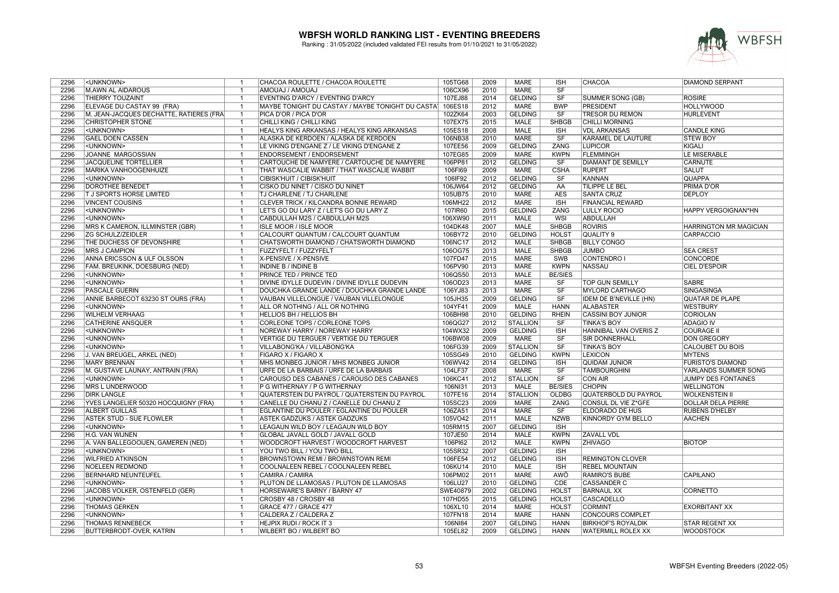

| 2296 | <unknown></unknown>                     | -1                               | CHACOA ROULETTE / CHACOA ROULETTE                | 105TG68  | 2009 | MARE            | <b>ISH</b>             | CHACOA                        | <b>DIAMOND SERPANT</b>        |
|------|-----------------------------------------|----------------------------------|--------------------------------------------------|----------|------|-----------------|------------------------|-------------------------------|-------------------------------|
| 2296 | <b>M.AWN AL AIDAROUS</b>                | $\overline{1}$                   | AMOUAJ / AMOUAJ                                  | 106CX96  | 2010 | <b>MARE</b>     | SF                     |                               |                               |
| 2296 | <b>THIERRY TOUZAINT</b>                 | $\overline{1}$                   | EVENTING D'ARCY / EVENTING D'ARCY                | 107EJ88  | 2014 | <b>GELDING</b>  | SF                     | <b>SUMMER SONG (GB)</b>       | <b>ROSIRE</b>                 |
| 2296 | ELEVAGE DU CASTAY 99 (FRA)              | $\overline{1}$                   | MAYBE TONIGHT DU CASTAY / MAYBE TONIGHT DU CASTA | 106ES18  | 2012 | <b>MARE</b>     | <b>BWP</b>             | <b>PRESIDENT</b>              | <b>HOLLYWOOD</b>              |
| 2296 | M. JEAN-JACQUES DECHATTE, RATIERES (FRA | $\overline{1}$                   | PICA D'OR / PICA D'OR                            | 102ZK64  | 2003 | <b>GELDING</b>  | $\overline{\text{SF}}$ | <b>TRESOR DU REMON</b>        | <b>HURLEVENT</b>              |
| 2296 | <b>CHRISTOPHER STONE</b>                | $\overline{1}$                   | CHILLI KING / CHILLI KING                        | 107EX75  | 2015 | <b>MALE</b>     | <b>SHBGB</b>           | <b>CHILLI MORNING</b>         |                               |
| 2296 | <unknown></unknown>                     | $\overline{1}$                   | HEALYS KING ARKANSAS / HEALYS KING ARKANSAS      | 105ES18  | 2008 | <b>MALE</b>     | <b>ISH</b>             | <b>VDL ARKANSAS</b>           | <b>CANDLE KING</b>            |
| 2296 | <b>GAEL DOEN CASSEN</b>                 | $\overline{1}$                   | ALASKA DE KERDOEN / ALASKA DE KERDOEN            | 106NB38  | 2010 | <b>MARE</b>     | <b>SF</b>              | KARAMEL DE LAUTURE            | <b>STEW BOY</b>               |
| 2296 | <unknown></unknown>                     | $\overline{1}$                   | LE VIKING D'ENGANE Z / LE VIKING D'ENGANE Z      | 107EE56  | 2009 | <b>GELDING</b>  | <b>ZANG</b>            | <b>LUPICOR</b>                | KIGALI                        |
| 2296 | JOANNE MARGOSSIAN                       | $\overline{1}$                   | <b>ENDORSEMENT / ENDORSEMENT</b>                 | 107EG85  | 2009 | <b>MARE</b>     | <b>KWPN</b>            | <b>FLEMMINGH</b>              | LE MISERABLE                  |
| 2296 | <b>JACQUELINE TORTELLIER</b>            | $\overline{1}$                   | CARTOUCHE DE NAMYERE / CARTOUCHE DE NAMYERE      | 106PP81  | 2012 | <b>GELDING</b>  | SF                     | <b>DIAMANT DE SEMILLY</b>     | CARNUTE                       |
| 2296 | <b>MARIKA VANHOOGENHUIZE</b>            | -1                               | THAT WASCALIE WABBIT / THAT WASCALIE WABBIT      | 106FI69  | 2009 | <b>MARE</b>     | <b>CSHA</b>            | <b>RUPERT</b>                 | <b>SALUT</b>                  |
| 2296 | <unknown></unknown>                     | $\overline{1}$                   | CIBISK'HUIT / CIBISK'HUIT                        | 106IF92  | 2012 | <b>GELDING</b>  | <b>SF</b>              | <b>KANNAN</b>                 | <b>QUAPPA</b>                 |
| 2296 | DOROTHEE BENEDET                        | $\overline{1}$                   | CISKO DU NINET / CISKO DU NINET                  | 106JW64  | 2012 | <b>GELDING</b>  | $\overline{AA}$        | <b>TILIPPE LE BEL</b>         | <b>PRIMA D'OR</b>             |
| 2296 | T J SPORTS HORSE LIMITED                | $\overline{1}$                   | TJ CHARLENE / TJ CHARLENE                        | 105UB75  | 2010 | <b>MARE</b>     | <b>AES</b>             | <b>SANTA CRUZ</b>             | <b>DEPLOY</b>                 |
| 2296 | <b>VINCENT COUSINS</b>                  | $\overline{1}$                   | CLEVER TRICK / KILCANDRA BONNIE REWARD           | 106MH22  | 2012 | <b>MARE</b>     | ISH                    | <b>FINANCIAL REWARD</b>       |                               |
|      |                                         |                                  |                                                  |          |      |                 |                        |                               |                               |
| 2296 | <unknown></unknown>                     | $\overline{1}$<br>$\overline{1}$ | LET'S GO DU LARY Z / LET'S GO DU LARY Z          | 107IR60  | 2015 | <b>GELDING</b>  | ZANG                   | <b>LULLY ROCIO</b>            | HAPPY VERGOIGNAN*HN           |
| 2296 | <unknown></unknown>                     |                                  | CABDULLAH M2S / CABDULLAH M2S                    | 106XW90  | 2011 | <b>MALE</b>     | <b>WSI</b>             | <b>ABDULLAH</b>               |                               |
| 2296 | MRS K CAMERON, ILLMINSTER (GBR)         | $\overline{1}$                   | <b>ISLE MOOR / ISLE MOOR</b>                     | 104DK48  | 2007 | <b>MALE</b>     | <b>SHBGB</b>           | <b>ROVIRIS</b>                | <b>HARRINGTON MR MAGICIAN</b> |
| 2296 | <b>ZG SCHULZ/ZEIDLER</b>                | $\overline{1}$                   | CALCOURT QUANTUM / CALCOURT QUANTUM              | 106BY72  | 2010 | <b>GELDING</b>  | <b>HOLST</b>           | QUALITY 9                     | <b>CARPACCIO</b>              |
| 2296 | THE DUCHESS OF DEVONSHIRE               | $\overline{1}$                   | CHATSWORTH DIAMOND / CHATSWORTH DIAMOND          | 106NC17  | 2012 | <b>MALE</b>     | <b>SHBGB</b>           | <b>BILLY CONGO</b>            |                               |
| 2296 | <b>MRS J CAMPION</b>                    | $\overline{1}$                   | FUZZYFELT / FUZZYFELT                            | 106OG75  | 2013 | <b>MALE</b>     | <b>SHBGB</b>           | <b>JUMBO</b>                  | <b>SEA CREST</b>              |
| 2296 | <b>ANNA ERICSSON &amp; ULF OLSSON</b>   | $\overline{1}$                   | X-PENSIVE / X-PENSIVE                            | 107FD47  | 2015 | <b>MARE</b>     | <b>SWB</b>             | <b>CONTENDRO I</b>            | <b>CONCORDE</b>               |
| 2296 | FAM. BREUKINK, DOESBURG (NED)           | $\overline{1}$                   | <b>INDINE B / INDINE B</b>                       | 106PV90  | 2013 | <b>MARE</b>     | <b>KWPN</b>            | <b>NASSAU</b>                 | <b>CIEL D'ESPOIR</b>          |
| 2296 | <unknown></unknown>                     | $\overline{\mathbf{1}}$          | PRINCE TED / PRINCE TED                          | 106QS50  | 2013 | <b>MALE</b>     | <b>BE/SIES</b>         |                               |                               |
| 2296 | <unknown></unknown>                     | $\overline{1}$                   | DIVINE IDYLLE DUDEVIN / DIVINE IDYLLE DUDEVIN    | 106OD23  | 2013 | <b>MARE</b>     | SF                     | TOP GUN SEMILLY               | <b>SABRE</b>                  |
| 2296 | PASCALE GUERIN                          | $\overline{1}$                   | DOUCHKA GRANDE LANDE / DOUCHKA GRANDE LANDE      | 106YJ83  | 2013 | <b>MARE</b>     | $\overline{\text{SF}}$ | <b>MYLORD CARTHAGO</b>        | SINGASINGA                    |
| 2296 | ANNIE BARBECOT 63230 ST OURS (FRA)      | $\overline{1}$                   | VAUBAN VILLELONGUE / VAUBAN VILLELONGUE          | 105JH35  | 2009 | <b>GELDING</b>  | SF                     | <b>IDEM DE B'NEVILLE (HN)</b> | <b>QUATAR DE PLAPE</b>        |
| 2296 | <unknown></unknown>                     | $\overline{1}$                   | ALL OR NOTHING / ALL OR NOTHING                  | 104YF41  | 2009 | MALE            | <b>HANN</b>            | <b>ALABASTER</b>              | <b>WESTBURY</b>               |
| 2296 | <b>WILHELM VERHAAG</b>                  | $\overline{\mathbf{1}}$          | <b>HELLIOS BH / HELLIOS BH</b>                   | 106BH98  | 2010 | <b>GELDING</b>  | <b>RHEIN</b>           | <b>CASSINI BOY JUNIOR</b>     | <b>CORIOLAN</b>               |
| 2296 | <b>CATHERINE ANSQUER</b>                | $\overline{1}$                   | CORLEONE TOPS / CORLEONE TOPS                    | 106QG27  | 2012 | <b>STALLION</b> | <b>SF</b>              | <b>TINKA'S BOY</b>            | <b>ADAGIO IV</b>              |
| 2296 | <unknown></unknown>                     | $\overline{1}$                   | NOREWAY HARRY / NOREWAY HARRY                    | 104WX32  | 2009 | <b>GELDING</b>  | <b>ISH</b>             | HANNIBAL VAN OVERIS Z         | <b>COURAGE I</b>              |
| 2296 | <unknown></unknown>                     | $\overline{1}$                   | <b>VERTIGE DU TERGUER / VERTIGE DU TERGUER</b>   | 106BW08  | 2009 | <b>MARE</b>     | SF                     | <b>SIR DONNERHALL</b>         | <b>DON GREGORY</b>            |
| 2296 | <unknown></unknown>                     | $\overline{1}$                   | VILLABONG'KA / VILLABONG'KA                      | 106FG39  | 2009 | <b>STALLION</b> | SF                     | <b>TINKA'S BOY</b>            | CALOUBET DU BOIS              |
| 2296 | J. VAN BREUGEL, ARKEL (NED)             | $\overline{\mathbf{1}}$          | FIGARO X / FIGARO X                              | 105SG49  | 2010 | <b>GELDING</b>  | <b>KWPN</b>            | <b>LEXICON</b>                | <b>MYTENS</b>                 |
| 2296 | <b>MARY BRENNAN</b>                     | $\overline{1}$                   | MHS MONBEG JUNIOR / MHS MONBEG JUNIOR            | 106WV42  | 2014 | <b>GELDING</b>  | <b>ISH</b>             | <b>QUIDAM JUNIOR</b>          | <b>FURISTO'S DIAMOND</b>      |
| 2296 | M. GUSTAVE LAUNAY, ANTRAIN (FRA)        | $\overline{1}$                   | URFE DE LA BARBAIS / URFE DE LA BARBAIS          | 104LF37  | 2008 | <b>MARE</b>     | $\overline{\text{SF}}$ | <b>TAMBOURGHINI</b>           | YARLANDS SUMMER SONG          |
| 2296 | <unknown></unknown>                     | $\overline{1}$                   | CAROUSO DES CABANES / CAROUSO DES CABANES        | 106KC41  | 2012 | <b>STALLION</b> | SF                     | <b>CON AIR</b>                | JUMPY DES FONTAINES           |
| 2296 | <b>MRS L UNDERWOOD</b>                  | $\overline{1}$                   | P G WITHERNAY / P G WITHERNAY                    | 106NI31  | 2013 | <b>MALE</b>     | <b>BE/SIES</b>         | <b>CHOPIN</b>                 | <b>WELLINGTON</b>             |
| 2296 | <b>DIRK LANGLE</b>                      | $\overline{1}$                   | QUATERSTEIN DU PAYROL / QUATERSTEIN DU PAYROL    | 107FE16  | 2014 | <b>STALLION</b> | <b>OLDBG</b>           | QUATERBOLD DU PAYROL          | <b>WOLKENSTEIN II</b>         |
| 2296 | YVES LANGELIER 50320 HOCQUIGNY (FRA)    | $\overline{1}$                   | CANELLE DU CHANU Z / CANELLE DU CHANU Z          | 105SC23  | 2009 | <b>MARE</b>     | <b>ZANG</b>            | <b>CONSUL DL VIE Z*GFE</b>    | <b>DOLLAR DELA PIERRE</b>     |
| 2296 | <b>ALBERT GUILLAS</b>                   | $\overline{1}$                   | EGLANTINE DU POULER / EGLANTINE DU POULER        | 106ZA51  | 2014 | <b>MARE</b>     | SF                     | <b>ELDORADO DE HUS</b>        | <b>RUBENS D'HELBY</b>         |
| 2296 | <b>ASTEK STUD - SUE FLOWLER</b>         | $\overline{1}$                   | ASTEK GADZUKS / ASTEK GADZUKS                    | 105VO42  | 2011 | <b>MALE</b>     | <b>NZWB</b>            | KINNORDY GYM BELLO            | <b>AACHEN</b>                 |
| 2296 | <unknown></unknown>                     | $\overline{1}$                   | LEAGAUN WILD BOY / LEAGAUN WILD BOY              | 105RM15  | 2007 | <b>GELDING</b>  | ISH                    |                               |                               |
| 2296 |                                         | $\overline{1}$                   |                                                  |          |      | <b>MALE</b>     | <b>KWPN</b>            |                               |                               |
|      | H.G. VAN WIJNEN                         |                                  | GLOBAL JAVALL GOLD / JAVALL GOLD                 | 107JE50  | 2014 |                 |                        | <b>ZAVALL VDL</b>             |                               |
| 2296 | A. VAN BALLEGOOIJEN, GAMEREN (NED)      | $\overline{1}$                   | WOODCROFT HARVEST / WOODCROFT HARVEST            | 106PI62  | 2012 | <b>MALE</b>     | <b>KWPN</b>            | <b>ZHIVAGO</b>                | <b>BIOTOP</b>                 |
| 2296 | <unknown></unknown>                     | $\overline{1}$                   | YOU TWO BILL / YOU TWO BILL                      | 105SR32  | 2007 | <b>GELDING</b>  | ISH                    |                               |                               |
| 2296 | <b>WILFRIED ATKINSON</b>                | -1                               | BROWNSTOWN REMI / BROWNSTOWN REMI                | 106FE54  | 2012 | <b>GELDING</b>  | <b>ISH</b>             | <b>REMINGTON CLOVER</b>       |                               |
| 2296 | NOELEEN REDMOND                         | $\overline{1}$                   | COOLNALEEN REBEL / COOLNALEEN REBEL              | 106KU14  | 2010 | <b>MALE</b>     | ISH                    | <b>REBEL MOUNTAIN</b>         |                               |
| 2296 | <b>BERNHARD NEUNTEUFEL</b>              | $\overline{1}$                   | CAMIRA / CAMIRA                                  | 106PM02  | 2011 | <b>MARE</b>     | <b>AWÖ</b>             | <b>RAMIRO'S BUBE</b>          | <b>CAPILANO</b>               |
| 2296 | <unknown></unknown>                     | $\overline{1}$                   | PLUTON DE LLAMOSAS / PLUTON DE LLAMOSAS          | 106LU27  | 2010 | <b>GELDING</b>  | <b>CDE</b>             | <b>CASSANDER C</b>            |                               |
| 2296 | JACOBS VOLKER, OSTENFELD (GER)          | $\overline{1}$                   | HORSEWARE'S BARNY / BARNY 47                     | SWE40879 | 2002 | <b>GELDING</b>  | <b>HOLST</b>           | <b>BARNAUL XX</b>             | <b>CORNETTO</b>               |
| 2296 | <unknown></unknown>                     | $\overline{\mathbf{1}}$          | CROSBY 48 / CROSBY 48                            | 107HD55  | 2015 | <b>GELDING</b>  | <b>HOLST</b>           | <b>CASCADELLO</b>             |                               |
| 2296 | <b>THOMAS GERKEN</b>                    | $\overline{1}$                   | <b>GRACE 477 / GRACE 477</b>                     | 106XL10  | 2014 | <b>MARE</b>     | <b>HOLST</b>           | <b>CORMINT</b>                | <b>EXORBITANT XX</b>          |
| 2296 | <unknown></unknown>                     | $\overline{1}$                   | CALDERA Z / CALDERA Z                            | 107FN18  | 2014 | <b>MARE</b>     | <b>HANN</b>            | <b>CONCOURS COMPLET</b>       |                               |
| 2296 | <b>THOMAS RENNEBECK</b>                 | $\overline{1}$                   | HEJPIX RUDI / ROCK IT 3                          | 106NI84  | 2007 | <b>GELDING</b>  | <b>HANN</b>            | <b>BIRKHOF'S ROYALDIK</b>     | <b>STAR REGENT XX</b>         |
| 2296 | BUTTERBRODT-OVER, KATRIN                | $\overline{1}$                   | <b>WILBERT BO / WILBERT BO</b>                   | 105EL82  | 2009 | <b>GELDING</b>  | <b>HANN</b>            | <b>WATERMILL ROLEX XX</b>     | <b>WOODSTOCK</b>              |
|      |                                         |                                  |                                                  |          |      |                 |                        |                               |                               |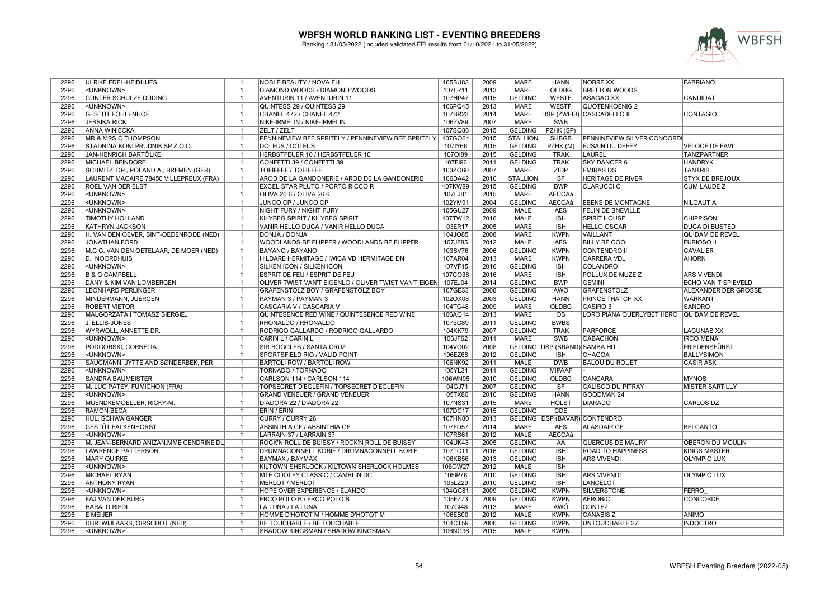

| 2296 | ULRIKE EDEL-HEIDHUES                    | $\overline{1}$          | NOBLE BEAUTY / NOVA EH                                | 105SU83 | 2009 | <b>MARE</b>     | <b>HANN</b>            | NOBRE XX                         | <b>FABRIANO</b>            |
|------|-----------------------------------------|-------------------------|-------------------------------------------------------|---------|------|-----------------|------------------------|----------------------------------|----------------------------|
| 2296 | <unknown></unknown>                     | $\overline{1}$          | DIAMOND WOODS / DIAMOND WOODS                         | 107LR11 | 2013 | <b>MARE</b>     | <b>OLDBG</b>           | <b>BRETTON WOODS</b>             |                            |
| 2296 | GÜNTER SCHULZE DÜDING                   | $\overline{\mathbf{1}}$ | AVENTURIN 11 / AVENTURIN 11                           | 107HP47 | 2015 | <b>GELDING</b>  | <b>WESTF</b>           | <b>ASAGAO XX</b>                 | <b>CANDIDAT</b>            |
| 2296 | <unknown></unknown>                     | $\overline{\mathbf{1}}$ | QUINTESS 29 / QUINTESS 29                             | 106PQ45 | 2013 | <b>MARE</b>     | <b>WESTF</b>           | QUOTENKOENIG 2                   |                            |
| 2296 | <b>GESTÜT FOHLENHOF</b>                 | -1                      | CHANEL 472 / CHANEL 472                               | 107BR23 | 2014 | <b>MARE</b>     |                        | <b>DSP (ZWEIB) CASCADELLO II</b> | <b>CONTAGIO</b>            |
| 2296 | <b>JESSIKA RICK</b>                     | $\overline{1}$          | NIKE-IRMELIN / NIKE-IRMELIN                           | 106ZV89 | 2007 | <b>MARE</b>     | <b>SWB</b>             |                                  |                            |
| 2296 | <b>ANNA WINIECKA</b>                    | $\overline{\mathbf{1}}$ | ZELT / ZELT                                           | 107SQ86 | 2015 | GELDING         | PZHK (SP)              |                                  |                            |
| 2296 | <b>MR &amp; MRS C THOMPSON</b>          | $\overline{1}$          | PENNINEVIEW BEE SPRITELY / PENNINEVIEW BEE SPRITELY   | 107GO64 | 2015 | <b>STALLION</b> | <b>SHBGB</b>           | PENNINEVIEW SILVER CONCORDI      |                            |
| 2296 | STADNINA KONI PRUDNIK SP Z O.O.         | -1                      | DOLFUS / DOLFUS                                       | 107IY66 | 2015 | <b>GELDING</b>  | PZHK (M)               | <b>FUSAIN DU DEFEY</b>           | <b>VELOCE DE FAVI</b>      |
| 2296 | <b>JAN-HENRICH BARTÖLKE</b>             | $\overline{1}$          | HERBSTFEUER 10 / HERBSTFEUER 10                       | 1070189 | 2015 | <b>GELDING</b>  | <b>TRAK</b>            | <b>LAUREL</b>                    | <b>TANZPARTNER</b>         |
| 2296 | <b>MICHAEL BEINDORF</b>                 | $\overline{1}$          | CONFETTI 39 / CONFETTI 39                             | 107FI96 | 2011 | <b>GELDING</b>  | <b>TRAK</b>            | <b>SKY DANCER 6</b>              | <b>HANDRYK</b>             |
| 2296 | SCHMITZ, DR., ROLAND A., BREMEN (GER)   |                         | <b>TOFIFFEE / TOFIFFEE</b>                            | 103ZO60 | 2007 | <b>MARE</b>     | ZfDP                   | <b>EMIRAS DS</b>                 | <b>TANTRIS</b>             |
|      |                                         |                         |                                                       |         |      |                 |                        |                                  |                            |
| 2296 | LAURENT MACAIRE 78450 VILLEPREUX (FRA)  | $\overline{1}$          | AROD DE LA GANDONERIE / AROD DE LA GANDONERIE         | 106DA42 | 2010 | <b>STALLION</b> | SF                     | HERITAGE DE RIVER                | <b>STYX DE BREJOUX</b>     |
| 2296 | <b>ROEL VAN DER ELST</b>                | $\overline{1}$          | EXCEL STAR PLUTO / PORTO RICCO R                      | 107KW89 | 2015 | <b>GELDING</b>  | <b>BWP</b>             | <b>CLARUCCI C</b>                | <b>CUM LAUDE Z</b>         |
| 2296 | <unknown></unknown>                     | $\overline{1}$          | OLIVA 26 6 / OLIVA 26 6                               | 107LJ81 | 2015 | <b>MARE</b>     | <b>AECCAá</b>          |                                  |                            |
| 2296 | <unknown></unknown>                     | $\overline{1}$          | JUNCO CP / JUNCO CP                                   | 102YM91 | 2004 | <b>GELDING</b>  | <b>AECCAá</b>          | <b>EBENE DE MONTAGNE</b>         | NILGAUT A                  |
| 2296 | <unknown></unknown>                     | $\overline{1}$          | NIGHT FURY / NIGHT FURY                               | 105GU27 | 2009 | MALE            | <b>AES</b>             | FELIN DE BNEVILLE                |                            |
| 2296 | <b>TIMOTHY HOLLAND</b>                  | $\overline{1}$          | KILYBEG SPIRIT / KILYBEG SPIRIT                       | 107TW12 | 2016 | MALE            | <b>ISH</b>             | <b>SPIRIT HOUSE</b>              | <b>CHIPPISON</b>           |
| 2296 | KATHRYN JACKSON                         | $\overline{1}$          | VANIR HELLO DUCA / VANIR HELLO DUCA                   | 103ER17 | 2005 | <b>MARE</b>     | ISH                    | <b>HELLO OSCAR</b>               | <b>DUCA DI BUSTED</b>      |
| 2296 | H. VAN DEN OEVER, SINT-OEDENRODE (NED)  | $\overline{1}$          | DONJA / DONJA                                         | 104JO85 | 2008 | <b>MARE</b>     | <b>KWPN</b>            | <b>VAILLANT</b>                  | QUIDAM DE REVEL            |
| 2296 | <b>JONATHAN FORD</b>                    | $\overline{\mathbf{1}}$ | WOODLANDS BE FLIPPER / WOODLANDS BE FLIPPER           | 107JF85 | 2012 | <b>MALE</b>     | <b>AES</b>             | <b>BILLY BE COOL</b>             | <b>FURIOSO II</b>          |
| 2296 | M.C G. VAN DEN OETELAAR, DE MOER (NED)  | -1                      | BAYANO / BAYANO                                       | 103SV76 | 2006 | <b>GELDING</b>  | <b>KWPN</b>            | <b>CONTENDRO II</b>              | <b>CAVALIER</b>            |
| 2296 | <b>D. NOORDHUIS</b>                     |                         | HILDARE HERMITAGE / IWICA VD HERMITAGE DN             | 107AR04 | 2013 | <b>MARE</b>     | <b>KWPN</b>            | <b>CARRERA VDL</b>               | <b>AHORN</b>               |
| 2296 | <unknown></unknown>                     | $\overline{1}$          | SILKEN ICON / SILKEN ICON                             | 107VF15 | 2016 | <b>GELDING</b>  | <b>ISH</b>             | <b>COLANDRO</b>                  |                            |
| 2296 | <b>B &amp; G CAMPBELL</b>               | -1                      | ESPRIT DE FEU / ESPRIT DE FEU                         | 107CQ36 | 2016 | MARE            | <b>ISH</b>             | POLLUX DE MUZE Z                 | <b>ARS VIVENDI</b>         |
| 2296 | DANY & KIM VAN LOMBERGEN                | $\overline{1}$          | OLIVER TWIST VAN'T EIGENLO / OLIVER TWIST VAN'T EIGEN | 107EJ04 | 2014 | <b>GELDING</b>  | <b>BWP</b>             | <b>GEMINI</b>                    | <b>ECHO VAN T SPIEVELD</b> |
| 2296 | <b>LEONHARD PERLINGER</b>               | $\overline{1}$          | GRAFENSTOLZ BOY / GRAFENSTOLZ BOY                     | 107GE33 | 2008 | <b>GELDING</b>  | AWÖ                    | <b>GRAFENSTOLZ</b>               | ALEXANDER DER GROSSE       |
| 2296 | MINDERMANN, JUERGEN                     | $\overline{1}$          | PAYMAN 3 / PAYMAN 3                                   | 102OX08 | 2003 | <b>GELDING</b>  | <b>HANN</b>            | PRINCE THATCH XX                 | <b>WARKANT</b>             |
| 2296 | ROBERT VIETOR                           | $\overline{1}$          | CASCARIA V / CASCARIA V                               | 104TG48 | 2009 | <b>MARE</b>     | <b>OLDBG</b>           | CASIRO <sub>3</sub>              | SANDRO                     |
| 2296 | MALGORZATA I TOMASZ SIERGIEJ            |                         | QUINTESENCE RED WINE / QUINTESENCE RED WINE           | 106AQ14 | 2013 | <b>MARE</b>     | $\overline{\text{OS}}$ | LORO PIANA QUERLYBET HERO        | <b>QUIDAM DE REVEL</b>     |
| 2296 | J. ELLIS-JONES                          | $\overline{\mathbf{1}}$ | RHONALDO / RHONALDO                                   | 107EG89 | 2011 | <b>GELDING</b>  | <b>BWBS</b>            |                                  |                            |
| 2296 | <b>WYRWOLL, ANNETTE DR.</b>             | -1                      | RODRIGO GALLARDO / RODRIGO GALLARDO                   | 104KK79 | 2007 | <b>GELDING</b>  | <b>TRAK</b>            | <b>PARFORCE</b>                  | <b>LAGUNAS XX</b>          |
| 2296 | <unknown></unknown>                     | -1                      | CARIN L / CARIN L                                     | 106JF62 | 2011 | <b>MARE</b>     | <b>SWB</b>             | <b>CABACHON</b>                  | <b>IRCO MENA</b>           |
| 2296 | PODGORSKI, CORNELIA                     | $\overline{1}$          | SIR BOGGLES / SANTA CRUZ                              | 104VG02 | 2008 |                 |                        | GELDING DSP (BRAND) SAMBA HIT I  | FRIEDENSFÜRST              |
| 2296 | <unknown></unknown>                     | -1                      | SPORTSFIELD RIO / VALID POINT                         | 106EZ68 | 2012 | <b>GELDING</b>  | <b>ISH</b>             | CHACOA                           | <b>BALLYSIMON</b>          |
| 2296 | SAUGMANN, JYTTE AND SØNDERBEK, PER      | $\overline{1}$          | <b>BARTOLI ROW / BARTOLI ROW</b>                      | 106NK92 | 2011 | <b>MALE</b>     | <b>DWB</b>             | <b>BALOU DU ROUET</b>            | <b>CASIR ASK</b>           |
| 2296 | <unknown></unknown>                     | $\overline{1}$          | TORNADO / TORNADO                                     | 105YL31 | 2011 | <b>GELDING</b>  | <b>MIPAAF</b>          |                                  |                            |
| 2296 | SANDRA BAUMEISTER                       | -1                      | CARLSON 114 / CARLSON 114                             | 106WN95 | 2010 | <b>GELDING</b>  | <b>OLDBG</b>           | CANCARA                          | <b>MYNOS</b>               |
| 2296 | M. LUC PATEY, FUMICHON (FRA)            | $\overline{1}$          | TOPSECRET D'EGLEFIN / TOPSECRET D'EGLEFIN             | 104GJ71 | 2007 | <b>GELDING</b>  | SF                     | <b>CALISCO DU PITRAY</b>         | <b>MISTER SARTILLY</b>     |
| 2296 | <unknown></unknown>                     | $\overline{1}$          | GRAND VENEUER / GRAND VENEUER                         | 105TX80 | 2010 | <b>GELDING</b>  | <b>HANN</b>            | GOODMAN 24                       |                            |
| 2296 | MUENDKEMOELLER, RICKY-M.                |                         | DIADORA 22 / DIADORA 22                               | 107NS31 | 2015 | <b>MARE</b>     | <b>HOLST</b>           | <b>DIARADO</b>                   | <b>CARLOS DZ</b>           |
| 2296 | <b>RAMON BECA</b>                       | $\overline{1}$          | ERIN / ERIN                                           | 107DC17 | 2015 | <b>GELDING</b>  | CDE                    |                                  |                            |
| 2296 | HUL. SCHWAIGANGER                       | $\overline{1}$          | CURRY / CURRY 26                                      | 107HN80 | 2013 |                 |                        | GELDING DSP (BAVAR) CONTENDRO    |                            |
| 2296 | <b>GESTÜT FALKENHORST</b>               | $\overline{1}$          | ABSINTHIA GF / ABSINTHIA GF                           | 107FD57 | 2014 | <b>MARE</b>     | <b>AES</b>             | <b>ALASDAIR GF</b>               | <b>BELCANTO</b>            |
| 2296 | <unknown></unknown>                     | $\overline{1}$          | LARRAIN 37 / LARRAIN 37                               | 107RS61 | 2012 | <b>MALE</b>     | <b>AECCAá</b>          |                                  |                            |
| 2296 | M. JEAN-BERNARD ANIZAN, MME CENDRINE DU | $\overline{1}$          | ROCK'N ROLL DE BUISSY / ROCK'N ROLL DE BUISSY         | 104UK43 | 2005 | <b>GELDING</b>  | AA                     | QUERCUS DE MAURY                 | <b>OBERON DU MOULIN</b>    |
| 2296 | <b>LAWRENCE PATTERSON</b>               | $\overline{1}$          | DRUMNACONNELL KOBIE / DRUMNACONNELL KOBIE             | 107TC11 | 2016 | <b>GELDING</b>  | <b>ISH</b>             | <b>ROAD TO HAPPINESS</b>         | <b>KINGS MASTER</b>        |
| 2296 | <b>MARY QUIRKE</b>                      | $\overline{1}$          | <b>BAYMAX / BAYMAX</b>                                | 106KB56 | 2013 | <b>GELDING</b>  | <b>ISH</b>             | <b>ARS VIVENDI</b>               | <b>OLYMPIC LUX</b>         |
| 2296 | <unknown></unknown>                     | $\overline{\mathbf{1}}$ |                                                       |         | 2012 | <b>MALE</b>     |                        |                                  |                            |
|      |                                         |                         | KILTOWN SHERLOCK / KILTOWN SHERLOCK HOLMES            | 106OW27 |      |                 | <b>ISH</b>             |                                  |                            |
| 2296 | <b>MICHAEL RYAN</b>                     | $\overline{1}$          | MTF COOLEY CLASSIC / CAMBLIN DC                       | 105IP76 | 2010 | <b>GELDING</b>  | <b>ISH</b>             | <b>ARS VIVENDI</b>               | <b>OLYMPIC LUX</b>         |
| 2296 | <b>ANTHONY RYAN</b>                     | -1                      | <b>MERLOT / MERLOT</b>                                | 105LZ29 | 2010 | <b>GELDING</b>  | <b>ISH</b>             | <b>LANCELOT</b>                  |                            |
| 2296 | <unknown></unknown>                     | $\overline{1}$          | HOPE OVER EXPERIENCE / ELANDO                         | 104QC81 | 2009 | <b>GELDING</b>  | <b>KWPN</b>            | <b>SILVERSTONE</b>               | <b>FERRO</b>               |
| 2296 | FAJ VAN DER BURG                        | $\overline{1}$          | ERCO POLO B / ERCO POLO B                             | 105FZ73 | 2009 | <b>GELDING</b>  | <b>KWPN</b>            | <b>AEROBIC</b>                   | <b>CONCORDE</b>            |
| 2296 | <b>HARALD RIEDL</b>                     | $\overline{1}$          | LA LUNA / LA LUNA                                     | 107GI48 | 2013 | <b>MARE</b>     | AWÖ                    | <b>CONTEZ</b>                    |                            |
| 2296 | <b>E MEIJER</b>                         | $\overline{1}$          | НОММЕ D'HOTOT M / HOMME D'HOTOT M                     | 106ES00 | 2012 | <b>MALE</b>     | <b>KWPN</b>            | <b>CANABIS Z</b>                 | <b>ANIMO</b>               |
| 2296 | DHR. WIJLAARS, OIRSCHOT (NED)           | $\overline{1}$          | BE TOUCHABLE / BE TOUCHABLE                           | 104CT59 | 2006 | <b>GELDING</b>  | <b>KWPN</b>            | <b>UNTOUCHABLE 27</b>            | <b>INDOCTRO</b>            |
| 2296 | <unknown></unknown>                     |                         | SHADOW KINGSMAN / SHADOW KINGSMAN                     | 106NG38 | 2015 | <b>MALE</b>     | <b>KWPN</b>            |                                  |                            |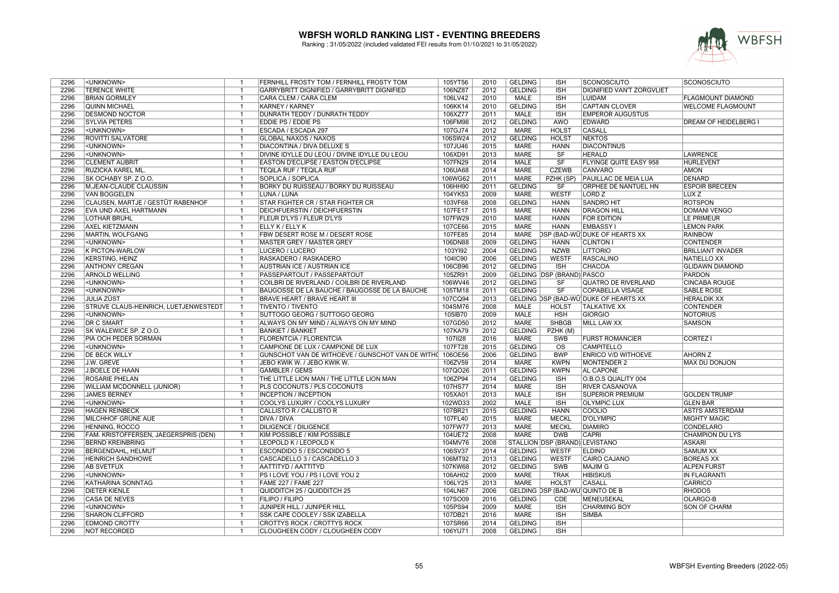

| 2296<br>106NZ87<br>2012<br><b>GELDING</b><br><b>DIGNIFIED VAN'T ZORGVLIET</b><br><b>TERENCE WHITE</b><br>GARRYBRITT DIGNIFIED / GARRYBRITT DIGNIFIED<br><b>ISH</b><br>$\overline{1}$<br>2296<br>106LV42<br>2010<br><b>BRIAN GORMLEY</b><br>CARA CLEM / CARA CLEM<br><b>MALE</b><br><b>ISH</b><br><b>LUIDAM</b><br><b>FLAGMOUNT DIAMOND</b><br>-1<br>2010<br><b>GELDING</b><br><b>ISH</b><br><b>WELCOME FLAGMOUNT</b><br>2296<br><b>QUINN MICHAEL</b><br><b>KARNEY / KARNEY</b><br>106KK14<br><b>CAPTAIN CLOVER</b><br>$\overline{1}$<br>2296<br><b>DUNRATH TEDDY / DUNRATH TEDDY</b><br>106XZ77<br>2011<br><b>MALE</b><br><b>ISH</b><br><b>EMPEROR AUGUSTUS</b><br><b>DESMOND NOCTOR</b><br>2012<br><b>GELDING</b><br><b>AWÖ</b><br>2296<br><b>SYLVIA PETERS</b><br>EDDIE PS / EDDIE PS<br>106FM98<br>EDWARD<br>DREAM OF HEIDELBERG I<br>$\overline{1}$<br>2296<br>ESCADA / ESCADA 297<br>107GJ74<br>2012<br><b>MARE</b><br><b>HOLST</b><br><b>CASALL</b><br><unknown><br/><math>\overline{1}</math><br/>2296<br/><b>ROVITTI SALVATORE</b><br/><b>GLOBAL NAXOS / NAXOS</b><br/>106SW24<br/>2012<br/><b>GELDING</b><br/><b>HOLST</b><br/><b>NEKTOS</b><br/><math>\overline{1}</math><br/>2296<br/>DIACONTINA / DIVA DELUXE S<br/>107JU46<br/>2015<br/><b>MARE</b><br/><b>HANN</b><br/><b>DIACONTINUS</b><br/><unknown><br/><math>\overline{1}</math><br/>2296<br/>DIVINE IDYLLE DU LEOU / DIVINE IDYLLE DU LEOU<br/>2013<br/><b>MARE</b><br/><unknown><br/>106XD91<br/><b>SF</b><br/><b>HERALD</b><br/><b>LAWRENCE</b><br/><math>\overline{1}</math><br/>2296<br/><b>CLEMENT AUBRIT</b><br/>EASTON D'ECLIPSE / EASTON D'ECLIPSE<br/>107FN29<br/>2014<br/><b>MALE</b><br/>SF<br/><b>FLYINGE QUITE EASY 958</b><br/><b>HURLEVENT</b><br/><math>\overline{1}</math><br/>106UA68<br/>2014<br/><b>MARE</b><br/><b>CZEWB</b><br/><b>AMON</b><br/>2296<br/>RUZICKA KAREL ML.<br/><b>TEQILA RUF / TEQILA RUF</b><br/><b>CANVARO</b><br/><math>\overline{1}</math><br/>2296<br/>SOPLICA / SOPLICA<br/>106WG62<br/>2011<br/><b>MARE</b><br/><b>DENARD</b><br/>SK OCHABY SP. Z O.O.<br/>PZHK (SP)<br/>PAUILLAC DE MEIA LUA<br/><math>\overline{1}</math><br/>2296<br/><b>BORKY DU RUISSEAU / BORKY DU RUISSEAU</b><br/>106HH90<br/>2011<br/><b>GELDING</b><br/>ORPHEE DE NANTUEL HN<br/><b>ESPOIR BRECEEN</b><br/>M.JEAN-CLAUDE CLAUSSIN<br/>SF<br/><math>\overline{1}</math><br/>2009<br/><b>WESTF</b><br/>2296<br/><b>VAN BOGGELEN</b><br/>LUNA / LUNA<br/>104YK53<br/><b>MARE</b><br/>LORD<sub>Z</sub><br/>LUX<sub>Z</sub><br/><math>\overline{1}</math><br/>CLAUSEN, MARTJE / GESTÜT RABENHOF<br/>STAR FIGHTER CR / STAR FIGHTER CR<br/>103VF68<br/>2008<br/><b>GELDING</b><br/><b>SANDRO HIT</b><br/><b>ROTSPON</b><br/>2296<br/><math>\overline{1}</math><br/><b>HANN</b><br/>2296<br/><b>EVA UND AXEL HARTMANN</b><br/><b>DEICHFUERSTIN / DEICHFUERSTIN</b><br/>107FE17<br/>2015<br/><b>MARE</b><br/><b>HANN</b><br/><b>DRAGON HILL</b><br/><b>DOMANI VENGO</b><br/><math>\overline{1}</math><br/><b>MARE</b><br/>2296<br/><b>LOTHAR BRÜHL</b><br/>FLEUR D'LYS / FLEUR D'LYS<br/>107FW29<br/>2010<br/><b>HANN</b><br/><b>FOR EDITION</b><br/><b>LE PRIMEUR</b><br/><math>\overline{1}</math><br/><b>MARE</b><br/>2296<br/><b>AXEL KIETZMANN</b><br/>107CE66<br/>2015<br/><b>HANN</b><br/><b>EMBASSY1</b><br/><b>LEMON PARK</b><br/><math>\mathbf{1}</math><br/>ELLY K / ELLY K<br/>2296<br/>MARTIN, WOLFGANG<br/>FBW DESERT ROSE M / DESERT ROSE<br/>107FE85<br/>2014<br/>MARE<br/>DSP (BAD-WÜ)DUKE OF HEARTS XX<br/><b>RAINBOW</b><br/><math>\overline{1}</math><br/>2296<br/>106DN88<br/>2009<br/><b>GELDING</b><br/><b>CONTENDER</b><br/><unknown><br/><b>MASTER GREY / MASTER GREY</b><br/><b>HANN</b><br/><b>CLINTON I</b><br/><math>\overline{1}</math><br/>2296<br/>103YI92<br/>2004<br/><b>GELDING</b><br/><b>NZWB</b><br/><b>LITTORIO</b><br/><b>K PICTON-WARLOW</b><br/>LUCERO / LUCERO<br/><b>BRILLIANT INVADER</b><br/><math>\overline{1}</math><br/>2296<br/>2006<br/><b>KERSTING, HEINZ</b><br/>RASKADERO / RASKADERO<br/>104IC90<br/><b>GELDING</b><br/><b>WESTF</b><br/><b>RASCALINO</b><br/><b>NATIELLO XX</b><br/><math>\overline{1}</math><br/>2012<br/><b>GELDING</b><br/><b>CHACOA</b><br/>2296<br/><b>ANTHONY CREGAN</b><br/><b>AUSTRIAN ICE / AUSTRIAN ICE</b><br/>106CB96<br/><b>ISH</b><br/><b>GLIDAWN DIAMOND</b><br/><math>\mathbf{1}</math><br/>2296<br/><b>ARNOLD WELLING</b><br/>PASSEPARTOUT / PASSEPARTOUT<br/>105ZR91<br/>2009<br/>GELDING DSP (BRAND) PASCO<br/><b>PARDON</b><br/><math>\overline{1}</math><br/>2296<br/><unknown><br/>COILBRI DE RIVERLAND / COILBRI DE RIVERLAND<br/>106WV46<br/>2012<br/><b>GELDING</b><br/>SF<br/><b>QUATRO DE RIVERLAND</b><br/><b>CINCABA ROUGE</b><br/><math>\overline{1}</math><br/><b>GELDING</b><br/>SF<br/>2296<br/><unknown><br/>BAUGOSSE DE LA BAUCHE / BAUGOSSE DE LA BAUCHE<br/>105TM18<br/>2011<br/><b>COPABELLA VISAGE</b><br/><b>SABLE ROSE</b><br/><math>\overline{1}</math><br/>2296<br/><b>JULIA ZÜST</b><br/>BRAVE HEART / BRAVE HEART III<br/>107CQ94<br/>2013<br/>GELDING DSP (BAD-WÜ) DUKE OF HEARTS XX<br/><b>HERALDIK XX</b><br/><math>\overline{1}</math><br/>2008<br/><b>CONTENDER</b><br/>2296<br/>STRUVE CLAUS-HEINRICH, LUETJENWESTEDT<br/><b>TIVENTO / TIVENTO</b><br/>104SM76<br/><b>MALE</b><br/><b>HOLST</b><br/><b>TALKATIVE XX</b><br/><math>\overline{1}</math><br/><b>MALE</b><br/>2296<br/>SUTTOGO GEORG / SUTTOGO GEORG<br/>105IB70<br/>2009<br/>GIORGIO<br/><b>NOTORIUS</b><br/><unknown><br/><b>HSH</b><br/><math>\overline{1}</math><br/>2296<br/><b>DR C SMART</b><br/>107GD50<br/>2012<br/><b>MARE</b><br/><b>SHBGB</b><br/><b>MILL LAW XX</b><br/><b>SAMSON</b><br/><math>\overline{1}</math><br/>ALWAYS ON MY MIND / ALWAYS ON MY MIND<br/>2012<br/><b>GELDING</b><br/>2296<br/>SK WALEWICE SP. Z O.O.<br/><b>BANKIET / BANKIET</b><br/>107KA79<br/>PZHK (M)<br/><math>\mathbf{1}</math><br/>2296<br/>PIA OCH PEDER SÖRMAN<br/><b>FLORENTCIA / FLORENTCIA</b><br/>1071128<br/>2016<br/><b>MARE</b><br/><b>CORTEZ I</b><br/><math>\overline{1}</math><br/>SWB<br/><b>FURST ROMANCIER</b><br/>2296<br/><unknown><br/>CAMPIONE DE LUX / CAMPIONE DE LUX<br/>107FT28<br/>2015<br/><b>GELDING</b><br/><b>OS</b><br/><b>CAMPITELLO</b><br/><math>\mathbf{1}</math><br/>GUNSCHOT VAN DE WITHOEVE / GUNSCHOT VAN DE WITHO 106OE56<br/>2296<br/><b>DE BECK WILLY</b><br/>2006<br/><b>GELDING</b><br/><b>BWP</b><br/><b>ENRICO V/D WITHOEVE</b><br/><b>AHORN Z</b><br/><math>\overline{1}</math><br/>2296<br/>106ZV59<br/>2014<br/><b>MARE</b><br/><b>KWPN</b><br/><b>MONTENDER 2</b><br/><b>MAX DU DONJON</b><br/>J.W. GREVE<br/><math>\overline{1}</math><br/>JEBO KWIK W. / JEBO KWIK W.<br/>2011<br/><b>GELDING</b><br/>2296<br/><b>J.BOELE DE HAAN</b><br/><b>GAMBLER / GEMS</b><br/>107QO26<br/><b>KWPN</b><br/><b>AL CAPONE</b><br/><math>\overline{1}</math><br/>106ZP94<br/>2296<br/><b>ROSARIE PHELAN</b><br/>THE LITTLE LION MAN / THE LITTLE LION MAN<br/>2014<br/><b>GELDING</b><br/><b>ISH</b><br/>O.B.O.S QUALITY 004<br/><math>\overline{1}</math><br/>2296<br/>PLS COCONUTS / PLS COCONUTS<br/>107HS77<br/>2014<br/><b>MARE</b><br/><b>ISH</b><br/><b>RIVER CASANOVA</b><br/>WILLIAM MCDONNELL (JUNIOR)<br/><math>\overline{1}</math><br/>2296<br/><b>JAMES BERNEY</b><br/><b>INCEPTION / INCEPTION</b><br/>105XA01<br/>2013<br/><b>MALE</b><br/><b>ISH</b><br/><b>SUPERIOR PREMIUM</b><br/><b>GOLDEN TRUMP</b><br/><math>\overline{1}</math><br/>2296<br/>2002<br/><unknown><br/>COOLYS LUXURY / COOLYS LUXURY<br/>102WD33<br/><b>MALE</b><br/><b>ISH</b><br/><b>OLYMPIC LUX</b><br/><b>GLEN BAR</b><br/><math>\overline{1}</math><br/><b>GELDING</b><br/>2296<br/><b>HAGEN REINBECK</b><br/>CALLISTO R / CALLISTO R<br/>107BR21<br/>2015<br/><b>HANN</b><br/>COOLIO<br/><b>ASTI'S AMSTERDAM</b><br/><math>\mathbf{1}</math><br/>2296<br/>MILCHHOF GRÜNE AUE<br/>DIVA / DIVA<br/>107FL40<br/>2015<br/>MARE<br/><b>MECKL</b><br/>D'OLYMPIC<br/><b>MIGHTY MAGIC</b><br/><math>\overline{1}</math><br/>2296<br/>HENNING, ROCCO<br/><b>DILIGENCE / DILIGENCE</b><br/>107FW77<br/>2013<br/><b>MARE</b><br/><b>MECKL</b><br/><b>DIAMIRO</b><br/><b>CONDELARO</b><br/><math>\overline{1}</math><br/>2296<br/>104UE72<br/>2008<br/><b>MARE</b><br/><b>DWB</b><br/><b>CAPRI</b><br/>FAM. KRISTOFFERSEN, JAEGERSPRIS (DEN)<br/>KIM POSSIBLE / KIM POSSIBLE<br/><b>CHAMPION DU LYS</b><br/><math>\overline{1}</math><br/>2296<br/>2008<br/>STALLION DSP (BRAND) LEVISTANO<br/><b>BERND KREINBRING</b><br/>LEOPOLD K / LEOPOLD K<br/>104MV76<br/><b>ASKARI</b><br/><math>\overline{1}</math><br/>2014<br/><b>GELDING</b><br/><b>ELDINO</b><br/>2296<br/><b>BERGENDAHL, HELMUT</b><br/><math>\overline{1}</math><br/>ESCONDIDO 5 / ESCONDIDO 5<br/>106SV37<br/><b>WESTF</b><br/><b>SAMUM XX</b><br/>2296<br/><b>HEINRICH SANDHOWE</b><br/>CASCADELLO 3 / CASCADELLO 3<br/>106MT92<br/>2013<br/><b>GELDING</b><br/><b>WESTF</b><br/><b>CAIRO CAJANO</b><br/><b>BOREAS XX</b><br/>-1<br/>2296<br/><b>AB SVETFUX</b><br/>AATTITYD / AATTITYD<br/>107KW68<br/>2012<br/><b>GELDING</b><br/><b>SWB</b><br/><b>MAJIM G</b><br/><b>ALPEN FURST</b><br/><math>\overline{1}</math><br/>2296<br/><unknown><br/>2009<br/><b>MARE</b><br/><b>TRAK</b><br/><b>HIBISKUS</b><br/>PS I LOVE YOU / PS I LOVE YOU 2<br/>106AH02<br/><b>IN FLAGRANTI</b><br/><math>\overline{1}</math><br/><b>MARE</b><br/>CASALL<br/><b>CARRICO</b><br/>2296<br/><b>KATHARINA SONNTAG</b><br/><b>FAME 227 / FAME 227</b><br/>106LY25<br/>2013<br/><b>HOLST</b><br/><math>\overline{1}</math><br/>2006<br/>GELDING DSP (BAD-WÜ) QUINTO DE B<br/><b>RHODOS</b><br/>2296<br/><b>DIETER KIENLE</b><br/><math>\mathbf{1}</math><br/>QUIDDITCH 25 / QUIDDITCH 25<br/>104LN67<br/>2296<br/><b>CASA DE NEVES</b><br/><b>FILIPO / FILIPO</b><br/>107SO09<br/>2016<br/><b>GELDING</b><br/><b>CDE</b><br/>MENEUSEKAL<br/>OLARGO-B<br/><math>\overline{1}</math><br/>2296<br/>JUNIPER HILL / JUNIPER HILL<br/>105PS94<br/>2009<br/><b>MARE</b><br/><b>ISH</b><br/><b>CHARMING BOY</b><br/><b>SON OF CHARM</b><br/><unknown><br/><math>\overline{1}</math><br/>SSK CAPE COOLEY / SSK IZABELLA<br/>2016<br/><b>MARE</b><br/><b>ISH</b><br/>2296<br/><b>SHARON CLIFFORD</b><br/>107DB21<br/><b>SIMBA</b><br/><math>\overline{1}</math><br/><b>GELDING</b><br/>2296<br/><b>EDMOND CROTTY</b><br/><math>\overline{1}</math><br/>CROTTYS ROCK / CROTTYS ROCK<br/>107SR66<br/>2014<br/><b>ISH</b><br/>2008<br/><b>GELDING</b><br/>2296<br/><b>NOT RECORDED</b><br/>CLOUGHEEN CODY / CLOUGHEEN CODY<br/>106YU71<br/><b>ISH</b><br/><math>\overline{1}</math></unknown></unknown></unknown></unknown></unknown></unknown></unknown></unknown></unknown></unknown></unknown> | 2296 | <unknown></unknown> | $\mathbf{1}$ | FERNHILL FROSTY TOM / FERNHILL FROSTY TOM | 105YT56 | 2010 | <b>GELDING</b> | <b>ISH</b> | SCONOSCIUTO | SCONOSCIUTO |
|------------------------------------------------------------------------------------------------------------------------------------------------------------------------------------------------------------------------------------------------------------------------------------------------------------------------------------------------------------------------------------------------------------------------------------------------------------------------------------------------------------------------------------------------------------------------------------------------------------------------------------------------------------------------------------------------------------------------------------------------------------------------------------------------------------------------------------------------------------------------------------------------------------------------------------------------------------------------------------------------------------------------------------------------------------------------------------------------------------------------------------------------------------------------------------------------------------------------------------------------------------------------------------------------------------------------------------------------------------------------------------------------------------------------------------------------------------------------------------------------------------------------------------------------------------------------------------------------------------------------------------------------------------------------------------------------------------------------------------------------------------------------------------------------------------------------------------------------------------------------------------------------------------------------------------------------------------------------------------------------------------------------------------------------------------------------------------------------------------------------------------------------------------------------------------------------------------------------------------------------------------------------------------------------------------------------------------------------------------------------------------------------------------------------------------------------------------------------------------------------------------------------------------------------------------------------------------------------------------------------------------------------------------------------------------------------------------------------------------------------------------------------------------------------------------------------------------------------------------------------------------------------------------------------------------------------------------------------------------------------------------------------------------------------------------------------------------------------------------------------------------------------------------------------------------------------------------------------------------------------------------------------------------------------------------------------------------------------------------------------------------------------------------------------------------------------------------------------------------------------------------------------------------------------------------------------------------------------------------------------------------------------------------------------------------------------------------------------------------------------------------------------------------------------------------------------------------------------------------------------------------------------------------------------------------------------------------------------------------------------------------------------------------------------------------------------------------------------------------------------------------------------------------------------------------------------------------------------------------------------------------------------------------------------------------------------------------------------------------------------------------------------------------------------------------------------------------------------------------------------------------------------------------------------------------------------------------------------------------------------------------------------------------------------------------------------------------------------------------------------------------------------------------------------------------------------------------------------------------------------------------------------------------------------------------------------------------------------------------------------------------------------------------------------------------------------------------------------------------------------------------------------------------------------------------------------------------------------------------------------------------------------------------------------------------------------------------------------------------------------------------------------------------------------------------------------------------------------------------------------------------------------------------------------------------------------------------------------------------------------------------------------------------------------------------------------------------------------------------------------------------------------------------------------------------------------------------------------------------------------------------------------------------------------------------------------------------------------------------------------------------------------------------------------------------------------------------------------------------------------------------------------------------------------------------------------------------------------------------------------------------------------------------------------------------------------------------------------------------------------------------------------------------------------------------------------------------------------------------------------------------------------------------------------------------------------------------------------------------------------------------------------------------------------------------------------------------------------------------------------------------------------------------------------------------------------------------------------------------------------------------------------------------------------------------------------------------------------------------------------------------------------------------------------------------------------------------------------------------------------------------------------------------------------------------------------------------------------------------------------------------------------------------------------------------------------------------------------------------------------------------------------------------------------------------------------------------------------------------------------------------------------------------------------------------------------------------------------------------------------------------------------------------------------------------------------------------------------------------------------------------------------------------------------------------------------------------------------------------------------------------------------------------------------------------------------------------------------------------------------------------------------------------------------------------------------------------------------------------------------------------------------------------------------------------------------------------------------------------------------------------------------------------------------------------------------------------------------------------------------------------------------------------------------------------------------------------------------------------------------------------------------------------------------------------------------------------------------------------------------------------------------------------------------------------------------------------------------------------------------------------------------------------------------------------------------------------------------------------------------------------------------------------------------------------------------------------------------------------------------------------------------------------------------------------------------------------------------------------------------------------------------------------------------------------------------------------------------------------------------------------------------------------------------------------------------------------------------------------------------------------------------------------------------------------------------------------------------------------------------------------------------------------------------------------------------------------------------------------------------------------------------------------------------------------------------------------------------------------------------------------------------------------------------------------------------------------------------------------------------------------------------------------------------------------------------------------------------------------------------------------------------------------------------------------------------------------------------------------------------------------------------------------------------------------------------------------------------------------------------------------------------------------------------------------------------------------------------------------------------------------------------------------------------------------------------------------------------------------------------------------------------------------------------------------------------------------------------------------------------------------------------------------------------------------------------------------------------------|------|---------------------|--------------|-------------------------------------------|---------|------|----------------|------------|-------------|-------------|
|                                                                                                                                                                                                                                                                                                                                                                                                                                                                                                                                                                                                                                                                                                                                                                                                                                                                                                                                                                                                                                                                                                                                                                                                                                                                                                                                                                                                                                                                                                                                                                                                                                                                                                                                                                                                                                                                                                                                                                                                                                                                                                                                                                                                                                                                                                                                                                                                                                                                                                                                                                                                                                                                                                                                                                                                                                                                                                                                                                                                                                                                                                                                                                                                                                                                                                                                                                                                                                                                                                                                                                                                                                                                                                                                                                                                                                                                                                                                                                                                                                                                                                                                                                                                                                                                                                                                                                                                                                                                                                                                                                                                                                                                                                                                                                                                                                                                                                                                                                                                                                                                                                                                                                                                                                                                                                                                                                                                                                                                                                                                                                                                                                                                                                                                                                                                                                                                                                                                                                                                                                                                                                                                                                                                                                                                                                                                                                                                                                                                                                                                                                                                                                                                                                                                                                                                                                                                                                                                                                                                                                                                                                                                                                                                                                                                                                                                                                                                                                                                                                                                                                                                                                                                                                                                                                                                                                                                                                                                                                                                                                                                                                                                                                                                                                                                                                                                                                                                                                                                                                                                                                                                                                                                                                                                                                                                                                                                                                                                                                                                                                                                                                                                                                                                                                                                                                                                                                                                                                                                                                                                                                                                                                                                                                                                                                                                                                                                                                                                                                                                                                                                                                                                                                                                                                                                                                                                                                                                                                                                                                                                                                                                                                                                                                                              |      |                     |              |                                           |         |      |                |            |             |             |
|                                                                                                                                                                                                                                                                                                                                                                                                                                                                                                                                                                                                                                                                                                                                                                                                                                                                                                                                                                                                                                                                                                                                                                                                                                                                                                                                                                                                                                                                                                                                                                                                                                                                                                                                                                                                                                                                                                                                                                                                                                                                                                                                                                                                                                                                                                                                                                                                                                                                                                                                                                                                                                                                                                                                                                                                                                                                                                                                                                                                                                                                                                                                                                                                                                                                                                                                                                                                                                                                                                                                                                                                                                                                                                                                                                                                                                                                                                                                                                                                                                                                                                                                                                                                                                                                                                                                                                                                                                                                                                                                                                                                                                                                                                                                                                                                                                                                                                                                                                                                                                                                                                                                                                                                                                                                                                                                                                                                                                                                                                                                                                                                                                                                                                                                                                                                                                                                                                                                                                                                                                                                                                                                                                                                                                                                                                                                                                                                                                                                                                                                                                                                                                                                                                                                                                                                                                                                                                                                                                                                                                                                                                                                                                                                                                                                                                                                                                                                                                                                                                                                                                                                                                                                                                                                                                                                                                                                                                                                                                                                                                                                                                                                                                                                                                                                                                                                                                                                                                                                                                                                                                                                                                                                                                                                                                                                                                                                                                                                                                                                                                                                                                                                                                                                                                                                                                                                                                                                                                                                                                                                                                                                                                                                                                                                                                                                                                                                                                                                                                                                                                                                                                                                                                                                                                                                                                                                                                                                                                                                                                                                                                                                                                                                                                                              |      |                     |              |                                           |         |      |                |            |             |             |
|                                                                                                                                                                                                                                                                                                                                                                                                                                                                                                                                                                                                                                                                                                                                                                                                                                                                                                                                                                                                                                                                                                                                                                                                                                                                                                                                                                                                                                                                                                                                                                                                                                                                                                                                                                                                                                                                                                                                                                                                                                                                                                                                                                                                                                                                                                                                                                                                                                                                                                                                                                                                                                                                                                                                                                                                                                                                                                                                                                                                                                                                                                                                                                                                                                                                                                                                                                                                                                                                                                                                                                                                                                                                                                                                                                                                                                                                                                                                                                                                                                                                                                                                                                                                                                                                                                                                                                                                                                                                                                                                                                                                                                                                                                                                                                                                                                                                                                                                                                                                                                                                                                                                                                                                                                                                                                                                                                                                                                                                                                                                                                                                                                                                                                                                                                                                                                                                                                                                                                                                                                                                                                                                                                                                                                                                                                                                                                                                                                                                                                                                                                                                                                                                                                                                                                                                                                                                                                                                                                                                                                                                                                                                                                                                                                                                                                                                                                                                                                                                                                                                                                                                                                                                                                                                                                                                                                                                                                                                                                                                                                                                                                                                                                                                                                                                                                                                                                                                                                                                                                                                                                                                                                                                                                                                                                                                                                                                                                                                                                                                                                                                                                                                                                                                                                                                                                                                                                                                                                                                                                                                                                                                                                                                                                                                                                                                                                                                                                                                                                                                                                                                                                                                                                                                                                                                                                                                                                                                                                                                                                                                                                                                                                                                                                                              |      |                     |              |                                           |         |      |                |            |             |             |
|                                                                                                                                                                                                                                                                                                                                                                                                                                                                                                                                                                                                                                                                                                                                                                                                                                                                                                                                                                                                                                                                                                                                                                                                                                                                                                                                                                                                                                                                                                                                                                                                                                                                                                                                                                                                                                                                                                                                                                                                                                                                                                                                                                                                                                                                                                                                                                                                                                                                                                                                                                                                                                                                                                                                                                                                                                                                                                                                                                                                                                                                                                                                                                                                                                                                                                                                                                                                                                                                                                                                                                                                                                                                                                                                                                                                                                                                                                                                                                                                                                                                                                                                                                                                                                                                                                                                                                                                                                                                                                                                                                                                                                                                                                                                                                                                                                                                                                                                                                                                                                                                                                                                                                                                                                                                                                                                                                                                                                                                                                                                                                                                                                                                                                                                                                                                                                                                                                                                                                                                                                                                                                                                                                                                                                                                                                                                                                                                                                                                                                                                                                                                                                                                                                                                                                                                                                                                                                                                                                                                                                                                                                                                                                                                                                                                                                                                                                                                                                                                                                                                                                                                                                                                                                                                                                                                                                                                                                                                                                                                                                                                                                                                                                                                                                                                                                                                                                                                                                                                                                                                                                                                                                                                                                                                                                                                                                                                                                                                                                                                                                                                                                                                                                                                                                                                                                                                                                                                                                                                                                                                                                                                                                                                                                                                                                                                                                                                                                                                                                                                                                                                                                                                                                                                                                                                                                                                                                                                                                                                                                                                                                                                                                                                                                                              |      |                     |              |                                           |         |      |                |            |             |             |
|                                                                                                                                                                                                                                                                                                                                                                                                                                                                                                                                                                                                                                                                                                                                                                                                                                                                                                                                                                                                                                                                                                                                                                                                                                                                                                                                                                                                                                                                                                                                                                                                                                                                                                                                                                                                                                                                                                                                                                                                                                                                                                                                                                                                                                                                                                                                                                                                                                                                                                                                                                                                                                                                                                                                                                                                                                                                                                                                                                                                                                                                                                                                                                                                                                                                                                                                                                                                                                                                                                                                                                                                                                                                                                                                                                                                                                                                                                                                                                                                                                                                                                                                                                                                                                                                                                                                                                                                                                                                                                                                                                                                                                                                                                                                                                                                                                                                                                                                                                                                                                                                                                                                                                                                                                                                                                                                                                                                                                                                                                                                                                                                                                                                                                                                                                                                                                                                                                                                                                                                                                                                                                                                                                                                                                                                                                                                                                                                                                                                                                                                                                                                                                                                                                                                                                                                                                                                                                                                                                                                                                                                                                                                                                                                                                                                                                                                                                                                                                                                                                                                                                                                                                                                                                                                                                                                                                                                                                                                                                                                                                                                                                                                                                                                                                                                                                                                                                                                                                                                                                                                                                                                                                                                                                                                                                                                                                                                                                                                                                                                                                                                                                                                                                                                                                                                                                                                                                                                                                                                                                                                                                                                                                                                                                                                                                                                                                                                                                                                                                                                                                                                                                                                                                                                                                                                                                                                                                                                                                                                                                                                                                                                                                                                                                                              |      |                     |              |                                           |         |      |                |            |             |             |
|                                                                                                                                                                                                                                                                                                                                                                                                                                                                                                                                                                                                                                                                                                                                                                                                                                                                                                                                                                                                                                                                                                                                                                                                                                                                                                                                                                                                                                                                                                                                                                                                                                                                                                                                                                                                                                                                                                                                                                                                                                                                                                                                                                                                                                                                                                                                                                                                                                                                                                                                                                                                                                                                                                                                                                                                                                                                                                                                                                                                                                                                                                                                                                                                                                                                                                                                                                                                                                                                                                                                                                                                                                                                                                                                                                                                                                                                                                                                                                                                                                                                                                                                                                                                                                                                                                                                                                                                                                                                                                                                                                                                                                                                                                                                                                                                                                                                                                                                                                                                                                                                                                                                                                                                                                                                                                                                                                                                                                                                                                                                                                                                                                                                                                                                                                                                                                                                                                                                                                                                                                                                                                                                                                                                                                                                                                                                                                                                                                                                                                                                                                                                                                                                                                                                                                                                                                                                                                                                                                                                                                                                                                                                                                                                                                                                                                                                                                                                                                                                                                                                                                                                                                                                                                                                                                                                                                                                                                                                                                                                                                                                                                                                                                                                                                                                                                                                                                                                                                                                                                                                                                                                                                                                                                                                                                                                                                                                                                                                                                                                                                                                                                                                                                                                                                                                                                                                                                                                                                                                                                                                                                                                                                                                                                                                                                                                                                                                                                                                                                                                                                                                                                                                                                                                                                                                                                                                                                                                                                                                                                                                                                                                                                                                                                                              |      |                     |              |                                           |         |      |                |            |             |             |
|                                                                                                                                                                                                                                                                                                                                                                                                                                                                                                                                                                                                                                                                                                                                                                                                                                                                                                                                                                                                                                                                                                                                                                                                                                                                                                                                                                                                                                                                                                                                                                                                                                                                                                                                                                                                                                                                                                                                                                                                                                                                                                                                                                                                                                                                                                                                                                                                                                                                                                                                                                                                                                                                                                                                                                                                                                                                                                                                                                                                                                                                                                                                                                                                                                                                                                                                                                                                                                                                                                                                                                                                                                                                                                                                                                                                                                                                                                                                                                                                                                                                                                                                                                                                                                                                                                                                                                                                                                                                                                                                                                                                                                                                                                                                                                                                                                                                                                                                                                                                                                                                                                                                                                                                                                                                                                                                                                                                                                                                                                                                                                                                                                                                                                                                                                                                                                                                                                                                                                                                                                                                                                                                                                                                                                                                                                                                                                                                                                                                                                                                                                                                                                                                                                                                                                                                                                                                                                                                                                                                                                                                                                                                                                                                                                                                                                                                                                                                                                                                                                                                                                                                                                                                                                                                                                                                                                                                                                                                                                                                                                                                                                                                                                                                                                                                                                                                                                                                                                                                                                                                                                                                                                                                                                                                                                                                                                                                                                                                                                                                                                                                                                                                                                                                                                                                                                                                                                                                                                                                                                                                                                                                                                                                                                                                                                                                                                                                                                                                                                                                                                                                                                                                                                                                                                                                                                                                                                                                                                                                                                                                                                                                                                                                                                                              |      |                     |              |                                           |         |      |                |            |             |             |
|                                                                                                                                                                                                                                                                                                                                                                                                                                                                                                                                                                                                                                                                                                                                                                                                                                                                                                                                                                                                                                                                                                                                                                                                                                                                                                                                                                                                                                                                                                                                                                                                                                                                                                                                                                                                                                                                                                                                                                                                                                                                                                                                                                                                                                                                                                                                                                                                                                                                                                                                                                                                                                                                                                                                                                                                                                                                                                                                                                                                                                                                                                                                                                                                                                                                                                                                                                                                                                                                                                                                                                                                                                                                                                                                                                                                                                                                                                                                                                                                                                                                                                                                                                                                                                                                                                                                                                                                                                                                                                                                                                                                                                                                                                                                                                                                                                                                                                                                                                                                                                                                                                                                                                                                                                                                                                                                                                                                                                                                                                                                                                                                                                                                                                                                                                                                                                                                                                                                                                                                                                                                                                                                                                                                                                                                                                                                                                                                                                                                                                                                                                                                                                                                                                                                                                                                                                                                                                                                                                                                                                                                                                                                                                                                                                                                                                                                                                                                                                                                                                                                                                                                                                                                                                                                                                                                                                                                                                                                                                                                                                                                                                                                                                                                                                                                                                                                                                                                                                                                                                                                                                                                                                                                                                                                                                                                                                                                                                                                                                                                                                                                                                                                                                                                                                                                                                                                                                                                                                                                                                                                                                                                                                                                                                                                                                                                                                                                                                                                                                                                                                                                                                                                                                                                                                                                                                                                                                                                                                                                                                                                                                                                                                                                                                                              |      |                     |              |                                           |         |      |                |            |             |             |
|                                                                                                                                                                                                                                                                                                                                                                                                                                                                                                                                                                                                                                                                                                                                                                                                                                                                                                                                                                                                                                                                                                                                                                                                                                                                                                                                                                                                                                                                                                                                                                                                                                                                                                                                                                                                                                                                                                                                                                                                                                                                                                                                                                                                                                                                                                                                                                                                                                                                                                                                                                                                                                                                                                                                                                                                                                                                                                                                                                                                                                                                                                                                                                                                                                                                                                                                                                                                                                                                                                                                                                                                                                                                                                                                                                                                                                                                                                                                                                                                                                                                                                                                                                                                                                                                                                                                                                                                                                                                                                                                                                                                                                                                                                                                                                                                                                                                                                                                                                                                                                                                                                                                                                                                                                                                                                                                                                                                                                                                                                                                                                                                                                                                                                                                                                                                                                                                                                                                                                                                                                                                                                                                                                                                                                                                                                                                                                                                                                                                                                                                                                                                                                                                                                                                                                                                                                                                                                                                                                                                                                                                                                                                                                                                                                                                                                                                                                                                                                                                                                                                                                                                                                                                                                                                                                                                                                                                                                                                                                                                                                                                                                                                                                                                                                                                                                                                                                                                                                                                                                                                                                                                                                                                                                                                                                                                                                                                                                                                                                                                                                                                                                                                                                                                                                                                                                                                                                                                                                                                                                                                                                                                                                                                                                                                                                                                                                                                                                                                                                                                                                                                                                                                                                                                                                                                                                                                                                                                                                                                                                                                                                                                                                                                                                                              |      |                     |              |                                           |         |      |                |            |             |             |
|                                                                                                                                                                                                                                                                                                                                                                                                                                                                                                                                                                                                                                                                                                                                                                                                                                                                                                                                                                                                                                                                                                                                                                                                                                                                                                                                                                                                                                                                                                                                                                                                                                                                                                                                                                                                                                                                                                                                                                                                                                                                                                                                                                                                                                                                                                                                                                                                                                                                                                                                                                                                                                                                                                                                                                                                                                                                                                                                                                                                                                                                                                                                                                                                                                                                                                                                                                                                                                                                                                                                                                                                                                                                                                                                                                                                                                                                                                                                                                                                                                                                                                                                                                                                                                                                                                                                                                                                                                                                                                                                                                                                                                                                                                                                                                                                                                                                                                                                                                                                                                                                                                                                                                                                                                                                                                                                                                                                                                                                                                                                                                                                                                                                                                                                                                                                                                                                                                                                                                                                                                                                                                                                                                                                                                                                                                                                                                                                                                                                                                                                                                                                                                                                                                                                                                                                                                                                                                                                                                                                                                                                                                                                                                                                                                                                                                                                                                                                                                                                                                                                                                                                                                                                                                                                                                                                                                                                                                                                                                                                                                                                                                                                                                                                                                                                                                                                                                                                                                                                                                                                                                                                                                                                                                                                                                                                                                                                                                                                                                                                                                                                                                                                                                                                                                                                                                                                                                                                                                                                                                                                                                                                                                                                                                                                                                                                                                                                                                                                                                                                                                                                                                                                                                                                                                                                                                                                                                                                                                                                                                                                                                                                                                                                                                                              |      |                     |              |                                           |         |      |                |            |             |             |
|                                                                                                                                                                                                                                                                                                                                                                                                                                                                                                                                                                                                                                                                                                                                                                                                                                                                                                                                                                                                                                                                                                                                                                                                                                                                                                                                                                                                                                                                                                                                                                                                                                                                                                                                                                                                                                                                                                                                                                                                                                                                                                                                                                                                                                                                                                                                                                                                                                                                                                                                                                                                                                                                                                                                                                                                                                                                                                                                                                                                                                                                                                                                                                                                                                                                                                                                                                                                                                                                                                                                                                                                                                                                                                                                                                                                                                                                                                                                                                                                                                                                                                                                                                                                                                                                                                                                                                                                                                                                                                                                                                                                                                                                                                                                                                                                                                                                                                                                                                                                                                                                                                                                                                                                                                                                                                                                                                                                                                                                                                                                                                                                                                                                                                                                                                                                                                                                                                                                                                                                                                                                                                                                                                                                                                                                                                                                                                                                                                                                                                                                                                                                                                                                                                                                                                                                                                                                                                                                                                                                                                                                                                                                                                                                                                                                                                                                                                                                                                                                                                                                                                                                                                                                                                                                                                                                                                                                                                                                                                                                                                                                                                                                                                                                                                                                                                                                                                                                                                                                                                                                                                                                                                                                                                                                                                                                                                                                                                                                                                                                                                                                                                                                                                                                                                                                                                                                                                                                                                                                                                                                                                                                                                                                                                                                                                                                                                                                                                                                                                                                                                                                                                                                                                                                                                                                                                                                                                                                                                                                                                                                                                                                                                                                                                                              |      |                     |              |                                           |         |      |                |            |             |             |
|                                                                                                                                                                                                                                                                                                                                                                                                                                                                                                                                                                                                                                                                                                                                                                                                                                                                                                                                                                                                                                                                                                                                                                                                                                                                                                                                                                                                                                                                                                                                                                                                                                                                                                                                                                                                                                                                                                                                                                                                                                                                                                                                                                                                                                                                                                                                                                                                                                                                                                                                                                                                                                                                                                                                                                                                                                                                                                                                                                                                                                                                                                                                                                                                                                                                                                                                                                                                                                                                                                                                                                                                                                                                                                                                                                                                                                                                                                                                                                                                                                                                                                                                                                                                                                                                                                                                                                                                                                                                                                                                                                                                                                                                                                                                                                                                                                                                                                                                                                                                                                                                                                                                                                                                                                                                                                                                                                                                                                                                                                                                                                                                                                                                                                                                                                                                                                                                                                                                                                                                                                                                                                                                                                                                                                                                                                                                                                                                                                                                                                                                                                                                                                                                                                                                                                                                                                                                                                                                                                                                                                                                                                                                                                                                                                                                                                                                                                                                                                                                                                                                                                                                                                                                                                                                                                                                                                                                                                                                                                                                                                                                                                                                                                                                                                                                                                                                                                                                                                                                                                                                                                                                                                                                                                                                                                                                                                                                                                                                                                                                                                                                                                                                                                                                                                                                                                                                                                                                                                                                                                                                                                                                                                                                                                                                                                                                                                                                                                                                                                                                                                                                                                                                                                                                                                                                                                                                                                                                                                                                                                                                                                                                                                                                                                                              |      |                     |              |                                           |         |      |                |            |             |             |
|                                                                                                                                                                                                                                                                                                                                                                                                                                                                                                                                                                                                                                                                                                                                                                                                                                                                                                                                                                                                                                                                                                                                                                                                                                                                                                                                                                                                                                                                                                                                                                                                                                                                                                                                                                                                                                                                                                                                                                                                                                                                                                                                                                                                                                                                                                                                                                                                                                                                                                                                                                                                                                                                                                                                                                                                                                                                                                                                                                                                                                                                                                                                                                                                                                                                                                                                                                                                                                                                                                                                                                                                                                                                                                                                                                                                                                                                                                                                                                                                                                                                                                                                                                                                                                                                                                                                                                                                                                                                                                                                                                                                                                                                                                                                                                                                                                                                                                                                                                                                                                                                                                                                                                                                                                                                                                                                                                                                                                                                                                                                                                                                                                                                                                                                                                                                                                                                                                                                                                                                                                                                                                                                                                                                                                                                                                                                                                                                                                                                                                                                                                                                                                                                                                                                                                                                                                                                                                                                                                                                                                                                                                                                                                                                                                                                                                                                                                                                                                                                                                                                                                                                                                                                                                                                                                                                                                                                                                                                                                                                                                                                                                                                                                                                                                                                                                                                                                                                                                                                                                                                                                                                                                                                                                                                                                                                                                                                                                                                                                                                                                                                                                                                                                                                                                                                                                                                                                                                                                                                                                                                                                                                                                                                                                                                                                                                                                                                                                                                                                                                                                                                                                                                                                                                                                                                                                                                                                                                                                                                                                                                                                                                                                                                                                                              |      |                     |              |                                           |         |      |                |            |             |             |
|                                                                                                                                                                                                                                                                                                                                                                                                                                                                                                                                                                                                                                                                                                                                                                                                                                                                                                                                                                                                                                                                                                                                                                                                                                                                                                                                                                                                                                                                                                                                                                                                                                                                                                                                                                                                                                                                                                                                                                                                                                                                                                                                                                                                                                                                                                                                                                                                                                                                                                                                                                                                                                                                                                                                                                                                                                                                                                                                                                                                                                                                                                                                                                                                                                                                                                                                                                                                                                                                                                                                                                                                                                                                                                                                                                                                                                                                                                                                                                                                                                                                                                                                                                                                                                                                                                                                                                                                                                                                                                                                                                                                                                                                                                                                                                                                                                                                                                                                                                                                                                                                                                                                                                                                                                                                                                                                                                                                                                                                                                                                                                                                                                                                                                                                                                                                                                                                                                                                                                                                                                                                                                                                                                                                                                                                                                                                                                                                                                                                                                                                                                                                                                                                                                                                                                                                                                                                                                                                                                                                                                                                                                                                                                                                                                                                                                                                                                                                                                                                                                                                                                                                                                                                                                                                                                                                                                                                                                                                                                                                                                                                                                                                                                                                                                                                                                                                                                                                                                                                                                                                                                                                                                                                                                                                                                                                                                                                                                                                                                                                                                                                                                                                                                                                                                                                                                                                                                                                                                                                                                                                                                                                                                                                                                                                                                                                                                                                                                                                                                                                                                                                                                                                                                                                                                                                                                                                                                                                                                                                                                                                                                                                                                                                                                                              |      |                     |              |                                           |         |      |                |            |             |             |
|                                                                                                                                                                                                                                                                                                                                                                                                                                                                                                                                                                                                                                                                                                                                                                                                                                                                                                                                                                                                                                                                                                                                                                                                                                                                                                                                                                                                                                                                                                                                                                                                                                                                                                                                                                                                                                                                                                                                                                                                                                                                                                                                                                                                                                                                                                                                                                                                                                                                                                                                                                                                                                                                                                                                                                                                                                                                                                                                                                                                                                                                                                                                                                                                                                                                                                                                                                                                                                                                                                                                                                                                                                                                                                                                                                                                                                                                                                                                                                                                                                                                                                                                                                                                                                                                                                                                                                                                                                                                                                                                                                                                                                                                                                                                                                                                                                                                                                                                                                                                                                                                                                                                                                                                                                                                                                                                                                                                                                                                                                                                                                                                                                                                                                                                                                                                                                                                                                                                                                                                                                                                                                                                                                                                                                                                                                                                                                                                                                                                                                                                                                                                                                                                                                                                                                                                                                                                                                                                                                                                                                                                                                                                                                                                                                                                                                                                                                                                                                                                                                                                                                                                                                                                                                                                                                                                                                                                                                                                                                                                                                                                                                                                                                                                                                                                                                                                                                                                                                                                                                                                                                                                                                                                                                                                                                                                                                                                                                                                                                                                                                                                                                                                                                                                                                                                                                                                                                                                                                                                                                                                                                                                                                                                                                                                                                                                                                                                                                                                                                                                                                                                                                                                                                                                                                                                                                                                                                                                                                                                                                                                                                                                                                                                                                                              |      |                     |              |                                           |         |      |                |            |             |             |
|                                                                                                                                                                                                                                                                                                                                                                                                                                                                                                                                                                                                                                                                                                                                                                                                                                                                                                                                                                                                                                                                                                                                                                                                                                                                                                                                                                                                                                                                                                                                                                                                                                                                                                                                                                                                                                                                                                                                                                                                                                                                                                                                                                                                                                                                                                                                                                                                                                                                                                                                                                                                                                                                                                                                                                                                                                                                                                                                                                                                                                                                                                                                                                                                                                                                                                                                                                                                                                                                                                                                                                                                                                                                                                                                                                                                                                                                                                                                                                                                                                                                                                                                                                                                                                                                                                                                                                                                                                                                                                                                                                                                                                                                                                                                                                                                                                                                                                                                                                                                                                                                                                                                                                                                                                                                                                                                                                                                                                                                                                                                                                                                                                                                                                                                                                                                                                                                                                                                                                                                                                                                                                                                                                                                                                                                                                                                                                                                                                                                                                                                                                                                                                                                                                                                                                                                                                                                                                                                                                                                                                                                                                                                                                                                                                                                                                                                                                                                                                                                                                                                                                                                                                                                                                                                                                                                                                                                                                                                                                                                                                                                                                                                                                                                                                                                                                                                                                                                                                                                                                                                                                                                                                                                                                                                                                                                                                                                                                                                                                                                                                                                                                                                                                                                                                                                                                                                                                                                                                                                                                                                                                                                                                                                                                                                                                                                                                                                                                                                                                                                                                                                                                                                                                                                                                                                                                                                                                                                                                                                                                                                                                                                                                                                                                                              |      |                     |              |                                           |         |      |                |            |             |             |
|                                                                                                                                                                                                                                                                                                                                                                                                                                                                                                                                                                                                                                                                                                                                                                                                                                                                                                                                                                                                                                                                                                                                                                                                                                                                                                                                                                                                                                                                                                                                                                                                                                                                                                                                                                                                                                                                                                                                                                                                                                                                                                                                                                                                                                                                                                                                                                                                                                                                                                                                                                                                                                                                                                                                                                                                                                                                                                                                                                                                                                                                                                                                                                                                                                                                                                                                                                                                                                                                                                                                                                                                                                                                                                                                                                                                                                                                                                                                                                                                                                                                                                                                                                                                                                                                                                                                                                                                                                                                                                                                                                                                                                                                                                                                                                                                                                                                                                                                                                                                                                                                                                                                                                                                                                                                                                                                                                                                                                                                                                                                                                                                                                                                                                                                                                                                                                                                                                                                                                                                                                                                                                                                                                                                                                                                                                                                                                                                                                                                                                                                                                                                                                                                                                                                                                                                                                                                                                                                                                                                                                                                                                                                                                                                                                                                                                                                                                                                                                                                                                                                                                                                                                                                                                                                                                                                                                                                                                                                                                                                                                                                                                                                                                                                                                                                                                                                                                                                                                                                                                                                                                                                                                                                                                                                                                                                                                                                                                                                                                                                                                                                                                                                                                                                                                                                                                                                                                                                                                                                                                                                                                                                                                                                                                                                                                                                                                                                                                                                                                                                                                                                                                                                                                                                                                                                                                                                                                                                                                                                                                                                                                                                                                                                                                                              |      |                     |              |                                           |         |      |                |            |             |             |
|                                                                                                                                                                                                                                                                                                                                                                                                                                                                                                                                                                                                                                                                                                                                                                                                                                                                                                                                                                                                                                                                                                                                                                                                                                                                                                                                                                                                                                                                                                                                                                                                                                                                                                                                                                                                                                                                                                                                                                                                                                                                                                                                                                                                                                                                                                                                                                                                                                                                                                                                                                                                                                                                                                                                                                                                                                                                                                                                                                                                                                                                                                                                                                                                                                                                                                                                                                                                                                                                                                                                                                                                                                                                                                                                                                                                                                                                                                                                                                                                                                                                                                                                                                                                                                                                                                                                                                                                                                                                                                                                                                                                                                                                                                                                                                                                                                                                                                                                                                                                                                                                                                                                                                                                                                                                                                                                                                                                                                                                                                                                                                                                                                                                                                                                                                                                                                                                                                                                                                                                                                                                                                                                                                                                                                                                                                                                                                                                                                                                                                                                                                                                                                                                                                                                                                                                                                                                                                                                                                                                                                                                                                                                                                                                                                                                                                                                                                                                                                                                                                                                                                                                                                                                                                                                                                                                                                                                                                                                                                                                                                                                                                                                                                                                                                                                                                                                                                                                                                                                                                                                                                                                                                                                                                                                                                                                                                                                                                                                                                                                                                                                                                                                                                                                                                                                                                                                                                                                                                                                                                                                                                                                                                                                                                                                                                                                                                                                                                                                                                                                                                                                                                                                                                                                                                                                                                                                                                                                                                                                                                                                                                                                                                                                                                                              |      |                     |              |                                           |         |      |                |            |             |             |
|                                                                                                                                                                                                                                                                                                                                                                                                                                                                                                                                                                                                                                                                                                                                                                                                                                                                                                                                                                                                                                                                                                                                                                                                                                                                                                                                                                                                                                                                                                                                                                                                                                                                                                                                                                                                                                                                                                                                                                                                                                                                                                                                                                                                                                                                                                                                                                                                                                                                                                                                                                                                                                                                                                                                                                                                                                                                                                                                                                                                                                                                                                                                                                                                                                                                                                                                                                                                                                                                                                                                                                                                                                                                                                                                                                                                                                                                                                                                                                                                                                                                                                                                                                                                                                                                                                                                                                                                                                                                                                                                                                                                                                                                                                                                                                                                                                                                                                                                                                                                                                                                                                                                                                                                                                                                                                                                                                                                                                                                                                                                                                                                                                                                                                                                                                                                                                                                                                                                                                                                                                                                                                                                                                                                                                                                                                                                                                                                                                                                                                                                                                                                                                                                                                                                                                                                                                                                                                                                                                                                                                                                                                                                                                                                                                                                                                                                                                                                                                                                                                                                                                                                                                                                                                                                                                                                                                                                                                                                                                                                                                                                                                                                                                                                                                                                                                                                                                                                                                                                                                                                                                                                                                                                                                                                                                                                                                                                                                                                                                                                                                                                                                                                                                                                                                                                                                                                                                                                                                                                                                                                                                                                                                                                                                                                                                                                                                                                                                                                                                                                                                                                                                                                                                                                                                                                                                                                                                                                                                                                                                                                                                                                                                                                                                                              |      |                     |              |                                           |         |      |                |            |             |             |
|                                                                                                                                                                                                                                                                                                                                                                                                                                                                                                                                                                                                                                                                                                                                                                                                                                                                                                                                                                                                                                                                                                                                                                                                                                                                                                                                                                                                                                                                                                                                                                                                                                                                                                                                                                                                                                                                                                                                                                                                                                                                                                                                                                                                                                                                                                                                                                                                                                                                                                                                                                                                                                                                                                                                                                                                                                                                                                                                                                                                                                                                                                                                                                                                                                                                                                                                                                                                                                                                                                                                                                                                                                                                                                                                                                                                                                                                                                                                                                                                                                                                                                                                                                                                                                                                                                                                                                                                                                                                                                                                                                                                                                                                                                                                                                                                                                                                                                                                                                                                                                                                                                                                                                                                                                                                                                                                                                                                                                                                                                                                                                                                                                                                                                                                                                                                                                                                                                                                                                                                                                                                                                                                                                                                                                                                                                                                                                                                                                                                                                                                                                                                                                                                                                                                                                                                                                                                                                                                                                                                                                                                                                                                                                                                                                                                                                                                                                                                                                                                                                                                                                                                                                                                                                                                                                                                                                                                                                                                                                                                                                                                                                                                                                                                                                                                                                                                                                                                                                                                                                                                                                                                                                                                                                                                                                                                                                                                                                                                                                                                                                                                                                                                                                                                                                                                                                                                                                                                                                                                                                                                                                                                                                                                                                                                                                                                                                                                                                                                                                                                                                                                                                                                                                                                                                                                                                                                                                                                                                                                                                                                                                                                                                                                                                                              |      |                     |              |                                           |         |      |                |            |             |             |
|                                                                                                                                                                                                                                                                                                                                                                                                                                                                                                                                                                                                                                                                                                                                                                                                                                                                                                                                                                                                                                                                                                                                                                                                                                                                                                                                                                                                                                                                                                                                                                                                                                                                                                                                                                                                                                                                                                                                                                                                                                                                                                                                                                                                                                                                                                                                                                                                                                                                                                                                                                                                                                                                                                                                                                                                                                                                                                                                                                                                                                                                                                                                                                                                                                                                                                                                                                                                                                                                                                                                                                                                                                                                                                                                                                                                                                                                                                                                                                                                                                                                                                                                                                                                                                                                                                                                                                                                                                                                                                                                                                                                                                                                                                                                                                                                                                                                                                                                                                                                                                                                                                                                                                                                                                                                                                                                                                                                                                                                                                                                                                                                                                                                                                                                                                                                                                                                                                                                                                                                                                                                                                                                                                                                                                                                                                                                                                                                                                                                                                                                                                                                                                                                                                                                                                                                                                                                                                                                                                                                                                                                                                                                                                                                                                                                                                                                                                                                                                                                                                                                                                                                                                                                                                                                                                                                                                                                                                                                                                                                                                                                                                                                                                                                                                                                                                                                                                                                                                                                                                                                                                                                                                                                                                                                                                                                                                                                                                                                                                                                                                                                                                                                                                                                                                                                                                                                                                                                                                                                                                                                                                                                                                                                                                                                                                                                                                                                                                                                                                                                                                                                                                                                                                                                                                                                                                                                                                                                                                                                                                                                                                                                                                                                                                                              |      |                     |              |                                           |         |      |                |            |             |             |
|                                                                                                                                                                                                                                                                                                                                                                                                                                                                                                                                                                                                                                                                                                                                                                                                                                                                                                                                                                                                                                                                                                                                                                                                                                                                                                                                                                                                                                                                                                                                                                                                                                                                                                                                                                                                                                                                                                                                                                                                                                                                                                                                                                                                                                                                                                                                                                                                                                                                                                                                                                                                                                                                                                                                                                                                                                                                                                                                                                                                                                                                                                                                                                                                                                                                                                                                                                                                                                                                                                                                                                                                                                                                                                                                                                                                                                                                                                                                                                                                                                                                                                                                                                                                                                                                                                                                                                                                                                                                                                                                                                                                                                                                                                                                                                                                                                                                                                                                                                                                                                                                                                                                                                                                                                                                                                                                                                                                                                                                                                                                                                                                                                                                                                                                                                                                                                                                                                                                                                                                                                                                                                                                                                                                                                                                                                                                                                                                                                                                                                                                                                                                                                                                                                                                                                                                                                                                                                                                                                                                                                                                                                                                                                                                                                                                                                                                                                                                                                                                                                                                                                                                                                                                                                                                                                                                                                                                                                                                                                                                                                                                                                                                                                                                                                                                                                                                                                                                                                                                                                                                                                                                                                                                                                                                                                                                                                                                                                                                                                                                                                                                                                                                                                                                                                                                                                                                                                                                                                                                                                                                                                                                                                                                                                                                                                                                                                                                                                                                                                                                                                                                                                                                                                                                                                                                                                                                                                                                                                                                                                                                                                                                                                                                                                                              |      |                     |              |                                           |         |      |                |            |             |             |
|                                                                                                                                                                                                                                                                                                                                                                                                                                                                                                                                                                                                                                                                                                                                                                                                                                                                                                                                                                                                                                                                                                                                                                                                                                                                                                                                                                                                                                                                                                                                                                                                                                                                                                                                                                                                                                                                                                                                                                                                                                                                                                                                                                                                                                                                                                                                                                                                                                                                                                                                                                                                                                                                                                                                                                                                                                                                                                                                                                                                                                                                                                                                                                                                                                                                                                                                                                                                                                                                                                                                                                                                                                                                                                                                                                                                                                                                                                                                                                                                                                                                                                                                                                                                                                                                                                                                                                                                                                                                                                                                                                                                                                                                                                                                                                                                                                                                                                                                                                                                                                                                                                                                                                                                                                                                                                                                                                                                                                                                                                                                                                                                                                                                                                                                                                                                                                                                                                                                                                                                                                                                                                                                                                                                                                                                                                                                                                                                                                                                                                                                                                                                                                                                                                                                                                                                                                                                                                                                                                                                                                                                                                                                                                                                                                                                                                                                                                                                                                                                                                                                                                                                                                                                                                                                                                                                                                                                                                                                                                                                                                                                                                                                                                                                                                                                                                                                                                                                                                                                                                                                                                                                                                                                                                                                                                                                                                                                                                                                                                                                                                                                                                                                                                                                                                                                                                                                                                                                                                                                                                                                                                                                                                                                                                                                                                                                                                                                                                                                                                                                                                                                                                                                                                                                                                                                                                                                                                                                                                                                                                                                                                                                                                                                                                                              |      |                     |              |                                           |         |      |                |            |             |             |
|                                                                                                                                                                                                                                                                                                                                                                                                                                                                                                                                                                                                                                                                                                                                                                                                                                                                                                                                                                                                                                                                                                                                                                                                                                                                                                                                                                                                                                                                                                                                                                                                                                                                                                                                                                                                                                                                                                                                                                                                                                                                                                                                                                                                                                                                                                                                                                                                                                                                                                                                                                                                                                                                                                                                                                                                                                                                                                                                                                                                                                                                                                                                                                                                                                                                                                                                                                                                                                                                                                                                                                                                                                                                                                                                                                                                                                                                                                                                                                                                                                                                                                                                                                                                                                                                                                                                                                                                                                                                                                                                                                                                                                                                                                                                                                                                                                                                                                                                                                                                                                                                                                                                                                                                                                                                                                                                                                                                                                                                                                                                                                                                                                                                                                                                                                                                                                                                                                                                                                                                                                                                                                                                                                                                                                                                                                                                                                                                                                                                                                                                                                                                                                                                                                                                                                                                                                                                                                                                                                                                                                                                                                                                                                                                                                                                                                                                                                                                                                                                                                                                                                                                                                                                                                                                                                                                                                                                                                                                                                                                                                                                                                                                                                                                                                                                                                                                                                                                                                                                                                                                                                                                                                                                                                                                                                                                                                                                                                                                                                                                                                                                                                                                                                                                                                                                                                                                                                                                                                                                                                                                                                                                                                                                                                                                                                                                                                                                                                                                                                                                                                                                                                                                                                                                                                                                                                                                                                                                                                                                                                                                                                                                                                                                                                                              |      |                     |              |                                           |         |      |                |            |             |             |
|                                                                                                                                                                                                                                                                                                                                                                                                                                                                                                                                                                                                                                                                                                                                                                                                                                                                                                                                                                                                                                                                                                                                                                                                                                                                                                                                                                                                                                                                                                                                                                                                                                                                                                                                                                                                                                                                                                                                                                                                                                                                                                                                                                                                                                                                                                                                                                                                                                                                                                                                                                                                                                                                                                                                                                                                                                                                                                                                                                                                                                                                                                                                                                                                                                                                                                                                                                                                                                                                                                                                                                                                                                                                                                                                                                                                                                                                                                                                                                                                                                                                                                                                                                                                                                                                                                                                                                                                                                                                                                                                                                                                                                                                                                                                                                                                                                                                                                                                                                                                                                                                                                                                                                                                                                                                                                                                                                                                                                                                                                                                                                                                                                                                                                                                                                                                                                                                                                                                                                                                                                                                                                                                                                                                                                                                                                                                                                                                                                                                                                                                                                                                                                                                                                                                                                                                                                                                                                                                                                                                                                                                                                                                                                                                                                                                                                                                                                                                                                                                                                                                                                                                                                                                                                                                                                                                                                                                                                                                                                                                                                                                                                                                                                                                                                                                                                                                                                                                                                                                                                                                                                                                                                                                                                                                                                                                                                                                                                                                                                                                                                                                                                                                                                                                                                                                                                                                                                                                                                                                                                                                                                                                                                                                                                                                                                                                                                                                                                                                                                                                                                                                                                                                                                                                                                                                                                                                                                                                                                                                                                                                                                                                                                                                                                                              |      |                     |              |                                           |         |      |                |            |             |             |
|                                                                                                                                                                                                                                                                                                                                                                                                                                                                                                                                                                                                                                                                                                                                                                                                                                                                                                                                                                                                                                                                                                                                                                                                                                                                                                                                                                                                                                                                                                                                                                                                                                                                                                                                                                                                                                                                                                                                                                                                                                                                                                                                                                                                                                                                                                                                                                                                                                                                                                                                                                                                                                                                                                                                                                                                                                                                                                                                                                                                                                                                                                                                                                                                                                                                                                                                                                                                                                                                                                                                                                                                                                                                                                                                                                                                                                                                                                                                                                                                                                                                                                                                                                                                                                                                                                                                                                                                                                                                                                                                                                                                                                                                                                                                                                                                                                                                                                                                                                                                                                                                                                                                                                                                                                                                                                                                                                                                                                                                                                                                                                                                                                                                                                                                                                                                                                                                                                                                                                                                                                                                                                                                                                                                                                                                                                                                                                                                                                                                                                                                                                                                                                                                                                                                                                                                                                                                                                                                                                                                                                                                                                                                                                                                                                                                                                                                                                                                                                                                                                                                                                                                                                                                                                                                                                                                                                                                                                                                                                                                                                                                                                                                                                                                                                                                                                                                                                                                                                                                                                                                                                                                                                                                                                                                                                                                                                                                                                                                                                                                                                                                                                                                                                                                                                                                                                                                                                                                                                                                                                                                                                                                                                                                                                                                                                                                                                                                                                                                                                                                                                                                                                                                                                                                                                                                                                                                                                                                                                                                                                                                                                                                                                                                                                                              |      |                     |              |                                           |         |      |                |            |             |             |
|                                                                                                                                                                                                                                                                                                                                                                                                                                                                                                                                                                                                                                                                                                                                                                                                                                                                                                                                                                                                                                                                                                                                                                                                                                                                                                                                                                                                                                                                                                                                                                                                                                                                                                                                                                                                                                                                                                                                                                                                                                                                                                                                                                                                                                                                                                                                                                                                                                                                                                                                                                                                                                                                                                                                                                                                                                                                                                                                                                                                                                                                                                                                                                                                                                                                                                                                                                                                                                                                                                                                                                                                                                                                                                                                                                                                                                                                                                                                                                                                                                                                                                                                                                                                                                                                                                                                                                                                                                                                                                                                                                                                                                                                                                                                                                                                                                                                                                                                                                                                                                                                                                                                                                                                                                                                                                                                                                                                                                                                                                                                                                                                                                                                                                                                                                                                                                                                                                                                                                                                                                                                                                                                                                                                                                                                                                                                                                                                                                                                                                                                                                                                                                                                                                                                                                                                                                                                                                                                                                                                                                                                                                                                                                                                                                                                                                                                                                                                                                                                                                                                                                                                                                                                                                                                                                                                                                                                                                                                                                                                                                                                                                                                                                                                                                                                                                                                                                                                                                                                                                                                                                                                                                                                                                                                                                                                                                                                                                                                                                                                                                                                                                                                                                                                                                                                                                                                                                                                                                                                                                                                                                                                                                                                                                                                                                                                                                                                                                                                                                                                                                                                                                                                                                                                                                                                                                                                                                                                                                                                                                                                                                                                                                                                                                                              |      |                     |              |                                           |         |      |                |            |             |             |
|                                                                                                                                                                                                                                                                                                                                                                                                                                                                                                                                                                                                                                                                                                                                                                                                                                                                                                                                                                                                                                                                                                                                                                                                                                                                                                                                                                                                                                                                                                                                                                                                                                                                                                                                                                                                                                                                                                                                                                                                                                                                                                                                                                                                                                                                                                                                                                                                                                                                                                                                                                                                                                                                                                                                                                                                                                                                                                                                                                                                                                                                                                                                                                                                                                                                                                                                                                                                                                                                                                                                                                                                                                                                                                                                                                                                                                                                                                                                                                                                                                                                                                                                                                                                                                                                                                                                                                                                                                                                                                                                                                                                                                                                                                                                                                                                                                                                                                                                                                                                                                                                                                                                                                                                                                                                                                                                                                                                                                                                                                                                                                                                                                                                                                                                                                                                                                                                                                                                                                                                                                                                                                                                                                                                                                                                                                                                                                                                                                                                                                                                                                                                                                                                                                                                                                                                                                                                                                                                                                                                                                                                                                                                                                                                                                                                                                                                                                                                                                                                                                                                                                                                                                                                                                                                                                                                                                                                                                                                                                                                                                                                                                                                                                                                                                                                                                                                                                                                                                                                                                                                                                                                                                                                                                                                                                                                                                                                                                                                                                                                                                                                                                                                                                                                                                                                                                                                                                                                                                                                                                                                                                                                                                                                                                                                                                                                                                                                                                                                                                                                                                                                                                                                                                                                                                                                                                                                                                                                                                                                                                                                                                                                                                                                                                                              |      |                     |              |                                           |         |      |                |            |             |             |
|                                                                                                                                                                                                                                                                                                                                                                                                                                                                                                                                                                                                                                                                                                                                                                                                                                                                                                                                                                                                                                                                                                                                                                                                                                                                                                                                                                                                                                                                                                                                                                                                                                                                                                                                                                                                                                                                                                                                                                                                                                                                                                                                                                                                                                                                                                                                                                                                                                                                                                                                                                                                                                                                                                                                                                                                                                                                                                                                                                                                                                                                                                                                                                                                                                                                                                                                                                                                                                                                                                                                                                                                                                                                                                                                                                                                                                                                                                                                                                                                                                                                                                                                                                                                                                                                                                                                                                                                                                                                                                                                                                                                                                                                                                                                                                                                                                                                                                                                                                                                                                                                                                                                                                                                                                                                                                                                                                                                                                                                                                                                                                                                                                                                                                                                                                                                                                                                                                                                                                                                                                                                                                                                                                                                                                                                                                                                                                                                                                                                                                                                                                                                                                                                                                                                                                                                                                                                                                                                                                                                                                                                                                                                                                                                                                                                                                                                                                                                                                                                                                                                                                                                                                                                                                                                                                                                                                                                                                                                                                                                                                                                                                                                                                                                                                                                                                                                                                                                                                                                                                                                                                                                                                                                                                                                                                                                                                                                                                                                                                                                                                                                                                                                                                                                                                                                                                                                                                                                                                                                                                                                                                                                                                                                                                                                                                                                                                                                                                                                                                                                                                                                                                                                                                                                                                                                                                                                                                                                                                                                                                                                                                                                                                                                                                                              |      |                     |              |                                           |         |      |                |            |             |             |
|                                                                                                                                                                                                                                                                                                                                                                                                                                                                                                                                                                                                                                                                                                                                                                                                                                                                                                                                                                                                                                                                                                                                                                                                                                                                                                                                                                                                                                                                                                                                                                                                                                                                                                                                                                                                                                                                                                                                                                                                                                                                                                                                                                                                                                                                                                                                                                                                                                                                                                                                                                                                                                                                                                                                                                                                                                                                                                                                                                                                                                                                                                                                                                                                                                                                                                                                                                                                                                                                                                                                                                                                                                                                                                                                                                                                                                                                                                                                                                                                                                                                                                                                                                                                                                                                                                                                                                                                                                                                                                                                                                                                                                                                                                                                                                                                                                                                                                                                                                                                                                                                                                                                                                                                                                                                                                                                                                                                                                                                                                                                                                                                                                                                                                                                                                                                                                                                                                                                                                                                                                                                                                                                                                                                                                                                                                                                                                                                                                                                                                                                                                                                                                                                                                                                                                                                                                                                                                                                                                                                                                                                                                                                                                                                                                                                                                                                                                                                                                                                                                                                                                                                                                                                                                                                                                                                                                                                                                                                                                                                                                                                                                                                                                                                                                                                                                                                                                                                                                                                                                                                                                                                                                                                                                                                                                                                                                                                                                                                                                                                                                                                                                                                                                                                                                                                                                                                                                                                                                                                                                                                                                                                                                                                                                                                                                                                                                                                                                                                                                                                                                                                                                                                                                                                                                                                                                                                                                                                                                                                                                                                                                                                                                                                                                                              |      |                     |              |                                           |         |      |                |            |             |             |
|                                                                                                                                                                                                                                                                                                                                                                                                                                                                                                                                                                                                                                                                                                                                                                                                                                                                                                                                                                                                                                                                                                                                                                                                                                                                                                                                                                                                                                                                                                                                                                                                                                                                                                                                                                                                                                                                                                                                                                                                                                                                                                                                                                                                                                                                                                                                                                                                                                                                                                                                                                                                                                                                                                                                                                                                                                                                                                                                                                                                                                                                                                                                                                                                                                                                                                                                                                                                                                                                                                                                                                                                                                                                                                                                                                                                                                                                                                                                                                                                                                                                                                                                                                                                                                                                                                                                                                                                                                                                                                                                                                                                                                                                                                                                                                                                                                                                                                                                                                                                                                                                                                                                                                                                                                                                                                                                                                                                                                                                                                                                                                                                                                                                                                                                                                                                                                                                                                                                                                                                                                                                                                                                                                                                                                                                                                                                                                                                                                                                                                                                                                                                                                                                                                                                                                                                                                                                                                                                                                                                                                                                                                                                                                                                                                                                                                                                                                                                                                                                                                                                                                                                                                                                                                                                                                                                                                                                                                                                                                                                                                                                                                                                                                                                                                                                                                                                                                                                                                                                                                                                                                                                                                                                                                                                                                                                                                                                                                                                                                                                                                                                                                                                                                                                                                                                                                                                                                                                                                                                                                                                                                                                                                                                                                                                                                                                                                                                                                                                                                                                                                                                                                                                                                                                                                                                                                                                                                                                                                                                                                                                                                                                                                                                                                                              |      |                     |              |                                           |         |      |                |            |             |             |
|                                                                                                                                                                                                                                                                                                                                                                                                                                                                                                                                                                                                                                                                                                                                                                                                                                                                                                                                                                                                                                                                                                                                                                                                                                                                                                                                                                                                                                                                                                                                                                                                                                                                                                                                                                                                                                                                                                                                                                                                                                                                                                                                                                                                                                                                                                                                                                                                                                                                                                                                                                                                                                                                                                                                                                                                                                                                                                                                                                                                                                                                                                                                                                                                                                                                                                                                                                                                                                                                                                                                                                                                                                                                                                                                                                                                                                                                                                                                                                                                                                                                                                                                                                                                                                                                                                                                                                                                                                                                                                                                                                                                                                                                                                                                                                                                                                                                                                                                                                                                                                                                                                                                                                                                                                                                                                                                                                                                                                                                                                                                                                                                                                                                                                                                                                                                                                                                                                                                                                                                                                                                                                                                                                                                                                                                                                                                                                                                                                                                                                                                                                                                                                                                                                                                                                                                                                                                                                                                                                                                                                                                                                                                                                                                                                                                                                                                                                                                                                                                                                                                                                                                                                                                                                                                                                                                                                                                                                                                                                                                                                                                                                                                                                                                                                                                                                                                                                                                                                                                                                                                                                                                                                                                                                                                                                                                                                                                                                                                                                                                                                                                                                                                                                                                                                                                                                                                                                                                                                                                                                                                                                                                                                                                                                                                                                                                                                                                                                                                                                                                                                                                                                                                                                                                                                                                                                                                                                                                                                                                                                                                                                                                                                                                                                                              |      |                     |              |                                           |         |      |                |            |             |             |
|                                                                                                                                                                                                                                                                                                                                                                                                                                                                                                                                                                                                                                                                                                                                                                                                                                                                                                                                                                                                                                                                                                                                                                                                                                                                                                                                                                                                                                                                                                                                                                                                                                                                                                                                                                                                                                                                                                                                                                                                                                                                                                                                                                                                                                                                                                                                                                                                                                                                                                                                                                                                                                                                                                                                                                                                                                                                                                                                                                                                                                                                                                                                                                                                                                                                                                                                                                                                                                                                                                                                                                                                                                                                                                                                                                                                                                                                                                                                                                                                                                                                                                                                                                                                                                                                                                                                                                                                                                                                                                                                                                                                                                                                                                                                                                                                                                                                                                                                                                                                                                                                                                                                                                                                                                                                                                                                                                                                                                                                                                                                                                                                                                                                                                                                                                                                                                                                                                                                                                                                                                                                                                                                                                                                                                                                                                                                                                                                                                                                                                                                                                                                                                                                                                                                                                                                                                                                                                                                                                                                                                                                                                                                                                                                                                                                                                                                                                                                                                                                                                                                                                                                                                                                                                                                                                                                                                                                                                                                                                                                                                                                                                                                                                                                                                                                                                                                                                                                                                                                                                                                                                                                                                                                                                                                                                                                                                                                                                                                                                                                                                                                                                                                                                                                                                                                                                                                                                                                                                                                                                                                                                                                                                                                                                                                                                                                                                                                                                                                                                                                                                                                                                                                                                                                                                                                                                                                                                                                                                                                                                                                                                                                                                                                                                                              |      |                     |              |                                           |         |      |                |            |             |             |
|                                                                                                                                                                                                                                                                                                                                                                                                                                                                                                                                                                                                                                                                                                                                                                                                                                                                                                                                                                                                                                                                                                                                                                                                                                                                                                                                                                                                                                                                                                                                                                                                                                                                                                                                                                                                                                                                                                                                                                                                                                                                                                                                                                                                                                                                                                                                                                                                                                                                                                                                                                                                                                                                                                                                                                                                                                                                                                                                                                                                                                                                                                                                                                                                                                                                                                                                                                                                                                                                                                                                                                                                                                                                                                                                                                                                                                                                                                                                                                                                                                                                                                                                                                                                                                                                                                                                                                                                                                                                                                                                                                                                                                                                                                                                                                                                                                                                                                                                                                                                                                                                                                                                                                                                                                                                                                                                                                                                                                                                                                                                                                                                                                                                                                                                                                                                                                                                                                                                                                                                                                                                                                                                                                                                                                                                                                                                                                                                                                                                                                                                                                                                                                                                                                                                                                                                                                                                                                                                                                                                                                                                                                                                                                                                                                                                                                                                                                                                                                                                                                                                                                                                                                                                                                                                                                                                                                                                                                                                                                                                                                                                                                                                                                                                                                                                                                                                                                                                                                                                                                                                                                                                                                                                                                                                                                                                                                                                                                                                                                                                                                                                                                                                                                                                                                                                                                                                                                                                                                                                                                                                                                                                                                                                                                                                                                                                                                                                                                                                                                                                                                                                                                                                                                                                                                                                                                                                                                                                                                                                                                                                                                                                                                                                                                                              |      |                     |              |                                           |         |      |                |            |             |             |
|                                                                                                                                                                                                                                                                                                                                                                                                                                                                                                                                                                                                                                                                                                                                                                                                                                                                                                                                                                                                                                                                                                                                                                                                                                                                                                                                                                                                                                                                                                                                                                                                                                                                                                                                                                                                                                                                                                                                                                                                                                                                                                                                                                                                                                                                                                                                                                                                                                                                                                                                                                                                                                                                                                                                                                                                                                                                                                                                                                                                                                                                                                                                                                                                                                                                                                                                                                                                                                                                                                                                                                                                                                                                                                                                                                                                                                                                                                                                                                                                                                                                                                                                                                                                                                                                                                                                                                                                                                                                                                                                                                                                                                                                                                                                                                                                                                                                                                                                                                                                                                                                                                                                                                                                                                                                                                                                                                                                                                                                                                                                                                                                                                                                                                                                                                                                                                                                                                                                                                                                                                                                                                                                                                                                                                                                                                                                                                                                                                                                                                                                                                                                                                                                                                                                                                                                                                                                                                                                                                                                                                                                                                                                                                                                                                                                                                                                                                                                                                                                                                                                                                                                                                                                                                                                                                                                                                                                                                                                                                                                                                                                                                                                                                                                                                                                                                                                                                                                                                                                                                                                                                                                                                                                                                                                                                                                                                                                                                                                                                                                                                                                                                                                                                                                                                                                                                                                                                                                                                                                                                                                                                                                                                                                                                                                                                                                                                                                                                                                                                                                                                                                                                                                                                                                                                                                                                                                                                                                                                                                                                                                                                                                                                                                                                                              |      |                     |              |                                           |         |      |                |            |             |             |
|                                                                                                                                                                                                                                                                                                                                                                                                                                                                                                                                                                                                                                                                                                                                                                                                                                                                                                                                                                                                                                                                                                                                                                                                                                                                                                                                                                                                                                                                                                                                                                                                                                                                                                                                                                                                                                                                                                                                                                                                                                                                                                                                                                                                                                                                                                                                                                                                                                                                                                                                                                                                                                                                                                                                                                                                                                                                                                                                                                                                                                                                                                                                                                                                                                                                                                                                                                                                                                                                                                                                                                                                                                                                                                                                                                                                                                                                                                                                                                                                                                                                                                                                                                                                                                                                                                                                                                                                                                                                                                                                                                                                                                                                                                                                                                                                                                                                                                                                                                                                                                                                                                                                                                                                                                                                                                                                                                                                                                                                                                                                                                                                                                                                                                                                                                                                                                                                                                                                                                                                                                                                                                                                                                                                                                                                                                                                                                                                                                                                                                                                                                                                                                                                                                                                                                                                                                                                                                                                                                                                                                                                                                                                                                                                                                                                                                                                                                                                                                                                                                                                                                                                                                                                                                                                                                                                                                                                                                                                                                                                                                                                                                                                                                                                                                                                                                                                                                                                                                                                                                                                                                                                                                                                                                                                                                                                                                                                                                                                                                                                                                                                                                                                                                                                                                                                                                                                                                                                                                                                                                                                                                                                                                                                                                                                                                                                                                                                                                                                                                                                                                                                                                                                                                                                                                                                                                                                                                                                                                                                                                                                                                                                                                                                                                                              |      |                     |              |                                           |         |      |                |            |             |             |
|                                                                                                                                                                                                                                                                                                                                                                                                                                                                                                                                                                                                                                                                                                                                                                                                                                                                                                                                                                                                                                                                                                                                                                                                                                                                                                                                                                                                                                                                                                                                                                                                                                                                                                                                                                                                                                                                                                                                                                                                                                                                                                                                                                                                                                                                                                                                                                                                                                                                                                                                                                                                                                                                                                                                                                                                                                                                                                                                                                                                                                                                                                                                                                                                                                                                                                                                                                                                                                                                                                                                                                                                                                                                                                                                                                                                                                                                                                                                                                                                                                                                                                                                                                                                                                                                                                                                                                                                                                                                                                                                                                                                                                                                                                                                                                                                                                                                                                                                                                                                                                                                                                                                                                                                                                                                                                                                                                                                                                                                                                                                                                                                                                                                                                                                                                                                                                                                                                                                                                                                                                                                                                                                                                                                                                                                                                                                                                                                                                                                                                                                                                                                                                                                                                                                                                                                                                                                                                                                                                                                                                                                                                                                                                                                                                                                                                                                                                                                                                                                                                                                                                                                                                                                                                                                                                                                                                                                                                                                                                                                                                                                                                                                                                                                                                                                                                                                                                                                                                                                                                                                                                                                                                                                                                                                                                                                                                                                                                                                                                                                                                                                                                                                                                                                                                                                                                                                                                                                                                                                                                                                                                                                                                                                                                                                                                                                                                                                                                                                                                                                                                                                                                                                                                                                                                                                                                                                                                                                                                                                                                                                                                                                                                                                                                                              |      |                     |              |                                           |         |      |                |            |             |             |
|                                                                                                                                                                                                                                                                                                                                                                                                                                                                                                                                                                                                                                                                                                                                                                                                                                                                                                                                                                                                                                                                                                                                                                                                                                                                                                                                                                                                                                                                                                                                                                                                                                                                                                                                                                                                                                                                                                                                                                                                                                                                                                                                                                                                                                                                                                                                                                                                                                                                                                                                                                                                                                                                                                                                                                                                                                                                                                                                                                                                                                                                                                                                                                                                                                                                                                                                                                                                                                                                                                                                                                                                                                                                                                                                                                                                                                                                                                                                                                                                                                                                                                                                                                                                                                                                                                                                                                                                                                                                                                                                                                                                                                                                                                                                                                                                                                                                                                                                                                                                                                                                                                                                                                                                                                                                                                                                                                                                                                                                                                                                                                                                                                                                                                                                                                                                                                                                                                                                                                                                                                                                                                                                                                                                                                                                                                                                                                                                                                                                                                                                                                                                                                                                                                                                                                                                                                                                                                                                                                                                                                                                                                                                                                                                                                                                                                                                                                                                                                                                                                                                                                                                                                                                                                                                                                                                                                                                                                                                                                                                                                                                                                                                                                                                                                                                                                                                                                                                                                                                                                                                                                                                                                                                                                                                                                                                                                                                                                                                                                                                                                                                                                                                                                                                                                                                                                                                                                                                                                                                                                                                                                                                                                                                                                                                                                                                                                                                                                                                                                                                                                                                                                                                                                                                                                                                                                                                                                                                                                                                                                                                                                                                                                                                                                                              |      |                     |              |                                           |         |      |                |            |             |             |
|                                                                                                                                                                                                                                                                                                                                                                                                                                                                                                                                                                                                                                                                                                                                                                                                                                                                                                                                                                                                                                                                                                                                                                                                                                                                                                                                                                                                                                                                                                                                                                                                                                                                                                                                                                                                                                                                                                                                                                                                                                                                                                                                                                                                                                                                                                                                                                                                                                                                                                                                                                                                                                                                                                                                                                                                                                                                                                                                                                                                                                                                                                                                                                                                                                                                                                                                                                                                                                                                                                                                                                                                                                                                                                                                                                                                                                                                                                                                                                                                                                                                                                                                                                                                                                                                                                                                                                                                                                                                                                                                                                                                                                                                                                                                                                                                                                                                                                                                                                                                                                                                                                                                                                                                                                                                                                                                                                                                                                                                                                                                                                                                                                                                                                                                                                                                                                                                                                                                                                                                                                                                                                                                                                                                                                                                                                                                                                                                                                                                                                                                                                                                                                                                                                                                                                                                                                                                                                                                                                                                                                                                                                                                                                                                                                                                                                                                                                                                                                                                                                                                                                                                                                                                                                                                                                                                                                                                                                                                                                                                                                                                                                                                                                                                                                                                                                                                                                                                                                                                                                                                                                                                                                                                                                                                                                                                                                                                                                                                                                                                                                                                                                                                                                                                                                                                                                                                                                                                                                                                                                                                                                                                                                                                                                                                                                                                                                                                                                                                                                                                                                                                                                                                                                                                                                                                                                                                                                                                                                                                                                                                                                                                                                                                                                                              |      |                     |              |                                           |         |      |                |            |             |             |
|                                                                                                                                                                                                                                                                                                                                                                                                                                                                                                                                                                                                                                                                                                                                                                                                                                                                                                                                                                                                                                                                                                                                                                                                                                                                                                                                                                                                                                                                                                                                                                                                                                                                                                                                                                                                                                                                                                                                                                                                                                                                                                                                                                                                                                                                                                                                                                                                                                                                                                                                                                                                                                                                                                                                                                                                                                                                                                                                                                                                                                                                                                                                                                                                                                                                                                                                                                                                                                                                                                                                                                                                                                                                                                                                                                                                                                                                                                                                                                                                                                                                                                                                                                                                                                                                                                                                                                                                                                                                                                                                                                                                                                                                                                                                                                                                                                                                                                                                                                                                                                                                                                                                                                                                                                                                                                                                                                                                                                                                                                                                                                                                                                                                                                                                                                                                                                                                                                                                                                                                                                                                                                                                                                                                                                                                                                                                                                                                                                                                                                                                                                                                                                                                                                                                                                                                                                                                                                                                                                                                                                                                                                                                                                                                                                                                                                                                                                                                                                                                                                                                                                                                                                                                                                                                                                                                                                                                                                                                                                                                                                                                                                                                                                                                                                                                                                                                                                                                                                                                                                                                                                                                                                                                                                                                                                                                                                                                                                                                                                                                                                                                                                                                                                                                                                                                                                                                                                                                                                                                                                                                                                                                                                                                                                                                                                                                                                                                                                                                                                                                                                                                                                                                                                                                                                                                                                                                                                                                                                                                                                                                                                                                                                                                                                                              |      |                     |              |                                           |         |      |                |            |             |             |
|                                                                                                                                                                                                                                                                                                                                                                                                                                                                                                                                                                                                                                                                                                                                                                                                                                                                                                                                                                                                                                                                                                                                                                                                                                                                                                                                                                                                                                                                                                                                                                                                                                                                                                                                                                                                                                                                                                                                                                                                                                                                                                                                                                                                                                                                                                                                                                                                                                                                                                                                                                                                                                                                                                                                                                                                                                                                                                                                                                                                                                                                                                                                                                                                                                                                                                                                                                                                                                                                                                                                                                                                                                                                                                                                                                                                                                                                                                                                                                                                                                                                                                                                                                                                                                                                                                                                                                                                                                                                                                                                                                                                                                                                                                                                                                                                                                                                                                                                                                                                                                                                                                                                                                                                                                                                                                                                                                                                                                                                                                                                                                                                                                                                                                                                                                                                                                                                                                                                                                                                                                                                                                                                                                                                                                                                                                                                                                                                                                                                                                                                                                                                                                                                                                                                                                                                                                                                                                                                                                                                                                                                                                                                                                                                                                                                                                                                                                                                                                                                                                                                                                                                                                                                                                                                                                                                                                                                                                                                                                                                                                                                                                                                                                                                                                                                                                                                                                                                                                                                                                                                                                                                                                                                                                                                                                                                                                                                                                                                                                                                                                                                                                                                                                                                                                                                                                                                                                                                                                                                                                                                                                                                                                                                                                                                                                                                                                                                                                                                                                                                                                                                                                                                                                                                                                                                                                                                                                                                                                                                                                                                                                                                                                                                                                                              |      |                     |              |                                           |         |      |                |            |             |             |
|                                                                                                                                                                                                                                                                                                                                                                                                                                                                                                                                                                                                                                                                                                                                                                                                                                                                                                                                                                                                                                                                                                                                                                                                                                                                                                                                                                                                                                                                                                                                                                                                                                                                                                                                                                                                                                                                                                                                                                                                                                                                                                                                                                                                                                                                                                                                                                                                                                                                                                                                                                                                                                                                                                                                                                                                                                                                                                                                                                                                                                                                                                                                                                                                                                                                                                                                                                                                                                                                                                                                                                                                                                                                                                                                                                                                                                                                                                                                                                                                                                                                                                                                                                                                                                                                                                                                                                                                                                                                                                                                                                                                                                                                                                                                                                                                                                                                                                                                                                                                                                                                                                                                                                                                                                                                                                                                                                                                                                                                                                                                                                                                                                                                                                                                                                                                                                                                                                                                                                                                                                                                                                                                                                                                                                                                                                                                                                                                                                                                                                                                                                                                                                                                                                                                                                                                                                                                                                                                                                                                                                                                                                                                                                                                                                                                                                                                                                                                                                                                                                                                                                                                                                                                                                                                                                                                                                                                                                                                                                                                                                                                                                                                                                                                                                                                                                                                                                                                                                                                                                                                                                                                                                                                                                                                                                                                                                                                                                                                                                                                                                                                                                                                                                                                                                                                                                                                                                                                                                                                                                                                                                                                                                                                                                                                                                                                                                                                                                                                                                                                                                                                                                                                                                                                                                                                                                                                                                                                                                                                                                                                                                                                                                                                                                                              |      |                     |              |                                           |         |      |                |            |             |             |
|                                                                                                                                                                                                                                                                                                                                                                                                                                                                                                                                                                                                                                                                                                                                                                                                                                                                                                                                                                                                                                                                                                                                                                                                                                                                                                                                                                                                                                                                                                                                                                                                                                                                                                                                                                                                                                                                                                                                                                                                                                                                                                                                                                                                                                                                                                                                                                                                                                                                                                                                                                                                                                                                                                                                                                                                                                                                                                                                                                                                                                                                                                                                                                                                                                                                                                                                                                                                                                                                                                                                                                                                                                                                                                                                                                                                                                                                                                                                                                                                                                                                                                                                                                                                                                                                                                                                                                                                                                                                                                                                                                                                                                                                                                                                                                                                                                                                                                                                                                                                                                                                                                                                                                                                                                                                                                                                                                                                                                                                                                                                                                                                                                                                                                                                                                                                                                                                                                                                                                                                                                                                                                                                                                                                                                                                                                                                                                                                                                                                                                                                                                                                                                                                                                                                                                                                                                                                                                                                                                                                                                                                                                                                                                                                                                                                                                                                                                                                                                                                                                                                                                                                                                                                                                                                                                                                                                                                                                                                                                                                                                                                                                                                                                                                                                                                                                                                                                                                                                                                                                                                                                                                                                                                                                                                                                                                                                                                                                                                                                                                                                                                                                                                                                                                                                                                                                                                                                                                                                                                                                                                                                                                                                                                                                                                                                                                                                                                                                                                                                                                                                                                                                                                                                                                                                                                                                                                                                                                                                                                                                                                                                                                                                                                                                                              |      |                     |              |                                           |         |      |                |            |             |             |
|                                                                                                                                                                                                                                                                                                                                                                                                                                                                                                                                                                                                                                                                                                                                                                                                                                                                                                                                                                                                                                                                                                                                                                                                                                                                                                                                                                                                                                                                                                                                                                                                                                                                                                                                                                                                                                                                                                                                                                                                                                                                                                                                                                                                                                                                                                                                                                                                                                                                                                                                                                                                                                                                                                                                                                                                                                                                                                                                                                                                                                                                                                                                                                                                                                                                                                                                                                                                                                                                                                                                                                                                                                                                                                                                                                                                                                                                                                                                                                                                                                                                                                                                                                                                                                                                                                                                                                                                                                                                                                                                                                                                                                                                                                                                                                                                                                                                                                                                                                                                                                                                                                                                                                                                                                                                                                                                                                                                                                                                                                                                                                                                                                                                                                                                                                                                                                                                                                                                                                                                                                                                                                                                                                                                                                                                                                                                                                                                                                                                                                                                                                                                                                                                                                                                                                                                                                                                                                                                                                                                                                                                                                                                                                                                                                                                                                                                                                                                                                                                                                                                                                                                                                                                                                                                                                                                                                                                                                                                                                                                                                                                                                                                                                                                                                                                                                                                                                                                                                                                                                                                                                                                                                                                                                                                                                                                                                                                                                                                                                                                                                                                                                                                                                                                                                                                                                                                                                                                                                                                                                                                                                                                                                                                                                                                                                                                                                                                                                                                                                                                                                                                                                                                                                                                                                                                                                                                                                                                                                                                                                                                                                                                                                                                                                                              |      |                     |              |                                           |         |      |                |            |             |             |
|                                                                                                                                                                                                                                                                                                                                                                                                                                                                                                                                                                                                                                                                                                                                                                                                                                                                                                                                                                                                                                                                                                                                                                                                                                                                                                                                                                                                                                                                                                                                                                                                                                                                                                                                                                                                                                                                                                                                                                                                                                                                                                                                                                                                                                                                                                                                                                                                                                                                                                                                                                                                                                                                                                                                                                                                                                                                                                                                                                                                                                                                                                                                                                                                                                                                                                                                                                                                                                                                                                                                                                                                                                                                                                                                                                                                                                                                                                                                                                                                                                                                                                                                                                                                                                                                                                                                                                                                                                                                                                                                                                                                                                                                                                                                                                                                                                                                                                                                                                                                                                                                                                                                                                                                                                                                                                                                                                                                                                                                                                                                                                                                                                                                                                                                                                                                                                                                                                                                                                                                                                                                                                                                                                                                                                                                                                                                                                                                                                                                                                                                                                                                                                                                                                                                                                                                                                                                                                                                                                                                                                                                                                                                                                                                                                                                                                                                                                                                                                                                                                                                                                                                                                                                                                                                                                                                                                                                                                                                                                                                                                                                                                                                                                                                                                                                                                                                                                                                                                                                                                                                                                                                                                                                                                                                                                                                                                                                                                                                                                                                                                                                                                                                                                                                                                                                                                                                                                                                                                                                                                                                                                                                                                                                                                                                                                                                                                                                                                                                                                                                                                                                                                                                                                                                                                                                                                                                                                                                                                                                                                                                                                                                                                                                                                                              |      |                     |              |                                           |         |      |                |            |             |             |
|                                                                                                                                                                                                                                                                                                                                                                                                                                                                                                                                                                                                                                                                                                                                                                                                                                                                                                                                                                                                                                                                                                                                                                                                                                                                                                                                                                                                                                                                                                                                                                                                                                                                                                                                                                                                                                                                                                                                                                                                                                                                                                                                                                                                                                                                                                                                                                                                                                                                                                                                                                                                                                                                                                                                                                                                                                                                                                                                                                                                                                                                                                                                                                                                                                                                                                                                                                                                                                                                                                                                                                                                                                                                                                                                                                                                                                                                                                                                                                                                                                                                                                                                                                                                                                                                                                                                                                                                                                                                                                                                                                                                                                                                                                                                                                                                                                                                                                                                                                                                                                                                                                                                                                                                                                                                                                                                                                                                                                                                                                                                                                                                                                                                                                                                                                                                                                                                                                                                                                                                                                                                                                                                                                                                                                                                                                                                                                                                                                                                                                                                                                                                                                                                                                                                                                                                                                                                                                                                                                                                                                                                                                                                                                                                                                                                                                                                                                                                                                                                                                                                                                                                                                                                                                                                                                                                                                                                                                                                                                                                                                                                                                                                                                                                                                                                                                                                                                                                                                                                                                                                                                                                                                                                                                                                                                                                                                                                                                                                                                                                                                                                                                                                                                                                                                                                                                                                                                                                                                                                                                                                                                                                                                                                                                                                                                                                                                                                                                                                                                                                                                                                                                                                                                                                                                                                                                                                                                                                                                                                                                                                                                                                                                                                                                                              |      |                     |              |                                           |         |      |                |            |             |             |
|                                                                                                                                                                                                                                                                                                                                                                                                                                                                                                                                                                                                                                                                                                                                                                                                                                                                                                                                                                                                                                                                                                                                                                                                                                                                                                                                                                                                                                                                                                                                                                                                                                                                                                                                                                                                                                                                                                                                                                                                                                                                                                                                                                                                                                                                                                                                                                                                                                                                                                                                                                                                                                                                                                                                                                                                                                                                                                                                                                                                                                                                                                                                                                                                                                                                                                                                                                                                                                                                                                                                                                                                                                                                                                                                                                                                                                                                                                                                                                                                                                                                                                                                                                                                                                                                                                                                                                                                                                                                                                                                                                                                                                                                                                                                                                                                                                                                                                                                                                                                                                                                                                                                                                                                                                                                                                                                                                                                                                                                                                                                                                                                                                                                                                                                                                                                                                                                                                                                                                                                                                                                                                                                                                                                                                                                                                                                                                                                                                                                                                                                                                                                                                                                                                                                                                                                                                                                                                                                                                                                                                                                                                                                                                                                                                                                                                                                                                                                                                                                                                                                                                                                                                                                                                                                                                                                                                                                                                                                                                                                                                                                                                                                                                                                                                                                                                                                                                                                                                                                                                                                                                                                                                                                                                                                                                                                                                                                                                                                                                                                                                                                                                                                                                                                                                                                                                                                                                                                                                                                                                                                                                                                                                                                                                                                                                                                                                                                                                                                                                                                                                                                                                                                                                                                                                                                                                                                                                                                                                                                                                                                                                                                                                                                                                                              |      |                     |              |                                           |         |      |                |            |             |             |
|                                                                                                                                                                                                                                                                                                                                                                                                                                                                                                                                                                                                                                                                                                                                                                                                                                                                                                                                                                                                                                                                                                                                                                                                                                                                                                                                                                                                                                                                                                                                                                                                                                                                                                                                                                                                                                                                                                                                                                                                                                                                                                                                                                                                                                                                                                                                                                                                                                                                                                                                                                                                                                                                                                                                                                                                                                                                                                                                                                                                                                                                                                                                                                                                                                                                                                                                                                                                                                                                                                                                                                                                                                                                                                                                                                                                                                                                                                                                                                                                                                                                                                                                                                                                                                                                                                                                                                                                                                                                                                                                                                                                                                                                                                                                                                                                                                                                                                                                                                                                                                                                                                                                                                                                                                                                                                                                                                                                                                                                                                                                                                                                                                                                                                                                                                                                                                                                                                                                                                                                                                                                                                                                                                                                                                                                                                                                                                                                                                                                                                                                                                                                                                                                                                                                                                                                                                                                                                                                                                                                                                                                                                                                                                                                                                                                                                                                                                                                                                                                                                                                                                                                                                                                                                                                                                                                                                                                                                                                                                                                                                                                                                                                                                                                                                                                                                                                                                                                                                                                                                                                                                                                                                                                                                                                                                                                                                                                                                                                                                                                                                                                                                                                                                                                                                                                                                                                                                                                                                                                                                                                                                                                                                                                                                                                                                                                                                                                                                                                                                                                                                                                                                                                                                                                                                                                                                                                                                                                                                                                                                                                                                                                                                                                                                                              |      |                     |              |                                           |         |      |                |            |             |             |
|                                                                                                                                                                                                                                                                                                                                                                                                                                                                                                                                                                                                                                                                                                                                                                                                                                                                                                                                                                                                                                                                                                                                                                                                                                                                                                                                                                                                                                                                                                                                                                                                                                                                                                                                                                                                                                                                                                                                                                                                                                                                                                                                                                                                                                                                                                                                                                                                                                                                                                                                                                                                                                                                                                                                                                                                                                                                                                                                                                                                                                                                                                                                                                                                                                                                                                                                                                                                                                                                                                                                                                                                                                                                                                                                                                                                                                                                                                                                                                                                                                                                                                                                                                                                                                                                                                                                                                                                                                                                                                                                                                                                                                                                                                                                                                                                                                                                                                                                                                                                                                                                                                                                                                                                                                                                                                                                                                                                                                                                                                                                                                                                                                                                                                                                                                                                                                                                                                                                                                                                                                                                                                                                                                                                                                                                                                                                                                                                                                                                                                                                                                                                                                                                                                                                                                                                                                                                                                                                                                                                                                                                                                                                                                                                                                                                                                                                                                                                                                                                                                                                                                                                                                                                                                                                                                                                                                                                                                                                                                                                                                                                                                                                                                                                                                                                                                                                                                                                                                                                                                                                                                                                                                                                                                                                                                                                                                                                                                                                                                                                                                                                                                                                                                                                                                                                                                                                                                                                                                                                                                                                                                                                                                                                                                                                                                                                                                                                                                                                                                                                                                                                                                                                                                                                                                                                                                                                                                                                                                                                                                                                                                                                                                                                                                                              |      |                     |              |                                           |         |      |                |            |             |             |
|                                                                                                                                                                                                                                                                                                                                                                                                                                                                                                                                                                                                                                                                                                                                                                                                                                                                                                                                                                                                                                                                                                                                                                                                                                                                                                                                                                                                                                                                                                                                                                                                                                                                                                                                                                                                                                                                                                                                                                                                                                                                                                                                                                                                                                                                                                                                                                                                                                                                                                                                                                                                                                                                                                                                                                                                                                                                                                                                                                                                                                                                                                                                                                                                                                                                                                                                                                                                                                                                                                                                                                                                                                                                                                                                                                                                                                                                                                                                                                                                                                                                                                                                                                                                                                                                                                                                                                                                                                                                                                                                                                                                                                                                                                                                                                                                                                                                                                                                                                                                                                                                                                                                                                                                                                                                                                                                                                                                                                                                                                                                                                                                                                                                                                                                                                                                                                                                                                                                                                                                                                                                                                                                                                                                                                                                                                                                                                                                                                                                                                                                                                                                                                                                                                                                                                                                                                                                                                                                                                                                                                                                                                                                                                                                                                                                                                                                                                                                                                                                                                                                                                                                                                                                                                                                                                                                                                                                                                                                                                                                                                                                                                                                                                                                                                                                                                                                                                                                                                                                                                                                                                                                                                                                                                                                                                                                                                                                                                                                                                                                                                                                                                                                                                                                                                                                                                                                                                                                                                                                                                                                                                                                                                                                                                                                                                                                                                                                                                                                                                                                                                                                                                                                                                                                                                                                                                                                                                                                                                                                                                                                                                                                                                                                                                                              |      |                     |              |                                           |         |      |                |            |             |             |
|                                                                                                                                                                                                                                                                                                                                                                                                                                                                                                                                                                                                                                                                                                                                                                                                                                                                                                                                                                                                                                                                                                                                                                                                                                                                                                                                                                                                                                                                                                                                                                                                                                                                                                                                                                                                                                                                                                                                                                                                                                                                                                                                                                                                                                                                                                                                                                                                                                                                                                                                                                                                                                                                                                                                                                                                                                                                                                                                                                                                                                                                                                                                                                                                                                                                                                                                                                                                                                                                                                                                                                                                                                                                                                                                                                                                                                                                                                                                                                                                                                                                                                                                                                                                                                                                                                                                                                                                                                                                                                                                                                                                                                                                                                                                                                                                                                                                                                                                                                                                                                                                                                                                                                                                                                                                                                                                                                                                                                                                                                                                                                                                                                                                                                                                                                                                                                                                                                                                                                                                                                                                                                                                                                                                                                                                                                                                                                                                                                                                                                                                                                                                                                                                                                                                                                                                                                                                                                                                                                                                                                                                                                                                                                                                                                                                                                                                                                                                                                                                                                                                                                                                                                                                                                                                                                                                                                                                                                                                                                                                                                                                                                                                                                                                                                                                                                                                                                                                                                                                                                                                                                                                                                                                                                                                                                                                                                                                                                                                                                                                                                                                                                                                                                                                                                                                                                                                                                                                                                                                                                                                                                                                                                                                                                                                                                                                                                                                                                                                                                                                                                                                                                                                                                                                                                                                                                                                                                                                                                                                                                                                                                                                                                                                                                                              |      |                     |              |                                           |         |      |                |            |             |             |
|                                                                                                                                                                                                                                                                                                                                                                                                                                                                                                                                                                                                                                                                                                                                                                                                                                                                                                                                                                                                                                                                                                                                                                                                                                                                                                                                                                                                                                                                                                                                                                                                                                                                                                                                                                                                                                                                                                                                                                                                                                                                                                                                                                                                                                                                                                                                                                                                                                                                                                                                                                                                                                                                                                                                                                                                                                                                                                                                                                                                                                                                                                                                                                                                                                                                                                                                                                                                                                                                                                                                                                                                                                                                                                                                                                                                                                                                                                                                                                                                                                                                                                                                                                                                                                                                                                                                                                                                                                                                                                                                                                                                                                                                                                                                                                                                                                                                                                                                                                                                                                                                                                                                                                                                                                                                                                                                                                                                                                                                                                                                                                                                                                                                                                                                                                                                                                                                                                                                                                                                                                                                                                                                                                                                                                                                                                                                                                                                                                                                                                                                                                                                                                                                                                                                                                                                                                                                                                                                                                                                                                                                                                                                                                                                                                                                                                                                                                                                                                                                                                                                                                                                                                                                                                                                                                                                                                                                                                                                                                                                                                                                                                                                                                                                                                                                                                                                                                                                                                                                                                                                                                                                                                                                                                                                                                                                                                                                                                                                                                                                                                                                                                                                                                                                                                                                                                                                                                                                                                                                                                                                                                                                                                                                                                                                                                                                                                                                                                                                                                                                                                                                                                                                                                                                                                                                                                                                                                                                                                                                                                                                                                                                                                                                                                                              |      |                     |              |                                           |         |      |                |            |             |             |
|                                                                                                                                                                                                                                                                                                                                                                                                                                                                                                                                                                                                                                                                                                                                                                                                                                                                                                                                                                                                                                                                                                                                                                                                                                                                                                                                                                                                                                                                                                                                                                                                                                                                                                                                                                                                                                                                                                                                                                                                                                                                                                                                                                                                                                                                                                                                                                                                                                                                                                                                                                                                                                                                                                                                                                                                                                                                                                                                                                                                                                                                                                                                                                                                                                                                                                                                                                                                                                                                                                                                                                                                                                                                                                                                                                                                                                                                                                                                                                                                                                                                                                                                                                                                                                                                                                                                                                                                                                                                                                                                                                                                                                                                                                                                                                                                                                                                                                                                                                                                                                                                                                                                                                                                                                                                                                                                                                                                                                                                                                                                                                                                                                                                                                                                                                                                                                                                                                                                                                                                                                                                                                                                                                                                                                                                                                                                                                                                                                                                                                                                                                                                                                                                                                                                                                                                                                                                                                                                                                                                                                                                                                                                                                                                                                                                                                                                                                                                                                                                                                                                                                                                                                                                                                                                                                                                                                                                                                                                                                                                                                                                                                                                                                                                                                                                                                                                                                                                                                                                                                                                                                                                                                                                                                                                                                                                                                                                                                                                                                                                                                                                                                                                                                                                                                                                                                                                                                                                                                                                                                                                                                                                                                                                                                                                                                                                                                                                                                                                                                                                                                                                                                                                                                                                                                                                                                                                                                                                                                                                                                                                                                                                                                                                                                                              |      |                     |              |                                           |         |      |                |            |             |             |
|                                                                                                                                                                                                                                                                                                                                                                                                                                                                                                                                                                                                                                                                                                                                                                                                                                                                                                                                                                                                                                                                                                                                                                                                                                                                                                                                                                                                                                                                                                                                                                                                                                                                                                                                                                                                                                                                                                                                                                                                                                                                                                                                                                                                                                                                                                                                                                                                                                                                                                                                                                                                                                                                                                                                                                                                                                                                                                                                                                                                                                                                                                                                                                                                                                                                                                                                                                                                                                                                                                                                                                                                                                                                                                                                                                                                                                                                                                                                                                                                                                                                                                                                                                                                                                                                                                                                                                                                                                                                                                                                                                                                                                                                                                                                                                                                                                                                                                                                                                                                                                                                                                                                                                                                                                                                                                                                                                                                                                                                                                                                                                                                                                                                                                                                                                                                                                                                                                                                                                                                                                                                                                                                                                                                                                                                                                                                                                                                                                                                                                                                                                                                                                                                                                                                                                                                                                                                                                                                                                                                                                                                                                                                                                                                                                                                                                                                                                                                                                                                                                                                                                                                                                                                                                                                                                                                                                                                                                                                                                                                                                                                                                                                                                                                                                                                                                                                                                                                                                                                                                                                                                                                                                                                                                                                                                                                                                                                                                                                                                                                                                                                                                                                                                                                                                                                                                                                                                                                                                                                                                                                                                                                                                                                                                                                                                                                                                                                                                                                                                                                                                                                                                                                                                                                                                                                                                                                                                                                                                                                                                                                                                                                                                                                                                                              |      |                     |              |                                           |         |      |                |            |             |             |
|                                                                                                                                                                                                                                                                                                                                                                                                                                                                                                                                                                                                                                                                                                                                                                                                                                                                                                                                                                                                                                                                                                                                                                                                                                                                                                                                                                                                                                                                                                                                                                                                                                                                                                                                                                                                                                                                                                                                                                                                                                                                                                                                                                                                                                                                                                                                                                                                                                                                                                                                                                                                                                                                                                                                                                                                                                                                                                                                                                                                                                                                                                                                                                                                                                                                                                                                                                                                                                                                                                                                                                                                                                                                                                                                                                                                                                                                                                                                                                                                                                                                                                                                                                                                                                                                                                                                                                                                                                                                                                                                                                                                                                                                                                                                                                                                                                                                                                                                                                                                                                                                                                                                                                                                                                                                                                                                                                                                                                                                                                                                                                                                                                                                                                                                                                                                                                                                                                                                                                                                                                                                                                                                                                                                                                                                                                                                                                                                                                                                                                                                                                                                                                                                                                                                                                                                                                                                                                                                                                                                                                                                                                                                                                                                                                                                                                                                                                                                                                                                                                                                                                                                                                                                                                                                                                                                                                                                                                                                                                                                                                                                                                                                                                                                                                                                                                                                                                                                                                                                                                                                                                                                                                                                                                                                                                                                                                                                                                                                                                                                                                                                                                                                                                                                                                                                                                                                                                                                                                                                                                                                                                                                                                                                                                                                                                                                                                                                                                                                                                                                                                                                                                                                                                                                                                                                                                                                                                                                                                                                                                                                                                                                                                                                                                                              |      |                     |              |                                           |         |      |                |            |             |             |
|                                                                                                                                                                                                                                                                                                                                                                                                                                                                                                                                                                                                                                                                                                                                                                                                                                                                                                                                                                                                                                                                                                                                                                                                                                                                                                                                                                                                                                                                                                                                                                                                                                                                                                                                                                                                                                                                                                                                                                                                                                                                                                                                                                                                                                                                                                                                                                                                                                                                                                                                                                                                                                                                                                                                                                                                                                                                                                                                                                                                                                                                                                                                                                                                                                                                                                                                                                                                                                                                                                                                                                                                                                                                                                                                                                                                                                                                                                                                                                                                                                                                                                                                                                                                                                                                                                                                                                                                                                                                                                                                                                                                                                                                                                                                                                                                                                                                                                                                                                                                                                                                                                                                                                                                                                                                                                                                                                                                                                                                                                                                                                                                                                                                                                                                                                                                                                                                                                                                                                                                                                                                                                                                                                                                                                                                                                                                                                                                                                                                                                                                                                                                                                                                                                                                                                                                                                                                                                                                                                                                                                                                                                                                                                                                                                                                                                                                                                                                                                                                                                                                                                                                                                                                                                                                                                                                                                                                                                                                                                                                                                                                                                                                                                                                                                                                                                                                                                                                                                                                                                                                                                                                                                                                                                                                                                                                                                                                                                                                                                                                                                                                                                                                                                                                                                                                                                                                                                                                                                                                                                                                                                                                                                                                                                                                                                                                                                                                                                                                                                                                                                                                                                                                                                                                                                                                                                                                                                                                                                                                                                                                                                                                                                                                                                                              |      |                     |              |                                           |         |      |                |            |             |             |
|                                                                                                                                                                                                                                                                                                                                                                                                                                                                                                                                                                                                                                                                                                                                                                                                                                                                                                                                                                                                                                                                                                                                                                                                                                                                                                                                                                                                                                                                                                                                                                                                                                                                                                                                                                                                                                                                                                                                                                                                                                                                                                                                                                                                                                                                                                                                                                                                                                                                                                                                                                                                                                                                                                                                                                                                                                                                                                                                                                                                                                                                                                                                                                                                                                                                                                                                                                                                                                                                                                                                                                                                                                                                                                                                                                                                                                                                                                                                                                                                                                                                                                                                                                                                                                                                                                                                                                                                                                                                                                                                                                                                                                                                                                                                                                                                                                                                                                                                                                                                                                                                                                                                                                                                                                                                                                                                                                                                                                                                                                                                                                                                                                                                                                                                                                                                                                                                                                                                                                                                                                                                                                                                                                                                                                                                                                                                                                                                                                                                                                                                                                                                                                                                                                                                                                                                                                                                                                                                                                                                                                                                                                                                                                                                                                                                                                                                                                                                                                                                                                                                                                                                                                                                                                                                                                                                                                                                                                                                                                                                                                                                                                                                                                                                                                                                                                                                                                                                                                                                                                                                                                                                                                                                                                                                                                                                                                                                                                                                                                                                                                                                                                                                                                                                                                                                                                                                                                                                                                                                                                                                                                                                                                                                                                                                                                                                                                                                                                                                                                                                                                                                                                                                                                                                                                                                                                                                                                                                                                                                                                                                                                                                                                                                                                                              |      |                     |              |                                           |         |      |                |            |             |             |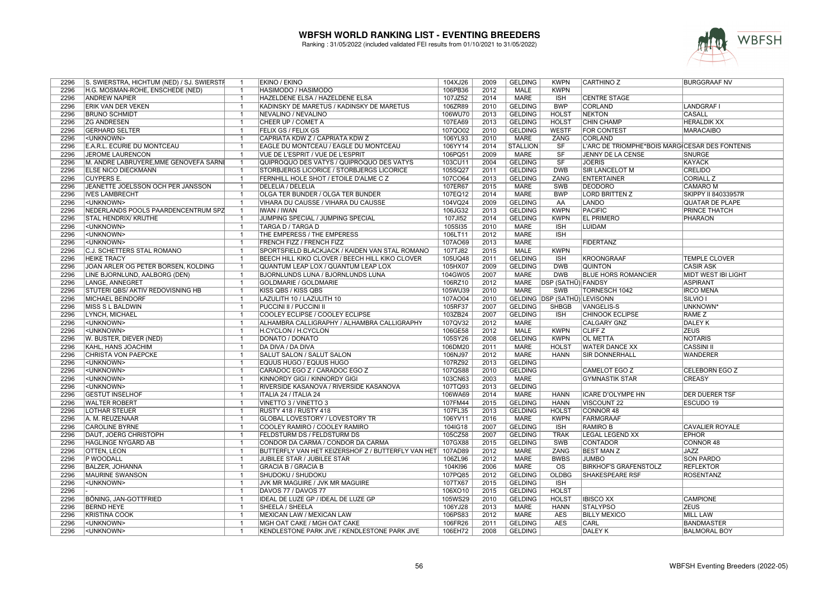

| 2296         | S. SWIERSTRA, HICHTUM (NED) / SJ. SWIERSTF | $\overline{1}$                   | <b>EKINO / EKINO</b>                                         | 104XJ26            | 2009         | <b>GELDING</b>                   | <b>KWPN</b>                  | <b>CARTHINO Z</b>                              | <b>BURGGRAAF NV</b>                    |
|--------------|--------------------------------------------|----------------------------------|--------------------------------------------------------------|--------------------|--------------|----------------------------------|------------------------------|------------------------------------------------|----------------------------------------|
| 2296         | H.G. MOSMAN-ROHE, ENSCHEDE (NED)           | $\overline{\mathbf{1}}$          | HASIMODO / HASIMODO                                          | 106PB36            | 2012         | <b>MALE</b>                      | <b>KWPN</b>                  |                                                |                                        |
| 2296         | <b>ANDREW NAPIER</b>                       | $\overline{1}$                   | HAZELDENE ELSA / HAZELDENE ELSA                              | 107JZ52            | 2014         | <b>MARE</b>                      | <b>ISH</b>                   | <b>CENTRE STAGE</b>                            |                                        |
| 2296         | <b>ERIK VAN DER VEKEN</b>                  | $\overline{1}$                   | KADINSKY DE MARETUS / KADINSKY DE MARETUS                    | 106ZR89            | 2010         | <b>GELDING</b>                   | <b>BWP</b>                   | <b>CORLAND</b>                                 | <b>LANDGRAF I</b>                      |
| 2296         | <b>BRUNO SCHMIDT</b>                       | $\overline{1}$                   | NEVALINO / NEVALINO                                          | 106WU70            | 2013         | <b>GELDING</b>                   | <b>HOLST</b>                 | <b>NEKTON</b>                                  | CASALL                                 |
| 2296         | <b>ZG ANDRESEN</b>                         | $\overline{1}$                   | CHEER UP / COMET A                                           | 107EA69            | 2013         | <b>GELDING</b>                   | <b>HOLST</b>                 | <b>CHIN CHAMP</b>                              | <b>HERALDIK XX</b>                     |
| 2296         | <b>GERHARD SELTER</b>                      | $\overline{1}$                   | FELIX GS / FELIX GS                                          | 107QO02            | 2010         | <b>GELDING</b>                   | <b>WESTF</b>                 | FOR CONTEST                                    | <b>MARACAIBO</b>                       |
| 2296         | <unknown></unknown>                        | $\overline{1}$                   | CAPRIATA KDW Z / CAPRIATA KDW Z                              | 106YL93            | 2010         | MARE                             | ZANG                         | <b>CORLAND</b>                                 |                                        |
| 2296         | E.A.R.L. ECURIE DU MONTCEAU                | $\overline{1}$                   | EAGLE DU MONTCEAU / EAGLE DU MONTCEAU                        | 106YY14            | 2014         | <b>STALLION</b>                  | SF                           | L'ARC DE TRIOMPHE*BOIS MARG CESAR DES FONTENIS |                                        |
| 2296         | <b>JEROME LAURENCON</b>                    | $\overline{1}$                   | VUE DE L'ESPRIT / VUE DE L'ESPRIT                            | 106PQ51            | 2009         | <b>MARE</b>                      | SF                           | JENNY DE LA CENSE                              | <b>SNURGE</b>                          |
| 2296         | M. ANDRE LABRUYERE, MME GENOVEFA SARNI     | $\overline{1}$                   | QUIPROQUO DES VATYS / QUIPROQUO DES VATYS                    | 103CU11            | 2004         | <b>GELDING</b>                   | SF                           | <b>JOERIS</b>                                  | <b>KAYACK</b>                          |
| 2296         | <b>ELSE NICO DIECKMANN</b>                 | -1                               | STORBJERGS LICORICE / STORBJERGS LICORICE                    | 105SQ27            | 2011         | <b>GELDING</b>                   | <b>DWB</b>                   | <b>SIR LANCELOT M</b>                          | CRELIDO                                |
| 2296         | <b>CUYPERS E.</b>                          | $\overline{1}$                   | FERNHILL HOLE SHOT / ETOILE D'ALME C Z                       | 107CO64            | 2013         | <b>GELDING</b>                   | <b>ZANG</b>                  | <b>ENTERTAINER</b>                             | <b>CORIALL Z</b>                       |
| 2296         | JEANETTE JOELSSON OCH PER JANSSON          | $\overline{1}$                   | DELELIA / DELELIA                                            | 107ER67            | 2015         | <b>MARE</b>                      | <b>SWB</b>                   | <b>DEODORO</b>                                 | <b>CAMARO M</b>                        |
| 2296         | <b>IVES LAMBRECHT</b>                      | $\overline{1}$                   | OLGA TER BUNDER / OLGA TER BUNDER                            | 107EQ12            | 2014         | <b>MARE</b>                      | <b>BWP</b>                   | <b>LORD BRITTEN Z</b>                          | <b>SKIPPY II 84033957R</b>             |
| 2296         | <unknown></unknown>                        | $\overline{1}$                   | VIHARA DU CAUSSE / VIHARA DU CAUSSE                          | 104VQ24            | 2009         | <b>GELDING</b>                   | AA                           | LANDO                                          | <b>QUATAR DE PLAPE</b>                 |
| 2296         | NEDERLANDS POOLS PAARDENCENTRUM SPZ        | $\overline{1}$                   | <b>IWAN / IWAN</b>                                           | 106JG32            | 2013         | <b>GELDING</b>                   | <b>KWPN</b>                  | <b>PACIFIC</b>                                 | <b>PRINCE THATCH</b>                   |
| 2296         | STAL HENDRIX/ KRIJTHE                      | $\overline{1}$                   | JUMPING SPECIAL / JUMPING SPECIAL                            | 107JI52            | 2014         | <b>GELDING</b>                   | <b>KWPN</b>                  | <b>EL PRIMERO</b>                              | PHARAON                                |
| 2296         | <unknown></unknown>                        | $\overline{1}$                   | TARGA D / TARGA D                                            | 105SI35            | 2010         | <b>MARE</b>                      | <b>ISH</b>                   | <b>LUIDAM</b>                                  |                                        |
| 2296         | <unknown></unknown>                        | $\overline{\mathbf{1}}$          | THE EMPERESS / THE EMPERESS                                  | 106LT11            | 2012         | <b>MARE</b>                      | <b>ISH</b>                   |                                                |                                        |
| 2296         | <unknown></unknown>                        | $\overline{1}$                   | FRENCH FIZZ / FRENCH FIZZ                                    | 107AO69            | 2013         | <b>MARE</b>                      |                              | <b>FIDERTANZ</b>                               |                                        |
| 2296         | C.J. SCHETTERS STAL ROMANO                 | $\overline{1}$                   | SPORTSFIELD BLACKJACK / KAIDEN VAN STAL ROMANO               | 107TJ82            | 2015         | <b>MALE</b>                      | <b>KWPN</b>                  |                                                |                                        |
| 2296         | <b>HEIKE TRACY</b>                         | $\overline{1}$                   | BEECH HILL KIKO CLOVER / BEECH HILL KIKO CLOVER              | 105UQ48            | 2011         | <b>GELDING</b>                   | <b>ISH</b>                   | <b>KROONGRAAF</b>                              | <b>TEMPLE CLOVER</b>                   |
| 2296         | JOAN ARLER OG PETER BORSEN, KOLDING        | $\overline{1}$                   | QUANTUM LEAP LOX / QUANTUM LEAP LOX                          | 105HX07            | 2009         | <b>GELDING</b>                   | <b>DWB</b>                   | <b>QUINTON</b>                                 | <b>CASIR ASK</b>                       |
| 2296         | LINE BJORNLUND, AALBORG (DEN)              | $\overline{1}$                   | <b>BJORNLUNDS LUNA / BJORNLUNDS LUNA</b>                     | 104GW05            | 2007         | <b>MARE</b>                      | <b>DWB</b>                   | <b>BLUE HORS ROMANCIER</b>                     | MIDT WEST IBI LIGHT                    |
| 2296         | LANGE, ANNEGRET                            | $\overline{1}$                   | <b>GOLDMARIE / GOLDMARIE</b>                                 | 106RZ10            | 2012         | <b>MARE</b>                      | DSP (SATHÜ) FANDSY           |                                                | <b>ASPIRANT</b>                        |
| 2296         | STUTERI QBS/ AKTIV REDOVISNING HB          | $\overline{1}$                   | KISS QBS / KISS QBS                                          | 105WU39            | 2010         | <b>MARE</b>                      | SWB                          | TORNESCH 1042                                  | <b>IRCO MENA</b>                       |
| 2296         | <b>MICHAEL BEINDORF</b>                    | $\overline{1}$                   | LAZULITH 10 / LAZULITH 10                                    | 107AO04            | 2010         |                                  | GELDING DSP (SATHÜ) LEVISONN |                                                | <b>SILVIO</b> I                        |
| 2296         | MISS S L BALDWIN                           | $\overline{1}$                   | PUCCINI II / PUCCINI II                                      | 105RF37            | 2007         | <b>GELDING</b>                   | <b>SHBGB</b>                 | <b>VANGELIS-S</b>                              | UNKNOWN <sup>®</sup>                   |
| 2296         | LYNCH, MICHAEL                             | $\overline{1}$                   | COOLEY ECLIPSE / COOLEY ECLIPSE                              | 103ZB24            | 2007         | <b>GELDING</b>                   | <b>ISH</b>                   | <b>CHINOOK ECLIPSE</b>                         | <b>RAME Z</b>                          |
| 2296         | <unknown></unknown>                        | $\overline{1}$                   | ALHAMBRA CALLIGRAPHY / ALHAMBRA CALLIGRAPHY                  | 107QV32            | 2012         | <b>MARE</b>                      |                              | <b>CALGARY GNZ</b>                             | <b>DALEY K</b>                         |
| 2296         | <unknown></unknown>                        | $\overline{1}$                   | H.CYCLON / H.CYCLON                                          | 106GE58            | 2012         | <b>MALE</b>                      | <b>KWPN</b>                  | <b>CLIFF<sub>Z</sub></b>                       | <b>ZEUS</b>                            |
| 2296         | W. BUSTER, DIEVER (NED)                    | $\overline{1}$                   | DONATO / DONATO                                              | 105SY26            | 2008         | <b>GELDING</b>                   | <b>KWPN</b>                  | <b>OL METTA</b>                                | NOTARIS                                |
| 2296         | KAHL, HANS JOACHIM                         | $\overline{1}$                   | DA DIVA / DA DIVA                                            | 106DM20            | 2011         | MARE                             | <b>HOLST</b>                 | <b>WATER DANCE XX</b>                          | <b>CASSINI II</b>                      |
| 2296         | CHRISTA VON PAEPCKE                        | $\overline{1}$                   | SALUT SALON / SALUT SALON                                    | 106NJ97            | 2012         | <b>MARE</b>                      | <b>HANN</b>                  | <b>SIR DONNERHALL</b>                          | <b>WANDERER</b>                        |
| 2296         | <unknown></unknown>                        | $\overline{1}$                   | EQUUS HUGO / EQUUS HUGO                                      | 107RZ92            | 2013         | <b>GELDING</b>                   |                              |                                                |                                        |
| 2296         | <unknown></unknown>                        | $\overline{1}$                   | CARADOC EGO Z / CARADOC EGO Z                                |                    | 2010         | <b>GELDING</b>                   |                              | <b>CAMELOT EGO Z</b>                           | CELEBORN EGO Z                         |
|              | <unknown></unknown>                        | $\overline{1}$                   | KINNORDY GIGI / KINNORDY GIGI                                | 107QS88            | 2003         | MARE                             |                              | GYMNASTIK STAR                                 | CREASY                                 |
| 2296<br>2296 | <unknown></unknown>                        | $\overline{1}$                   | RIVERSIDE KASANOVA / RIVERSIDE KASANOVA                      | 103CN63<br>107TQ93 | 2013         | <b>GELDING</b>                   |                              |                                                |                                        |
| 2296         | <b>GESTÜT INSELHOF</b>                     | $\overline{1}$                   | ITALIA 24 / ITALIA 24                                        | 106WA69            | 2014         | <b>MARE</b>                      | <b>HANN</b>                  | <b>ICARE D'OLYMPE HN</b>                       | <b>DER DUERER TSF</b>                  |
| 2296         | <b>WALTER ROBERT</b>                       | $\overline{1}$                   | VINETTO 3 / VINETTO 3                                        | 107FM44            | 2015         | <b>GELDING</b>                   | <b>HANN</b>                  | <b>VISCOUNT 22</b>                             | <b>ESCUDO 19</b>                       |
| 2296         | <b>LOTHAR STEUER</b>                       | $\overline{1}$                   | RUSTY 418 / RUSTY 418                                        | 107FL35            | 2013         | <b>GELDING</b>                   | <b>HOLST</b>                 | <b>CONNOR 48</b>                               |                                        |
| 2296         | A. M. REUZENAAR                            | $\overline{1}$                   | GLOBAL LOVESTORY / LOVESTORY TR                              | 106YV11            | 2016         | MARE                             | <b>KWPN</b>                  | <b>FARMGRAAF</b>                               |                                        |
| 2296         |                                            | $\overline{1}$                   |                                                              |                    |              |                                  | <b>ISH</b>                   |                                                |                                        |
| 2296         | <b>CAROLINE BYRNE</b>                      |                                  | COOLEY RAMIRO / COOLEY RAMIRO<br>FELDSTURM DS / FELDSTURM DS | 104IG18<br>105CZ58 | 2007<br>2007 | <b>GELDING</b><br><b>GELDING</b> | <b>TRAK</b>                  | <b>RAMIRO B</b><br>LEGAL LEGEND XX             | <b>CAVALIER ROYALE</b><br><b>EPHOR</b> |
| 2296         | <b>DAUT, JOERG CHRISTOPH</b>               | $\overline{1}$<br>$\overline{1}$ |                                                              | 107GX88            | 2015         | <b>GELDING</b>                   | SWB                          | <b>CONTADOR</b>                                |                                        |
| 2296         | HÄGLINGE NYGÅRD AB                         | $\overline{1}$                   | CONDOR DA CARMA / CONDOR DA CARMA                            |                    | 2012         |                                  |                              |                                                | CONNOR 48                              |
|              | <b>OTTEN, LEON</b>                         | $\overline{1}$                   | BUTTERFLY VAN HET KEIZERSHOF Z / BUTTERFLY VAN HET           | 107AD89            |              | MARE                             | ZANG                         | <b>BEST MAN Z</b>                              | <b>JAZZ</b>                            |
| 2296         | P WOODALL                                  |                                  | <b>JUBILEE STAR / JUBILEE STAR</b>                           | 106ZL96            | 2012         | <b>MARE</b>                      | <b>BWBS</b>                  | <b>JUMBO</b>                                   | <b>SON PARDO</b>                       |
| 2296         | <b>BALZER, JOHANNA</b>                     | $\overline{1}$                   | <b>GRACIA B / GRACIA B</b>                                   | 104KI96            | 2006         | <b>MARE</b>                      | $\overline{\text{OS}}$       | <b>BIRKHOF'S GRAFENSTOLZ</b>                   | <b>REFLEKTOR</b>                       |
| 2296         | <b>MAURINE SWANSON</b>                     | $\overline{1}$                   | SHUDOKU / SHUDOKU                                            | 107PQ85            | 2012         | <b>GELDING</b>                   | <b>OLDBG</b>                 | <b>SHAKESPEARE RSF</b>                         | <b>ROSENTANZ</b>                       |
| 2296         | <unknown></unknown>                        | -1                               | JVK MR MAGUIRE / JVK MR MAGUIRE                              | 107TX67            | 2015         | <b>GELDING</b>                   | <b>ISH</b>                   |                                                |                                        |
| 2296         |                                            | $\overline{1}$                   | DAVOS 77 / DAVOS 77                                          | 106XO10            | 2015         | <b>GELDING</b>                   | <b>HOLST</b>                 |                                                |                                        |
| 2296         | BÖNING, JAN-GOTTFRIED                      | $\overline{1}$                   | IDEAL DE LUZE GP / IDEAL DE LUZE GP                          | 105WS29            | 2010         | <b>GELDING</b>                   | <b>HOLST</b>                 | <b>IBISCO XX</b>                               | <b>CAMPIONE</b>                        |
| 2296         | <b>BERND HEYE</b>                          | $\overline{1}$                   | SHEELA / SHEELA                                              | 106YJ28            | 2013         | <b>MARE</b>                      | <b>HANN</b>                  | <b>STALYPSO</b>                                | <b>ZEUS</b>                            |
| 2296         | <b>KRISTINA COOK</b>                       | $\overline{1}$                   | MEXICAN LAW / MEXICAN LAW                                    | 106PS83            | 2012         | <b>MARE</b>                      | <b>AES</b>                   | <b>BILLY MEXICO</b>                            | MILL LAW                               |
| 2296         | <unknown></unknown>                        | $\overline{1}$                   | MGH OAT CAKE / MGH OAT CAKE                                  | 106FR26            | 2011         | <b>GELDING</b>                   | <b>AES</b>                   | CARL                                           | <b>BANDMASTER</b>                      |
| 2296         | <unknown></unknown>                        | $\overline{1}$                   | KENDLESTONE PARK JIVE / KENDLESTONE PARK JIVE                | 106EH72            | 2008         | <b>GELDING</b>                   |                              | <b>DALEY K</b>                                 | <b>BALMORAL BOY</b>                    |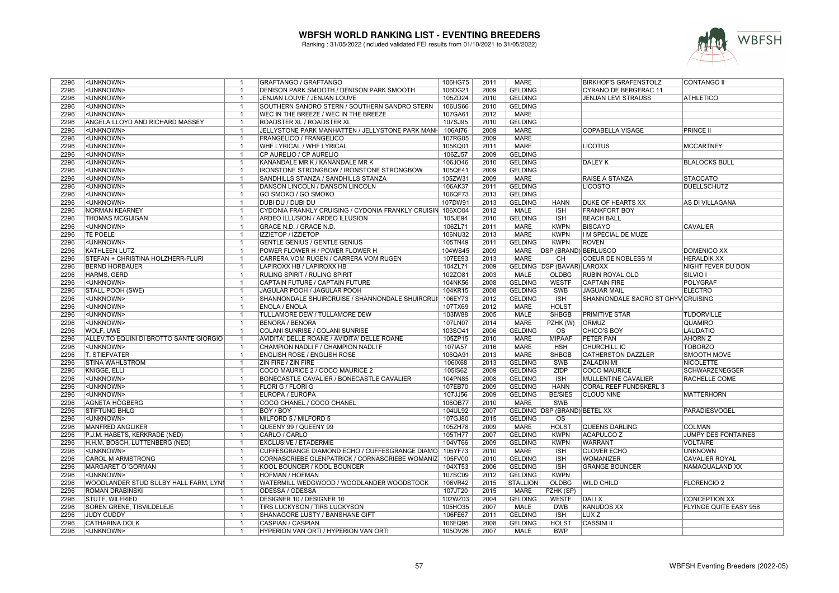

| 2296         | <unknown></unknown>                                   | -1             | GRAFTANGO / GRAFTANGO                                                          | 106HG75            | 2011         | MARE                          |                              | <b>BIRKHOF'S GRAFENSTOLZ</b>         | <b>CONTANGO II</b>                |
|--------------|-------------------------------------------------------|----------------|--------------------------------------------------------------------------------|--------------------|--------------|-------------------------------|------------------------------|--------------------------------------|-----------------------------------|
| 2296         | <unknown></unknown>                                   | $\overline{1}$ | DENISON PARK SMOOTH / DENISON PARK SMOOTH                                      | 106DG21            | 2009         | <b>GELDING</b>                |                              | CYRANO DE BERGERAC 11                |                                   |
| 2296         | <unknown></unknown>                                   | $\mathbf{1}$   | JENJAN LOUVE / JENJAN LOUVE                                                    | 105ZD24            | 2010         | <b>GELDING</b>                |                              | <b>JENJAN LEVI STRAUSS</b>           | <b>ATHLETICO</b>                  |
| 2296         | <unknown></unknown>                                   | $\overline{1}$ | SOUTHERN SANDRO STERN / SOUTHERN SANDRO STERN                                  | 106US66            | 2010         | <b>GELDING</b>                |                              |                                      |                                   |
| 2296         | <unknown></unknown>                                   | $\overline{1}$ | WEC IN THE BREEZE / WEC IN THE BREEZE                                          | 107GA61            | 2012         | <b>MARE</b>                   |                              |                                      |                                   |
| 2296         | ANGELA LLOYD AND RICHARD MASSEY                       | $\overline{1}$ | <b>ROADSTER XL / ROADSTER XL</b>                                               | 107SJ95            | 2010         | <b>GELDING</b>                |                              |                                      |                                   |
| 2296         | <unknown></unknown>                                   | $\overline{1}$ | JELLYSTONE PARK MANHATTEN / JELLYSTONE PARK MANH                               | 106AI76            | 2009         | <b>MARE</b>                   |                              | <b>COPABELLA VISAGE</b>              | <b>PRINCE II</b>                  |
| 2296         | <unknown></unknown>                                   | $\overline{1}$ | <b>FRANGELICO / FRANGELICO</b>                                                 | 107RG05            | 2009         | <b>MARE</b>                   |                              |                                      |                                   |
| 2296         | <unknown></unknown>                                   | $\mathbf 1$    | WHF LYRICAL / WHF LYRICAL                                                      | 105KQ01            | 2011         | <b>MARE</b>                   |                              | <b>LICOTUS</b>                       | <b>MCCARTNEY</b>                  |
| 2296         | <unknown></unknown>                                   | $\overline{1}$ | CP AURELIO / CP AURELIO                                                        | 106ZJ57            | 2009         | <b>GELDING</b>                |                              |                                      |                                   |
| 2296         | <unknown></unknown>                                   | $\overline{1}$ | KANANDALE MR K / KANANDALE MR K                                                | 106JO46            | 2010         | <b>GELDING</b>                |                              | <b>DALEY K</b>                       | <b>BLALOCKS BULL</b>              |
| 2296         | <unknown></unknown>                                   | -1             |                                                                                |                    | 2009         | <b>GELDING</b>                |                              |                                      |                                   |
|              |                                                       |                | <b>IRONSTONE STRONGBOW / IRONSTONE STRONGBOW</b>                               | 105QE41            |              |                               |                              |                                      |                                   |
| 2296         | <unknown></unknown>                                   | $\mathbf{1}$   | SANDHILLS STANZA / SANDHILLS STANZA                                            | 105ZW31            | 2009         | <b>MARE</b>                   |                              | RAISE A STANZA                       | <b>STACCATO</b>                   |
| 2296         | <unknown></unknown>                                   | $\overline{1}$ | DANSON LINCOLN / DANSON LINCOLN                                                | 106AK37            | 2011         | <b>GELDING</b>                |                              | <b>LICOSTO</b>                       | <b>DUELLSCHUTZ</b>                |
| 2296         | <unknown></unknown>                                   | $\overline{1}$ | GO SMOKO / GO SMOKO                                                            | 106QF73            | 2013         | <b>GELDING</b>                |                              |                                      |                                   |
| 2296         | <unknown></unknown>                                   | $\overline{1}$ | DUBI DU / DUBI DU                                                              | 107DW91            | 2013         | <b>GELDING</b>                | <b>HANN</b>                  | DUKE OF HEARTS XX                    | AS DI VILLAGANA                   |
| 2296         | <b>NORMAN KEARNEY</b>                                 | $\overline{1}$ | CYDONIA FRANKLY CRUISING / CYDONIA FRANKLY CRUISIN 106XO04                     |                    | 2012         | <b>MALE</b>                   | <b>ISH</b>                   | <b>FRANKFORT BOY</b>                 |                                   |
| 2296         | <b>THOMAS MCGUIGAN</b>                                | $\overline{1}$ | ARDEO ILLUSION / ARDEO ILLUSION                                                | 105JE94            | 2010         | <b>GELDING</b>                | <b>ISH</b>                   | <b>BEACH BALL</b>                    |                                   |
| 2296         | <unknown></unknown>                                   | $\overline{1}$ | GRACE N.D. / GRACE N.D.                                                        | 106ZL71            | 2011         | <b>MARE</b>                   | <b>KWPN</b>                  | <b>BISCAYO</b>                       | <b>CAVALIER</b>                   |
| 2296         | <b>TE POELE</b>                                       | $\overline{1}$ | <b>IZZIETOP / IZZIETOP</b>                                                     | 106NU32            | 2013         | <b>MARE</b>                   | <b>KWPN</b>                  | I M SPECIAL DE MUZE                  |                                   |
| 2296         | <unknown></unknown>                                   | $\overline{1}$ | <b>GENTLE GENIUS / GENTLE GENIUS</b>                                           | 105TN49            | 2011         | <b>GELDING</b>                | <b>KWPN</b>                  | <b>ROVEN</b>                         |                                   |
| 2296         | <b>KATHLEEN LUTZ</b>                                  | $\overline{1}$ | POWER FLOWER H / POWER FLOWER H                                                | 104WS45            | 2009         | <b>MARE</b>                   | <b>DSP (BRAND) BERLUSCO</b>  |                                      | <b>DOMENICO XX</b>                |
| 2296         | STEFAN + CHRISTINA HOLZHERR-FLURI                     | $\overline{1}$ | CARRERA VOM RUGEN / CARRERA VOM RUGEN                                          | 107EE93            | 2013         | <b>MARE</b>                   | CH                           | <b>COEUR DE NOBLESS M</b>            | <b>HERALDIK XX</b>                |
| 2296         | <b>BERND HORBAUER</b>                                 | $\overline{1}$ | LAPIROXX HB / LAPIROXX HB                                                      | 104ZL71            | 2009         |                               | GELDING DSP (BAVAR) LAROXX   |                                      | NIGHT FEVER DU DON                |
| 2296         | HARMS, GERD                                           | $\mathbf{1}$   | RULING SPIRIT / RULING SPIRIT                                                  | 102ZO81            | 2003         | <b>MALE</b>                   | OLDBG                        | RUBIN ROYAL OLD                      | SILVIO I                          |
| 2296         | <unknown></unknown>                                   | $\overline{1}$ | CAPTAIN FUTURE / CAPTAIN FUTURE                                                | 104NK56            | 2008         | <b>GELDING</b>                | <b>WESTF</b>                 | <b>CAPTAIN FIRE</b>                  | <b>POLYGRAF</b>                   |
| 2296         | <b>STALL POOH (SWE)</b>                               | $\overline{1}$ | JAGULAR POOH / JAGULAR POOH                                                    | 104KR15            | 2008         | <b>GELDING</b>                | <b>SWB</b>                   | <b>JAGUAR MAIL</b>                   | <b>ELECTRO</b>                    |
| 2296         | <unknown></unknown>                                   | -1             | SHANNONDALE SHUIRCRUISE / SHANNONDALE SHUIRCRUI                                | 106EY73            | 2012         | <b>GELDING</b>                | <b>ISH</b>                   | SHANNONDALE SACRO ST GHYV CRUISING   |                                   |
| 2296         | <unknown></unknown>                                   | $\overline{1}$ | <b>ENOLA / ENOLA</b>                                                           | 107TX69            | 2012         | <b>MARE</b>                   | <b>HOLST</b>                 |                                      |                                   |
| 2296         | <unknown></unknown>                                   | $\mathbf{1}$   | <b>TULLAMORE DEW / TULLAMORE DEW</b>                                           | 103IW88            | 2005         | <b>MALE</b>                   | <b>SHBGB</b>                 | <b>PRIMITIVE STAR</b>                | <b>TUDORVILLE</b>                 |
| 2296         | <unknown></unknown>                                   | $\overline{1}$ | <b>BENORA / BENORA</b>                                                         | 107LN07            | 2014         | <b>MARE</b>                   | PZHK (W)                     | ORMUZ                                | <b>QUAMIRO</b>                    |
| 2296         | WOLF, UWE                                             | $\mathbf{1}$   | COLANI SUNRISE / COLANI SUNRISE                                                | 103SO41            | 2006         | <b>GELDING</b>                | $\overline{\text{os}}$       | <b>CHICO'S BOY</b>                   | <b>LAUDATIO</b>                   |
| 2296         | ALLEV.TO EQUINI DI BROTTO SANTE GIORGIO               | $\mathbf{1}$   | AVIDITA' DELLE ROANE / AVIDITA' DELLE ROANE                                    | 105ZP15            | 2010         | <b>MARE</b>                   | <b>MIPAAF</b>                | PETER PAN                            | <b>AHORN Z</b>                    |
| 2296         | <unknown></unknown>                                   | $\overline{1}$ | CHAMPION NADLI F / CHAMPION NADLI F                                            | 107IA57            | 2016         | <b>MARE</b>                   | <b>HSH</b>                   | CHURCHILL IC                         | <b>TOBORZO</b>                    |
| 2296         | <b>T. STIEFVATER</b>                                  | $\overline{1}$ | <b>ENGLISH ROSE / ENGLISH ROSE</b>                                             | 106QA91            | 2013         | <b>MARE</b>                   | <b>SHBGB</b>                 | <b>CATHERSTON DAZZLER</b>            | <b>SMOOTH MOVE</b>                |
| 2296         | STINA WAHLSTRÖM                                       | $\overline{1}$ | <b>ZIN FIRE / ZIN FIRE</b>                                                     | 106IX68            | 2013         | <b>GELDING</b>                | SWB                          | <b>ZALADIN MI</b>                    | <b>NICOLETTE</b>                  |
| 2296         | <b>KNIGGE, ELLI</b>                                   | $\overline{1}$ | COCO MAURICE 2 / COCO MAURICE 2                                                | 105IS62            | 2009         | <b>GELDING</b>                | ZfDP                         | <b>COCO MAURICE</b>                  | <b>SCHWARZENEGGER</b>             |
| 2296         | <unknown></unknown>                                   | -1             | BONECASTLE CAVALIER / BONECASTLE CAVALIER                                      | 104PN85            | 2008         | <b>GELDING</b>                | <b>ISH</b>                   | MULLENTINE CAVALIER                  | RACHELLE COME                     |
| 2296         | <unknown></unknown>                                   | $\overline{1}$ | <b>FLORI G / FLORI G</b>                                                       | 107EB70            | 2009         | <b>GELDING</b>                | <b>HANN</b>                  | <b>CORAL REEF FUNDSKERL 3</b>        |                                   |
| 2296         | <unknown></unknown>                                   | $\overline{1}$ | EUROPA / EUROPA                                                                | 107JJ56            | 2009         | <b>GELDING</b>                | <b>BE/SIES</b>               | <b>CLOUD NINE</b>                    | <b>MATTERHORN</b>                 |
| 2296         | <b>AGNETA HÖGBERG</b>                                 |                | COCO CHANEL / COCO CHANEL                                                      | 106OB77            | 2010         | <b>MARE</b>                   | <b>SWB</b>                   |                                      |                                   |
| 2296         | <b>STIFTUNG BHLG</b>                                  | $\overline{1}$ | <b>BOY / BOY</b>                                                               | 104UL92            | 2007         |                               | GELDING DSP (BRAND) BETEL XX |                                      | PARADIESVOGEL                     |
| 2296         | <unknown></unknown>                                   | $\overline{1}$ | MILFORD 5 / MILFORD 5                                                          | 107GJ80            | 2015         | <b>GELDING</b>                | <b>OS</b>                    |                                      |                                   |
| 2296         | <b>MANFRED ANGLIKER</b>                               | $\overline{1}$ | QUEENY 99 / QUEENY 99                                                          | 105ZH78            | 2009         | <b>MARE</b>                   | <b>HOLST</b>                 | <b>QUEENS DARLING</b>                | <b>COLMAN</b>                     |
| 2296         | P.J.M. HABETS, KERKRADE (NED)                         | $\overline{1}$ | CARLO / CARLO                                                                  | 105TH77            | 2007         | <b>GELDING</b>                | <b>KWPN</b>                  | <b>ACAPULCO Z</b>                    | JUMPY DES FONTAINES               |
|              |                                                       | $\overline{1}$ |                                                                                |                    |              |                               |                              |                                      |                                   |
| 2296<br>2296 | H.H.M. BOSCH, LUTTENBERG (NED)<br><unknown></unknown> | $\mathbf{1}$   | <b>EXCLUSIVE / ETADERMIE</b><br>CUFFESGRANGE DIAMOND ECHO / CUFFESGRANGE DIAMO | 104VT66<br>105YF73 | 2009<br>2010 | <b>GELDING</b><br><b>MARE</b> | <b>KWPN</b><br><b>ISH</b>    | <b>WARRANT</b><br><b>CLOVER ECHO</b> | <b>VOLTAIRE</b><br><b>UNKNOWN</b> |
|              |                                                       |                |                                                                                |                    |              |                               |                              |                                      |                                   |
| 2296         | <b>CAROL M ARMSTRONG</b>                              | -1             | CORNASCRIEBE GLENPATRICK / CORNASCRIEBE WOMANIZ 105FV00                        |                    | 2010         | <b>GELDING</b>                | <b>ISH</b>                   | <b>WOMANIZER</b>                     | <b>CAVALIER ROYAL</b>             |
| 2296         | MARGARET O'GORMAN                                     | $\overline{1}$ | KOOL BOUNCER / KOOL BOUNCER                                                    | 104XT53            | 2006         | <b>GELDING</b>                | <b>ISH</b>                   | <b>GRANGE BOUNCER</b>                | NAMAQUALAND XX                    |
| 2296         | <unknown></unknown>                                   | $\mathbf{1}$   | <b>HOFMAN / HOFMAN</b>                                                         | 107SC09            | 2012         | <b>GELDING</b>                | <b>KWPN</b>                  |                                      |                                   |
| 2296         | WOODLANDER STUD SULBY HALL FARM, LYNN                 | $\overline{1}$ | WATERMILL WEDGWOOD / WOODLANDER WOODSTOCK                                      | 106VR42            | 2015         | <b>STALLION</b>               | <b>OLDBG</b>                 | <b>WILD CHILD</b>                    | <b>FLORENCIO 2</b>                |
| 2296         | ROMAN DRABINSKI                                       | $\overline{1}$ | <b>ODESSA / ODESSA</b>                                                         | 107JT20            | 2015         | <b>MARE</b>                   | PZHK (SP)                    |                                      |                                   |
| 2296         | <b>STUTE, WILFRIED</b>                                | $\overline{1}$ | DESIGNER 10 / DESIGNER 10                                                      | 102WZ03            | 2004         | <b>GELDING</b>                | <b>WESTF</b>                 | DALI X                               | <b>CONCEPTION XX</b>              |
| 2296         | SOREN GRENE, TISVILDELEJE                             | $\mathbf{1}$   | TIRS LUCKYSON / TIRS LUCKYSON                                                  | 105HO35            | 2007         | <b>MALE</b>                   | <b>DWB</b>                   | <b>KANUDOS XX</b>                    | FLYINGE QUITE EASY 958            |
| 2296         | <b>JUDY CUDDY</b>                                     |                | SHANAGORE LUSTY / BANSHANE GIFT                                                | 106FE67            | 2011         | <b>GELDING</b>                | <b>ISH</b>                   | LUX <sub>Z</sub>                     |                                   |
| 2296         | <b>CATHARINA DOLK</b>                                 | $\overline{1}$ | CASPIAN / CASPIAN                                                              | 106EQ95            | 2008         | <b>GELDING</b>                | <b>HOLST</b>                 | <b>CASSINI II</b>                    |                                   |
| 2296         | <unknown></unknown>                                   | $\mathbf{1}$   | HYPERION VAN ORTI / HYPERION VAN ORTI                                          | 105OV26            | 2007         | <b>MALE</b>                   | <b>BWP</b>                   |                                      |                                   |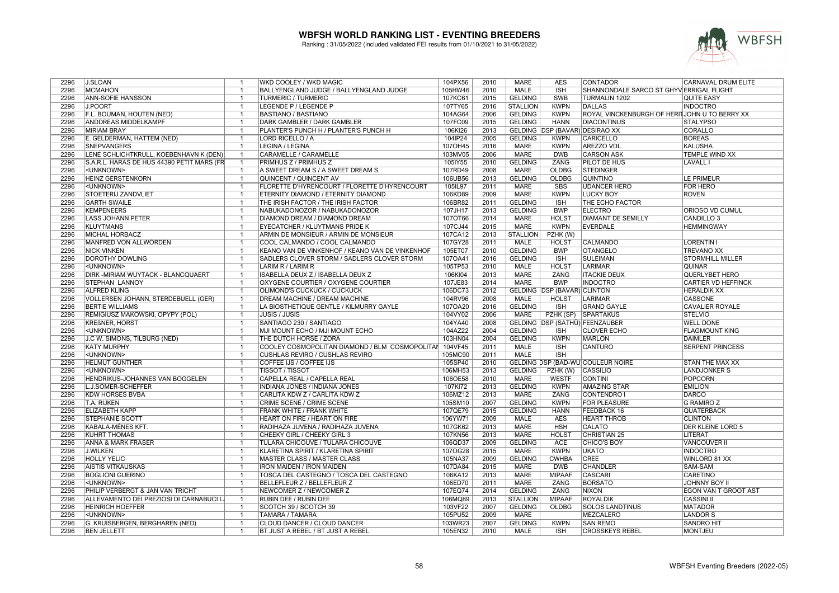

| 2296 | <b>J.SLOAN</b>                             | $\mathbf{1}$   | WKD COOLEY / WKD MAGIC                          | 104PX56 | 2010 | <b>MARE</b>     | <b>AES</b>                     | <b>CONTADOR</b>                               | CARNAVAL DRUM ELITE         |
|------|--------------------------------------------|----------------|-------------------------------------------------|---------|------|-----------------|--------------------------------|-----------------------------------------------|-----------------------------|
| 2296 | <b>MCMAHON</b>                             | $\mathbf{1}$   | BALLYENGLAND JUDGE / BALLYENGLAND JUDGE         | 105HW46 | 2010 | <b>MALE</b>     | <b>ISH</b>                     | SHANNONDALE SARCO ST GHYV ERRIGAL FLIGHT      |                             |
| 2296 | <b>ANN-SOFIE HANSSON</b>                   | $\overline{1}$ | <b>TURMERIC / TURMERIC</b>                      | 107KC61 | 2015 | <b>GELDING</b>  | <b>SWB</b>                     | <b>TURMALIN 1202</b>                          | <b>QUITE EASY</b>           |
| 2296 | <b>J.POORT</b>                             | $\overline{1}$ | LEGENDE P / LEGENDE P                           | 107TY65 | 2016 | <b>STALLION</b> | <b>KWPN</b>                    | <b>DALLAS</b>                                 | <b>INDOCTRO</b>             |
| 2296 | F.L. BOUMAN, HOUTEN (NED)                  | $\overline{1}$ | <b>BASTIANO / BASTIANO</b>                      | 104AG64 | 2006 | <b>GELDING</b>  | <b>KWPN</b>                    | ROYAL VINCKENBURGH OF HERITJOHN U TO BERRY XX |                             |
| 2296 | ANDDREAS MIDDELKAMPF                       | $\overline{1}$ | DARK GAMBLER / DARK GAMBLER                     | 107FC09 | 2015 | <b>GELDING</b>  | <b>HANN</b>                    | <b>DIACONTINUS</b>                            | <b>STALYPSO</b>             |
| 2296 | <b>MIRIAM BRAY</b>                         | $\overline{1}$ | PLANTER'S PUNCH H / PLANTER'S PUNCH H           | 106KI26 | 2013 |                 | GELDING DSP (BAVAR) DESIRAO XX |                                               | CORALLO                     |
| 2296 | E. GELDERMAN, HATTEM (NED)                 | $\overline{1}$ | LORD RICELLO / A                                | 104IP24 | 2005 | <b>GELDING</b>  | <b>KWPN</b>                    | CARICELLO                                     | <b>BOREAS</b>               |
| 2296 | <b>SNEPVANGERS</b>                         | $\mathbf{1}$   | LEGINA / LEGINA                                 | 107OH45 | 2016 | <b>MARE</b>     | <b>KWPN</b>                    | <b>AREZZO VDL</b>                             | <b>KALUSHA</b>              |
| 2296 | LENE SCHLICHTKRULL, KOEBENHAVN K (DEN)     | $\mathbf{1}$   | CARAMELLE / CARAMELLE                           | 103MV05 | 2006 | <b>MARE</b>     | <b>DWB</b>                     | <b>CARSON ASK</b>                             | TEMPLE WIND XX              |
| 2296 | S.A.R.L. HARAS DE HUS 44390 PETIT MARS (FR | $\overline{1}$ | PRIMHUS Z / PRIMHUS Z                           | 105IY55 | 2010 | <b>GELDING</b>  | ZANG                           | <b>PILOT DE HUS</b>                           | <b>LAVALL I</b>             |
| 2296 | <unknown></unknown>                        | $\overline{1}$ | A SWEET DREAM S / A SWEET DREAM S               | 107RD49 | 2008 | <b>MARE</b>     | OLDBG                          | <b>STEDINGER</b>                              |                             |
| 2296 | <b>HEINZ GERSTENKORN</b>                   | $\mathbf{1}$   | QUINCENT / QUINCENT AV                          | 106UB56 | 2013 | <b>GELDING</b>  | <b>OLDBG</b>                   | <b>QUINTINO</b>                               | <b>LE PRIMEUR</b>           |
| 2296 | <unknown></unknown>                        | $\overline{1}$ | FLORETTE D'HYRENCOURT / FLORETTE D'HYRENCOURT   | 105IL97 | 2011 | <b>MARE</b>     | <b>SBS</b>                     | <b>UDANCER HERO</b>                           | <b>FOR HERO</b>             |
| 2296 | <b>STOETERIJ ZANDVLIET</b>                 | $\overline{1}$ | ETERNITY DIAMOND / ETERNITY DIAMOND             | 106KD89 | 2009 | <b>MARE</b>     | <b>KWPN</b>                    | <b>LUCKY BOY</b>                              | <b>ROVEN</b>                |
| 2296 | <b>GARTH SWAILE</b>                        | $\overline{1}$ | THE IRISH FACTOR / THE IRISH FACTOR             | 106BR82 | 2011 | <b>GELDING</b>  | <b>ISH</b>                     | THE ECHO FACTOR                               |                             |
| 2296 |                                            |                |                                                 |         | 2013 |                 | <b>BWP</b>                     |                                               |                             |
|      | <b>KEMPENEERS</b>                          | $\overline{1}$ | NABUKADONOZOR / NABUKADONOZOR                   | 107JH17 |      | <b>GELDING</b>  |                                | <b>ELECTRO</b>                                | ORIOSO VD CUMUL             |
| 2296 | <b>LASS JOHANN PETER</b>                   | $\overline{1}$ | DIAMOND DREAM / DIAMOND DREAM                   | 107OT66 | 2014 | <b>MARE</b>     | <b>HOLST</b>                   | <b>DIAMANT DE SEMILLY</b>                     | CANDILLO <sub>3</sub>       |
| 2296 | <b>KLUYTMANS</b>                           | $\overline{1}$ | EYECATCHER / KLUYTMANS PRIDE K                  | 107CJ44 | 2015 | <b>MARE</b>     | <b>KWPN</b>                    | <b>EVERDALE</b>                               | <b>HEMMINGWAY</b>           |
| 2296 | <b>MICHAL HORBACZ</b>                      | $\overline{1}$ | ARMIN DE MONSIEUR / ARMIN DE MONSIEUR           | 107CA12 | 2013 | STALLION        | PZHK (W)                       |                                               |                             |
| 2296 | MANFRED VON ALLWÖRDEN                      | $\overline{1}$ | COOL CALMANDO / COOL CALMANDO                   | 107GY28 | 2011 | <b>MALE</b>     | <b>HOLST</b>                   | <b>CALMANDO</b>                               | <b>LORENTIN I</b>           |
| 2296 | <b>NICK VINKEN</b>                         | $\overline{1}$ | KEANO VAN DE VINKENHOF / KEANO VAN DE VINKENHOF | 105ET07 | 2010 | <b>GELDING</b>  | <b>BWP</b>                     | <b>OTANGELO</b>                               | <b>TREVANO XX</b>           |
| 2296 | <b>DOROTHY DOWLING</b>                     | $\mathbf{1}$   | SADLERS CLOVER STORM / SADLERS CLOVER STORM     | 107OA41 | 2016 | <b>GELDING</b>  | <b>ISH</b>                     | <b>SULEIMAN</b>                               | <b>STORMHILL MILLER</b>     |
| 2296 | <unknown></unknown>                        | $\overline{1}$ | LARIM R / LARIM R                               | 105TP53 | 2010 | MALE            | <b>HOLST</b>                   | <b>LARIMAR</b>                                | <b>QUINAR</b>               |
| 2296 | DIRK - MIRIAM WUYTACK - BLANCQUAERT        | $\overline{1}$ | ISABELLA DEUX Z / ISABELLA DEUX Z               | 106KI04 | 2013 | <b>MARE</b>     | ZANG                           | <b>ITACKIE DEUX</b>                           | QUERLYBET HERO              |
| 2296 | <b>STEPHAN LANNOY</b>                      | $\overline{1}$ | OXYGENE COURTIER / OXYGENE COURTIER             | 107JE83 | 2014 | <b>MARE</b>     | <b>BWP</b>                     | <b>INDOCTRO</b>                               | CARTIER VD HEFFINCK         |
| 2296 | <b>ALFRED KLING</b>                        | $\overline{1}$ | OLIMOND'S CUCKUCK / CUCKUCK                     | 106DC73 | 2012 |                 | GELDING   DSP (BAVAR) CLINTON  |                                               | <b>HERALDIK XX</b>          |
| 2296 | VOLLERSEN JOHANN, STERDEBUELL (GER)        | $\mathbf{1}$   | DREAM MACHINE / DREAM MACHINE                   | 104RV96 | 2008 | <b>MALE</b>     | <b>HOLST</b>                   | LARIMAR                                       | <b>CASSONE</b>              |
| 2296 | <b>BERTIE WILLIAMS</b>                     | $\overline{1}$ | LA BIOSTHETIQUE GENTLE / KILMURRY GAYLE         | 107OA20 | 2016 | <b>GELDING</b>  | <b>ISH</b>                     | <b>GRAND GAYLE</b>                            | <b>CAVALIER ROYALE</b>      |
| 2296 | REMIGIUSZ MAKOWSKI, OPYPY (POL)            | $\overline{1}$ | <b>JUSIS / JUSIS</b>                            | 104VY02 | 2006 | <b>MARE</b>     |                                | PZHK (SP) SPARTAKUS                           | <b>STELVIO</b>              |
| 2296 | <b>KREßNER, HORST</b>                      | $\overline{1}$ | SANTIAGO 230 / SANTIAGO                         | 104YA40 | 2008 |                 |                                | GELDING DSP (SATHÜ) FEENZAUBER                | <b>WELL DONE</b>            |
| 2296 | <unknown></unknown>                        | $\mathbf{1}$   | MJI MOUNT ECHO / MJI MOUNT ECHO                 | 104AZ22 | 2004 | <b>GELDING</b>  | <b>ISH</b>                     | <b>CLOVER ECHO</b>                            | <b>FLAGMOUNT KING</b>       |
| 2296 | J.C W. SIMONS, TILBURG (NED)               | $\mathbf{1}$   | THE DUTCH HORSE / ZORA                          | 103HN04 | 2004 | <b>GELDING</b>  | <b>KWPN</b>                    | <b>MARLON</b>                                 | <b>DAIMLER</b>              |
| 2296 | <b>KATY MURPHY</b>                         | $\mathbf{1}$   | COOLEY COSMOPOLITAN DIAMOND / BLM COSMOPOLITAI  | 104VF45 | 2011 | <b>MALE</b>     | <b>ISH</b>                     | CANTURO                                       | <b>SERPENT PRINCESS</b>     |
| 2296 | <unknown></unknown>                        | $\mathbf{1}$   | CUSHLAS REVIRO / CUSHLAS REVIRO                 | 105MC90 | 2011 | <b>MALE</b>     | $\overline{\mathsf{ISH}}$      |                                               |                             |
| 2296 | HELMUT GÜNTHER                             | $\overline{1}$ | COFFEE IJS / COFFEE IJS                         | 105SP40 | 2010 |                 |                                | GELDING DSP (BAD-WÜ)COULEUR NOIRE             | STAN THE MAX XX             |
| 2296 | <unknown></unknown>                        | $\mathbf{1}$   | <b>TISSOT / TISSOT</b>                          | 106MH53 | 2013 | <b>GELDING</b>  | PZHK (W)                       | <b>CASSILIO</b>                               | <b>LANDJONKER S</b>         |
| 2296 | HENDRIKUS-JOHANNES VAN BOGGELEN            | $\overline{1}$ | CAPELLA REAL / CAPELLA REAL                     | 106OE58 | 2010 | <b>MARE</b>     | <b>WESTF</b>                   | <b>CONTINI</b>                                | <b>POPCORN</b>              |
| 2296 | L.J.SOMER-SCHEFFER                         | $\overline{1}$ | <b>INDIANA JONES / INDIANA JONES</b>            | 107KI72 | 2013 | <b>GELDING</b>  | <b>KWPN</b>                    | <b>AMAZING STAR</b>                           | <b>EMILION</b>              |
| 2296 | <b>KDW HORSES BVBA</b>                     | $\overline{1}$ | CARLITA KDW Z / CARLITA KDW Z                   | 106MZ12 | 2013 | <b>MARE</b>     | ZANG                           | <b>CONTENDRO</b>                              | <b>DARCO</b>                |
| 2296 | T.A. RIJKEN                                | -1             | <b>CRIME SCENE / CRIME SCENE</b>                | 105SM10 | 2007 | <b>GELDING</b>  | <b>KWPN</b>                    | <b>FOR PLEASURE</b>                           | <b>G RAMIRO Z</b>           |
| 2296 | <b>ELIZABETH KAPP</b>                      | $\mathbf{1}$   | FRANK WHITE / FRANK WHITE                       | 107QE79 | 2015 | <b>GELDING</b>  | <b>HANN</b>                    | FEEDBACK 16                                   | <b>QUATERBACK</b>           |
| 2296 | <b>STEPHANIE SCOTT</b>                     | $\mathbf{1}$   | HEART ON FIRE / HEART ON FIRE                   | 106YW71 | 2009 | <b>MALE</b>     | <b>AES</b>                     | <b>HEART THROB</b>                            | <b>CLINTON</b>              |
| 2296 | KABALA-MÉNES KFT.                          | $\overline{1}$ | RADIHAZA JUVENA / RADIHAZA JUVENA               | 107GK62 | 2013 | <b>MARE</b>     | <b>HSH</b>                     | <b>CALATO</b>                                 | <b>DER KLEINE LORD 5</b>    |
| 2296 | <b>KUHRT THOMAS</b>                        | $\overline{1}$ | CHEEKY GIRL / CHEEKY GIRL 3                     | 107KN56 | 2013 | <b>MARE</b>     | <b>HOLST</b>                   | CHRISTIAN 25                                  | LITERAT                     |
| 2296 | ANNA & MARK FRASER                         | $\mathbf{1}$   | TULARA CHICOUVE / TULARA CHICOUVE               | 106QD37 | 2009 | <b>GELDING</b>  | <b>ACE</b>                     | CHICO'S BOY                                   | <b>VANCOUVER II</b>         |
| 2296 | <b>J.WILKEN</b>                            | $\mathbf{1}$   | KLARETINA SPIRIT / KLARETINA SPIRIT             | 107OG28 | 2015 | <b>MARE</b>     | <b>KWPN</b>                    | <b>UKATO</b>                                  | <b>INDOCTRO</b>             |
| 2296 | <b>HOLLY YELIC</b>                         | $\overline{1}$ | <b>MASTER CLASS / MASTER CLASS</b>              | 105NA37 | 2009 | <b>GELDING</b>  | <b>CWHBA</b>                   | <b>CREE</b>                                   | WINLORD 81 XX               |
| 2296 | <b>AISTIS VITKAUSKAS</b>                   | $\mathbf{1}$   | <b>IRON MAIDEN / IRON MAIDEN</b>                | 107DA84 | 2015 | <b>MARE</b>     | <b>DWB</b>                     | <b>CHANDLER</b>                               | SAM-SAM                     |
| 2296 |                                            | $\mathbf{1}$   |                                                 |         | 2013 | <b>MARE</b>     | <b>MIPAAF</b>                  | <b>CASCARI</b>                                | <b>CARETINO</b>             |
|      | <b>BOGLIONI GUERINO</b>                    |                | TOSCA DEL CASTEGNO / TOSCA DEL CASTEGNO         | 106KA12 |      |                 |                                |                                               |                             |
| 2296 | <unknown></unknown>                        | $\mathbf{1}$   | BELLEFLEUR Z / BELLEFLEUR Z                     | 106ED70 | 2011 | <b>MARE</b>     | ZANG                           | <b>BORSATO</b>                                | <b>JOHNNY BOY II</b>        |
| 2296 | PHILIP VERBERGT & JAN VAN TRICHT           | $\mathbf{1}$   | NEWCOMER Z / NEWCOMER Z                         | 107EQ74 | 2014 | <b>GELDING</b>  | ZANG                           | <b>NIXON</b>                                  | <b>EGON VAN T GROOT AST</b> |
| 2296 | ALLEVAMENTO DEI PREZIOSI DI CARNABUCI L    | $\overline{1}$ | RUBIN DEE / RUBIN DEE                           | 106MQ89 | 2013 | <b>STALLION</b> | <b>MIPAAF</b>                  | <b>ROYALDIK</b>                               | <b>CASSINI II</b>           |
| 2296 | <b>HEINRICH HOEFFER</b>                    | $\overline{1}$ | SCOTCH 39 / SCOTCH 39                           | 103VF22 | 2007 | <b>GELDING</b>  | <b>OLDBG</b>                   | <b>SOLOS LANDTINUS</b>                        | <b>MATADOR</b>              |
| 2296 | <unknown></unknown>                        | $\overline{1}$ | <b>TAMARA / TAMARA</b>                          | 105PU52 | 2009 | <b>MARE</b>     |                                | MEZCALERO                                     | <b>LANDOR S</b>             |
| 2296 | G. KRUISBERGEN, BERGHAREN (NED)            | $\mathbf{1}$   | CLOUD DANCER / CLOUD DANCER                     | 103WR23 | 2007 | <b>GELDING</b>  | <b>KWPN</b>                    | <b>SAN REMO</b>                               | <b>SANDRO HIT</b>           |
| 2296 | <b>BEN JELLETT</b>                         | $\overline{1}$ | BT JUST A REBEL / BT JUST A REBEL               | 105EN32 | 2010 | <b>MALE</b>     | $\overline{\mathsf{ISH}}$      | <b>CROSSKEYS REBEL</b>                        | <b>MONTJEU</b>              |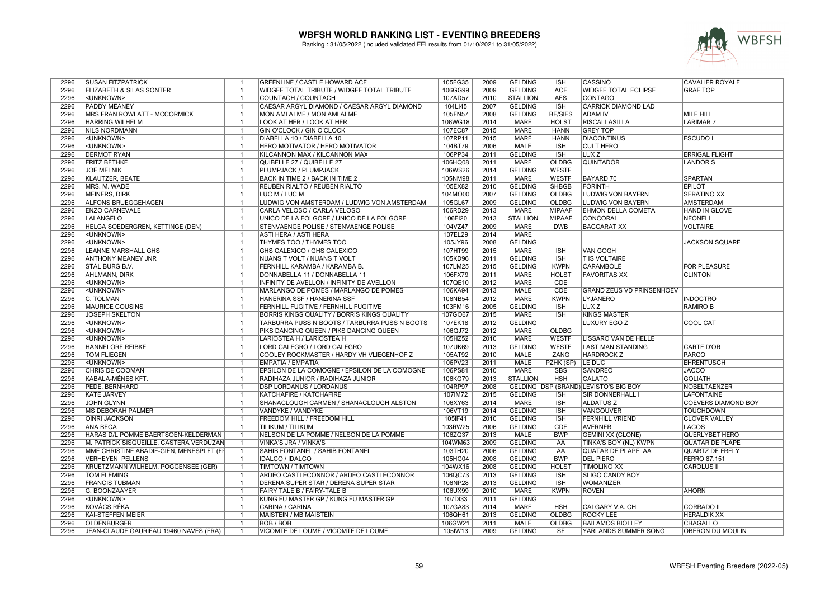

| 2296 | <b>SUSAN FITZPATRICK</b>                 | $\overline{1}$          | GREENLINE / CASTLE HOWARD ACE                 | 105EG35 | 2009 | <b>GELDING</b>  | <b>ISH</b>     | CASSINO                               | <b>CAVALIER ROYALE</b>     |
|------|------------------------------------------|-------------------------|-----------------------------------------------|---------|------|-----------------|----------------|---------------------------------------|----------------------------|
| 2296 | ELIZABETH & SILAS SONTER                 | $\overline{1}$          | WIDGEE TOTAL TRIBUTE / WIDGEE TOTAL TRIBUTE   | 106GG99 | 2009 | <b>GELDING</b>  | <b>ACE</b>     | WIDGEE TOTAL ECLIPSE                  | <b>GRAF TOP</b>            |
| 2296 | <unknown></unknown>                      | $\overline{1}$          | <b>COUNTACH / COUNTACH</b>                    | 107AD57 | 2010 | <b>STALLION</b> | <b>AES</b>     | <b>CONTAGO</b>                        |                            |
| 2296 | <b>PADDY MEANEY</b>                      | $\overline{1}$          | CAESAR ARGYL DIAMOND / CAESAR ARGYL DIAMOND   | 104LI45 | 2007 | <b>GELDING</b>  | <b>ISH</b>     | <b>CARRICK DIAMOND LAD</b>            |                            |
| 2296 | <b>MRS FRAN ROWLATT - MCCORMICK</b>      | -1                      | MON AMI ALME / MON AMI ALME                   | 105FN57 | 2008 | <b>GELDING</b>  | <b>BE/SIES</b> | <b>ADAM IV</b>                        | <b>MILE HILL</b>           |
| 2296 | <b>HARRING WILHELM</b>                   | $\overline{1}$          | LOOK AT HER / LOOK AT HER                     | 106WG18 | 2014 | <b>MARE</b>     | <b>HOLST</b>   | <b>RISCALLASILLA</b>                  | <b>LARIMAR7</b>            |
| 2296 | <b>NILS NORDMANN</b>                     | $\overline{1}$          | GIN O'CLOCK / GIN O'CLOCK                     | 107EC87 | 2015 | <b>MARE</b>     | <b>HANN</b>    | <b>GREY TOP</b>                       |                            |
| 2296 | <unknown></unknown>                      | $\overline{1}$          | DIABELLA 10 / DIABELLA 10                     | 107RP11 | 2015 | <b>MARE</b>     | <b>HANN</b>    | <b>DIACONTINUS</b>                    | <b>ESCUDO I</b>            |
| 2296 | <unknown></unknown>                      | $\overline{1}$          | HERO MOTIVATOR / HERO MOTIVATOR               | 104BT79 | 2006 | <b>MALE</b>     | ISH            | <b>CULT HERO</b>                      |                            |
| 2296 | <b>DERMOT RYAN</b>                       | $\overline{1}$          | KILCANNON MAX / KILCANNON MAX                 | 106PP34 | 2011 | <b>GELDING</b>  | <b>ISH</b>     | LUX <sub>Z</sub>                      | <b>ERRIGAL FLIGHT</b>      |
| 2296 | <b>FRITZ BETHKE</b>                      | $\overline{1}$          | QUIBELLE 27 / QUIBELLE 27                     | 106HQ08 | 2011 | MARE            | OLDBG          | <b>QUINTADOR</b>                      | LANDOR S                   |
| 2296 | <b>JOE MELNIK</b>                        | -1                      | PLUMPJACK / PLUMPJACK                         | 106WS26 | 2014 | <b>GELDING</b>  | <b>WESTF</b>   |                                       |                            |
| 2296 | <b>KLAUTZER, BEATE</b>                   | $\overline{1}$          | BACK IN TIME 2 / BACK IN TIME 2               | 105NM98 | 2011 | <b>MARE</b>     | <b>WESTF</b>   | <b>BAYARD 70</b>                      | <b>SPARTAN</b>             |
| 2296 | MRS. M. WADE                             | $\mathbf{1}$            | REUBEN RIALTO / REUBEN RIALTO                 | 105EX82 | 2010 | <b>GELDING</b>  | <b>SHBGB</b>   | <b>FORINTH</b>                        | <b>EPILOT</b>              |
| 2296 | <b>MEINERS, DIRK</b>                     | $\overline{1}$          | LUC M / LUC M                                 | 104MO00 | 2007 | <b>GELDING</b>  | OLDBG          | <b>LUDWIG VON BAYERN</b>              | <b>SERATINO XX</b>         |
| 2296 | ALFONS BRUEGGEHAGEN                      | $\overline{1}$          | LUDWIG VON AMSTERDAM / LUDWIG VON AMSTERDAM   | 105GL67 | 2009 | <b>GELDING</b>  | OLDBG          | LUDWIG VON BAYERN                     | <b>AMSTERDAM</b>           |
| 2296 | <b>ENZO CARNEVALE</b>                    | $\overline{1}$          | CARLA VELOSO / CARLA VELOSO                   | 106RD29 | 2013 | <b>MARE</b>     | <b>MIPAAF</b>  | EHMON DELLA COMETA                    | HAND IN GLOVE              |
| 2296 | <b>LAI ANGELO</b>                        | $\overline{\mathbf{1}}$ | UNICO DE LA FOLGORE / UNICO DE LA FOLGORE     | 106EI20 | 2013 | <b>STALLION</b> | <b>MIPAAF</b>  | <b>CONCORAL</b>                       | <b>NEONELI</b>             |
| 2296 | HELGA SOEDERGREN, KETTINGE (DEN)         | $\overline{1}$          | STENVAENGE POLISE / STENVAENGE POLISE         | 104VZ47 | 2009 | <b>MARE</b>     | <b>DWB</b>     | <b>BACCARAT XX</b>                    | <b>VOLTAIRE</b>            |
| 2296 | <unknown></unknown>                      | $\overline{1}$          | ASTI HERA / ASTI HERA                         | 107EL29 | 2014 | <b>MARE</b>     |                |                                       |                            |
| 2296 | <unknown></unknown>                      | $\overline{1}$          | THYMES TOO / THYMES TOO                       | 105JY96 | 2008 | <b>GELDING</b>  |                |                                       | <b>JACKSON SQUARE</b>      |
| 2296 | LEANNE MARSHALL GHS                      | $\overline{1}$          | GHS CALEXICO / GHS CALEXICO                   | 107HT99 | 2015 | <b>MARE</b>     | <b>ISH</b>     | <b>VAN GOGH</b>                       |                            |
| 2296 | <b>ANTHONY MEANEY JNR</b>                | $\overline{1}$          | NUANS T VOLT / NUANS T VOLT                   | 105KD96 | 2011 | <b>GELDING</b>  | <b>ISH</b>     | <b>T IS VOLTAIRE</b>                  |                            |
|      |                                          |                         |                                               |         |      |                 |                |                                       |                            |
| 2296 | STAL BURG B.V.                           | $\overline{1}$          | FERNHILL KARAMBA / KARAMBA B.                 | 107LM25 | 2015 | <b>GELDING</b>  | <b>KWPN</b>    | <b>CARAMBOLE</b>                      | <b>FOR PLEASURE</b>        |
| 2296 | AHLMANN, DIRK                            | $\overline{1}$          | DONNABELLA 11 / DONNABELLA 11                 | 106FX79 | 2011 | <b>MARE</b>     | <b>HOLST</b>   | <b>FAVORITAS XX</b>                   | <b>CLINTON</b>             |
| 2296 | <unknown></unknown>                      | $\overline{1}$          | INFINITY DE AVELLON / INFINITY DE AVELLON     | 107QE10 | 2012 | <b>MARE</b>     | <b>CDE</b>     |                                       |                            |
| 2296 | <unknown></unknown>                      | $\overline{1}$          | MARLANGO DE POMES / MARLANGO DE POMES         | 106KA94 | 2013 | <b>MALE</b>     | <b>CDE</b>     | <b>GRAND ZEUS VD PRINSENHOEV</b>      |                            |
| 2296 | C. TOLMAN                                | -1                      | HANERINA SSF / HANERINA SSF                   | 106NB54 | 2012 | <b>MARE</b>     | <b>KWPN</b>    | LYJANERO                              | <b>INDOCTRO</b>            |
| 2296 | <b>MAURICE COUSINS</b>                   | $\overline{1}$          | FERNHILL FUGITIVE / FERNHILL FUGITIVE         | 103FM16 | 2005 | <b>GELDING</b>  | <b>ISH</b>     | LUX <sub>Z</sub>                      | <b>RAMIRO B</b>            |
| 2296 | <b>JOSEPH SKELTON</b>                    | -1                      | BORRIS KINGS QUALITY / BORRIS KINGS QUALITY   | 107GO67 | 2015 | <b>MARE</b>     | <b>ISH</b>     | <b>KINGS MASTER</b>                   |                            |
| 2296 | <unknown></unknown>                      | $\overline{1}$          | TARBURRA PUSS N BOOTS / TARBURRA PUSS N BOOTS | 107EK18 | 2012 | <b>GELDING</b>  |                | <b>LUXURY EGO Z</b>                   | <b>COOL CAT</b>            |
| 2296 | <unknown></unknown>                      | $\overline{1}$          | PIKS DANCING QUEEN / PIKS DANCING QUEEN       | 106QJ72 | 2012 | <b>MARE</b>     | <b>OLDBG</b>   |                                       |                            |
| 2296 | <unknown></unknown>                      | -1                      | LARIOSTEA H / LARIOSTEA H                     | 105HZ52 | 2010 | <b>MARE</b>     | <b>WESTF</b>   | LISSARO VAN DE HELLE                  |                            |
| 2296 | HANNELORE REIBKE                         | $\overline{1}$          | LORD CALEGRO / LORD CALEGRO                   | 107UK69 | 2013 | <b>GELDING</b>  | <b>WESTF</b>   | <b>LAST MAN STANDING</b>              | <b>CARTE D'OR</b>          |
| 2296 | TOM FLIEGEN                              | -1                      | COOLEY ROCKMASTER / HARDY VH VLIEGENHOF Z     | 105AT92 | 2010 | <b>MALE</b>     | ZANG           | <b>HARDROCK Z</b>                     | <b>PARCO</b>               |
| 2296 | <unknown></unknown>                      | $\overline{1}$          | <b>EMPATIA / EMPATIA</b>                      | 106PV23 | 2011 | <b>MALE</b>     | PZHK (SP)      | LE DUC                                | <b>EHRENTUSCH</b>          |
| 2296 | CHRIS DE COOMAN                          | $\overline{1}$          | EPSILON DE LA COMOGNE / EPSILON DE LA COMOGNE | 106PS81 | 2010 | <b>MARE</b>     | <b>SBS</b>     | <b>SANDREO</b>                        | <b>JACCO</b>               |
| 2296 | KABALA-MÉNES KFT.                        | $\overline{1}$          | RADIHAZA JUNIOR / RADIHAZA JUNIOR             | 106KG79 | 2013 | <b>STALLION</b> | <b>HSH</b>     | <b>CALATO</b>                         | <b>GOLIATH</b>             |
| 2296 | <b>PEDE, BERNHARD</b>                    | $\overline{1}$          | <b>DSP LORDANUS / LORDANUS</b>                | 104RP97 | 2008 |                 |                | GELDING DSP (BRAND) LEVISTO'S BIG BOY | NOBELTAENZER               |
| 2296 | <b>KATE JARVEY</b>                       | $\overline{1}$          | KATCHAFIRE / KATCHAFIRE                       | 107IM72 | 2015 | <b>GELDING</b>  | <b>ISH</b>     | SIR DONNERHALL I                      | <b>LAFONTAINE</b>          |
| 2296 | <b>JOHN GLYNN</b>                        | $\overline{1}$          | SHANACLOUGH CARMEN / SHANACLOUGH ALSTON       | 106XY63 | 2014 | <b>MARE</b>     | <b>ISH</b>     | <b>ALDATUS Z</b>                      | <b>COEVERS DIAMOND BOY</b> |
| 2296 | <b>MS DEBORAH PALMER</b>                 | $\overline{1}$          | VANDYKE / VANDYKE                             | 106VT19 | 2014 | <b>GELDING</b>  | <b>ISH</b>     | VANCOUVER                             | <b>TOUCHDOWN</b>           |
| 2296 | <b>OINRI JACKSON</b>                     | $\overline{1}$          | FREEDOM HILL / FREEDOM HILL                   | 105IF41 | 2010 | <b>GELDING</b>  | <b>ISH</b>     | <b>FERNHILL VRIEND</b>                | <b>CLOVER VALLEY</b>       |
| 2296 | <b>ANA BECA</b>                          | $\overline{1}$          | TILIKUM / TILIKUM                             | 103RW25 | 2006 | <b>GELDING</b>  | <b>CDE</b>     | <b>AVERNER</b>                        | LACOS                      |
| 2296 | HARAS D/L POMME BAERTSOEN-KELDERMAN      | $\overline{1}$          | NELSON DE LA POMME / NELSON DE LA POMME       | 106ZQ37 | 2013 | <b>MALE</b>     | <b>BWP</b>     | <b>GEMINI XX (CLONE)</b>              | QUERLYBET HERO             |
| 2296 | M. PATRICK SISQUEILLE, CASTERA VERDUZAN  | $\mathbf{1}$            | VINKA'S JRA / VINKA'S                         | 104WM63 | 2009 | <b>GELDING</b>  | AA             | TINKA'S BOY (NL) KWPN                 | <b>QUATAR DE PLAPE</b>     |
| 2296 | MME CHRISTINE ABADIE-GIEN, MENESPLET (FF | $\overline{1}$          | SAHIB FONTANEL / SAHIB FONTANEL               | 103TH20 | 2006 | <b>GELDING</b>  | AA             | QUATAR DE PLAPE AA                    | QUARTZ DE FRELY            |
| 2296 | <b>VERHEYEN PELLENS</b>                  | -1                      | <b>IDALCO / IDALCO</b>                        | 105HG04 | 2008 | <b>GELDING</b>  | <b>BWP</b>     | <b>DEL PIERO</b>                      | <b>FERRO 87.151</b>        |
| 2296 | KRUETZMANN WILHELM, POGGENSEE (GER)      | $\overline{1}$          | TIMTOWN / TIMTOWN                             | 104WX16 | 2008 | <b>GELDING</b>  | <b>HOLST</b>   | <b>TIMOLINO XX</b>                    | <b>CAROLUS II</b>          |
| 2296 | <b>TOM FLEMING</b>                       | $\overline{1}$          | ARDEO CASTLECONNOR / ARDEO CASTLECONNOR       | 106QC73 | 2013 | <b>GELDING</b>  | <b>ISH</b>     | <b>SLIGO CANDY BOY</b>                |                            |
| 2296 | <b>FRANCIS TUBMAN</b>                    | -1                      | DERENA SUPER STAR / DERENA SUPER STAR         | 106NP28 | 2013 | <b>GELDING</b>  | <b>ISH</b>     | <b>WOMANIZER</b>                      |                            |
| 2296 | G. BOONZAAYER                            | $\overline{1}$          | FAIRY TALE B / FAIRY-TALE B                   | 106UX99 | 2010 | MARE            | <b>KWPN</b>    | <b>ROVEN</b>                          | <b>AHORN</b>               |
| 2296 | <unknown></unknown>                      | $\overline{1}$          | KUNG FU MASTER GP / KUNG FU MASTER GP         | 107DI33 | 2011 | <b>GELDING</b>  |                |                                       |                            |
| 2296 | KOVÁCS RÉKA                              | $\overline{1}$          | CARINA / CARINA                               | 107GA83 | 2014 | <b>MARE</b>     | <b>HSH</b>     | CALGARY V.A. CH                       | <b>CORRADO II</b>          |
| 2296 | KAI-STEFFEN MEIER                        | $\overline{1}$          | MAISTEIN / MB MAISTEIN                        | 106QH61 | 2013 | <b>GELDING</b>  | OLDBG          | <b>ROCKY LEE</b>                      | <b>HERALDIK XX</b>         |
| 2296 | <b>OLDENBURGER</b>                       | $\overline{1}$          | <b>BOB/BOB</b>                                | 106GW21 | 2011 | MALE            | <b>OLDBG</b>   | <b>BAILAMOS BIOLLEY</b>               | <b>CHAGALLO</b>            |
| 2296 | JEAN-CLAUDE GAURIEAU 19460 NAVES (FRA)   | $\mathbf{1}$            | VICOMTE DE LOUME / VICOMTE DE LOUME           | 105IW13 | 2009 | <b>GELDING</b>  | SF             | YARLANDS SUMMER SONG                  | OBERON DU MOULIN           |
|      |                                          |                         |                                               |         |      |                 |                |                                       |                            |